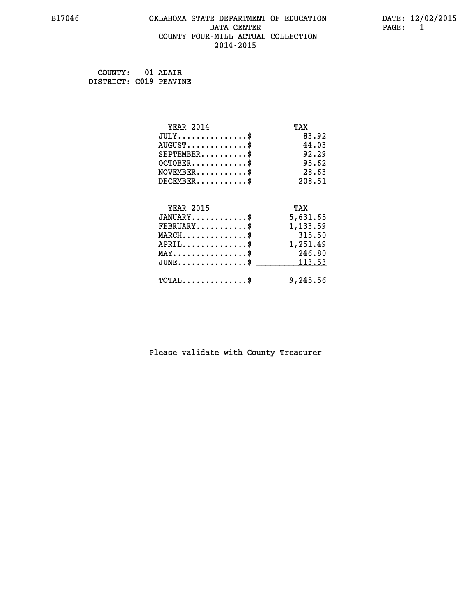#### **B17046 OKLAHOMA STATE DEPARTMENT OF EDUCATION DATE: 12/02/2015 DATA CENTER PAGE: 1 COUNTY FOUR-MILL ACTUAL COLLECTION 2014-2015**

| COUNTY:                | 01 ADAIR |
|------------------------|----------|
| DISTRICT: C019 PEAVINE |          |

| <b>YEAR 2014</b>                           | TAX      |
|--------------------------------------------|----------|
| $JULY$ \$                                  | 83.92    |
| $AUGUST$ \$                                | 44.03    |
| $SEPTEMBER$ \$                             | 92.29    |
| $OCTOBER$ \$                               | 95.62    |
| $\texttt{NOVEMBER} \dots \dots \dots \$    | 28.63    |
| $DECEMBER$ \$                              | 208.51   |
| <b>YEAR 2015</b>                           | TAX      |
| $JANUARY$ \$                               | 5,631.65 |
| $FEBRUARY$                                 | 1,133.59 |
| $MARCH$ \$                                 | 315.50   |
| $APRIL$ \$                                 | 1,251.49 |
| $MAX \dots \dots \dots \dots \$            | 246.80   |
| $JUNE$ \$                                  | 113.53   |
| $\texttt{TOTAL} \dots \dots \dots \dots \$ | 9,245.56 |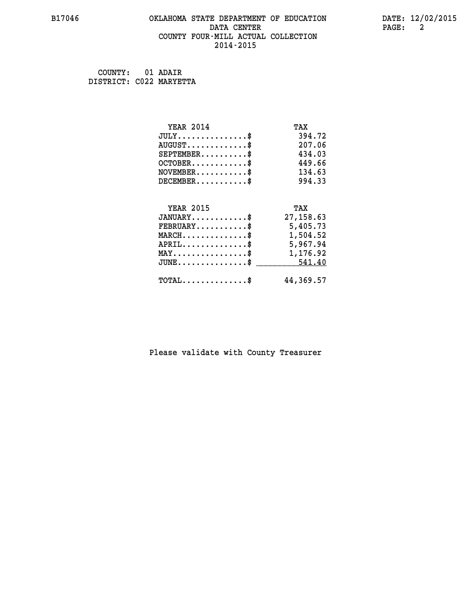## **B17046 OKLAHOMA STATE DEPARTMENT OF EDUCATION DATE: 12/02/2015 DATA CENTER PAGE: 2 COUNTY FOUR-MILL ACTUAL COLLECTION 2014-2015**

 **COUNTY: 01 ADAIR DISTRICT: C022 MARYETTA**

| <b>YEAR 2014</b>                                   | TAX        |
|----------------------------------------------------|------------|
| $JULY$ \$                                          | 394.72     |
| $AUGUST$ \$                                        | 207.06     |
| $SEPTEMENT.$ \$                                    | 434.03     |
| $OCTOBER$ \$                                       | 449.66     |
| $\texttt{NOVEMBER} \dots \dots \dots \$            | 134.63     |
| $DECEMBER$ \$                                      | 994.33     |
|                                                    |            |
| <b>YEAR 2015</b>                                   | TAX        |
| $JANUARY$ \$                                       | 27, 158.63 |
| $\texttt{FEBRUARY} \dots \dots \dots \$            | 5,405.73   |
| $MARCH$ \$                                         | 1,504.52   |
| $APRIL$ \$                                         | 5,967.94   |
| $\texttt{MAX} \dots \dots \dots \dots \dots \$     | 1,176.92   |
| $\texttt{JUNE} \dots \dots \dots \dots \texttt{S}$ | 541.40     |
| $\texttt{TOTAL} \dots \dots \dots \dots \$         | 44,369.57  |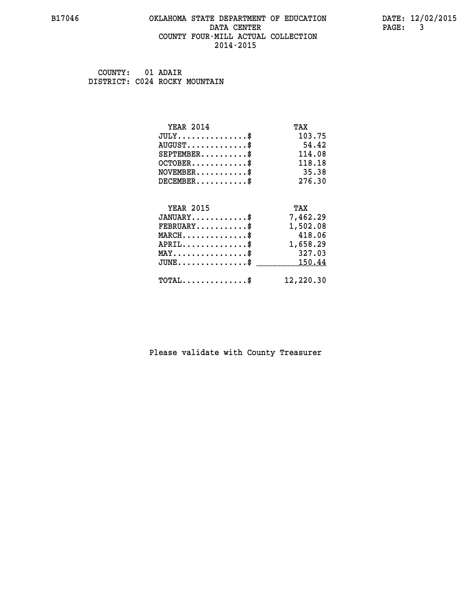#### **B17046 OKLAHOMA STATE DEPARTMENT OF EDUCATION DATE: 12/02/2015 DATA CENTER** PAGE: 3  **COUNTY FOUR-MILL ACTUAL COLLECTION 2014-2015**

 **COUNTY: 01 ADAIR DISTRICT: C024 ROCKY MOUNTAIN**

| <b>YEAR 2014</b>                           | TAX       |
|--------------------------------------------|-----------|
| $JULY$ \$                                  | 103.75    |
| $AUGUST$ \$                                | 54.42     |
| $SEPTEMBER$ \$                             | 114.08    |
| $OCTOBER$ \$                               | 118.18    |
| $NOVEMBER$ \$                              | 35.38     |
| $DECEMBER$ \$                              | 276.30    |
|                                            |           |
| <b>YEAR 2015</b>                           | TAX       |
| $JANUARY$ \$                               | 7,462.29  |
| $FEBRUARY$ \$                              | 1,502.08  |
| $MARCH$ \$                                 | 418.06    |
| $APRIL$ \$                                 | 1,658.29  |
| $MAX \dots \dots \dots \dots \dots$        | 327.03    |
| $JUNE$                                     | 150.44    |
| $\texttt{TOTAL} \dots \dots \dots \dots \$ | 12,220.30 |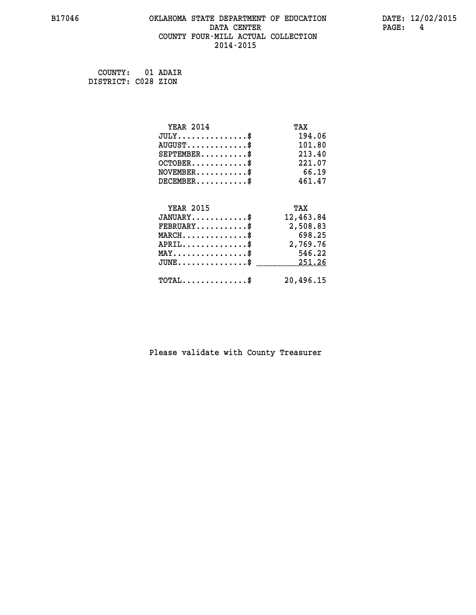## **B17046 OKLAHOMA STATE DEPARTMENT OF EDUCATION DATE: 12/02/2015 DATA CENTER PAGE: 4 COUNTY FOUR-MILL ACTUAL COLLECTION 2014-2015**

 **COUNTY: 01 ADAIR DISTRICT: C028 ZION**

| <b>YEAR 2014</b>                    | TAX       |
|-------------------------------------|-----------|
| $JULY$ \$                           | 194.06    |
| $AUGUST$ \$                         | 101.80    |
| $SEPTEMBER$ \$                      | 213.40    |
| $OCTOBER$ \$                        | 221.07    |
| $NOVEMBER$ \$                       | 66.19     |
| $DECEMBER$ \$                       | 461.47    |
|                                     |           |
| <b>YEAR 2015</b>                    | TAX       |
| $JANUARY$ \$                        | 12,463.84 |
| $FEBRUARY$                          | 2,508.83  |
| $MARCH$ \$                          | 698.25    |
| $APRIL.$ \$                         | 2,769.76  |
| $MAX \dots \dots \dots \dots \dots$ | 546.22    |
| $JUNE$ \$                           | 251.26    |
| $TOTAL$ \$                          | 20,496.15 |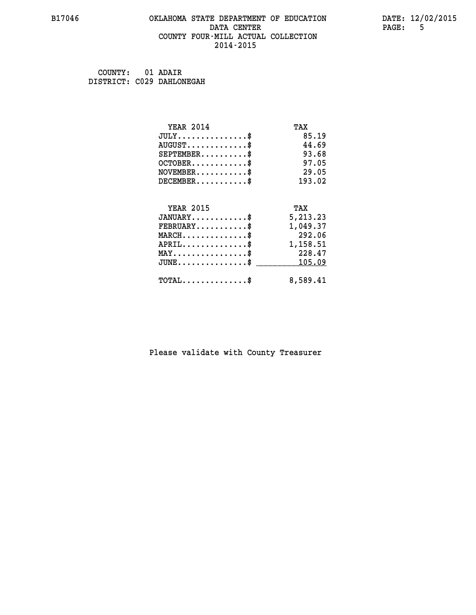#### **B17046 OKLAHOMA STATE DEPARTMENT OF EDUCATION DATE: 12/02/2015 DATA CENTER PAGE:** 5  **COUNTY FOUR-MILL ACTUAL COLLECTION 2014-2015**

 **COUNTY: 01 ADAIR DISTRICT: C029 DAHLONEGAH**

| <b>YEAR 2014</b>                                 | TAX      |
|--------------------------------------------------|----------|
| $JULY$ \$                                        | 85.19    |
| $AUGUST$ \$                                      | 44.69    |
| $SEPTEMBER$ \$                                   | 93.68    |
| $OCTOBER$ \$                                     | 97.05    |
| $NOVEMBER$ \$                                    | 29.05    |
| $DECEMBER$ \$                                    | 193.02   |
|                                                  |          |
| <b>YEAR 2015</b>                                 | TAX      |
| $JANUARY$                                        | 5,213.23 |
| $FEBRUARY$                                       | 1,049.37 |
| $MARCH$ \$                                       | 292.06   |
| $APRIL$ \$                                       | 1,158.51 |
| $MAX \dots \dots \dots \dots \dots$              | 228.47   |
| $\texttt{JUNE} \dots \dots \dots \dots \dots \$$ | 105.09   |
| $\texttt{TOTAL} \dots \dots \dots \dots$ \$      | 8,589.41 |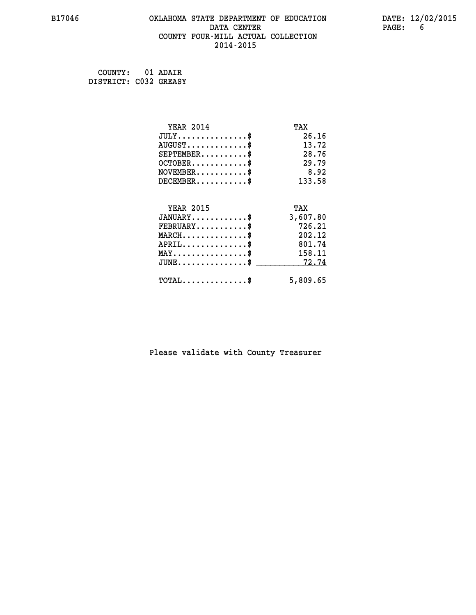## **B17046 OKLAHOMA STATE DEPARTMENT OF EDUCATION DATE: 12/02/2015 DATA CENTER** PAGE: 6  **COUNTY FOUR-MILL ACTUAL COLLECTION 2014-2015**

 **COUNTY: 01 ADAIR DISTRICT: C032 GREASY**

| <b>YEAR 2014</b>                    | TAX      |
|-------------------------------------|----------|
| $JULY$ \$                           | 26.16    |
| $AUGUST$ \$                         | 13.72    |
| $SEPTEMBER$ \$                      | 28.76    |
| $OCTOBER$ \$                        | 29.79    |
| $NOVEMBER$ \$                       | 8.92     |
| $DECEMBER$ \$                       | 133.58   |
|                                     |          |
| <b>YEAR 2015</b>                    | TAX      |
| $JANUARY$ \$                        | 3,607.80 |
| $FEBRUARY$                          | 726.21   |
| $MARCH$ \$                          | 202.12   |
| $APRIL$ \$                          | 801.74   |
| $MAX \dots \dots \dots \dots \dots$ | 158.11   |
| $JUNE$                              | 72.74    |
| $TOTAL$ \$                          | 5,809.65 |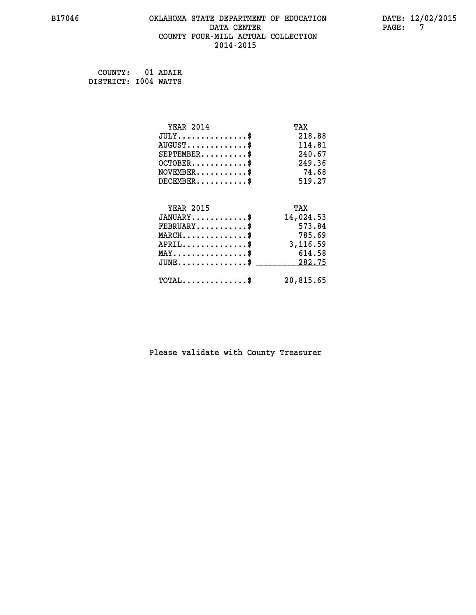#### **B17046 OKLAHOMA STATE DEPARTMENT OF EDUCATION DATE: 12/02/2015 DATA CENTER PAGE: 7 COUNTY FOUR-MILL ACTUAL COLLECTION 2014-2015**

 **COUNTY: 01 ADAIR DISTRICT: I004 WATTS**

| <b>YEAR 2014</b>                           | TAX       |
|--------------------------------------------|-----------|
| $JULY$ \$                                  | 218.88    |
| $AUGUST$ \$                                | 114.81    |
| $SEPTEMBER$ \$                             | 240.67    |
| $OCTOBER$ \$                               | 249.36    |
| $NOVEMBER$ \$                              | 74.68     |
| $DECEMBER$ \$                              | 519.27    |
|                                            |           |
| <b>YEAR 2015</b>                           | TAX       |
| $JANUARY$                                  | 14,024.53 |
| $FEBRUARY$                                 | 573.84    |
| $MARCH$ \$                                 | 785.69    |
| $APRIL$ \$                                 | 3,116.59  |
| $MAX \dots \dots \dots \dots \dots$        | 614.58    |
| $JUNE$ \$                                  | 282.75    |
| $\texttt{TOTAL} \dots \dots \dots \dots \$ | 20,815.65 |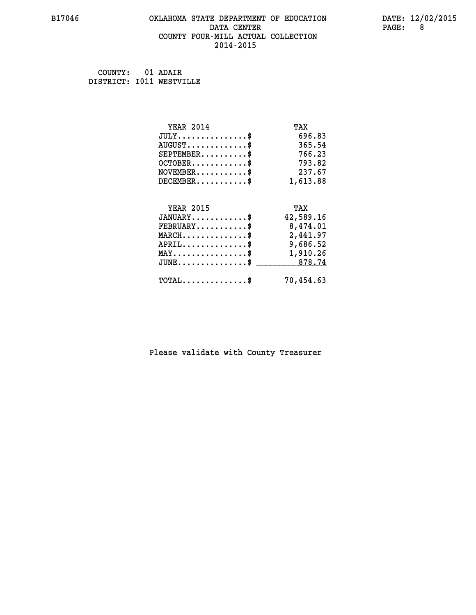#### **B17046 OKLAHOMA STATE DEPARTMENT OF EDUCATION DATE: 12/02/2015 DATA CENTER** PAGE: 8  **COUNTY FOUR-MILL ACTUAL COLLECTION 2014-2015**

 **COUNTY: 01 ADAIR DISTRICT: I011 WESTVILLE**

| <b>YEAR 2014</b>                               | TAX       |
|------------------------------------------------|-----------|
| $JULY$ \$                                      | 696.83    |
| $AUGUST$ \$                                    | 365.54    |
| $SEPTEMBER$ \$                                 | 766.23    |
| $OCTOBER$ \$                                   | 793.82    |
| $\texttt{NOVEMBER} \dots \dots \dots \$        | 237.67    |
| $DECEMBER$ \$                                  | 1,613.88  |
|                                                |           |
| <b>YEAR 2015</b>                               | TAX       |
| $JANUARY$ \$                                   | 42,589.16 |
| $\texttt{FEBRUARY} \dots \dots \dots \$        | 8,474.01  |
| $MARCH \ldots \ldots \ldots \ldots \$          | 2,441.97  |
| $APRIL$ \$                                     | 9,686.52  |
| $\texttt{MAX} \dots \dots \dots \dots \dots \$ | 1,910.26  |
| $JUNE$ \$                                      | 878.74    |
| $\texttt{TOTAL} \dots \dots \dots \dots$       | 70,454.63 |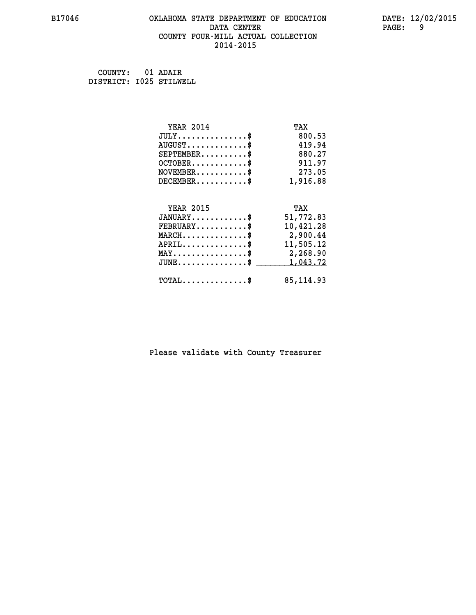## **B17046 OKLAHOMA STATE DEPARTMENT OF EDUCATION DATE: 12/02/2015 DATA CENTER PAGE: 9 COUNTY FOUR-MILL ACTUAL COLLECTION 2014-2015**

 **COUNTY: 01 ADAIR DISTRICT: I025 STILWELL**

| <b>YEAR 2014</b>                                 | TAX        |
|--------------------------------------------------|------------|
| $JULY$ \$                                        | 800.53     |
| $AUGUST$ \$                                      | 419.94     |
| $SEPTEMBER$ \$                                   | 880.27     |
| $OCTOBER$ \$                                     | 911.97     |
| $\texttt{NOVEMBER} \dots \dots \dots \$          | 273.05     |
| $DECEMBER$ \$                                    | 1,916.88   |
|                                                  |            |
| <b>YEAR 2015</b>                                 | TAX        |
| $JANUARY$ \$                                     | 51,772.83  |
| $FEBRUARY$                                       | 10,421.28  |
| MARCH\$ 2,900.44                                 |            |
| $APRIL \ldots \ldots \ldots \ldots \$            | 11,505.12  |
| MAY\$ 2,268.90                                   |            |
| $\texttt{JUNE} \dots \dots \dots \dots \dots \$$ | 1,043.72   |
| $\texttt{TOTAL} \dots \dots \dots \dots$         | 85, 114.93 |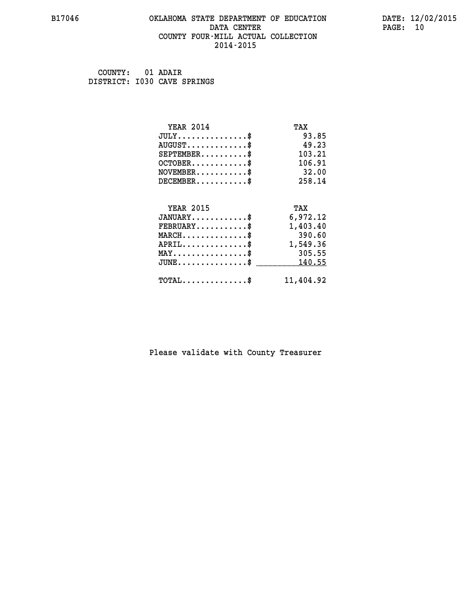#### **B17046 OKLAHOMA STATE DEPARTMENT OF EDUCATION DATE: 12/02/2015 DATA CENTER** PAGE: 10  **COUNTY FOUR-MILL ACTUAL COLLECTION 2014-2015**

 **COUNTY: 01 ADAIR DISTRICT: I030 CAVE SPRINGS**

| <b>YEAR 2014</b>                                 | TAX       |
|--------------------------------------------------|-----------|
| $JULY$ \$                                        | 93.85     |
| $AUGUST$ \$                                      | 49.23     |
| $SEPTEMBER$ \$                                   | 103.21    |
| $OCTOBER$ \$                                     | 106.91    |
| $NOVEMBER$ \$                                    | 32.00     |
| $DECEMBER$ \$                                    | 258.14    |
|                                                  |           |
| <b>YEAR 2015</b>                                 | TAX       |
| $JANUARY$                                        | 6,972.12  |
| $FEBRUARY$                                       | 1,403.40  |
| $MARCH$ \$                                       | 390.60    |
| $APRIL \ldots \ldots \ldots \$                   | 1,549.36  |
| $MAX \dots \dots \dots \dots \dots$              | 305.55    |
| $\texttt{JUNE} \dots \dots \dots \dots \dots \$$ | 140.55    |
| $\texttt{TOTAL} \dots \dots \dots \dots \$       | 11,404.92 |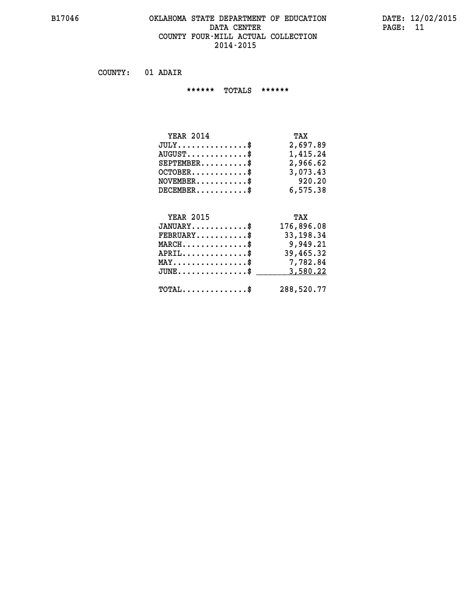#### **B17046 OKLAHOMA STATE DEPARTMENT OF EDUCATION DATE: 12/02/2015 DATA CENTER PAGE: 11 COUNTY FOUR-MILL ACTUAL COLLECTION 2014-2015**

 **COUNTY: 01 ADAIR**

 **\*\*\*\*\*\* TOTALS \*\*\*\*\*\***

| <b>YEAR 2014</b>                 | TAX      |
|----------------------------------|----------|
| $JULY \ldots \ldots \ldots \$    | 2,697.89 |
| $AUGUST \ldots \ldots \ldots$ \$ | 1,415.24 |
| $SEPTEMBER$ \$                   | 2,966.62 |
| $OCTOBER$ \$                     | 3,073.43 |
| $NOVEMBER$ \$                    | 920.20   |
| $DECEMBER$                       | 6,575.38 |

## **YEAR 2015 TAX JANUARY............\$ 176,896.08 FEBRUARY...........\$ 33,198.34 MARCH..............\$ 9,949.21 APRIL..............\$ 39,465.32 MAY................\$ 7,782.84 JUNE...............\$ 3,580.22 \_\_\_\_\_\_\_\_\_\_\_\_\_\_\_ TOTAL..............\$ 288,520.77**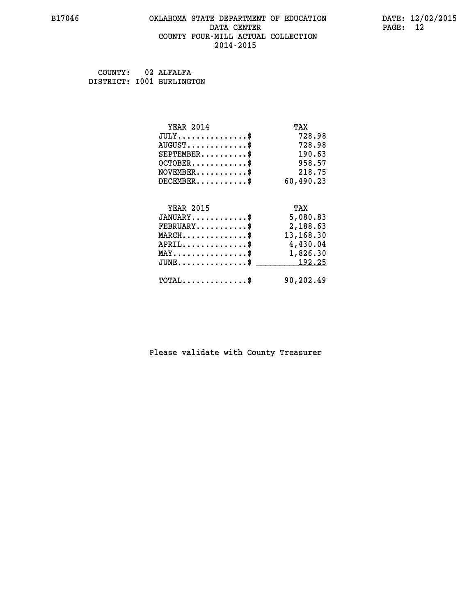#### **B17046 OKLAHOMA STATE DEPARTMENT OF EDUCATION DATE: 12/02/2015 DATA CENTER** PAGE: 12  **COUNTY FOUR-MILL ACTUAL COLLECTION 2014-2015**

| COUNTY: | 02 ALFALFA                |
|---------|---------------------------|
|         | DISTRICT: 1001 BURLINGTON |

| <b>YEAR 2014</b>                                 | TAX       |
|--------------------------------------------------|-----------|
| $JULY$ \$                                        | 728.98    |
| $AUGUST$ \$                                      | 728.98    |
| $SEPTEMBER$ \$                                   | 190.63    |
| $OCTOBER$ \$                                     | 958.57    |
| $NOVEMBER.$ \$                                   | 218.75    |
| $DECEMBER$ \$                                    | 60,490.23 |
|                                                  |           |
| <b>YEAR 2015</b>                                 | TAX       |
| $JANUARY$ \$                                     | 5,080.83  |
| $FEBRUARY$ \$                                    | 2,188.63  |
| $\texttt{MARCH} \dots \dots \dots \dots \$       | 13,168.30 |
| $APRIL \ldots \ldots \ldots \ldots \$            | 4,430.04  |
| $\texttt{MAX} \dots \dots \dots \dots \dots \$   | 1,826.30  |
| $\texttt{JUNE} \dots \dots \dots \dots \dots \$$ | 192.25    |
| $\texttt{TOTAL} \dots \dots \dots \dots \$       | 90,202.49 |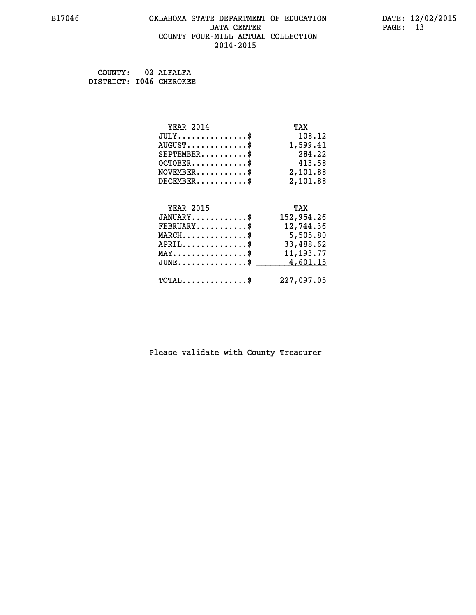## **B17046 OKLAHOMA STATE DEPARTMENT OF EDUCATION DATE: 12/02/2015 DATA CENTER** PAGE: 13  **COUNTY FOUR-MILL ACTUAL COLLECTION 2014-2015**

 **COUNTY: 02 ALFALFA**

 **DISTRICT: I046 CHEROKEE**

| <b>YEAR 2014</b>                               | TAX         |
|------------------------------------------------|-------------|
| $JULY$ \$                                      | 108.12      |
| $AUGUST$ \$                                    | 1,599.41    |
| $SEPTEMBER$ \$                                 | 284.22      |
| $OCTOBER$ \$                                   | 413.58      |
| $\texttt{NOVEMBER} \dots \dots \dots \$        | 2,101.88    |
| $DECEMBER$ \$                                  | 2,101.88    |
|                                                |             |
| <b>YEAR 2015</b>                               | TAX         |
| $JANUARY$ \$                                   | 152,954.26  |
| $FEBRUARY$                                     | 12,744.36   |
| $MARCH$ \$                                     | 5,505.80    |
| $APRIL \ldots \ldots \ldots \ldots \$          | 33,488.62   |
| $\texttt{MAX} \dots \dots \dots \dots \dots \$ | 11, 193. 77 |
| $JUNE$ \$                                      | 4,601.15    |
| $\texttt{TOTAL} \dots \dots \dots \dots \$     | 227,097.05  |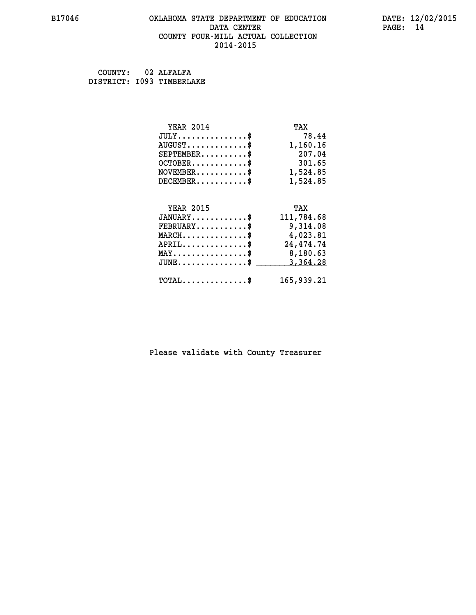## **B17046 OKLAHOMA STATE DEPARTMENT OF EDUCATION DATE: 12/02/2015 DATA CENTER PAGE: 14 COUNTY FOUR-MILL ACTUAL COLLECTION 2014-2015**

 **COUNTY: 02 ALFALFA DISTRICT: I093 TIMBERLAKE**

| <b>YEAR 2014</b>                           | TAX        |
|--------------------------------------------|------------|
| $JULY$ \$                                  | 78.44      |
| $AUGUST$ \$                                | 1,160.16   |
| $SEPTEMBER$ \$                             | 207.04     |
| $OCTOBER$ \$                               | 301.65     |
| $\texttt{NOVEMBER} \dots \dots \dots \$    | 1,524.85   |
| $DECEMBER$ \$                              | 1,524.85   |
|                                            |            |
| <b>YEAR 2015</b>                           | TAX        |
| $JANUARY$ \$                               | 111,784.68 |
| $FEBRUARY$                                 | 9,314.08   |
| $MARCH$ \$                                 | 4,023.81   |
| $APRIL$ \$                                 | 24, 474.74 |
| MAY\$ 8,180.63                             |            |
| $JUNE$ \$                                  | 3,364.28   |
| $\texttt{TOTAL} \dots \dots \dots \dots \$ | 165,939.21 |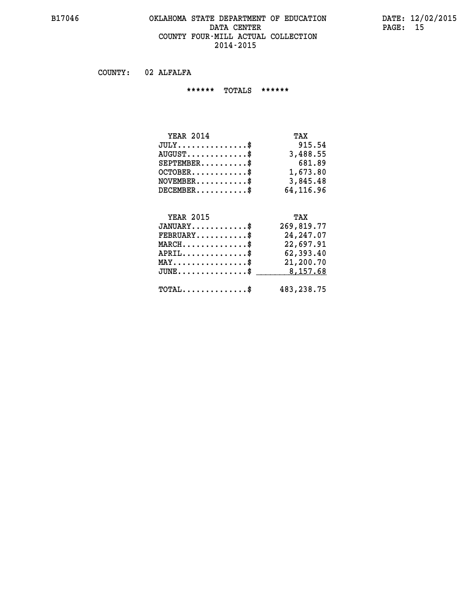#### **B17046 OKLAHOMA STATE DEPARTMENT OF EDUCATION DATE: 12/02/2015 DATA CENTER PAGE: 15 COUNTY FOUR-MILL ACTUAL COLLECTION 2014-2015**

 **COUNTY: 02 ALFALFA**

 **\*\*\*\*\*\* TOTALS \*\*\*\*\*\***

| <b>YEAR 2014</b> | TAX       |
|------------------|-----------|
| $JULY$           | 915.54    |
| $AUGUST$ \$      | 3,488.55  |
| $SEPTEMBER$      | 681.89    |
| $OCTOBER$ \$     | 1,673.80  |
| $NOVEMBER$ $\$   | 3,845.48  |
| $DECEMBER$       | 64,116.96 |

## **YEAR 2015 TAX JANUARY............\$ 269,819.77 FEBRUARY...........\$ 24,247.07 MARCH..............\$ 22,697.91 APRIL..............\$ 62,393.40 MAY................\$ 21,200.70 JUNE................\$** \_\_\_\_\_\_\_\_\_ 8,157.68  **TOTAL..............\$ 483,238.75**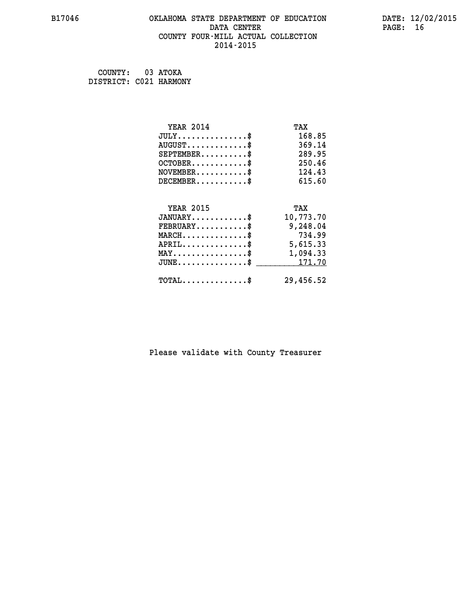#### **B17046 OKLAHOMA STATE DEPARTMENT OF EDUCATION DATE: 12/02/2015 DATA CENTER PAGE: 16 COUNTY FOUR-MILL ACTUAL COLLECTION 2014-2015**

 **COUNTY: 03 ATOKA DISTRICT: C021 HARMONY**

> **YEAR 2014 TAX JULY...............\$ 168.85 AUGUST.............\$ 369.14 SEPTEMBER..........\$ 289.95 OCTOBER............\$ 250.46 NOVEMBER...........\$ 124.43 DECEMBER...........\$ 615.60 YEAR 2015 TAX JANUARY............\$ 10,773.70 FEBRUARY...........\$ 9,248.04 MARCH..............\$ 734.99 APRIL..............\$ 5,615.33 MAY................\$ 1,094.33 JUNE...............\$ 171.70 \_\_\_\_\_\_\_\_\_\_\_\_\_\_\_ TOTAL..............\$ 29,456.52**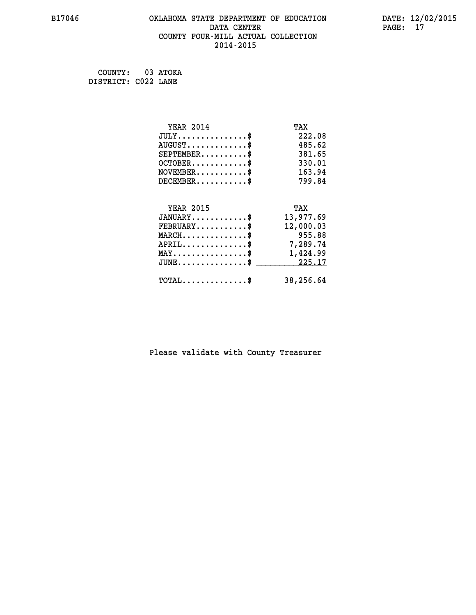## **B17046 OKLAHOMA STATE DEPARTMENT OF EDUCATION DATE: 12/02/2015 DATA CENTER** PAGE: 17  **COUNTY FOUR-MILL ACTUAL COLLECTION 2014-2015**

 **COUNTY: 03 ATOKA DISTRICT: C022 LANE**

| <b>YEAR 2014</b>                                 | TAX       |
|--------------------------------------------------|-----------|
| $JULY$ \$                                        | 222.08    |
| $AUGUST$ \$                                      | 485.62    |
| $SEPTEMBER$ \$                                   | 381.65    |
| $OCTOBER$ \$                                     | 330.01    |
| $\texttt{NOVEMBER} \dots \dots \dots \$          | 163.94    |
| $DECEMBER$ \$                                    | 799.84    |
|                                                  |           |
| <b>YEAR 2015</b>                                 | TAX       |
| $JANUARY$ \$                                     | 13,977.69 |
| $FEBRUARY$                                       | 12,000.03 |
| $MARCH$ \$                                       | 955.88    |
| $APRIL \ldots \ldots \ldots \ldots \$            | 7,289.74  |
| $\texttt{MAX} \dots \dots \dots \dots \dots \$   | 1,424.99  |
| $\mathtt{JUNE} \ldots \ldots \ldots \ldots \ast$ | 225.17    |
| $\texttt{TOTAL} \dots \dots \dots \dots \$       | 38,256.64 |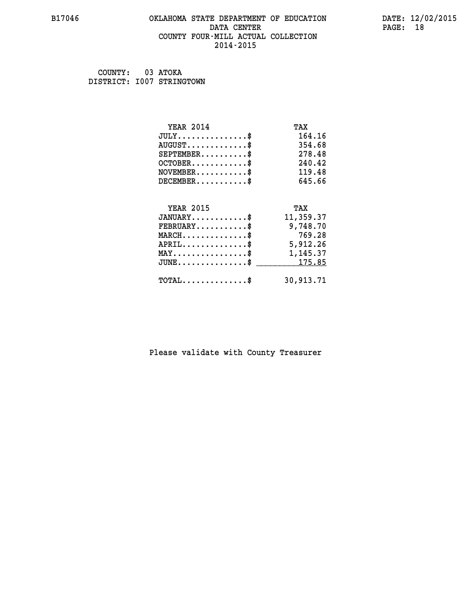#### **B17046 OKLAHOMA STATE DEPARTMENT OF EDUCATION DATE: 12/02/2015 DATA CENTER** PAGE: 18  **COUNTY FOUR-MILL ACTUAL COLLECTION 2014-2015**

| COUNTY: | 03 ATOKA                  |
|---------|---------------------------|
|         | DISTRICT: 1007 STRINGTOWN |

| <b>YEAR 2014</b>                                 | TAX       |
|--------------------------------------------------|-----------|
| $JULY$ \$                                        | 164.16    |
| $AUGUST$ \$                                      | 354.68    |
| $SEPTEMENT.$ \$                                  | 278.48    |
| $OCTOBER$ \$                                     | 240.42    |
| $NOVEMBER.$ \$                                   | 119.48    |
| $DECEMBER$ \$                                    | 645.66    |
|                                                  |           |
| <b>YEAR 2015</b>                                 | TAX       |
| $JANUARY$ \$                                     | 11,359.37 |
| $\texttt{FEBRUARY} \dots \dots \dots \$          | 9,748.70  |
| $MARCH$ \$                                       | 769.28    |
| $APRIL \ldots \ldots \ldots \ldots$              | 5,912.26  |
| $\texttt{MAX} \dots \dots \dots \dots \dots \$   | 1,145.37  |
| $\texttt{JUNE} \dots \dots \dots \dots \dots \$$ | 175.85    |
| $TOTAL$ \$                                       | 30,913.71 |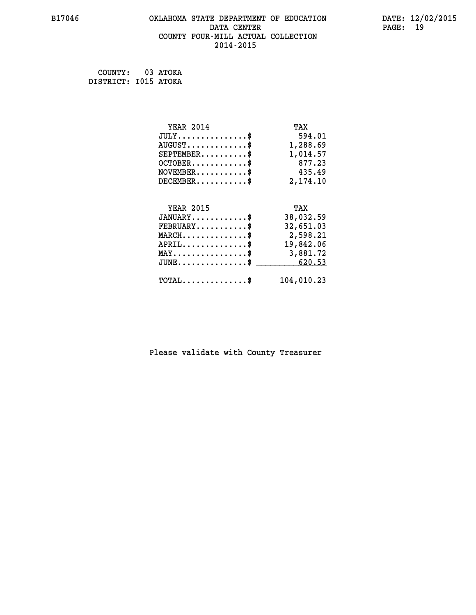## **B17046 OKLAHOMA STATE DEPARTMENT OF EDUCATION DATE: 12/02/2015 DATA CENTER** PAGE: 19  **COUNTY FOUR-MILL ACTUAL COLLECTION 2014-2015**

 **COUNTY: 03 ATOKA DISTRICT: I015 ATOKA**

| <b>YEAR 2014</b>                                 | TAX        |
|--------------------------------------------------|------------|
| $JULY$ \$                                        | 594.01     |
| $AUGUST$ \$                                      | 1,288.69   |
| $SEPTEMBER$ \$                                   | 1,014.57   |
| $OCTOBER$ \$                                     | 877.23     |
| $NOVEMBER.$ \$                                   | 435.49     |
| $DECEMBER$ \$                                    | 2,174.10   |
|                                                  |            |
| <b>YEAR 2015</b>                                 | TAX        |
| $JANUARY$ \$                                     | 38,032.59  |
| $FEBRUARY$ \$                                    | 32,651.03  |
| $MARCH$ \$                                       | 2,598.21   |
| $APRIL \ldots \ldots \ldots \ldots$              | 19,842.06  |
| $\texttt{MAX} \dots \dots \dots \dots \dots \$   | 3,881.72   |
| $\texttt{JUNE} \dots \dots \dots \dots \dots \$$ | 620.53     |
| $\texttt{TOTAL} \dots \dots \dots \dots \$       | 104,010.23 |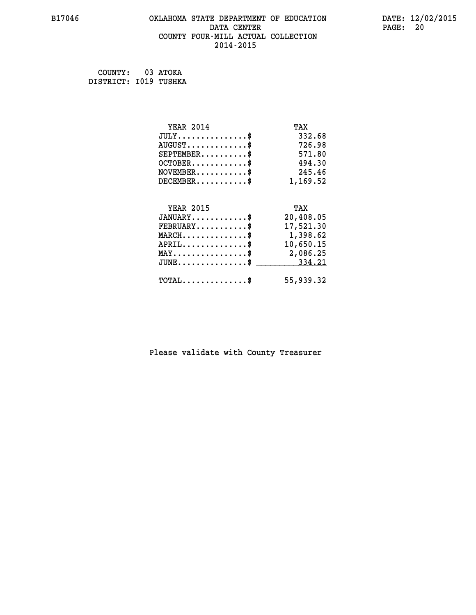## **B17046 OKLAHOMA STATE DEPARTMENT OF EDUCATION DATE: 12/02/2015 DATA CENTER** PAGE: 20  **COUNTY FOUR-MILL ACTUAL COLLECTION 2014-2015**

 **COUNTY: 03 ATOKA DISTRICT: I019 TUSHKA**

| <b>YEAR 2014</b>                                | TAX       |
|-------------------------------------------------|-----------|
| $JULY$ \$                                       | 332.68    |
| $AUGUST$ \$                                     | 726.98    |
| $SEPTEMENT.$ \$                                 | 571.80    |
| $OCTOBER$ \$                                    | 494.30    |
| $\texttt{NOVEMBER} \dots \dots \dots \$         | 245.46    |
| $DECEMBER$ \$                                   | 1,169.52  |
|                                                 |           |
| <b>YEAR 2015</b>                                | TAX       |
| $JANUARY$ \$                                    | 20,408.05 |
| $FEBRUARY$                                      | 17,521.30 |
| $MARCH$ \$                                      | 1,398.62  |
| $APRIL$ \$                                      | 10,650.15 |
| $\texttt{MAX} \dots \dots \dots \dots \dots \$$ | 2,086.25  |
| $JUNE$ \$                                       | 334.21    |
| $\texttt{TOTAL} \dots \dots \dots \dots \$      | 55,939.32 |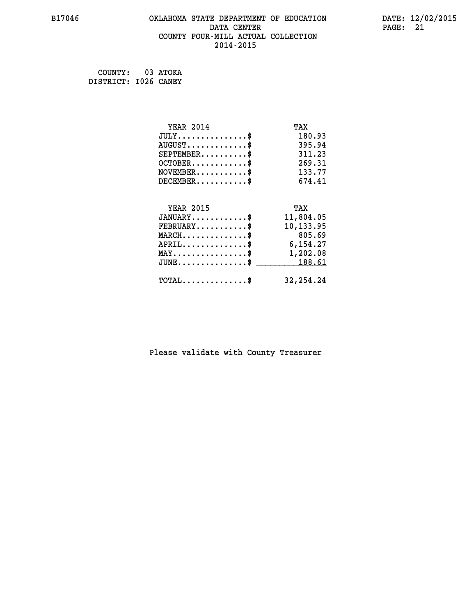## **B17046 OKLAHOMA STATE DEPARTMENT OF EDUCATION DATE: 12/02/2015 DATA CENTER** PAGE: 21  **COUNTY FOUR-MILL ACTUAL COLLECTION 2014-2015**

 **COUNTY: 03 ATOKA DISTRICT: I026 CANEY**

| <b>YEAR 2014</b>                               | TAX         |
|------------------------------------------------|-------------|
| $JULY$ \$                                      | 180.93      |
| $AUGUST$ \$                                    | 395.94      |
| $SEPTEMBER$ \$                                 | 311.23      |
| $OCTOBER$ \$                                   | 269.31      |
| $NOVEMBER.$ \$                                 | 133.77      |
| $DECEMBER$ \$                                  | 674.41      |
|                                                |             |
| <b>YEAR 2015</b>                               | TAX         |
| $JANUARY$ \$                                   | 11,804.05   |
| $FEBRUARY$                                     | 10,133.95   |
| $MARCH$ \$                                     | 805.69      |
| $APRIL \ldots \ldots \ldots \ldots \$          | 6,154.27    |
| $\texttt{MAX} \dots \dots \dots \dots \dots \$ | 1,202.08    |
| $JUNE \ldots \ldots \ldots \ldots \ast$        | 188.61      |
| $\texttt{TOTAL} \dots \dots \dots \dots$       | 32, 254. 24 |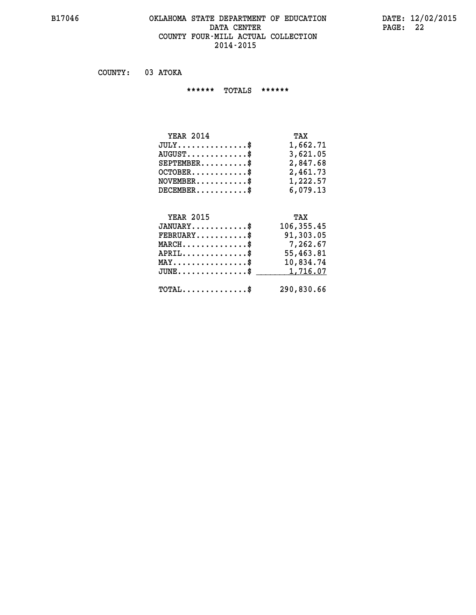#### **B17046 OKLAHOMA STATE DEPARTMENT OF EDUCATION DATE: 12/02/2015 DATA CENTER PAGE: 22 COUNTY FOUR-MILL ACTUAL COLLECTION 2014-2015**

 **COUNTY: 03 ATOKA**

 **\*\*\*\*\*\* TOTALS \*\*\*\*\*\***

| <b>YEAR 2014</b>                       | TAX      |
|----------------------------------------|----------|
| $JULY \ldots \ldots \ldots \mathbb{S}$ | 1,662.71 |
| $AUGUST$ \$                            | 3,621.05 |
| $SEPTEMBER$                            | 2,847.68 |
| $OCTOBER$ \$                           | 2,461.73 |
| $NOVEMBER$ \$                          | 1,222.57 |
| $DECEMBER$                             | 6,079.13 |

## **YEAR 2015 TAX JANUARY............\$ 106,355.45 FEBRUARY...........\$ 91,303.05 MARCH..............\$ 7,262.67 APRIL..............\$ 55,463.81 MAY................\$ 10,834.74 JUNE................\$** <u>1,716.07</u>  **TOTAL..............\$ 290,830.66**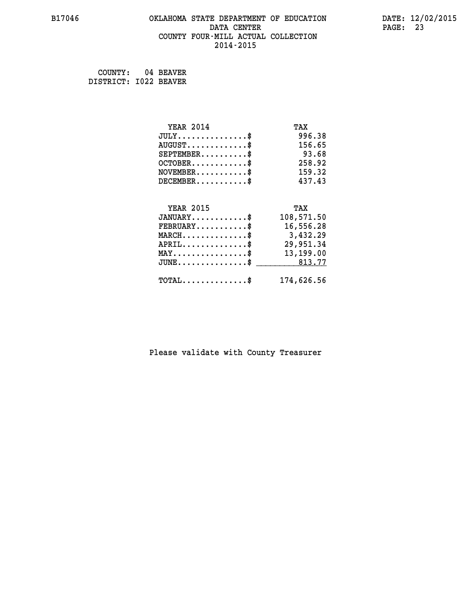## **B17046 OKLAHOMA STATE DEPARTMENT OF EDUCATION DATE: 12/02/2015 DATA CENTER** PAGE: 23  **COUNTY FOUR-MILL ACTUAL COLLECTION 2014-2015**

 **COUNTY: 04 BEAVER DISTRICT: I022 BEAVER**

| <b>YEAR 2014</b>                               | TAX        |
|------------------------------------------------|------------|
| $JULY$ \$                                      | 996.38     |
| $AUGUST$ \$                                    | 156.65     |
| $SEPTEMENT.$ \$                                | 93.68      |
| $OCTOBER$ \$                                   | 258.92     |
| $NOVEMBER$ \$                                  | 159.32     |
| $DECEMBER$ \$                                  | 437.43     |
|                                                |            |
| <b>YEAR 2015</b>                               | TAX        |
| $JANUARY$ \$                                   | 108,571.50 |
| $FEBRUARY$                                     | 16,556.28  |
| $MARCH$ \$                                     | 3,432.29   |
| $APRIL$ \$                                     | 29,951.34  |
| $\texttt{MAX} \dots \dots \dots \dots \dots \$ | 13,199.00  |
| $JUNE \dots \dots \dots \dots \$ 813.77        |            |
| $\texttt{TOTAL} \dots \dots \dots \dots \$     | 174,626.56 |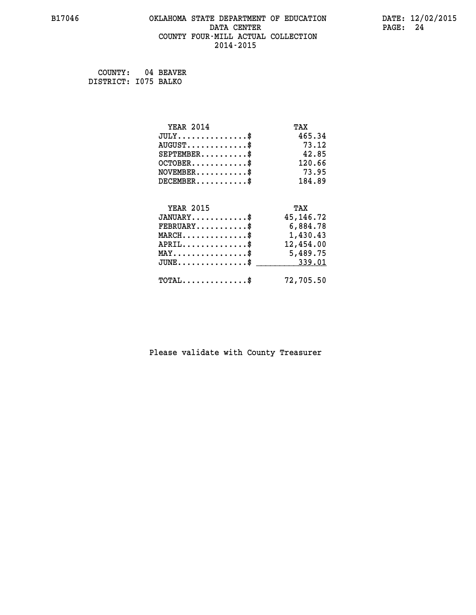## **B17046 OKLAHOMA STATE DEPARTMENT OF EDUCATION DATE: 12/02/2015 DATA CENTER** PAGE: 24  **COUNTY FOUR-MILL ACTUAL COLLECTION 2014-2015**

 **COUNTY: 04 BEAVER DISTRICT: I075 BALKO**

| <b>YEAR 2014</b>                                   | TAX         |
|----------------------------------------------------|-------------|
| $JULY$ \$                                          | 465.34      |
| $AUGUST$ \$                                        | 73.12       |
| $SEPTEMBER$ \$                                     | 42.85       |
| $OCTOBER$ \$                                       | 120.66      |
| $NOVEMBER$ \$                                      | 73.95       |
| $DECEMBER$ \$                                      | 184.89      |
|                                                    |             |
| <b>YEAR 2015</b>                                   | TAX         |
| $JANUARY$ \$                                       | 45, 146. 72 |
| $FEBRUARY$                                         | 6,884.78    |
| $\texttt{MARCH}\ldots\ldots\ldots\ldots\$          | 1,430.43    |
| $APRIL \ldots \ldots \ldots \ldots \$              | 12,454.00   |
| $\texttt{MAX} \dots \dots \dots \dots \dots \$     | 5,489.75    |
| $\texttt{JUNE} \dots \dots \dots \dots \texttt{S}$ | 339.01      |
| $\texttt{TOTAL} \dots \dots \dots \dots$           | 72,705.50   |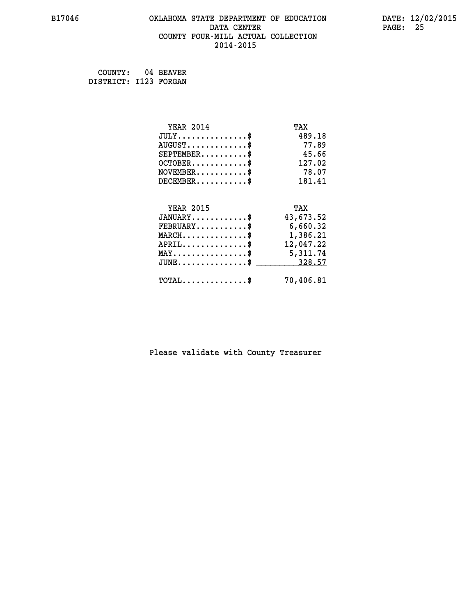## **B17046 OKLAHOMA STATE DEPARTMENT OF EDUCATION DATE: 12/02/2015 DATA CENTER** PAGE: 25  **COUNTY FOUR-MILL ACTUAL COLLECTION 2014-2015**

 **COUNTY: 04 BEAVER DISTRICT: I123 FORGAN**

| <b>YEAR 2014</b>                                  | TAX       |
|---------------------------------------------------|-----------|
| $JULY$ \$                                         | 489.18    |
| $AUGUST$ \$                                       | 77.89     |
| $SEPTEMBER$ \$                                    | 45.66     |
| $OCTOBER$ \$                                      | 127.02    |
| $NOVEMBER$ \$                                     | 78.07     |
| $DECEMBER$ \$                                     | 181.41    |
|                                                   |           |
| <b>YEAR 2015</b>                                  | TAX       |
| $JANUARY$ \$                                      | 43,673.52 |
| $FEBRUARY$                                        | 6,660.32  |
| $\texttt{MARCH}\ldots\ldots\ldots\ldots\clubsuit$ | 1,386.21  |
| $APRIL$ \$                                        | 12,047.22 |
| $\texttt{MAX} \dots \dots \dots \dots \dots \$    | 5,311.74  |
| $J\texttt{UNE}\dots\dots\dots\dots\$$             | 328.57    |
| $\texttt{TOTAL} \dots \dots \dots \dots \$        | 70,406.81 |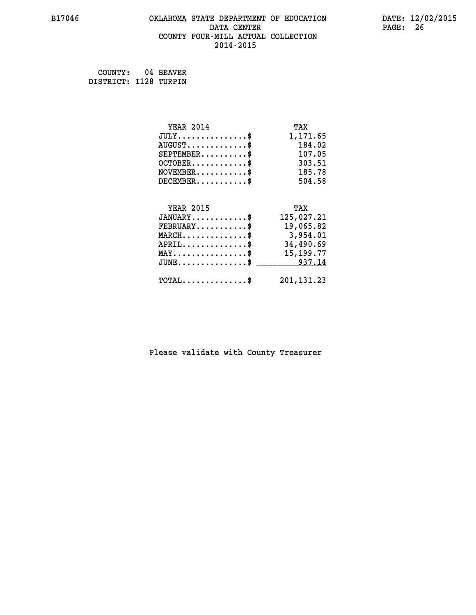## **B17046 OKLAHOMA STATE DEPARTMENT OF EDUCATION DATE: 12/02/2015 DATA CENTER** PAGE: 26  **COUNTY FOUR-MILL ACTUAL COLLECTION 2014-2015**

 **COUNTY: 04 BEAVER DISTRICT: I128 TURPIN**

| $JULY$ \$                                      |              |
|------------------------------------------------|--------------|
|                                                | 1,171.65     |
| $AUGUST$ \$                                    | 184.02       |
| $SEPTEMBER$ \$                                 | 107.05       |
| $OCTOBER$ \$                                   | 303.51       |
| $NOVEMBER$ \$                                  | 185.78       |
| $DECEMBER$ \$                                  | 504.58       |
|                                                |              |
| <b>YEAR 2015</b>                               | TAX          |
| $JANUARY$ \$                                   | 125,027.21   |
| $FEBRUARY$                                     | 19,065.82    |
| $MARCH$ \$                                     | 3,954.01     |
| $APRIL$ \$                                     | 34,490.69    |
| $\texttt{MAX} \dots \dots \dots \dots \dots \$ | 15, 199. 77  |
| $JUNE$ $\text{\$}$                             | 937.14       |
| $\texttt{TOTAL} \dots \dots \dots \dots \$     | 201, 131. 23 |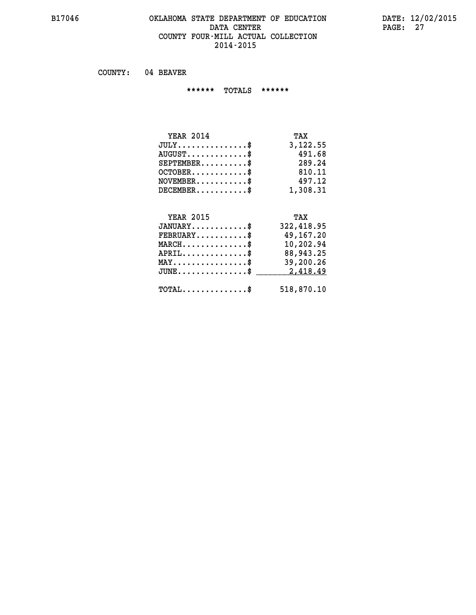#### **B17046 OKLAHOMA STATE DEPARTMENT OF EDUCATION DATE: 12/02/2015 DATA CENTER** PAGE: 27  **COUNTY FOUR-MILL ACTUAL COLLECTION 2014-2015**

 **COUNTY: 04 BEAVER**

 **\*\*\*\*\*\* TOTALS \*\*\*\*\*\***

| <b>YEAR 2014</b>                       | TAX      |
|----------------------------------------|----------|
| $JULY \ldots \ldots \ldots \mathbb{S}$ | 3,122.55 |
| $AUGUST$ \$                            | 491.68   |
| $SEPTEMBER$                            | 289.24   |
| $OCTOBER$                              | 810.11   |
| $NOVEMBER$ \$                          | 497.12   |
| $DECEMBER$ \$                          | 1,308.31 |

#### **YEAR 2015 TAX JANUARY............\$ 322,418.95**

| $\texttt{FEBRUARY} \dots \dots \dots \$<br>$MARCH$ \$                              | 49,167.20<br>10,202.94 |
|------------------------------------------------------------------------------------|------------------------|
| $APRIL$ \$                                                                         | 88,943.25              |
| $MAX \dots \dots \dots \dots \dots \$<br>$JUNE \dots \dots \dots \dots \$ 2,418.49 | 39,200.26              |
| $\texttt{TOTAL} \dots \dots \dots \dots \texttt{\$}$                               | 518,870.10             |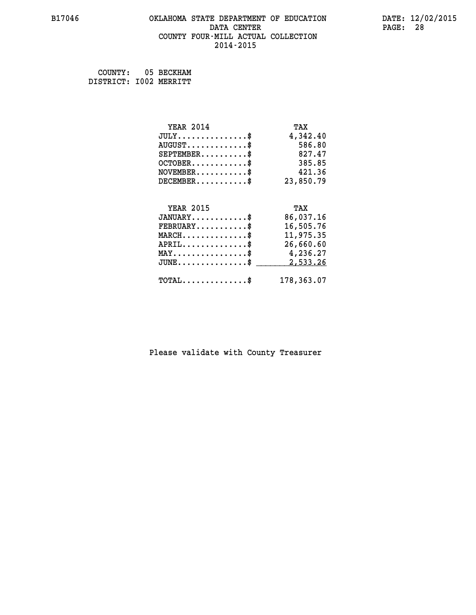## **B17046 OKLAHOMA STATE DEPARTMENT OF EDUCATION DATE: 12/02/2015 DATA CENTER** PAGE: 28  **COUNTY FOUR-MILL ACTUAL COLLECTION 2014-2015**

 **COUNTY: 05 BECKHAM DISTRICT: I002 MERRITT**

| <b>YEAR 2014</b>                               | TAX        |
|------------------------------------------------|------------|
| $JULY$ \$                                      | 4,342.40   |
| $AUGUST$ \$                                    | 586.80     |
| $SEPTEMENT.$ \$                                | 827.47     |
| $OCTOBER$ \$                                   | 385.85     |
| $NOVEMBER$ \$                                  | 421.36     |
| $DECEMBER$ \$                                  | 23,850.79  |
|                                                |            |
| <b>YEAR 2015</b>                               | TAX        |
| $JANUARY$                                      | 86,037.16  |
| $FEBRUARY$                                     | 16,505.76  |
| $MARCH$ \$                                     | 11,975.35  |
| $APRIL$ \$                                     | 26,660.60  |
| $\texttt{MAX} \dots \dots \dots \dots \dots \$ | 4,236.27   |
| $JUNE$ \$                                      | 2,533.26   |
| $\texttt{TOTAL} \dots \dots \dots \dots \$     | 178,363.07 |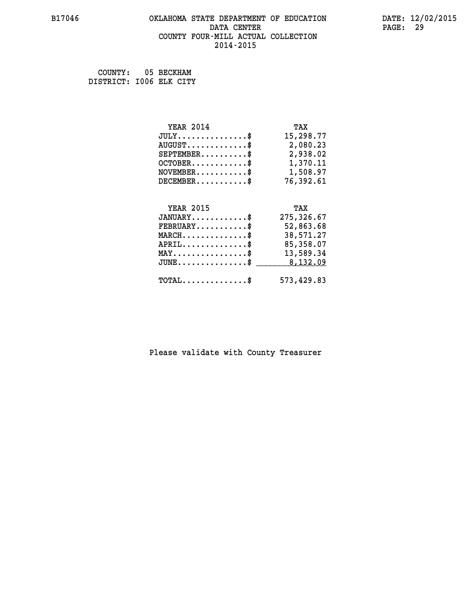## **B17046 OKLAHOMA STATE DEPARTMENT OF EDUCATION DATE: 12/02/2015 DATA CENTER** PAGE: 29  **COUNTY FOUR-MILL ACTUAL COLLECTION 2014-2015**

 **COUNTY: 05 BECKHAM DISTRICT: I006 ELK CITY**

| <b>YEAR 2014</b>                                 | TAX        |
|--------------------------------------------------|------------|
| $JULY$ \$                                        | 15,298.77  |
| $AUGUST$ \$                                      | 2,080.23   |
| $SEPTEMBER$ \$                                   | 2,938.02   |
| $OCTOBER$ \$                                     | 1,370.11   |
| $\texttt{NOVEMBER} \dots \dots \dots \$          | 1,508.97   |
| $DECEMBER$ \$                                    | 76,392.61  |
|                                                  |            |
| <b>YEAR 2015</b>                                 | TAX        |
| $JANUARY$ \$                                     | 275,326.67 |
| $FEBRUARY$ \$                                    | 52,863.68  |
| $MARCH$ \$                                       | 38,571.27  |
| $APRIL$ \$                                       | 85,358.07  |
| $\texttt{MAX} \dots \dots \dots \dots \dots \$   | 13,589.34  |
| $\texttt{JUNE} \dots \dots \dots \dots \dots \$$ | 8,132.09   |
| $\texttt{TOTAL} \dots \dots \dots \dots \$       | 573,429.83 |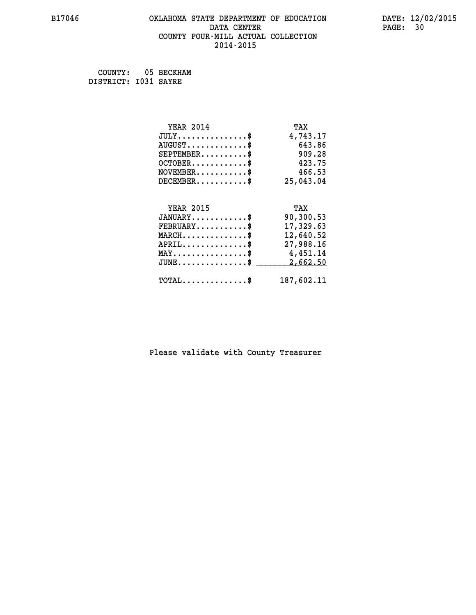## **B17046 OKLAHOMA STATE DEPARTMENT OF EDUCATION DATE: 12/02/2015 DATA CENTER** PAGE: 30  **COUNTY FOUR-MILL ACTUAL COLLECTION 2014-2015**

 **COUNTY: 05 BECKHAM DISTRICT: I031 SAYRE**

| <b>YEAR 2014</b>                           | TAX        |
|--------------------------------------------|------------|
| $JULY$ \$                                  | 4,743.17   |
| $AUGUST$ \$                                | 643.86     |
| $SEPTEMBER$ \$                             | 909.28     |
| $OCTOBER$ \$                               | 423.75     |
| $\texttt{NOVEMBER} \dots \dots \dots \$    | 466.53     |
| $DECEMBER$ \$                              | 25,043.04  |
|                                            |            |
| <b>YEAR 2015</b>                           | TAX        |
| $JANUARY$ \$                               | 90,300.53  |
| $FEBRUARY$                                 | 17,329.63  |
| $\texttt{MARCH}\ldots\ldots\ldots\ldots\$  | 12,640.52  |
| $APRIL \ldots \ldots \ldots \ldots \$      | 27,988.16  |
| MAY\$ 4,451.14                             |            |
| $JUNE$ \$                                  | 2,662.50   |
| $\texttt{TOTAL} \dots \dots \dots \dots \$ | 187,602.11 |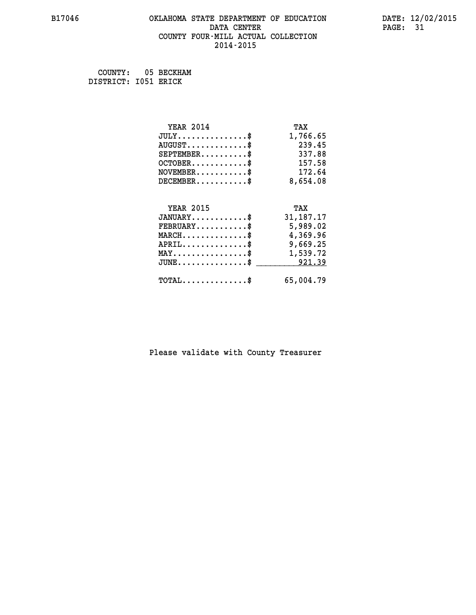## **B17046 OKLAHOMA STATE DEPARTMENT OF EDUCATION DATE: 12/02/2015 DATA CENTER** PAGE: 31  **COUNTY FOUR-MILL ACTUAL COLLECTION 2014-2015**

 **COUNTY: 05 BECKHAM DISTRICT: I051 ERICK**

| <b>YEAR 2014</b>                                   | TAX         |
|----------------------------------------------------|-------------|
| $JULY$ \$                                          | 1,766.65    |
| $AUGUST$ \$                                        | 239.45      |
| $SEPTEMBER$ \$                                     | 337.88      |
| $OCTOBER$ \$                                       | 157.58      |
| $\texttt{NOVEMBER} \dots \dots \dots \$            | 172.64      |
| $DECEMBER$ \$                                      | 8,654.08    |
|                                                    |             |
| <b>YEAR 2015</b>                                   | TAX         |
| $JANUARY$ \$                                       | 31, 187. 17 |
| $FEBRUARY$                                         | 5,989.02    |
| $\texttt{MARCH}\ldots\ldots\ldots\ldots\text{*}$   | 4,369.96    |
| $APRIL \ldots \ldots \ldots \ldots \$              | 9,669.25    |
| $\texttt{MAX} \dots \dots \dots \dots \dots \$     | 1,539.72    |
| $\texttt{JUNE} \dots \dots \dots \dots \texttt{S}$ | 921.39      |
| $\texttt{TOTAL} \dots \dots \dots \dots \$         | 65,004.79   |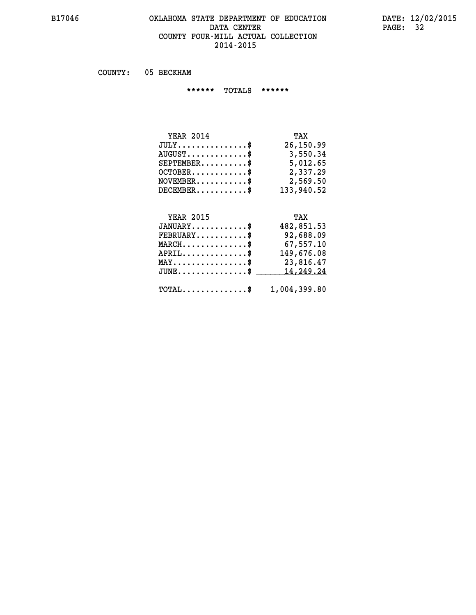#### **B17046 OKLAHOMA STATE DEPARTMENT OF EDUCATION DATE: 12/02/2015 DATA CENTER** PAGE: 32  **COUNTY FOUR-MILL ACTUAL COLLECTION 2014-2015**

 **COUNTY: 05 BECKHAM**

 **\*\*\*\*\*\* TOTALS \*\*\*\*\*\***

| <b>YEAR 2014</b>                 | TAX        |
|----------------------------------|------------|
| $JULY$                           | 26,150.99  |
| $AUGUST \ldots \ldots \ldots$ \$ | 3,550.34   |
| $SEPTEMBER$ $\$                  | 5,012.65   |
| $OCTOBER$ \$                     | 2,337.29   |
| $NOVEMBER$ \$                    | 2,569.50   |
| $DECEMBER$ \$                    | 133,940.52 |

# **YEAR 2015 TAX**

| $JANUARY$                                               | 482,851.53 |
|---------------------------------------------------------|------------|
| $\texttt{FEBRUARY} \dots \dots \dots \dots \$           | 92,688.09  |
| $MARCH$ \$                                              | 67,557.10  |
| $APRIL$ \$                                              | 149,676.08 |
| $\texttt{MAX} \dots \dots \dots \dots \dots \$          | 23,816.47  |
| JUNE\$ 14,249.24                                        |            |
| $\texttt{TOTAL} \dots \dots \dots \dots \$ 1,004,399.80 |            |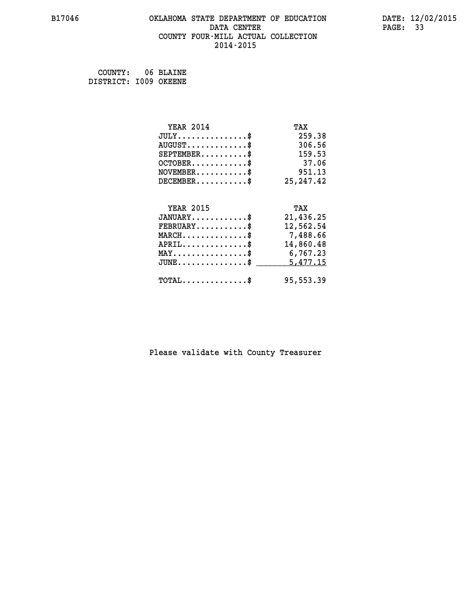## **B17046 OKLAHOMA STATE DEPARTMENT OF EDUCATION DATE: 12/02/2015 DATA CENTER** PAGE: 33  **COUNTY FOUR-MILL ACTUAL COLLECTION 2014-2015**

 **COUNTY: 06 BLAINE DISTRICT: I009 OKEENE**

| <b>YEAR 2014</b>                           | TAX        |
|--------------------------------------------|------------|
| $JULY$ \$                                  | 259.38     |
| $AUGUST$ \$                                | 306.56     |
| $SEPTEMENT.$ \$                            | 159.53     |
| $OCTOBER$ \$                               | 37.06      |
| $\texttt{NOVEMBER} \dots \dots \dots \$    | 951.13     |
| $DECEMBER$ \$                              | 25, 247.42 |
|                                            |            |
| <b>YEAR 2015</b>                           | TAX        |
| $JANUARY$ \$                               | 21,436.25  |
| $FEBRUARY$                                 | 12,562.54  |
| $MARCH$ \$                                 | 7,488.66   |
| $APRIL$ \$                                 | 14,860.48  |
| MAY\$ 6,767.23                             |            |
| $JUNE$ \$                                  | 5,477.15   |
| $\texttt{TOTAL} \dots \dots \dots \dots \$ | 95,553.39  |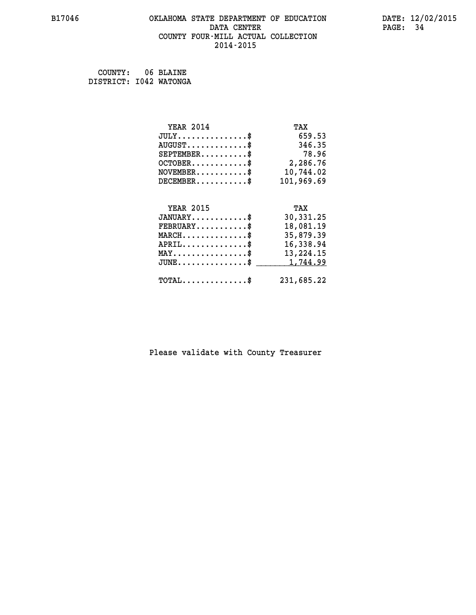## **B17046 OKLAHOMA STATE DEPARTMENT OF EDUCATION DATE: 12/02/2015 DATA CENTER** PAGE: 34  **COUNTY FOUR-MILL ACTUAL COLLECTION 2014-2015**

 **COUNTY: 06 BLAINE DISTRICT: I042 WATONGA**

| <b>YEAR 2014</b>                               | TAX         |
|------------------------------------------------|-------------|
| $JULY$ \$                                      | 659.53      |
| $AUGUST$ \$                                    | 346.35      |
| $SEPTEMBER$ \$                                 | 78.96       |
| $OCTOBER$ \$                                   | 2,286.76    |
| $NOVEMBER.$ \$                                 | 10,744.02   |
| $DECEMBER$ \$                                  | 101,969.69  |
|                                                |             |
|                                                |             |
| <b>YEAR 2015</b>                               | TAX         |
| $JANUARY$ \$                                   | 30,331.25   |
| $FEBRUARY$                                     | 18,081.19   |
| $MARCH$ \$                                     | 35,879.39   |
| $APRIL$ \$                                     | 16,338.94   |
| $\texttt{MAX} \dots \dots \dots \dots \dots \$ | 13, 224. 15 |
| $JUNE \ldots \ldots \ldots \ldots \ldots$ \$   | 1,744.99    |
| $\texttt{TOTAL} \dots \dots \dots \dots \$     | 231,685.22  |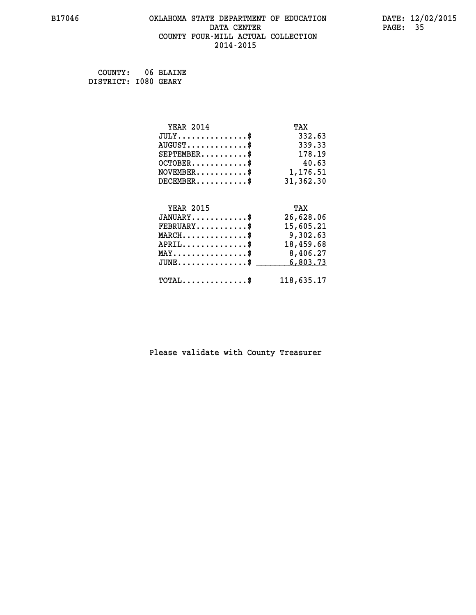## **B17046 OKLAHOMA STATE DEPARTMENT OF EDUCATION DATE: 12/02/2015 DATA CENTER** PAGE: 35  **COUNTY FOUR-MILL ACTUAL COLLECTION 2014-2015**

 **COUNTY: 06 BLAINE DISTRICT: I080 GEARY**

| <b>YEAR 2014</b>                               | TAX        |
|------------------------------------------------|------------|
| $JULY$ \$                                      | 332.63     |
| $AUGUST$ \$                                    | 339.33     |
| $SEPTEMBER$ \$                                 | 178.19     |
| $OCTOBER$ \$                                   | 40.63      |
| $\texttt{NOVEMBER} \dots \dots \dots \$        | 1,176.51   |
| $DECEMBER$ \$                                  | 31,362.30  |
|                                                |            |
| <b>YEAR 2015</b>                               | TAX        |
| $JANUARY$ \$                                   | 26,628.06  |
| $FEBRUARY$                                     | 15,605.21  |
| $MARCH$ \$                                     | 9,302.63   |
| $APRIL$ \$                                     | 18,459.68  |
| $\texttt{MAX} \dots \dots \dots \dots \dots \$ | 8,406.27   |
| $JUNE$ \$                                      | 6,803.73   |
| $TOTAL$ \$                                     | 118,635.17 |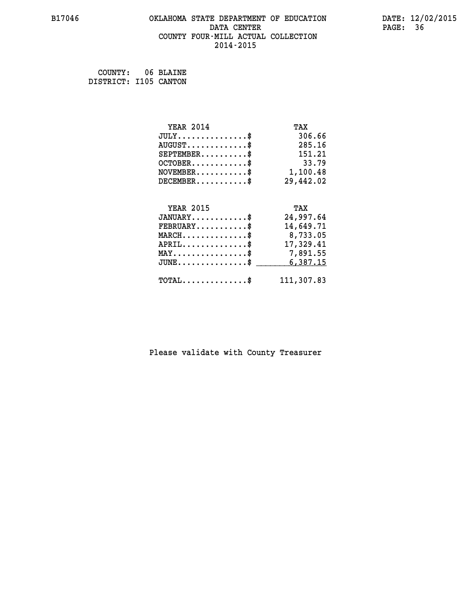## **B17046 OKLAHOMA STATE DEPARTMENT OF EDUCATION DATE: 12/02/2015 DATA CENTER** PAGE: 36  **COUNTY FOUR-MILL ACTUAL COLLECTION 2014-2015**

 **COUNTY: 06 BLAINE DISTRICT: I105 CANTON**

| <b>YEAR 2014</b>                           | TAX        |
|--------------------------------------------|------------|
| $JULY$ \$                                  | 306.66     |
| $AUGUST$ \$                                | 285.16     |
| $SEPTEMBER$ \$                             | 151.21     |
| $OCTOBER$ \$                               | 33.79      |
| $\texttt{NOVEMBER} \dots \dots \dots \$    | 1,100.48   |
| $DECEMBER$ \$                              | 29,442.02  |
|                                            |            |
| <b>YEAR 2015</b>                           | TAX        |
| $JANUARY$ \$                               | 24,997.64  |
| $FEBRUARY$                                 | 14,649.71  |
| $MARCH$ \$                                 | 8,733.05   |
| $APRIL \ldots \ldots \ldots \ldots$ \$     | 17,329.41  |
| MAY\$ 7,891.55                             |            |
| $JUNE$ \$                                  | 6,387.15   |
| $\texttt{TOTAL} \dots \dots \dots \dots \$ | 111,307.83 |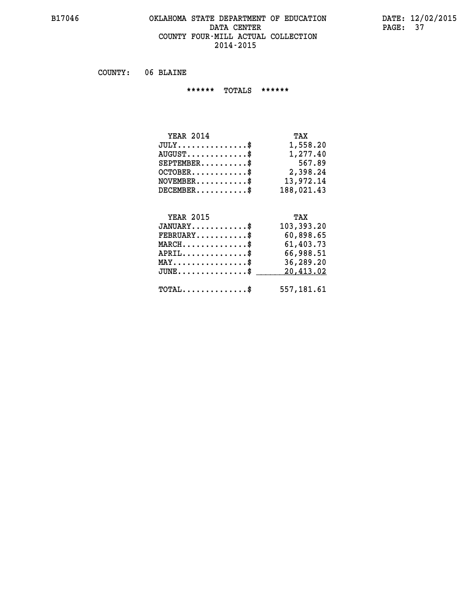#### **B17046 OKLAHOMA STATE DEPARTMENT OF EDUCATION DATE: 12/02/2015 DATA CENTER** PAGE: 37  **COUNTY FOUR-MILL ACTUAL COLLECTION 2014-2015**

 **COUNTY: 06 BLAINE**

 **\*\*\*\*\*\* TOTALS \*\*\*\*\*\***

| <b>YEAR 2014</b>                            | TAX        |
|---------------------------------------------|------------|
| $JULY$                                      | 1,558.20   |
| $\texttt{AUGUST} \dots \dots \dots \dots \$ | 1,277.40   |
| $SEPTEMBER$ \$                              | 567.89     |
| $OCTOBER$ \$                                | 2,398.24   |
| $NOVEMBER$ \$                               | 13,972.14  |
| $DECEMBER$                                  | 188,021.43 |

# **YEAR 2015 TAX**

| $JANUARY$                                   | 103,393.20 |
|---------------------------------------------|------------|
| $\texttt{FEBRUARY} \dots \dots \dots \$     | 60,898.65  |
| $MARCH$ \$                                  | 61,403.73  |
| $APRIL$                                     | 66,988.51  |
| $MAX \dots \dots \dots \dots \dots \$       | 36,289.20  |
| $JUNE \ldots \ldots \ldots \ldots \ldots \$ | 20,413.02  |
| $\texttt{TOTAL} \dots \dots \dots \dots \$  | 557,181.61 |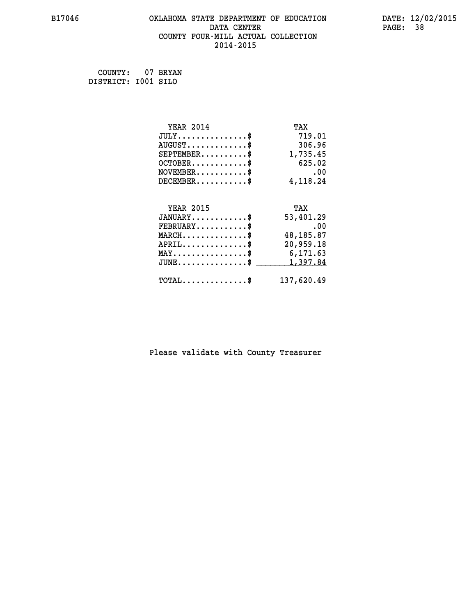# **B17046 OKLAHOMA STATE DEPARTMENT OF EDUCATION DATE: 12/02/2015 DATA CENTER** PAGE: 38  **COUNTY FOUR-MILL ACTUAL COLLECTION 2014-2015**

 **COUNTY: 07 BRYAN DISTRICT: I001 SILO**

| <b>YEAR 2014</b>                               | TAX        |
|------------------------------------------------|------------|
| $JULY$ \$                                      | 719.01     |
| $AUGUST$ \$                                    | 306.96     |
| $SEPTEMBER$ \$                                 | 1,735.45   |
| $OCTOBER$ \$                                   | 625.02     |
| $NOVEMBER$ \$                                  | .00        |
| $DECEMBER$ \$                                  | 4,118.24   |
|                                                |            |
| <b>YEAR 2015</b>                               | TAX        |
| $JANUARY$ \$                                   | 53,401.29  |
| $FEBRUARY$ \$                                  | .00        |
| $MARCH$ \$                                     | 48,185.87  |
| $APRIL$ \$                                     | 20,959.18  |
| $\texttt{MAX} \dots \dots \dots \dots \dots \$ | 6,171.63   |
| $JUNE$ \$                                      | 1,397.84   |
| $TOTAL$ \$                                     | 137,620.49 |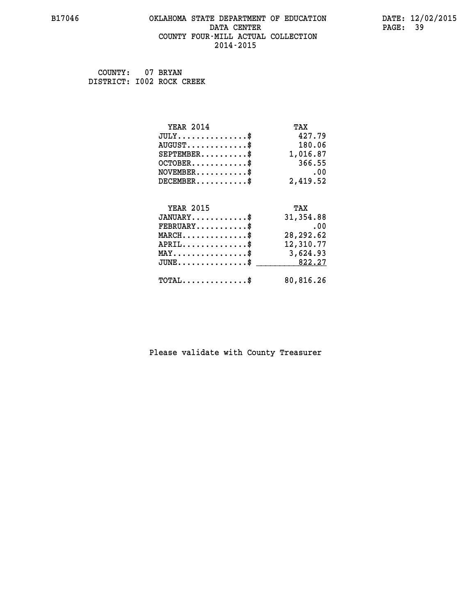#### **B17046 OKLAHOMA STATE DEPARTMENT OF EDUCATION DATE: 12/02/2015 DATA CENTER** PAGE: 39  **COUNTY FOUR-MILL ACTUAL COLLECTION 2014-2015**

 **COUNTY: 07 BRYAN DISTRICT: I002 ROCK CREEK**

| <b>YEAR 2014</b> | TAX       |
|------------------|-----------|
| $JULY$ \$        | 427.79    |
| $AUGUST$ \$      | 180.06    |
| $SEPTEMBER$ \$   | 1,016.87  |
| $OCTOBER$ \$     | 366.55    |
| $NOVEMBER$ \$    | .00       |
| $DECEMBER$ \$    | 2,419.52  |
| <b>YEAR 2015</b> | TAX       |
| $JANUARY$ \$     | 31,354.88 |
| $FEBRUARY$       | .00       |
| $MARCH$ \$       | 28,292.62 |
| $APRIL$ \$       | 12,310.77 |
| MAY\$ 3,624.93   |           |
| $JUNE$ \$        | 822.27    |
| $TOTAL$ \$       | 80,816.26 |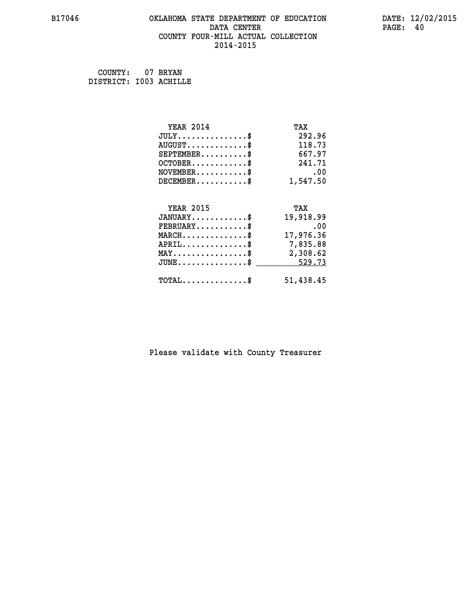# **B17046 OKLAHOMA STATE DEPARTMENT OF EDUCATION DATE: 12/02/2015 DATA CENTER** PAGE: 40  **COUNTY FOUR-MILL ACTUAL COLLECTION 2014-2015**

 **COUNTY: 07 BRYAN DISTRICT: I003 ACHILLE**

| <b>YEAR 2014</b>                                 | TAX       |
|--------------------------------------------------|-----------|
| $JULY$ \$                                        | 292.96    |
| $AUGUST$ \$                                      | 118.73    |
| $SEPTEMENT.$ \$                                  | 667.97    |
| $OCTOBER$ \$                                     | 241.71    |
| $NOVEMBER$ \$                                    | .00       |
| $DECEMBER$ \$                                    | 1,547.50  |
| <b>YEAR 2015</b>                                 | TAX       |
| $JANUARY$ \$                                     | 19,918.99 |
| $FEBRUARY$                                       | .00       |
| $MARCH$ \$                                       | 17,976.36 |
| $APRIL$ \$                                       | 7,835.88  |
| $\texttt{MAX} \dots \dots \dots \dots \dots \$   | 2,308.62  |
| $\texttt{JUNE} \dots \dots \dots \dots \dots \$$ | 529.73    |
| $\texttt{TOTAL} \dots \dots \dots \dots \$       | 51,438.45 |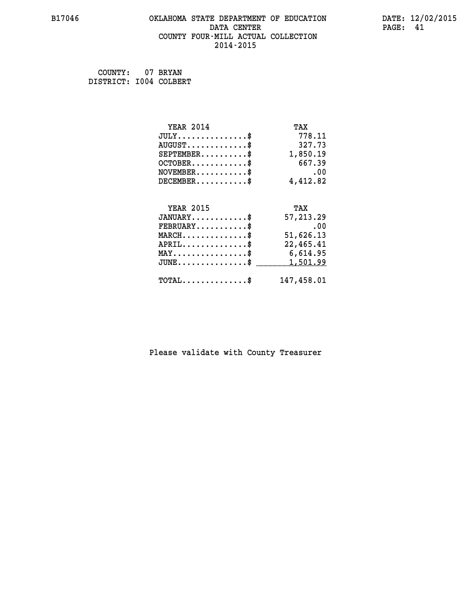# **B17046 OKLAHOMA STATE DEPARTMENT OF EDUCATION DATE: 12/02/2015 DATA CENTER** PAGE: 41  **COUNTY FOUR-MILL ACTUAL COLLECTION 2014-2015**

 **COUNTY: 07 BRYAN DISTRICT: I004 COLBERT**

| <b>YEAR 2014</b>                               | TAX        |
|------------------------------------------------|------------|
| $JULY$ \$                                      | 778.11     |
| $AUGUST$ \$                                    | 327.73     |
| $SEPTEMENT.$ \$                                | 1,850.19   |
| $OCTOBER$ \$                                   | 667.39     |
| $NOVEMBER$ \$                                  | .00        |
| $DECEMBER$ \$                                  | 4,412.82   |
|                                                |            |
| <b>YEAR 2015</b>                               | TAX        |
| $JANUARY$ \$                                   | 57,213.29  |
| $FEBRUARY$ \$                                  | .00        |
| $MARCH$ \$                                     | 51,626.13  |
| $APRIL$ \$                                     | 22,465.41  |
| $\texttt{MAX} \dots \dots \dots \dots \dots \$ | 6,614.95   |
| $JUNE$ \$                                      | 1,501.99   |
| $\texttt{TOTAL} \dots \dots \dots \dots \$     | 147,458.01 |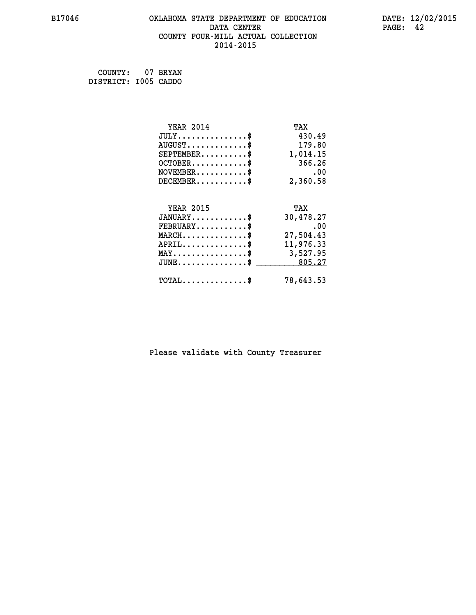# **B17046 OKLAHOMA STATE DEPARTMENT OF EDUCATION DATE: 12/02/2015 DATA CENTER** PAGE: 42  **COUNTY FOUR-MILL ACTUAL COLLECTION 2014-2015**

 **COUNTY: 07 BRYAN DISTRICT: I005 CADDO**

| <b>YEAR 2014</b>                               | TAX       |
|------------------------------------------------|-----------|
| $JULY$ \$                                      | 430.49    |
| $AUGUST$ \$                                    | 179.80    |
| $SEPTEMBER$ \$                                 | 1,014.15  |
| $OCTOBER$ \$                                   | 366.26    |
| $NOVEMBER$ \$                                  | .00       |
| $DECEMBER$ \$                                  | 2,360.58  |
| <b>YEAR 2015</b>                               | TAX       |
| $JANUARY$ \$                                   | 30,478.27 |
| $FEBRUARY$ \$                                  | .00       |
| $MARCH$ \$                                     | 27,504.43 |
| $APRIL$ \$                                     | 11,976.33 |
| $\texttt{MAX} \dots \dots \dots \dots \dots \$ | 3,527.95  |
| $JUNE$ \$                                      | 805.27    |
| $\texttt{TOTAL} \dots \dots \dots \dots \$     | 78,643.53 |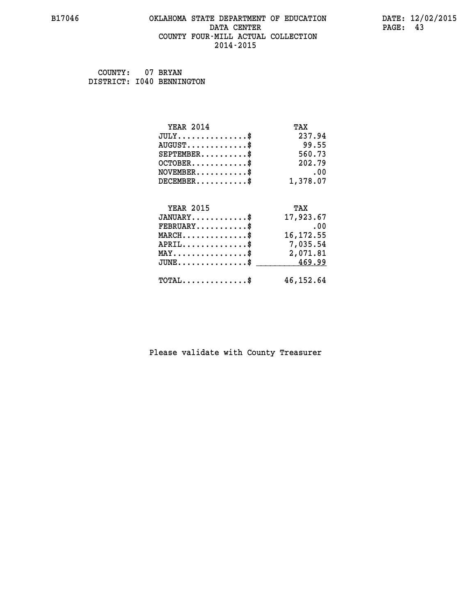# **B17046 OKLAHOMA STATE DEPARTMENT OF EDUCATION DATE: 12/02/2015 DATA CENTER** PAGE: 43  **COUNTY FOUR-MILL ACTUAL COLLECTION 2014-2015**

 **COUNTY: 07 BRYAN DISTRICT: I040 BENNINGTON**

| <b>YEAR 2014</b>                                 | TAX        |
|--------------------------------------------------|------------|
| $JULY$ \$                                        | 237.94     |
| $AUGUST$ \$                                      | 99.55      |
| $SEPTEMBER$ \$                                   | 560.73     |
| $OCTOBER$ \$                                     | 202.79     |
| $NOVEMBER$ \$                                    | .00        |
| $DECEMBER$ \$                                    | 1,378.07   |
| <b>YEAR 2015</b>                                 | TAX        |
|                                                  |            |
| $JANUARY$ \$                                     | 17,923.67  |
| $FEBRUARY$ \$                                    | .00        |
| $MARCH$ \$                                       | 16, 172.55 |
| $APRIL \ldots \ldots \ldots \ldots$ \$           | 7,035.54   |
| $\texttt{MAX} \dots \dots \dots \dots \dots \$   | 2,071.81   |
| $\texttt{JUNE} \dots \dots \dots \dots \dots \$$ | 469.99     |
| $\texttt{TOTAL} \dots \dots \dots \dots \$       | 46, 152.64 |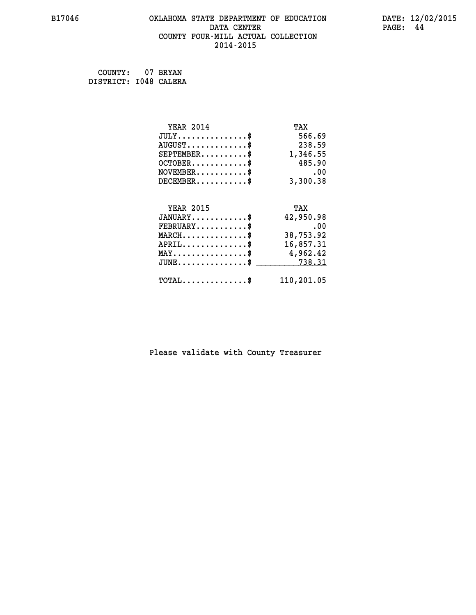# **B17046 OKLAHOMA STATE DEPARTMENT OF EDUCATION DATE: 12/02/2015 DATA CENTER** PAGE: 44  **COUNTY FOUR-MILL ACTUAL COLLECTION 2014-2015**

 **COUNTY: 07 BRYAN DISTRICT: I048 CALERA**

| <b>YEAR 2014</b>                               | TAX        |
|------------------------------------------------|------------|
| $JULY$ \$                                      | 566.69     |
| $AUGUST$ \$                                    | 238.59     |
| $SEPTEMENT.$ \$                                | 1,346.55   |
| $OCTOBER$ \$                                   | 485.90     |
| $NOVEMBER$ \$                                  | .00        |
| $DECEMBER$ \$                                  | 3,300.38   |
|                                                |            |
| <b>YEAR 2015</b>                               | TAX        |
| $JANUARY$ \$                                   | 42,950.98  |
| $FEBRUARY$ \$                                  | .00        |
| $MARCH$ \$                                     | 38,753.92  |
| $APRIL$ \$                                     | 16,857.31  |
| $\texttt{MAX} \dots \dots \dots \dots \dots \$ | 4,962.42   |
| $JUNE$ \$                                      | 738.31     |
| $TOTAL$ \$                                     | 110,201.05 |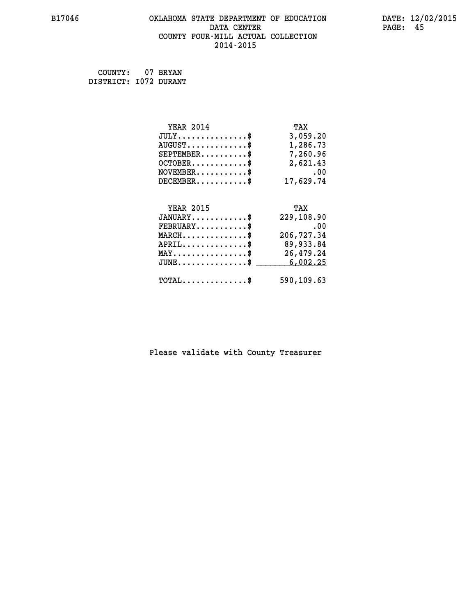# **B17046 OKLAHOMA STATE DEPARTMENT OF EDUCATION DATE: 12/02/2015 DATA CENTER** PAGE: 45  **COUNTY FOUR-MILL ACTUAL COLLECTION 2014-2015**

 **COUNTY: 07 BRYAN DISTRICT: I072 DURANT**

| <b>YEAR 2014</b>                           | TAX        |
|--------------------------------------------|------------|
| $JULY$ \$                                  | 3,059.20   |
| $AUGUST$ \$                                | 1,286.73   |
| $SEPTEMENT.$ \$                            | 7,260.96   |
| $OCTOBER$ \$                               | 2,621.43   |
| $NOVEMBER$ \$                              | .00        |
| $DECEMBER$ \$                              | 17,629.74  |
|                                            |            |
| <b>YEAR 2015</b>                           | TAX        |
| $JANUARY$ \$                               | 229,108.90 |
| $FEBRUARY$                                 | .00        |
| $MARCH$ \$                                 | 206,727.34 |
| $APRIL$ \$                                 | 89,933.84  |
| $MAX \dots \dots \dots \dots \dots$        | 26,479.24  |
| $JUNE$ \$                                  | 6,002.25   |
| $\texttt{TOTAL} \dots \dots \dots \dots \$ | 590,109.63 |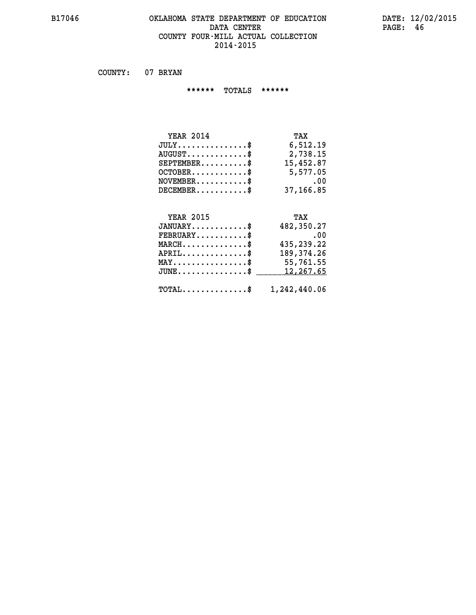#### **B17046 OKLAHOMA STATE DEPARTMENT OF EDUCATION DATE: 12/02/2015 DATA CENTER PAGE: 46 COUNTY FOUR-MILL ACTUAL COLLECTION 2014-2015**

 **COUNTY: 07 BRYAN**

 **\*\*\*\*\*\* TOTALS \*\*\*\*\*\***

| <b>YEAR 2014</b> | TAX       |
|------------------|-----------|
| $JULY$           | 6,512.19  |
| $AUGUST$ \$      | 2,738.15  |
| $SEPTEMBER$      | 15,452.87 |
| $OCTOBER$ \$     | 5,577.05  |
| $NOVEMBER$ \$    | .00       |
| $DECEMBER$ \$    | 37,166.85 |

# **YEAR 2015 TAX JANUARY............\$ 482,350.27 FEBRUARY...........\$ .00 MARCH..............\$ 435,239.22 APRIL..............\$ 189,374.26 MAY................\$ 55,761.55** JUNE..............\$ <u>\_\_\_\_\_\_\_ 12,267.65</u>  **TOTAL..............\$ 1,242,440.06**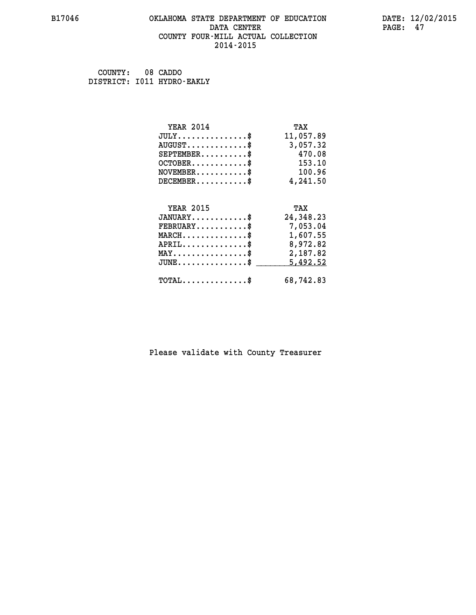#### **B17046 OKLAHOMA STATE DEPARTMENT OF EDUCATION DATE: 12/02/2015 DATA CENTER** PAGE: 47  **COUNTY FOUR-MILL ACTUAL COLLECTION 2014-2015**

 **COUNTY: 08 CADDO DISTRICT: I011 HYDRO-EAKLY**

| <b>YEAR 2014</b>                               | TAX       |
|------------------------------------------------|-----------|
| $JULY$ \$                                      | 11,057.89 |
| $AUGUST$ \$                                    | 3,057.32  |
| $SEPTEMBER$ \$                                 | 470.08    |
| $OCTOBER$ \$                                   | 153.10    |
| $\texttt{NOVEMBER} \dots \dots \dots \$        | 100.96    |
| $DECEMBER$ \$                                  | 4,241.50  |
| <b>YEAR 2015</b>                               |           |
|                                                | TAX       |
| $JANUARY$                                      | 24,348.23 |
| $FEBRUARY$                                     | 7,053.04  |
| $MARCH$ \$                                     | 1,607.55  |
| $APRIL \ldots \ldots \ldots \ldots \$          | 8,972.82  |
| $\texttt{MAX} \dots \dots \dots \dots \dots \$ | 2,187.82  |
| $JUNE$ \$                                      | 5,492.52  |
| $\texttt{TOTAL} \dots \dots \dots \dots$ \$    | 68,742.83 |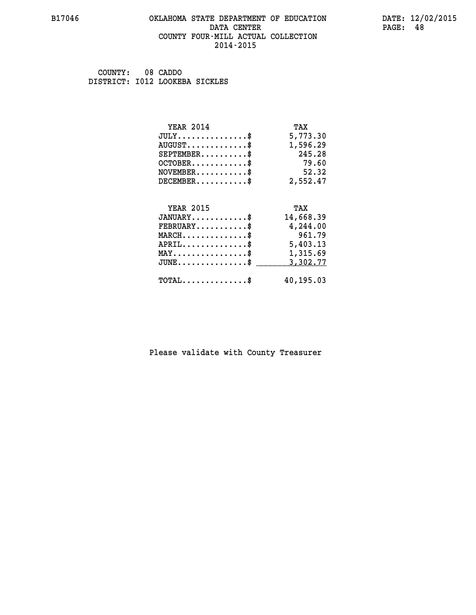#### **B17046 OKLAHOMA STATE DEPARTMENT OF EDUCATION DATE: 12/02/2015 DATA CENTER** PAGE: 48  **COUNTY FOUR-MILL ACTUAL COLLECTION 2014-2015**

 **COUNTY: 08 CADDO DISTRICT: I012 LOOKEBA SICKLES**

| <b>YEAR 2014</b>                                                          | TAX       |
|---------------------------------------------------------------------------|-----------|
| $JULY$ \$                                                                 | 5,773.30  |
| $AUGUST$ \$                                                               | 1,596.29  |
| $SEPTEMBER$ \$                                                            | 245.28    |
| $OCTOBER$ \$                                                              | 79.60     |
| $\verb NOVEMBER , \verb , \verb , \verb , \verb , \verb , \verb , \verb $ | 52.32     |
| $DECEMBER$ \$                                                             | 2,552.47  |
| <b>YEAR 2015</b>                                                          | TAX       |
| $JANUARY$ \$                                                              | 14,668.39 |
| $FEBRUARY$                                                                | 4,244.00  |
| $MARCH$ \$                                                                | 961.79    |
| $APRIL \ldots \ldots \ldots \ldots \$                                     | 5,403.13  |
| $\texttt{MAX} \dots \dots \dots \dots \dots \$                            | 1,315.69  |
| $JUNE$ \$                                                                 | 3,302.77  |
| $\texttt{TOTAL} \dots \dots \dots \dots$ \$                               | 40,195.03 |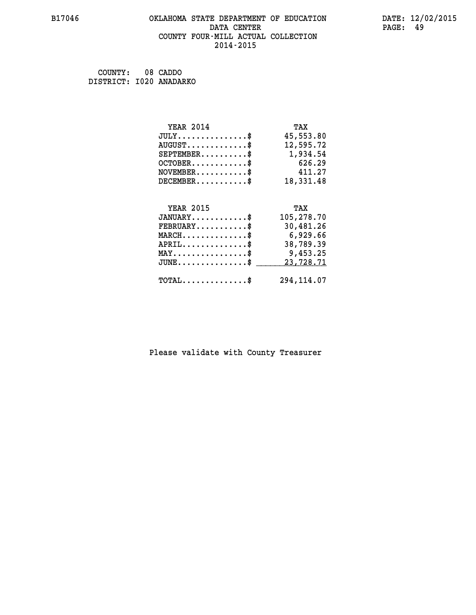# **B17046 OKLAHOMA STATE DEPARTMENT OF EDUCATION DATE: 12/02/2015 DATA CENTER PAGE: 49 COUNTY FOUR-MILL ACTUAL COLLECTION 2014-2015**

 **COUNTY: 08 CADDO DISTRICT: I020 ANADARKO**

| <b>YEAR 2014</b>                                  | TAX         |
|---------------------------------------------------|-------------|
| $JULY$ \$                                         | 45,553.80   |
| $AUGUST$ \$                                       | 12,595.72   |
| $SEPTEMBER$ \$                                    | 1,934.54    |
| $OCTOBER$ \$                                      | 626.29      |
| $NOVEMBER$ \$                                     | 411.27      |
| $DECEMBER$ \$                                     | 18,331.48   |
|                                                   |             |
| <b>YEAR 2015</b>                                  | TAX         |
| $JANUARY$ \$                                      | 105,278.70  |
| $FEBRUARY$ \$                                     | 30,481.26   |
| $MARCH$ \$                                        | 6,929.66    |
| $APRIL$ \$                                        | 38,789.39   |
| $\texttt{MAX} \dots \dots \dots \dots \texttt{*}$ | 9,453.25    |
| $JUNE$ \$                                         | 23,728.71   |
| $\texttt{TOTAL} \dots \dots \dots \dots \$        | 294, 114.07 |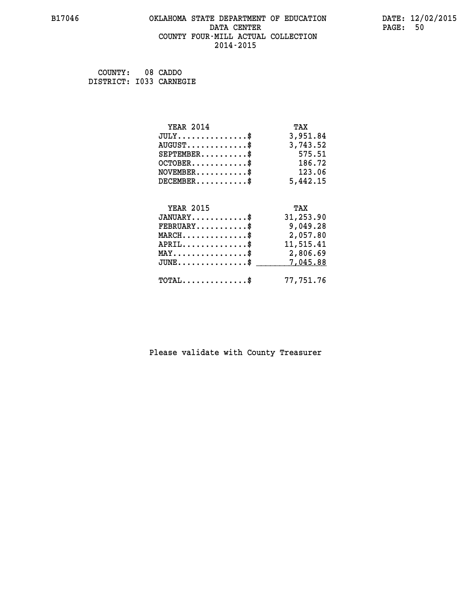# **B17046 OKLAHOMA STATE DEPARTMENT OF EDUCATION DATE: 12/02/2015 DATA CENTER** PAGE: 50  **COUNTY FOUR-MILL ACTUAL COLLECTION 2014-2015**

 **COUNTY: 08 CADDO DISTRICT: I033 CARNEGIE**

| <b>YEAR 2014</b>                           | TAX       |
|--------------------------------------------|-----------|
| $JULY$ \$                                  | 3,951.84  |
| $AUGUST$ \$                                | 3,743.52  |
| $SEPTEMBER$ \$                             | 575.51    |
| $OCTOBER$ \$                               | 186.72    |
| $\texttt{NOVEMBER} \dots \dots \dots \$    | 123.06    |
| $DECEMBER$ \$                              | 5,442.15  |
|                                            |           |
| <b>YEAR 2015</b>                           | TAX       |
| $JANUARY$                                  | 31,253.90 |
| $FEBRUARY$                                 | 9,049.28  |
| $MARCH$ \$                                 | 2,057.80  |
| $APRIL$ \$                                 | 11,515.41 |
| MAY\$ 2,806.69                             |           |
| $JUNE$ \$                                  | 7,045.88  |
| $\texttt{TOTAL} \dots \dots \dots \dots \$ | 77,751.76 |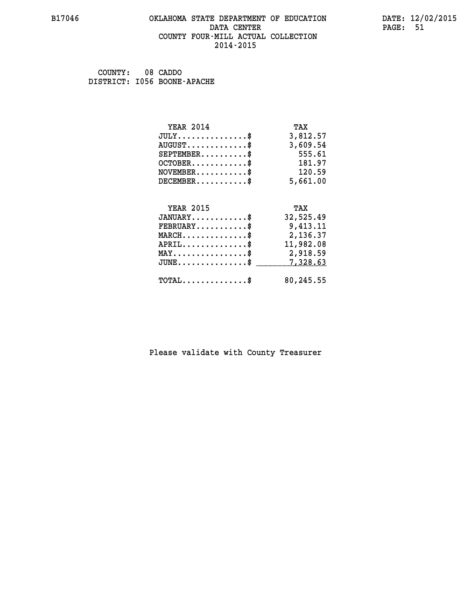#### **B17046 OKLAHOMA STATE DEPARTMENT OF EDUCATION DATE: 12/02/2015 DATA CENTER** PAGE: 51  **COUNTY FOUR-MILL ACTUAL COLLECTION 2014-2015**

 **COUNTY: 08 CADDO DISTRICT: I056 BOONE-APACHE**

| <b>YEAR 2014</b>                             | TAX       |
|----------------------------------------------|-----------|
| $JULY$ \$                                    | 3,812.57  |
| $AUGUST$ \$                                  | 3,609.54  |
| $SEPTEMBER$                                  | 555.61    |
| $OCTOBER$ \$                                 | 181.97    |
| $NOVEMBER$ \$                                | 120.59    |
| $DECEMBER$ \$                                | 5,661.00  |
| <b>YEAR 2015</b>                             | TAX       |
| $JANUARY$ \$                                 | 32,525.49 |
| $FEBRUARY$ \$                                | 9,413.11  |
|                                              |           |
|                                              |           |
| $MARCH$ \$                                   | 2,136.37  |
| $APRIL$ \$                                   | 11,982.08 |
| MAY\$ 2,918.59                               |           |
| $JUNE \ldots \ldots \ldots \ldots \ldots$ \$ | 7,328.63  |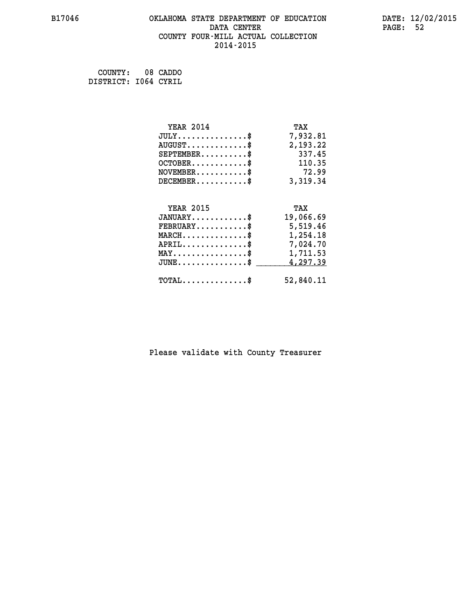# **B17046 OKLAHOMA STATE DEPARTMENT OF EDUCATION DATE: 12/02/2015 DATA CENTER** PAGE: 52  **COUNTY FOUR-MILL ACTUAL COLLECTION 2014-2015**

 **COUNTY: 08 CADDO DISTRICT: I064 CYRIL**

| <b>YEAR 2014</b>                               | TAX       |
|------------------------------------------------|-----------|
| $JULY$ \$                                      | 7,932.81  |
| $AUGUST$ \$                                    | 2,193.22  |
| $SEPTEMBER$ \$                                 | 337.45    |
| $OCTOBER$ \$                                   | 110.35    |
| $NOVEMBER$ \$                                  | 72.99     |
| $DECEMBER$ \$                                  | 3,319.34  |
|                                                |           |
| <b>YEAR 2015</b>                               | TAX       |
|                                                |           |
| $JANUARY$ \$                                   | 19,066.69 |
| $FEBRUARY$                                     | 5,519.46  |
| $MARCH$ \$                                     | 1,254.18  |
| $APRIL$ \$                                     | 7,024.70  |
| $\texttt{MAX} \dots \dots \dots \dots \dots \$ | 1,711.53  |
| $JUNE$ \$                                      | 4,297.39  |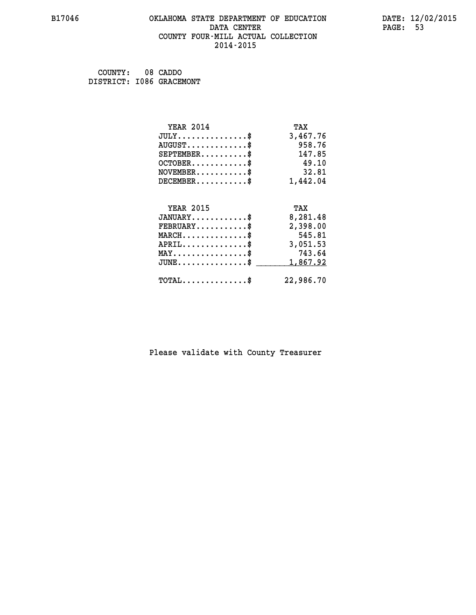#### **B17046 OKLAHOMA STATE DEPARTMENT OF EDUCATION DATE: 12/02/2015 DATA CENTER** PAGE: 53  **COUNTY FOUR-MILL ACTUAL COLLECTION 2014-2015**

 **COUNTY: 08 CADDO DISTRICT: I086 GRACEMONT**

| <b>YEAR 2014</b>                           | TAX       |
|--------------------------------------------|-----------|
| $JULY$ \$                                  | 3,467.76  |
| $AUGUST$ \$                                | 958.76    |
| $SEPTEMBER$ \$                             | 147.85    |
| $OCTOBER$ \$                               | 49.10     |
| $NOVEMBER$ \$                              | 32.81     |
| $DECEMBER$ \$                              | 1,442.04  |
|                                            |           |
| <b>YEAR 2015</b>                           | TAX       |
| $JANUARY$ \$                               | 8,281.48  |
| $FEBRUARY$                                 | 2,398.00  |
| $MARCH$ \$                                 | 545.81    |
| $APRIL$ \$                                 | 3,051.53  |
| $MAX \dots \dots \dots \dots \dots$        | 743.64    |
| $JUNE$ \$                                  | 1,867.92  |
| $\texttt{TOTAL} \dots \dots \dots \dots \$ | 22,986.70 |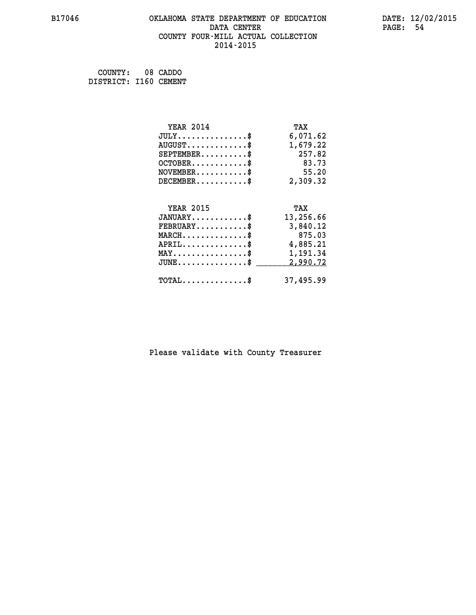# **B17046 OKLAHOMA STATE DEPARTMENT OF EDUCATION DATE: 12/02/2015 DATA CENTER** PAGE: 54  **COUNTY FOUR-MILL ACTUAL COLLECTION 2014-2015**

 **COUNTY: 08 CADDO DISTRICT: I160 CEMENT**

| <b>YEAR 2014</b>                               | TAX       |
|------------------------------------------------|-----------|
| $JULY$ \$                                      | 6,071.62  |
| $AUGUST$ \$                                    | 1,679.22  |
| $SEPTEMENT.$ \$                                | 257.82    |
| $OCTOBER$ \$                                   | 83.73     |
| $NOVEMBER$ \$                                  | 55.20     |
| $DECEMBER$ \$                                  | 2,309.32  |
|                                                |           |
| <b>YEAR 2015</b>                               | TAX       |
| $JANUARY$ \$                                   | 13,256.66 |
| $FEBRUARY$                                     | 3,840.12  |
| $MARCH$ \$                                     | 875.03    |
| $APRIL$ \$                                     | 4,885.21  |
| $\texttt{MAX} \dots \dots \dots \dots \dots \$ | 1,191.34  |
| $JUNE$ \$                                      | 2,990.72  |
|                                                |           |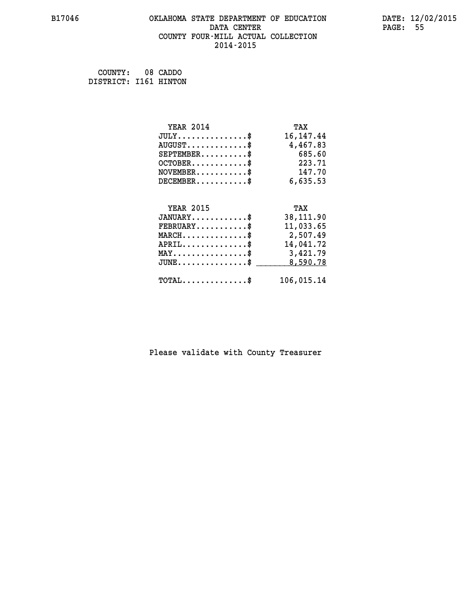# **B17046 OKLAHOMA STATE DEPARTMENT OF EDUCATION DATE: 12/02/2015 DATA CENTER** PAGE: 55  **COUNTY FOUR-MILL ACTUAL COLLECTION 2014-2015**

 **COUNTY: 08 CADDO DISTRICT: I161 HINTON**

| <b>YEAR 2014</b>                               | TAX         |
|------------------------------------------------|-------------|
| $JULY$ \$                                      | 16, 147. 44 |
| $AUGUST$ \$                                    | 4,467.83    |
| $SEPTEMBER$ \$                                 | 685.60      |
| $OCTOBER$ \$                                   | 223.71      |
| $\texttt{NOVEMBER} \dots \dots \dots \$        | 147.70      |
| $DECEMBER$ \$                                  | 6,635.53    |
|                                                |             |
| <b>YEAR 2015</b>                               | TAX         |
| $JANUARY$ \$                                   | 38,111.90   |
| $FEBRUARY$ \$                                  | 11,033.65   |
| $MARCH$ \$                                     | 2,507.49    |
| $APRIL$ \$                                     | 14,041.72   |
| $\texttt{MAX} \dots \dots \dots \dots \dots \$ | 3,421.79    |
| $JUNE$ \$                                      | 8,590.78    |
| $\texttt{TOTAL} \dots \dots \dots \dots \$     | 106,015.14  |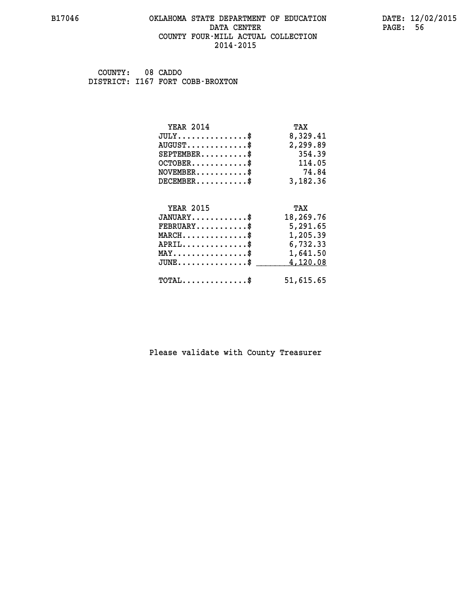#### **B17046 OKLAHOMA STATE DEPARTMENT OF EDUCATION DATE: 12/02/2015 DATA CENTER** PAGE: 56  **COUNTY FOUR-MILL ACTUAL COLLECTION 2014-2015**

 **COUNTY: 08 CADDO DISTRICT: I167 FORT COBB-BROXTON**

| <b>YEAR 2014</b>                                                          | TAX       |
|---------------------------------------------------------------------------|-----------|
| $JULY$ \$                                                                 | 8,329.41  |
| $AUGUST$ \$                                                               | 2,299.89  |
| $SEPTEMBER$                                                               | 354.39    |
| $OCTOBER$ \$                                                              | 114.05    |
| $\verb NOVEMBER , \verb , \verb , \verb , \verb , \verb , \verb , \verb $ | 74.84     |
| $DECEMBER$ \$                                                             | 3,182.36  |
|                                                                           |           |
|                                                                           |           |
| <b>YEAR 2015</b>                                                          | TAX       |
| $JANUARY$ \$                                                              | 18,269.76 |
| $FEBRUARY$                                                                | 5,291.65  |
| $MARCH$ \$                                                                | 1,205.39  |
| $APRIL$ \$                                                                | 6,732.33  |
| $\texttt{MAX} \dots \dots \dots \dots \dots \$                            | 1,641.50  |
| $JUNE$ \$                                                                 | 4,120.08  |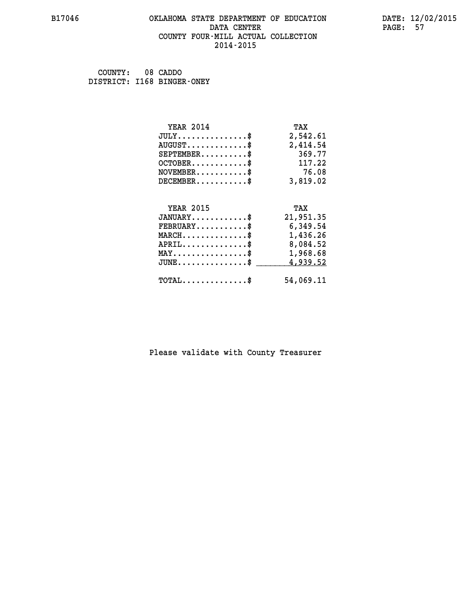#### **B17046 OKLAHOMA STATE DEPARTMENT OF EDUCATION DATE: 12/02/2015 DATA CENTER** PAGE: 57  **COUNTY FOUR-MILL ACTUAL COLLECTION 2014-2015**

 **COUNTY: 08 CADDO DISTRICT: I168 BINGER-ONEY**

| <b>YEAR 2014</b>                                 | TAX       |
|--------------------------------------------------|-----------|
| $JULY$ \$                                        | 2,542.61  |
| $AUGUST$ \$                                      | 2,414.54  |
| $SEPTEMBER$ \$                                   | 369.77    |
| $OCTOBER$ \$                                     | 117.22    |
| $\texttt{NOVEMBER} \dots \dots \dots \$          | 76.08     |
| $DECEMBER$ \$                                    | 3,819.02  |
| <b>YEAR 2015</b>                                 | TAX       |
| $JANUARY$                                        | 21,951.35 |
| $FEBRUARY$                                       | 6,349.54  |
| $MARCH$ \$                                       | 1,436.26  |
| $APRIL \ldots \ldots \ldots \ldots \$            | 8,084.52  |
| $\texttt{MAX} \dots \dots \dots \dots \dots \$   | 1,968.68  |
| $\texttt{JUNE} \dots \dots \dots \dots \dots \$$ | 4,939.52  |
| $\texttt{TOTAL} \dots \dots \dots \dots$         | 54,069.11 |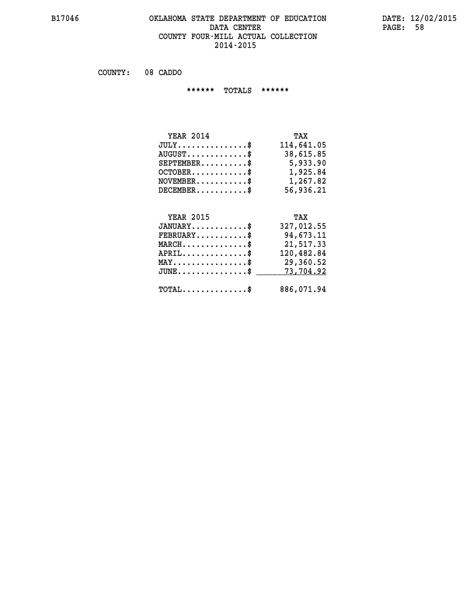# **B17046 OKLAHOMA STATE DEPARTMENT OF EDUCATION DATE: 12/02/2015 DATA CENTER** PAGE: 58  **COUNTY FOUR-MILL ACTUAL COLLECTION 2014-2015**

 **COUNTY: 08 CADDO**

 **\*\*\*\*\*\* TOTALS \*\*\*\*\*\***

| <b>YEAR 2014</b> | TAX        |
|------------------|------------|
| $JULY$           | 114,641.05 |
| $AUGUST$ \$      | 38,615.85  |
| $SEPTEMENT.$ \$  | 5,933.90   |
| $OCTOBER$ \$     | 1,925.84   |
| $NOVEMBER$ \$    | 1,267.82   |
| $DECEMBER$ \$    | 56,936.21  |

# **YEAR 2015**

| <b>YEAR 2015</b>                                | TAX        |
|-------------------------------------------------|------------|
| $JANUARY$ \$                                    | 327,012.55 |
| $FEBRUARY$ \$                                   | 94,673.11  |
| $MARCH$ \$                                      | 21,517.33  |
| $APRIL$ \$                                      | 120,482.84 |
| $\texttt{MAX} \dots \dots \dots \dots \dots \$  | 29,360.52  |
| $JUNE \ldots \ldots \ldots \ldots$ \$ 73,704.92 |            |
|                                                 |            |
| $\texttt{TOTAL} \dots \dots \dots \dots \$$     | 886,071.94 |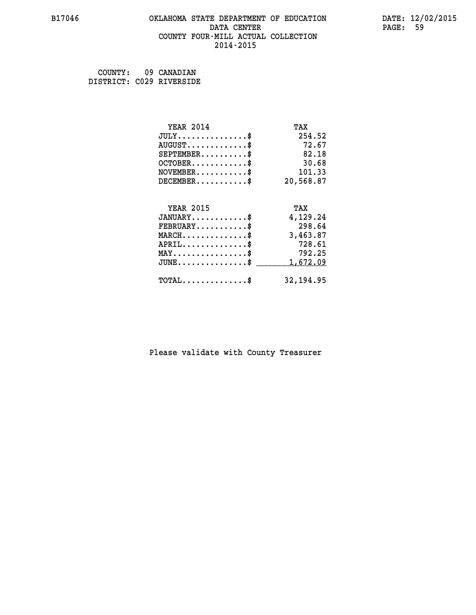#### **B17046 OKLAHOMA STATE DEPARTMENT OF EDUCATION DATE: 12/02/2015 DATA CENTER** PAGE: 59  **COUNTY FOUR-MILL ACTUAL COLLECTION 2014-2015**

| COUNTY: | 09 CANADIAN              |
|---------|--------------------------|
|         | DISTRICT: C029 RIVERSIDE |

| <b>YEAR 2014</b>                                 | TAX        |
|--------------------------------------------------|------------|
| $JULY$ \$                                        | 254.52     |
| $AUGUST$ \$                                      | 72.67      |
| $SEPTEMENT.$ \$                                  | 82.18      |
| $OCTOBER$ \$                                     | 30.68      |
| $\texttt{NOVEMBER} \dots \dots \dots \$          | 101.33     |
| $DECEMBER$ \$                                    | 20,568.87  |
|                                                  |            |
| <b>YEAR 2015</b>                                 | TAX        |
| $JANUARY$ \$                                     | 4,129.24   |
| $FEBRUARY$                                       | 298.64     |
| $\texttt{MARCH}\ldots\ldots\ldots\ldots\text{*}$ | 3,463.87   |
| $APRIL$ \$                                       | 728.61     |
| $\texttt{MAX} \dots \dots \dots \dots \dots \$   | 792.25     |
| $JUNE$ \$                                        | 1,672.09   |
| $\texttt{TOTAL} \dots \dots \dots \dots \$       | 32, 194.95 |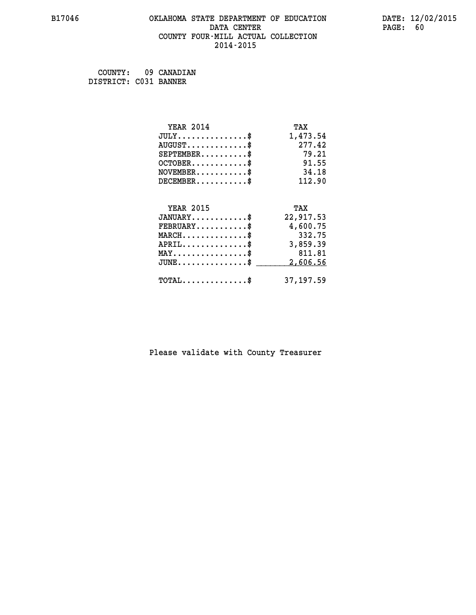# **B17046 OKLAHOMA STATE DEPARTMENT OF EDUCATION DATE: 12/02/2015 DATA CENTER** PAGE: 60  **COUNTY FOUR-MILL ACTUAL COLLECTION 2014-2015**

 **COUNTY: 09 CANADIAN DISTRICT: C031 BANNER**

| <b>YEAR 2014</b>                           | TAX        |
|--------------------------------------------|------------|
| $JULY$ \$                                  | 1,473.54   |
| $AUGUST$ \$                                | 277.42     |
| $SEPTEMENT.$ \$                            | 79.21      |
| $OCTOBER$ \$                               | 91.55      |
| $NOVEMBER$ \$                              | 34.18      |
| $DECEMBER$ \$                              | 112.90     |
|                                            |            |
| <b>YEAR 2015</b>                           | TAX        |
| $JANUARY$ \$                               | 22,917.53  |
| $FEBRUARY$                                 | 4,600.75   |
| $MARCH$ \$                                 | 332.75     |
| $APRIL$ \$                                 | 3,859.39   |
| $MAX \dots \dots \dots \dots \dots$        | 811.81     |
| $JUNE$ \$                                  | 2,606.56   |
| $\texttt{TOTAL} \dots \dots \dots \dots \$ | 37, 197.59 |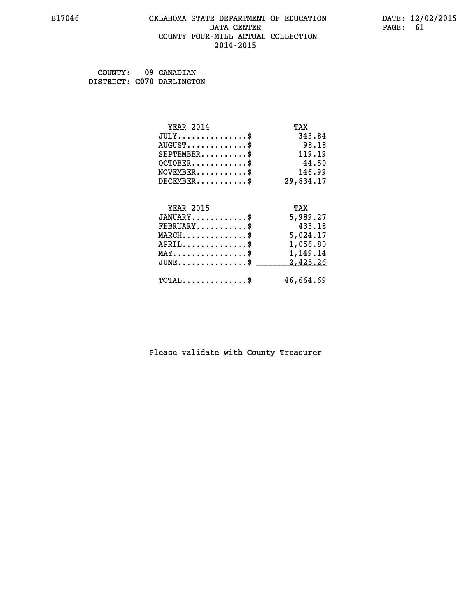# **B17046 OKLAHOMA STATE DEPARTMENT OF EDUCATION DATE: 12/02/2015 DATA CENTER** PAGE: 61  **COUNTY FOUR-MILL ACTUAL COLLECTION 2014-2015**

 **COUNTY: 09 CANADIAN DISTRICT: C070 DARLINGTON**

| <b>YEAR 2014</b>                                   | TAX       |
|----------------------------------------------------|-----------|
| $JULY$ \$                                          | 343.84    |
| $AUGUST$ \$                                        | 98.18     |
| $SEPTEMBER$ \$                                     | 119.19    |
| $OCTOBER$ \$                                       | 44.50     |
| $NOVEMBER$ \$                                      | 146.99    |
| $DECEMBER$ \$                                      | 29,834.17 |
|                                                    |           |
| <b>YEAR 2015</b>                                   | TAX       |
| $JANUARY$ \$                                       | 5,989.27  |
| $FEBRUARY$                                         | 433.18    |
| $\texttt{MARCH}\ldots\ldots\ldots\ldots\text{*}$   | 5,024.17  |
| $APRIL \ldots \ldots \ldots \ldots *$              | 1,056.80  |
| $\texttt{MAX} \dots \dots \dots \dots \dots \$     | 1,149.14  |
| $\texttt{JUNE} \dots \dots \dots \dots \texttt{S}$ | 2,425.26  |
| $\texttt{TOTAL} \dots \dots \dots \dots \$         | 46,664.69 |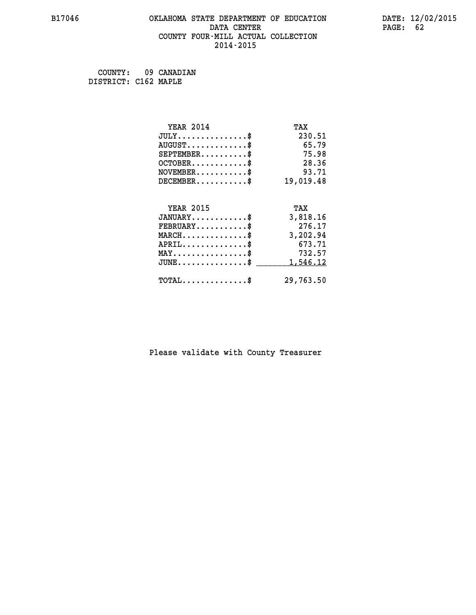# **B17046 OKLAHOMA STATE DEPARTMENT OF EDUCATION DATE: 12/02/2015 DATA CENTER** PAGE: 62  **COUNTY FOUR-MILL ACTUAL COLLECTION 2014-2015**

 **COUNTY: 09 CANADIAN DISTRICT: C162 MAPLE**

| <b>YEAR 2014</b>                           | TAX       |
|--------------------------------------------|-----------|
| $JULY$ \$                                  | 230.51    |
| $AUGUST$ \$                                | 65.79     |
| $SEPTEMBER$                                | 75.98     |
| $OCTOBER$ \$                               | 28.36     |
| $NOVEMBER$ \$                              | 93.71     |
| $DECEMENTER$                               | 19,019.48 |
| <b>YEAR 2015</b>                           | TAX       |
| $JANUARY$                                  | 3,818.16  |
| $FEBRUARY$                                 | 276.17    |
| $MARCH$ \$                                 | 3,202.94  |
| $APRIL$ \$                                 | 673.71    |
| $MAX \dots \dots \dots \dots \dots$        | 732.57    |
| $JUNE$ $\$\$                               | 1,546.12  |
| $\texttt{TOTAL} \dots \dots \dots \dots \$ | 29,763.50 |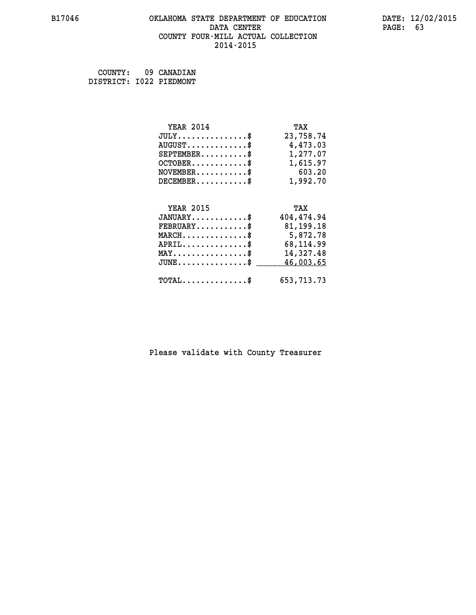# **B17046 OKLAHOMA STATE DEPARTMENT OF EDUCATION DATE: 12/02/2015 DATA CENTER** PAGE: 63  **COUNTY FOUR-MILL ACTUAL COLLECTION 2014-2015**

 **COUNTY: 09 CANADIAN DISTRICT: I022 PIEDMONT**

| <b>YEAR 2014</b>                                 | TAX          |
|--------------------------------------------------|--------------|
| $JULY$ \$                                        | 23,758.74    |
| $AUGUST$ \$                                      | 4,473.03     |
| $SEPTEMBER$ \$                                   | 1,277.07     |
| $OCTOBER$ \$                                     | 1,615.97     |
| $\texttt{NOVEMBER} \dots \dots \dots \$          | 603.20       |
| $DECEMBER$ \$                                    | 1,992.70     |
|                                                  |              |
| <b>YEAR 2015</b>                                 | TAX          |
| $JANUARY$ \$                                     | 404,474.94   |
| $FEBRUARY$                                       | 81,199.18    |
| $\texttt{MARCH}\ldots\ldots\ldots\ldots\text{*}$ | 5,872.78     |
| $APRIL \ldots \ldots \ldots \ldots$ \$           | 68,114.99    |
| $\texttt{MAX} \dots \dots \dots \dots \dots \$   | 14,327.48    |
| $\texttt{JUNE} \dots \dots \dots \dots \$        | 46,003.65    |
| $\texttt{TOTAL} \dots \dots \dots \dots \$       | 653, 713. 73 |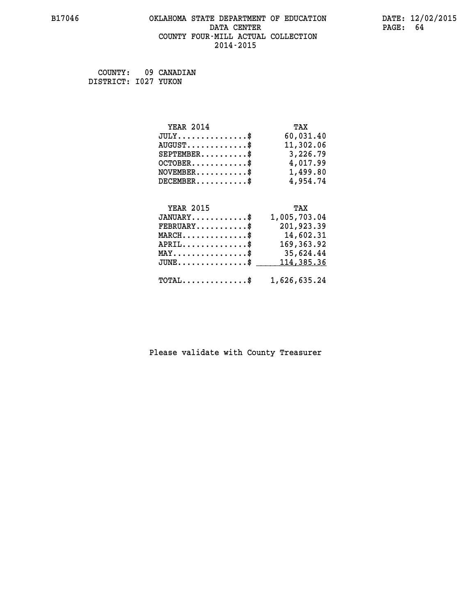# **B17046 OKLAHOMA STATE DEPARTMENT OF EDUCATION DATE: 12/02/2015 DATA CENTER PAGE: 64 COUNTY FOUR-MILL ACTUAL COLLECTION 2014-2015**

 **COUNTY: 09 CANADIAN DISTRICT: I027 YUKON**

| <b>YEAR 2014</b>                        | TAX          |
|-----------------------------------------|--------------|
| $JULY \ldots \ldots \ldots \$           | 60,031.40    |
| $AUGUST$ \$                             | 11,302.06    |
| $SEPTEMBER$ \$                          | 3,226.79     |
| $OCTOBER.$ \$                           | 4,017.99     |
| $NOVEMBER.$ \$                          | 1,499.80     |
| $DECEMBER$ \$                           | 4,954.74     |
|                                         |              |
| <b>YEAR 2015</b>                        | TAX          |
| $JANUARY$ \$                            | 1,005,703.04 |
| $\texttt{FEBRUARY} \dots \dots \dots \$ | 201,923.39   |
| $MAPCH$ \$                              | 14 602 31    |

| MARCH\$ 14,602.31                                       |
|---------------------------------------------------------|
| 169,363.92<br>${\tt APRIL} \dots \dots \dots \dots \$   |
| MAY\$ 35,624.44                                         |
| JUNE\$ 114,385.36                                       |
| $\texttt{TOTAL} \dots \dots \dots \dots \$ 1,626,635.24 |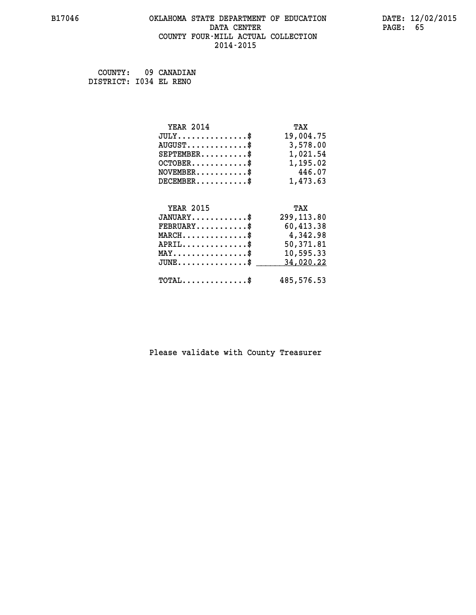# **B17046 OKLAHOMA STATE DEPARTMENT OF EDUCATION DATE: 12/02/2015 DATA CENTER** PAGE: 65  **COUNTY FOUR-MILL ACTUAL COLLECTION 2014-2015**

 **COUNTY: 09 CANADIAN DISTRICT: I034 EL RENO**

| <b>YEAR 2014</b>                                  | TAX        |
|---------------------------------------------------|------------|
| $JULY$ \$                                         | 19,004.75  |
| $AUGUST$ \$                                       | 3,578.00   |
| $SEPTEMBER$                                       | 1,021.54   |
| $OCTOBER$ \$                                      | 1,195.02   |
| $\texttt{NOVEMBER} \dots \dots \dots \$           | 446.07     |
| $DECEMBER$ \$                                     | 1,473.63   |
|                                                   |            |
| <b>YEAR 2015</b>                                  | TAX        |
| $JANUARY$ \$                                      | 299,113.80 |
| $FEBRUARY$ \$                                     | 60,413.38  |
| $MARCH$ \$                                        | 4,342.98   |
| $APRIL \ldots \ldots \ldots \ldots$               | 50,371.81  |
| $\texttt{MAX} \dots \dots \dots \dots \texttt{*}$ | 10,595.33  |
| $JUNE$ \$                                         | 34,020.22  |
| $\texttt{TOTAL} \dots \dots \dots \dots \$        | 485,576.53 |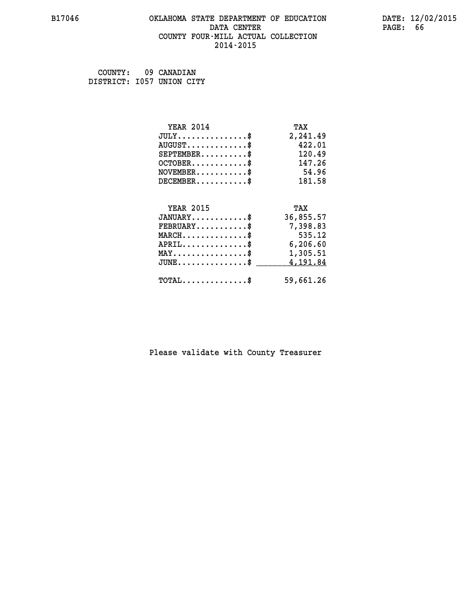#### **B17046 OKLAHOMA STATE DEPARTMENT OF EDUCATION DATE: 12/02/2015 DATA CENTER** PAGE: 66  **COUNTY FOUR-MILL ACTUAL COLLECTION 2014-2015**

 **COUNTY: 09 CANADIAN DISTRICT: I057 UNION CITY**

| <b>YEAR 2014</b>                               | TAX       |
|------------------------------------------------|-----------|
| $JULY$ \$                                      | 2,241.49  |
| $AUGUST$ \$                                    | 422.01    |
| $SEPTEMENT.$ \$                                | 120.49    |
| $OCTOBER$ \$                                   | 147.26    |
| $NOVEMBER$ \$                                  | 54.96     |
| $DECEMBER$ \$                                  | 181.58    |
|                                                |           |
|                                                |           |
| <b>YEAR 2015</b>                               | TAX       |
| $JANUARY$ \$                                   | 36,855.57 |
| $FEBRUARY$                                     | 7,398.83  |
| $MARCH$ \$                                     | 535.12    |
| $APRIL$ \$                                     | 6, 206.60 |
| $\texttt{MAX} \dots \dots \dots \dots \dots \$ | 1,305.51  |
| $JUNE \ldots \ldots \ldots \ldots \bullet$     | 4,191.84  |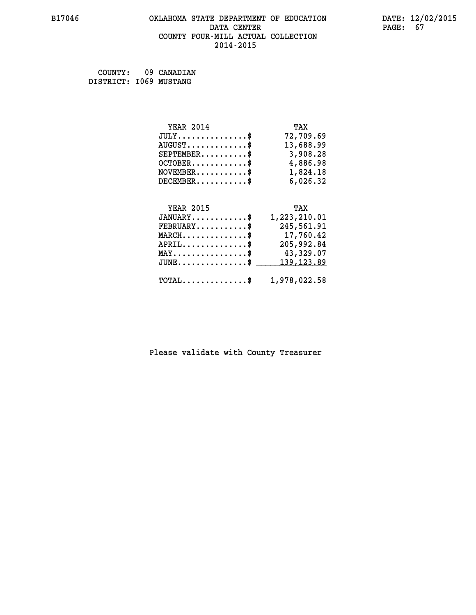# **B17046 OKLAHOMA STATE DEPARTMENT OF EDUCATION DATE: 12/02/2015 DATA CENTER PAGE: 67 COUNTY FOUR-MILL ACTUAL COLLECTION 2014-2015**

 **COUNTY: 09 CANADIAN DISTRICT: I069 MUSTANG**

| <b>YEAR 2014</b>                                                  | TAX          |
|-------------------------------------------------------------------|--------------|
| $JULY \ldots \ldots \ldots \$                                     | 72,709.69    |
| $AUGUST$ \$                                                       | 13,688.99    |
| $SEPTEMBER$ \$                                                    | 3,908.28     |
| $OCTOBER$ \$                                                      | 4,886.98     |
| $\verb NOVEMBER , \verb , \verb , \verb , \verb , \verb , \verb $ | 1,824.18     |
| $DECEMBER$ \$                                                     | 6,026.32     |
| <b>YEAR 2015</b>                                                  | TAX          |
| $JANUARY$ \$                                                      | 1,223,210.01 |
| $\texttt{FERUARY} \dots \dots \dots \$                            | 245,561.91   |

| $FEBRUARY$ \$                                                           | 245,561.91 |
|-------------------------------------------------------------------------|------------|
| $MARCH$ \$                                                              | 17,760.42  |
| $APRIL$                                                                 | 205,992.84 |
| $\texttt{MAX} \dots \dots \dots \dots \dots \text{*}$                   | 43,329.07  |
| $JUNE \dots \dots \dots \dots \$ 139,123.89                             |            |
| $\texttt{TOTAL} \dots \dots \dots \dots \texttt{``} \quad 1.978.022.58$ |            |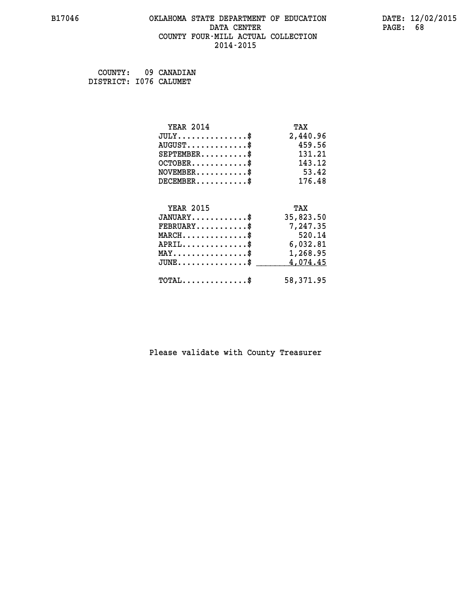# **B17046 OKLAHOMA STATE DEPARTMENT OF EDUCATION DATE: 12/02/2015 DATA CENTER** PAGE: 68  **COUNTY FOUR-MILL ACTUAL COLLECTION 2014-2015**

 **COUNTY: 09 CANADIAN DISTRICT: I076 CALUMET**

| <b>YEAR 2014</b>                               | TAX       |
|------------------------------------------------|-----------|
| $JULY$ \$                                      | 2,440.96  |
| $AUGUST$ \$                                    | 459.56    |
| $SEPTEMENT.$ \$                                | 131.21    |
| $OCTOBER$ \$                                   | 143.12    |
| $NOVEMBER$ \$                                  | 53.42     |
| $DECEMBER$ \$                                  | 176.48    |
|                                                |           |
| <b>YEAR 2015</b>                               | TAX       |
| $JANUARY$ \$                                   | 35,823.50 |
| $FEBRUARY$                                     | 7,247.35  |
| $MARCH$ \$                                     | 520.14    |
| $APRIL$ \$                                     | 6,032.81  |
|                                                |           |
| $\texttt{MAX} \dots \dots \dots \dots \dots \$ | 1,268.95  |
| $JUNE$ \$                                      | 4,074.45  |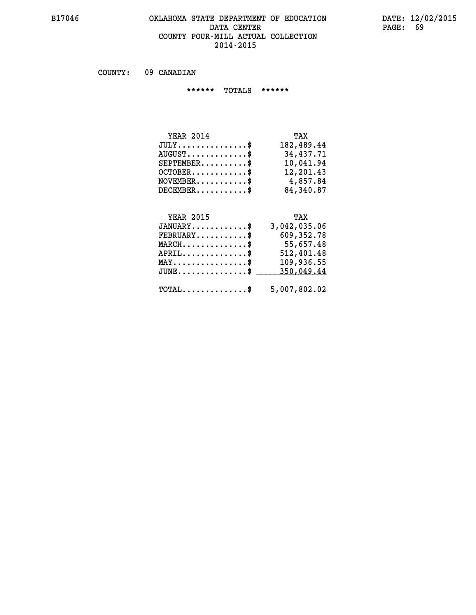#### **B17046 OKLAHOMA STATE DEPARTMENT OF EDUCATION DATE: 12/02/2015 DATA CENTER** PAGE: 69  **COUNTY FOUR-MILL ACTUAL COLLECTION 2014-2015**

 **COUNTY: 09 CANADIAN**

 **\*\*\*\*\*\* TOTALS \*\*\*\*\*\***

| <b>YEAR 2014</b>        | TAX        |
|-------------------------|------------|
| $JULY$                  | 182,489.44 |
| $AUGUST$ $\$\$          | 34,437.71  |
| $SEPTEMENT.$ \$         | 10,041.94  |
| $OCTOBER$ $\frac{1}{2}$ | 12,201.43  |
| $NOVEMBER$ \$           | 4,857.84   |
| $DECEMBER$ \$           | 84,340.87  |

# **YEAR 2015 TAX**

| $JANUARY$                                            | 3,042,035.06 |
|------------------------------------------------------|--------------|
| $\texttt{FEBRUARY} \dots \dots \dots \$              | 609, 352.78  |
| $MARCH$ \$                                           | 55,657.48    |
| $APRIL$ \$                                           | 512,401.48   |
| $MAX \dots \dots \dots \dots \$                      | 109,936.55   |
| $\texttt{JUNE} \dots \dots \dots \dots \dots \$$     | 350,049.44   |
| $\texttt{TOTAL} \dots \dots \dots \dots \texttt{\$}$ | 5,007,802.02 |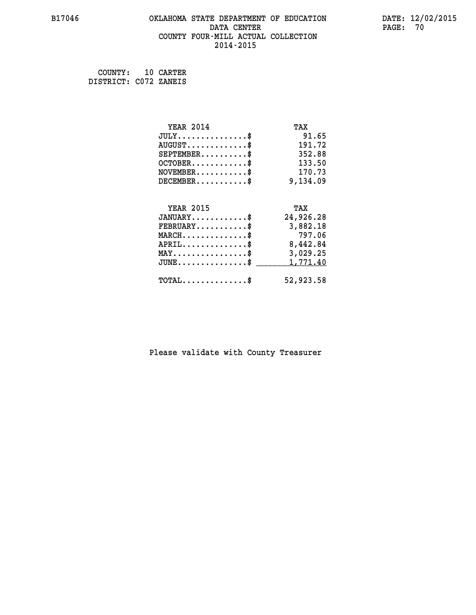# **B17046 OKLAHOMA STATE DEPARTMENT OF EDUCATION DATE: 12/02/2015 DATA CENTER** PAGE: 70  **COUNTY FOUR-MILL ACTUAL COLLECTION 2014-2015**

 **COUNTY: 10 CARTER DISTRICT: C072 ZANEIS**

| <b>YEAR 2014</b>                                | TAX       |
|-------------------------------------------------|-----------|
| $JULY$ \$                                       | 91.65     |
| $AUGUST$ \$                                     | 191.72    |
| $SEPTEMENT.$ \$                                 | 352.88    |
| $OCTOBER$ \$                                    | 133.50    |
| $\texttt{NOVEMBER} \dots \dots \dots \$         | 170.73    |
| $DECEMBER$ \$                                   | 9,134.09  |
|                                                 |           |
| <b>YEAR 2015</b>                                | TAX       |
| $JANUARY$ \$                                    | 24,926.28 |
| $FEBRUARY$                                      | 3,882.18  |
| $MARCH$ \$                                      | 797.06    |
| $APRIL$ \$                                      | 8,442.84  |
| $\texttt{MAX} \dots \dots \dots \dots \dots \$$ | 3,029.25  |
| $JUNE$ \$                                       | 1,771.40  |
| $\texttt{TOTAL} \dots \dots \dots \dots \$      | 52,923.58 |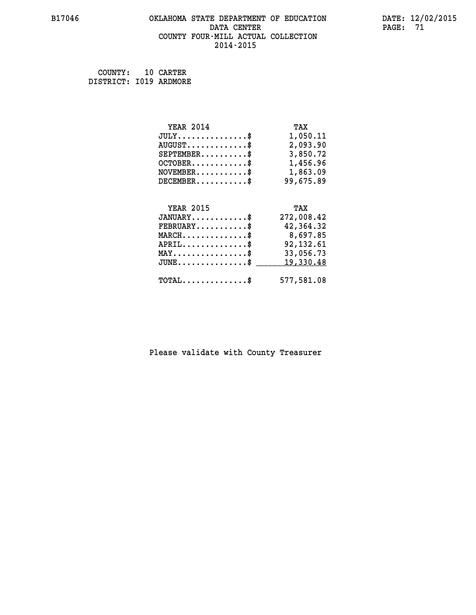# **B17046 OKLAHOMA STATE DEPARTMENT OF EDUCATION DATE: 12/02/2015 DATA CENTER** PAGE: 71  **COUNTY FOUR-MILL ACTUAL COLLECTION 2014-2015**

 **COUNTY: 10 CARTER DISTRICT: I019 ARDMORE**

| <b>YEAR 2014</b>                               | TAX        |
|------------------------------------------------|------------|
| $JULY$ \$                                      | 1,050.11   |
| $AUGUST$ \$                                    | 2,093.90   |
| $SEPTEMBER$ \$                                 | 3,850.72   |
| $OCTOBER$ \$                                   | 1,456.96   |
| $\texttt{NOVEMBER} \dots \dots \dots \$        | 1,863.09   |
| $DECEMBER$ \$                                  | 99,675.89  |
|                                                |            |
| <b>YEAR 2015</b>                               | TAX        |
| $JANUARY$ \$                                   | 272,008.42 |
| $FEBRUARY$                                     | 42,364.32  |
| $MARCH$ \$                                     | 8,697.85   |
| $APRIL$ \$                                     | 92,132.61  |
| $\texttt{MAX} \dots \dots \dots \dots \dots \$ | 33,056.73  |
| $JUNE \dots \dots \dots \dots \dots$ \$        | 19,330.48  |
| $\texttt{TOTAL} \dots \dots \dots \dots \$     | 577,581.08 |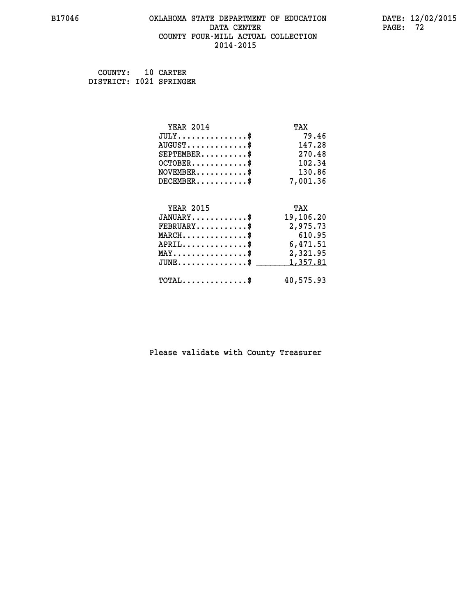# **B17046 OKLAHOMA STATE DEPARTMENT OF EDUCATION DATE: 12/02/2015 DATA CENTER** PAGE: 72  **COUNTY FOUR-MILL ACTUAL COLLECTION 2014-2015**

 **COUNTY: 10 CARTER DISTRICT: I021 SPRINGER**

| <b>YEAR 2014</b>                                 | TAX       |
|--------------------------------------------------|-----------|
| $JULY$ \$                                        | 79.46     |
| $AUGUST$ \$                                      | 147.28    |
| $SEPTEMBER$ \$                                   | 270.48    |
| $OCTOBER$ \$                                     | 102.34    |
| $NOVEMBER.$ \$                                   | 130.86    |
| $DECEMBER$ \$                                    | 7,001.36  |
|                                                  |           |
| <b>YEAR 2015</b>                                 | TAX       |
| $JANUARY$ \$                                     | 19,106.20 |
| $FEBRUARY$                                       | 2,975.73  |
| $MARCH$ \$                                       | 610.95    |
| $APRIL \ldots \ldots \ldots \ldots \$            | 6,471.51  |
| $\texttt{MAX} \dots \dots \dots \dots \dots \$   | 2,321.95  |
| $\texttt{JUNE} \dots \dots \dots \dots \dots \$$ | 1,357.81  |
| $\texttt{TOTAL} \dots \dots \dots \dots$ \$      | 40,575.93 |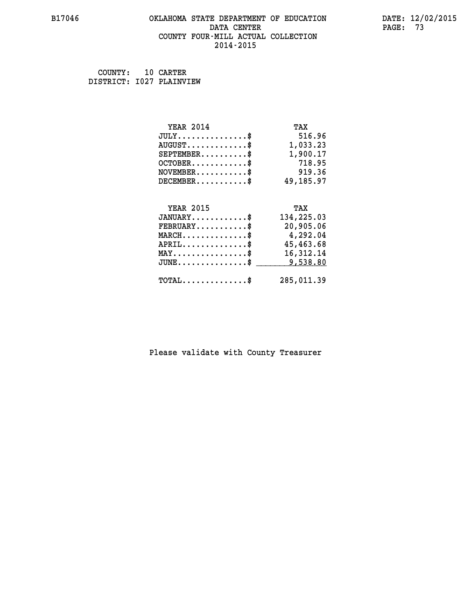## **B17046 OKLAHOMA STATE DEPARTMENT OF EDUCATION DATE: 12/02/2015 DATA CENTER** PAGE: 73  **COUNTY FOUR-MILL ACTUAL COLLECTION 2014-2015**

 **COUNTY: 10 CARTER DISTRICT: I027 PLAINVIEW**

| <b>YEAR 2014</b>                                                                                                              | TAX         |
|-------------------------------------------------------------------------------------------------------------------------------|-------------|
| $JULY$ \$                                                                                                                     | 516.96      |
| $AUGUST$ \$                                                                                                                   | 1,033.23    |
| $SEPTEMBER$ \$                                                                                                                | 1,900.17    |
| $OCTOBER$ \$                                                                                                                  | 718.95      |
| $NOVEMBER.$ \$                                                                                                                | 919.36      |
| $DECEMBER$ \$                                                                                                                 | 49,185.97   |
|                                                                                                                               |             |
| <b>YEAR 2015</b>                                                                                                              | TAX         |
| $JANUARY$ \$                                                                                                                  | 134,225.03  |
| $FEBRUARY$ \$                                                                                                                 | 20,905.06   |
| $\texttt{MARCH}\ldots\ldots\ldots\ldots\overset{\hspace{0.1em}\mathsf{\scriptscriptstyle\$}}{\mathsf{\scriptscriptstyle\$}}}$ | 4,292.04    |
| $APRIL \ldots \ldots \ldots \ldots$                                                                                           | 45,463.68   |
| $\texttt{MAX} \dots \dots \dots \dots \dots \$                                                                                | 16, 312. 14 |
| $JUNE$ \$                                                                                                                     | 9,538.80    |
|                                                                                                                               |             |
| $\texttt{TOTAL} \dots \dots \dots \dots \$                                                                                    | 285,011.39  |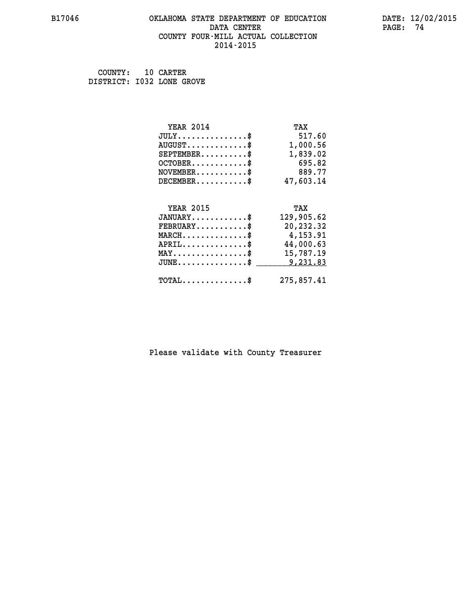#### **B17046 OKLAHOMA STATE DEPARTMENT OF EDUCATION DATE: 12/02/2015 DATA CENTER PAGE: 74 COUNTY FOUR-MILL ACTUAL COLLECTION 2014-2015**

 **COUNTY: 10 CARTER DISTRICT: I032 LONE GROVE**

| <b>YEAR 2014</b>                               | TAX        |
|------------------------------------------------|------------|
| $JULY$ \$                                      | 517.60     |
| $AUGUST$ \$                                    | 1,000.56   |
| $SEPTEMBER$ \$                                 | 1,839.02   |
| $OCTOBER$ \$                                   | 695.82     |
| $NOVEMBER$ \$                                  | 889.77     |
| $DECEMBER$ \$                                  | 47,603.14  |
|                                                |            |
| <b>YEAR 2015</b>                               | TAX        |
| $JANUARY$ \$                                   | 129,905.62 |
| $FEBRUARY$                                     | 20,232.32  |
| $MARCH$ \$                                     | 4,153.91   |
| $APRIL$ \$                                     | 44,000.63  |
| $\texttt{MAX} \dots \dots \dots \dots \dots \$ | 15,787.19  |
| $JUNE$ \$                                      | 9,231.83   |
| $\texttt{TOTAL} \dots \dots \dots \dots \$     | 275,857.41 |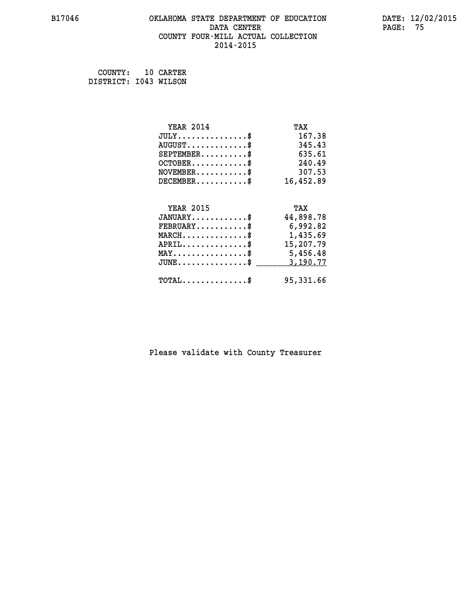## **B17046 OKLAHOMA STATE DEPARTMENT OF EDUCATION DATE: 12/02/2015 DATA CENTER** PAGE: 75  **COUNTY FOUR-MILL ACTUAL COLLECTION 2014-2015**

 **COUNTY: 10 CARTER DISTRICT: I043 WILSON**

| <b>YEAR 2014</b>                                                          | TAX       |
|---------------------------------------------------------------------------|-----------|
| $JULY$ \$                                                                 | 167.38    |
| $AUGUST$ \$                                                               | 345.43    |
| $SEPTEMENT.$ \$                                                           | 635.61    |
| $OCTOBER$ \$                                                              | 240.49    |
| $\verb NOVEMBER , \verb , \verb , \verb , \verb , \verb , \verb , \verb $ | 307.53    |
| $DECEMBER$ \$                                                             | 16,452.89 |
| <b>YEAR 2015</b>                                                          |           |
|                                                                           | TAX       |
| $JANUARY$ \$                                                              | 44,898.78 |
| $FEBRUARY$                                                                | 6,992.82  |
| $MARCH$ \$                                                                | 1,435.69  |
| $APRIL \ldots \ldots \ldots \ldots \$                                     | 15,207.79 |
| MAY\$ 5,456.48                                                            |           |
| $JUNE$ \$                                                                 | 3,190.77  |
| $\texttt{TOTAL} \dots \dots \dots \dots \$                                | 95,331.66 |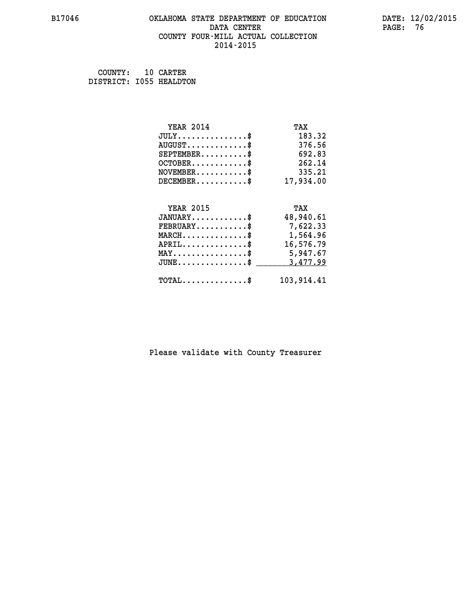## **B17046 OKLAHOMA STATE DEPARTMENT OF EDUCATION DATE: 12/02/2015 DATA CENTER** PAGE: 76  **COUNTY FOUR-MILL ACTUAL COLLECTION 2014-2015**

 **COUNTY: 10 CARTER DISTRICT: I055 HEALDTON**

| <b>YEAR 2014</b>                               | TAX        |
|------------------------------------------------|------------|
| $JULY$ \$                                      | 183.32     |
| $AUGUST$ \$                                    | 376.56     |
| $SEPTEMBER$ \$                                 | 692.83     |
| $OCTOBER$ \$                                   | 262.14     |
| $\texttt{NOVEMBER} \dots \dots \dots \$        | 335.21     |
| $DECEMBER$ \$                                  | 17,934.00  |
|                                                |            |
| <b>YEAR 2015</b>                               | TAX        |
| $JANUARY$ \$                                   | 48,940.61  |
| $\texttt{FEBRUARY}\dots\dots\dots\dots\$       | 7,622.33   |
| $MARCH$ \$                                     | 1,564.96   |
| $APRIL \ldots \ldots \ldots \ldots \$          | 16,576.79  |
| $\texttt{MAX} \dots \dots \dots \dots \dots \$ | 5,947.67   |
| $JUNE$ \$                                      | 3,477.99   |
| $\texttt{TOTAL} \dots \dots \dots \dots \$     | 103,914.41 |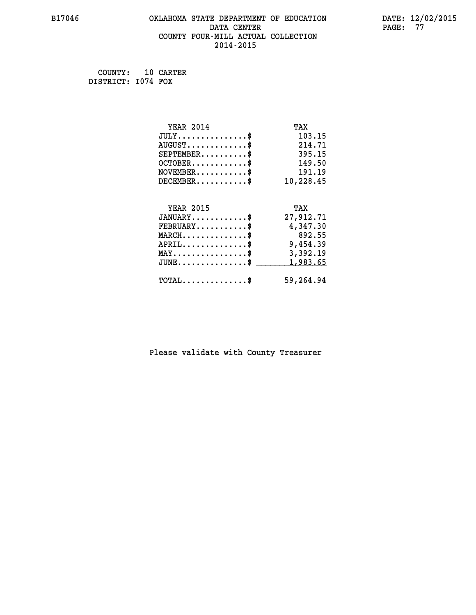#### **B17046 OKLAHOMA STATE DEPARTMENT OF EDUCATION DATE: 12/02/2015 DATA CENTER** PAGE: 77  **COUNTY FOUR-MILL ACTUAL COLLECTION 2014-2015**

 **COUNTY: 10 CARTER DISTRICT: I074 FOX**

| <b>YEAR 2014</b>                               | TAX       |
|------------------------------------------------|-----------|
| $JULY$ \$                                      | 103.15    |
| $AUGUST$ \$                                    | 214.71    |
| $SEPTEMENT.$ \$                                | 395.15    |
| $OCTOBER$ \$                                   | 149.50    |
| $\texttt{NOVEMBER} \dots \dots \dots \$        | 191.19    |
| $DECEMBER$ \$                                  | 10,228.45 |
|                                                |           |
| <b>YEAR 2015</b>                               | TAX       |
| $JANUARY$ \$                                   | 27,912.71 |
| $FEBRUARY$                                     | 4,347.30  |
| $MARCH$ \$                                     | 892.55    |
| $APRIL$ \$                                     | 9,454.39  |
| $\texttt{MAX} \dots \dots \dots \dots \dots \$ | 3,392.19  |
| $JUNE$ \$                                      | 1,983.65  |
|                                                |           |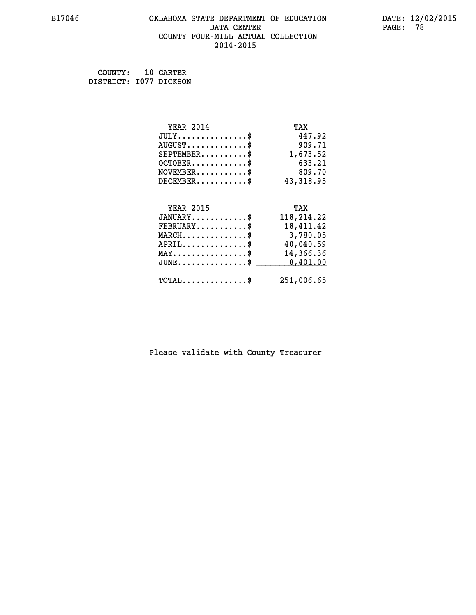## **B17046 OKLAHOMA STATE DEPARTMENT OF EDUCATION DATE: 12/02/2015 DATA CENTER** PAGE: 78  **COUNTY FOUR-MILL ACTUAL COLLECTION 2014-2015**

 **COUNTY: 10 CARTER DISTRICT: I077 DICKSON**

| <b>YEAR 2014</b>                               | TAX        |
|------------------------------------------------|------------|
| $JULY$ \$                                      | 447.92     |
| $AUGUST$ \$                                    | 909.71     |
| $SEPTEMBER$ \$                                 | 1,673.52   |
| $OCTOBER$ \$                                   | 633.21     |
| $NOVEMBER.$ \$                                 | 809.70     |
| $DECEMBER$ \$                                  | 43,318.95  |
|                                                |            |
| <b>YEAR 2015</b>                               | TAX        |
| $JANUARY$ \$                                   | 118,214.22 |
|                                                |            |
| $FEBRUARY$ \$                                  | 18,411.42  |
| $MARCH \ldots \ldots \ldots \ldots$            | 3,780.05   |
| $APRIL$ \$                                     | 40,040.59  |
| $\texttt{MAX} \dots \dots \dots \dots \dots \$ | 14,366.36  |
| $JUNE$ \$                                      | 8,401.00   |
| $\texttt{TOTAL} \dots \dots \dots \dots \$     | 251,006.65 |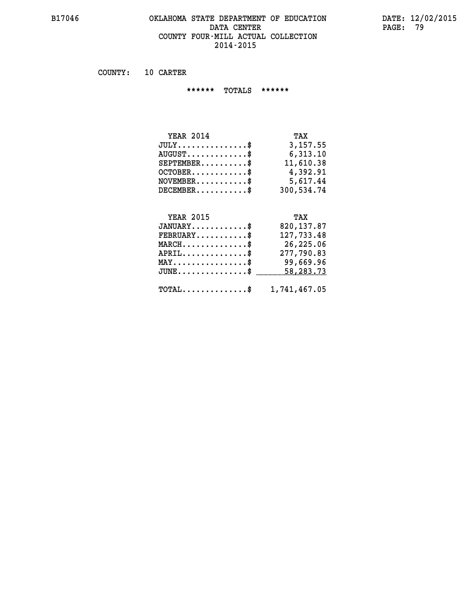## **B17046 OKLAHOMA STATE DEPARTMENT OF EDUCATION DATE: 12/02/2015 DATA CENTER PAGE: 79 COUNTY FOUR-MILL ACTUAL COLLECTION 2014-2015**

 **COUNTY: 10 CARTER**

 **\*\*\*\*\*\* TOTALS \*\*\*\*\*\***

| <b>YEAR 2014</b> | TAX        |
|------------------|------------|
| $JULY$           | 3,157.55   |
| $AUGUST$         | 6,313.10   |
| $SEPTEMBER$ $\$  | 11,610.38  |
| $OCTOBER$ \$     | 4,392.91   |
| $NOVEMBER$ \$    | 5,617.44   |
| $DECEMBER$ \$    | 300,534.74 |

## **YEAR 2015 TAX**

| $JANUARY$                                               | 820,137.87 |
|---------------------------------------------------------|------------|
| $FEBRUARY$                                              | 127,733.48 |
| $MARCH$ \$                                              | 26,225.06  |
| $APRIL$ \$                                              | 277,790.83 |
| $MAX \dots \dots \dots \dots \dots \$                   | 99,669.96  |
| $JUNE \dots \dots \dots \dots \$ 58,283.73              |            |
| $\texttt{TOTAL} \dots \dots \dots \dots \$ 1,741,467.05 |            |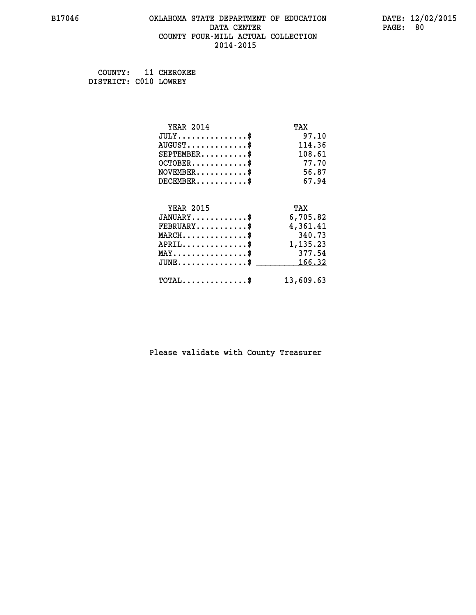## **B17046 OKLAHOMA STATE DEPARTMENT OF EDUCATION DATE: 12/02/2015 DATA CENTER** PAGE: 80  **COUNTY FOUR-MILL ACTUAL COLLECTION 2014-2015**

 **COUNTY: 11 CHEROKEE DISTRICT: C010 LOWREY**

| <b>YEAR 2014</b>                           | TAX       |
|--------------------------------------------|-----------|
| $JULY$ \$                                  | 97.10     |
| $AUGUST$ \$                                | 114.36    |
| $SEPTEMENT.$ \$                            | 108.61    |
| $OCTOBER$ \$                               | 77.70     |
| $NOVEMBER$ \$                              | 56.87     |
| $DECEMBER$ \$                              | 67.94     |
|                                            |           |
| <b>YEAR 2015</b>                           | TAX       |
| $JANUARY$ \$                               | 6,705.82  |
| $FEBRUARY$                                 | 4,361.41  |
| $MARCH$ \$                                 | 340.73    |
| $APRIL \ldots \ldots \ldots \$             | 1,135.23  |
| $MAX \dots \dots \dots \dots \dots$        | 377.54    |
| $JUNE$ \$                                  | 166.32    |
| $\texttt{TOTAL} \dots \dots \dots \dots \$ | 13,609.63 |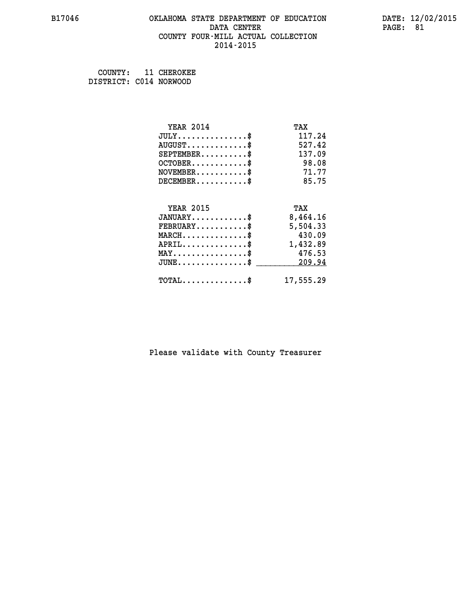## **B17046 OKLAHOMA STATE DEPARTMENT OF EDUCATION DATE: 12/02/2015 DATA CENTER** PAGE: 81  **COUNTY FOUR-MILL ACTUAL COLLECTION 2014-2015**

 **COUNTY: 11 CHEROKEE DISTRICT: C014 NORWOOD**

| <b>YEAR 2014</b>                    | TAX       |
|-------------------------------------|-----------|
| $JULY$ \$                           | 117.24    |
| $AUGUST$ \$                         | 527.42    |
| $SEPTEMBER$ \$                      | 137.09    |
| $OCTOBER$ \$                        | 98.08     |
| $NOVEMBER$ \$                       | 71.77     |
| $DECEMBER$ \$                       | 85.75     |
|                                     |           |
| <b>YEAR 2015</b>                    | TAX       |
| $JANUARY$                           | 8,464.16  |
| $FEBRUARY$                          | 5,504.33  |
| $MARCH$ \$                          | 430.09    |
| $APRIL$ \$                          | 1,432.89  |
| $MAX \dots \dots \dots \dots \dots$ | 476.53    |
| $JUNE$ \$                           | 209.94    |
| $TOTAL$ \$                          | 17,555.29 |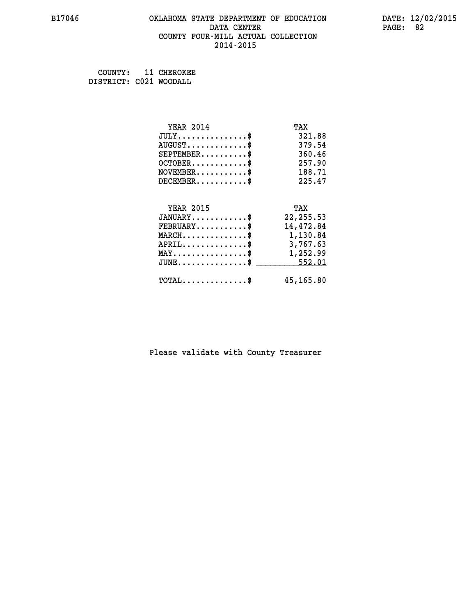## **B17046 OKLAHOMA STATE DEPARTMENT OF EDUCATION DATE: 12/02/2015 DATA CENTER** PAGE: 82  **COUNTY FOUR-MILL ACTUAL COLLECTION 2014-2015**

 **COUNTY: 11 CHEROKEE DISTRICT: C021 WOODALL**

| <b>YEAR 2014</b>                               | TAX        |
|------------------------------------------------|------------|
| $JULY$ \$                                      | 321.88     |
| $AUGUST$ \$                                    | 379.54     |
| $SEPTEMBER$ \$                                 | 360.46     |
| $OCTOBER$ \$                                   | 257.90     |
| $\texttt{NOVEMBER} \dots \dots \dots \$        | 188.71     |
| $DECEMBER$ \$                                  | 225.47     |
|                                                |            |
| <b>YEAR 2015</b>                               | TAX        |
| $JANUARY$ \$                                   | 22, 255.53 |
| $FEBRUARY$                                     | 14,472.84  |
| $MARCH$ \$                                     | 1,130.84   |
| $APRIL \ldots \ldots \ldots \ldots \$          | 3,767.63   |
| $\texttt{MAX} \dots \dots \dots \dots \dots \$ | 1,252.99   |
| $JUNE \dots \dots \dots \dots \$ 552.01        |            |
| $\texttt{TOTAL} \dots \dots \dots \dots \$     | 45,165.80  |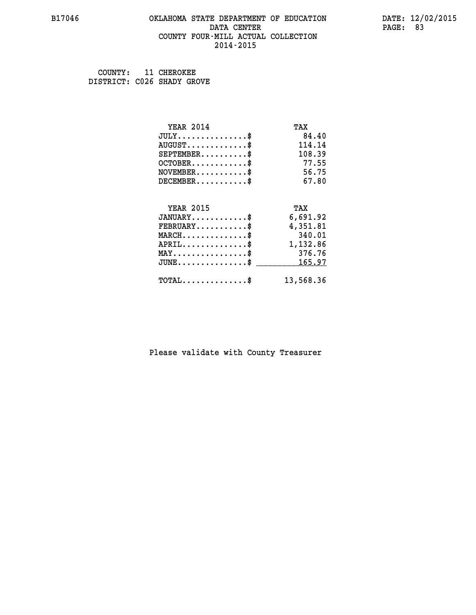#### **B17046 OKLAHOMA STATE DEPARTMENT OF EDUCATION DATE: 12/02/2015 DATA CENTER** PAGE: 83  **COUNTY FOUR-MILL ACTUAL COLLECTION 2014-2015**

 **COUNTY: 11 CHEROKEE DISTRICT: C026 SHADY GROVE**

| <b>YEAR 2014</b>                           | TAX       |
|--------------------------------------------|-----------|
| $JULY$ \$                                  | 84.40     |
| $AUGUST$ \$                                | 114.14    |
| $SEPTEMENT.$ \$                            | 108.39    |
| $OCTOBER$ \$                               | 77.55     |
| $NOVEMBER$ \$                              | 56.75     |
| $DECEMBER$ \$                              | 67.80     |
|                                            |           |
| <b>YEAR 2015</b>                           | TAX       |
| $JANUARY$ \$                               | 6,691.92  |
| $FEBRUARY$                                 | 4,351.81  |
| $MARCH$ \$                                 | 340.01    |
| $APRIL$ \$                                 | 1,132.86  |
| $MAX \dots \dots \dots \dots \dots$        | 376.76    |
| $JUNE$ \$                                  | 165.97    |
| $\texttt{TOTAL} \dots \dots \dots \dots \$ | 13,568.36 |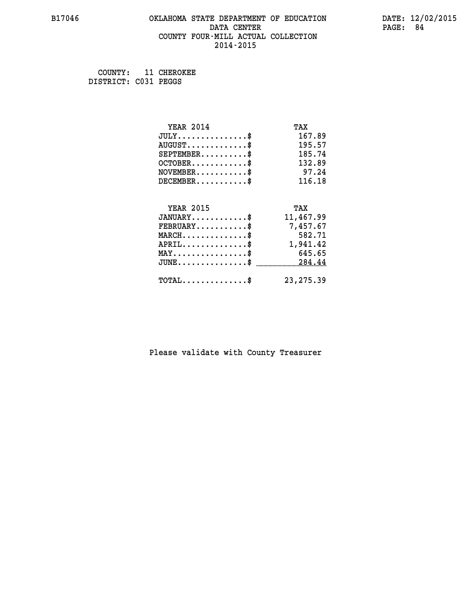## **B17046 OKLAHOMA STATE DEPARTMENT OF EDUCATION DATE: 12/02/2015 DATA CENTER** PAGE: 84  **COUNTY FOUR-MILL ACTUAL COLLECTION 2014-2015**

 **COUNTY: 11 CHEROKEE DISTRICT: C031 PEGGS**

| <b>YEAR 2014</b>                           | TAX        |
|--------------------------------------------|------------|
| $JULY$ \$                                  | 167.89     |
| $AUGUST$ \$                                | 195.57     |
| $SEPTEMENT.$ \$                            | 185.74     |
| $OCTOBER$ \$                               | 132.89     |
| $NOVEMBER$ \$                              | 97.24      |
| $DECEMBER$ \$                              | 116.18     |
|                                            |            |
| <b>YEAR 2015</b>                           | TAX        |
| $JANUARY$ \$                               | 11,467.99  |
| $FEBRUARY$                                 | 7,457.67   |
| $MARCH$ \$                                 | 582.71     |
| $APRIL$ \$                                 | 1,941.42   |
| $MAX \dots \dots \dots \dots \dots$        | 645.65     |
| $JUNE$                                     | 284.44     |
| $\texttt{TOTAL} \dots \dots \dots \dots \$ | 23, 275.39 |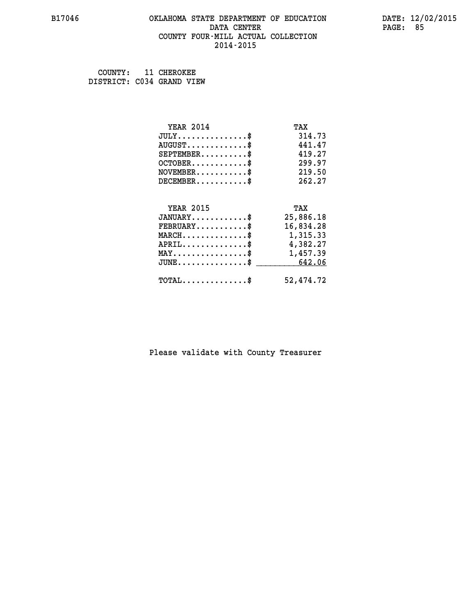#### **B17046 OKLAHOMA STATE DEPARTMENT OF EDUCATION DATE: 12/02/2015 DATA CENTER** PAGE: 85  **COUNTY FOUR-MILL ACTUAL COLLECTION 2014-2015**

 **COUNTY: 11 CHEROKEE DISTRICT: C034 GRAND VIEW**

| <b>YEAR 2014</b>                                   | TAX       |
|----------------------------------------------------|-----------|
| $JULY$ \$                                          | 314.73    |
| $AUGUST$ \$                                        | 441.47    |
| $SEPTEMENT.$ \$                                    | 419.27    |
| $OCTOBER$ \$                                       | 299.97    |
| $NOVEMBER.$ \$                                     | 219.50    |
| $DECEMBER$ \$                                      | 262.27    |
| <b>YEAR 2015</b>                                   | TAX       |
| $JANUARY$ \$                                       |           |
|                                                    | 25,886.18 |
| $\texttt{FEBRUARY} \dots \dots \dots \$            | 16,834.28 |
| $MARCH$ \$                                         | 1,315.33  |
| $APRIL \ldots \ldots \ldots \ldots \$              | 4,382.27  |
| $\texttt{MAX} \dots \dots \dots \dots \dots \$     | 1,457.39  |
| $\texttt{JUNE} \dots \dots \dots \dots \texttt{S}$ | 642.06    |
| $\texttt{TOTAL} \dots \dots \dots \dots \$         | 52,474.72 |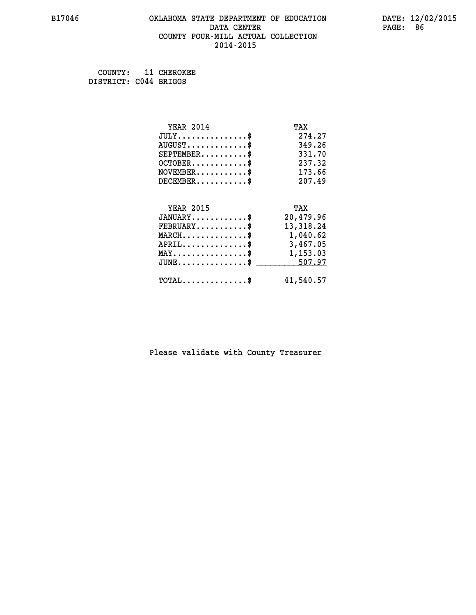## **B17046 OKLAHOMA STATE DEPARTMENT OF EDUCATION DATE: 12/02/2015 DATA CENTER** PAGE: 86  **COUNTY FOUR-MILL ACTUAL COLLECTION 2014-2015**

 **COUNTY: 11 CHEROKEE DISTRICT: C044 BRIGGS**

| <b>YEAR 2014</b>                                 | TAX       |
|--------------------------------------------------|-----------|
| $JULY$ \$                                        | 274.27    |
| $AUGUST$ \$                                      | 349.26    |
| $SEPTEMBER$ \$                                   | 331.70    |
| $OCTOBER$ \$                                     | 237.32    |
| $\texttt{NOVEMBER} \dots \dots \dots \$          | 173.66    |
| $DECEMBER$ \$                                    | 207.49    |
|                                                  |           |
| <b>YEAR 2015</b>                                 | TAX       |
| $JANUARY$                                        | 20,479.96 |
| $FEBRUARY$                                       | 13,318.24 |
| $\texttt{MARCH}\ldots\ldots\ldots\ldots\text{*}$ | 1,040.62  |
| $APRIL \ldots \ldots \ldots \ldots \$            | 3,467.05  |
| $\texttt{MAX} \dots \dots \dots \dots \dots \$   | 1,153.03  |
| $JUNE \ldots \ldots \ldots \ldots \ast$          | 507.97    |
| $\texttt{TOTAL} \dots \dots \dots \dots \$       | 41,540.57 |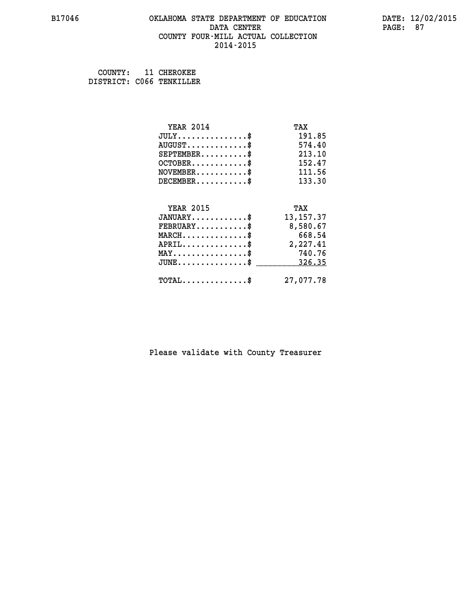#### **B17046 OKLAHOMA STATE DEPARTMENT OF EDUCATION DATE: 12/02/2015 DATA CENTER** PAGE: 87  **COUNTY FOUR-MILL ACTUAL COLLECTION 2014-2015**

 **COUNTY: 11 CHEROKEE DISTRICT: C066 TENKILLER**

| <b>YEAR 2014</b>                           | TAX         |
|--------------------------------------------|-------------|
| $JULY$ \$                                  | 191.85      |
| $AUGUST$ \$                                | 574.40      |
| $SEPTEMBER$ \$                             | 213.10      |
| $OCTOBER$ \$                               | 152.47      |
| $\texttt{NOVEMBER} \dots \dots \dots \$    | 111.56      |
| $DECEMBER$ \$                              | 133.30      |
|                                            |             |
| <b>YEAR 2015</b>                           | TAX         |
| $JANUARY$ \$                               | 13, 157. 37 |
| $FEBRUARY$ \$                              | 8,580.67    |
| $MARCH$ \$                                 | 668.54      |
| $APRIL$ \$                                 | 2,227.41    |
| $MAX \dots \dots \dots \dots \$            | 740.76      |
| $JUNE$ \$                                  | 326.35      |
| $\texttt{TOTAL} \dots \dots \dots \dots \$ | 27,077.78   |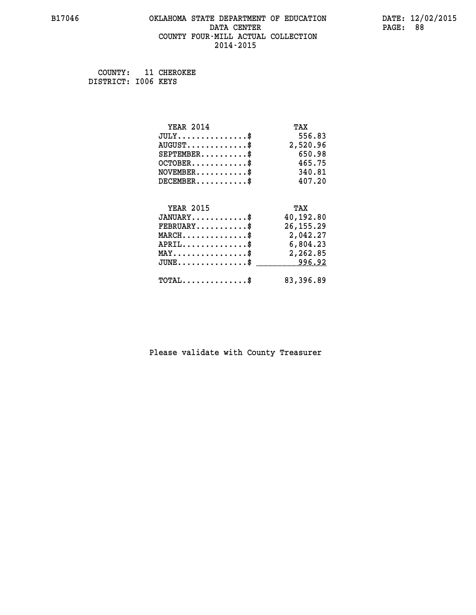## **B17046 OKLAHOMA STATE DEPARTMENT OF EDUCATION DATE: 12/02/2015 DATA CENTER** PAGE: 88  **COUNTY FOUR-MILL ACTUAL COLLECTION 2014-2015**

 **COUNTY: 11 CHEROKEE DISTRICT: I006 KEYS**

| <b>YEAR 2014</b>                                 | TAX         |
|--------------------------------------------------|-------------|
| $JULY$ \$                                        | 556.83      |
| $AUGUST$ \$                                      | 2,520.96    |
| $SEPTEMBER$ \$                                   | 650.98      |
| $OCTOBER$ \$                                     | 465.75      |
| $\texttt{NOVEMBER} \dots \dots \dots \$          | 340.81      |
| $DECEMBER$ \$                                    | 407.20      |
|                                                  |             |
| <b>YEAR 2015</b>                                 | TAX         |
| $JANUARY$ \$                                     | 40,192.80   |
| $FEBRUARY$                                       | 26, 155. 29 |
| $MARCH$ \$                                       | 2,042.27    |
| $APRIL \ldots \ldots \ldots \ldots \$            | 6,804.23    |
| $\texttt{MAX} \dots \dots \dots \dots \dots \$   | 2,262.85    |
| $\texttt{JUNE} \dots \dots \dots \dots \dots \$$ | 996.92      |
| $\texttt{TOTAL} \dots \dots \dots \dots \$       | 83,396.89   |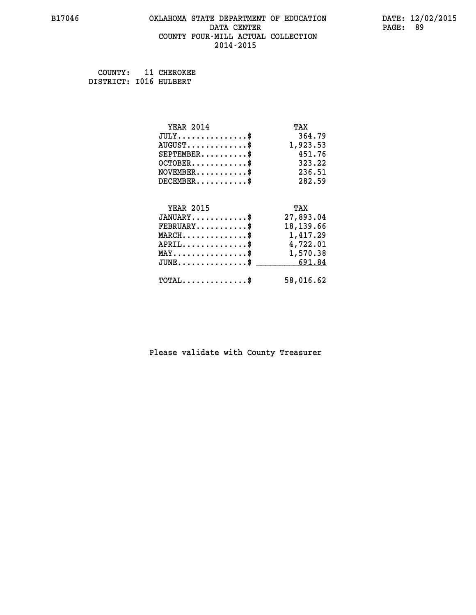## **B17046 OKLAHOMA STATE DEPARTMENT OF EDUCATION DATE: 12/02/2015 DATA CENTER** PAGE: 89  **COUNTY FOUR-MILL ACTUAL COLLECTION 2014-2015**

 **COUNTY: 11 CHEROKEE DISTRICT: I016 HULBERT**

| <b>YEAR 2014</b>                               | TAX       |
|------------------------------------------------|-----------|
| $JULY$ \$                                      | 364.79    |
| $AUGUST$ \$                                    | 1,923.53  |
| $SEPTEMENT.$ \$                                | 451.76    |
| $OCTOBER$ \$                                   | 323.22    |
| $NOVEMBER$ \$                                  | 236.51    |
| $DECEMBER$ \$                                  | 282.59    |
|                                                |           |
| <b>YEAR 2015</b>                               | TAX       |
| $JANUARY$ \$                                   | 27,893.04 |
| $FEBRUARY$ \$                                  | 18,139.66 |
| $MARCH$ \$                                     | 1,417.29  |
| $APRIL$ \$                                     | 4,722.01  |
| $\texttt{MAX} \dots \dots \dots \dots \dots \$ | 1,570.38  |
| $JUNE$ \$                                      | 691.84    |
|                                                |           |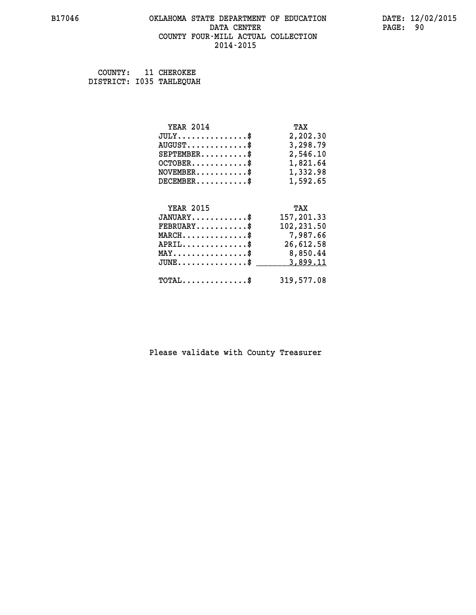## **B17046 OKLAHOMA STATE DEPARTMENT OF EDUCATION DATE: 12/02/2015 DATA CENTER** PAGE: 90  **COUNTY FOUR-MILL ACTUAL COLLECTION 2014-2015**

 **COUNTY: 11 CHEROKEE DISTRICT: I035 TAHLEQUAH**

| <b>YEAR 2014</b>                                 | TAX        |
|--------------------------------------------------|------------|
| $JULY$ \$                                        | 2,202.30   |
| $AUGUST$ \$                                      | 3,298.79   |
| $SEPTEMBER$ \$                                   | 2,546.10   |
| $OCTOBER$ \$                                     | 1,821.64   |
| $\texttt{NOVEMBER} \dots \dots \dots \$          | 1,332.98   |
| $DECEMBER$ \$                                    | 1,592.65   |
|                                                  |            |
| <b>YEAR 2015</b>                                 | TAX        |
| $JANUARY$ \$                                     | 157,201.33 |
| $FEBRUARY$ \$                                    | 102,231.50 |
| $MARCH$ \$                                       | 7,987.66   |
| $APRIL \ldots \ldots \ldots \ldots \$            | 26,612.58  |
| $\texttt{MAX} \dots \dots \dots \dots \dots \$   | 8,850.44   |
| $\texttt{JUNE} \dots \dots \dots \dots \dots \$$ | 3,899.11   |
|                                                  |            |
| $\texttt{TOTAL} \dots \dots \dots \dots$ \$      | 319,577.08 |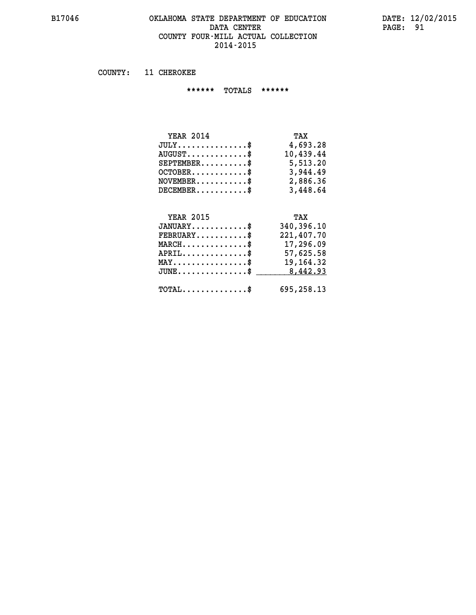#### **B17046 OKLAHOMA STATE DEPARTMENT OF EDUCATION DATE: 12/02/2015 DATA CENTER** PAGE: 91  **COUNTY FOUR-MILL ACTUAL COLLECTION 2014-2015**

 **COUNTY: 11 CHEROKEE**

 **\*\*\*\*\*\* TOTALS \*\*\*\*\*\***

| <b>YEAR 2014</b>              | TAX       |
|-------------------------------|-----------|
| $JULY \ldots \ldots \ldots \$ | 4,693.28  |
| $AUGUST$                      | 10,439.44 |
| $SEPTEMBER$                   | 5,513.20  |
| $OCTOBER$ \$                  | 3,944.49  |
| $NOVEMBER$ \$                 | 2,886.36  |
| $DECEMBER$                    | 3,448.64  |

# **YEAR 2015 TAX JANUARY............\$ 340,396.10 FEBRUARY...........\$ 221,407.70 MARCH..............\$ 17,296.09 APRIL..............\$ 57,625.58 MAY................\$ 19,164.32** JUNE...............\$ <u>\_\_\_\_\_\_\_\_\_ 8,442.93</u>

 **TOTAL..............\$ 695,258.13**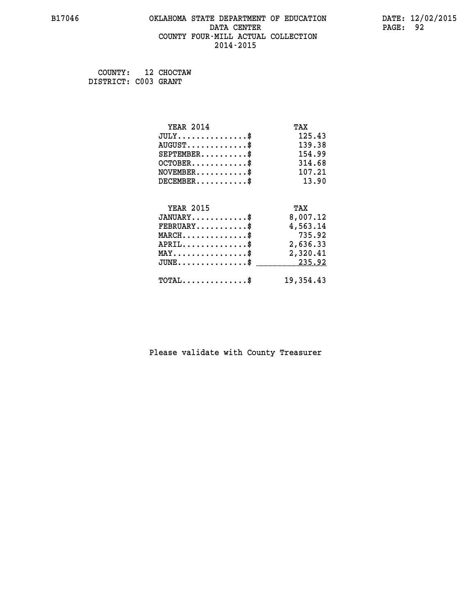## **B17046 OKLAHOMA STATE DEPARTMENT OF EDUCATION DATE: 12/02/2015 DATA CENTER** PAGE: 92  **COUNTY FOUR-MILL ACTUAL COLLECTION 2014-2015**

 **COUNTY: 12 CHOCTAW DISTRICT: C003 GRANT**

| <b>YEAR 2014</b>                                                          | TAX       |
|---------------------------------------------------------------------------|-----------|
| $JULY$ \$                                                                 | 125.43    |
| $AUGUST$ \$                                                               | 139.38    |
| $SEPTEMBER$ \$                                                            | 154.99    |
| $OCTOBER$ \$                                                              | 314.68    |
| $\verb NOVEMBER , \verb , \verb , \verb , \verb , \verb , \verb , \verb $ | 107.21    |
| $DECEMBER$ \$                                                             | 13.90     |
|                                                                           |           |
| <b>YEAR 2015</b>                                                          | TAX       |
| $JANUARY$                                                                 | 8,007.12  |
| $FEBRUARY$ \$                                                             | 4,563.14  |
| $MARCH$ \$                                                                | 735.92    |
| $APRIL \ldots \ldots \ldots \ldots$ \$                                    | 2,636.33  |
| $\texttt{MAX} \dots \dots \dots \dots \dots \$                            | 2,320.41  |
| $\texttt{JUNE}\dots\dots\dots\dots\dots\$$                                | 235.92    |
| $\texttt{TOTAL} \dots \dots \dots \dots \$                                | 19,354.43 |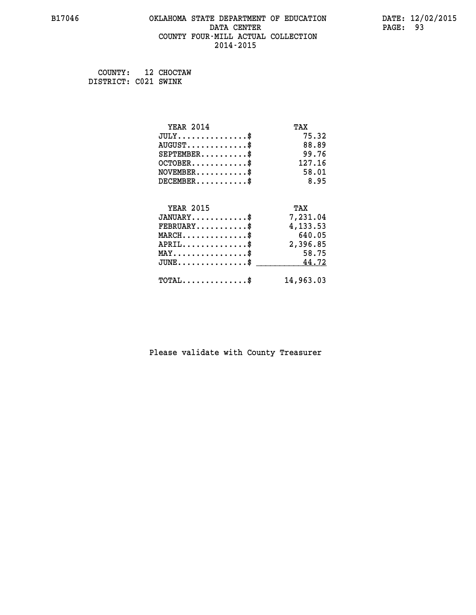## **B17046 OKLAHOMA STATE DEPARTMENT OF EDUCATION DATE: 12/02/2015 DATA CENTER** PAGE: 93  **COUNTY FOUR-MILL ACTUAL COLLECTION 2014-2015**

 **COUNTY: 12 CHOCTAW DISTRICT: C021 SWINK**

| <b>YEAR 2014</b>                           | TAX       |
|--------------------------------------------|-----------|
| $JULY$ \$                                  | 75.32     |
| $AUGUST$ \$                                | 88.89     |
| $SEPTEMBER$ \$                             | 99.76     |
| $OCTOBER$ \$                               | 127.16    |
| $NOVEMBER$ \$                              | 58.01     |
| $DECEMBER$ \$                              | 8.95      |
|                                            |           |
| <b>YEAR 2015</b>                           | TAX       |
| $JANUARY$                                  | 7,231.04  |
| $FEBRUARY$ \$                              | 4,133.53  |
| $MARCH$ \$                                 | 640.05    |
| $APRIL$ \$                                 | 2,396.85  |
| $MAX \dots \dots \dots \dots \$            | 58.75     |
| $JUNE$                                     | 44.72     |
| $\texttt{TOTAL} \dots \dots \dots \dots \$ | 14,963.03 |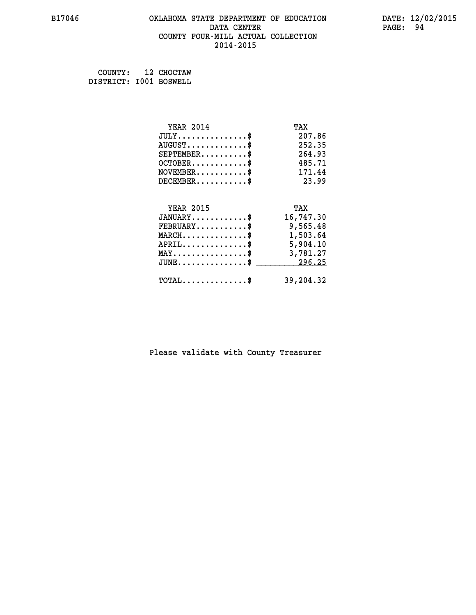## **B17046 OKLAHOMA STATE DEPARTMENT OF EDUCATION DATE: 12/02/2015 DATA CENTER** PAGE: 94  **COUNTY FOUR-MILL ACTUAL COLLECTION 2014-2015**

 **COUNTY: 12 CHOCTAW DISTRICT: I001 BOSWELL**

| <b>YEAR 2014</b>                                | TAX       |
|-------------------------------------------------|-----------|
| $JULY$ \$                                       | 207.86    |
| $AUGUST$ \$                                     | 252.35    |
| $SEPTEMBER$ \$                                  | 264.93    |
| $OCTOBER$ \$                                    | 485.71    |
| $NOVEMBER$ \$                                   | 171.44    |
| $DECEMBER$ \$                                   | 23.99     |
|                                                 |           |
| <b>YEAR 2015</b>                                | TAX       |
| $JANUARY$ \$                                    | 16,747.30 |
| $FEBRUARY$                                      | 9,565.48  |
| $MARCH$ \$                                      | 1,503.64  |
| $APRIL \ldots \ldots \ldots \ldots \$           | 5,904.10  |
| $\texttt{MAX} \dots \dots \dots \dots \dots \$$ | 3,781.27  |
| $JUNE$ \$                                       | 296.25    |
| $\texttt{TOTAL} \dots \dots \dots \dots$ \$     | 39,204.32 |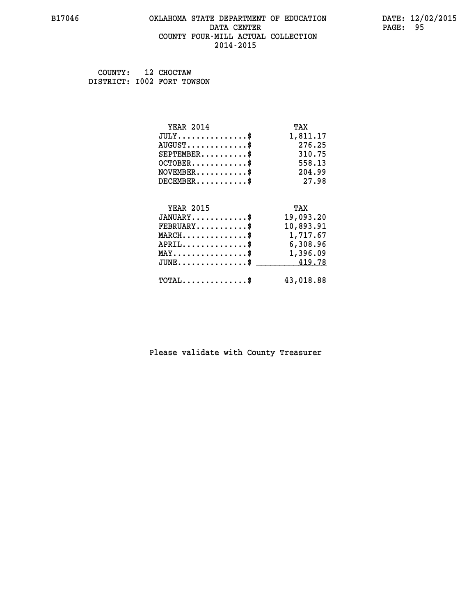#### **B17046 OKLAHOMA STATE DEPARTMENT OF EDUCATION DATE: 12/02/2015 DATA CENTER** PAGE: 95  **COUNTY FOUR-MILL ACTUAL COLLECTION 2014-2015**

 **COUNTY: 12 CHOCTAW DISTRICT: I002 FORT TOWSON**

| <b>YEAR 2014</b>                                 | TAX       |
|--------------------------------------------------|-----------|
| $JULY$ \$                                        | 1,811.17  |
| $AUGUST$ \$                                      | 276.25    |
| $SEPTEMBER$ \$                                   | 310.75    |
| $OCTOBER$ \$                                     | 558.13    |
| $\texttt{NOVEMBER} \dots \dots \dots \$          | 204.99    |
| $DECEMBER$ \$                                    | 27.98     |
|                                                  |           |
| <b>YEAR 2015</b>                                 | TAX       |
| $JANUARY$ \$                                     | 19,093.20 |
| $FEBRUARY$ \$                                    | 10,893.91 |
| $\texttt{MARCH}\ldots\ldots\ldots\ldots\text{*}$ | 1,717.67  |
| $APRIL \ldots \ldots \ldots \ldots *$            | 6,308.96  |
| $\texttt{MAX} \dots \dots \dots \dots \dots \$   | 1,396.09  |
| $\texttt{JUNE} \dots \dots \dots \dots \dots \$$ | 419.78    |
| $\texttt{TOTAL} \dots \dots \dots \dots \$       | 43,018.88 |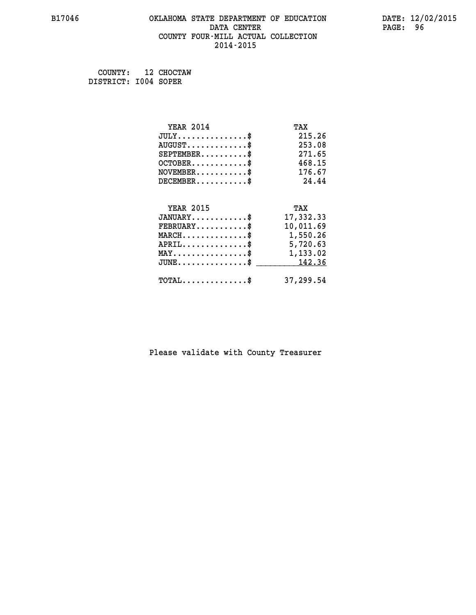## **B17046 OKLAHOMA STATE DEPARTMENT OF EDUCATION DATE: 12/02/2015 DATA CENTER** PAGE: 96  **COUNTY FOUR-MILL ACTUAL COLLECTION 2014-2015**

 **COUNTY: 12 CHOCTAW DISTRICT: I004 SOPER**

| <b>YEAR 2014</b>                                | TAX       |
|-------------------------------------------------|-----------|
| $JULY$ \$                                       | 215.26    |
| $AUGUST$ \$                                     | 253.08    |
| $SEPTEMENT.$ \$                                 | 271.65    |
| $OCTOBER$ \$                                    | 468.15    |
| $NOVEMBER$ \$                                   | 176.67    |
| $DECEMBER$ \$                                   | 24.44     |
|                                                 |           |
| <b>YEAR 2015</b>                                | TAX       |
| $JANUARY$ \$                                    | 17,332.33 |
| $FEBRUARY$ \$                                   | 10,011.69 |
| $MARCH$ \$                                      | 1,550.26  |
| $APRIL \ldots \ldots \ldots \ldots \$           | 5,720.63  |
| $\texttt{MAX} \dots \dots \dots \dots \dots \$$ | 1,133.02  |
| $JUNE \ldots \ldots \ldots \ldots \ast$         | 142.36    |
| $\texttt{TOTAL} \dots \dots \dots \dots \$      | 37,299.54 |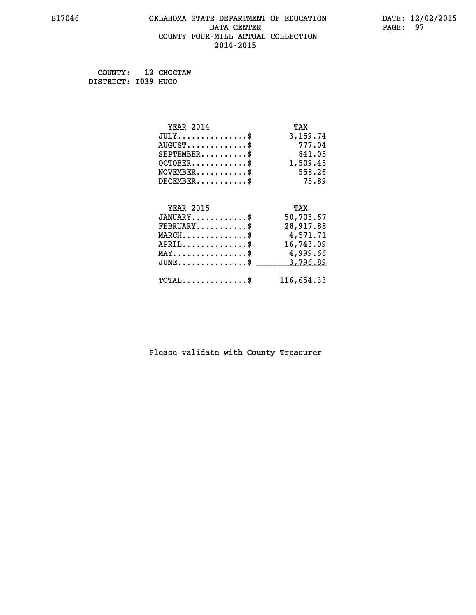## **B17046 OKLAHOMA STATE DEPARTMENT OF EDUCATION DATE: 12/02/2015 DATA CENTER** PAGE: 97  **COUNTY FOUR-MILL ACTUAL COLLECTION 2014-2015**

 **COUNTY: 12 CHOCTAW DISTRICT: I039 HUGO**

| <b>YEAR 2014</b>                               | TAX        |
|------------------------------------------------|------------|
| $JULY$ \$                                      | 3,159.74   |
| $AUGUST$ \$                                    | 777.04     |
| $SEPTEMBER$ \$                                 | 841.05     |
| $OCTOBER$ \$                                   | 1,509.45   |
| $NOVEMBER$ \$                                  | 558.26     |
| $DECEMBER$ \$                                  | 75.89      |
|                                                |            |
| <b>YEAR 2015</b>                               | TAX        |
| $JANUARY$ \$                                   | 50,703.67  |
| $FEBRUARY$                                     | 28,917.88  |
| $MARCH$ \$                                     | 4,571.71   |
| $APRIL$ \$                                     | 16,743.09  |
| $\texttt{MAX} \dots \dots \dots \dots \dots \$ | 4,999.66   |
| $JUNE$ \$                                      | 3,796.89   |
| $\texttt{TOTAL} \dots \dots \dots \dots \$     | 116,654.33 |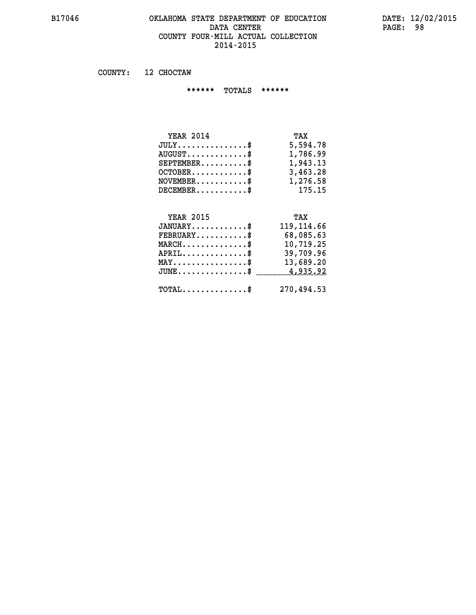#### **B17046 OKLAHOMA STATE DEPARTMENT OF EDUCATION DATE: 12/02/2015 DATA CENTER PAGE: 98 COUNTY FOUR-MILL ACTUAL COLLECTION 2014-2015**

 **COUNTY: 12 CHOCTAW**

 **\*\*\*\*\*\* TOTALS \*\*\*\*\*\***

| <b>YEAR 2014</b>                       | TAX      |
|----------------------------------------|----------|
| $JULY \ldots \ldots \ldots \mathbb{S}$ | 5,594.78 |
| $AUGUST$ $\frac{1}{2}$                 | 1,786.99 |
| $SEPTEMBER$                            | 1,943.13 |
| $OCTOBER$ $\frac{1}{2}$                | 3,463.28 |
| $NOVEMBER$ \$                          | 1,276.58 |
| $DECEMBER$ \$                          | 175.15   |

## **YEAR 2015 TAX JANUARY............\$ 119,114.66 FEBRUARY...........\$ 68,085.63 MARCH..............\$ 10,719.25 APRIL..............\$ 39,709.96 MAY................\$ 13,689.20 JUNE................\$** 4,935.92  **TOTAL..............\$ 270,494.53**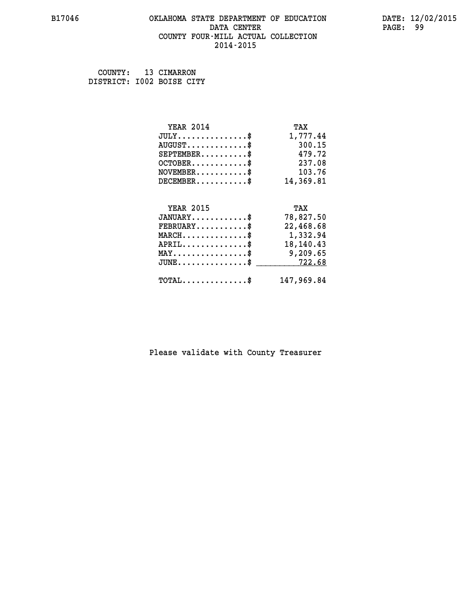#### **B17046 OKLAHOMA STATE DEPARTMENT OF EDUCATION DATE: 12/02/2015 DATA CENTER** PAGE: 99  **COUNTY FOUR-MILL ACTUAL COLLECTION 2014-2015**

 **COUNTY: 13 CIMARRON DISTRICT: I002 BOISE CITY**

| <b>YEAR 2014</b>                               | TAX        |
|------------------------------------------------|------------|
| $JULY$ \$                                      | 1,777.44   |
| $AUGUST$ \$                                    | 300.15     |
| $SEPTEMENT.$ \$                                | 479.72     |
| $OCTOBER$ \$                                   | 237.08     |
| $NOVEMBER$ \$                                  | 103.76     |
| $DECEMBER$ \$                                  | 14,369.81  |
|                                                |            |
| <b>YEAR 2015</b>                               | TAX        |
| $JANUARY$ \$                                   | 78,827.50  |
| $FEBRUARY$                                     | 22,468.68  |
| $MARCH$ \$                                     | 1,332.94   |
| $APRIL$ \$                                     | 18,140.43  |
| $\texttt{MAX} \dots \dots \dots \dots \dots \$ | 9,209.65   |
| $JUNE$ \$                                      | 722.68     |
| $\texttt{TOTAL} \dots \dots \dots \dots \$     | 147,969.84 |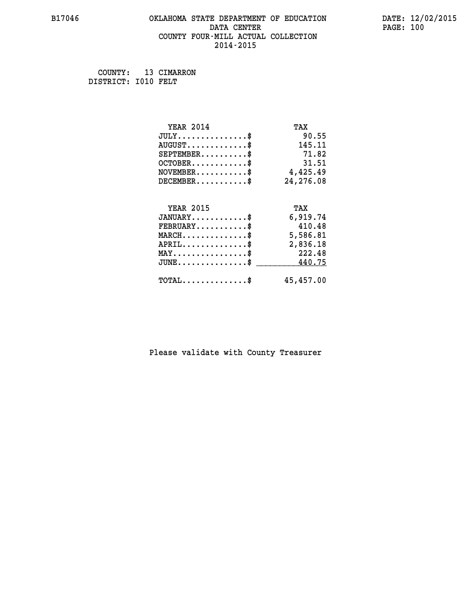## **B17046 OKLAHOMA STATE DEPARTMENT OF EDUCATION DATE: 12/02/2015 DATA CENTER** PAGE: 100  **COUNTY FOUR-MILL ACTUAL COLLECTION 2014-2015**

 **COUNTY: 13 CIMARRON DISTRICT: I010 FELT**

| <b>YEAR 2014</b>                           | TAX       |
|--------------------------------------------|-----------|
| $JULY$ \$                                  | 90.55     |
| $AUGUST$ \$                                | 145.11    |
| $SEPTEMENT.$ \$                            | 71.82     |
| $OCTOBER$ \$                               | 31.51     |
| $NOVEMBER.$ \$                             | 4,425.49  |
| $DECEMBER$ \$                              | 24,276.08 |
|                                            |           |
| <b>YEAR 2015</b>                           | TAX       |
| $JANUARY$ \$                               | 6,919.74  |
| $FEBRUARY$                                 | 410.48    |
| $MARCH$ \$                                 | 5,586.81  |
| $APRIL$ \$                                 | 2,836.18  |
| $MAX \dots \dots \dots \dots \$            | 222.48    |
| $JUNE$ \$                                  | 440.75    |
| $\texttt{TOTAL} \dots \dots \dots \dots \$ | 45,457.00 |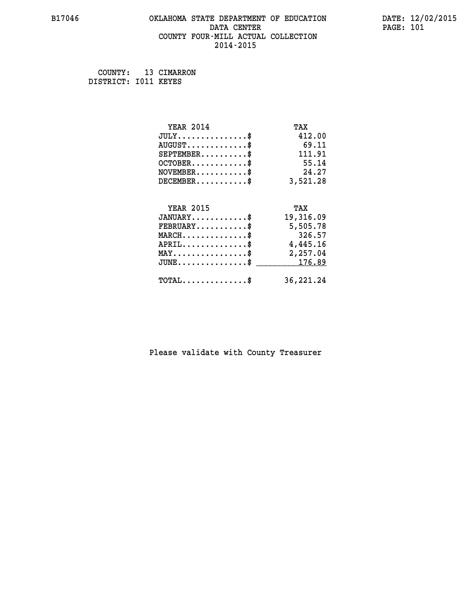## **B17046 OKLAHOMA STATE DEPARTMENT OF EDUCATION DATE: 12/02/2015 DATA CENTER** PAGE: 101  **COUNTY FOUR-MILL ACTUAL COLLECTION 2014-2015**

 **COUNTY: 13 CIMARRON DISTRICT: I011 KEYES**

| <b>YEAR 2014</b>                               | TAX       |
|------------------------------------------------|-----------|
| $JULY$ \$                                      | 412.00    |
| $AUGUST$ \$                                    | 69.11     |
| $SEPTEMBER$ \$                                 | 111.91    |
| $OCTOBER$ \$                                   | 55.14     |
| $NOVEMBER$ \$                                  | 24.27     |
| $DECEMBER$ \$                                  | 3,521.28  |
|                                                |           |
| <b>YEAR 2015</b>                               | TAX       |
| $JANUARY$ \$                                   | 19,316.09 |
| $FEBRUARY$                                     | 5,505.78  |
| $MARCH$ \$                                     | 326.57    |
| $APRIL$ \$                                     | 4,445.16  |
| $\texttt{MAX} \dots \dots \dots \dots \dots \$ | 2,257.04  |
| $J\texttt{UNE} \dots \dots \dots \dots \$      | 176.89    |
| $\texttt{TOTAL} \dots \dots \dots \dots \$     | 36,221.24 |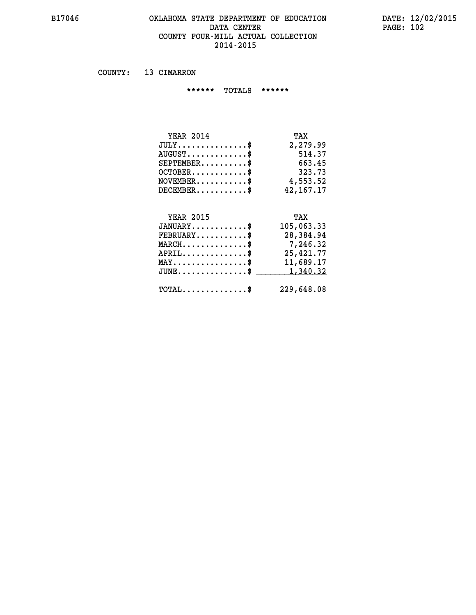#### **B17046 OKLAHOMA STATE DEPARTMENT OF EDUCATION DATE: 12/02/2015 DATA CENTER PAGE: 102 COUNTY FOUR-MILL ACTUAL COLLECTION 2014-2015**

 **COUNTY: 13 CIMARRON**

 **\*\*\*\*\*\* TOTALS \*\*\*\*\*\***

| <b>YEAR 2014</b>              | TAX       |
|-------------------------------|-----------|
| $JULY \ldots \ldots \ldots \$ | 2,279.99  |
| $AUGUST$                      | 514.37    |
| $SEPTEMBER$                   | 663.45    |
| $OCTOBER$                     | 323.73    |
| $NOVEMBER$ \$                 | 4,553.52  |
| $DECEMBER$ \$                 | 42,167.17 |

#### **YEAR 2015 TAX JANUARY............\$ 105,063.33 FEBRUARY...........\$ 28,384.94 MARCH..............\$ 7,246.32 APRIL..............\$ 25,421.77 MAY................\$ 11,689.17**

| JUNE\$ 1,340.32 |            |
|-----------------|------------|
| $TOTAL$ \$      | 229,648.08 |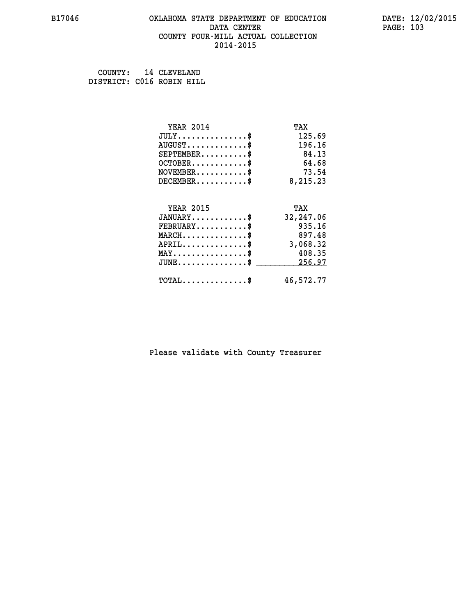#### **B17046 OKLAHOMA STATE DEPARTMENT OF EDUCATION DATE: 12/02/2015 DATA CENTER** PAGE: 103  **COUNTY FOUR-MILL ACTUAL COLLECTION 2014-2015**

 **COUNTY: 14 CLEVELAND DISTRICT: C016 ROBIN HILL**

| <b>YEAR 2014</b>                           | TAX       |
|--------------------------------------------|-----------|
| $JULY$ \$                                  | 125.69    |
| $AUGUST$ \$                                | 196.16    |
| $SEPTEMENT.$ \$                            | 84.13     |
| $OCTOBER$ \$                               | 64.68     |
| $NOVEMBER$ \$                              | 73.54     |
| $DECEMBER$ \$                              | 8,215.23  |
| <b>YEAR 2015</b>                           | TAX       |
| $JANUARY$ \$                               | 32,247.06 |
| $FEBRUARY$                                 | 935.16    |
| $MARCH$ \$                                 | 897.48    |
| $APRIL$ \$                                 | 3,068.32  |
| $MAX \dots \dots \dots \dots \dots$        | 408.35    |
| $JUNE$                                     | 256.97    |
| $\texttt{TOTAL} \dots \dots \dots \dots \$ | 46,572.77 |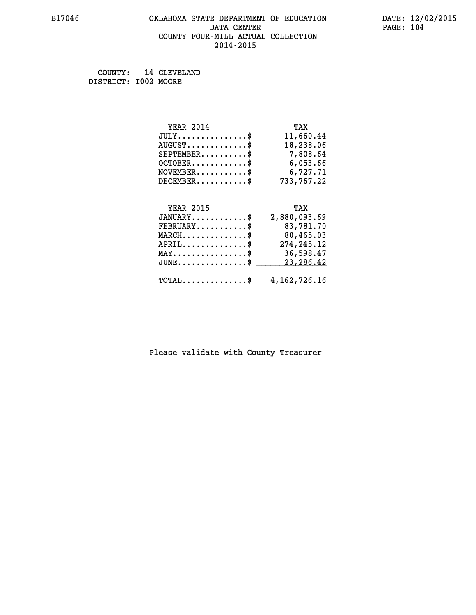## **B17046 OKLAHOMA STATE DEPARTMENT OF EDUCATION DATE: 12/02/2015 DATA CENTER PAGE: 104 COUNTY FOUR-MILL ACTUAL COLLECTION 2014-2015**

 **COUNTY: 14 CLEVELAND DISTRICT: I002 MOORE**

| <b>YEAR 2014</b>                    | TAX          |
|-------------------------------------|--------------|
| $JULY \ldots \ldots \ldots \bullet$ | 11,660.44    |
| $AUGUST$ \$                         | 18,238.06    |
| $SEPTEMBER$ \$                      | 7,808.64     |
| $OCTOBER$ \$                        | 6,053.66     |
| $NOVEMBER$ \$                       | 6,727.71     |
| $DECEMBER$ \$                       | 733,767.22   |
| <b>YEAR 2015</b>                    | TAX          |
| $JANUARY$                           | 2,880,093.69 |

| $JANUARY$ \$                                              | 2,880,093.69 |
|-----------------------------------------------------------|--------------|
| $\texttt{FEBRUARY} \dots \dots \dots \$                   | 83,781.70    |
| $MARCH$ \$                                                | 80,465.03    |
| $APRIL$                                                   | 274,245.12   |
| $\texttt{MAX} \dots \dots \dots \dots \dots \text{*}$     | 36,598.47    |
| $JUNE \dots \dots \dots \dots \$ 23,286.42                |              |
| $\texttt{TOTAL} \dots \dots \dots \dots \$ 4, 162, 726.16 |              |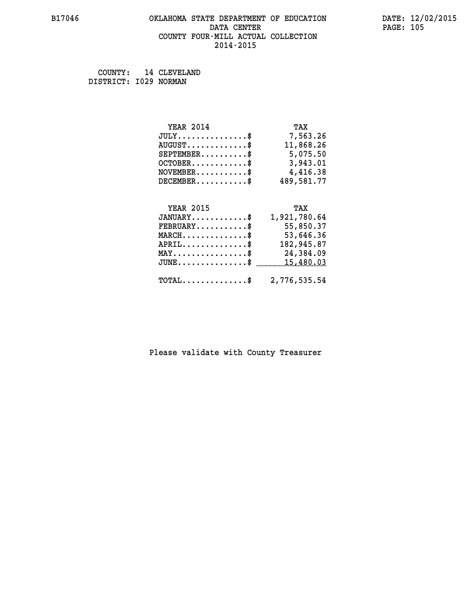## **B17046 OKLAHOMA STATE DEPARTMENT OF EDUCATION DATE: 12/02/2015** DATA CENTER PAGE: 105  **COUNTY FOUR-MILL ACTUAL COLLECTION 2014-2015**

 **COUNTY: 14 CLEVELAND DISTRICT: I029 NORMAN**

| <b>YEAR 2014</b> | TAX        |
|------------------|------------|
| $JULY$ \$        | 7,563.26   |
| $AUGUST$ \$      | 11,868.26  |
| $SEPTEMENT.$ \$  | 5,075.50   |
| $OCTOBER$ \$     | 3,943.01   |
| $NOVEMBER$ \$    | 4,416.38   |
| $DECEMBER$ \$    | 489,581.77 |
|                  |            |
| <b>YEAR 2015</b> | TAX        |

| $JANUARY$ $\$\$                                         | 1,921,780.64 |
|---------------------------------------------------------|--------------|
| $\texttt{FEBRUARY} \dots \dots \dots \$                 | 55,850.37    |
| $\texttt{MARCH} \dots \dots \dots \dots \text{*}$       | 53,646.36    |
| $APRIL$ \$                                              | 182,945.87   |
| $\texttt{MAX} \dots \dots \dots \dots \dots \text{*}$   | 24,384.09    |
| $JUNE \ldots \ldots \ldots \ldots$ \$ 15,480.03         |              |
|                                                         |              |
| $\texttt{TOTAL} \dots \dots \dots \dots \$ 2,776,535.54 |              |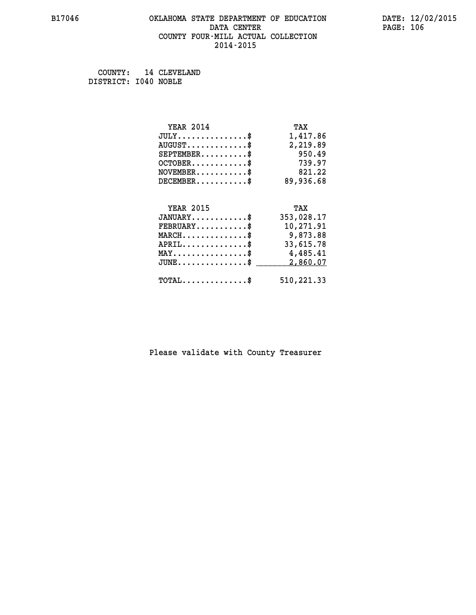## **B17046 OKLAHOMA STATE DEPARTMENT OF EDUCATION DATE: 12/02/2015 DATA CENTER** PAGE: 106  **COUNTY FOUR-MILL ACTUAL COLLECTION 2014-2015**

 **COUNTY: 14 CLEVELAND DISTRICT: I040 NOBLE**

| <b>YEAR 2014</b>                                | TAX        |
|-------------------------------------------------|------------|
| $JULY$ \$                                       | 1,417.86   |
| $AUGUST$ \$                                     | 2,219.89   |
| $SEPTEMBER$ \$                                  | 950.49     |
| $OCTOBER$ \$                                    | 739.97     |
| $NOVEMBER$ \$                                   | 821.22     |
| $DECEMBER$ \$                                   | 89,936.68  |
|                                                 |            |
| <b>YEAR 2015</b>                                | TAX        |
| $JANUARY$ \$                                    | 353,028.17 |
| $FEBRUARY$                                      | 10,271.91  |
| $MARCH$ \$                                      | 9,873.88   |
| $APRIL$ \$                                      | 33,615.78  |
| $\texttt{MAX} \dots \dots \dots \dots \text{*}$ | 4,485.41   |
| $JUNE$ $\text{\$}$                              | 2,860.07   |
| $\texttt{TOTAL} \dots \dots \dots \dots \$      | 510,221.33 |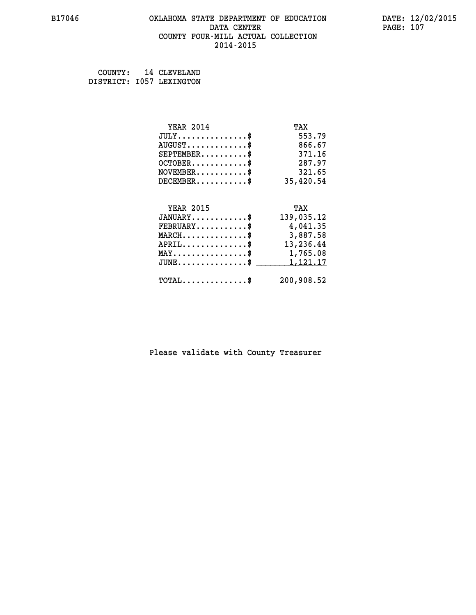#### **B17046 OKLAHOMA STATE DEPARTMENT OF EDUCATION DATE: 12/02/2015 DATA CENTER** PAGE: 107  **COUNTY FOUR-MILL ACTUAL COLLECTION 2014-2015**

 **COUNTY: 14 CLEVELAND DISTRICT: I057 LEXINGTON**

| <b>YEAR 2014</b>                                 | TAX        |
|--------------------------------------------------|------------|
| $JULY$ \$                                        | 553.79     |
| $AUGUST$ \$                                      | 866.67     |
| $SEPTEMBER$ \$                                   | 371.16     |
| $OCTOBER$ \$                                     | 287.97     |
| $\texttt{NOVEMBER} \dots \dots \dots \$          | 321.65     |
| $DECEMBER$ \$                                    | 35,420.54  |
|                                                  |            |
| <b>YEAR 2015</b>                                 | TAX        |
| $JANUARY$                                        | 139,035.12 |
| $FEBRUARY$                                       | 4,041.35   |
| $\texttt{MARCH}\ldots\ldots\ldots\ldots\text{*}$ | 3,887.58   |
| $APRIL \ldots \ldots \ldots \ldots \$            | 13,236.44  |
| MAY\$ 1,765.08                                   |            |
| $\texttt{JUNE} \dots \dots \dots \dots \dots \$$ | 1,121.17   |
| $\texttt{TOTAL} \dots \dots \dots \dots$ \$      | 200,908.52 |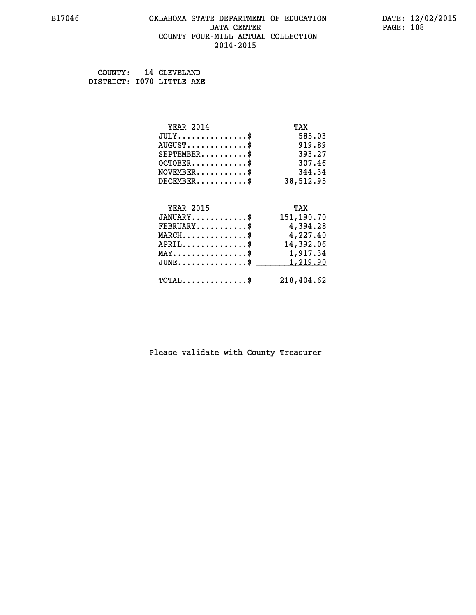#### **B17046 OKLAHOMA STATE DEPARTMENT OF EDUCATION DATE: 12/02/2015 DATA CENTER** PAGE: 108  **COUNTY FOUR-MILL ACTUAL COLLECTION 2014-2015**

 **COUNTY: 14 CLEVELAND DISTRICT: I070 LITTLE AXE**

| <b>YEAR 2014</b>                        | TAX        |
|-----------------------------------------|------------|
| $JULY$ \$                               | 585.03     |
| $AUGUST$ \$                             | 919.89     |
| $SEPTEMBER$ \$                          | 393.27     |
| $OCTOBER$ \$                            | 307.46     |
| $\texttt{NOVEMBER} \dots \dots \dots \$ | 344.34     |
| $DECEMBER$ \$                           | 38,512.95  |
|                                         |            |
| <b>YEAR 2015</b>                        | TAX        |
| $JANUARY$ \$                            | 151,190.70 |
|                                         |            |
| $FEBRUARY$                              | 4,394.28   |
| $MARCH$ \$                              | 4,227.40   |
| $APRIL.$ \$                             | 14,392.06  |
| MAY\$ 1,917.34                          |            |
| $JUNE$ \$                               | 1,219.90   |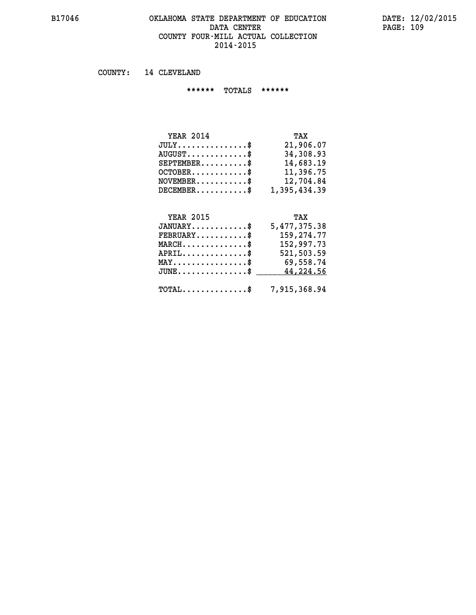#### **B17046 OKLAHOMA STATE DEPARTMENT OF EDUCATION DATE: 12/02/2015 DATA CENTER** PAGE: 109  **COUNTY FOUR-MILL ACTUAL COLLECTION 2014-2015**

 **COUNTY: 14 CLEVELAND**

 **\*\*\*\*\*\* TOTALS \*\*\*\*\*\***

| <b>YEAR 2014</b>                          | TAX          |
|-------------------------------------------|--------------|
| $JULY$                                    | 21,906.07    |
| $\text{AUGUST} \dots \dots \dots \dots \$ | 34,308.93    |
| $SEPTEMENT.$ $\$                          | 14,683.19    |
| $OCTOBER$ $\frac{1}{2}$                   | 11,396.75    |
| $NOVEMBER.$ \$                            | 12,704.84    |
| $DECEMBER$ \$                             | 1,395,434.39 |

## **YEAR 2015 TAX**

| $JANUARY$ \$                                   | 5,477,375.38                                            |
|------------------------------------------------|---------------------------------------------------------|
| $\texttt{FEBRUARY} \dots \dots \dots \$        | 159,274.77                                              |
| $MARCH$ \$                                     | 152,997.73                                              |
| $APRIL$ \$                                     | 521,503.59                                              |
| $\texttt{MAX} \dots \dots \dots \dots \dots \$ | 69,558.74                                               |
|                                                | JUNE\$ 44,224.56                                        |
|                                                | $\texttt{TOTAL} \dots \dots \dots \dots \$ 7,915,368.94 |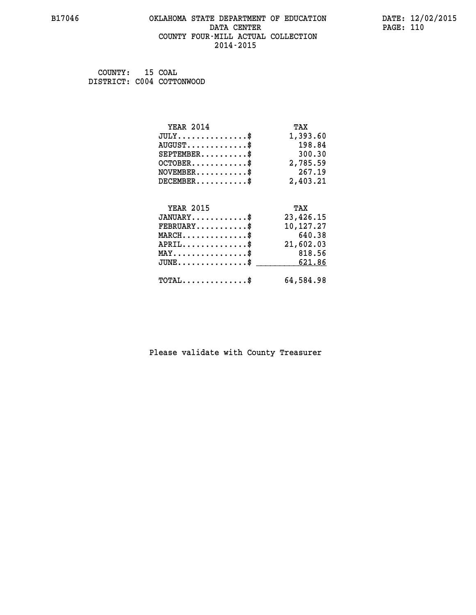#### **B17046 OKLAHOMA STATE DEPARTMENT OF EDUCATION DATE: 12/02/2015 DATA CENTER** PAGE: 110  **COUNTY FOUR-MILL ACTUAL COLLECTION 2014-2015**

 **COUNTY: 15 COAL DISTRICT: C004 COTTONWOOD**

| <b>YEAR 2014</b>                           | TAX       |
|--------------------------------------------|-----------|
| $JULY$ \$                                  | 1,393.60  |
| $AUGUST$ \$                                | 198.84    |
| $SEPTEMBER$ \$                             | 300.30    |
| $OCTOBER$ \$                               | 2,785.59  |
| $NOVEMBER$ \$                              | 267.19    |
| $DECEMENT.$                                | 2,403.21  |
| <b>YEAR 2015</b>                           | TAX       |
| $JANUARY$ \$                               | 23,426.15 |
| $FEBRUARY$ \$                              | 10,127.27 |
| $MARCH$ \$                                 | 640.38    |
| $APRIL$ \$                                 | 21,602.03 |
| $MAX \dots \dots \dots \dots \dots$        | 818.56    |
| $JUNE$ \$                                  | 621.86    |
| $\texttt{TOTAL} \dots \dots \dots \dots \$ | 64,584.98 |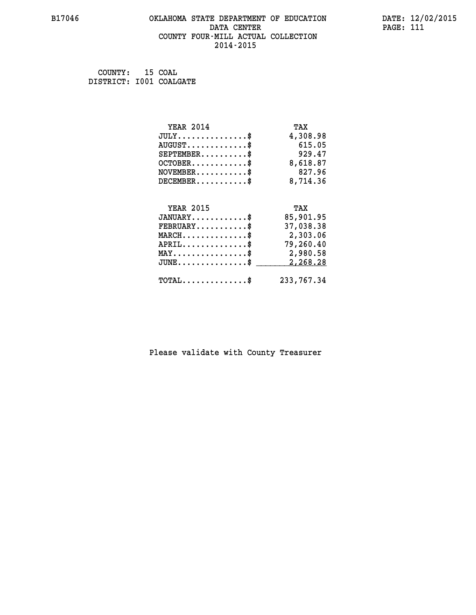#### **B17046 OKLAHOMA STATE DEPARTMENT OF EDUCATION DATE: 12/02/2015 DATA CENTER** PAGE: 111  **COUNTY FOUR-MILL ACTUAL COLLECTION 2014-2015**

 **COUNTY: 15 COAL DISTRICT: I001 COALGATE**

| <b>YEAR 2014</b>                               | TAX        |
|------------------------------------------------|------------|
| $JULY$ \$                                      | 4,308.98   |
| $AUGUST$ \$                                    | 615.05     |
| $SEPTEMBER$ \$                                 | 929.47     |
| $OCTOBER$ \$                                   | 8,618.87   |
| $NOVEMBER$ \$                                  | 827.96     |
| $DECEMBER$ \$                                  | 8,714.36   |
|                                                |            |
| <b>YEAR 2015</b>                               | TAX        |
| $JANUARY$ \$                                   | 85,901.95  |
| $FEBRUARY$                                     | 37,038.38  |
| $MARCH$ \$                                     | 2,303.06   |
| $APRIL$ \$                                     | 79,260.40  |
| $\texttt{MAX} \dots \dots \dots \dots \dots \$ | 2,980.58   |
| $JUNE$ \$                                      | 2,268.28   |
| $\texttt{TOTAL} \dots \dots \dots \dots \$     | 233,767.34 |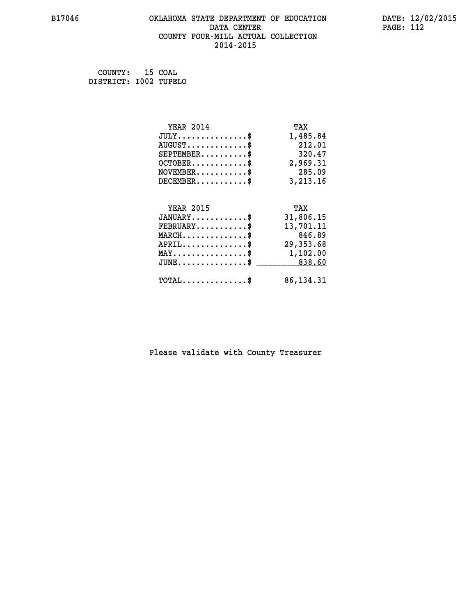## **B17046 OKLAHOMA STATE DEPARTMENT OF EDUCATION DATE: 12/02/2015 DATA CENTER** PAGE: 112  **COUNTY FOUR-MILL ACTUAL COLLECTION 2014-2015**

 **COUNTY: 15 COAL DISTRICT: I002 TUPELO**

| <b>YEAR 2014</b>                                 | TAX         |
|--------------------------------------------------|-------------|
| $JULY$ \$                                        | 1,485.84    |
| $AUGUST$ \$                                      | 212.01      |
| $SEPTEMBER$ \$                                   | 320.47      |
| $OCTOBER$ \$                                     | 2,969.31    |
| $NOVEMBER$ \$                                    | 285.09      |
| $DECEMBER$ \$                                    | 3,213.16    |
|                                                  |             |
| <b>YEAR 2015</b>                                 | TAX         |
| $JANUARY$ \$                                     | 31,806.15   |
| $FEBRUARY$                                       | 13,701.11   |
| $MARCH$ \$                                       | 846.89      |
| $APRIL$ \$                                       | 29,353.68   |
| $\texttt{MAX} \dots \dots \dots \dots \text{*}$  | 1,102.00    |
| $\texttt{JUNE} \dots \dots \dots \dots \dots \$$ | 838.60      |
| $\texttt{TOTAL} \dots \dots \dots \dots \$       | 86, 134. 31 |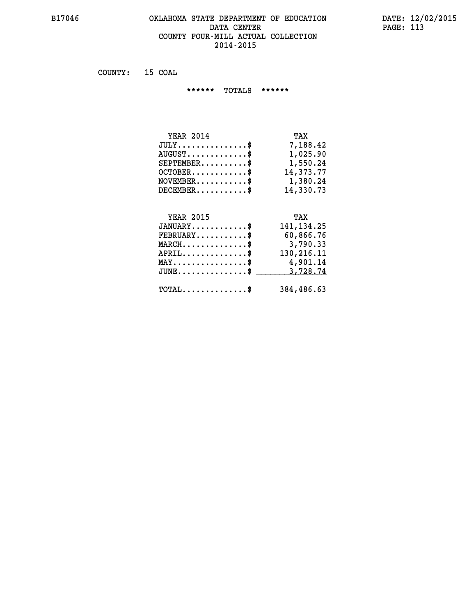#### **B17046 OKLAHOMA STATE DEPARTMENT OF EDUCATION DATE: 12/02/2015 DATA CENTER PAGE: 113 COUNTY FOUR-MILL ACTUAL COLLECTION 2014-2015**

 **COUNTY: 15 COAL**

 **\*\*\*\*\*\* TOTALS \*\*\*\*\*\***

| TAX       |
|-----------|
| 7,188.42  |
| 1,025.90  |
| 1,550.24  |
| 14,373.77 |
| 1,380.24  |
| 14,330.73 |
|           |

# **YEAR 2015 TAX JANUARY............\$ 141,134.25 FEBRUARY...........\$ 60,866.76 MARCH..............\$ 3,790.33 APRIL..............\$ 130,216.11 MAY................\$ 4,901.14 JUNE...............\$ 3,728.74 \_\_\_\_\_\_\_\_\_\_\_\_\_\_\_ TOTAL..............\$ 384,486.63**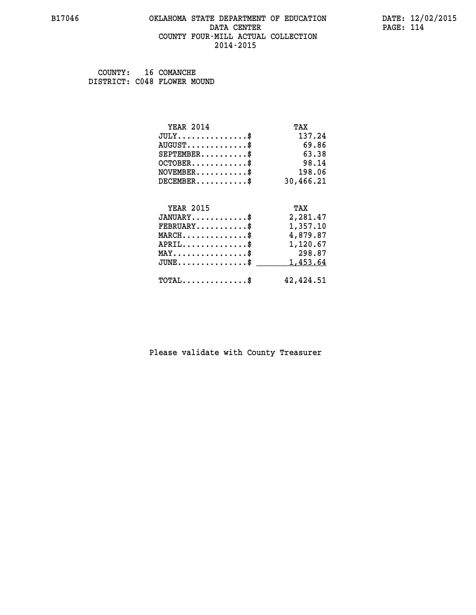#### **B17046 OKLAHOMA STATE DEPARTMENT OF EDUCATION DATE: 12/02/2015 DATA CENTER** PAGE: 114  **COUNTY FOUR-MILL ACTUAL COLLECTION 2014-2015**

 **COUNTY: 16 COMANCHE DISTRICT: C048 FLOWER MOUND**

| <b>YEAR 2014</b>                           | TAX       |
|--------------------------------------------|-----------|
| $JULY$ \$                                  | 137.24    |
| $AUGUST$ \$                                | 69.86     |
| $SEPTEMBER$ \$                             | 63.38     |
| $OCTOBER$ \$                               | 98.14     |
| $NOVEMBER$ \$                              | 198.06    |
| $DECEMBER$ \$                              | 30,466.21 |
|                                            |           |
| <b>YEAR 2015</b>                           | TAX       |
| $JANUARY$ \$                               | 2,281.47  |
| $FEBRUARY$                                 | 1,357.10  |
| $MARCH$ \$                                 | 4,879.87  |
| $APRIL$ \$                                 | 1,120.67  |
| $MAX \dots \dots \dots \dots \dots$        | 298.87    |
| $JUNE$                                     | 1,453.64  |
| $\texttt{TOTAL} \dots \dots \dots \dots \$ | 42,424.51 |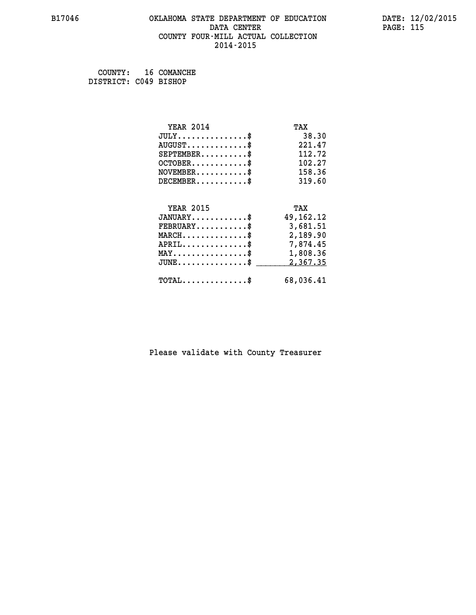#### **B17046 OKLAHOMA STATE DEPARTMENT OF EDUCATION DATE: 12/02/2015 DATA CENTER** PAGE: 115  **COUNTY FOUR-MILL ACTUAL COLLECTION 2014-2015**

 **COUNTY: 16 COMANCHE DISTRICT: C049 BISHOP**

| <b>YEAR 2014</b>                                 | TAX         |
|--------------------------------------------------|-------------|
| $JULY$ \$                                        | 38.30       |
| $AUGUST$ \$                                      | 221.47      |
| $SEPTEMBER$ \$                                   | 112.72      |
| $OCTOBER$ \$                                     | 102.27      |
| $\texttt{NOVEMBER} \dots \dots \dots \$          | 158.36      |
| $DECEMBER$ \$                                    | 319.60      |
|                                                  |             |
| <b>YEAR 2015</b>                                 | TAX         |
| $JANUARY$ \$                                     | 49, 162. 12 |
| $FEBRUARY$ \$                                    | 3,681.51    |
| $\texttt{MARCH}\ldots\ldots\ldots\ldots\text{*}$ | 2,189.90    |
| $APRIL \ldots \ldots \ldots \ldots \$            | 7,874.45    |
| $\texttt{MAX} \dots \dots \dots \dots \dots \$   | 1,808.36    |
| $\texttt{JUNE} \dots \dots \dots \dots \dots \$$ | 2,367.35    |
| $\texttt{TOTAL} \dots \dots \dots \dots \$       | 68,036.41   |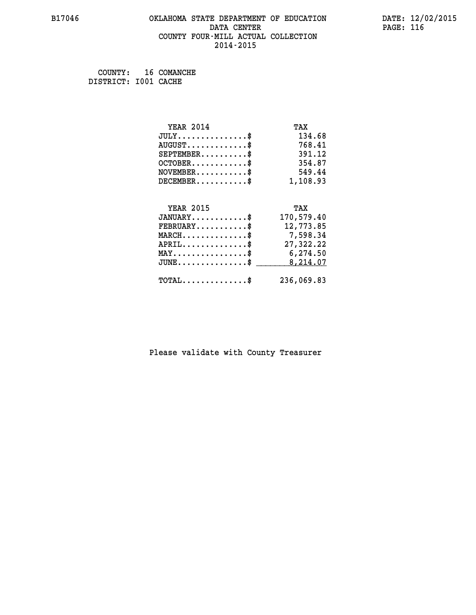#### **B17046 OKLAHOMA STATE DEPARTMENT OF EDUCATION DATE: 12/02/2015 DATA CENTER** PAGE: 116  **COUNTY FOUR-MILL ACTUAL COLLECTION 2014-2015**

 **COUNTY: 16 COMANCHE DISTRICT: I001 CACHE**

| <b>YEAR 2014</b>                           | TAX        |
|--------------------------------------------|------------|
| $JULY$ \$                                  | 134.68     |
| $AUGUST$ \$                                | 768.41     |
| $SEPTEMENT.$ \$                            | 391.12     |
| $OCTOBER$ \$                               | 354.87     |
| $\texttt{NOVEMBER} \dots \dots \dots \$    | 549.44     |
| $DECEMBER$ \$                              | 1,108.93   |
|                                            |            |
| <b>YEAR 2015</b>                           | TAX        |
| $JANUARY$ \$                               | 170,579.40 |
| $FEBRUARY$                                 | 12,773.85  |
| $MARCH$ \$                                 | 7,598.34   |
| $APRIL$ \$                                 | 27,322.22  |
| MAY\$ 6,274.50                             |            |
| $JUNE$ \$                                  | 8,214.07   |
| $\texttt{TOTAL} \dots \dots \dots \dots \$ | 236,069.83 |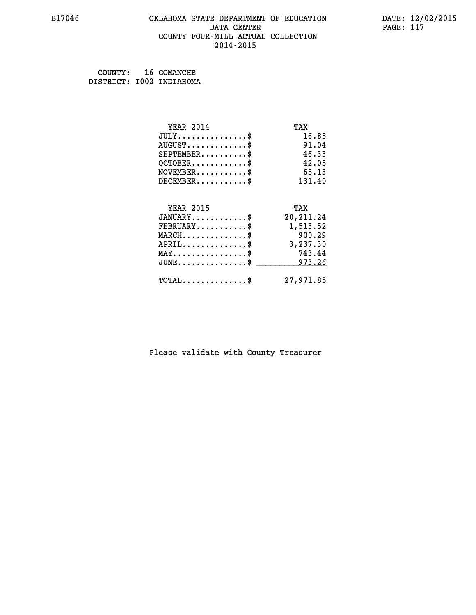#### **B17046 OKLAHOMA STATE DEPARTMENT OF EDUCATION DATE: 12/02/2015 DATA CENTER** PAGE: 117  **COUNTY FOUR-MILL ACTUAL COLLECTION 2014-2015**

| COUNTY: | 16 COMANCHE              |
|---------|--------------------------|
|         | DISTRICT: I002 INDIAHOMA |

| <b>YEAR 2014</b>                | TAX        |
|---------------------------------|------------|
| $JULY$ \$                       | 16.85      |
| $AUGUST$ \$                     | 91.04      |
| $SEPTEMENT.$ \$                 | 46.33      |
| $OCTOBER$ \$                    | 42.05      |
| $NOVEMBER$ \$                   | 65.13      |
| $DECEMBER$ \$                   | 131.40     |
|                                 |            |
| <b>YEAR 2015</b>                | TAX        |
| $JANUARY$ \$                    | 20, 211.24 |
| $FEBRUARY$                      | 1,513.52   |
| $MARCH$ \$                      | 900.29     |
| $APRIL$ \$                      | 3,237.30   |
| $MAX \dots \dots \dots \dots \$ | 743.44     |
| $JUNE$ \$                       | 973.26     |
| $TOTAL$ \$                      | 27,971.85  |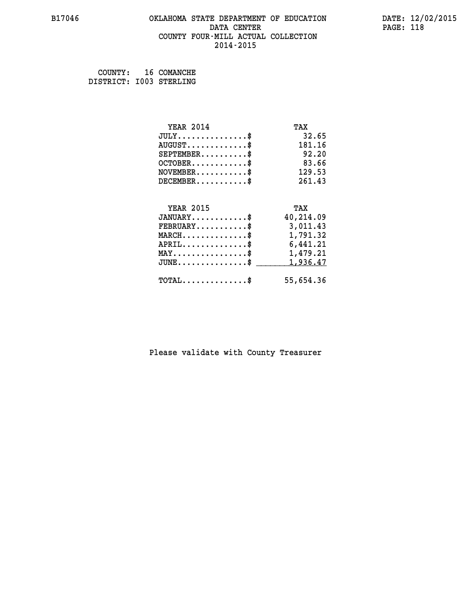#### **B17046 OKLAHOMA STATE DEPARTMENT OF EDUCATION DATE: 12/02/2015 DATA CENTER** PAGE: 118  **COUNTY FOUR-MILL ACTUAL COLLECTION 2014-2015**

 **COUNTY: 16 COMANCHE DISTRICT: I003 STERLING**

| <b>YEAR 2014</b>                                 | TAX       |
|--------------------------------------------------|-----------|
| $JULY$ \$                                        | 32.65     |
| $AUGUST$ \$                                      | 181.16    |
| $SEPTEMBER$ \$                                   | 92.20     |
| $OCTOBER$ \$                                     | 83.66     |
| $\texttt{NOVEMBER} \dots \dots \dots \$          | 129.53    |
| $DECEMBER$ \$                                    | 261.43    |
|                                                  |           |
| <b>YEAR 2015</b>                                 | TAX       |
| $JANUARY$ \$                                     | 40,214.09 |
| $FEBRUARY$                                       | 3,011.43  |
| $MARCH$ \$                                       | 1,791.32  |
| $APRIL \ldots \ldots \ldots \ldots \$            | 6,441.21  |
| $\texttt{MAX} \dots \dots \dots \dots \dots \$   | 1,479.21  |
| $\texttt{JUNE} \dots \dots \dots \dots \dots \$$ | 1,936.47  |
| $\texttt{TOTAL} \dots \dots \dots \dots$ \$      | 55,654.36 |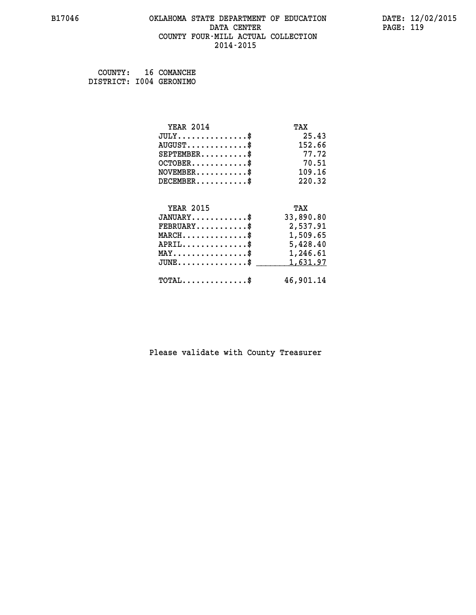#### **B17046 OKLAHOMA STATE DEPARTMENT OF EDUCATION DATE: 12/02/2015 DATA CENTER** PAGE: 119  **COUNTY FOUR-MILL ACTUAL COLLECTION 2014-2015**

 **COUNTY: 16 COMANCHE DISTRICT: I004 GERONIMO**

| <b>YEAR 2014</b>                               | TAX       |
|------------------------------------------------|-----------|
| $JULY$ \$                                      | 25.43     |
| $AUGUST$ \$                                    | 152.66    |
| $SEPTEMENT.$ $\frac{1}{2}$                     | 77.72     |
| $OCTOBER$ \$                                   | 70.51     |
| $NOVEMBER$ \$                                  | 109.16    |
| $DECEMBER$ \$                                  | 220.32    |
| <b>YEAR 2015</b>                               | TAX       |
| $JANUARY$ \$                                   | 33,890.80 |
| $FEBRUARY$ \$                                  | 2,537.91  |
| $MARCH$ \$                                     | 1,509.65  |
| $APRIL$                                        | 5,428.40  |
| $\texttt{MAX} \dots \dots \dots \dots \dots \$ | 1,246.61  |
| $JUNE$ \$                                      | 1,631.97  |
| $\texttt{TOTAL} \dots \dots \dots \dots \$     | 46,901.14 |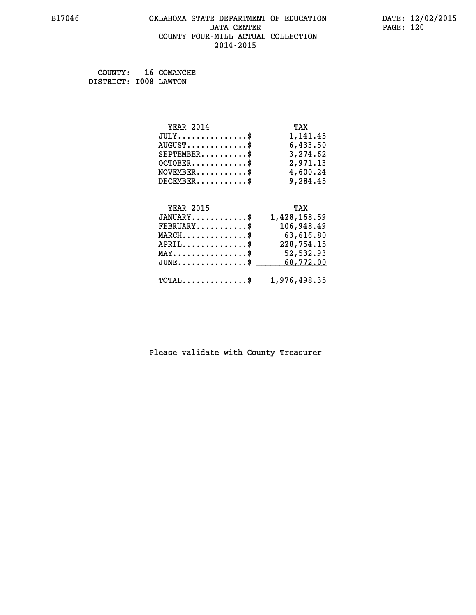## **B17046 OKLAHOMA STATE DEPARTMENT OF EDUCATION DATE: 12/02/2015 DATA CENTER** PAGE: 120  **COUNTY FOUR-MILL ACTUAL COLLECTION 2014-2015**

 **COUNTY: 16 COMANCHE DISTRICT: I008 LAWTON**

| <b>YEAR 2014</b>                            | TAX               |
|---------------------------------------------|-------------------|
| $JULY$ \$                                   | 1,141.45          |
| $\texttt{AUGUST} \dots \dots \dots \dots \$ | 6,433.50          |
| $SEPTEMBER$ \$                              | 3,274.62          |
| $OCTOBER$ \$                                | 2,971.13          |
| $NOVEMBER.$ \$                              | 4,600.24          |
| $DECEMBER$ \$                               | 9,284.45          |
| <b>YEAR 2015</b>                            | TAX               |
| $JANUARY$ \$                                | 1,428,168.59      |
| ים גזזם ססי                                 | 1 N G A Q A Q A Q |

| 106,948.49 | $\texttt{FEBRUARY} \dots \dots \dots \$                 |
|------------|---------------------------------------------------------|
|            |                                                         |
| 63,616.80  | $MARCH$ \$                                              |
| 228,754.15 | $APRIL$ \$                                              |
| 52,532.93  | $MAX \dots \dots \dots \dots \dots \$                   |
|            | $JUNE \dots \dots \dots \dots \$ 68,772.00              |
|            | $\texttt{TOTAL} \dots \dots \dots \dots \$ 1,976,498.35 |
|            |                                                         |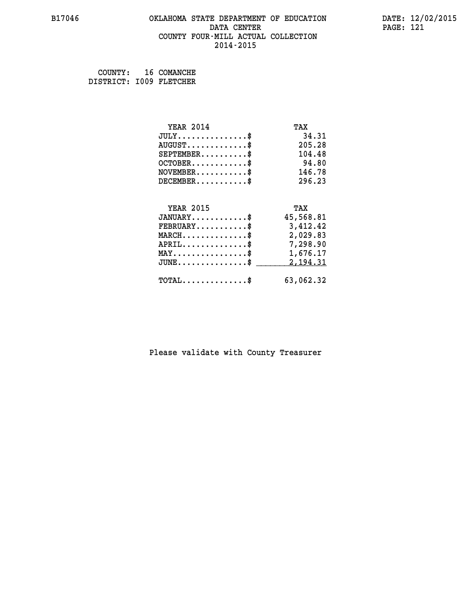#### **B17046 OKLAHOMA STATE DEPARTMENT OF EDUCATION DATE: 12/02/2015 DATA CENTER** PAGE: 121  **COUNTY FOUR-MILL ACTUAL COLLECTION 2014-2015**

 **COUNTY: 16 COMANCHE DISTRICT: I009 FLETCHER**

| <b>YEAR 2014</b>                                                          | TAX       |
|---------------------------------------------------------------------------|-----------|
| $JULY$ \$                                                                 | 34.31     |
| $AUGUST$ \$                                                               | 205.28    |
| $SEPTEMBER$ \$                                                            | 104.48    |
| $OCTOBER$ \$                                                              | 94.80     |
| $\verb NOVEMBER , \verb , \verb , \verb , \verb , \verb , \verb , \verb $ | 146.78    |
| $DECEMBER$ \$                                                             | 296.23    |
|                                                                           |           |
| <b>YEAR 2015</b>                                                          | TAX       |
| $JANUARY$                                                                 | 45,568.81 |
| $\texttt{FEBRUARY} \dots \dots \dots \$                                   | 3,412.42  |
| $\texttt{MARCH}\ldots\ldots\ldots\ldots\text{*}$                          | 2,029.83  |
| $APRIL \ldots \ldots \ldots \ldots \$                                     | 7,298.90  |
| MAY\$ 1,676.17                                                            |           |
| $\texttt{JUNE} \dots \dots \dots \dots \dots \$$                          | 2,194.31  |
| $\texttt{TOTAL} \dots \dots \dots \dots \$                                | 63,062.32 |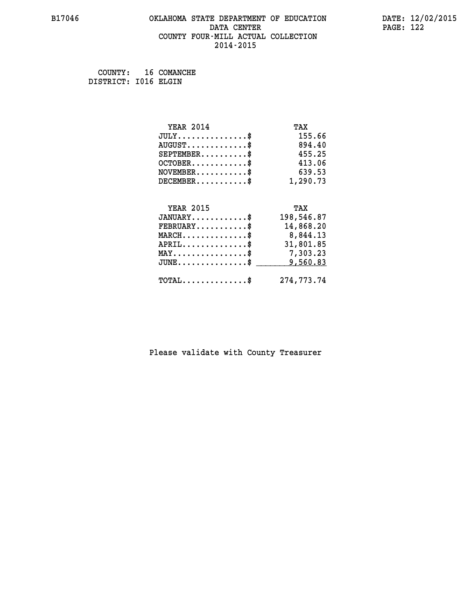#### **B17046 OKLAHOMA STATE DEPARTMENT OF EDUCATION DATE: 12/02/2015 DATA CENTER** PAGE: 122  **COUNTY FOUR-MILL ACTUAL COLLECTION 2014-2015**

 **COUNTY: 16 COMANCHE DISTRICT: I016 ELGIN**

| <b>YEAR 2014</b>                           | TAX        |
|--------------------------------------------|------------|
| $JULY$ \$                                  | 155.66     |
| $AUGUST$ \$                                | 894.40     |
| $SEPTEMENT.$ \$                            | 455.25     |
| $OCTOBER$ \$                               | 413.06     |
| $NOVEMBER$ \$                              | 639.53     |
| $DECEMBER$ \$                              | 1,290.73   |
|                                            |            |
| <b>YEAR 2015</b>                           | TAX        |
| $JANUARY$ \$                               | 198,546.87 |
| $FEBRUARY$ \$                              | 14,868.20  |
| $MARCH$ \$                                 | 8,844.13   |
| $APRIL$ \$                                 | 31,801.85  |
| MAY\$ 7,303.23                             |            |
| $JUNE$ \$                                  | 9,560.83   |
| $\texttt{TOTAL} \dots \dots \dots \dots \$ | 274,773.74 |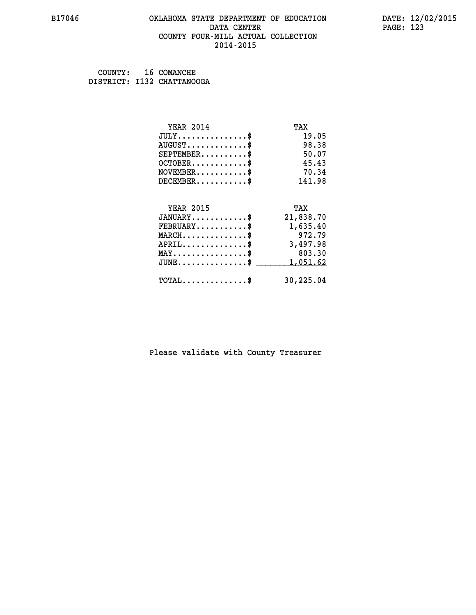#### **B17046 OKLAHOMA STATE DEPARTMENT OF EDUCATION DATE: 12/02/2015 DATA CENTER** PAGE: 123  **COUNTY FOUR-MILL ACTUAL COLLECTION 2014-2015**

 **COUNTY: 16 COMANCHE DISTRICT: I132 CHATTANOOGA**

| <b>YEAR 2014</b>                           | TAX       |
|--------------------------------------------|-----------|
| $JULY$ \$                                  | 19.05     |
| $AUGUST$ \$                                | 98.38     |
| $SEPTEMBER$ \$                             | 50.07     |
| $OCTOBER$ \$                               | 45.43     |
| $NOVEMBER$ \$                              | 70.34     |
| $DECEMBER$ \$                              | 141.98    |
|                                            |           |
| <b>YEAR 2015</b>                           | TAX       |
| $JANUARY$ \$                               | 21,838.70 |
| $FEBRUARY$                                 | 1,635.40  |
| $MARCH$ \$                                 | 972.79    |
| $APRIL$ \$                                 | 3,497.98  |
| $MAX \dots \dots \dots \dots \dots$        | 803.30    |
| $JUNE$ \$                                  | 1,051.62  |
| $\texttt{TOTAL} \dots \dots \dots \dots \$ | 30,225.04 |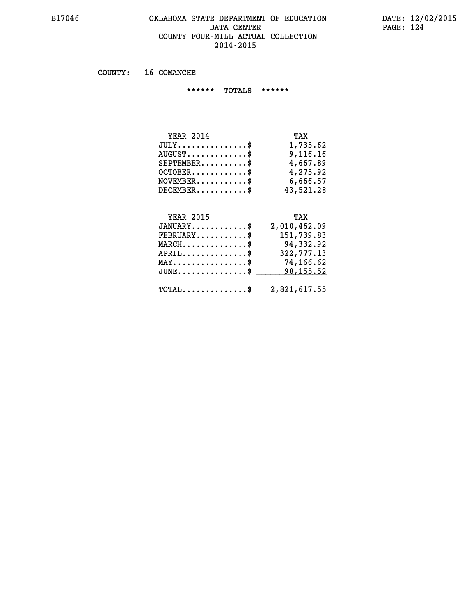#### **B17046 OKLAHOMA STATE DEPARTMENT OF EDUCATION DATE: 12/02/2015 DATA CENTER** PAGE: 124  **COUNTY FOUR-MILL ACTUAL COLLECTION 2014-2015**

 **COUNTY: 16 COMANCHE**

 **\*\*\*\*\*\* TOTALS \*\*\*\*\*\***

| <b>YEAR 2014</b> | TAX       |
|------------------|-----------|
| $JULY$           | 1,735.62  |
| $AUGUST$ $\$\$   | 9,116,16  |
| $SEPTEMBER$ $\$  | 4,667.89  |
| $OCTOBER$        | 4,275.92  |
| $NOVEMBER$ \$    | 6,666.57  |
| $DECEMBER$ \$    | 43,521.28 |

## **YEAR 2015**

| <b>YEAR 2015</b>                               | TAX          |
|------------------------------------------------|--------------|
| $JANUARY$ \$                                   | 2,010,462.09 |
| $FEBRUARY$ \$                                  | 151,739.83   |
| $\texttt{MARCH} \dots \dots \dots \dots \$     | 94,332.92    |
| $APRIL$ \$                                     | 322,777.13   |
| $\texttt{MAX} \dots \dots \dots \dots \dots \$ | 74,166.62    |
| JUNE\$ 98,155.52                               |              |
| $\texttt{TOTAL} \dots \dots \dots \dots \dots$ | 2,821,617.55 |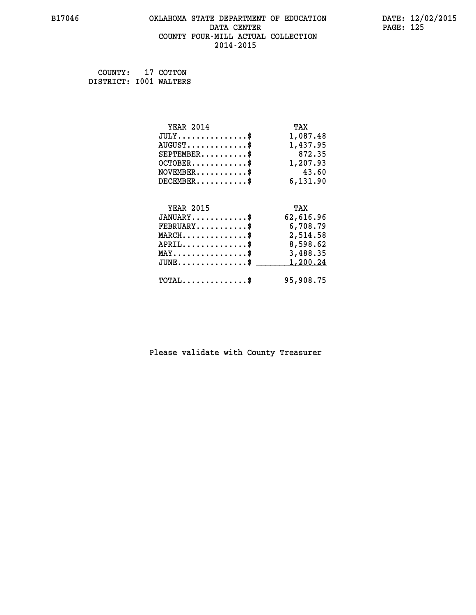#### **B17046 OKLAHOMA STATE DEPARTMENT OF EDUCATION DATE: 12/02/2015 DATA CENTER** PAGE: 125  **COUNTY FOUR-MILL ACTUAL COLLECTION 2014-2015**

 **COUNTY: 17 COTTON DISTRICT: I001 WALTERS**

| <b>YEAR 2014</b>                               | TAX       |
|------------------------------------------------|-----------|
| $JULY$ \$                                      | 1,087.48  |
| $AUGUST$ \$                                    | 1,437.95  |
| $SEPTEMBER$ \$                                 | 872.35    |
| $OCTOBER$ \$                                   | 1,207.93  |
| $NOVEMBER$ \$                                  | 43.60     |
| $DECEMBER$ \$                                  | 6,131.90  |
|                                                |           |
| <b>YEAR 2015</b>                               | TAX       |
| $JANUARY$                                      | 62,616.96 |
| $FEBRUARY$                                     | 6,708.79  |
| $MARCH$ \$                                     | 2,514.58  |
| $APRIL$ \$                                     | 8,598.62  |
| $\texttt{MAX} \dots \dots \dots \dots \dots \$ | 3,488.35  |
| $JUNE$ \$                                      | 1,200.24  |
| $\texttt{TOTAL} \dots \dots \dots \dots \$     | 95,908.75 |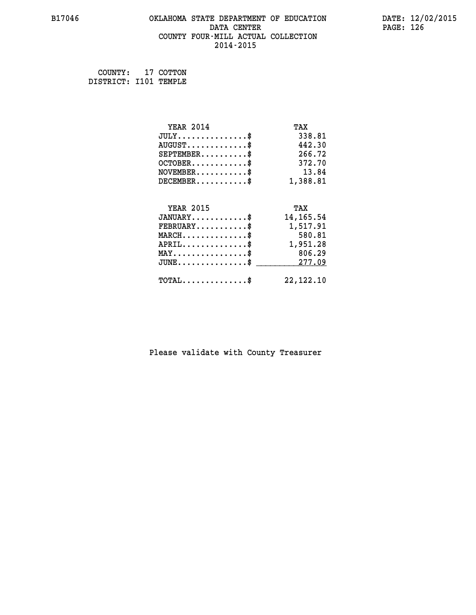#### **B17046 OKLAHOMA STATE DEPARTMENT OF EDUCATION DATE: 12/02/2015 DATA CENTER** PAGE: 126  **COUNTY FOUR-MILL ACTUAL COLLECTION 2014-2015**

 **COUNTY: 17 COTTON DISTRICT: I101 TEMPLE**

| <b>YEAR 2014</b>                    | TAX         |
|-------------------------------------|-------------|
| $JULY$ \$                           | 338.81      |
| $AUGUST$ \$                         | 442.30      |
| $SEPTEMBER$ \$                      | 266.72      |
| $OCTOBER$ \$                        | 372.70      |
| $NOVEMBER$ \$                       | 13.84       |
| $DECEMBER$ \$                       | 1,388.81    |
|                                     |             |
| <b>YEAR 2015</b>                    | TAX         |
| $JANUARY$ \$                        | 14, 165. 54 |
| $FEBRUARY$                          | 1,517.91    |
| $MARCH$ \$                          | 580.81      |
| $APRIL$ \$                          | 1,951.28    |
| $MAX \dots \dots \dots \dots \dots$ | 806.29      |
| $JUNE$ \$                           | 277.09      |
| $TOTAL$ \$                          | 22, 122. 10 |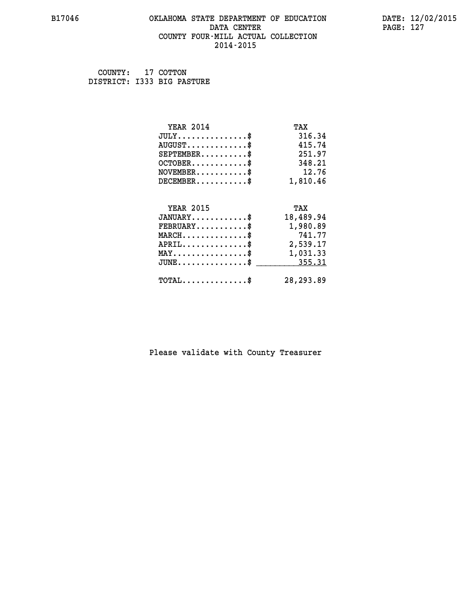#### **B17046 OKLAHOMA STATE DEPARTMENT OF EDUCATION DATE: 12/02/2015 DATA CENTER** PAGE: 127  **COUNTY FOUR-MILL ACTUAL COLLECTION 2014-2015**

 **COUNTY: 17 COTTON DISTRICT: I333 BIG PASTURE**

| <b>YEAR 2014</b>                               | TAX        |
|------------------------------------------------|------------|
| $JULY$ \$                                      | 316.34     |
| $AUGUST$ \$                                    | 415.74     |
| $SEPTEMBER$ \$                                 | 251.97     |
| $OCTOBER$ \$                                   | 348.21     |
| $NOVEMBER$ \$                                  | 12.76      |
| $DECEMBER$ \$                                  | 1,810.46   |
| <b>YEAR 2015</b>                               | TAX        |
| $JANUARY$ \$                                   | 18,489.94  |
|                                                |            |
| $FEBRUARY$                                     | 1,980.89   |
| $MARCH$ \$                                     | 741.77     |
| $APRIL$ \$                                     | 2,539.17   |
| $\texttt{MAX} \dots \dots \dots \dots \dots \$ | 1,031.33   |
| $JUNE$ \$                                      | 355.31     |
| $\texttt{TOTAL} \dots \dots \dots \dots$ \$    | 28, 293.89 |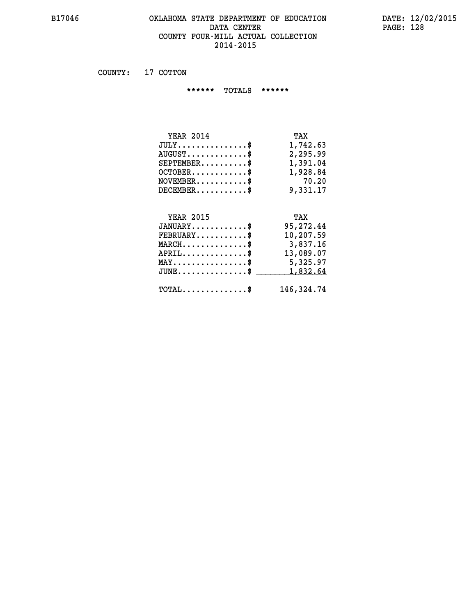#### **B17046 OKLAHOMA STATE DEPARTMENT OF EDUCATION DATE: 12/02/2015 DATA CENTER** PAGE: 128  **COUNTY FOUR-MILL ACTUAL COLLECTION 2014-2015**

 **COUNTY: 17 COTTON**

 **\*\*\*\*\*\* TOTALS \*\*\*\*\*\***

| <b>YEAR 2014</b>                   | TAX      |
|------------------------------------|----------|
| $JULY \ldots \ldots \ldots \ldots$ | 1,742.63 |
| $AUGUST$ \$                        | 2,295.99 |
| $SEPTEMBER$ \$                     | 1,391.04 |
| $OCTOBER$ \$                       | 1,928.84 |
| $NOVEMBER$ \$                      | 70.20    |
| $DECEMBER$ \$                      | 9,331.17 |
|                                    |          |

# **YEAR 2015 TAX JANUARY............\$ 95,272.44 FEBRUARY...........\$ 10,207.59 MARCH..............\$ 3,837.16 APRIL..............\$ 13,089.07 MAY................\$ 5,325.97 JUNE................\$** 1,832.64

 **TOTAL..............\$ 146,324.74**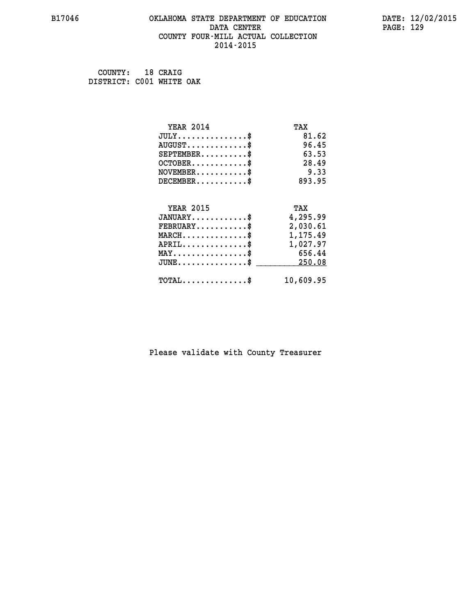#### **B17046 OKLAHOMA STATE DEPARTMENT OF EDUCATION DATE: 12/02/2015 DATA CENTER** PAGE: 129  **COUNTY FOUR-MILL ACTUAL COLLECTION 2014-2015**

 **COUNTY: 18 CRAIG DISTRICT: C001 WHITE OAK**

| <b>YEAR 2014</b>                            | TAX       |
|---------------------------------------------|-----------|
| $JULY$ \$                                   | 81.62     |
| $AUGUST$ \$                                 | 96.45     |
| $SEPTEMENT.$ \$                             | 63.53     |
| $OCTOBER$ \$                                | 28.49     |
| $NOVEMBER$ \$                               | 9.33      |
| $DECEMBER$ \$                               | 893.95    |
|                                             |           |
| <b>YEAR 2015</b>                            | TAX       |
| $JANUARY$                                   | 4,295.99  |
| $FEBRUARY$                                  | 2,030.61  |
| $MARCH$ \$                                  | 1,175.49  |
| $APRIL$ \$                                  | 1,027.97  |
| $MAX \dots \dots \dots \dots \dots$         | 656.44    |
| $JUNE$ \$                                   | 250.08    |
| $\texttt{TOTAL} \dots \dots \dots \dots$ \$ | 10,609.95 |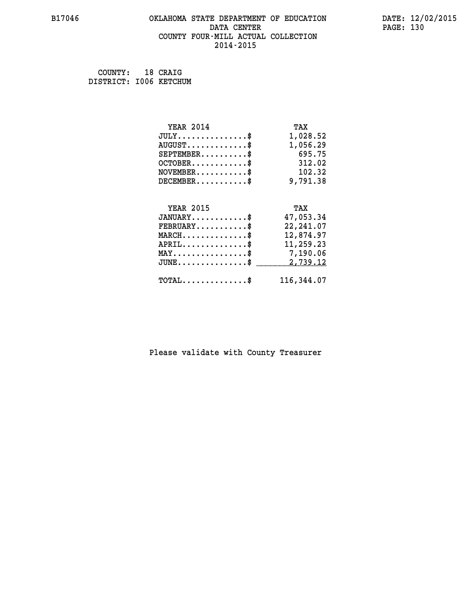#### **B17046 OKLAHOMA STATE DEPARTMENT OF EDUCATION DATE: 12/02/2015 DATA CENTER** PAGE: 130  **COUNTY FOUR-MILL ACTUAL COLLECTION 2014-2015**

| COUNTY:                | 18 CRAIG |
|------------------------|----------|
| DISTRICT: 1006 KETCHUM |          |

| <b>YEAR 2014</b>                           | TAX         |
|--------------------------------------------|-------------|
| $JULY$ \$                                  | 1,028.52    |
| $AUGUST$ \$                                | 1,056.29    |
| $SEPTEMBER$ \$                             | 695.75      |
| $OCTOBER$ \$                               | 312.02      |
| $NOVEMBER$ \$                              | 102.32      |
| $DECEMBER$ \$                              | 9,791.38    |
|                                            |             |
| <b>YEAR 2015</b>                           | TAX         |
| $JANUARY$ \$                               | 47,053.34   |
| $FEBRUARY$ \$                              | 22, 241, 07 |
| $MARCH$ \$                                 | 12,874.97   |
| $APRIL \ldots \ldots \ldots \ldots$        | 11,259.23   |
| MAY\$ 7,190.06                             |             |
| $JUNE$ \$                                  | 2,739.12    |
| $\texttt{TOTAL} \dots \dots \dots \dots \$ | 116,344.07  |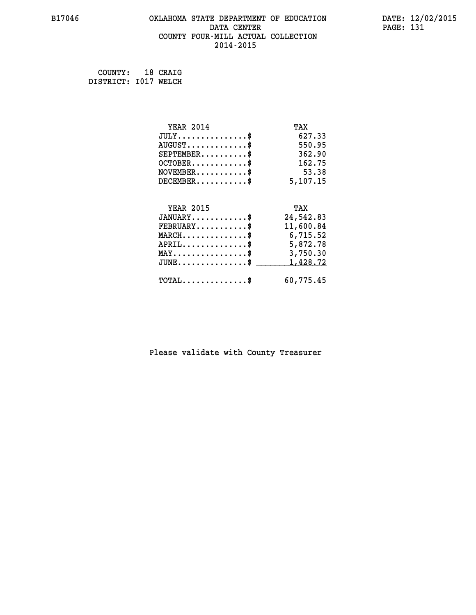## **B17046 OKLAHOMA STATE DEPARTMENT OF EDUCATION DATE: 12/02/2015 DATA CENTER** PAGE: 131  **COUNTY FOUR-MILL ACTUAL COLLECTION 2014-2015**

 **COUNTY: 18 CRAIG DISTRICT: I017 WELCH**

| <b>YEAR 2014</b>                               | TAX       |
|------------------------------------------------|-----------|
| $JULY$ \$                                      | 627.33    |
| $AUGUST$ \$                                    | 550.95    |
| $SEPTEMENT.$ \$                                | 362.90    |
| $OCTOBER$ \$                                   | 162.75    |
| $\texttt{NOVEMBER} \dots \dots \dots \$        | 53.38     |
| $DECEMBER$ \$                                  | 5,107.15  |
|                                                |           |
| <b>YEAR 2015</b>                               | TAX       |
| $JANUARY$ \$                                   | 24,542.83 |
| $FEBRUARY$                                     | 11,600.84 |
| $MARCH$ \$                                     | 6,715.52  |
| $APRIL \ldots \ldots \ldots \ldots \$          | 5,872.78  |
| $\texttt{MAX} \dots \dots \dots \dots \dots \$ | 3,750.30  |
| $JUNE$ \$                                      | 1,428.72  |
| $\texttt{TOTAL} \dots \dots \dots \dots \$     | 60,775.45 |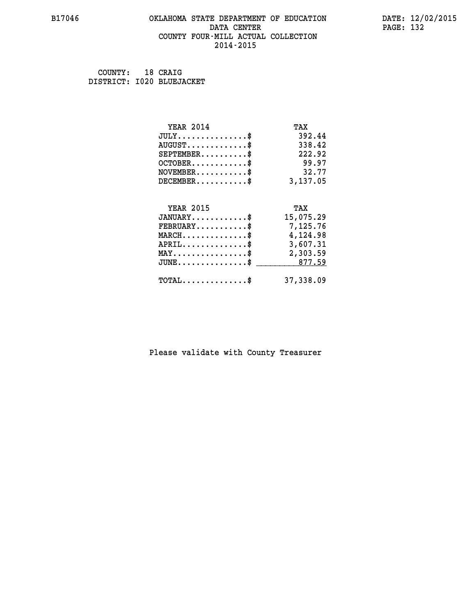#### **B17046 OKLAHOMA STATE DEPARTMENT OF EDUCATION DATE: 12/02/2015 DATA CENTER** PAGE: 132  **COUNTY FOUR-MILL ACTUAL COLLECTION 2014-2015**

 **COUNTY: 18 CRAIG DISTRICT: I020 BLUEJACKET**

| <b>YEAR 2014</b>                                                                                                              | TAX       |
|-------------------------------------------------------------------------------------------------------------------------------|-----------|
| $JULY$ \$                                                                                                                     | 392.44    |
| $AUGUST$ \$                                                                                                                   | 338.42    |
| $SEPTEMENT.$ \$                                                                                                               | 222.92    |
| $OCTOBER$ \$                                                                                                                  | 99.97     |
| $NOVEMBER$ \$                                                                                                                 | 32.77     |
| $DECEMBER$ \$                                                                                                                 | 3,137.05  |
|                                                                                                                               |           |
| <b>YEAR 2015</b>                                                                                                              | TAX       |
| $JANUARY$ \$                                                                                                                  | 15,075.29 |
| $FEBRUARY$                                                                                                                    | 7,125.76  |
| $\texttt{MARCH}\ldots\ldots\ldots\ldots\overset{\hspace{0.1em}\mathsf{\scriptscriptstyle\$}}{\mathsf{\scriptscriptstyle\$}}}$ | 4,124.98  |
| $APRIL$ \$                                                                                                                    | 3,607.31  |
| $\texttt{MAX} \dots \dots \dots \dots \dots \$                                                                                | 2,303.59  |
| $\texttt{JUNE} \dots \dots \dots \dots \dots \$$                                                                              | 877.59    |
| $\texttt{TOTAL} \dots \dots \dots \dots$                                                                                      | 37,338.09 |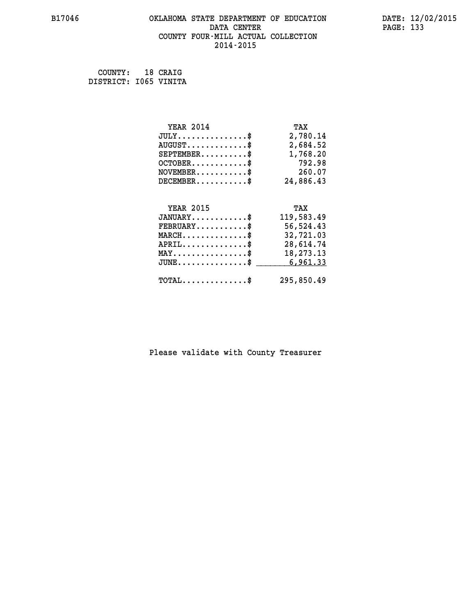#### **B17046 OKLAHOMA STATE DEPARTMENT OF EDUCATION DATE: 12/02/2015 DATA CENTER** PAGE: 133  **COUNTY FOUR-MILL ACTUAL COLLECTION 2014-2015**

 **COUNTY: 18 CRAIG DISTRICT: I065 VINITA**

| <b>YEAR 2014</b>                                | TAX        |
|-------------------------------------------------|------------|
| $JULY$ \$                                       | 2,780.14   |
| $AUGUST$ \$                                     | 2,684.52   |
| $SEPTEMENT.$ \$                                 | 1,768.20   |
| $OCTOBER$ \$                                    | 792.98     |
| $NOVEMBER.$ \$                                  | 260.07     |
| $DECEMBER$ \$                                   | 24,886.43  |
|                                                 |            |
| <b>YEAR 2015</b>                                | TAX        |
| $JANUARY$ \$                                    | 119,583.49 |
| $FEBRUARY$                                      | 56,524.43  |
| $MARCH$ \$                                      | 32,721.03  |
| $APRIL$ \$                                      | 28,614.74  |
| $\texttt{MAX} \dots \dots \dots \dots \dots$ \$ | 18,273.13  |
| $JUNE$ \$                                       | 6,961.33   |
| $\texttt{TOTAL} \dots \dots \dots \dots \$      | 295,850.49 |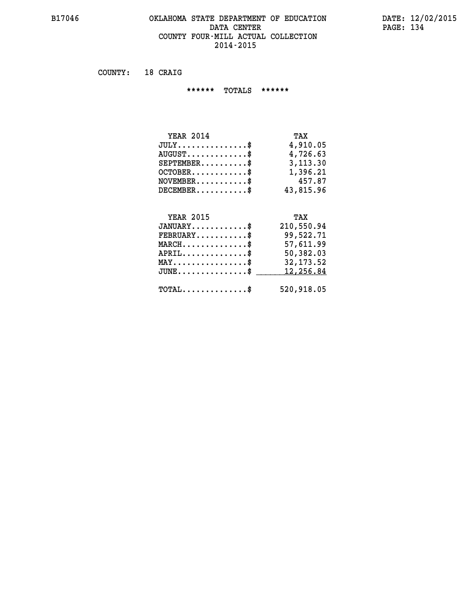#### **B17046 OKLAHOMA STATE DEPARTMENT OF EDUCATION DATE: 12/02/2015 DATA CENTER PAGE: 134 COUNTY FOUR-MILL ACTUAL COLLECTION 2014-2015**

 **COUNTY: 18 CRAIG**

 **\*\*\*\*\*\* TOTALS \*\*\*\*\*\***

| <b>YEAR 2014</b>        | TAX       |
|-------------------------|-----------|
| $JULY$                  | 4,910.05  |
| $AUGUST$ $\frac{1}{2}$  | 4,726.63  |
| $SEPTEMBER$ \$          | 3,113.30  |
| $OCTOBER$ $\frac{1}{2}$ | 1,396.21  |
| $NOVEMBER$ \$           | 457.87    |
| DECEMBER\$              | 43,815,96 |

# **YEAR 2015 TAX JANUARY............\$ 210,550.94 FEBRUARY...........\$ 99,522.71 MARCH..............\$ 57,611.99 APRIL..............\$ 50,382.03 MAY................\$ 32,173.52** JUNE..............\$ <u>12,256.84</u>  **TOTAL..............\$ 520,918.05**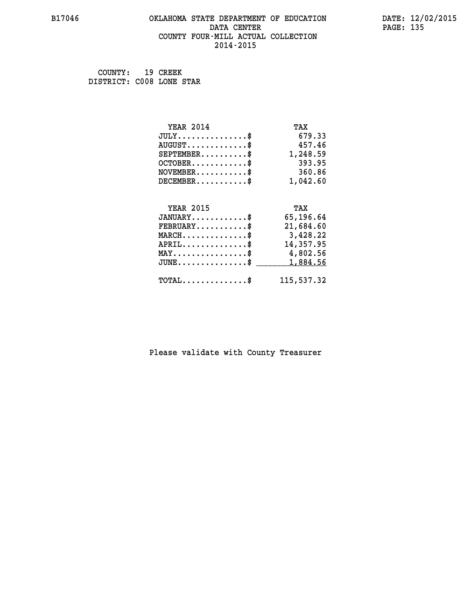#### **B17046 OKLAHOMA STATE DEPARTMENT OF EDUCATION DATE: 12/02/2015 DATA CENTER** PAGE: 135  **COUNTY FOUR-MILL ACTUAL COLLECTION 2014-2015**

 **COUNTY: 19 CREEK DISTRICT: C008 LONE STAR**

| <b>YEAR 2014</b>                               | TAX        |
|------------------------------------------------|------------|
| $JULY$ \$                                      | 679.33     |
| $AUGUST$ \$                                    | 457.46     |
| $SEPTEMBER$                                    | 1,248.59   |
| $OCTOBER$ \$                                   | 393.95     |
| $NOVEMBER$ \$                                  | 360.86     |
| $DECEMBER$ \$                                  | 1,042.60   |
|                                                |            |
| <b>YEAR 2015</b>                               | TAX        |
| $JANUARY$ \$                                   | 65,196.64  |
| $FEBRUARY$                                     | 21,684.60  |
| $MARCH$ \$                                     | 3,428.22   |
| $APRIL$ \$                                     | 14,357.95  |
| $\texttt{MAX} \dots \dots \dots \dots \dots \$ | 4,802.56   |
| $JUNE$ \$                                      | 1,884.56   |
| $\texttt{TOTAL} \dots \dots \dots \dots \$     | 115,537.32 |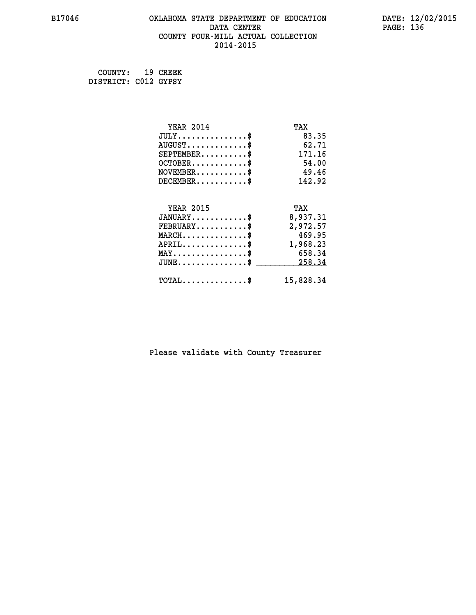## **B17046 OKLAHOMA STATE DEPARTMENT OF EDUCATION DATE: 12/02/2015 DATA CENTER** PAGE: 136  **COUNTY FOUR-MILL ACTUAL COLLECTION 2014-2015**

 **COUNTY: 19 CREEK DISTRICT: C012 GYPSY**

| <b>YEAR 2014</b>                           | TAX       |
|--------------------------------------------|-----------|
| $JULY$ \$                                  | 83.35     |
| $AUGUST$ \$                                | 62.71     |
| $SEPTEMENT.$ \$                            | 171.16    |
| $OCTOBER$ \$                               | 54.00     |
| $NOVEMBER$ \$                              | 49.46     |
| $DECEMBER$ \$                              | 142.92    |
|                                            |           |
| <b>YEAR 2015</b>                           | TAX       |
| $JANUARY$                                  | 8,937.31  |
| $FEBRUARY$                                 | 2,972.57  |
| $MARCH$ \$                                 | 469.95    |
| $APRIL \ldots \ldots \ldots \ldots$        | 1,968.23  |
| $MAX \dots \dots \dots \dots \dots$        | 658.34    |
| $JUNE$ \$                                  | 258.34    |
| $\texttt{TOTAL} \dots \dots \dots \dots \$ | 15,828.34 |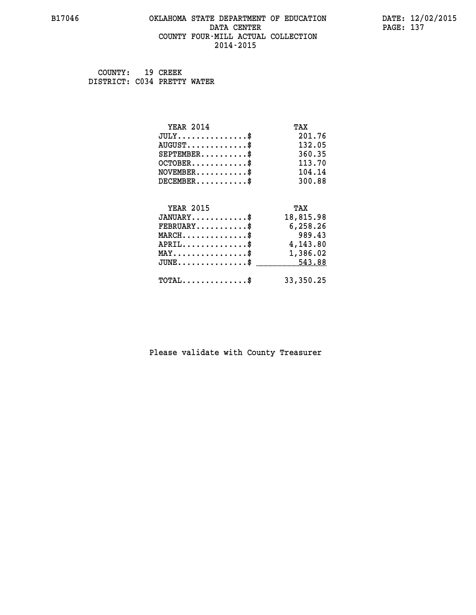#### **B17046 OKLAHOMA STATE DEPARTMENT OF EDUCATION DATE: 12/02/2015 DATA CENTER** PAGE: 137  **COUNTY FOUR-MILL ACTUAL COLLECTION 2014-2015**

 **COUNTY: 19 CREEK DISTRICT: C034 PRETTY WATER**

| <b>YEAR 2014</b>                               | TAX       |
|------------------------------------------------|-----------|
| $JULY$ \$                                      | 201.76    |
| $AUGUST$ \$                                    | 132.05    |
| $SEPTEMBER$ \$                                 | 360.35    |
| $OCTOBER$ \$                                   | 113.70    |
| $\texttt{NOVEMBER} \dots \dots \dots \$        | 104.14    |
| $DECEMBER$ \$                                  | 300.88    |
|                                                |           |
| <b>YEAR 2015</b>                               | TAX       |
| $JANUARY$ \$                                   | 18,815.98 |
| $FEBRUARY$                                     | 6,258.26  |
| $MARCH$ \$                                     | 989.43    |
| $APRIL \ldots \ldots \ldots \ldots$            | 4,143.80  |
| $\texttt{MAX} \dots \dots \dots \dots \dots \$ | 1,386.02  |
| $JUNE \ldots \ldots \ldots \ldots \ast$        | 543.88    |
| $\texttt{TOTAL} \dots \dots \dots \dots \$     | 33,350.25 |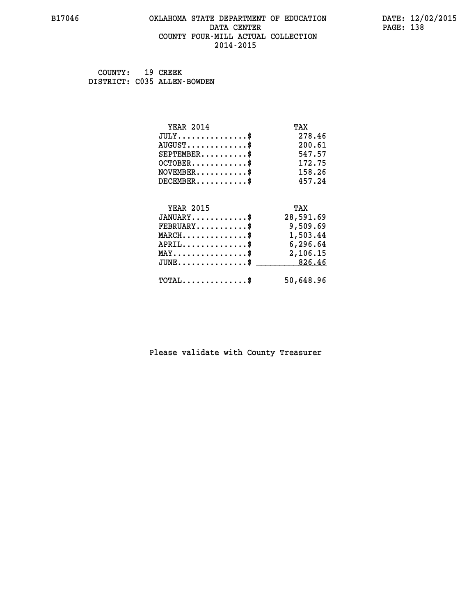#### **B17046 OKLAHOMA STATE DEPARTMENT OF EDUCATION DATE: 12/02/2015 DATA CENTER** PAGE: 138  **COUNTY FOUR-MILL ACTUAL COLLECTION 2014-2015**

 **COUNTY: 19 CREEK DISTRICT: C035 ALLEN-BOWDEN**

| <b>YEAR 2014</b>                               | TAX       |
|------------------------------------------------|-----------|
| $JULY$ \$                                      | 278.46    |
| $AUGUST$ \$                                    | 200.61    |
| $SEPTEMBER$ \$                                 | 547.57    |
| $OCTOBER$ \$                                   | 172.75    |
| $NOVEMBER.$ \$                                 | 158.26    |
| $DECEMBER$ \$                                  | 457.24    |
|                                                |           |
| <b>YEAR 2015</b>                               | TAX       |
| $JANUARY$                                      | 28,591.69 |
| $FEBRUARY$                                     | 9,509.69  |
| $MARCH$ \$                                     | 1,503.44  |
| $APRIL$ \$                                     | 6,296.64  |
| $\texttt{MAX} \dots \dots \dots \dots \dots \$ | 2,106.15  |
| $JUNE$ \$                                      | 826.46    |
| $\texttt{TOTAL} \dots \dots \dots \dots \$     | 50,648.96 |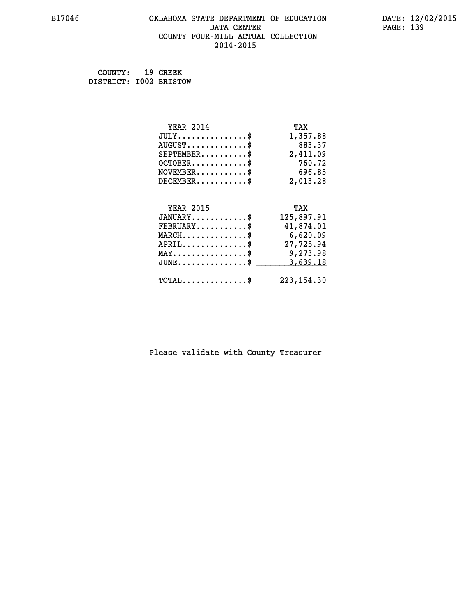## **B17046 OKLAHOMA STATE DEPARTMENT OF EDUCATION DATE: 12/02/2015 DATA CENTER** PAGE: 139  **COUNTY FOUR-MILL ACTUAL COLLECTION 2014-2015**

 **COUNTY: 19 CREEK DISTRICT: I002 BRISTOW**

| <b>YEAR 2014</b>                               | TAX         |
|------------------------------------------------|-------------|
| $JULY$ \$                                      | 1,357.88    |
| $AUGUST$ \$                                    | 883.37      |
| $SEPTEMBER$ \$                                 | 2,411.09    |
| $OCTOBER$ \$                                   | 760.72      |
| $NOVEMBER$ \$                                  | 696.85      |
| $DECEMBER$ \$                                  | 2,013.28    |
|                                                |             |
| <b>YEAR 2015</b>                               | TAX         |
| $JANUARY$ \$                                   | 125,897.91  |
| $FEBRUARY$                                     | 41,874.01   |
| $MARCH$ \$                                     | 6,620.09    |
| $APRIL$ \$                                     | 27,725.94   |
| $\texttt{MAX} \dots \dots \dots \dots \dots \$ | 9,273.98    |
| $JUNE$ \$                                      | 3,639.18    |
| $\texttt{TOTAL} \dots \dots \dots \dots \$     | 223, 154.30 |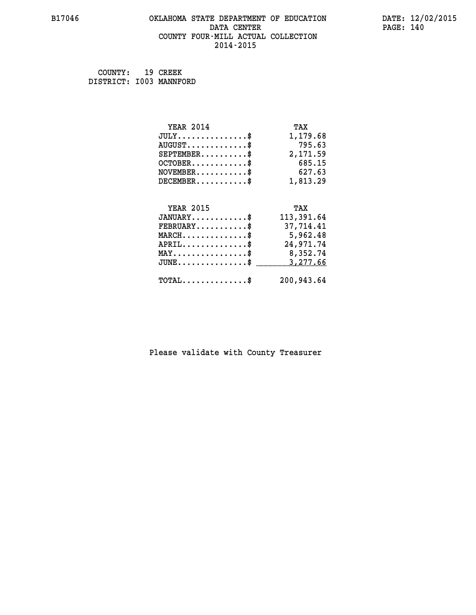## **B17046 OKLAHOMA STATE DEPARTMENT OF EDUCATION DATE: 12/02/2015 DATA CENTER PAGE: 140 COUNTY FOUR-MILL ACTUAL COLLECTION 2014-2015**

 **COUNTY: 19 CREEK DISTRICT: I003 MANNFORD**

| <b>YEAR 2014</b>                               | TAX        |
|------------------------------------------------|------------|
| $JULY$ \$                                      | 1,179.68   |
| $AUGUST$ \$                                    | 795.63     |
| $SEPTEMBER$ \$                                 | 2,171.59   |
| $OCTOBER$ \$                                   | 685.15     |
| $\texttt{NOVEMBER} \dots \dots \dots \$        | 627.63     |
| $DECEMBER$ \$                                  | 1,813.29   |
|                                                |            |
| <b>YEAR 2015</b>                               | TAX        |
| $JANUARY$ \$                                   | 113,391.64 |
| $FEBRUARY$                                     | 37,714.41  |
| $MARCH$ \$                                     | 5,962.48   |
| $APRIL$ \$                                     | 24,971.74  |
| $\texttt{MAX} \dots \dots \dots \dots \dots \$ | 8,352.74   |
| $JUNE$ $$$                                     | 3,277.66   |
| $\texttt{TOTAL} \dots \dots \dots \dots \$     | 200,943.64 |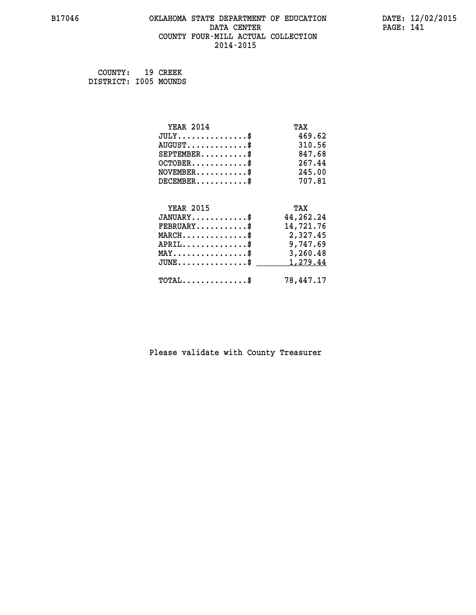## **B17046 OKLAHOMA STATE DEPARTMENT OF EDUCATION DATE: 12/02/2015 DATA CENTER** PAGE: 141  **COUNTY FOUR-MILL ACTUAL COLLECTION 2014-2015**

 **COUNTY: 19 CREEK DISTRICT: I005 MOUNDS**

| <b>YEAR 2014</b>                                 | TAX       |
|--------------------------------------------------|-----------|
| $JULY$ \$                                        | 469.62    |
| $AUGUST$ \$                                      | 310.56    |
| $SEPTEMBER$ \$                                   | 847.68    |
| $OCTOBER$ \$                                     | 267.44    |
| $\texttt{NOVEMBER} \dots \dots \dots \$          | 245.00    |
| $DECEMBER$ \$                                    | 707.81    |
|                                                  |           |
| <b>YEAR 2015</b>                                 | TAX       |
| $JANUARY$ \$                                     | 44,262.24 |
| $FEBRUARY$                                       | 14,721.76 |
| $\texttt{MARCH}\ldots\ldots\ldots\ldots\text{*}$ | 2,327.45  |
| $APRIL \ldots \ldots \ldots \ldots \$            | 9,747.69  |
| $\texttt{MAX} \dots \dots \dots \dots \dots \$   | 3,260.48  |
| $\texttt{JUNE} \dots \dots \dots \dots \dots \$$ | 1,279.44  |
| $\texttt{TOTAL} \dots \dots \dots \dots$ \$      | 78,447.17 |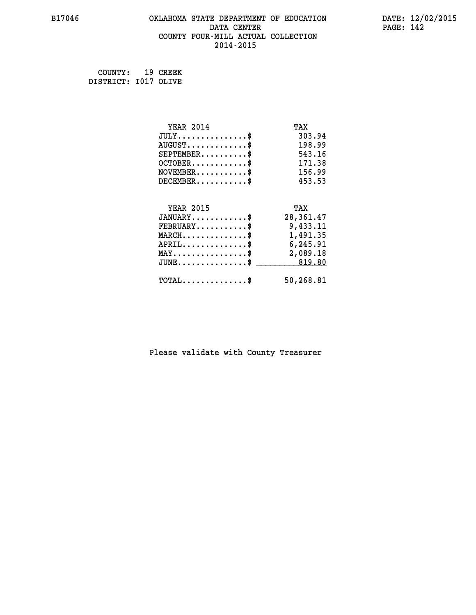## **B17046 OKLAHOMA STATE DEPARTMENT OF EDUCATION DATE: 12/02/2015 DATA CENTER** PAGE: 142  **COUNTY FOUR-MILL ACTUAL COLLECTION 2014-2015**

 **COUNTY: 19 CREEK DISTRICT: I017 OLIVE**

| <b>YEAR 2014</b>                                 | TAX       |
|--------------------------------------------------|-----------|
| $JULY$ \$                                        | 303.94    |
| $AUGUST$ \$                                      | 198.99    |
| $SEPTEMBER$ \$                                   | 543.16    |
| $OCTOBER$ \$                                     | 171.38    |
| $\texttt{NOVEMBER} \dots \dots \dots \$          | 156.99    |
| $DECEMBER$ \$                                    | 453.53    |
|                                                  |           |
| <b>YEAR 2015</b>                                 | TAX       |
| $JANUARY$                                        | 28,361.47 |
| $FEBRUARY$                                       | 9,433.11  |
| $\texttt{MARCH}\ldots\ldots\ldots\ldots\text{*}$ | 1,491.35  |
| $APRIL \ldots \ldots \ldots \ldots \$            | 6,245.91  |
| $\texttt{MAX} \dots \dots \dots \dots \dots \$   | 2,089.18  |
| $JUNE \ldots \ldots \ldots \ldots$ \$ 819.80     |           |
| $\texttt{TOTAL} \dots \dots \dots \dots$         | 50,268.81 |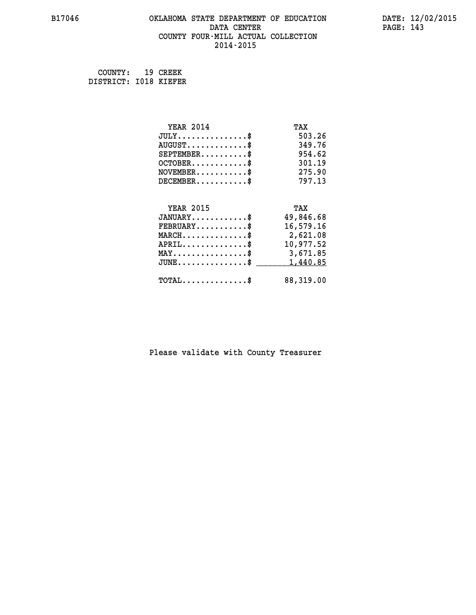## **B17046 OKLAHOMA STATE DEPARTMENT OF EDUCATION DATE: 12/02/2015 DATA CENTER** PAGE: 143  **COUNTY FOUR-MILL ACTUAL COLLECTION 2014-2015**

 **COUNTY: 19 CREEK DISTRICT: I018 KIEFER**

| <b>YEAR 2014</b>                               | TAX       |
|------------------------------------------------|-----------|
| $JULY$ \$                                      | 503.26    |
| $AUGUST$ \$                                    | 349.76    |
| $SEPTEMBER$ \$                                 | 954.62    |
| $OCTOBER$ \$                                   | 301.19    |
| $NOVEMBER$ \$                                  | 275.90    |
| $DECEMBER$ \$                                  | 797.13    |
|                                                |           |
| <b>YEAR 2015</b>                               | TAX       |
| $JANUARY$ \$                                   | 49,846.68 |
| $FEBRUARY$                                     | 16,579.16 |
| $MARCH$ \$                                     | 2,621.08  |
| $APRIL$ \$                                     | 10,977.52 |
| $\texttt{MAX} \dots \dots \dots \dots \dots \$ | 3,671.85  |
| $JUNE \ldots \ldots \ldots \ldots \bullet$     | 1,440.85  |
| $\texttt{TOTAL} \dots \dots \dots \dots \$     | 88,319.00 |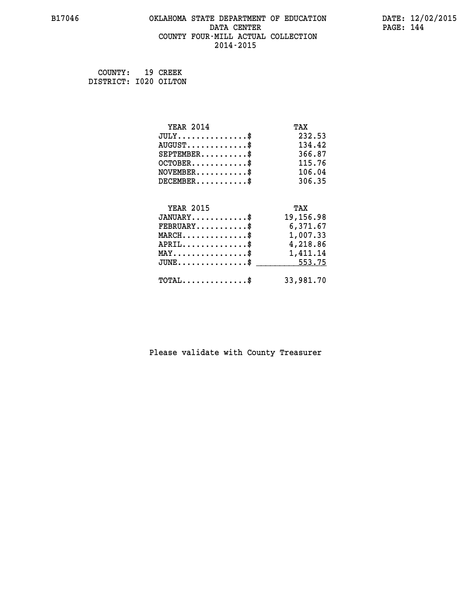## **B17046 OKLAHOMA STATE DEPARTMENT OF EDUCATION DATE: 12/02/2015 DATA CENTER PAGE: 144 COUNTY FOUR-MILL ACTUAL COLLECTION 2014-2015**

 **COUNTY: 19 CREEK DISTRICT: I020 OILTON**

| <b>YEAR 2014</b>                                | TAX       |
|-------------------------------------------------|-----------|
| $JULY$ \$                                       | 232.53    |
| $AUGUST$ \$                                     | 134.42    |
| $SEPTEMBER$ \$                                  | 366.87    |
| $OCTOBER$ \$                                    | 115.76    |
| $\texttt{NOVEMBER} \dots \dots \dots \$         | 106.04    |
| $DECEMBER$ \$                                   | 306.35    |
|                                                 |           |
| <b>YEAR 2015</b>                                | TAX       |
| $JANUARY$ \$                                    | 19,156.98 |
| $FEBRUARY$                                      | 6,371.67  |
| $MARCH$ \$                                      | 1,007.33  |
| $APRIL \ldots \ldots \ldots \ldots \$           | 4,218.86  |
| $\texttt{MAX} \dots \dots \dots \dots \dots \$$ | 1,411.14  |
| $JUNE \dots \dots \dots \dots \$ 553.75         |           |
| $\texttt{TOTAL} \dots \dots \dots \dots \$      | 33,981.70 |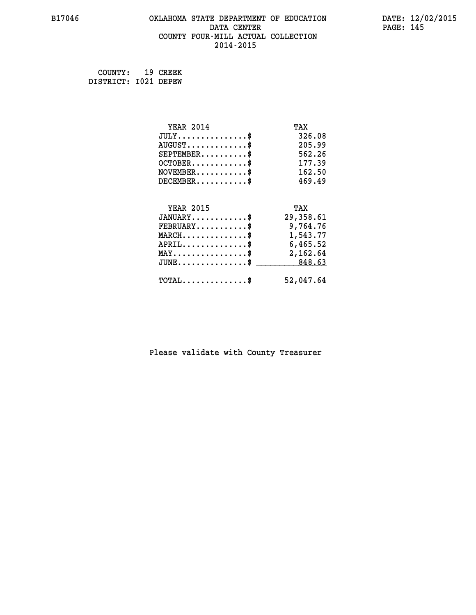# **B17046 OKLAHOMA STATE DEPARTMENT OF EDUCATION DATE: 12/02/2015 DATA CENTER** PAGE: 145  **COUNTY FOUR-MILL ACTUAL COLLECTION 2014-2015**

 **COUNTY: 19 CREEK DISTRICT: I021 DEPEW**

| <b>YEAR 2014</b>                                 | TAX       |
|--------------------------------------------------|-----------|
| $JULY$ \$                                        | 326.08    |
| $AUGUST$ \$                                      | 205.99    |
| $SEPTEMBER$ \$                                   | 562.26    |
| $OCTOBER$ \$                                     | 177.39    |
| $NOVEMBER.$ \$                                   | 162.50    |
| $DECEMBER$ \$                                    | 469.49    |
|                                                  |           |
| <b>YEAR 2015</b>                                 | TAX       |
| $JANUARY$ \$                                     | 29,358.61 |
| $FEBRUARY$                                       | 9,764.76  |
| $\texttt{MARCH}\ldots\ldots\ldots\ldots\text{*}$ | 1,543.77  |
| $APRIL \ldots \ldots \ldots \ldots$              | 6,465.52  |
| $\texttt{MAX} \dots \dots \dots \dots \dots \$   | 2,162.64  |
| $\texttt{JUNE} \dots \dots \dots \dots \dots \$$ | 848.63    |
| $\texttt{TOTAL} \dots \dots \dots \dots \$       | 52,047.64 |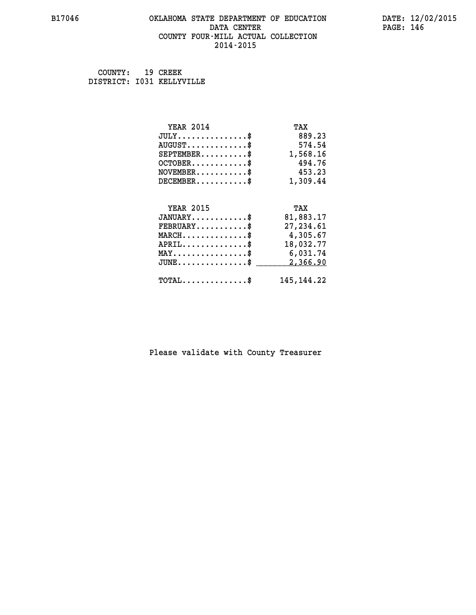### **B17046 OKLAHOMA STATE DEPARTMENT OF EDUCATION DATE: 12/02/2015 DATA CENTER** PAGE: 146  **COUNTY FOUR-MILL ACTUAL COLLECTION 2014-2015**

 **COUNTY: 19 CREEK DISTRICT: I031 KELLYVILLE**

| <b>YEAR 2014</b>                               | TAX          |
|------------------------------------------------|--------------|
| $JULY$ \$                                      | 889.23       |
| $AUGUST$ \$                                    | 574.54       |
| $SEPTEMENT.$ \$                                | 1,568.16     |
| $OCTOBER$ \$                                   | 494.76       |
| $NOVEMBER$ \$                                  | 453.23       |
| $DECEMBER$ \$                                  | 1,309.44     |
|                                                |              |
| <b>YEAR 2015</b>                               | TAX          |
| $JANUARY$ \$                                   | 81,883.17    |
| $FEBRUARY$ \$                                  | 27,234.61    |
| $MARCH$ \$                                     | 4,305.67     |
| $APRIL$ \$                                     | 18,032.77    |
| $\texttt{MAX} \dots \dots \dots \dots \dots \$ | 6,031.74     |
| $JUNE$ \$                                      | 2,366.90     |
| $\texttt{TOTAL} \dots \dots \dots \dots \$     | 145, 144, 22 |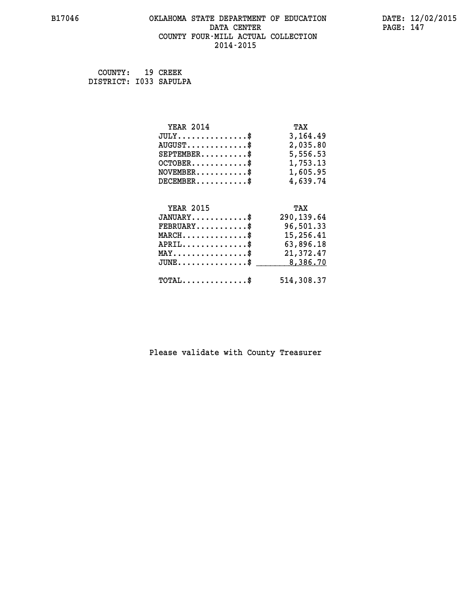# **B17046 OKLAHOMA STATE DEPARTMENT OF EDUCATION DATE: 12/02/2015 DATA CENTER PAGE: 147 COUNTY FOUR-MILL ACTUAL COLLECTION 2014-2015**

 **COUNTY: 19 CREEK DISTRICT: I033 SAPULPA**

| <b>YEAR 2014</b>                               | TAX        |
|------------------------------------------------|------------|
| $JULY$ \$                                      | 3,164.49   |
| $AUGUST$ \$                                    | 2,035.80   |
| $SEPTEMENT.$ \$                                | 5,556.53   |
| $OCTOBER$ \$                                   | 1,753.13   |
| $NOVEMBER.$ \$                                 | 1,605.95   |
| $DECEMBER$ \$                                  | 4,639.74   |
|                                                |            |
| <b>YEAR 2015</b>                               | TAX        |
| $JANUARY$ \$                                   | 290,139.64 |
| $FEBRUARY$                                     | 96,501.33  |
| $MARCH$ \$                                     | 15,256.41  |
| $APRIL$ \$                                     | 63,896.18  |
| $\texttt{MAX} \dots \dots \dots \dots \dots \$ | 21,372.47  |
| $JUNE$ \$                                      | 8,386.70   |
| $\texttt{TOTAL} \dots \dots \dots \dots \$     | 514,308.37 |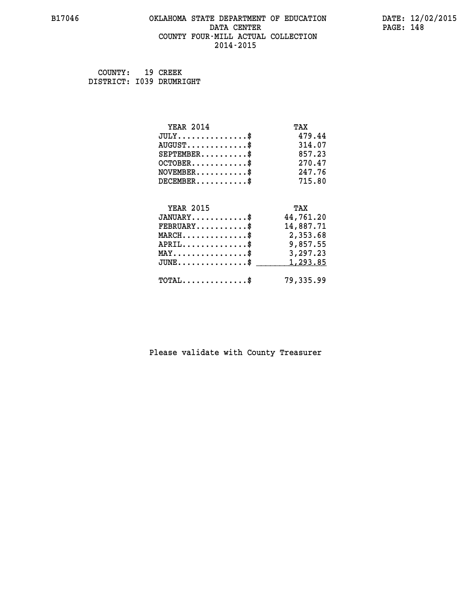### **B17046 OKLAHOMA STATE DEPARTMENT OF EDUCATION DATE: 12/02/2015 DATA CENTER** PAGE: 148  **COUNTY FOUR-MILL ACTUAL COLLECTION 2014-2015**

 **COUNTY: 19 CREEK DISTRICT: I039 DRUMRIGHT**

| <b>YEAR 2014</b>                                 | TAX       |
|--------------------------------------------------|-----------|
| $JULY$ \$                                        | 479.44    |
| $AUGUST$ \$                                      | 314.07    |
| $SEPTEMBER$ \$                                   | 857.23    |
| $OCTOBER$ \$                                     | 270.47    |
| $NOVEMBER.$ \$                                   | 247.76    |
| $DECEMBER$ \$                                    | 715.80    |
|                                                  |           |
| <b>YEAR 2015</b>                                 | TAX       |
| $JANUARY$ \$                                     | 44,761.20 |
| $FEBRUARY$ \$                                    | 14,887.71 |
| $\texttt{MARCH}\ldots\ldots\ldots\ldots\text{*}$ | 2,353.68  |
| $APRIL \ldots \ldots \ldots \ldots \$            | 9,857.55  |
| $\texttt{MAX} \dots \dots \dots \dots \dots \$   | 3,297.23  |
| $\texttt{JUNE} \dots \dots \dots \dots \dots \$$ | 1,293.85  |
| $\texttt{TOTAL} \dots \dots \dots \dots \$       | 79,335.99 |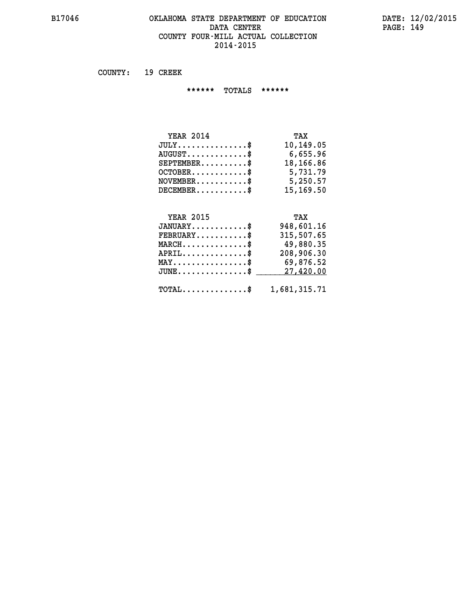# **B17046 OKLAHOMA STATE DEPARTMENT OF EDUCATION DATE: 12/02/2015 DATA CENTER PAGE: 149 COUNTY FOUR-MILL ACTUAL COLLECTION 2014-2015**

 **COUNTY: 19 CREEK**

 **\*\*\*\*\*\* TOTALS \*\*\*\*\*\***

| <b>YEAR 2014</b>                | TAX       |
|---------------------------------|-----------|
| $JULY$                          | 10,149.05 |
| $AUGUST \ldots \ldots \ldots \$ | 6,655.96  |
| $SEPTEMBER$ $\$                 | 18,166.86 |
| $OCTOBER$ \$                    | 5,731.79  |
| $NOVEMBER$ \$                   | 5,250.57  |
| $DECEMBER$                      | 15,169.50 |

# **YEAR 2015 TAX**

| $JANUARY$                                               | 948,601.16 |
|---------------------------------------------------------|------------|
| $\texttt{FEBRUARY} \dots \dots \dots \$                 | 315,507.65 |
| $MARCH$ \$                                              | 49,880.35  |
| $APRIL$ \$                                              | 208,906.30 |
| $MAX \dots \dots \dots \dots \$                         | 69,876.52  |
| $JUNE \dots \dots \dots \dots \$ 27,420.00              |            |
| $\texttt{TOTAL} \dots \dots \dots \dots \$ 1,681,315.71 |            |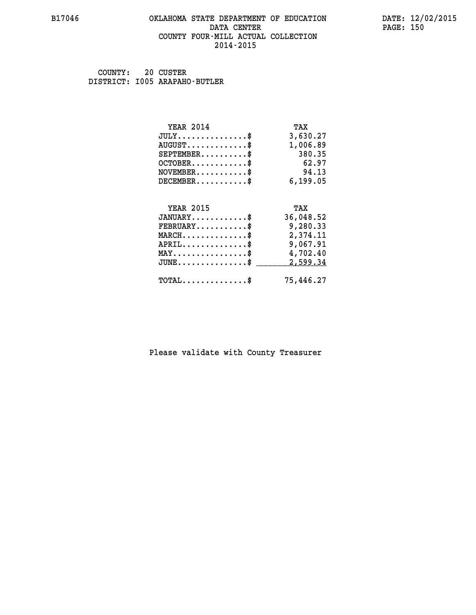### **B17046 OKLAHOMA STATE DEPARTMENT OF EDUCATION DATE: 12/02/2015 DATA CENTER** PAGE: 150  **COUNTY FOUR-MILL ACTUAL COLLECTION 2014-2015**

 **COUNTY: 20 CUSTER DISTRICT: I005 ARAPAHO-BUTLER**

| <b>YEAR 2014</b>                               | TAX       |
|------------------------------------------------|-----------|
| $JULY$ \$                                      | 3,630.27  |
| $AUGUST$ \$                                    | 1,006.89  |
| $SEPTEMBER$ \$                                 | 380.35    |
| $OCTOBER$ \$                                   | 62.97     |
| $NOVEMBER$ \$                                  | 94.13     |
| $DECEMBER$ \$                                  | 6,199.05  |
|                                                |           |
| <b>YEAR 2015</b>                               | TAX       |
| $JANUARY$ \$                                   | 36,048.52 |
| $FEBRUARY$                                     | 9,280.33  |
| $MARCH$ \$                                     | 2,374.11  |
| $APRIL \ldots \ldots \ldots \ldots \$          | 9,067.91  |
| $\texttt{MAX} \dots \dots \dots \dots \dots \$ | 4,702.40  |
| $JUNE$ \$                                      | 2,599.34  |
| $\texttt{TOTAL} \dots \dots \dots \dots \$     | 75,446.27 |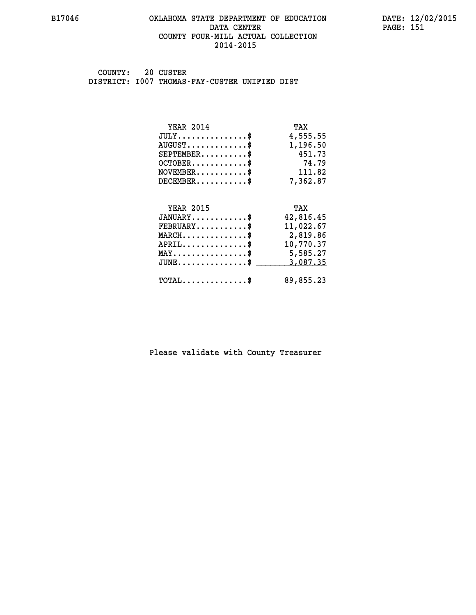### **B17046 OKLAHOMA STATE DEPARTMENT OF EDUCATION DATE: 12/02/2015 DATA CENTER** PAGE: 151  **COUNTY FOUR-MILL ACTUAL COLLECTION 2014-2015**

 **COUNTY: 20 CUSTER DISTRICT: I007 THOMAS-FAY-CUSTER UNIFIED DIST**

| <b>YEAR 2014</b>                           | TAX       |
|--------------------------------------------|-----------|
| $JULY$ \$                                  | 4,555.55  |
| $AUGUST$ \$                                | 1,196.50  |
| $SEPTEMBER$ \$                             | 451.73    |
| $OCTOBER$ \$                               | 74.79     |
| $NOVEMBER$ \$                              | 111.82    |
| $DECEMBER$ \$                              | 7,362.87  |
|                                            |           |
| <b>YEAR 2015</b>                           | TAX       |
| $JANUARY$ \$                               | 42,816.45 |
| $FEBRUARY$                                 | 11,022.67 |
| $MARCH$ \$                                 | 2,819.86  |
| $APRIL$ \$                                 | 10,770.37 |
| $MAX \dots \dots \dots \dots \dots$        | 5,585.27  |
| $JUNE$ \$                                  | 3,087.35  |
| $\texttt{TOTAL} \dots \dots \dots \dots \$ | 89,855.23 |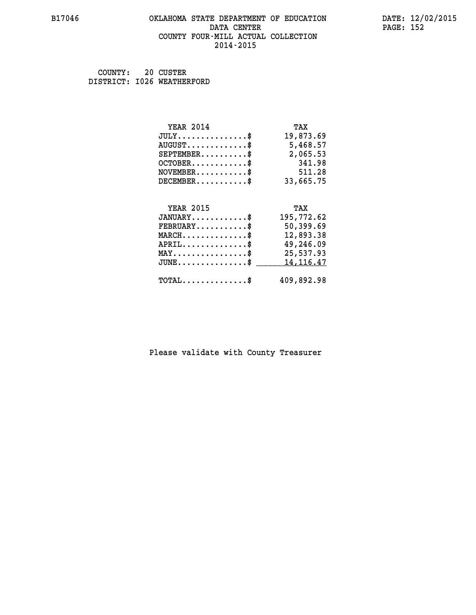### **B17046 OKLAHOMA STATE DEPARTMENT OF EDUCATION DATE: 12/02/2015 DATA CENTER** PAGE: 152  **COUNTY FOUR-MILL ACTUAL COLLECTION 2014-2015**

 **COUNTY: 20 CUSTER DISTRICT: I026 WEATHERFORD**

| <b>YEAR 2014</b>                           | TAX         |
|--------------------------------------------|-------------|
| $JULY$ \$                                  | 19,873.69   |
| $AUGUST$ \$                                | 5,468.57    |
| $SEPTEMBER$ \$                             | 2,065.53    |
| $OCTOBER$ \$                               | 341.98      |
| $NOVEMBER$ \$                              | 511.28      |
| $DECEMBER$ \$                              | 33,665.75   |
|                                            |             |
| <b>YEAR 2015</b>                           | TAX         |
| $JANUARY$                                  | 195,772.62  |
| $FEBRUARY$                                 | 50,399.69   |
| $MARCH$ \$                                 | 12,893.38   |
| $APRIL$ \$                                 | 49,246.09   |
|                                            |             |
| $MAX \dots \dots \dots \dots \dots$        | 25,537.93   |
| $JUNE \ldots \ldots \ldots \ldots \bullet$ | 14, 116. 47 |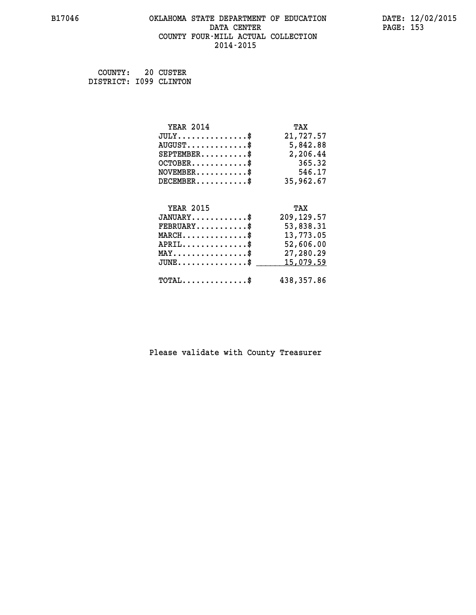### **B17046 OKLAHOMA STATE DEPARTMENT OF EDUCATION DATE: 12/02/2015 DATA CENTER** PAGE: 153  **COUNTY FOUR-MILL ACTUAL COLLECTION 2014-2015**

| COUNTY:                | 20 CUSTER |
|------------------------|-----------|
| DISTRICT: 1099 CLINTON |           |

| <b>YEAR 2014</b>                                   | TAX         |
|----------------------------------------------------|-------------|
| $JULY$ \$                                          | 21,727.57   |
| $AUGUST$ \$                                        | 5,842.88    |
| $SEPTEMBER$ \$                                     | 2,206.44    |
| $OCTOBER$ \$                                       | 365.32      |
| $NOVEMBER.$ \$                                     | 546.17      |
| $DECEMBER$ \$                                      | 35,962.67   |
|                                                    |             |
| <b>YEAR 2015</b>                                   | TAX         |
| $JANUARY$ \$                                       | 209, 129.57 |
| $\texttt{FEBRUARY} \dots \dots \dots \$            | 53,838.31   |
| $MARCH$ \$                                         | 13,773.05   |
| $APRIL$ \$                                         | 52,606.00   |
| $\texttt{MAX} \dots \dots \dots \dots \dots \$     | 27,280.29   |
| $\texttt{JUNE} \dots \dots \dots \dots \texttt{S}$ | 15,079.59   |
| $\texttt{TOTAL} \dots \dots \dots \dots$ \$        | 438,357.86  |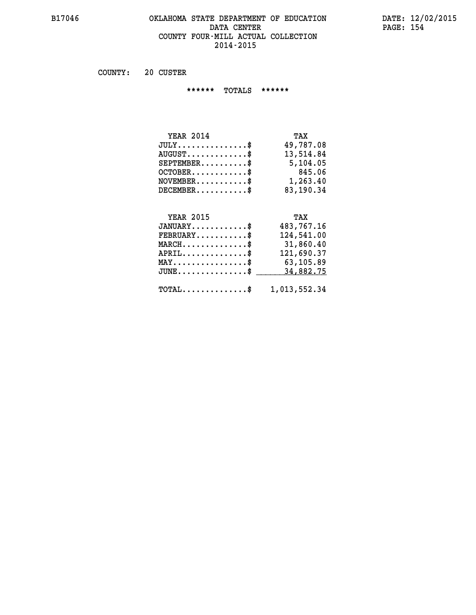# **B17046 OKLAHOMA STATE DEPARTMENT OF EDUCATION DATE: 12/02/2015 DATA CENTER PAGE: 154 COUNTY FOUR-MILL ACTUAL COLLECTION 2014-2015**

 **COUNTY: 20 CUSTER**

 **\*\*\*\*\*\* TOTALS \*\*\*\*\*\***

| <b>YEAR 2014</b>                | TAX       |
|---------------------------------|-----------|
| $JULY$                          | 49,787.08 |
| $AUGUST \ldots \ldots \ldots \$ | 13,514.84 |
| $SEPTEMBER$ $\$                 | 5,104.05  |
| $OCTOBER$ \$                    | 845.06    |
| $NOVEMBER.$ $\frac{\$}{}$       | 1,263.40  |
| $DECEMBER$ \$                   | 83,190.34 |

# **YEAR 2015 TAX**

| $JANUARY$                             | 483,767.16                                 |
|---------------------------------------|--------------------------------------------|
| $FEBRUARY$                            | 124,541.00                                 |
| $MARCH$ \$                            | 31,860.40                                  |
| $APRIL$ \$                            | 121,690.37                                 |
| $MAX \dots \dots \dots \dots \dots \$ | 63,105.89                                  |
|                                       | $JUNE \dots \dots \dots \dots \$ 34,882.75 |
|                                       | TOTAL\$ 1,013,552.34                       |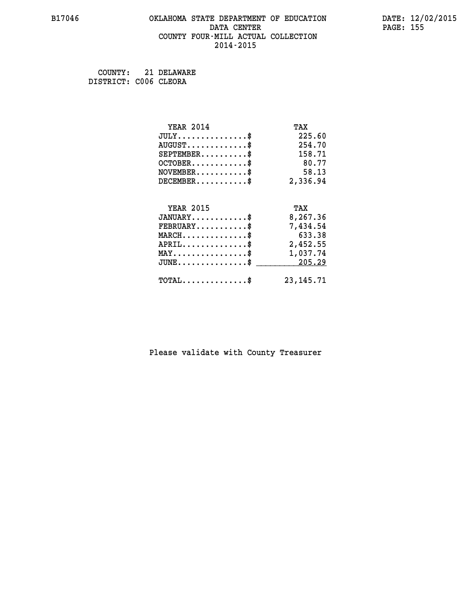### **B17046 OKLAHOMA STATE DEPARTMENT OF EDUCATION DATE: 12/02/2015 DATA CENTER** PAGE: 155  **COUNTY FOUR-MILL ACTUAL COLLECTION 2014-2015**

 **COUNTY: 21 DELAWARE DISTRICT: C006 CLEORA**

| <b>YEAR 2014</b>                               | TAX         |
|------------------------------------------------|-------------|
| $JULY$ \$                                      | 225.60      |
| $AUGUST$ \$                                    | 254.70      |
| $SEPTEMBER$ \$                                 | 158.71      |
| $OCTOBER$ \$                                   | 80.77       |
| $NOVEMBER$ \$                                  | 58.13       |
| $DECEMBER$ \$                                  | 2,336.94    |
|                                                |             |
| <b>YEAR 2015</b>                               | TAX         |
| $JANUARY$                                      | 8,267.36    |
| $FEBRUARY$                                     | 7,434.54    |
| $MARCH$ \$                                     | 633.38      |
| $APRIL \ldots \ldots \ldots \ldots \$          | 2,452.55    |
| $\texttt{MAX} \dots \dots \dots \dots \dots \$ | 1,037.74    |
| $JUNE$ \$                                      | 205.29      |
| $\texttt{TOTAL} \dots \dots \dots \dots \$     | 23, 145. 71 |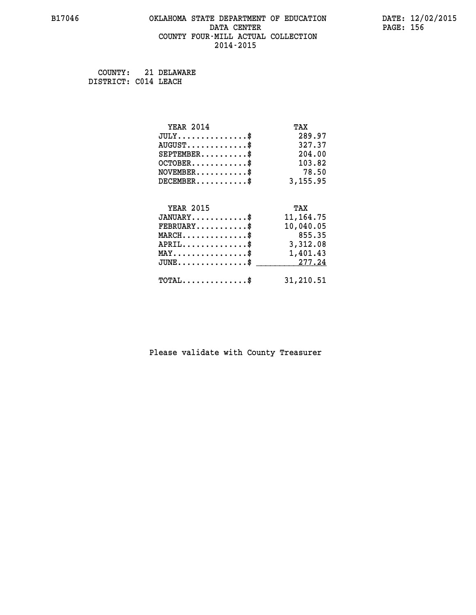#### **B17046 OKLAHOMA STATE DEPARTMENT OF EDUCATION DATE: 12/02/2015 DATA CENTER PAGE: 156 COUNTY FOUR-MILL ACTUAL COLLECTION 2014-2015**

 **COUNTY: 21 DELAWARE DISTRICT: C014 LEACH**

> **YEAR 2014 TAX JULY...............\$ 289.97 AUGUST.............\$ 327.37 SEPTEMBER..........\$ 204.00 OCTOBER............\$ 103.82 NOVEMBER............\$** 78.50  **DECEMBER...........\$ 3,155.95 YEAR 2015 TAX JANUARY............\$ 11,164.75 FEBRUARY...........\$ 10,040.05 MARCH..............\$ 855.35 APRIL..............\$ 3,312.08 MAY................\$ 1,401.43 JUNE...............\$ 277.24 \_\_\_\_\_\_\_\_\_\_\_\_\_\_\_ TOTAL..............\$ 31,210.51**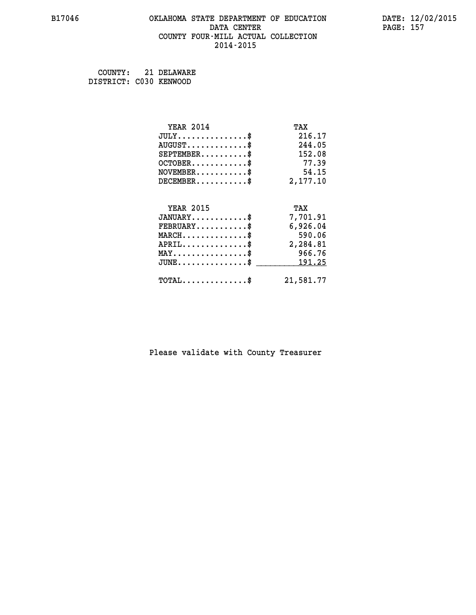# **B17046 OKLAHOMA STATE DEPARTMENT OF EDUCATION DATE: 12/02/2015 DATA CENTER PAGE: 157 COUNTY FOUR-MILL ACTUAL COLLECTION 2014-2015**

 **COUNTY: 21 DELAWARE**

 **DISTRICT: C030 KENWOOD**

| <b>YEAR 2014</b>                               | TAX       |
|------------------------------------------------|-----------|
| $JULY$ \$                                      | 216.17    |
| $AUGUST$ \$                                    | 244.05    |
| $SEPTEMENT.$ \$                                | 152.08    |
| $OCTOBER$ \$                                   | 77.39     |
| $NOVEMBER$ \$                                  | 54.15     |
| $DECEMBER$ \$                                  | 2,177.10  |
|                                                |           |
| <b>YEAR 2015</b>                               | TAX       |
| $JANUARY$ \$                                   | 7,701.91  |
| $FEBRUARY$ \$                                  | 6,926.04  |
| $MARCH$ \$                                     | 590.06    |
| $APRIL$ \$                                     | 2,284.81  |
| $\texttt{MAX} \dots \dots \dots \dots \dots \$ | 966.76    |
| $JUNE$ \$                                      | 191.25    |
| $\texttt{TOTAL} \dots \dots \dots \dots \$     | 21,581.77 |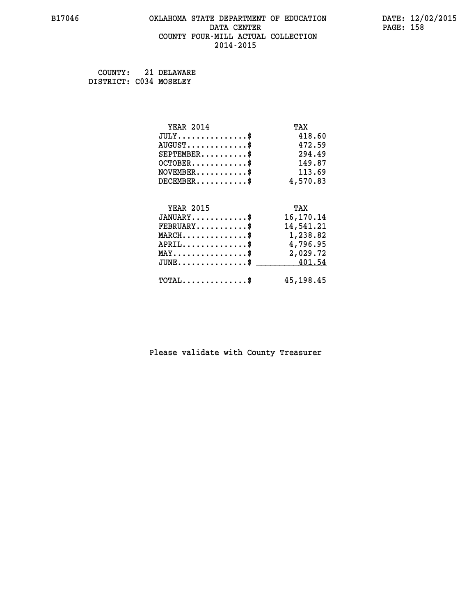### **B17046 OKLAHOMA STATE DEPARTMENT OF EDUCATION DATE: 12/02/2015 DATA CENTER** PAGE: 158  **COUNTY FOUR-MILL ACTUAL COLLECTION 2014-2015**

 **COUNTY: 21 DELAWARE DISTRICT: C034 MOSELEY**

| <b>YEAR 2014</b>                               | TAX         |
|------------------------------------------------|-------------|
| $JULY$ \$                                      | 418.60      |
| $AUGUST$ \$                                    | 472.59      |
| $SEPTEMENT.$ \$                                | 294.49      |
| $OCTOBER.$ \$                                  | 149.87      |
| $\texttt{NOVEMBER} \dots \dots \dots \$        | 113.69      |
| $DECEMBER$ \$                                  | 4,570.83    |
|                                                |             |
| <b>YEAR 2015</b>                               | TAX         |
| $JANUARY$ \$                                   | 16,170.14   |
| $FEBRUARY$ \$                                  | 14,541.21   |
| MARCH\$ 1,238.82                               |             |
| $\texttt{APRIL} \dots \dots \dots \dots \$     | 4,796.95    |
| $\texttt{MAX} \dots \dots \dots \dots \dots \$ | 2,029.72    |
| $JUNE \ldots \ldots \ldots \ldots$ \$ 401.54   |             |
| $\texttt{TOTAL} \dots \dots \dots \dots \$     | 45, 198. 45 |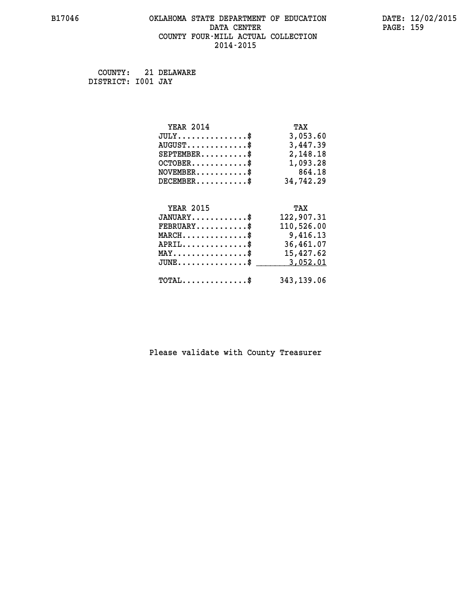# **B17046 OKLAHOMA STATE DEPARTMENT OF EDUCATION DATE: 12/02/2015 DATA CENTER** PAGE: 159  **COUNTY FOUR-MILL ACTUAL COLLECTION 2014-2015**

 **COUNTY: 21 DELAWARE DISTRICT: I001 JAY**

| <b>YEAR 2014</b>                               | TAX        |
|------------------------------------------------|------------|
| $JULY$ \$                                      | 3,053.60   |
| $AUGUST$ \$                                    | 3,447.39   |
| $SEPTEMBER$ \$                                 | 2,148.18   |
| $OCTOBER$ \$                                   | 1,093.28   |
| $NOVEMBER.$ \$                                 | 864.18     |
| $DECEMBER$ \$                                  | 34,742.29  |
|                                                |            |
|                                                |            |
| <b>YEAR 2015</b>                               | TAX        |
| $JANUARY$ \$                                   | 122,907.31 |
| $FEBRUARY$                                     | 110,526.00 |
| $MARCH$ \$                                     | 9,416.13   |
| $APRIL$ \$                                     | 36,461.07  |
| $\texttt{MAX} \dots \dots \dots \dots \dots \$ | 15,427.62  |
| $JUNE$ $\text{\$}$                             | 3,052.01   |
| $\texttt{TOTAL} \dots \dots \dots \dots \$     | 343,139.06 |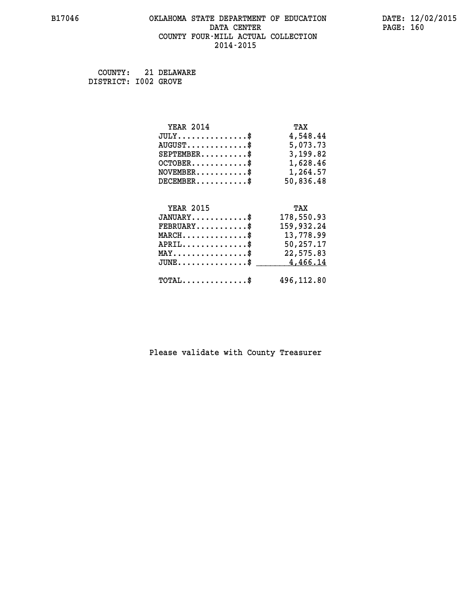# **B17046 OKLAHOMA STATE DEPARTMENT OF EDUCATION DATE: 12/02/2015 DATA CENTER** PAGE: 160  **COUNTY FOUR-MILL ACTUAL COLLECTION 2014-2015**

 **COUNTY: 21 DELAWARE DISTRICT: I002 GROVE**

| <b>YEAR 2014</b>                               | TAX        |
|------------------------------------------------|------------|
| $JULY$ \$                                      | 4,548.44   |
| $AUGUST$ \$                                    | 5,073.73   |
| $SEPTEMENT.$ \$                                | 3,199.82   |
| $OCTOBER$ \$                                   | 1,628.46   |
| $NOVEMBER.$ \$                                 | 1,264.57   |
| $DECEMBER$ \$                                  | 50,836.48  |
|                                                |            |
| <b>YEAR 2015</b>                               | TAX        |
| $JANUARY$ \$                                   | 178,550.93 |
| $FEBRUARY$                                     | 159,932.24 |
| $MARCH$ \$                                     | 13,778.99  |
| $APRIL$ \$                                     | 50,257.17  |
| $\texttt{MAX} \dots \dots \dots \dots \dots \$ | 22,575.83  |
| $JUNE$ \$                                      | 4,466.14   |
| $\texttt{TOTAL} \dots \dots \dots \dots \$     | 496,112.80 |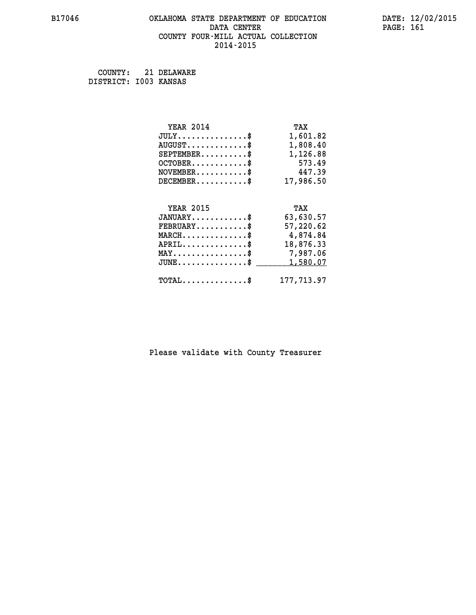### **B17046 OKLAHOMA STATE DEPARTMENT OF EDUCATION DATE: 12/02/2015 DATA CENTER** PAGE: 161  **COUNTY FOUR-MILL ACTUAL COLLECTION 2014-2015**

 **COUNTY: 21 DELAWARE DISTRICT: I003 KANSAS**

| <b>YEAR 2014</b>                               | TAX        |
|------------------------------------------------|------------|
| $JULY$ \$                                      | 1,601.82   |
| $AUGUST$ \$                                    | 1,808.40   |
| $SEPTEMBER$ \$                                 | 1,126.88   |
| $OCTOBER$ \$                                   | 573.49     |
| $NOVEMBER$ \$                                  | 447.39     |
| $DECEMBER$ \$                                  | 17,986.50  |
|                                                |            |
| <b>YEAR 2015</b>                               | TAX        |
| $JANUARY$ \$                                   | 63,630.57  |
| $FEBRUARY$ \$                                  | 57,220.62  |
| $MARCH$ \$                                     | 4,874.84   |
| $APRIL$ \$                                     | 18,876.33  |
| $\texttt{MAX} \dots \dots \dots \dots \dots \$ | 7,987.06   |
| $JUNE$ \$                                      | 1,580.07   |
| $\texttt{TOTAL} \dots \dots \dots \dots \$     | 177,713.97 |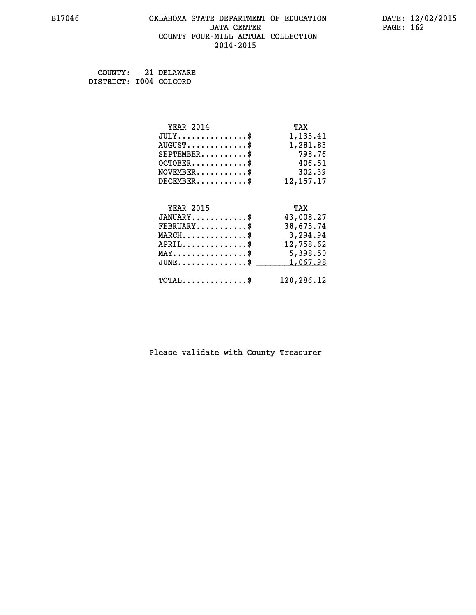### **B17046 OKLAHOMA STATE DEPARTMENT OF EDUCATION DATE: 12/02/2015 DATA CENTER** PAGE: 162  **COUNTY FOUR-MILL ACTUAL COLLECTION 2014-2015**

 **COUNTY: 21 DELAWARE DISTRICT: I004 COLCORD**

| <b>YEAR 2014</b>                               | TAX         |
|------------------------------------------------|-------------|
| $JULY$ \$                                      | 1,135.41    |
| $AUGUST$ \$                                    | 1,281.83    |
| $SEPTEMBER$ \$                                 | 798.76      |
| $OCTOBER$ \$                                   | 406.51      |
| $NOVEMBER.$ \$                                 | 302.39      |
| $DECEMBER$ \$                                  | 12, 157. 17 |
|                                                |             |
| <b>YEAR 2015</b>                               | TAX         |
| $JANUARY$ \$                                   | 43,008.27   |
| $FEBRUARY$                                     | 38,675.74   |
| $MARCH$ \$                                     | 3,294.94    |
| $APRIL$ \$                                     | 12,758.62   |
| $\texttt{MAX} \dots \dots \dots \dots \dots \$ | 5,398.50    |
| $JUNE$ $$$                                     | 1,067.98    |
| $\texttt{TOTAL} \dots \dots \dots \dots \$     | 120,286.12  |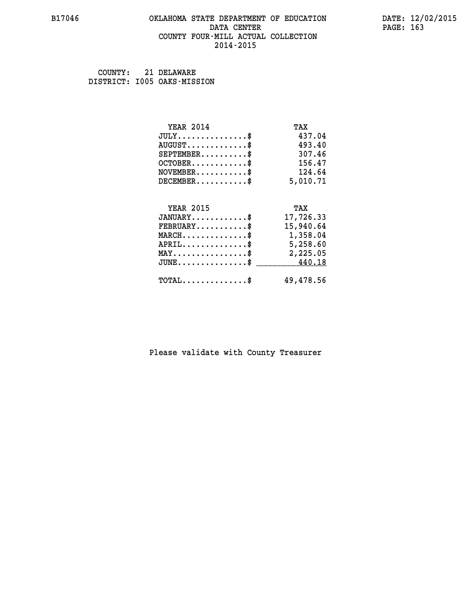### **B17046 OKLAHOMA STATE DEPARTMENT OF EDUCATION DATE: 12/02/2015 DATA CENTER** PAGE: 163  **COUNTY FOUR-MILL ACTUAL COLLECTION 2014-2015**

 **COUNTY: 21 DELAWARE DISTRICT: I005 OAKS-MISSION**

| <b>YEAR 2014</b>                               | TAX       |
|------------------------------------------------|-----------|
| $JULY$ \$                                      | 437.04    |
| $AUGUST$ \$                                    | 493.40    |
| $SEPTEMBER$ \$                                 | 307.46    |
| $OCTOBER$ \$                                   | 156.47    |
| $\texttt{NOVEMBER} \dots \dots \dots \$        | 124.64    |
| $DECEMBER$ \$                                  | 5,010.71  |
|                                                |           |
| <b>YEAR 2015</b>                               | TAX       |
| $JANUARY$ \$                                   | 17,726.33 |
| $FEBRUARY$ \$                                  | 15,940.64 |
|                                                |           |
| $MARCH$ \$                                     | 1,358.04  |
| $APRIL \dots \dots \dots \dots \$              | 5,258.60  |
| $\texttt{MAX} \dots \dots \dots \dots \dots \$ | 2,225.05  |
| $JUNE$ \$                                      | 440.18    |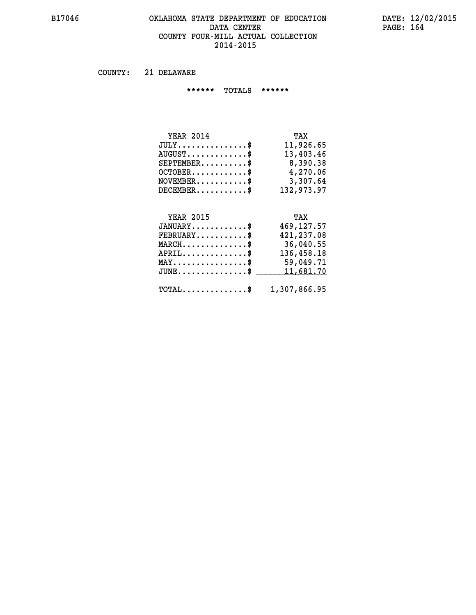### **B17046 OKLAHOMA STATE DEPARTMENT OF EDUCATION DATE: 12/02/2015 DATA CENTER** PAGE: 164  **COUNTY FOUR-MILL ACTUAL COLLECTION 2014-2015**

 **COUNTY: 21 DELAWARE**

 **\*\*\*\*\*\* TOTALS \*\*\*\*\*\***

| <b>YEAR 2014</b>                | TAX        |
|---------------------------------|------------|
| $JULY$                          | 11,926.65  |
| $AUGUST \ldots \ldots \ldots \$ | 13,403.46  |
| $SEPTEMBER$ $\$                 | 8,390.38   |
| $OCTOBER$ \$                    | 4,270.06   |
| $NOVEMBER$ \$                   | 3,307.64   |
| $DECEMBER$                      | 132,973.97 |

# **YEAR 2015**

| <b>YEAR 2015</b>                                        | TAX         |
|---------------------------------------------------------|-------------|
| $JANUARY$ \$                                            | 469, 127.57 |
| $FEBRUARY$ \$                                           | 421,237.08  |
| $MARCH$ \$                                              | 36,040.55   |
| $APRIL$ \$                                              | 136,458.18  |
| $\texttt{MAX} \dots \dots \dots \dots \dots \$          | 59,049.71   |
| JUNE\$ 11,681.70                                        |             |
| $\texttt{TOTAL} \dots \dots \dots \dots \$ 1,307,866.95 |             |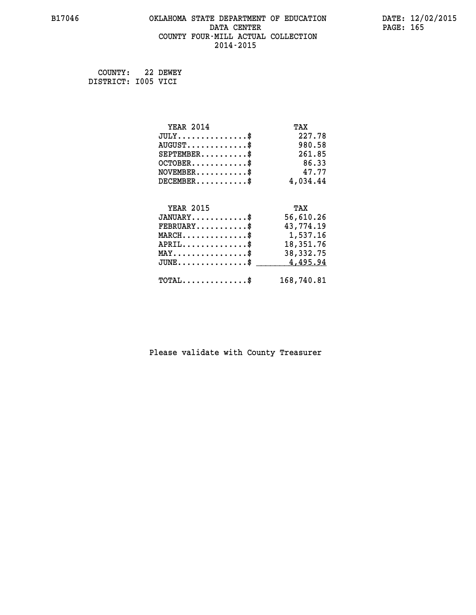# **B17046 OKLAHOMA STATE DEPARTMENT OF EDUCATION DATE: 12/02/2015 DATA CENTER** PAGE: 165  **COUNTY FOUR-MILL ACTUAL COLLECTION 2014-2015**

 **COUNTY: 22 DEWEY DISTRICT: I005 VICI**

| <b>YEAR 2014</b>                                 | TAX         |
|--------------------------------------------------|-------------|
| $JULY$ \$                                        | 227.78      |
| $AUGUST$ \$                                      | 980.58      |
| $SEPTEMBER$ \$                                   | 261.85      |
| $OCTOBER$ \$                                     | 86.33       |
| $\texttt{NOVEMBER} \dots \dots \dots \$          | 47.77       |
| $DECEMBER$ \$                                    | 4,034.44    |
|                                                  |             |
| <b>YEAR 2015</b>                                 | TAX         |
| $JANUARY$ \$                                     | 56,610.26   |
| $FEBRUARY$ \$                                    | 43,774.19   |
| $\texttt{MARCH}\ldots\ldots\ldots\ldots\text{*}$ | 1,537.16    |
| $APRIL \ldots \ldots \ldots \ldots \$            | 18,351.76   |
| $\texttt{MAX} \dots \dots \dots \dots \dots \$   | 38, 332. 75 |
| $JUNE$ \$                                        | 4,495.94    |
| $\texttt{TOTAL} \dots \dots \dots \dots \$       | 168,740.81  |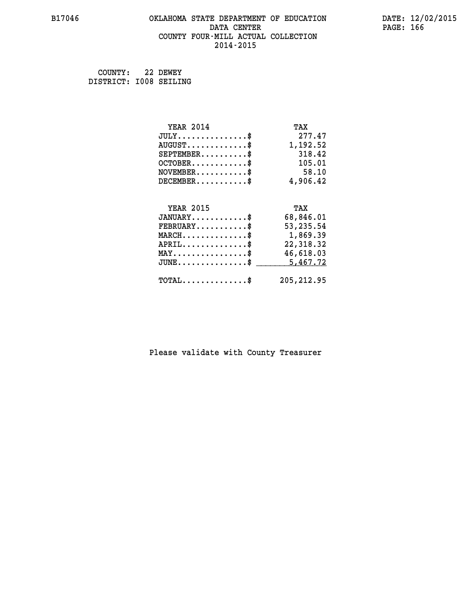# **B17046 OKLAHOMA STATE DEPARTMENT OF EDUCATION DATE: 12/02/2015 DATA CENTER** PAGE: 166  **COUNTY FOUR-MILL ACTUAL COLLECTION 2014-2015**

 **COUNTY: 22 DEWEY DISTRICT: I008 SEILING**

| <b>YEAR 2014</b>                                 | TAX         |
|--------------------------------------------------|-------------|
| $JULY$ \$                                        | 277.47      |
| $AUGUST$ \$                                      | 1,192.52    |
| $SEPTEMBER$ \$                                   | 318.42      |
| $OCTOBER$ \$                                     | 105.01      |
| $\texttt{NOVEMBER} \dots \dots \dots \$          | 58.10       |
| $DECEMBER$ \$                                    | 4,906.42    |
|                                                  |             |
| <b>YEAR 2015</b>                                 | TAX         |
| $JANUARY$ \$                                     | 68,846.01   |
| $FEBRUARY$                                       | 53,235.54   |
| $\texttt{MARCH}\ldots\ldots\ldots\ldots\text{*}$ | 1,869.39    |
| $APRIL \ldots \ldots \ldots \ldots \$            | 22,318.32   |
| $\texttt{MAX} \dots \dots \dots \dots \dots \$   | 46,618.03   |
| $JUNE$ \$                                        | 5,467.72    |
| $\texttt{TOTAL} \dots \dots \dots \dots \$       | 205, 212.95 |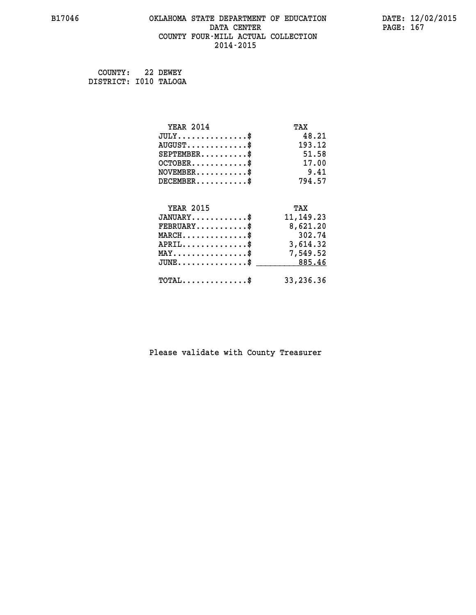# **B17046 OKLAHOMA STATE DEPARTMENT OF EDUCATION DATE: 12/02/2015 DATA CENTER** PAGE: 167  **COUNTY FOUR-MILL ACTUAL COLLECTION 2014-2015**

 **COUNTY: 22 DEWEY DISTRICT: I010 TALOGA**

| <b>YEAR 2014</b>                                 | TAX         |
|--------------------------------------------------|-------------|
| $JULY$ \$                                        | 48.21       |
| $AUGUST$ \$                                      | 193.12      |
| $SEPTEMENT.$ \$                                  | 51.58       |
| $OCTOBER$ \$                                     | 17.00       |
| $NOVEMBER$ \$                                    | 9.41        |
| $DECEMBER$ \$                                    | 794.57      |
|                                                  |             |
| <b>YEAR 2015</b>                                 | TAX         |
| $JANUARY$                                        | 11, 149. 23 |
| $FEBRUARY$                                       | 8,621.20    |
| $MARCH$ \$                                       | 302.74      |
| $APRIL \ldots \ldots \ldots \ldots \$            | 3,614.32    |
| $\texttt{MAX} \dots \dots \dots \dots \dots \$   | 7,549.52    |
| $\texttt{JUNE} \dots \dots \dots \dots \dots \$$ | 885.46      |
| $\texttt{TOTAL} \dots \dots \dots \dots \$       | 33,236.36   |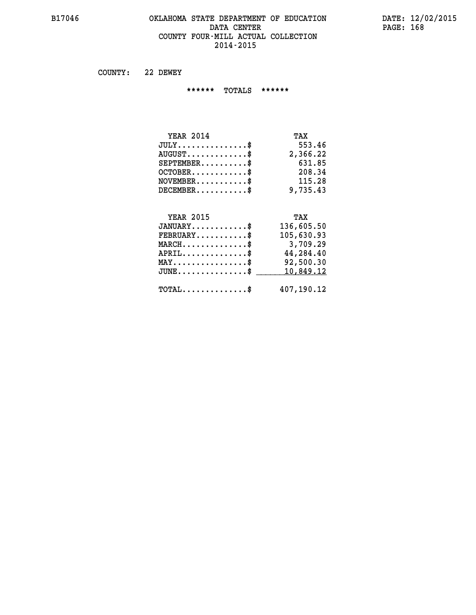### **B17046 OKLAHOMA STATE DEPARTMENT OF EDUCATION DATE: 12/02/2015 DATA CENTER** PAGE: 168  **COUNTY FOUR-MILL ACTUAL COLLECTION 2014-2015**

 **COUNTY: 22 DEWEY**

 **\*\*\*\*\*\* TOTALS \*\*\*\*\*\***

| <b>YEAR 2014</b>              | TAX      |
|-------------------------------|----------|
| $JULY \ldots \ldots \ldots \$ | 553.46   |
| $AUGUST$                      | 2,366.22 |
| $SEPTEMBER$                   | 631.85   |
| $OCTOBER$ \$                  | 208.34   |
| $NOVEMBER$ \$                 | 115.28   |
| $DECEMBER$                    | 9,735.43 |

# **YEAR 2015**

| <b>YEAR 2015</b>                           | TAX        |
|--------------------------------------------|------------|
| $JANUARY$ \$                               | 136,605.50 |
| $FEBRUARY$                                 | 105,630.93 |
| $MARCH$ \$                                 | 3,709.29   |
| $APRIL$ \$                                 | 44,284.40  |
| $MAX \dots \dots \dots \dots \$            | 92,500.30  |
| $JUNE$ \$                                  | 10,849.12  |
| $\texttt{TOTAL} \dots \dots \dots \dots \$ | 407,190.12 |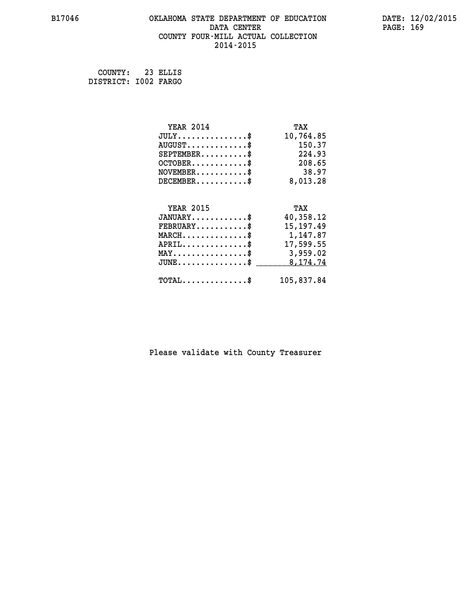# **B17046 OKLAHOMA STATE DEPARTMENT OF EDUCATION DATE: 12/02/2015 DATA CENTER** PAGE: 169  **COUNTY FOUR-MILL ACTUAL COLLECTION 2014-2015**

 **COUNTY: 23 ELLIS DISTRICT: I002 FARGO**

| <b>YEAR 2014</b>                           | TAX         |
|--------------------------------------------|-------------|
| $JULY$ \$                                  | 10,764.85   |
| $AUGUST$ \$                                | 150.37      |
| $SEPTEMBER$ \$                             | 224.93      |
| $OCTOBER$ \$                               | 208.65      |
| $NOVEMBER$ \$                              | 38.97       |
| $DECEMBER$ \$                              | 8,013.28    |
|                                            |             |
| <b>YEAR 2015</b>                           | TAX         |
| $JANUARY$                                  | 40,358.12   |
| $FEBRUARY$                                 | 15, 197. 49 |
| $MARCH$ \$                                 | 1,147.87    |
| $APRIL \ldots \ldots \ldots \ldots \$      | 17,599.55   |
| MAY\$ 3,959.02                             |             |
| $JUNE$ \$                                  | 8,174.74    |
| $\texttt{TOTAL} \dots \dots \dots \dots \$ | 105,837.84  |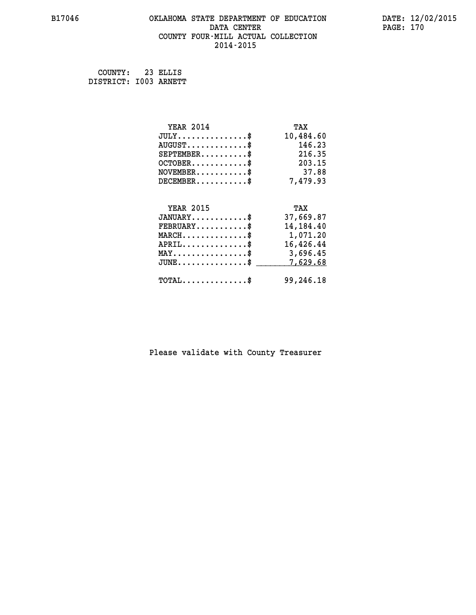# **B17046 OKLAHOMA STATE DEPARTMENT OF EDUCATION DATE: 12/02/2015 DATA CENTER** PAGE: 170  **COUNTY FOUR-MILL ACTUAL COLLECTION 2014-2015**

 **COUNTY: 23 ELLIS DISTRICT: I003 ARNETT**

| <b>YEAR 2014</b>                               | TAX       |
|------------------------------------------------|-----------|
| $JULY$ \$                                      | 10,484.60 |
| $AUGUST$ \$                                    | 146.23    |
| $SEPTEMBER$ \$                                 | 216.35    |
| $OCTOBER$ \$                                   | 203.15    |
| $\texttt{NOVEMBER} \dots \dots \dots \$        | 37.88     |
| $DECEMBER$ \$                                  | 7,479.93  |
|                                                |           |
| <b>YEAR 2015</b>                               | TAX       |
| $JANUARY$ \$                                   | 37,669.87 |
| $FEBRUARY$                                     | 14,184.40 |
| $MARCH$ \$                                     | 1,071.20  |
| $APRIL$ \$                                     | 16,426.44 |
| $\texttt{MAX} \dots \dots \dots \dots \dots \$ | 3,696.45  |
| $JUNE$ \$                                      | 7,629.68  |
| $TOTAL$ \$                                     | 99,246.18 |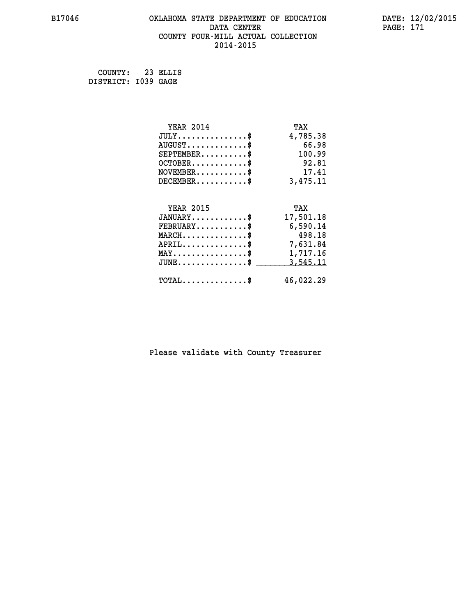# **B17046 OKLAHOMA STATE DEPARTMENT OF EDUCATION DATE: 12/02/2015 DATA CENTER** PAGE: 171  **COUNTY FOUR-MILL ACTUAL COLLECTION 2014-2015**

 **COUNTY: 23 ELLIS DISTRICT: I039 GAGE**

| <b>YEAR 2014</b>                               | TAX       |
|------------------------------------------------|-----------|
| $JULY$ \$                                      | 4,785.38  |
| $AUGUST$ \$                                    | 66.98     |
| $SEPTEMBER$ \$                                 | 100.99    |
| $OCTOBER$ \$                                   | 92.81     |
| $NOVEMBER$ \$                                  | 17.41     |
| $DECEMBER$ \$                                  | 3,475.11  |
|                                                |           |
| <b>YEAR 2015</b>                               | TAX       |
| $JANUARY$ \$                                   | 17,501.18 |
| $FEBRUARY$                                     | 6,590.14  |
| $MARCH$ \$                                     | 498.18    |
| $APRIL \ldots \ldots \ldots \ldots$            | 7,631.84  |
| $\texttt{MAX} \dots \dots \dots \dots \dots \$ | 1,717.16  |
| $JUNE$ \$                                      | 3,545.11  |
| $\texttt{TOTAL} \dots \dots \dots \dots \$     | 46,022.29 |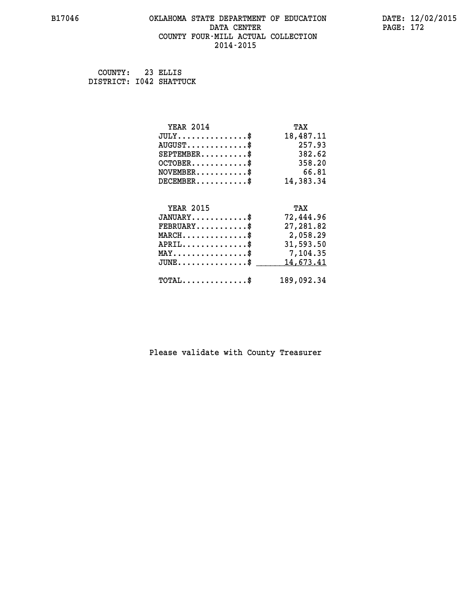# **B17046 OKLAHOMA STATE DEPARTMENT OF EDUCATION DATE: 12/02/2015 DATA CENTER** PAGE: 172  **COUNTY FOUR-MILL ACTUAL COLLECTION 2014-2015**

 **COUNTY: 23 ELLIS DISTRICT: I042 SHATTUCK**

| <b>YEAR 2014</b>                               | TAX        |
|------------------------------------------------|------------|
| $JULY$ \$                                      | 18,487.11  |
| $AUGUST$ \$                                    | 257.93     |
| $SEPTEMENT.$ $\frac{1}{2}$                     | 382.62     |
| $OCTOBER$ \$                                   | 358.20     |
| $NOVEMBER$ \$                                  | 66.81      |
| $DECEMBER$                                     | 14,383.34  |
| <b>YEAR 2015</b>                               | TAX        |
| $JANUARY$ \$                                   | 72,444.96  |
| $FEBRUARY$ \$                                  | 27,281.82  |
| $MARCH$ \$                                     | 2,058.29   |
| $APRIL$ \$                                     | 31,593.50  |
| $\texttt{MAX} \dots \dots \dots \dots \dots \$ | 7,104.35   |
| $JUNE$ \$                                      | 14,673.41  |
| $\texttt{TOTAL} \dots \dots \dots \dots \$     | 189,092.34 |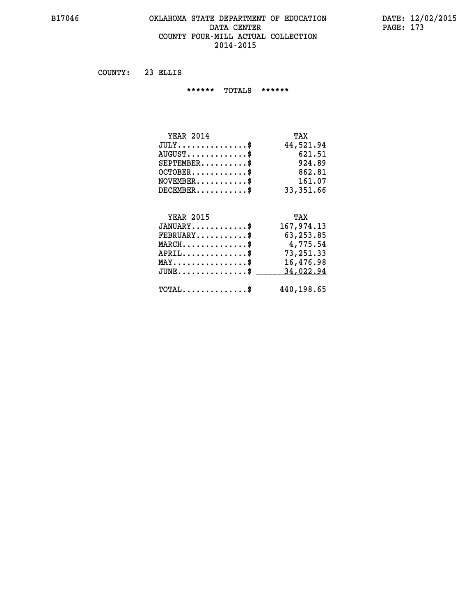### **B17046 OKLAHOMA STATE DEPARTMENT OF EDUCATION DATE: 12/02/2015 DATA CENTER** PAGE: 173  **COUNTY FOUR-MILL ACTUAL COLLECTION 2014-2015**

 **COUNTY: 23 ELLIS**

 **\*\*\*\*\*\* TOTALS \*\*\*\*\*\***

| <b>YEAR 2014</b>       | TAX       |
|------------------------|-----------|
| $JULY$                 | 44,521.94 |
| $AUGUST$ $\frac{1}{2}$ | 621.51    |
| $SEPTEMBER$ $\$        | 924.89    |
| $OCTOBER$ \$           | 862.81    |
| $NOVEMBER$ \$          | 161.07    |
| $DECEMBER$ \$          | 33,351.66 |

# **YEAR 2015 TAX**

| $JANUARY$                                        | 167,974.13 |
|--------------------------------------------------|------------|
| $\texttt{FEBRUARY} \dots \dots \dots \$          | 63, 253.85 |
| $MARCH$ \$                                       | 4,775.54   |
| $APRIL$                                          | 73,251.33  |
| $MAX \dots \dots \dots \dots \$                  | 16,476.98  |
| $JUNE$ \$                                        | 34,022.94  |
| $\texttt{TOTAL} \dots \dots \dots \dots \dots \$ | 440,198.65 |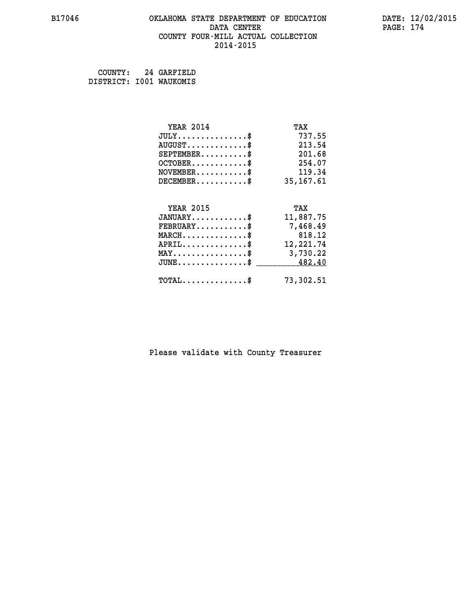# **B17046 OKLAHOMA STATE DEPARTMENT OF EDUCATION DATE: 12/02/2015 DATA CENTER PAGE: 174 COUNTY FOUR-MILL ACTUAL COLLECTION 2014-2015**

 **COUNTY: 24 GARFIELD DISTRICT: I001 WAUKOMIS**

| <b>YEAR 2014</b>                                | TAX        |
|-------------------------------------------------|------------|
| $JULY$ \$                                       | 737.55     |
| $AUGUST$ \$                                     | 213.54     |
| $SEPTEMENT.$ \$                                 | 201.68     |
| $OCTOBER$ \$                                    | 254.07     |
| $\texttt{NOVEMBER} \dots \dots \dots \$         | 119.34     |
| $DECEMBER$ \$                                   | 35, 167.61 |
|                                                 |            |
| <b>YEAR 2015</b>                                | TAX        |
| $JANUARY$ \$                                    | 11,887.75  |
| $FEBRUARY$                                      | 7,468.49   |
|                                                 | 818.12     |
| $MARCH$ \$                                      |            |
| $APRIL$ \$                                      | 12,221.74  |
| $\texttt{MAX} \dots \dots \dots \dots \dots \$$ | 3,730.22   |
| $JUNE \ldots \ldots \ldots \ldots$ \$ 482.40    |            |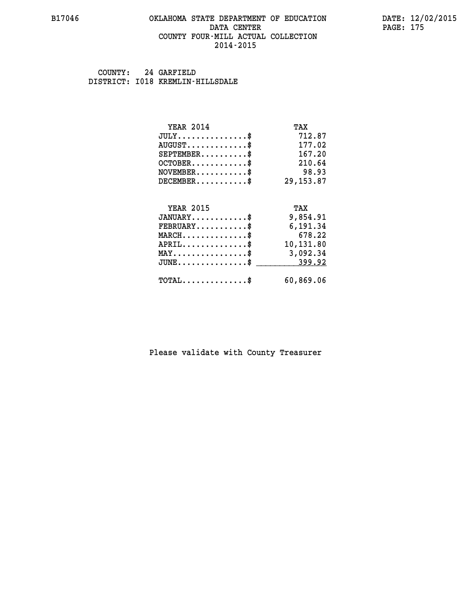### **B17046 OKLAHOMA STATE DEPARTMENT OF EDUCATION DATE: 12/02/2015 DATA CENTER** PAGE: 175  **COUNTY FOUR-MILL ACTUAL COLLECTION 2014-2015**

 **COUNTY: 24 GARFIELD DISTRICT: I018 KREMLIN-HILLSDALE**

| <b>YEAR 2014</b>                               | TAX        |
|------------------------------------------------|------------|
| $JULY$ \$                                      | 712.87     |
| $AUGUST$ \$                                    | 177.02     |
| $SEPTEMBER$ \$                                 | 167.20     |
| $OCTOBER$ \$                                   | 210.64     |
| $\texttt{NOVEMBER} \dots \dots \dots \$        | 98.93      |
| $DECEMBER$ \$                                  | 29, 153.87 |
|                                                |            |
|                                                |            |
| <b>YEAR 2015</b>                               | TAX        |
| $JANUARY$ \$                                   | 9,854.91   |
| $FEBRUARY$                                     | 6,191.34   |
| $MARCH$ \$                                     | 678.22     |
| $APRIL$ \$                                     | 10,131.80  |
| $\texttt{MAX} \dots \dots \dots \dots \dots \$ | 3,092.34   |
| $JUNE$ \$                                      | 399.92     |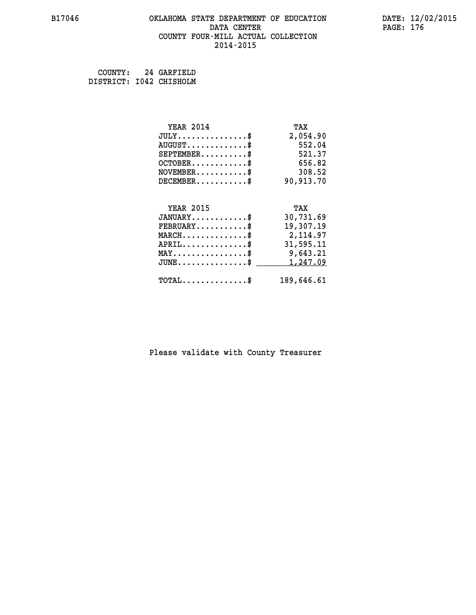# **B17046 OKLAHOMA STATE DEPARTMENT OF EDUCATION DATE: 12/02/2015 DATA CENTER** PAGE: 176  **COUNTY FOUR-MILL ACTUAL COLLECTION 2014-2015**

 **COUNTY: 24 GARFIELD DISTRICT: I042 CHISHOLM**

| <b>YEAR 2014</b>                                  | TAX        |
|---------------------------------------------------|------------|
| $JULY$ \$                                         | 2,054.90   |
| $AUGUST$ \$                                       | 552.04     |
| $SEPTEMBER$ \$                                    | 521.37     |
| $OCTOBER$ \$                                      | 656.82     |
| $NOVEMBER.$ \$                                    | 308.52     |
| $DECEMBER$ \$                                     | 90,913.70  |
|                                                   |            |
| <b>YEAR 2015</b>                                  | TAX        |
| $JANUARY$ \$                                      | 30,731.69  |
| $FEBRUARY$ \$                                     | 19,307.19  |
| $\texttt{MARCH}\ldots\ldots\ldots\ldots\clubsuit$ | 2,114.97   |
| $APRIL \ldots \ldots \ldots \ldots$ \$            | 31,595.11  |
| $\texttt{MAX} \dots \dots \dots \dots \dots \$    | 9,643.21   |
| $JUNE$ \$                                         | 1,247.09   |
| $\texttt{TOTAL} \dots \dots \dots \dots \$        | 189,646.61 |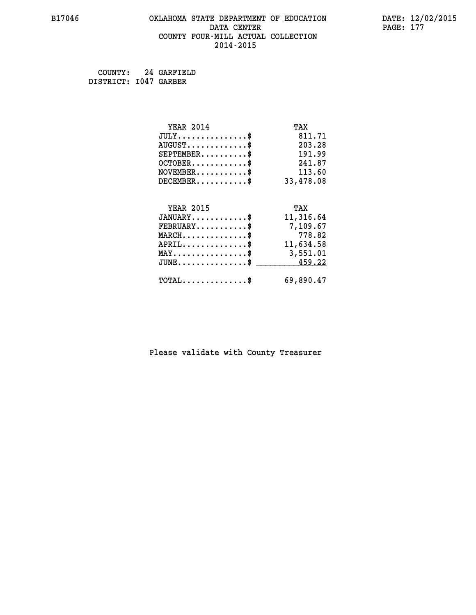# **B17046 OKLAHOMA STATE DEPARTMENT OF EDUCATION DATE: 12/02/2015 DATA CENTER** PAGE: 177  **COUNTY FOUR-MILL ACTUAL COLLECTION 2014-2015**

 **COUNTY: 24 GARFIELD DISTRICT: I047 GARBER**

| <b>YEAR 2014</b>                        | TAX       |
|-----------------------------------------|-----------|
| $JULY$ \$                               | 811.71    |
| $AUGUST$ \$                             | 203.28    |
| $SEPTEMBER$ \$                          | 191.99    |
| $OCTOBER$ \$                            | 241.87    |
| $\texttt{NOVEMBER} \dots \dots \dots \$ | 113.60    |
| $DECEMBER$ \$                           | 33,478.08 |
|                                         |           |
|                                         |           |
| <b>YEAR 2015</b>                        | TAX       |
| $JANUARY$ \$                            | 11,316.64 |
| $FEBRUARY$                              | 7,109.67  |
| $MARCH$ \$                              | 778.82    |
| $APRIL$ \$                              | 11,634.58 |
| MAY\$ 3,551.01                          |           |
| $JUNE \ldots \ldots \ldots \ldots \ast$ | 459.22    |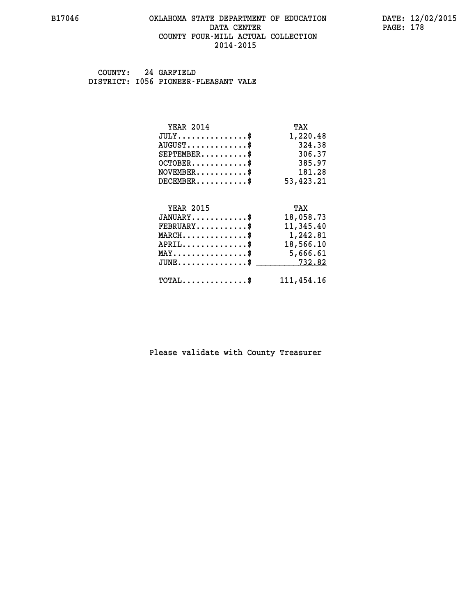### **B17046 OKLAHOMA STATE DEPARTMENT OF EDUCATION DATE: 12/02/2015 DATA CENTER** PAGE: 178  **COUNTY FOUR-MILL ACTUAL COLLECTION 2014-2015**

 **COUNTY: 24 GARFIELD DISTRICT: I056 PIONEER-PLEASANT VALE**

| <b>YEAR 2014</b>                               | TAX        |
|------------------------------------------------|------------|
| $JULY$ \$                                      | 1,220.48   |
| $AUGUST$ \$                                    | 324.38     |
| $SEPTEMBER$ \$                                 | 306.37     |
| $OCTOBER$ \$                                   | 385.97     |
| $NOVEMBER$ \$                                  | 181.28     |
| $DECEMBER$ \$                                  | 53,423.21  |
|                                                |            |
| <b>YEAR 2015</b>                               | TAX        |
| $JANUARY$ \$                                   | 18,058.73  |
| $FEBRUARY$                                     | 11,345.40  |
| $MARCH$ \$                                     | 1,242.81   |
| $APRIL$ \$                                     | 18,566.10  |
| $\texttt{MAX} \dots \dots \dots \dots \dots \$ | 5,666.61   |
| $JUNE \ldots \ldots \ldots \ldots \ldots$ \$   | 732.82     |
| $\texttt{TOTAL} \dots \dots \dots \dots \$     | 111,454.16 |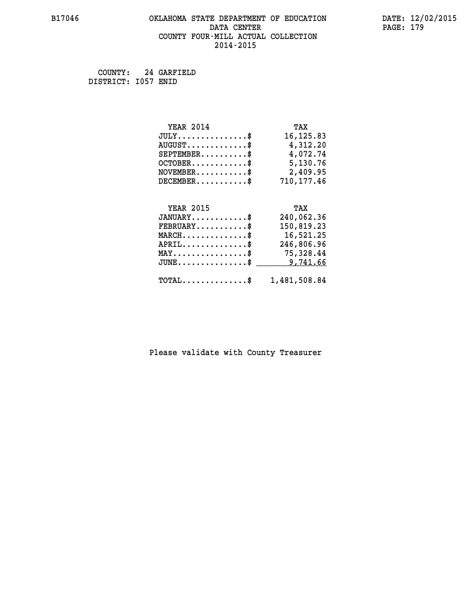# **B17046 OKLAHOMA STATE DEPARTMENT OF EDUCATION DATE: 12/02/2015 DATA CENTER** PAGE: 179  **COUNTY FOUR-MILL ACTUAL COLLECTION 2014-2015**

 **COUNTY: 24 GARFIELD DISTRICT: I057 ENID**

| <b>YEAR 2014</b>                                   | TAX          |
|----------------------------------------------------|--------------|
| $JULY$ \$                                          | 16, 125.83   |
| $AUGUST$ \$                                        | 4,312.20     |
| $SEPTEMBER$ \$                                     | 4,072.74     |
| $OCTOBER \ldots \ldots \ldots \ast$                | 5,130.76     |
| $NOVEMBER.$ \$                                     | 2,409.95     |
| $DECEMBER$ \$                                      | 710,177.46   |
|                                                    |              |
| <b>YEAR 2015</b>                                   | TAX          |
| $JANUARY$ \$                                       | 240,062.36   |
| $\texttt{FEBRUARY} \dots \dots \dots \$            | 150,819.23   |
| $MARCH \ldots \ldots \ldots \ldots \$              | 16,521.25    |
| $APRIL$ \$                                         | 246,806.96   |
| $\texttt{MAX} \dots \dots \dots \dots \dots \$     | 75,328.44    |
| $\texttt{JUNE} \dots \dots \dots \dots \texttt{S}$ | 9,741.66     |
| $\texttt{TOTAL} \dots \dots \dots \dots \$         | 1,481,508.84 |
|                                                    |              |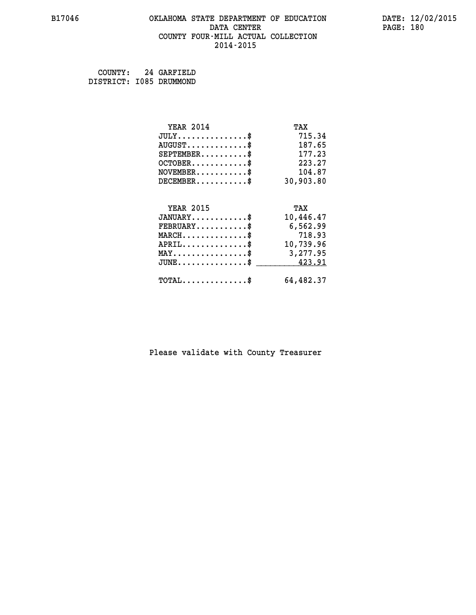# **B17046 OKLAHOMA STATE DEPARTMENT OF EDUCATION DATE: 12/02/2015 DATA CENTER** PAGE: 180  **COUNTY FOUR-MILL ACTUAL COLLECTION 2014-2015**

 **COUNTY: 24 GARFIELD DISTRICT: I085 DRUMMOND**

| <b>YEAR 2014</b>                                 | TAX       |
|--------------------------------------------------|-----------|
| $JULY$ \$                                        | 715.34    |
| $AUGUST$ \$                                      | 187.65    |
| $SEPTEMBER$ \$                                   | 177.23    |
| $OCTOBER$ \$                                     | 223.27    |
| $NOVEMBER.$ \$                                   | 104.87    |
| $DECEMBER$ \$                                    | 30,903.80 |
| <b>YEAR 2015</b>                                 | TAX       |
| $JANUARY$ \$                                     | 10,446.47 |
|                                                  |           |
| $FEBRUARY$                                       | 6,562.99  |
| $MARCH$ \$                                       | 718.93    |
| $APRIL \ldots \ldots \ldots \ldots \$            | 10,739.96 |
| $\texttt{MAX} \dots \dots \dots \dots \dots \$   | 3,277.95  |
| $\texttt{JUNE} \dots \dots \dots \dots \dots \$$ | 423.91    |
|                                                  |           |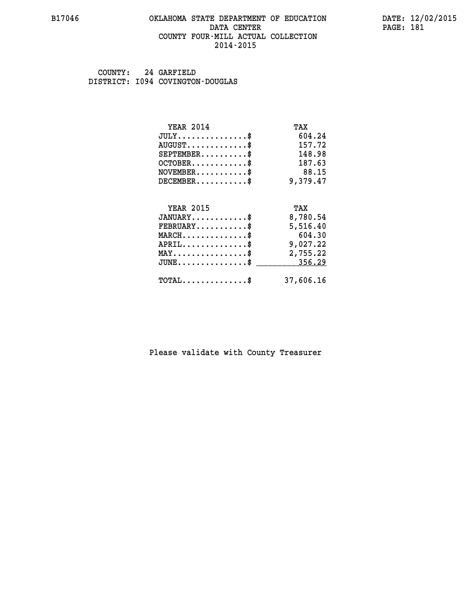#### **B17046 OKLAHOMA STATE DEPARTMENT OF EDUCATION DATE: 12/02/2015 DATA CENTER** PAGE: 181  **COUNTY FOUR-MILL ACTUAL COLLECTION 2014-2015**

 **COUNTY: 24 GARFIELD DISTRICT: I094 COVINGTON-DOUGLAS**

| <b>YEAR 2014</b>                                 | TAX       |
|--------------------------------------------------|-----------|
| $JULY$ \$                                        | 604.24    |
| $AUGUST$ \$                                      | 157.72    |
| $SEPTEMBER$ \$                                   | 148.98    |
| $OCTOBER$ \$                                     | 187.63    |
| $NOVEMBER$ \$                                    | 88.15     |
| $DECEMBER$ \$                                    | 9,379.47  |
| <b>YEAR 2015</b>                                 | TAX       |
| $JANUARY$ \$                                     | 8,780.54  |
|                                                  |           |
| $FEBRUARY$                                       | 5,516.40  |
| $MARCH$ \$                                       | 604.30    |
| $APRIL$ \$                                       | 9,027.22  |
| $\texttt{MAX} \dots \dots \dots \dots \dots \$   | 2,755.22  |
| $\texttt{JUNE} \dots \dots \dots \dots \dots \$$ | 356.29    |
| $\texttt{TOTAL} \dots \dots \dots \dots$ \$      | 37,606.16 |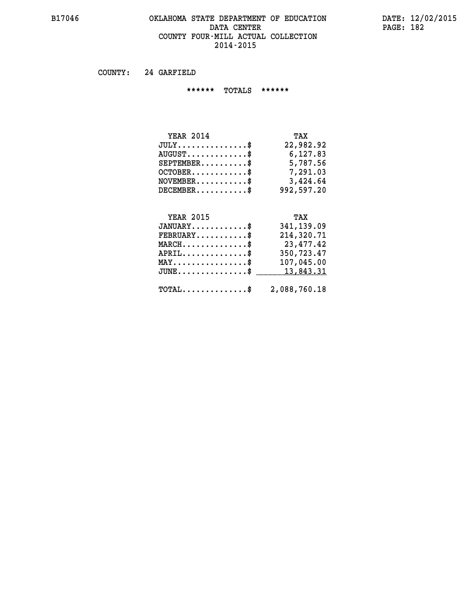## **B17046 OKLAHOMA STATE DEPARTMENT OF EDUCATION DATE: 12/02/2015 DATA CENTER PAGE: 182 COUNTY FOUR-MILL ACTUAL COLLECTION 2014-2015**

 **COUNTY: 24 GARFIELD**

 **\*\*\*\*\*\* TOTALS \*\*\*\*\*\***

| <b>YEAR 2014</b> | TAX        |
|------------------|------------|
| $JULY$           | 22,982.92  |
| $AUGUST$ $\$\$   | 6,127.83   |
| $SEPTEMBER$ \$   | 5,787.56   |
| $OCTOBER$ \$     | 7,291.03   |
| $NOVEMBER$ \$    | 3,424.64   |
| $DECEMBER$ \$    | 992,597.20 |

# **YEAR 2015**

| <b>YEAR 2015</b>                                    | TAX          |
|-----------------------------------------------------|--------------|
| $JANUARY$ \$                                        | 341,139.09   |
| $FEBRUARY$                                          | 214,320.71   |
| $MARCH$ \$                                          | 23,477.42    |
| $APRIL$ \$                                          | 350,723.47   |
| $MAX \dots \dots \dots \dots \dots$                 | 107,045.00   |
| JUNE\$ 13,843.31                                    |              |
| $\texttt{TOTAL} \dots \dots \dots \dots \texttt{S}$ | 2,088,760.18 |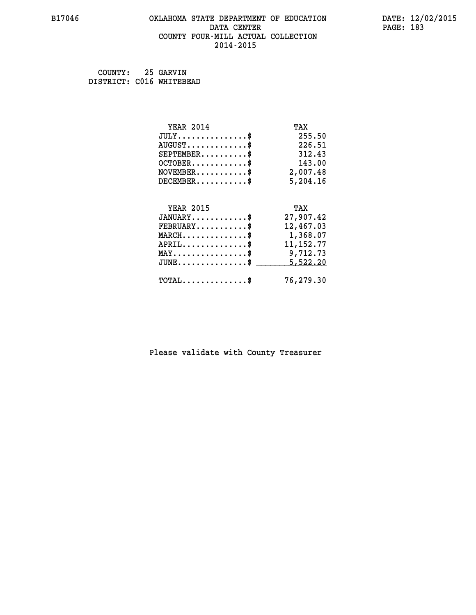#### **B17046 OKLAHOMA STATE DEPARTMENT OF EDUCATION DATE: 12/02/2015 DATA CENTER** PAGE: 183  **COUNTY FOUR-MILL ACTUAL COLLECTION 2014-2015**

| COUNTY:                  | 25 GARVIN |
|--------------------------|-----------|
| DISTRICT: C016 WHITEBEAD |           |

| <b>YEAR 2014</b>                                                          | TAX         |
|---------------------------------------------------------------------------|-------------|
| $JULY$ \$                                                                 | 255.50      |
| $AUGUST$ \$                                                               | 226.51      |
| $SEPTEMBER$ \$                                                            | 312.43      |
| $OCTOBER$ \$                                                              | 143.00      |
| $\verb NOVEMBER , \verb , \verb , \verb , \verb , \verb , \verb , \verb $ | 2,007.48    |
| $DECEMBER$ \$                                                             | 5,204.16    |
|                                                                           |             |
| <b>YEAR 2015</b>                                                          | TAX         |
| $JANUARY$ \$                                                              | 27,907.42   |
| $FEBRUARY$                                                                | 12,467.03   |
| $MARCH$ \$                                                                | 1,368.07    |
| $APRIL \ldots \ldots \ldots \ldots \$                                     | 11, 152. 77 |
| $\texttt{MAX} \dots \dots \dots \dots \dots \$                            | 9,712.73    |
| $JUNE$ \$                                                                 | 5,522.20    |
| $\texttt{TOTAL} \dots \dots \dots \dots$                                  | 76,279.30   |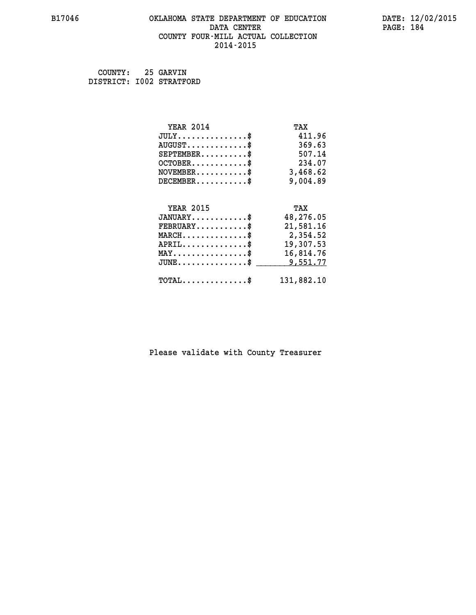#### **B17046 OKLAHOMA STATE DEPARTMENT OF EDUCATION DATE: 12/02/2015 DATA CENTER** PAGE: 184  **COUNTY FOUR-MILL ACTUAL COLLECTION 2014-2015**

| COUNTY:                  | 25 GARVIN |
|--------------------------|-----------|
| DISTRICT: I002 STRATFORD |           |

| <b>YEAR 2014</b>                                   | TAX        |
|----------------------------------------------------|------------|
| $JULY$ \$                                          | 411.96     |
| $AUGUST$ \$                                        | 369.63     |
| $SEPTEMENT.$ \$                                    | 507.14     |
| $OCTOBER$ \$                                       | 234.07     |
| $\texttt{NOVEMBER} \dots \dots \dots \$$           | 3,468.62   |
| $DECEMBER$ \$                                      | 9,004.89   |
|                                                    |            |
| <b>YEAR 2015</b>                                   | TAX        |
| $JANUARY$ \$                                       | 48,276.05  |
| $FEBRUARY$                                         | 21,581.16  |
| MARCH\$ 2,354.52                                   |            |
| $APRIL \ldots \ldots \ldots \ldots$                | 19,307.53  |
| $\texttt{MAX} \dots \dots \dots \dots \dots \$     | 16,814.76  |
| $\texttt{JUNE} \dots \dots \dots \dots \texttt{S}$ | 9,551.77   |
| $\texttt{TOTAL} \dots \dots \dots \dots$           | 131,882.10 |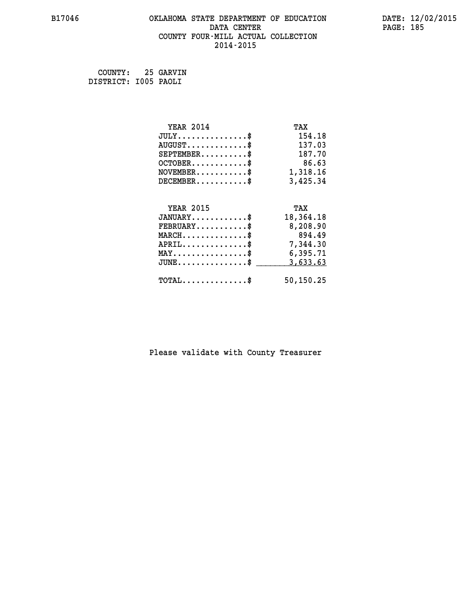#### **B17046 OKLAHOMA STATE DEPARTMENT OF EDUCATION DATE: 12/02/2015 DATA CENTER** PAGE: 185  **COUNTY FOUR-MILL ACTUAL COLLECTION 2014-2015**

 **COUNTY: 25 GARVIN DISTRICT: I005 PAOLI**

| <b>YEAR 2014</b>                               | TAX       |
|------------------------------------------------|-----------|
| $JULY$ \$                                      | 154.18    |
| $AUGUST$ \$                                    | 137.03    |
| $SEPTEMENT.$ \$                                | 187.70    |
| $OCTOBER$ \$                                   | 86.63     |
| $\texttt{NOVEMBER} \dots \dots \dots \$        | 1,318.16  |
| $DECEMBER$ \$                                  | 3,425.34  |
|                                                |           |
| <b>YEAR 2015</b>                               | TAX       |
| $JANUARY$ \$                                   | 18,364.18 |
| $FEBRUARY$                                     | 8,208.90  |
| $MARCH$ \$                                     | 894.49    |
| $APRIL \ldots \ldots \ldots \ldots \$          | 7,344.30  |
| $\texttt{MAX} \dots \dots \dots \dots \dots \$ | 6,395.71  |
| $JUNE$ \$                                      | 3,633.63  |
| $\texttt{TOTAL} \dots \dots \dots \dots \$     | 50,150.25 |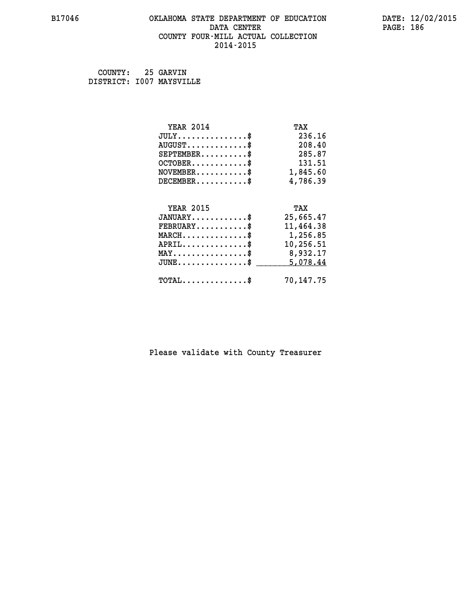#### **B17046 OKLAHOMA STATE DEPARTMENT OF EDUCATION DATE: 12/02/2015 DATA CENTER** PAGE: 186  **COUNTY FOUR-MILL ACTUAL COLLECTION 2014-2015**

 **COUNTY: 25 GARVIN DISTRICT: I007 MAYSVILLE**

| <b>YEAR 2014</b>                               | TAX       |
|------------------------------------------------|-----------|
| $JULY$ \$                                      | 236.16    |
| $AUGUST$ \$                                    | 208.40    |
| $SEPTEMBER$ \$                                 | 285.87    |
| $OCTOBER$ \$                                   | 131.51    |
| $NOVEMBER.$ \$                                 | 1,845.60  |
| $DECEMBER$ \$                                  | 4,786.39  |
|                                                |           |
| <b>YEAR 2015</b>                               | TAX       |
| $JANUARY$ \$                                   | 25,665.47 |
| $FEBRUARY$                                     | 11,464.38 |
| MARCH\$ 1,256.85                               |           |
| $APRIL$ \$                                     | 10,256.51 |
| $\texttt{MAX} \dots \dots \dots \dots \dots \$ | 8,932.17  |
| $JUNE$ \$                                      | 5,078.44  |
| $\texttt{TOTAL} \dots \dots \dots \dots$ \$    | 70,147.75 |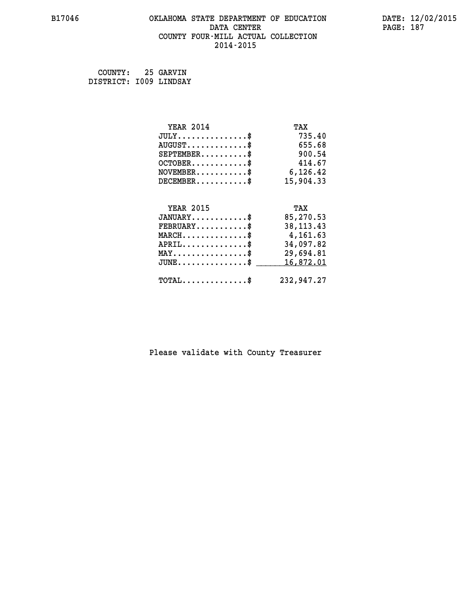# **B17046 OKLAHOMA STATE DEPARTMENT OF EDUCATION DATE: 12/02/2015 DATA CENTER PAGE: 187 COUNTY FOUR-MILL ACTUAL COLLECTION 2014-2015**

 **COUNTY: 25 GARVIN DISTRICT: I009 LINDSAY**

| <b>YEAR 2014</b>                                                          | TAX         |
|---------------------------------------------------------------------------|-------------|
| $JULY$ \$                                                                 | 735.40      |
| $AUGUST$ \$                                                               | 655.68      |
| $SEPTEMBER$ \$                                                            | 900.54      |
| $OCTOBER$ \$                                                              | 414.67      |
| $\verb NOVEMBER , \verb , \verb , \verb , \verb , \verb , \verb , \verb $ | 6,126.42    |
| $DECEMBER$ \$                                                             | 15,904.33   |
|                                                                           |             |
| <b>YEAR 2015</b>                                                          | TAX         |
| $JANUARY$ \$                                                              | 85,270.53   |
| $FEBRUARY$                                                                | 38, 113. 43 |
| MARCH\$ 4,161.63                                                          |             |
| $APRIL \ldots \ldots \ldots \ldots *$                                     | 34,097.82   |
| $\texttt{MAX} \dots \dots \dots \dots \dots \$                            | 29,694.81   |
| $JUNE$ \$                                                                 | 16,872.01   |
| $\texttt{TOTAL} \dots \dots \dots \dots \$                                | 232,947.27  |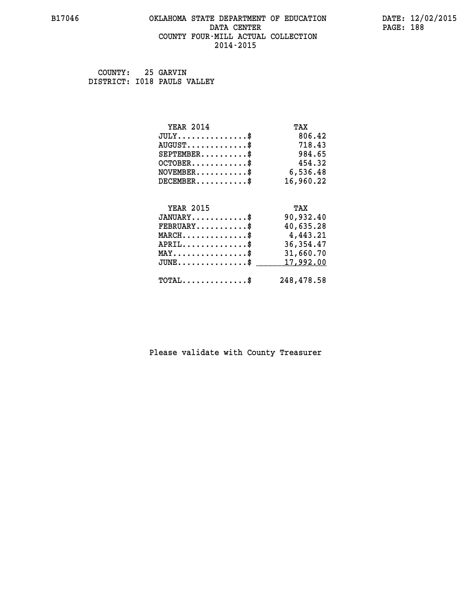#### **B17046 OKLAHOMA STATE DEPARTMENT OF EDUCATION DATE: 12/02/2015 DATA CENTER** PAGE: 188  **COUNTY FOUR-MILL ACTUAL COLLECTION 2014-2015**

 **COUNTY: 25 GARVIN DISTRICT: I018 PAULS VALLEY**

| <b>YEAR 2014</b>                               | TAX        |
|------------------------------------------------|------------|
| $JULY$ \$                                      | 806.42     |
| $AUGUST$ \$                                    | 718.43     |
| $SEPTEMBER$ \$                                 | 984.65     |
| $OCTOBER$ \$                                   | 454.32     |
| $\texttt{NOVEMBER} \dots \dots \dots \$        | 6,536.48   |
| $DECEMBER$ \$                                  | 16,960.22  |
|                                                |            |
| <b>YEAR 2015</b>                               | TAX        |
| $JANUARY$ \$                                   | 90,932.40  |
| $FEBRUARY$                                     | 40,635.28  |
| $MARCH$ \$                                     | 4,443.21   |
| $APRIL \ldots \ldots \ldots \ldots \$          | 36, 354.47 |
| $\texttt{MAX} \dots \dots \dots \dots \dots \$ | 31,660.70  |
| $JUNE$ \$                                      | 17,992.00  |
| $\texttt{TOTAL} \dots \dots \dots \dots \$     | 248,478.58 |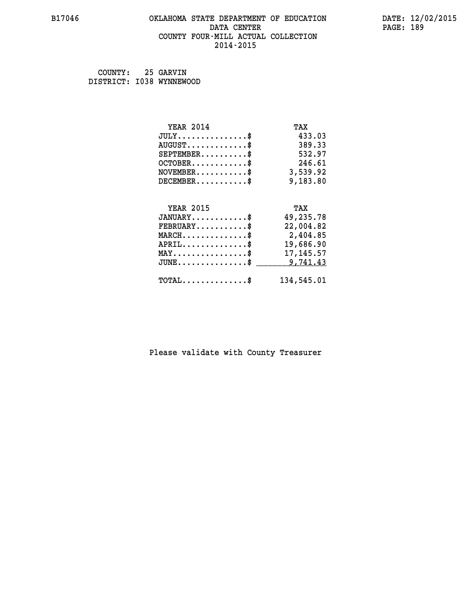## **B17046 OKLAHOMA STATE DEPARTMENT OF EDUCATION DATE: 12/02/2015 DATA CENTER PAGE: 189 COUNTY FOUR-MILL ACTUAL COLLECTION 2014-2015**

 **COUNTY: 25 GARVIN DISTRICT: I038 WYNNEWOOD**

| <b>YEAR 2014</b>                                 | TAX        |
|--------------------------------------------------|------------|
| $JULY$ \$                                        | 433.03     |
| $AUGUST$ \$                                      | 389.33     |
| $SEPTEMBER$ \$                                   | 532.97     |
| $OCTOBER$ \$                                     | 246.61     |
| $NOVEMBER.$ \$                                   | 3,539.92   |
| $DECEMBER$ \$                                    | 9,183.80   |
|                                                  |            |
| <b>YEAR 2015</b>                                 | TAX        |
| $JANUARY$ \$                                     | 49,235.78  |
| $FEBRUARY$                                       | 22,004.82  |
| $\texttt{MARCH}\ldots\ldots\ldots\ldots\text{*}$ | 2,404.85   |
| $APRIL \ldots \ldots \ldots$ \$                  | 19,686.90  |
| $\texttt{MAX} \dots \dots \dots \dots \dots \$   | 17, 145.57 |
| $JUNE$ \$                                        | 9,741.43   |
| $\texttt{TOTAL} \dots \dots \dots \dots \$       | 134,545.01 |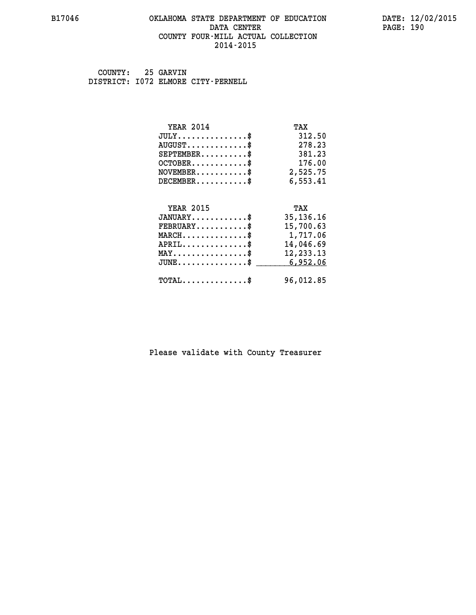#### **B17046 OKLAHOMA STATE DEPARTMENT OF EDUCATION DATE: 12/02/2015 DATA CENTER** PAGE: 190  **COUNTY FOUR-MILL ACTUAL COLLECTION 2014-2015**

 **COUNTY: 25 GARVIN DISTRICT: I072 ELMORE CITY-PERNELL**

| <b>YEAR 2014</b>                           | TAX         |
|--------------------------------------------|-------------|
| $JULY$ \$                                  | 312.50      |
| $AUGUST$ \$                                | 278.23      |
| $SEPTEMENT.$ \$                            | 381.23      |
| $OCTOBER$ \$                               | 176.00      |
| $NOVEMBER$ \$                              | 2,525.75    |
| $DECEMBER$ \$                              | 6,553.41    |
|                                            |             |
| <b>YEAR 2015</b>                           | TAX         |
| $JANUARY$                                  | 35, 136. 16 |
| $FEBRUARY$                                 | 15,700.63   |
| $MARCH$ \$                                 | 1,717.06    |
| $APRIL$ \$                                 | 14,046.69   |
| $MAX \dots \dots \dots \dots \dots$        | 12, 233. 13 |
| $JUNE \dots \dots \dots \dots \$           | 6,952.06    |
| $\texttt{TOTAL} \dots \dots \dots \dots \$ | 96,012.85   |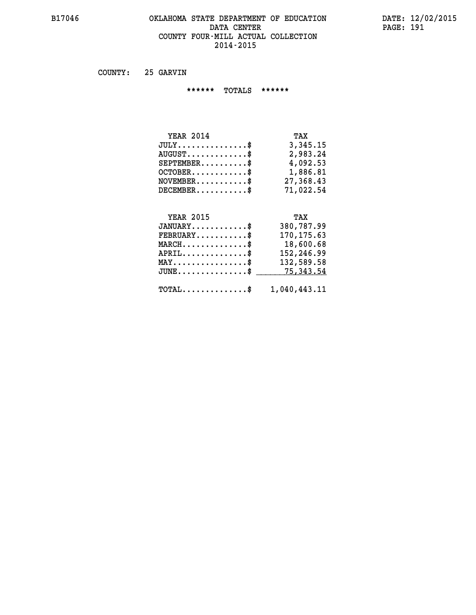#### **B17046 OKLAHOMA STATE DEPARTMENT OF EDUCATION DATE: 12/02/2015 DATA CENTER PAGE: 191 COUNTY FOUR-MILL ACTUAL COLLECTION 2014-2015**

 **COUNTY: 25 GARVIN**

 **\*\*\*\*\*\* TOTALS \*\*\*\*\*\***

| <b>YEAR 2014</b>                       | TAX       |
|----------------------------------------|-----------|
| $JULY \ldots \ldots \ldots \mathbb{S}$ | 3,345.15  |
| $AUGUST$ \$                            | 2,983.24  |
| $SEPTEMBER$                            | 4,092.53  |
| $OCTOBER$ $\frac{1}{2}$                | 1,886.81  |
| $NOVEMBER$ \$                          | 27,368.43 |
| $DECEMBER$                             | 71,022.54 |

# **YEAR 2015 TAX**

| $JANUARY$                                               | 380,787.99 |
|---------------------------------------------------------|------------|
| $FEBRUARY$ \$                                           | 170,175.63 |
| $MARCH$ \$                                              | 18,600.68  |
| $APRIL$ \$                                              | 152,246.99 |
| $MAX \dots \dots \dots \dots \$                         | 132,589.58 |
| JUNE\$ 75,343.54                                        |            |
| $\texttt{TOTAL} \dots \dots \dots \dots \$ 1,040,443.11 |            |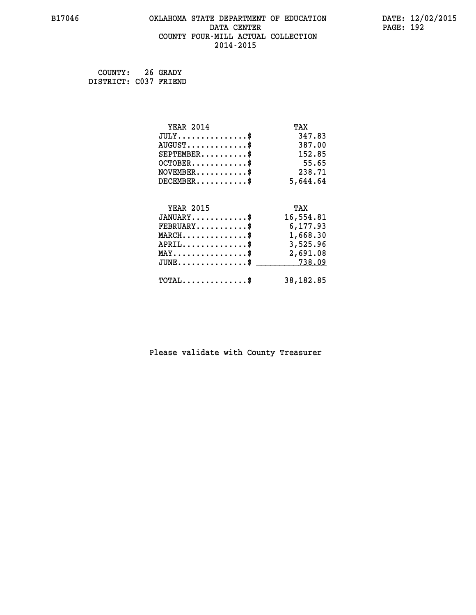#### **B17046 OKLAHOMA STATE DEPARTMENT OF EDUCATION DATE: 12/02/2015 DATA CENTER** PAGE: 192  **COUNTY FOUR-MILL ACTUAL COLLECTION 2014-2015**

 **COUNTY: 26 GRADY DISTRICT: C037 FRIEND**

| <b>YEAR 2014</b>                                 | TAX       |
|--------------------------------------------------|-----------|
| $JULY$ \$                                        | 347.83    |
| $AUGUST$ \$                                      | 387.00    |
| $SEPTEMBER$ \$                                   | 152.85    |
| $OCTOBER$ \$                                     | 55.65     |
| $\texttt{NOVEMBER} \dots \dots \dots \$          | 238.71    |
| $DECEMBER$ \$                                    | 5,644.64  |
|                                                  |           |
| <b>YEAR 2015</b>                                 | TAX       |
| $JANUARY$ \$                                     | 16,554.81 |
| $FEBRUARY$                                       | 6,177.93  |
| $\texttt{MARCH}\ldots\ldots\ldots\ldots\text{*}$ | 1,668.30  |
| $APRIL \ldots \ldots \ldots \ldots \$            | 3,525.96  |
| $\texttt{MAX} \dots \dots \dots \dots \dots \$   | 2,691.08  |
| $\texttt{JUNE} \dots \dots \dots \dots \dots \$$ | 738.09    |
| $\texttt{TOTAL} \dots \dots \dots \dots \$       | 38,182.85 |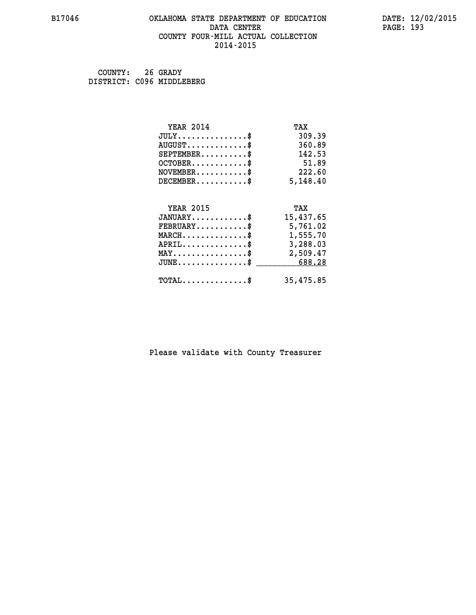#### **B17046 OKLAHOMA STATE DEPARTMENT OF EDUCATION DATE: 12/02/2015 DATA CENTER** PAGE: 193  **COUNTY FOUR-MILL ACTUAL COLLECTION 2014-2015**

 **COUNTY: 26 GRADY DISTRICT: C096 MIDDLEBERG**

| <b>YEAR 2014</b>                                   | TAX       |
|----------------------------------------------------|-----------|
| $JULY$ \$                                          | 309.39    |
| $AUGUST$ \$                                        | 360.89    |
| $SEPTEMBER$ \$                                     | 142.53    |
| $OCTOBER$ \$                                       | 51.89     |
| $NOVEMBER.$ \$                                     | 222.60    |
| $DECEMBER$ \$                                      | 5,148.40  |
|                                                    |           |
| <b>YEAR 2015</b>                                   | TAX       |
| $JANUARY$ \$                                       | 15,437.65 |
| $FEBRUARY$                                         | 5,761.02  |
| $\texttt{MARCH}\ldots\ldots\ldots\ldots\$          | 1,555.70  |
| $APRIL \ldots \ldots \ldots \ldots$                | 3,288.03  |
| $\texttt{MAX} \dots \dots \dots \dots \dots \$     | 2,509.47  |
| $\texttt{JUNE} \dots \dots \dots \dots \texttt{S}$ | 688.28    |
| $\texttt{TOTAL} \dots \dots \dots \dots \$         | 35,475.85 |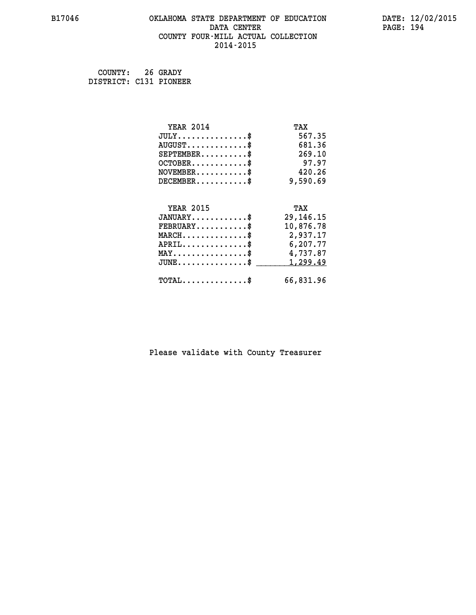#### **B17046 OKLAHOMA STATE DEPARTMENT OF EDUCATION DATE: 12/02/2015 DATA CENTER** PAGE: 194  **COUNTY FOUR-MILL ACTUAL COLLECTION 2014-2015**

 **COUNTY: 26 GRADY DISTRICT: C131 PIONEER**

| <b>YEAR 2014</b>                           | TAX         |
|--------------------------------------------|-------------|
| $JULY$ \$                                  | 567.35      |
| $AUGUST$ \$                                | 681.36      |
| $SEPTEMBER$ \$                             | 269.10      |
| $OCTOBER$ \$                               | 97.97       |
| $NOVEMBER$ \$                              | 420.26      |
| $DECEMBER$ \$                              | 9,590.69    |
|                                            |             |
| <b>YEAR 2015</b>                           | TAX         |
| $JANUARY$                                  | 29, 146. 15 |
| $FEBRUARY$                                 | 10,876.78   |
| $MARCH$ \$                                 | 2,937.17    |
| $APRIL$ \$                                 | 6,207.77    |
| $MAX \dots \dots \dots \dots \dots$        | 4,737.87    |
| $JUNE$ \$                                  | 1,299.49    |
| $\texttt{TOTAL} \dots \dots \dots \dots \$ | 66,831.96   |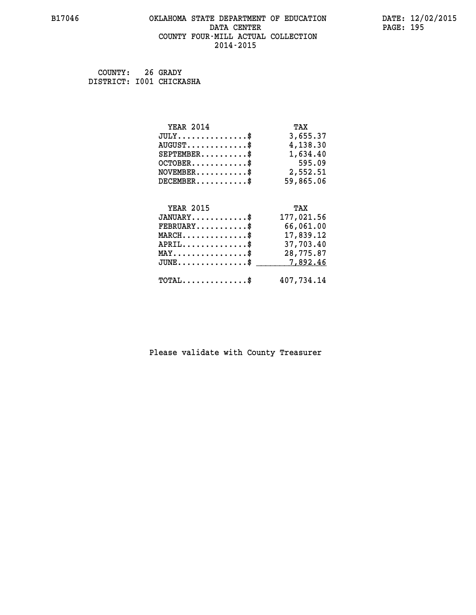#### **B17046 OKLAHOMA STATE DEPARTMENT OF EDUCATION DATE: 12/02/2015 DATA CENTER** PAGE: 195  **COUNTY FOUR-MILL ACTUAL COLLECTION 2014-2015**

 **COUNTY: 26 GRADY DISTRICT: I001 CHICKASHA**

| <b>YEAR 2014</b>                               | TAX        |
|------------------------------------------------|------------|
| $JULY$ \$                                      | 3,655.37   |
| $AUGUST$ \$                                    | 4,138.30   |
| $SEPTEMBER$                                    | 1,634.40   |
| $OCTOBER$ \$                                   | 595.09     |
| $NOVEMBER$ \$                                  | 2,552.51   |
| $DECEMBER$ \$                                  | 59,865.06  |
|                                                |            |
| <b>YEAR 2015</b>                               | TAX        |
|                                                |            |
| $JANUARY$ \$                                   | 177,021.56 |
| $FEBRUARY$                                     | 66,061.00  |
| $MARCH$ \$                                     | 17,839.12  |
| $APRIL$ \$                                     | 37,703.40  |
| $\texttt{MAX} \dots \dots \dots \dots \dots \$ | 28,775.87  |
| $JUNE$ \$                                      | 7,892.46   |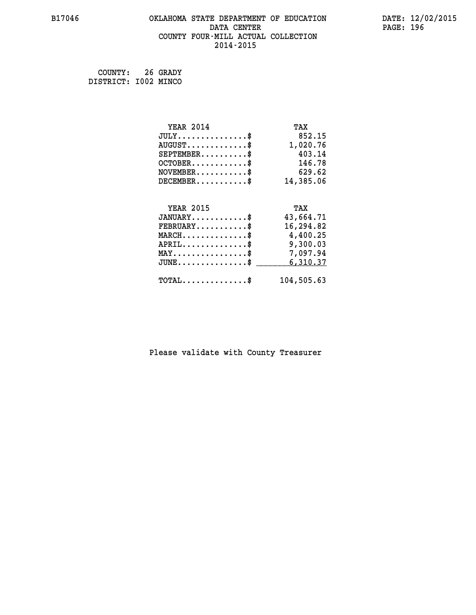#### **B17046 OKLAHOMA STATE DEPARTMENT OF EDUCATION DATE: 12/02/2015 DATA CENTER** PAGE: 196  **COUNTY FOUR-MILL ACTUAL COLLECTION 2014-2015**

 **COUNTY: 26 GRADY DISTRICT: I002 MINCO**

| <b>YEAR 2014</b>                               | TAX        |
|------------------------------------------------|------------|
| $JULY$ \$                                      | 852.15     |
| $AUGUST$ \$                                    | 1,020.76   |
| $SEPTEMBER$ \$                                 | 403.14     |
| $OCTOBER$ \$                                   | 146.78     |
| $NOVEMBER$ \$                                  | 629.62     |
| $DECEMBER$ \$                                  | 14,385.06  |
|                                                |            |
| <b>YEAR 2015</b>                               | TAX        |
| $JANUARY$                                      | 43,664.71  |
| $FEBRUARY$                                     | 16,294.82  |
| $MARCH$ \$                                     | 4,400.25   |
| $APRIL \ldots \ldots \ldots \ldots$            | 9,300.03   |
| $\texttt{MAX} \dots \dots \dots \dots \dots \$ | 7,097.94   |
| $JUNE$ \$                                      | 6,310.37   |
| $\texttt{TOTAL} \dots \dots \dots \dots \$     | 104,505.63 |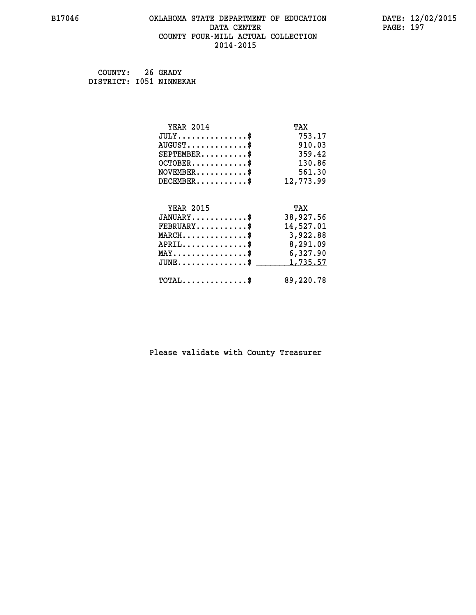#### **B17046 OKLAHOMA STATE DEPARTMENT OF EDUCATION DATE: 12/02/2015 DATA CENTER** PAGE: 197  **COUNTY FOUR-MILL ACTUAL COLLECTION 2014-2015**

 **COUNTY: 26 GRADY DISTRICT: I051 NINNEKAH**

| <b>YEAR 2014</b>                           | TAX       |
|--------------------------------------------|-----------|
| $JULY$ \$                                  | 753.17    |
| $AUGUST$ \$                                | 910.03    |
| $SEPTEMBER$ \$                             | 359.42    |
| $OCTOBER$ \$                               | 130.86    |
| $NOVEMBER$ \$                              | 561.30    |
| $DECEMBER$ \$                              | 12,773.99 |
|                                            |           |
| <b>YEAR 2015</b>                           | TAX       |
| $JANUARY$ \$                               | 38,927.56 |
| $FEBRUARY$                                 | 14,527.01 |
| $MARCH$ \$                                 | 3,922.88  |
| $APRIL$ \$                                 | 8,291.09  |
| $MAX \dots \dots \dots \dots \dots$        | 6,327.90  |
| $JUNE$                                     | 1,735.57  |
| $\texttt{TOTAL} \dots \dots \dots \dots \$ | 89,220.78 |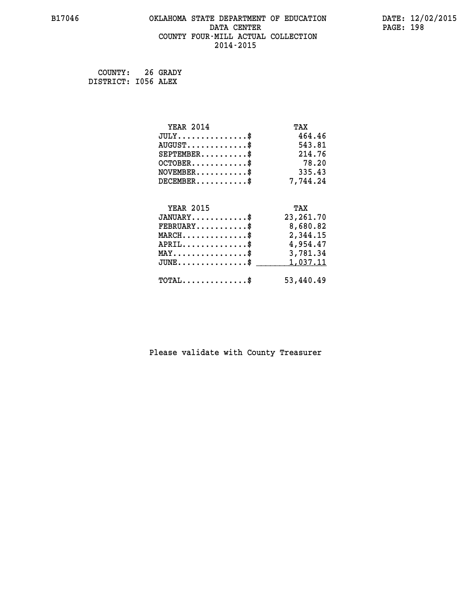#### **B17046 OKLAHOMA STATE DEPARTMENT OF EDUCATION DATE: 12/02/2015 DATA CENTER** PAGE: 198  **COUNTY FOUR-MILL ACTUAL COLLECTION 2014-2015**

 **COUNTY: 26 GRADY DISTRICT: I056 ALEX**

| <b>YEAR 2014</b>                                 | TAX         |
|--------------------------------------------------|-------------|
| $JULY$ \$                                        | 464.46      |
| $AUGUST$ \$                                      | 543.81      |
| $SEPTEMBER$ \$                                   | 214.76      |
| $OCTOBER$ \$                                     | 78.20       |
| $\texttt{NOVEMBER} \dots \dots \dots \$          | 335.43      |
| $DECEMBER$ \$                                    | 7,744.24    |
|                                                  |             |
| <b>YEAR 2015</b>                                 | TAX         |
| $JANUARY$ \$                                     | 23, 261. 70 |
| $FEBRUARY$                                       | 8,680.82    |
| $\texttt{MARCH}\ldots\ldots\ldots\ldots\text{*}$ | 2,344.15    |
| $APRIL \ldots \ldots \ldots \ldots *$            | 4,954.47    |
| $\texttt{MAX} \dots \dots \dots \dots \dots \$   | 3,781.34    |
| $\texttt{JUNE} \dots \dots \dots \dots \dots \$$ | 1,037.11    |
| $\texttt{TOTAL} \dots \dots \dots \dots \$       | 53,440.49   |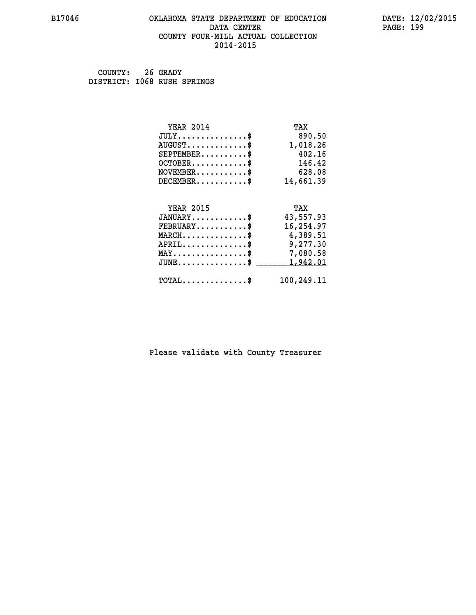#### **B17046 OKLAHOMA STATE DEPARTMENT OF EDUCATION DATE: 12/02/2015 DATA CENTER** PAGE: 199  **COUNTY FOUR-MILL ACTUAL COLLECTION 2014-2015**

 **COUNTY: 26 GRADY DISTRICT: I068 RUSH SPRINGS**

| <b>YEAR 2014</b>                               | TAX        |
|------------------------------------------------|------------|
| $JULY$ \$                                      | 890.50     |
| $AUGUST$ \$                                    | 1,018.26   |
| $SEPTEMBER$ \$                                 | 402.16     |
| $OCTOBER$ \$                                   | 146.42     |
| $\texttt{NOVEMBER} \dots \dots \dots \$        | 628.08     |
| $DECEMBER$ \$                                  | 14,661.39  |
|                                                |            |
| <b>YEAR 2015</b>                               | TAX        |
| $JANUARY$                                      | 43,557.93  |
|                                                |            |
| $FEBRUARY$                                     | 16,254.97  |
| $MARCH$ \$                                     | 4,389.51   |
| $APRIL \ldots \ldots \ldots \ldots \$          | 9,277.30   |
| $\texttt{MAX} \dots \dots \dots \dots \dots \$ | 7,080.58   |
| $JUNE$ \$                                      | 1,942.01   |
| $\texttt{TOTAL} \dots \dots \dots \dots \$     | 100,249.11 |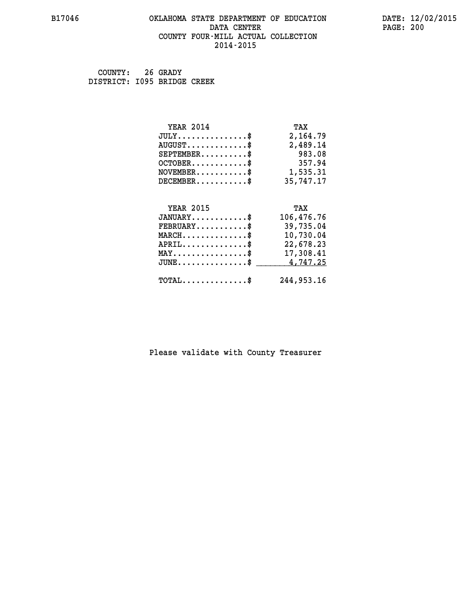## **B17046 OKLAHOMA STATE DEPARTMENT OF EDUCATION DATE: 12/02/2015 DATA CENTER PAGE: 200 COUNTY FOUR-MILL ACTUAL COLLECTION 2014-2015**

 **COUNTY: 26 GRADY DISTRICT: I095 BRIDGE CREEK**

| <b>YEAR 2014</b><br>TAX                                        |
|----------------------------------------------------------------|
| $JULY$<br>2,164.79                                             |
| $AUGUST$ \$<br>2,489.14                                        |
| $SEPTEMBER$ \$<br>983.08                                       |
| 357.94<br>$OCTOBER$ \$                                         |
| 1,535.31<br>$NOVEMBER$ \$                                      |
| 35,747.17<br>$DECEMBER$ \$                                     |
|                                                                |
| <b>YEAR 2015</b><br>TAX                                        |
| $JANUARY$<br>106,476.76                                        |
| 39,735.04<br>$FEBRUARY$ \$                                     |
| $MARCH$ \$<br>10,730.04                                        |
| $APRIL$ \$<br>22,678.23                                        |
| $MAX \dots \dots \dots \dots \$<br>17,308.41                   |
| $JUNE$ \$<br>4,747.25                                          |
| 244,953,16<br>$\texttt{TOTAL} \dots \dots \dots \dots \dots \$ |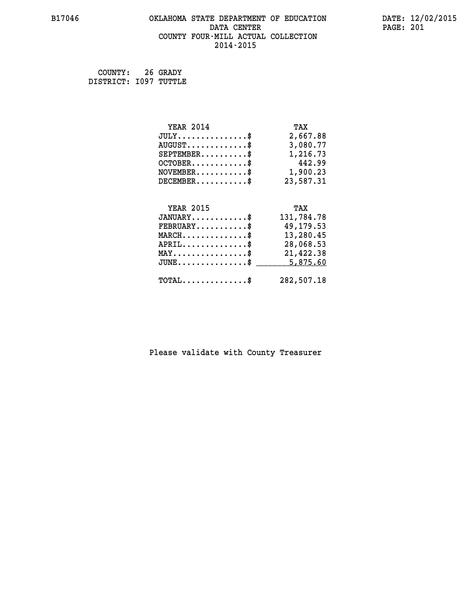# **B17046 OKLAHOMA STATE DEPARTMENT OF EDUCATION DATE: 12/02/2015 DATA CENTER PAGE: 201 COUNTY FOUR-MILL ACTUAL COLLECTION 2014-2015**

 **COUNTY: 26 GRADY DISTRICT: I097 TUTTLE**

| <b>YEAR 2014</b>                               | TAX        |
|------------------------------------------------|------------|
| $JULY$ \$                                      | 2,667.88   |
| $AUGUST$ \$                                    | 3,080.77   |
| $SEPTEMENT.$ \$                                | 1,216.73   |
| $OCTOBER$ \$                                   | 442.99     |
| $\texttt{NOVEMBER} \dots \dots \dots \$        | 1,900.23   |
| $DECEMBER$ \$                                  | 23,587.31  |
|                                                |            |
| <b>YEAR 2015</b>                               | TAX        |
| $JANUARY$ \$                                   | 131,784.78 |
| $FEBRUARY$ \$                                  | 49,179.53  |
| $MARCH \ldots \ldots \ldots \ldots \$          | 13,280.45  |
| $APRIL \ldots \ldots \ldots \ldots$            | 28,068.53  |
| $\texttt{MAX} \dots \dots \dots \dots \dots \$ | 21,422.38  |
| $JUNE$ \$                                      | 5,875.60   |
|                                                |            |
| $\texttt{TOTAL} \dots \dots \dots \dots \$     | 282,507.18 |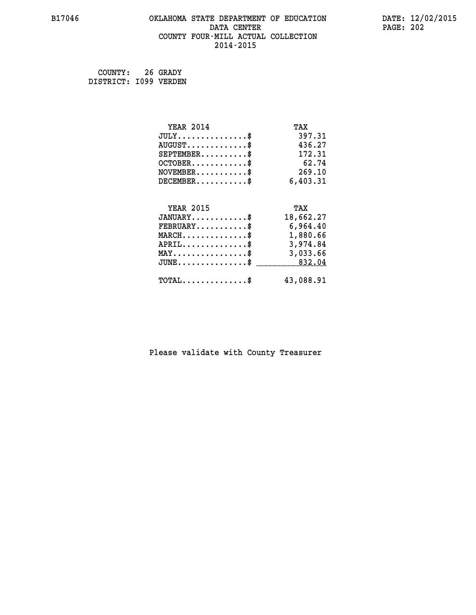#### **B17046 OKLAHOMA STATE DEPARTMENT OF EDUCATION DATE: 12/02/2015 DATA CENTER** PAGE: 202  **COUNTY FOUR-MILL ACTUAL COLLECTION 2014-2015**

 **COUNTY: 26 GRADY DISTRICT: I099 VERDEN**

| <b>YEAR 2014</b>                                   | TAX       |
|----------------------------------------------------|-----------|
| $JULY$ \$                                          | 397.31    |
| $AUGUST$ \$                                        | 436.27    |
| $SEPTEMBER$ \$                                     | 172.31    |
| $OCTOBER$ \$                                       | 62.74     |
| $\texttt{NOVEMBER} \dots \dots \dots \$            | 269.10    |
| $DECEMBER$ \$                                      | 6,403.31  |
|                                                    |           |
| <b>YEAR 2015</b>                                   | TAX       |
| $JANUARY$ \$                                       | 18,662.27 |
| $FEBRUARY$                                         | 6,964.40  |
| $\texttt{MARCH}\ldots\ldots\ldots\ldots\text{*}$   | 1,880.66  |
| $APRIL \ldots \ldots \ldots \ldots *$              | 3,974.84  |
| $\texttt{MAX} \dots \dots \dots \dots \dots \$     | 3,033.66  |
| $\texttt{JUNE} \dots \dots \dots \dots \texttt{S}$ | 832.04    |
| $\texttt{TOTAL} \dots \dots \dots \dots \$         | 43,088.91 |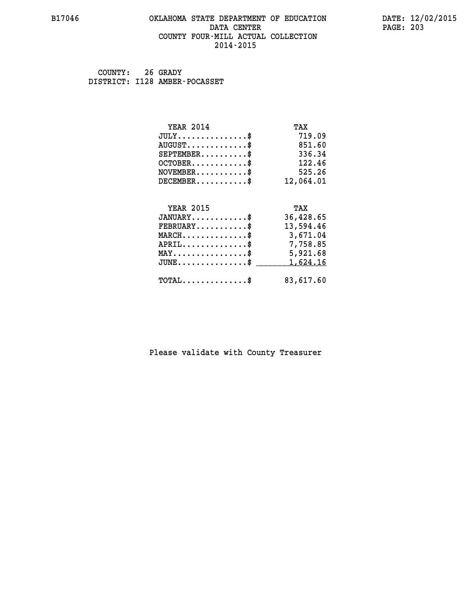#### **B17046 OKLAHOMA STATE DEPARTMENT OF EDUCATION DATE: 12/02/2015 DATA CENTER** PAGE: 203  **COUNTY FOUR-MILL ACTUAL COLLECTION 2014-2015**

 **COUNTY: 26 GRADY DISTRICT: I128 AMBER-POCASSET**

| <b>YEAR 2014</b>                               | TAX       |
|------------------------------------------------|-----------|
| $JULY$ \$                                      | 719.09    |
| $AUGUST$ \$                                    | 851.60    |
| $SEPTEMENT.$ \$                                | 336.34    |
| $OCTOBER$ \$                                   | 122.46    |
| $NOVEMBER$ \$                                  | 525.26    |
| $DECEMBER$ \$                                  | 12,064.01 |
| <b>YEAR 2015</b>                               | TAX       |
| $JANUARY$ \$                                   | 36,428.65 |
| $FEBRUARY$                                     | 13,594.46 |
| $MARCH$ \$                                     | 3,671.04  |
| $APRIL$ \$                                     | 7,758.85  |
| $\texttt{MAX} \dots \dots \dots \dots \dots \$ | 5,921.68  |
| $JUNE$                                         | 1,624.16  |
| $\texttt{TOTAL} \dots \dots \dots \dots \$     | 83,617.60 |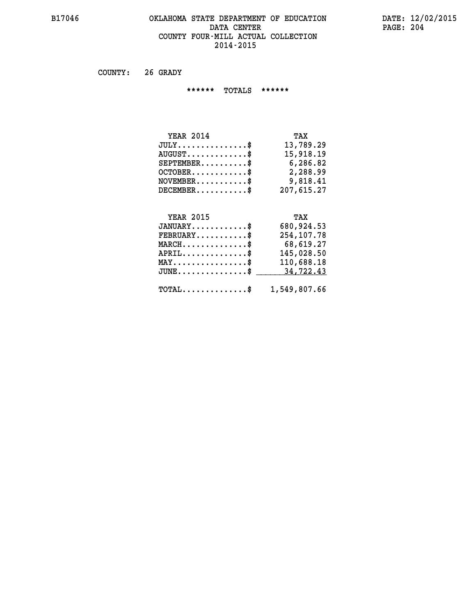#### **B17046 OKLAHOMA STATE DEPARTMENT OF EDUCATION DATE: 12/02/2015 DATA CENTER** PAGE: 204  **COUNTY FOUR-MILL ACTUAL COLLECTION 2014-2015**

 **COUNTY: 26 GRADY**

 **\*\*\*\*\*\* TOTALS \*\*\*\*\*\***

| <b>YEAR 2014</b> | TAX        |
|------------------|------------|
| $JULY$           | 13,789.29  |
| $AUGUST$ \$      | 15,918.19  |
| $SEPTEMBER$ $\$  | 6,286.82   |
| $OCTOBER$ \$     | 2,288.99   |
| $NOVEMBER$ \$    | 9,818.41   |
| $DECEMBER$       | 207,615.27 |

# **YEAR 2015**

| <b>YEAR 2015</b>                                        | TAX        |
|---------------------------------------------------------|------------|
| $JANUARY$ \$                                            | 680,924.53 |
| $FEBRUARY$ \$                                           | 254,107.78 |
| $MARCH$ \$                                              | 68,619.27  |
| $APRIL$ \$                                              | 145,028.50 |
| $MAX \dots \dots \dots \dots \$                         | 110,688.18 |
| JUNE\$ 34,722.43                                        |            |
|                                                         |            |
| $\texttt{TOTAL} \dots \dots \dots \dots \$ 1,549,807.66 |            |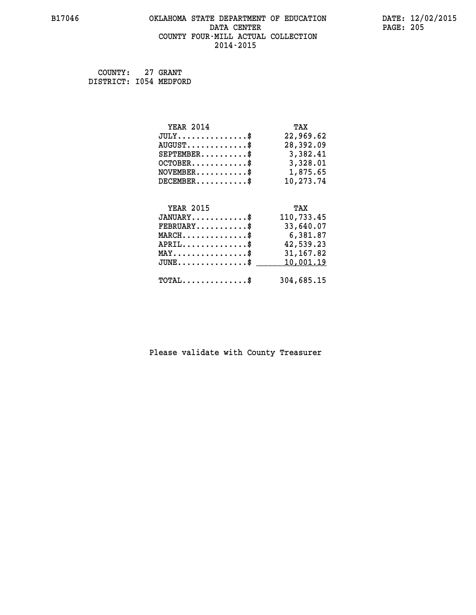#### **B17046 OKLAHOMA STATE DEPARTMENT OF EDUCATION DATE: 12/02/2015 DATA CENTER** PAGE: 205  **COUNTY FOUR-MILL ACTUAL COLLECTION 2014-2015**

 **COUNTY: 27 GRANT DISTRICT: I054 MEDFORD**

| <b>YEAR 2014</b>                               | TAX        |
|------------------------------------------------|------------|
| $JULY$ \$                                      | 22,969.62  |
| $AUGUST$ \$                                    | 28,392.09  |
| $SEPTEMBER$ \$                                 | 3,382.41   |
| $OCTOBER$ \$                                   | 3,328.01   |
| $NOVEMBER$ \$                                  | 1,875.65   |
| $DECEMBER$                                     | 10,273.74  |
| <b>YEAR 2015</b>                               | TAX        |
| $JANUARY$ \$                                   | 110,733.45 |
| $FEBRUARY$ \$                                  | 33,640.07  |
| $MARCH$ \$                                     | 6,381.87   |
| $APRIL$ \$                                     | 42,539.23  |
| $\texttt{MAX} \dots \dots \dots \dots \dots \$ | 31, 167.82 |
| $J\texttt{UNE} \dots \dots \dots \dots \$      | 10,001.19  |
| $TOTAL$ \$                                     | 304,685.15 |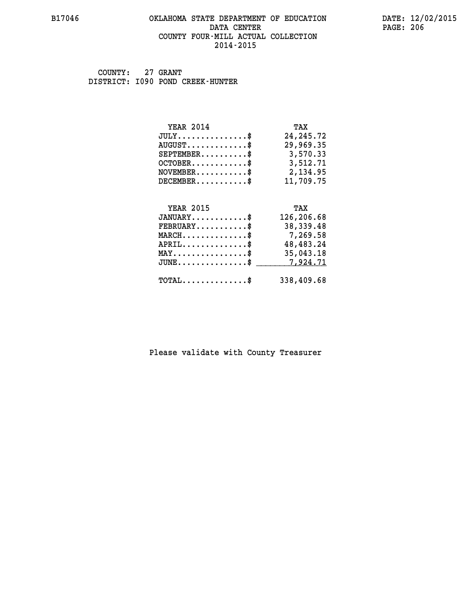#### **B17046 OKLAHOMA STATE DEPARTMENT OF EDUCATION DATE: 12/02/2015 DATA CENTER** PAGE: 206  **COUNTY FOUR-MILL ACTUAL COLLECTION 2014-2015**

 **COUNTY: 27 GRANT DISTRICT: I090 POND CREEK-HUNTER**

| <b>YEAR 2014</b>                                 | TAX         |
|--------------------------------------------------|-------------|
| $JULY$ \$                                        | 24, 245. 72 |
| $AUGUST$ \$                                      | 29,969.35   |
| $SEPTEMBER$ \$                                   | 3,570.33    |
| $OCTOBER$ \$                                     | 3,512.71    |
| $NOVEMBER.$ \$                                   | 2,134.95    |
| $DECEMBER$ \$                                    | 11,709.75   |
|                                                  |             |
| <b>YEAR 2015</b>                                 | TAX         |
| $JANUARY$ \$                                     | 126,206.68  |
| $FEBRUARY$ \$                                    | 38, 339. 48 |
| $MARCH$ \$                                       | 7,269.58    |
| $APRIL \ldots \ldots \ldots \ldots \$            | 48,483.24   |
| $\texttt{MAX} \dots \dots \dots \dots \dots \$   | 35,043.18   |
| $\texttt{JUNE} \dots \dots \dots \dots \dots \$$ | 7,924.71    |
| $\texttt{TOTAL} \dots \dots \dots \dots$ \$      | 338,409.68  |
|                                                  |             |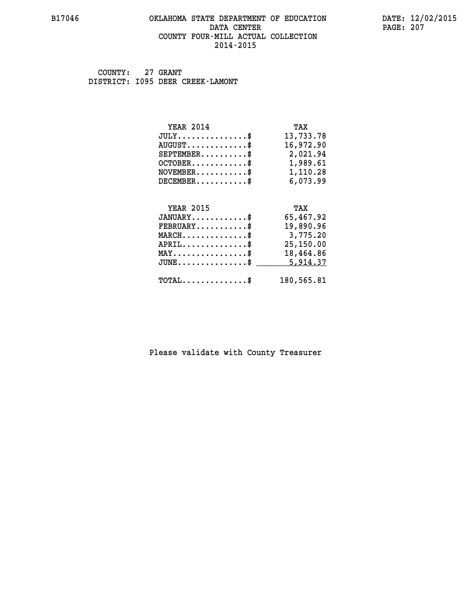#### **B17046 OKLAHOMA STATE DEPARTMENT OF EDUCATION DATE: 12/02/2015 DATA CENTER** PAGE: 207  **COUNTY FOUR-MILL ACTUAL COLLECTION 2014-2015**

 **COUNTY: 27 GRANT DISTRICT: I095 DEER CREEK-LAMONT**

| <b>YEAR 2014</b>                                 | TAX        |
|--------------------------------------------------|------------|
| $JULY$ \$                                        | 13,733.78  |
| $AUGUST$ \$                                      | 16,972.90  |
| $SEPTEMBER$ \$                                   | 2,021.94   |
| $OCTOBER$ \$                                     | 1,989.61   |
| $\texttt{NOVEMBER} \dots \dots \dots \$          | 1,110.28   |
| $DECEMBER$ \$                                    | 6,073.99   |
|                                                  |            |
| <b>YEAR 2015</b>                                 | TAX        |
| $JANUARY$ \$                                     | 65,467.92  |
| $FEBRUARY$                                       | 19,890.96  |
| $\texttt{MARCH}\ldots\ldots\ldots\ldots\text{*}$ | 3,775.20   |
| $APRIL \ldots \ldots \ldots \ldots \$            | 25,150.00  |
| $\texttt{MAX} \dots \dots \dots \dots \dots \$   | 18,464.86  |
| $JUNE$ \$                                        | 5,914.37   |
| $\texttt{TOTAL} \dots \dots \dots \dots \$       | 180,565.81 |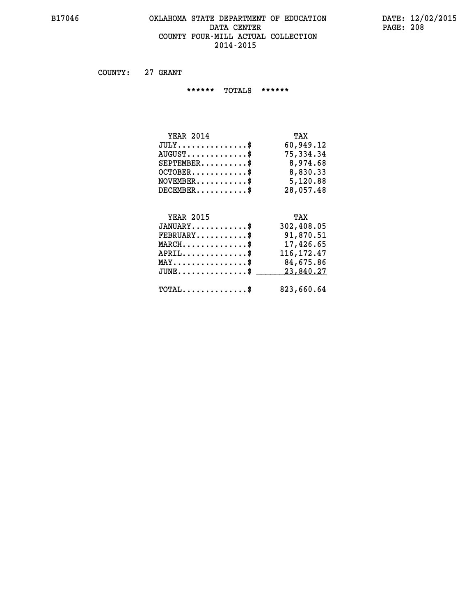#### **B17046 OKLAHOMA STATE DEPARTMENT OF EDUCATION DATE: 12/02/2015** DATA CENTER PAGE: 208  **COUNTY FOUR-MILL ACTUAL COLLECTION 2014-2015**

 **COUNTY: 27 GRANT**

 **\*\*\*\*\*\* TOTALS \*\*\*\*\*\***

| <b>YEAR 2014</b>                | TAX       |
|---------------------------------|-----------|
| $JULY \ldots \ldots \ldots \$   | 60,949.12 |
| $AUGUST \ldots \ldots \ldots \$ | 75,334.34 |
| $SEPTEMBER$ $\$                 | 8,974.68  |
| $OCTOBER$ \$                    | 8,830.33  |
| $NOVEMBER$ $$\$                 | 5,120.88  |
| $DECEMBER$                      | 28,057.48 |

## **YEAR 2015 TAX JANUARY............\$ 302,408.05 FEBRUARY...........\$ 91,870.51 MARCH..............\$ 17,426.65 APRIL..............\$ 116,172.47 MAY................\$ 84,675.86** JUNE..............\$ <u>\_\_\_\_\_\_\_\_ 23,840.27</u>

 **TOTAL..............\$ 823,660.64**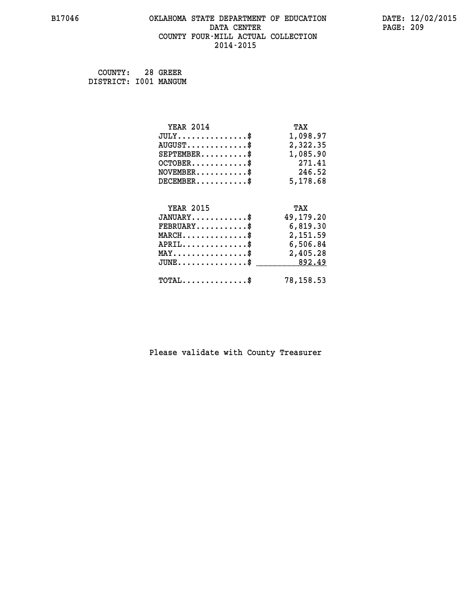#### **B17046 OKLAHOMA STATE DEPARTMENT OF EDUCATION DATE: 12/02/2015 DATA CENTER** PAGE: 209  **COUNTY FOUR-MILL ACTUAL COLLECTION 2014-2015**

 **COUNTY: 28 GREER DISTRICT: I001 MANGUM**

| <b>YEAR 2014</b>                                 | TAX       |
|--------------------------------------------------|-----------|
| $JULY$ \$                                        | 1,098.97  |
| $AUGUST$ \$                                      | 2,322.35  |
| $SEPTEMBER$ \$                                   | 1,085.90  |
| $OCTOBER$ \$                                     | 271.41    |
| $NOVEMBER.$ \$                                   | 246.52    |
| $DECEMBER$ \$                                    | 5,178.68  |
|                                                  |           |
| <b>YEAR 2015</b>                                 | TAX       |
| $JANUARY$ \$                                     | 49,179.20 |
| $FEBRUARY$ \$                                    | 6,819.30  |
| $MARCH$ \$                                       | 2,151.59  |
| $APRIL$ \$                                       | 6,506.84  |
| $\texttt{MAX} \dots \dots \dots \dots \dots \$   | 2,405.28  |
| $\texttt{JUNE} \dots \dots \dots \dots \dots \$$ | 892.49    |
| $\texttt{TOTAL} \dots \dots \dots \dots \$       | 78,158.53 |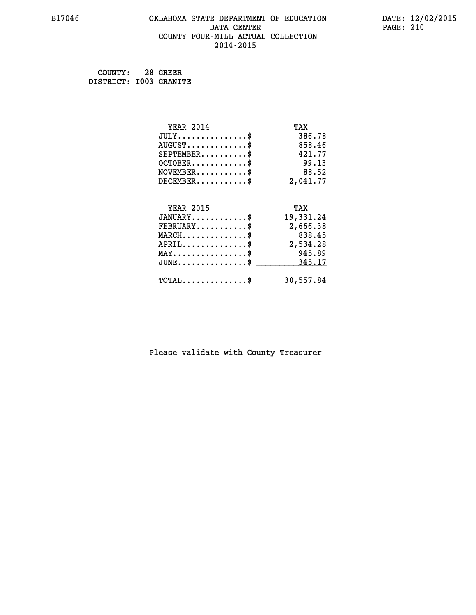#### **B17046 OKLAHOMA STATE DEPARTMENT OF EDUCATION DATE: 12/02/2015 DATA CENTER** PAGE: 210  **COUNTY FOUR-MILL ACTUAL COLLECTION 2014-2015**

 **COUNTY: 28 GREER DISTRICT: I003 GRANITE**

| <b>YEAR 2014</b>                           | TAX       |
|--------------------------------------------|-----------|
| $JULY$ \$                                  | 386.78    |
| $AUGUST$ \$                                | 858.46    |
| $SEPTEMENT.$ \$                            | 421.77    |
| $OCTOBER$ \$                               | 99.13     |
| $NOVEMBER$ \$                              | 88.52     |
| $DECEMBER$ \$                              | 2,041.77  |
|                                            |           |
| <b>YEAR 2015</b>                           | TAX       |
| $JANUARY$ \$                               | 19,331.24 |
| $FEBRUARY$                                 | 2,666.38  |
| $MARCH$ \$                                 | 838.45    |
| $APRIL$ \$                                 | 2,534.28  |
| $MAX \dots \dots \dots \dots \dots$        | 945.89    |
| $JUNE$ \$                                  | 345.17    |
| $\texttt{TOTAL} \dots \dots \dots \dots \$ | 30,557.84 |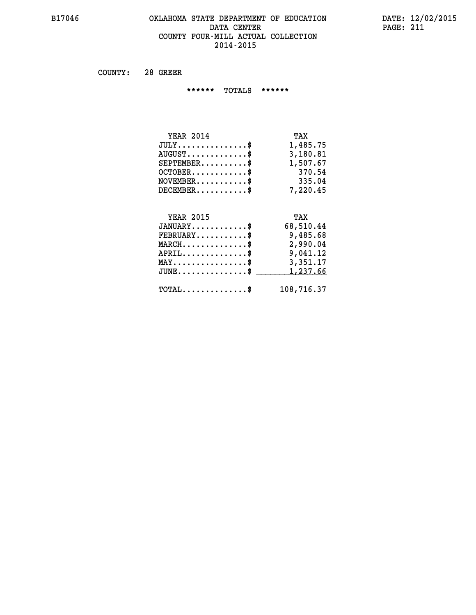#### **B17046 OKLAHOMA STATE DEPARTMENT OF EDUCATION DATE: 12/02/2015 DATA CENTER** PAGE: 211  **COUNTY FOUR-MILL ACTUAL COLLECTION 2014-2015**

 **COUNTY: 28 GREER**

 **\*\*\*\*\*\* TOTALS \*\*\*\*\*\***

| TAX      |
|----------|
| 1,485.75 |
| 3,180.81 |
| 1,507.67 |
| 370.54   |
| 335.04   |
| 7.220.45 |
|          |

# **YEAR 2015 TAX JANUARY............\$ 68,510.44 FEBRUARY...........\$ 9,485.68 MARCH..............\$ 2,990.04 APRIL..............\$ 9,041.12 MAY................\$ 3,351.17 JUNE................\$** <u>1,237.66</u>  **TOTAL..............\$ 108,716.37**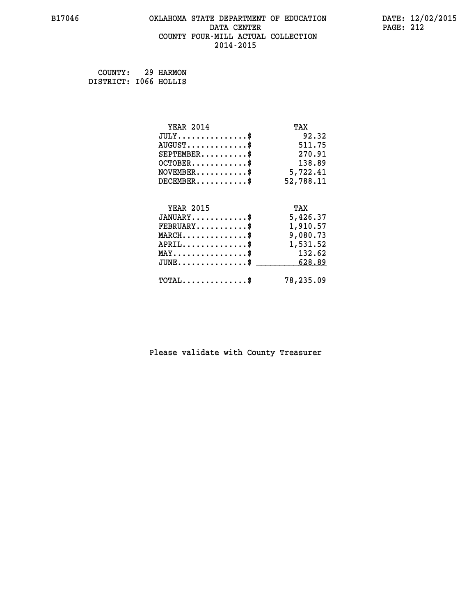#### **B17046 OKLAHOMA STATE DEPARTMENT OF EDUCATION DATE: 12/02/2015 DATA CENTER** PAGE: 212  **COUNTY FOUR-MILL ACTUAL COLLECTION 2014-2015**

 **COUNTY: 29 HARMON DISTRICT: I066 HOLLIS**

| <b>YEAR 2014</b>                                   | TAX       |
|----------------------------------------------------|-----------|
| $JULY$ \$                                          | 92.32     |
| $AUGUST$ \$                                        | 511.75    |
| $SEPTEMBER$ \$                                     | 270.91    |
| $OCTOBER$ \$                                       | 138.89    |
| $\texttt{NOVEMBER} \dots \dots \dots \$            | 5,722.41  |
| $DECEMBER$ \$                                      | 52,788.11 |
|                                                    |           |
| <b>YEAR 2015</b>                                   | TAX       |
| $JANUARY$ \$                                       | 5,426.37  |
| $FEBRUARY$                                         | 1,910.57  |
| $MARCH$ \$                                         | 9,080.73  |
| $APRIL \ldots \ldots \ldots \ldots$                | 1,531.52  |
| $MAX \ldots \ldots \ldots \ldots$                  | 132.62    |
| $\texttt{JUNE} \dots \dots \dots \dots \texttt{S}$ | 628.89    |
| $\texttt{TOTAL} \dots \dots \dots \dots \$         | 78,235.09 |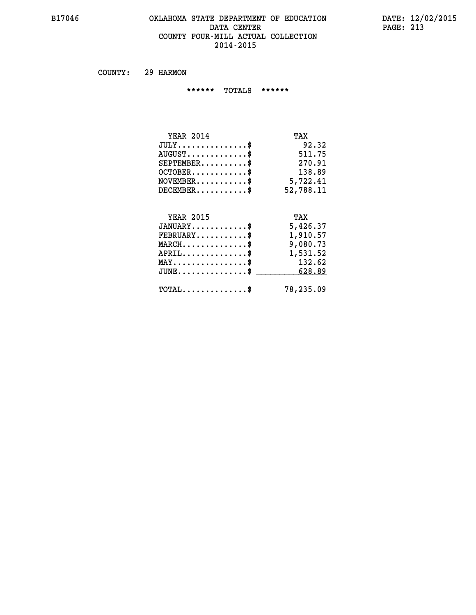#### **B17046 OKLAHOMA STATE DEPARTMENT OF EDUCATION DATE: 12/02/2015 DATA CENTER** PAGE: 213  **COUNTY FOUR-MILL ACTUAL COLLECTION 2014-2015**

 **COUNTY: 29 HARMON**

 **\*\*\*\*\*\* TOTALS \*\*\*\*\*\***

| <b>YEAR 2014</b><br>TAX                              |  |
|------------------------------------------------------|--|
| $JULY$ \$<br>92.32                                   |  |
| $AUGUST$ \$<br>511.75                                |  |
| $SEPTEMBER$ \$<br>270.91                             |  |
| $OCTOBER$ \$<br>138.89                               |  |
| $\texttt{NOVEMBER} \dots \dots \dots \$<br>5,722.41  |  |
| $DECEMBER$ \$<br>52,788.11                           |  |
| <b>YEAR 2015</b><br>TAX                              |  |
| $JANUARY$ \$<br>5,426.37                             |  |
| $\texttt{FEBRUARY}\dots\dots\dots\dots\$<br>1,910.57 |  |
| .                                                    |  |

| $FEBRUARY \ldots \ldots \ldots \mathbb{S}$     | 1,910.57  |
|------------------------------------------------|-----------|
| $MARCH$ \$                                     | 9,080.73  |
| $APRIL$ \$                                     | 1,531.52  |
| $MAX \dots \dots \dots \dots \dots$            | 132.62    |
| $\texttt{JUNE}\dots\dots\dots\dots\dots\dots\$ | 628.89    |
|                                                |           |
| $\texttt{TOTAL} \dots \dots \dots \dots \$     | 78,235.09 |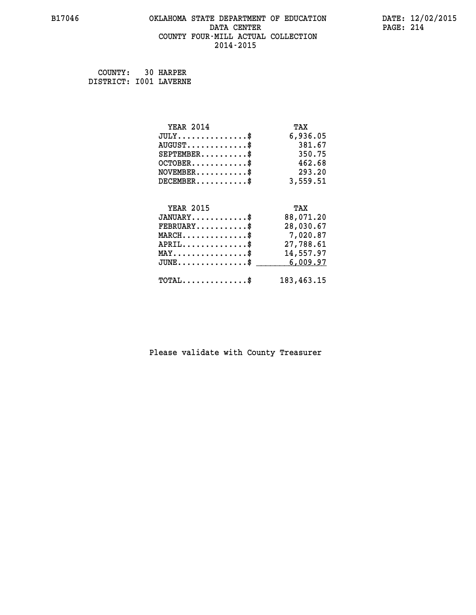# **B17046 OKLAHOMA STATE DEPARTMENT OF EDUCATION DATE: 12/02/2015 DATA CENTER PAGE: 214 COUNTY FOUR-MILL ACTUAL COLLECTION 2014-2015**

 **COUNTY: 30 HARPER DISTRICT: I001 LAVERNE**

| <b>YEAR 2014</b>                               | TAX        |
|------------------------------------------------|------------|
| $JULY$ \$                                      | 6,936.05   |
| $AUGUST$ \$                                    | 381.67     |
| $SEPTEMBER$ $\$                                | 350.75     |
| $OCTOBER$ \$                                   | 462.68     |
| $\texttt{NOVEMBER} \dots \dots \dots \$        | 293.20     |
| $DECEMBER$ \$                                  | 3,559.51   |
|                                                |            |
| <b>YEAR 2015</b>                               | TAX        |
| $JANUARY$ \$                                   | 88,071.20  |
| $FEBRUARY$                                     | 28,030.67  |
| $MARCH \ldots \ldots \ldots \ldots \$          | 7,020.87   |
| $APRIL \ldots \ldots \ldots \ldots$            | 27,788.61  |
| $\texttt{MAX} \dots \dots \dots \dots \dots \$ | 14,557.97  |
| $JUNE$ \$                                      | 6,009.97   |
| $\texttt{TOTAL} \dots \dots \dots \dots$ \$    | 183,463.15 |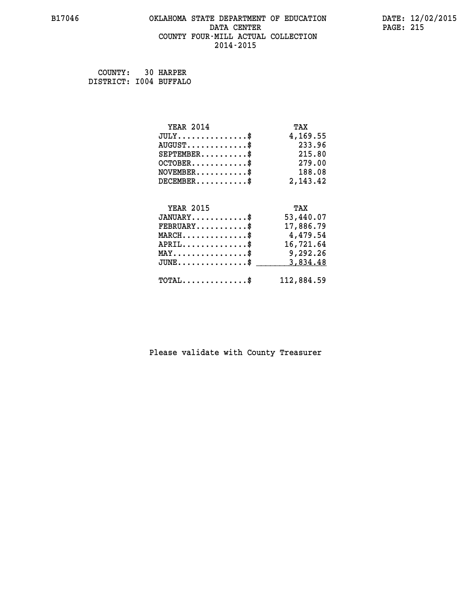#### **B17046 OKLAHOMA STATE DEPARTMENT OF EDUCATION DATE: 12/02/2015 DATA CENTER** PAGE: 215  **COUNTY FOUR-MILL ACTUAL COLLECTION 2014-2015**

 **COUNTY: 30 HARPER DISTRICT: I004 BUFFALO**

| <b>YEAR 2014</b>                               | TAX        |
|------------------------------------------------|------------|
| $JULY$ \$                                      | 4,169.55   |
| $AUGUST$ \$                                    | 233.96     |
| $SEPTEMBER$ \$                                 | 215.80     |
| $OCTOBER$ \$                                   | 279.00     |
| $\texttt{NOVEMBER} \dots \dots \dots \$        | 188.08     |
| $DECEMBER$ \$                                  | 2, 143.42  |
|                                                |            |
| <b>YEAR 2015</b>                               | TAX        |
| $JANUARY$ \$                                   | 53,440.07  |
| $FEBRUARY$                                     | 17,886.79  |
| $MARCH$ \$                                     | 4,479.54   |
| $APRIL$ \$                                     | 16,721.64  |
| $\texttt{MAX} \dots \dots \dots \dots \dots \$ | 9,292.26   |
| $JUNE$ \$                                      | 3,834.48   |
| $\texttt{TOTAL} \dots \dots \dots \dots \$     | 112,884.59 |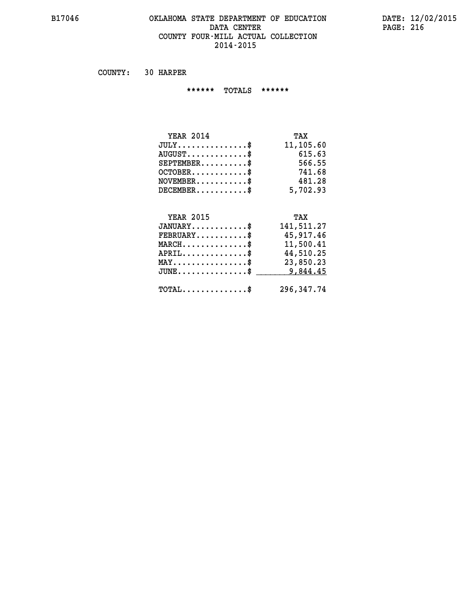#### **B17046 OKLAHOMA STATE DEPARTMENT OF EDUCATION DATE: 12/02/2015 DATA CENTER PAGE: 216 COUNTY FOUR-MILL ACTUAL COLLECTION 2014-2015**

 **COUNTY: 30 HARPER**

 **\*\*\*\*\*\* TOTALS \*\*\*\*\*\***

| <b>YEAR 2014</b>                       | TAX       |
|----------------------------------------|-----------|
| $JULY \ldots \ldots \ldots \mathbb{S}$ | 11,105.60 |
| $AUGUST$ \$                            | 615.63    |
| $SEPTEMBER$                            | 566.55    |
| $OCTOBER$ \$                           | 741.68    |
| $NOVEMBER$ $\$                         | 481.28    |
| $DECEMBER$                             | 5,702.93  |

# **YEAR 2015 TAX**

| $JANUARY$                                    | 141,511.27 |
|----------------------------------------------|------------|
| $\texttt{FEBRUARY} \dots \dots \dots \$      | 45,917.46  |
| $MARCH$ \$                                   | 11,500.41  |
| $APRIL$ \$                                   | 44,510.25  |
| $MAX \dots \dots \dots \dots \dots \$        | 23,850.23  |
| $JUNE \dots \dots \dots \dots \$ 9.844.45    |            |
| $\text{TOTAL} \dots \dots \dots \dots \dots$ | 296,347.74 |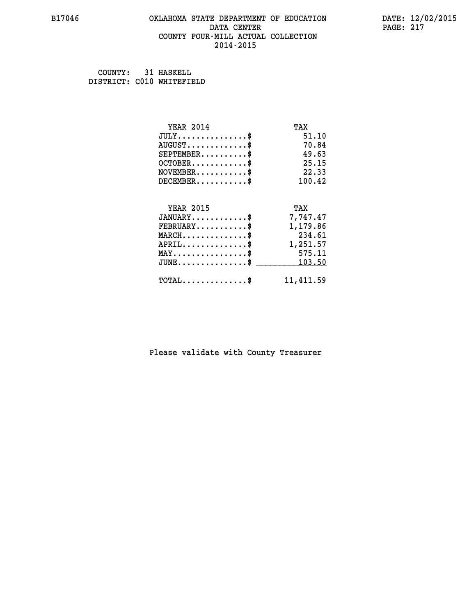#### **B17046 OKLAHOMA STATE DEPARTMENT OF EDUCATION DATE: 12/02/2015 DATA CENTER** PAGE: 217  **COUNTY FOUR-MILL ACTUAL COLLECTION 2014-2015**

 **COUNTY: 31 HASKELL DISTRICT: C010 WHITEFIELD**

| <b>YEAR 2014</b>                           | TAX       |
|--------------------------------------------|-----------|
| $JULY$ \$                                  | 51.10     |
| $AUGUST$ \$                                | 70.84     |
| $SEPTEMENT.$ \$                            | 49.63     |
| $OCTOBER$ \$                               | 25.15     |
| $NOVEMBER$ \$                              | 22.33     |
| $DECEMBER$                                 | 100.42    |
|                                            |           |
|                                            |           |
| <b>YEAR 2015</b>                           | TAX       |
| $JANUARY$                                  | 7,747.47  |
| $FEBRUARY$                                 | 1,179.86  |
| $MARCH$ \$                                 | 234.61    |
| $APRIL$ \$                                 | 1,251.57  |
| $MAX \dots \dots \dots \dots \dots$        | 575.11    |
| $JUNE$ \$                                  | 103.50    |
| $\texttt{TOTAL} \dots \dots \dots \dots \$ | 11,411.59 |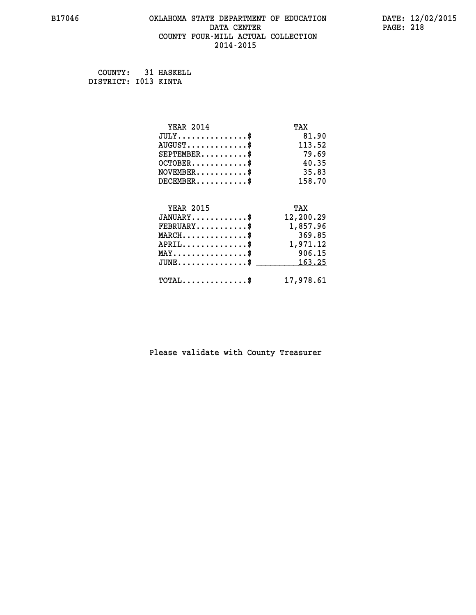#### **B17046 OKLAHOMA STATE DEPARTMENT OF EDUCATION DATE: 12/02/2015 DATA CENTER** PAGE: 218  **COUNTY FOUR-MILL ACTUAL COLLECTION 2014-2015**

 **COUNTY: 31 HASKELL DISTRICT: I013 KINTA**

| <b>YEAR 2014</b>                           | TAX       |
|--------------------------------------------|-----------|
| $JULY$ \$                                  | 81.90     |
| $AUGUST$ \$                                | 113.52    |
| $SEPTEMENT.$                               | 79.69     |
| $OCTOBER$                                  | 40.35     |
| $NOVEMENTER$                               | 35.83     |
| $DECEMBER$                                 | 158.70    |
| <b>YEAR 2015</b>                           | TAX       |
| $JANUARY$ \$                               | 12,200.29 |
| $FEBRUARY$                                 | 1,857.96  |
| $MARCH$ \$                                 | 369.85    |
| $APRIL$ \$                                 | 1,971.12  |
| $MAX \dots \dots \dots \dots \dots$        | 906.15    |
| $JUNE$                                     | 163.25    |
| $\texttt{TOTAL} \dots \dots \dots \dots \$ | 17,978.61 |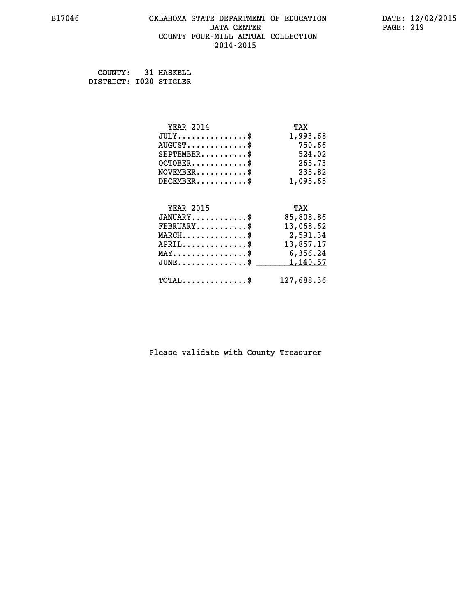#### **B17046 OKLAHOMA STATE DEPARTMENT OF EDUCATION DATE: 12/02/2015 DATA CENTER** PAGE: 219  **COUNTY FOUR-MILL ACTUAL COLLECTION 2014-2015**

 **COUNTY: 31 HASKELL DISTRICT: I020 STIGLER**

| <b>YEAR 2014</b>                               | TAX        |
|------------------------------------------------|------------|
| $JULY$ \$                                      | 1,993.68   |
| $AUGUST$ \$                                    | 750.66     |
| $SEPTEMBER$ \$                                 | 524.02     |
| $OCTOBER$ \$                                   | 265.73     |
| $\texttt{NOVEMBER} \dots \dots \dots \$        | 235.82     |
| $DECEMBER$ \$                                  | 1,095.65   |
|                                                |            |
| <b>YEAR 2015</b>                               | TAX        |
| $JANUARY$ \$                                   | 85,808.86  |
| $FEBRUARY$                                     | 13,068.62  |
| $MARCH$ \$                                     | 2,591.34   |
| $APRIL$ \$                                     | 13,857.17  |
| $\texttt{MAX} \dots \dots \dots \dots \dots \$ | 6,356.24   |
| $JUNE$ \$                                      | 1,140.57   |
| $TOTAL$ \$                                     | 127,688.36 |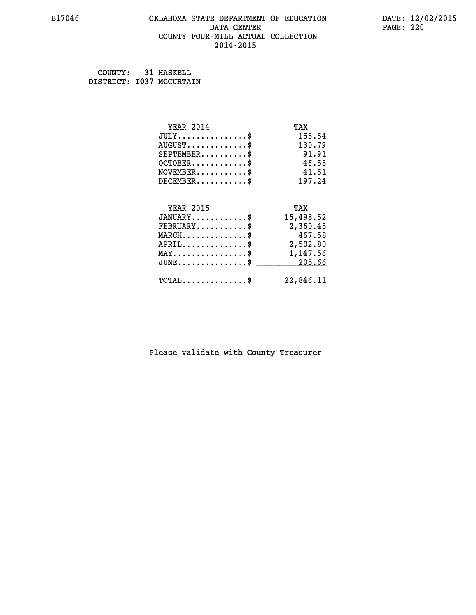#### **B17046 OKLAHOMA STATE DEPARTMENT OF EDUCATION DATE: 12/02/2015 DATA CENTER** PAGE: 220  **COUNTY FOUR-MILL ACTUAL COLLECTION 2014-2015**

 **COUNTY: 31 HASKELL DISTRICT: I037 MCCURTAIN**

| <b>YEAR 2014</b>                                 | TAX       |
|--------------------------------------------------|-----------|
| $JULY$ \$                                        | 155.54    |
| $AUGUST$ \$                                      | 130.79    |
| $SEPTEMENT.$ \$                                  | 91.91     |
| $OCTOBER$ \$                                     | 46.55     |
| $NOVEMBER$ \$                                    | 41.51     |
| $DECEMBER$ \$                                    | 197.24    |
|                                                  |           |
| <b>YEAR 2015</b>                                 | TAX       |
| $JANUARY$ \$                                     | 15,498.52 |
| $FEBRUARY$                                       | 2,360.45  |
| $MARCH$ \$                                       | 467.58    |
| $APRIL$ \$                                       | 2,502.80  |
| $\texttt{MAX} \dots \dots \dots \dots \dots \$   | 1,147.56  |
| $\texttt{JUNE} \dots \dots \dots \dots \dots \$$ | 205.66    |
| $\texttt{TOTAL} \dots \dots \dots \dots \$       | 22,846.11 |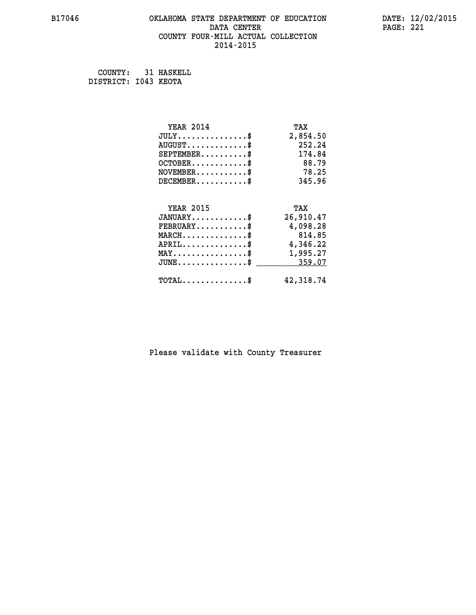#### **B17046 OKLAHOMA STATE DEPARTMENT OF EDUCATION DATE: 12/02/2015 DATA CENTER** PAGE: 221  **COUNTY FOUR-MILL ACTUAL COLLECTION 2014-2015**

 **COUNTY: 31 HASKELL DISTRICT: I043 KEOTA**

| <b>YEAR 2014</b>                               | TAX       |
|------------------------------------------------|-----------|
| $JULY$ \$                                      | 2,854.50  |
| $AUGUST$ \$                                    | 252.24    |
| $SEPTEMBER$ \$                                 | 174.84    |
| $OCTOBER$ \$                                   | 88.79     |
| $NOVEMBER$ \$                                  | 78.25     |
| $DECEMBER$ \$                                  | 345.96    |
|                                                |           |
| <b>YEAR 2015</b>                               | TAX       |
| $JANUARY$ \$                                   | 26,910.47 |
| $FEBRUARY$                                     | 4,098.28  |
| $MARCH$ \$                                     | 814.85    |
| $APRIL$ \$                                     | 4,346.22  |
| $\texttt{MAX} \dots \dots \dots \dots \dots \$ | 1,995.27  |
| $JUNE$ \$                                      | 359.07    |
| $\texttt{TOTAL} \dots \dots \dots \dots \$     | 42,318.74 |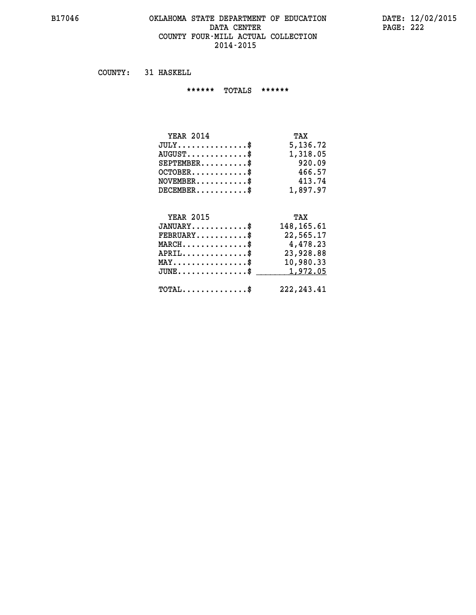#### **B17046 OKLAHOMA STATE DEPARTMENT OF EDUCATION DATE: 12/02/2015 DATA CENTER** PAGE: 222  **COUNTY FOUR-MILL ACTUAL COLLECTION 2014-2015**

 **COUNTY: 31 HASKELL**

 **\*\*\*\*\*\* TOTALS \*\*\*\*\*\***

| <b>YEAR 2014</b>                       | TAX      |
|----------------------------------------|----------|
| $JULY \ldots \ldots \ldots \mathbb{S}$ | 5,136.72 |
| $AUGUST$ \$                            | 1,318.05 |
| $SEPTEMBER$                            | 920.09   |
| $OCTOBER$ \$                           | 466.57   |
| $NOVEMBER$ $\$                         | 413.74   |
| $DECEMBER$                             | 1,897.97 |

#### **YEAR 2015 TAX JANUARY............\$ 148,165.61**

| $\texttt{FEBRUARY} \dots \dots \dots \$               | 22,565.17  |
|-------------------------------------------------------|------------|
| $MARCH$ \$                                            | 4,478.23   |
| $APRIL$                                               | 23,928.88  |
| $\texttt{MAX} \dots \dots \dots \dots \dots \text{*}$ | 10,980.33  |
| $JUNE \dots \dots \dots \dots \$ 1,972.05             |            |
| $\texttt{TOTAL} \dots \dots \dots \dots \texttt{\$}$  | 222,243.41 |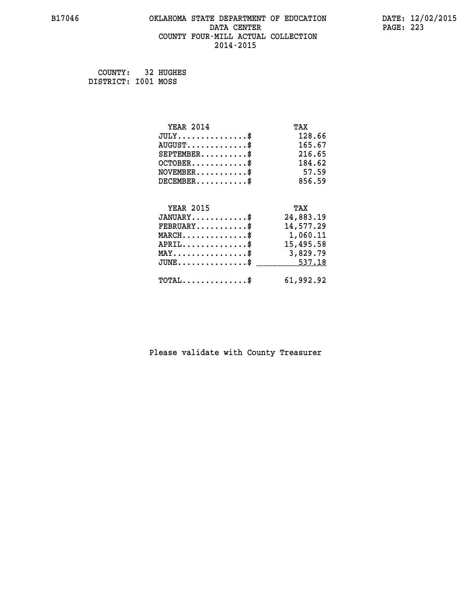#### **B17046 OKLAHOMA STATE DEPARTMENT OF EDUCATION DATE: 12/02/2015 DATA CENTER** PAGE: 223  **COUNTY FOUR-MILL ACTUAL COLLECTION 2014-2015**

 **COUNTY: 32 HUGHES DISTRICT: I001 MOSS**

| <b>YEAR 2014</b>                                 | TAX       |
|--------------------------------------------------|-----------|
| $JULY$ \$                                        | 128.66    |
| $AUGUST$ \$                                      | 165.67    |
| $SEPTEMBER$ \$                                   | 216.65    |
| $OCTOBER$ \$                                     | 184.62    |
| $NOVEMBER$ \$                                    | 57.59     |
| $DECEMBER$ \$                                    | 856.59    |
|                                                  |           |
| <b>YEAR 2015</b>                                 | TAX       |
| $JANUARY$ \$                                     | 24,883.19 |
| $FEBRUARY$                                       | 14,577.29 |
| MARCH\$ 1,060.11                                 |           |
| $APRIL \ldots \ldots \ldots \ldots$ \$           | 15,495.58 |
| $\texttt{MAX} \dots \dots \dots \dots \dots \$   | 3,829.79  |
| $\texttt{JUNE} \dots \dots \dots \dots \dots \$$ | 537.18    |
| $\texttt{TOTAL} \dots \dots \dots \dots \$       | 61,992.92 |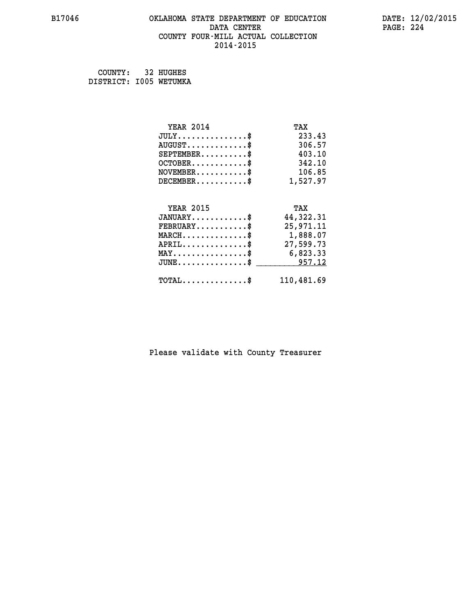#### **B17046 OKLAHOMA STATE DEPARTMENT OF EDUCATION DATE: 12/02/2015 DATA CENTER** PAGE: 224  **COUNTY FOUR-MILL ACTUAL COLLECTION 2014-2015**

| COUNTY:                | 32 HUGHES |
|------------------------|-----------|
| DISTRICT: 1005 WETUMKA |           |

| <b>YEAR 2014</b>                                | TAX        |
|-------------------------------------------------|------------|
| $JULY$ \$                                       | 233.43     |
| $AUGUST$ \$                                     | 306.57     |
| $SEPTEMBER$ \$                                  | 403.10     |
| $OCTOBER$ \$                                    | 342.10     |
| $\texttt{NOVEMBER} \dots \dots \dots \$         | 106.85     |
| $DECEMBER$ \$                                   | 1,527.97   |
|                                                 |            |
| <b>YEAR 2015</b>                                | TAX        |
| $JANUARY$ \$                                    | 44,322.31  |
| $FEBRUARY$                                      | 25,971.11  |
| $\texttt{MARCH}\ldots\ldots\ldots\ldots\cdots\$ | 1,888.07   |
| $APRIL \ldots \ldots \ldots \ldots$             | 27,599.73  |
| $\texttt{MAX} \dots \dots \dots \dots \dots \$  | 6,823.33   |
| $JUNE$ \$                                       | 957.12     |
| $\texttt{TOTAL} \dots \dots \dots \dots$ \$     | 110,481.69 |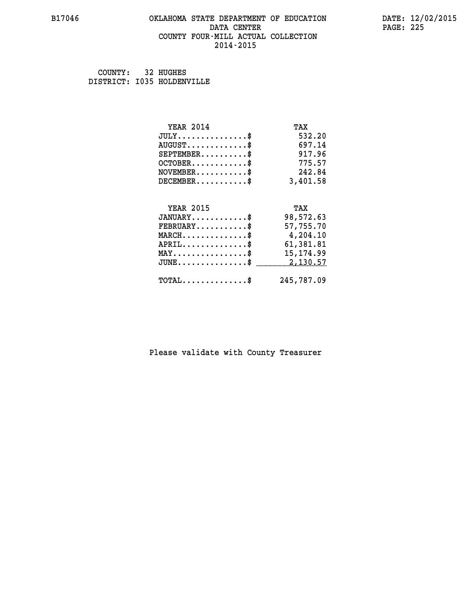#### **B17046 OKLAHOMA STATE DEPARTMENT OF EDUCATION DATE: 12/02/2015 DATA CENTER** PAGE: 225  **COUNTY FOUR-MILL ACTUAL COLLECTION 2014-2015**

 **COUNTY: 32 HUGHES DISTRICT: I035 HOLDENVILLE**

| <b>YEAR 2014</b>                                 | TAX        |
|--------------------------------------------------|------------|
| $JULY$ \$                                        | 532.20     |
| $AUGUST$ \$                                      | 697.14     |
| $SEPTEMBER$ \$                                   | 917.96     |
| $OCTOBER$ \$                                     | 775.57     |
| $\texttt{NOVEMBER} \dots \dots \dots \$          | 242.84     |
| $DECEMBER$ \$                                    | 3,401.58   |
|                                                  |            |
| <b>YEAR 2015</b>                                 | TAX        |
| $JANUARY$ \$                                     | 98,572.63  |
| $FEBRUARY$                                       | 57,755.70  |
| $\texttt{MARCH}\ldots\ldots\ldots\ldots\text{*}$ | 4,204.10   |
| $APRIL \ldots \ldots \ldots \ldots \$            | 61,381.81  |
| $\texttt{MAX} \dots \dots \dots \dots \dots \$   | 15, 174.99 |
| $JUNE$ \$                                        | 2,130.57   |
| $\texttt{TOTAL} \dots \dots \dots \dots \$       | 245,787.09 |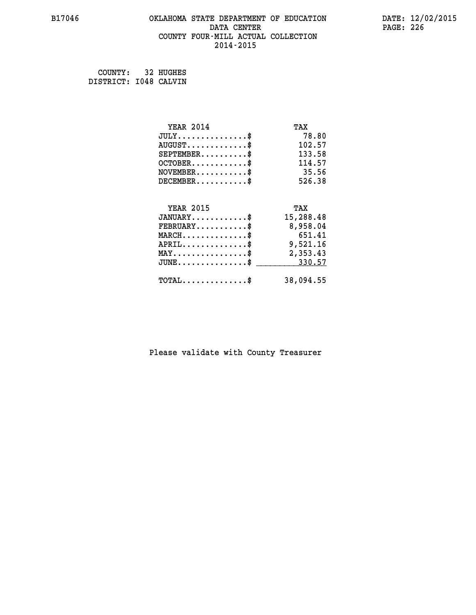#### **B17046 OKLAHOMA STATE DEPARTMENT OF EDUCATION DATE: 12/02/2015 DATA CENTER** PAGE: 226  **COUNTY FOUR-MILL ACTUAL COLLECTION 2014-2015**

 **COUNTY: 32 HUGHES DISTRICT: I048 CALVIN**

| <b>YEAR 2014</b>                                                          | TAX       |
|---------------------------------------------------------------------------|-----------|
| $JULY$ \$                                                                 | 78.80     |
| $AUGUST$ \$                                                               | 102.57    |
| $SEPTEMBER$ \$                                                            | 133.58    |
| $OCTOBER$ \$                                                              | 114.57    |
| $\verb NOVEMBER , \verb , \verb , \verb , \verb , \verb , \verb , \verb $ | 35.56     |
| $DECEMBER$ \$                                                             | 526.38    |
|                                                                           |           |
| <b>YEAR 2015</b>                                                          | TAX       |
| $JANUARY$ \$                                                              | 15,288.48 |
| $FEBRUARY$                                                                | 8,958.04  |
| $MARCH$ \$                                                                | 651.41    |
| $APRIL \ldots \ldots \ldots \$                                            | 9,521.16  |
| $\texttt{MAX} \dots \dots \dots \dots \dots \$                            | 2,353.43  |
| $\texttt{JUNE} \dots \dots \dots \dots \dots \$$                          | 330.57    |
| $TOTAL$ \$                                                                | 38,094.55 |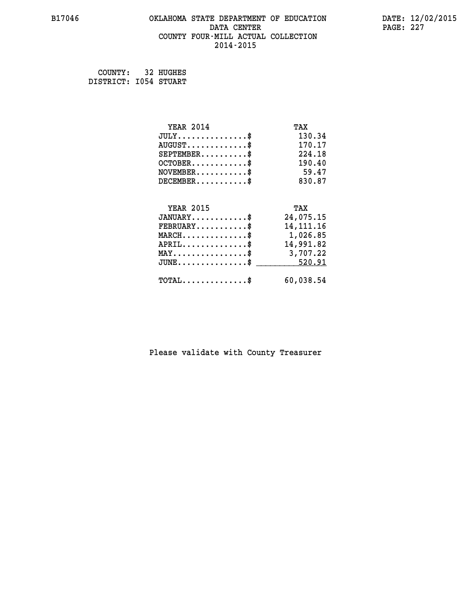#### **B17046 OKLAHOMA STATE DEPARTMENT OF EDUCATION DATE: 12/02/2015 DATA CENTER** PAGE: 227  **COUNTY FOUR-MILL ACTUAL COLLECTION 2014-2015**

 **COUNTY: 32 HUGHES DISTRICT: I054 STUART**

| <b>YEAR 2014</b>                         | TAX         |
|------------------------------------------|-------------|
| $JULY$ \$                                | 130.34      |
| $AUGUST$ \$                              | 170.17      |
| $SEPTEMBER$ \$                           | 224.18      |
| $OCTOBER$ \$                             | 190.40      |
| $NOVEMBER$ \$                            | 59.47       |
| $DECEMBER$ \$                            | 830.87      |
|                                          |             |
| <b>YEAR 2015</b>                         | TAX         |
| $JANUARY$ \$                             | 24,075.15   |
| $FEBRUARY$                               | 14, 111, 16 |
| MARCH\$ 1,026.85                         |             |
| $APRIL \ldots \ldots \ldots \ldots \$    | 14,991.82   |
| MAY\$ 3,707.22                           |             |
| $JUNE$ \$                                | 520.91      |
| $\texttt{TOTAL} \dots \dots \dots \dots$ | 60,038.54   |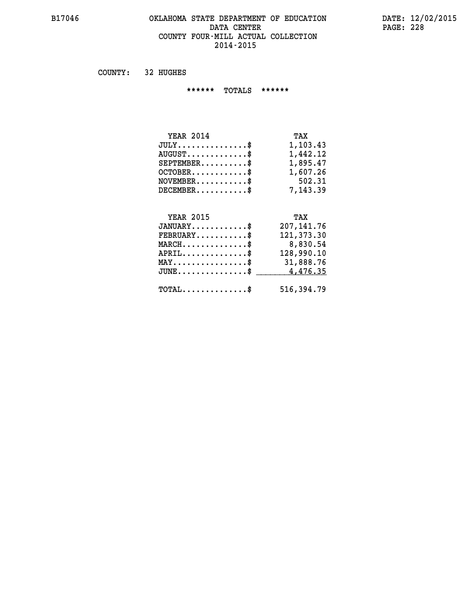#### **B17046 OKLAHOMA STATE DEPARTMENT OF EDUCATION DATE: 12/02/2015** DATA CENTER PAGE: 228  **COUNTY FOUR-MILL ACTUAL COLLECTION 2014-2015**

 **COUNTY: 32 HUGHES**

 **\*\*\*\*\*\* TOTALS \*\*\*\*\*\***

| <b>YEAR 2014</b>                       | TAX      |
|----------------------------------------|----------|
| $JULY \ldots \ldots \ldots \mathbb{S}$ | 1,103.43 |
| $AUGUST$ \$                            | 1,442.12 |
| $SEPTEMBER$                            | 1,895.47 |
| $OCTOBER$ \$                           | 1,607.26 |
| $NOVEMBER$ \$                          | 502.31   |
| $DECEMBER$                             | 7,143.39 |

# **YEAR 2015 TAX**

| $JANUARY$                                    | 207,141.76 |
|----------------------------------------------|------------|
| $\texttt{FEBRUARY} \dots \dots \dots \$      | 121,373.30 |
| $MARCH$ \$                                   | 8,830.54   |
| $APRIL$ \$                                   | 128,990.10 |
| $MAX \dots \dots \dots \dots \dots \$        | 31,888.76  |
| JUNE\$ 4,476.35                              |            |
| $\text{TOTAL} \dots \dots \dots \dots \dots$ | 516,394.79 |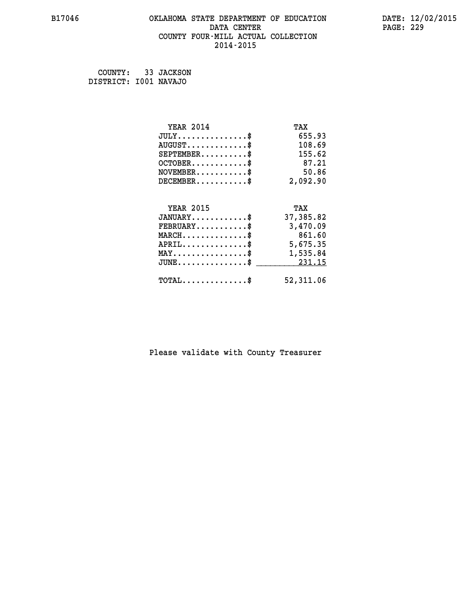#### **B17046 OKLAHOMA STATE DEPARTMENT OF EDUCATION DATE: 12/02/2015 DATA CENTER** PAGE: 229  **COUNTY FOUR-MILL ACTUAL COLLECTION 2014-2015**

 **COUNTY: 33 JACKSON DISTRICT: I001 NAVAJO**

| <b>YEAR 2014</b>                                   | TAX       |
|----------------------------------------------------|-----------|
| $JULY$ \$                                          | 655.93    |
| $AUGUST$ \$                                        | 108.69    |
| $SEPTEMBER$ \$                                     | 155.62    |
| $OCTOBER$ \$                                       | 87.21     |
| $NOVEMBER.$ \$                                     | 50.86     |
| $DECEMBER$ \$                                      | 2,092.90  |
|                                                    |           |
| <b>YEAR 2015</b>                                   | TAX       |
| $JANUARY$ \$                                       | 37,385.82 |
| $FEBRUARY$                                         | 3,470.09  |
| $MARCH$ \$                                         | 861.60    |
| $APRIL \ldots \ldots \ldots \ldots$                | 5,675.35  |
| $\texttt{MAX} \dots \dots \dots \dots \dots \$     | 1,535.84  |
| $\texttt{JUNE} \dots \dots \dots \dots \texttt{S}$ | 231.15    |
| $\texttt{TOTAL} \dots \dots \dots \dots \$         | 52,311.06 |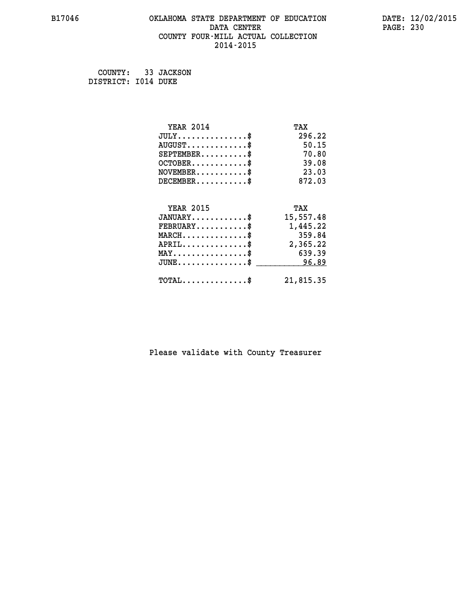#### **B17046 OKLAHOMA STATE DEPARTMENT OF EDUCATION DATE: 12/02/2015 DATA CENTER** PAGE: 230  **COUNTY FOUR-MILL ACTUAL COLLECTION 2014-2015**

 **COUNTY: 33 JACKSON DISTRICT: I014 DUKE**

| <b>YEAR 2014</b>                    | TAX       |
|-------------------------------------|-----------|
| $JULY$ \$                           | 296.22    |
| $AUGUST$ \$                         | 50.15     |
| $SEPTEMBER$ \$                      | 70.80     |
| $OCTOBER$ \$                        | 39.08     |
| $NOVEMBER$ \$                       | 23.03     |
| $DECEMBER$ \$                       | 872.03    |
|                                     |           |
| <b>YEAR 2015</b>                    | TAX       |
| $JANUARY$                           | 15,557.48 |
| $FEBRUARY$                          | 1,445.22  |
| $MARCH$ \$                          | 359.84    |
| $APRIL$ \$                          | 2,365.22  |
| $MAX \dots \dots \dots \dots \dots$ | 639.39    |
| $JUNE$ \$                           | 96.89     |
| $TOTAL$ \$                          | 21,815.35 |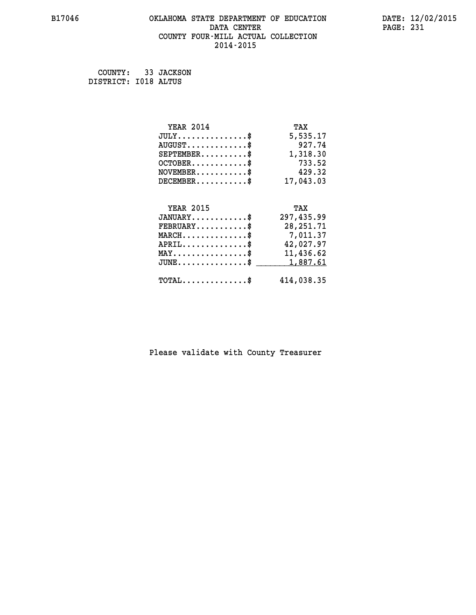#### **B17046 OKLAHOMA STATE DEPARTMENT OF EDUCATION DATE: 12/02/2015 DATA CENTER** PAGE: 231  **COUNTY FOUR-MILL ACTUAL COLLECTION 2014-2015**

 **COUNTY: 33 JACKSON DISTRICT: I018 ALTUS**

| <b>YEAR 2014</b>                               | TAX         |
|------------------------------------------------|-------------|
| $JULY$ \$                                      | 5,535.17    |
| $AUGUST$ \$                                    | 927.74      |
| $SEPTEMBER$ \$                                 | 1,318.30    |
| $OCTOBER$ \$                                   | 733.52      |
| $NOVEMBER$ \$                                  | 429.32      |
| $DECEMBER$ \$                                  | 17,043.03   |
|                                                |             |
| <b>YEAR 2015</b>                               | TAX         |
| $JANUARY$ \$                                   | 297,435.99  |
| $FEBRUARY$                                     | 28, 251. 71 |
| $MARCH$ \$                                     | 7,011.37    |
| $APRIL$ \$                                     | 42,027.97   |
| $\texttt{MAX} \dots \dots \dots \dots \dots \$ | 11,436.62   |
| $JUNE$ \$                                      | 1,887.61    |
| $\texttt{TOTAL} \dots \dots \dots \dots \$     | 414,038.35  |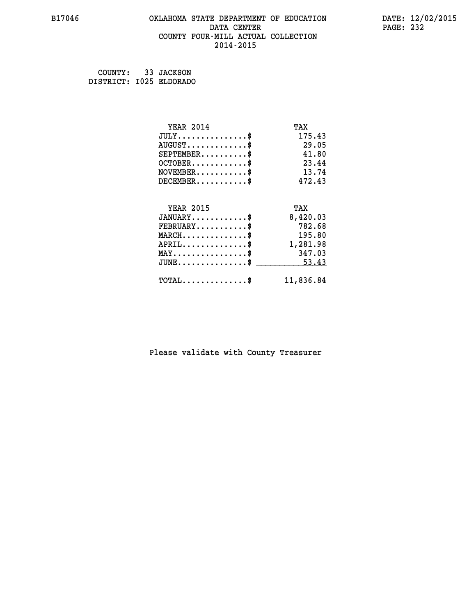#### **B17046 OKLAHOMA STATE DEPARTMENT OF EDUCATION DATE: 12/02/2015 DATA CENTER** PAGE: 232  **COUNTY FOUR-MILL ACTUAL COLLECTION 2014-2015**

 **COUNTY: 33 JACKSON DISTRICT: I025 ELDORADO**

| <b>YEAR 2014</b>                           | TAX       |
|--------------------------------------------|-----------|
| $JULY$ \$                                  | 175.43    |
| $AUGUST$ \$                                | 29.05     |
| $SEPTEMBER$ \$                             | 41.80     |
| $OCTOBER$ \$                               | 23.44     |
| $NOVEMBER$ \$                              | 13.74     |
| $DECEMBER$ \$                              | 472.43    |
|                                            |           |
| <b>YEAR 2015</b>                           | TAX       |
| $JANUARY$ \$                               | 8,420.03  |
| $FEBRUARY$                                 | 782.68    |
| $MARCH$ \$                                 | 195.80    |
| $APRIL$ \$                                 | 1,281.98  |
| $MAX \dots \dots \dots \dots \$            | 347.03    |
| $JUNE$ \$                                  | 53.43     |
| $\texttt{TOTAL} \dots \dots \dots \dots \$ | 11,836.84 |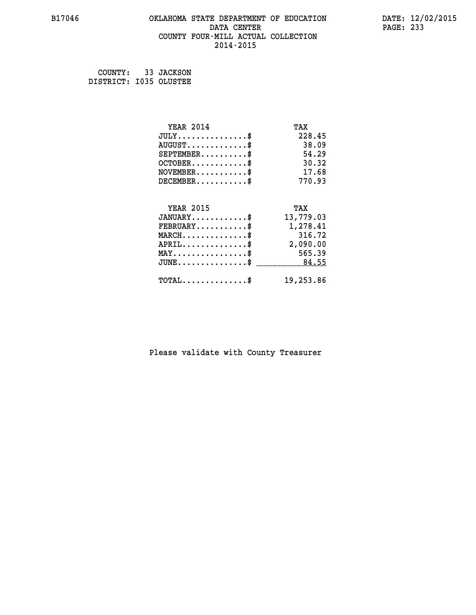#### **B17046 OKLAHOMA STATE DEPARTMENT OF EDUCATION DATE: 12/02/2015 DATA CENTER** PAGE: 233  **COUNTY FOUR-MILL ACTUAL COLLECTION 2014-2015**

 **COUNTY: 33 JACKSON DISTRICT: I035 OLUSTEE**

| <b>YEAR 2014</b>                           | TAX       |
|--------------------------------------------|-----------|
| $JULY$ \$                                  | 228.45    |
| $AUGUST$ \$                                | 38.09     |
| $SEPTEMENT.$ \$                            | 54.29     |
| $OCTOBER$ \$                               | 30.32     |
| $NOVEMBER$ \$                              | 17.68     |
| $DECEMBER$ \$                              | 770.93    |
|                                            |           |
| <b>YEAR 2015</b>                           | TAX       |
| $JANUARY$                                  | 13,779.03 |
| $FEBRUARY$                                 | 1,278.41  |
| $MARCH$ \$                                 | 316.72    |
| $APRIL \ldots \ldots \ldots \$             | 2,090.00  |
| $MAX \dots \dots \dots \dots \dots$        | 565.39    |
| $JUNE$ \$                                  | 84.55     |
| $\texttt{TOTAL} \dots \dots \dots \dots \$ | 19,253.86 |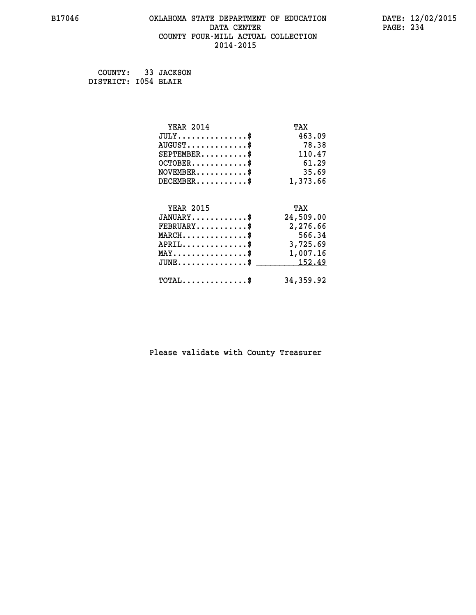#### **B17046 OKLAHOMA STATE DEPARTMENT OF EDUCATION DATE: 12/02/2015 DATA CENTER** PAGE: 234  **COUNTY FOUR-MILL ACTUAL COLLECTION 2014-2015**

 **COUNTY: 33 JACKSON DISTRICT: I054 BLAIR**

| <b>YEAR 2014</b>                                 | TAX       |
|--------------------------------------------------|-----------|
| $JULY$ \$                                        | 463.09    |
| $AUGUST$ \$                                      | 78.38     |
| $SEPTEMENT.$ \$                                  | 110.47    |
| $OCTOBER$ \$                                     | 61.29     |
| $NOVEMBER$ \$                                    | 35.69     |
| $DECEMBER$ \$                                    | 1,373.66  |
|                                                  |           |
| <b>YEAR 2015</b>                                 | TAX       |
| $JANUARY$ \$                                     | 24,509.00 |
| $FEBRUARY$                                       | 2,276.66  |
| $MARCH$ \$                                       | 566.34    |
| $APRIL$ \$                                       | 3,725.69  |
| $\texttt{MAX} \dots \dots \dots \dots \dots \$   | 1,007.16  |
| $\texttt{JUNE} \dots \dots \dots \dots \dots \$$ | 152.49    |
| $\texttt{TOTAL} \dots \dots \dots \dots \$       | 34,359.92 |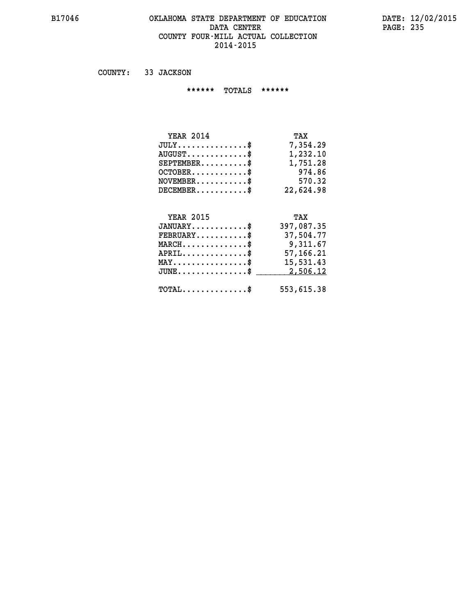#### **B17046 OKLAHOMA STATE DEPARTMENT OF EDUCATION DATE: 12/02/2015** DATA CENTER PAGE: 235  **COUNTY FOUR-MILL ACTUAL COLLECTION 2014-2015**

 **COUNTY: 33 JACKSON**

 **\*\*\*\*\*\* TOTALS \*\*\*\*\*\***

| <b>YEAR 2014</b>                     | TAX       |
|--------------------------------------|-----------|
| $JULY \ldots \ldots \ldots \ldots \$ | 7,354,29  |
| $AUGUST \ldots \ldots \ldots$ \$     | 1,232.10  |
| $SEPTEMBER$                          | 1,751.28  |
| $OCTOBER$ \$                         | 974.86    |
| $NOVEMBER$ \$                        | 570.32    |
| $DECEMENTER$                         | 22,624.98 |

## **YEAR 2015 TAX JANUARY............\$ 397,087.35 FEBRUARY...........\$ 37,504.77 MARCH..............\$ 9,311.67 APRIL..............\$ 57,166.21 MAY................\$ 15,531.43 JUNE...............\$ 2,506.12 \_\_\_\_\_\_\_\_\_\_\_\_\_\_\_ TOTAL..............\$ 553,615.38**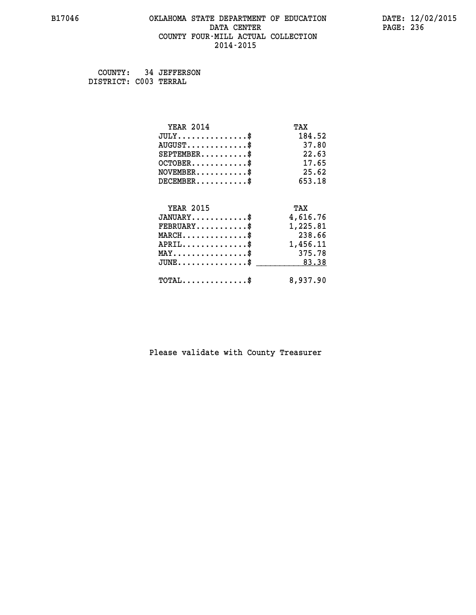#### **B17046 OKLAHOMA STATE DEPARTMENT OF EDUCATION DATE: 12/02/2015 DATA CENTER** PAGE: 236  **COUNTY FOUR-MILL ACTUAL COLLECTION 2014-2015**

 **COUNTY: 34 JEFFERSON DISTRICT: C003 TERRAL**

| <b>YEAR 2014</b>                    | TAX      |
|-------------------------------------|----------|
| $JULY$ \$                           | 184.52   |
| $AUGUST$ \$                         | 37.80    |
| $SEPTEMENT.$ \$                     | 22.63    |
| $OCTOBER$ \$                        | 17.65    |
| $NOVEMBER$ \$                       | 25.62    |
| $DECEMBER$ \$                       | 653.18   |
|                                     |          |
| <b>YEAR 2015</b>                    | TAX      |
| $JANUARY$                           | 4,616.76 |
| $FEBRUARY$                          | 1,225.81 |
| $MARCH$ \$                          | 238.66   |
| $APRIL$ \$                          | 1,456.11 |
| $MAX \dots \dots \dots \dots \dots$ | 375.78   |
| $JUNE$ \$                           | 83.38    |
| $TOTAL$ \$                          | 8,937.90 |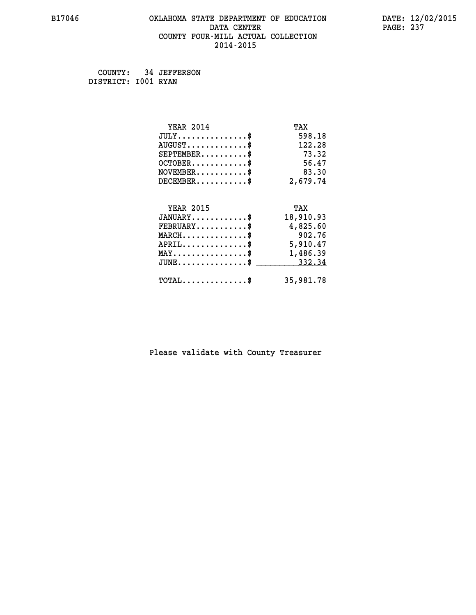#### **B17046 OKLAHOMA STATE DEPARTMENT OF EDUCATION DATE: 12/02/2015 DATA CENTER** PAGE: 237  **COUNTY FOUR-MILL ACTUAL COLLECTION 2014-2015**

 **COUNTY: 34 JEFFERSON DISTRICT: I001 RYAN**

| <b>YEAR 2014</b>                                   | TAX       |
|----------------------------------------------------|-----------|
| $JULY$ \$                                          | 598.18    |
| $AUGUST$ \$                                        | 122.28    |
| $SEPTEMENT.$ \$                                    | 73.32     |
| $OCTOBER$ \$                                       | 56.47     |
| $NOVEMBER.$ \$                                     | 83.30     |
| $DECEMBER$ \$                                      | 2,679.74  |
|                                                    |           |
| <b>YEAR 2015</b>                                   | TAX       |
| $JANUARY$ \$                                       | 18,910.93 |
| $FEBRUARY$                                         | 4,825.60  |
| $MARCH$ \$                                         | 902.76    |
| $APRIL \ldots \ldots \ldots \ldots \$              | 5,910.47  |
| $\texttt{MAX} \dots \dots \dots \dots \dots \$$    | 1,486.39  |
| $\texttt{JUNE} \dots \dots \dots \dots \texttt{S}$ | 332.34    |
| $\texttt{TOTAL} \dots \dots \dots \dots \$         | 35,981.78 |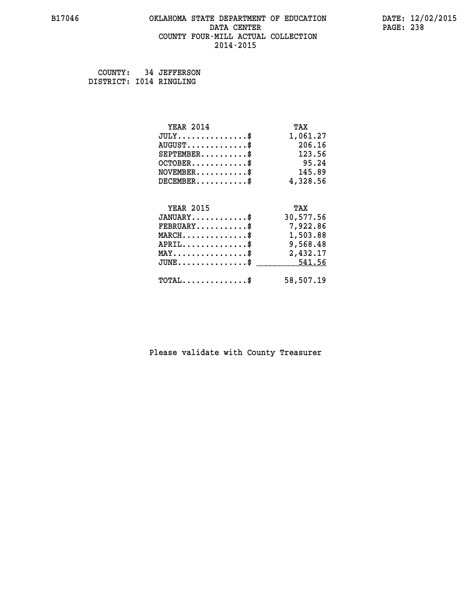#### **B17046 OKLAHOMA STATE DEPARTMENT OF EDUCATION DATE: 12/02/2015** DATA CENTER PAGE: 238  **COUNTY FOUR-MILL ACTUAL COLLECTION 2014-2015**

 **COUNTY: 34 JEFFERSON DISTRICT: I014 RINGLING**

| <b>YEAR 2014</b>                               | TAX       |
|------------------------------------------------|-----------|
| $JULY$ \$                                      | 1,061.27  |
| $AUGUST$ \$                                    | 206.16    |
| $SEPTEMENT.$ \$                                | 123.56    |
| $OCTOBER$ \$                                   | 95.24     |
| $NOVEMBER$ \$                                  | 145.89    |
| $DECEMBER$ \$                                  | 4,328.56  |
|                                                |           |
| <b>YEAR 2015</b>                               | TAX       |
| $JANUARY$ \$                                   | 30,577.56 |
| $FEBRUARY$ \$                                  | 7,922.86  |
| $MARCH \ldots \ldots \ldots \ldots \$          | 1,503.88  |
| $APRIL$ \$                                     | 9,568.48  |
| $\texttt{MAX} \dots \dots \dots \dots \dots \$ | 2,432.17  |
| $JUNE$ \$                                      | 541.56    |
| $\texttt{TOTAL} \dots \dots \dots \dots$       | 58,507.19 |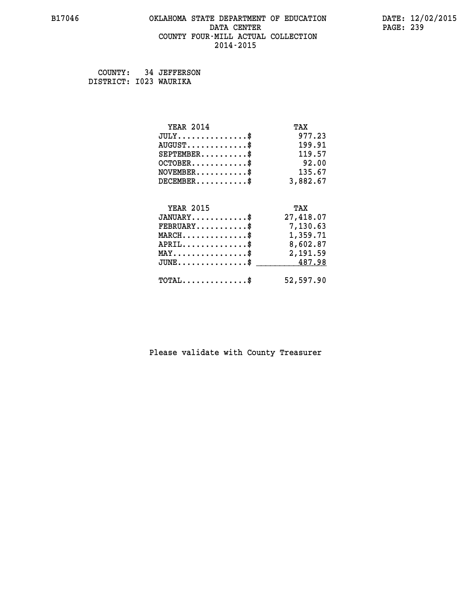#### **B17046 OKLAHOMA STATE DEPARTMENT OF EDUCATION DATE: 12/02/2015 DATA CENTER** PAGE: 239  **COUNTY FOUR-MILL ACTUAL COLLECTION 2014-2015**

 **COUNTY: 34 JEFFERSON DISTRICT: I023 WAURIKA**

| <b>YEAR 2014</b>                                 | TAX       |
|--------------------------------------------------|-----------|
| $JULY$ \$                                        | 977.23    |
| $AUGUST$ \$                                      | 199.91    |
| $SEPTEMENT.$ \$                                  | 119.57    |
| $OCTOBER$ \$                                     | 92.00     |
| $NOVEMBER.$ \$                                   | 135.67    |
| $DECEMBER$ \$                                    | 3,882.67  |
|                                                  |           |
| <b>YEAR 2015</b>                                 | TAX       |
| $JANUARY$ \$                                     | 27,418.07 |
| $FEBRUARY$                                       | 7,130.63  |
| $MARCH$ \$                                       | 1,359.71  |
| $APRIL$ \$                                       | 8,602.87  |
| $\texttt{MAX} \dots \dots \dots \dots \dots \$   | 2,191.59  |
| $\texttt{JUNE} \dots \dots \dots \dots \dots \$$ | 487.98    |
| $TOTAL$ \$                                       | 52,597.90 |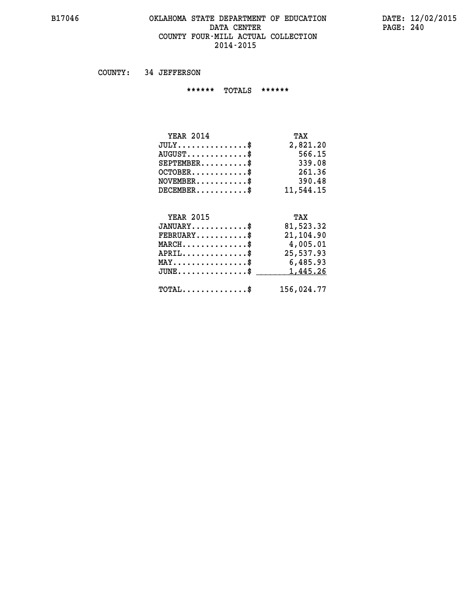#### **B17046 OKLAHOMA STATE DEPARTMENT OF EDUCATION DATE: 12/02/2015 DATA CENTER** PAGE: 240  **COUNTY FOUR-MILL ACTUAL COLLECTION 2014-2015**

 **COUNTY: 34 JEFFERSON**

 **\*\*\*\*\*\* TOTALS \*\*\*\*\*\***

| <b>YEAR 2014</b>                   | TAX       |
|------------------------------------|-----------|
| $JULY \ldots \ldots \ldots \ldots$ | 2,821.20  |
| $AUGUST$                           | 566.15    |
| $SEPTEMBER$ $\$                    | 339.08    |
| $OCTOBER$ \$                       | 261.36    |
| $NOVEMBER$ \$                      | 390.48    |
| $DECEMBER$ \$                      | 11,544,15 |

## **YEAR 2015 TAX**

| $JANUARY$                                      | 81,523.32  |
|------------------------------------------------|------------|
| $FEBRUARY$ \$                                  | 21,104.90  |
| $MARCH$ \$                                     | 4,005.01   |
| $APRIL$                                        | 25,537.93  |
| $MAX \dots \dots \dots \dots \dots \$          | 6,485.93   |
| $JUNE \dots \dots \dots \dots \$ 1,445.26      |            |
| $\texttt{TOTAL} \dots \dots \dots \dots \dots$ | 156,024.77 |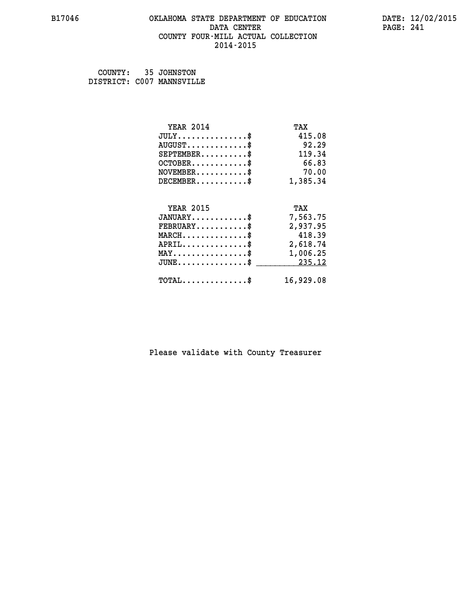#### **B17046 OKLAHOMA STATE DEPARTMENT OF EDUCATION DATE: 12/02/2015 DATA CENTER** PAGE: 241  **COUNTY FOUR-MILL ACTUAL COLLECTION 2014-2015**

 **COUNTY: 35 JOHNSTON DISTRICT: C007 MANNSVILLE**

| <b>YEAR 2014</b>                               | TAX       |
|------------------------------------------------|-----------|
| $JULY$ \$                                      | 415.08    |
| $AUGUST$ \$                                    | 92.29     |
| $SEPTEMENT.$ \$                                | 119.34    |
| $OCTOBER$ \$                                   | 66.83     |
| $NOVEMBER$ \$                                  | 70.00     |
| $DECEMBER$ \$                                  | 1,385.34  |
|                                                |           |
| <b>YEAR 2015</b>                               | TAX       |
| $JANUARY$ \$                                   | 7,563.75  |
| $FEBRUARY$                                     | 2,937.95  |
| $MARCH$ \$                                     | 418.39    |
| $APRIL$ \$                                     | 2,618.74  |
| $\texttt{MAX} \dots \dots \dots \dots \dots \$ | 1,006.25  |
| $JUNE$ \$                                      | 235.12    |
| $TOTAL$ \$                                     | 16,929.08 |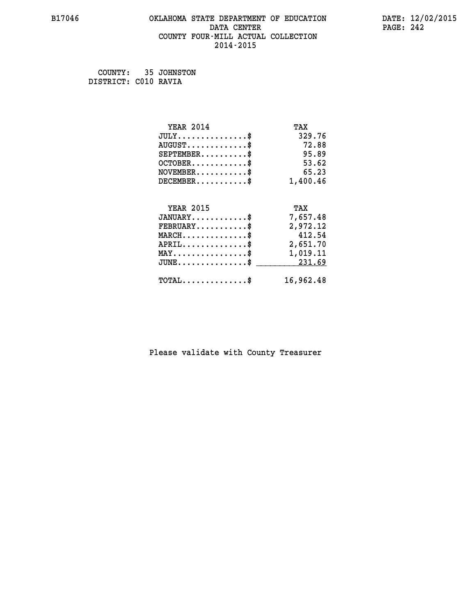#### **B17046 OKLAHOMA STATE DEPARTMENT OF EDUCATION DATE: 12/02/2015 DATA CENTER** PAGE: 242  **COUNTY FOUR-MILL ACTUAL COLLECTION 2014-2015**

 **COUNTY: 35 JOHNSTON DISTRICT: C010 RAVIA**

| <b>YEAR 2014</b>                                 | TAX       |
|--------------------------------------------------|-----------|
| $JULY$ \$                                        | 329.76    |
| $AUGUST$ \$                                      | 72.88     |
| $SEPTEMBER$ \$                                   | 95.89     |
| $OCTOBER$ \$                                     | 53.62     |
| $\texttt{NOVEMBER} \dots \dots \dots \$          | 65.23     |
| $DECEMBER$ \$                                    | 1,400.46  |
|                                                  |           |
| <b>YEAR 2015</b>                                 | TAX       |
| $JANUARY$ \$                                     | 7,657.48  |
| $FEBRUARY$                                       | 2,972.12  |
| $MARCH$ \$                                       | 412.54    |
| $APRIL \ldots \ldots \ldots \ldots \$            | 2,651.70  |
| $\texttt{MAX} \dots \dots \dots \dots \dots \$   | 1,019.11  |
| $\texttt{JUNE} \dots \dots \dots \dots \dots \$$ | 231.69    |
| $\texttt{TOTAL} \dots \dots \dots \dots \$       | 16,962.48 |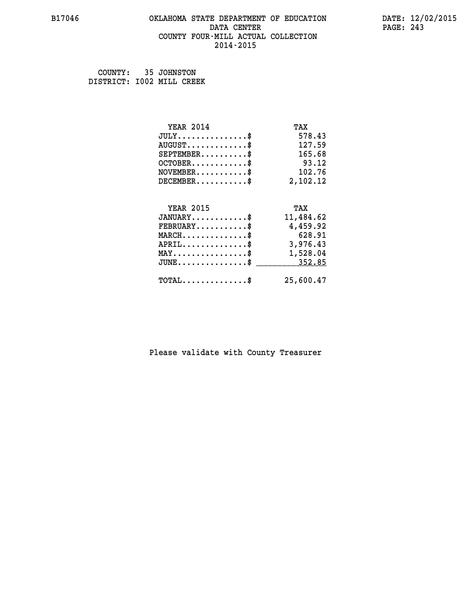#### **B17046 OKLAHOMA STATE DEPARTMENT OF EDUCATION DATE: 12/02/2015 DATA CENTER** PAGE: 243  **COUNTY FOUR-MILL ACTUAL COLLECTION 2014-2015**

 **COUNTY: 35 JOHNSTON DISTRICT: I002 MILL CREEK**

| <b>YEAR 2014</b>                                   | TAX       |
|----------------------------------------------------|-----------|
| $JULY$ \$                                          | 578.43    |
| $AUGUST$ \$                                        | 127.59    |
| $SEPTEMBER$ \$                                     | 165.68    |
| $OCTOBER$ \$                                       | 93.12     |
| $NOVEMBER$ \$                                      | 102.76    |
| $DECEMBER$ \$                                      | 2,102.12  |
|                                                    |           |
| <b>YEAR 2015</b>                                   | TAX       |
|                                                    |           |
| $JANUARY$ \$                                       | 11,484.62 |
| $FEBRUARY$                                         | 4,459.92  |
| $MARCH$ \$                                         | 628.91    |
| $APRIL$ \$                                         | 3,976.43  |
| $\texttt{MAX} \dots \dots \dots \dots \dots \$     | 1,528.04  |
| $\texttt{JUNE} \dots \dots \dots \dots \texttt{S}$ | 352.85    |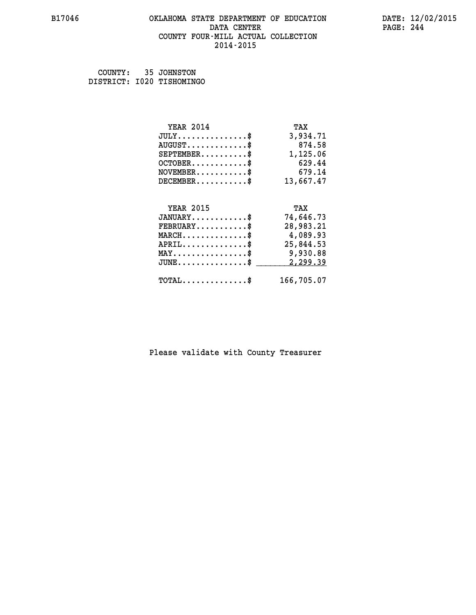#### **B17046 OKLAHOMA STATE DEPARTMENT OF EDUCATION DATE: 12/02/2015 DATA CENTER** PAGE: 244  **COUNTY FOUR-MILL ACTUAL COLLECTION 2014-2015**

 **COUNTY: 35 JOHNSTON DISTRICT: I020 TISHOMINGO**

| <b>YEAR 2014</b>                               | TAX        |
|------------------------------------------------|------------|
| $JULY$ \$                                      | 3,934.71   |
| $AUGUST$ \$                                    | 874.58     |
| $SEPTEMBER$ \$                                 | 1,125.06   |
| $OCTOBER$ \$                                   | 629.44     |
| $NOVEMBER$ \$                                  | 679.14     |
| $DECEMBER$ \$                                  | 13,667.47  |
|                                                |            |
| <b>YEAR 2015</b>                               | TAX        |
| $JANUARY$ \$                                   | 74,646.73  |
| $FEBRUARY$                                     | 28,983.21  |
| $MARCH$ \$                                     | 4,089.93   |
| $APRIL$ \$                                     | 25,844.53  |
| $\texttt{MAX} \dots \dots \dots \dots \dots \$ | 9,930.88   |
| $JUNE$ \$                                      | 2,299.39   |
| $\texttt{TOTAL} \dots \dots \dots \dots \$     | 166,705.07 |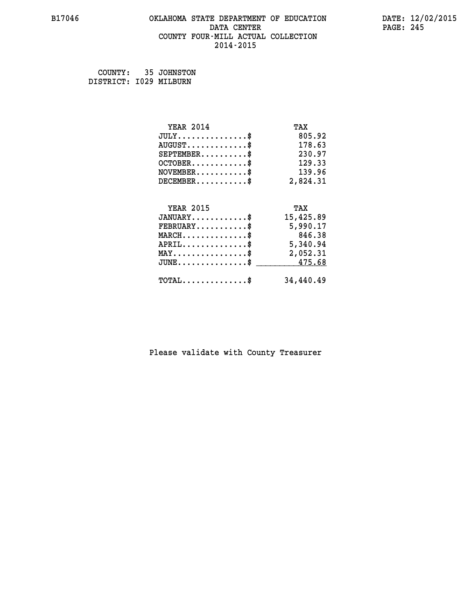#### **B17046 OKLAHOMA STATE DEPARTMENT OF EDUCATION DATE: 12/02/2015 DATA CENTER** PAGE: 245  **COUNTY FOUR-MILL ACTUAL COLLECTION 2014-2015**

 **COUNTY: 35 JOHNSTON DISTRICT: I029 MILBURN**

| <b>YEAR 2014</b>                                | TAX       |
|-------------------------------------------------|-----------|
| $JULY$ \$                                       | 805.92    |
| $AUGUST$ \$                                     | 178.63    |
| $SEPTEMBER$ \$                                  | 230.97    |
| $OCTOBER$ \$                                    | 129.33    |
| $\texttt{NOVEMBER} \dots \dots \dots \$         | 139.96    |
| $DECEMBER$ \$                                   | 2,824.31  |
|                                                 |           |
| <b>YEAR 2015</b>                                | TAX       |
| $JANUARY$ \$                                    | 15,425.89 |
| $FEBRUARY$                                      | 5,990.17  |
| $MARCH$ \$                                      | 846.38    |
|                                                 |           |
| $APRIL$ \$                                      | 5,340.94  |
| $\texttt{MAX} \dots \dots \dots \dots \dots \$$ | 2,052.31  |
| $JUNE \ldots \ldots \ldots \ldots \ast$         | 475.68    |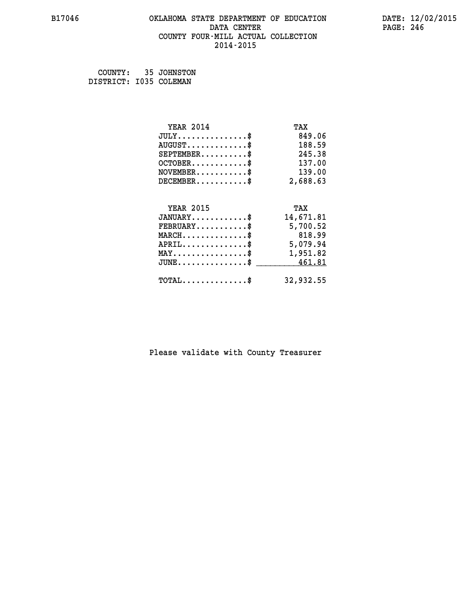#### **B17046 OKLAHOMA STATE DEPARTMENT OF EDUCATION DATE: 12/02/2015 DATA CENTER** PAGE: 246  **COUNTY FOUR-MILL ACTUAL COLLECTION 2014-2015**

 **COUNTY: 35 JOHNSTON DISTRICT: I035 COLEMAN**

| <b>YEAR 2014</b>                                | TAX       |
|-------------------------------------------------|-----------|
| $JULY$ \$                                       | 849.06    |
| $AUGUST$ \$                                     | 188.59    |
| $SEPTEMBER$ \$                                  | 245.38    |
| $OCTOBER$ \$                                    | 137.00    |
| $\texttt{NOVEMBER} \dots \dots \dots \$         | 139.00    |
| $DECEMBER$ \$                                   | 2,688.63  |
|                                                 |           |
| <b>YEAR 2015</b>                                | TAX       |
| $JANUARY$ \$                                    | 14,671.81 |
| $FEBRUARY$                                      | 5,700.52  |
| $MARCH$ \$                                      | 818.99    |
| $APRIL$ \$                                      | 5,079.94  |
|                                                 |           |
| $\texttt{MAX} \dots \dots \dots \dots \dots \$$ | 1,951.82  |
| $JUNE \ldots \ldots \ldots \ldots \ast$         | 461.81    |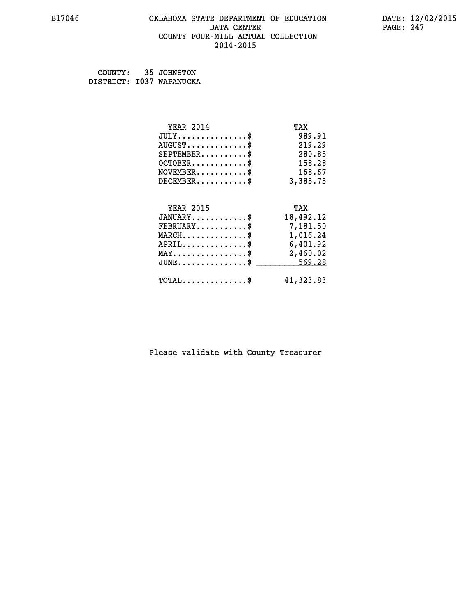#### **B17046 OKLAHOMA STATE DEPARTMENT OF EDUCATION DATE: 12/02/2015 DATA CENTER** PAGE: 247  **COUNTY FOUR-MILL ACTUAL COLLECTION 2014-2015**

| COUNTY: | 35 JOHNSTON              |
|---------|--------------------------|
|         | DISTRICT: I037 WAPANUCKA |

| <b>YEAR 2014</b>                                   | TAX       |
|----------------------------------------------------|-----------|
| $JULY$ \$                                          | 989.91    |
| $AUGUST$ \$                                        | 219.29    |
| $SEPTEMBER$ \$                                     | 280.85    |
| $OCTOBER$ \$                                       | 158.28    |
| $\texttt{NOVEMBER} \dots \dots \dots \$            | 168.67    |
| $DECEMBER$ \$                                      | 3,385.75  |
|                                                    |           |
| <b>YEAR 2015</b>                                   | TAX       |
| $JANUARY$ \$                                       | 18,492.12 |
| $FEBRUARY$ \$                                      | 7,181.50  |
| $\texttt{MARCH} \dots \dots \dots \dots \$$        | 1,016.24  |
| $APRIL \ldots \ldots \ldots \ldots \$              | 6,401.92  |
| $\texttt{MAX} \dots \dots \dots \dots \dots \$     | 2,460.02  |
| $\texttt{JUNE} \dots \dots \dots \dots \texttt{S}$ | 569.28    |
| $\texttt{TOTAL} \dots \dots \dots \dots \$         | 41,323.83 |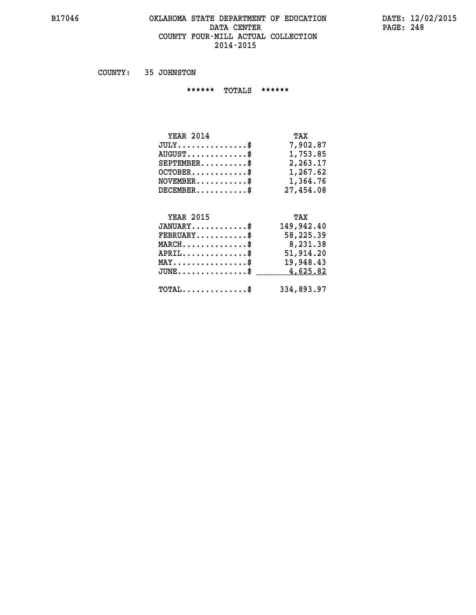#### **B17046 OKLAHOMA STATE DEPARTMENT OF EDUCATION DATE: 12/02/2015 DATA CENTER** PAGE: 248  **COUNTY FOUR-MILL ACTUAL COLLECTION 2014-2015**

 **COUNTY: 35 JOHNSTON**

 **\*\*\*\*\*\* TOTALS \*\*\*\*\*\***

| <b>YEAR 2014</b>                 | TAX       |
|----------------------------------|-----------|
| $JULY \ldots \ldots \ldots \$    | 7,902.87  |
| $AUGUST \ldots \ldots \ldots$ \$ | 1,753.85  |
| $SEPTEMBER$                      | 2,263.17  |
| $OCTOBER$                        | 1,267.62  |
| $NOVEMBER$ $\$                   | 1,364.76  |
| $DECEMBER$                       | 27,454.08 |

## **YEAR 2015 TAX JANUARY............\$ 149,942.40 FEBRUARY...........\$ 58,225.39 MARCH..............\$ 8,231.38 APRIL..............\$ 51,914.20 MAY................\$ 19,948.43 JUNE................\$** 4,625.82  **TOTAL..............\$ 334,893.97**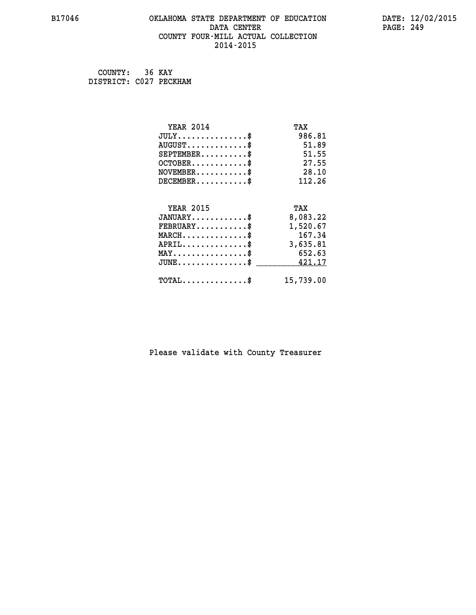#### **B17046 OKLAHOMA STATE DEPARTMENT OF EDUCATION DATE: 12/02/2015 DATA CENTER** PAGE: 249  **COUNTY FOUR-MILL ACTUAL COLLECTION 2014-2015**

 **COUNTY: 36 KAY DISTRICT: C027 PECKHAM**

| <b>YEAR 2014</b>                                 | TAX       |
|--------------------------------------------------|-----------|
| $JULY$ \$                                        | 986.81    |
| $AUGUST$ \$                                      | 51.89     |
| $SEPTEMENT.$ \$                                  | 51.55     |
| $OCTOBER$ \$                                     | 27.55     |
| $NOVEMBER$ \$                                    | 28.10     |
| $DECEMBER$ \$                                    | 112.26    |
|                                                  |           |
| <b>YEAR 2015</b>                                 | TAX       |
| $JANUARY$                                        | 8,083.22  |
| $FEBRUARY$                                       | 1,520.67  |
| $MARCH$ \$                                       | 167.34    |
| $APRIL \ldots \ldots \ldots \ldots \$            | 3,635.81  |
| $\texttt{MAX} \dots \dots \dots \dots \dots \$   | 652.63    |
| $\mathtt{JUNE} \ldots \ldots \ldots \ldots \ast$ | 421.17    |
| $\texttt{TOTAL} \dots \dots \dots \dots \$       | 15,739.00 |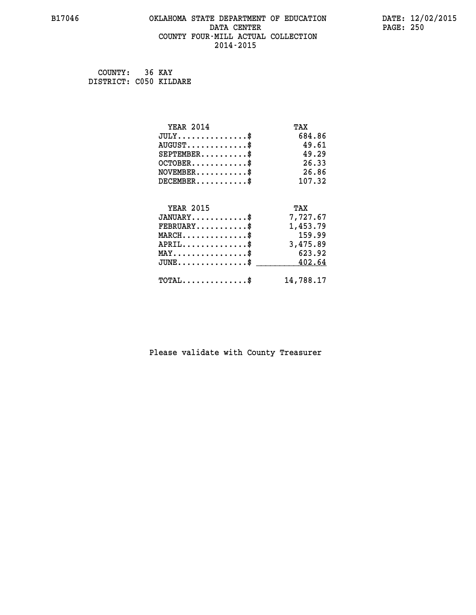#### **B17046 OKLAHOMA STATE DEPARTMENT OF EDUCATION DATE: 12/02/2015 DATA CENTER** PAGE: 250  **COUNTY FOUR-MILL ACTUAL COLLECTION 2014-2015**

 **COUNTY: 36 KAY DISTRICT: C050 KILDARE**

| <b>YEAR 2014</b>                                 | TAX       |
|--------------------------------------------------|-----------|
| $JULY$ \$                                        | 684.86    |
| $AUGUST$ \$                                      | 49.61     |
| $SEPTEMBER$ \$                                   | 49.29     |
| $OCTOBER$ \$                                     | 26.33     |
| $NOVEMBER$ \$                                    | 26.86     |
| $DECEMBER$ \$                                    | 107.32    |
|                                                  |           |
| <b>YEAR 2015</b>                                 | TAX       |
| $JANUARY$ \$                                     | 7,727.67  |
| $FEBRUARY$                                       | 1,453.79  |
| $MARCH$ \$                                       | 159.99    |
| $APRIL \ldots \ldots \ldots \ldots$              | 3,475.89  |
| $MAX \dots \dots \dots \dots \$                  | 623.92    |
| $\mathtt{JUNE} \ldots \ldots \ldots \ldots \ast$ | 402.64    |
| $\texttt{TOTAL} \dots \dots \dots \dots \$       | 14,788.17 |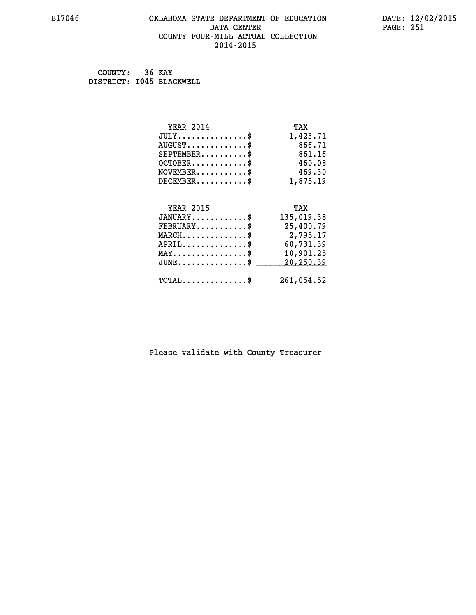#### **B17046 OKLAHOMA STATE DEPARTMENT OF EDUCATION DATE: 12/02/2015 DATA CENTER** PAGE: 251  **COUNTY FOUR-MILL ACTUAL COLLECTION 2014-2015**

 **COUNTY: 36 KAY DISTRICT: I045 BLACKWELL**

| <b>YEAR 2014</b>                               | TAX        |
|------------------------------------------------|------------|
| $JULY$ \$                                      | 1,423.71   |
| $AUGUST$ \$                                    | 866.71     |
| $SEPTEMENT.$ \$                                | 861.16     |
| $OCTOBER$ \$                                   | 460.08     |
| $NOVEMBER$ \$                                  | 469.30     |
| $DECEMBER$ \$                                  | 1,875.19   |
|                                                |            |
|                                                |            |
| <b>YEAR 2015</b>                               | TAX        |
| $JANUARY$ \$                                   | 135,019.38 |
| $FEBRUARY$                                     | 25,400.79  |
| $MARCH$ \$                                     | 2,795.17   |
| $APRIL$ \$                                     | 60,731.39  |
| $\texttt{MAX} \dots \dots \dots \dots \dots \$ | 10,901.25  |
| $JUNE$ $\text{\$}$                             | 20,250.39  |
| $\texttt{TOTAL} \dots \dots \dots \dots \$     | 261,054.52 |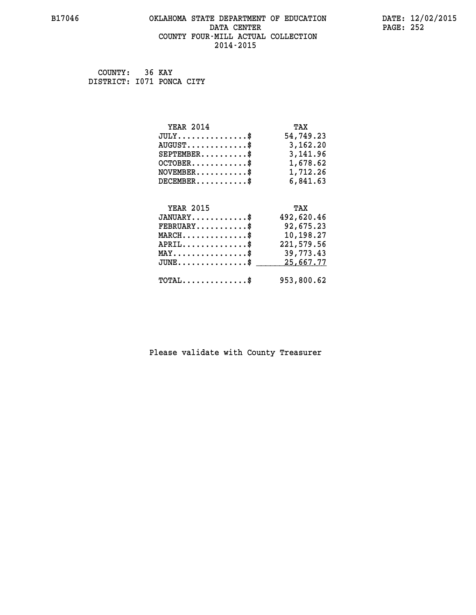#### **B17046 OKLAHOMA STATE DEPARTMENT OF EDUCATION DATE: 12/02/2015 DATA CENTER** PAGE: 252  **COUNTY FOUR-MILL ACTUAL COLLECTION 2014-2015**

 **COUNTY: 36 KAY DISTRICT: I071 PONCA CITY**

| <b>YEAR 2014</b>                               | TAX        |
|------------------------------------------------|------------|
| $JULY$ \$                                      | 54,749.23  |
| $AUGUST$ \$                                    | 3,162.20   |
| $SEPTEMBER$ \$                                 | 3,141.96   |
| $OCTOBER$ \$                                   | 1,678.62   |
| $\texttt{NOVEMBER} \dots \dots \dots \$        | 1,712.26   |
| $DECEMBER$ \$                                  | 6,841.63   |
|                                                |            |
| <b>YEAR 2015</b>                               | TAX        |
| $JANUARY$ \$                                   | 492,620.46 |
| $FEBRUARY$                                     | 92,675.23  |
| $MARCH$ \$                                     | 10,198.27  |
| $APRIL$ \$                                     | 221,579.56 |
| $\texttt{MAX} \dots \dots \dots \dots \dots \$ | 39,773.43  |
| $JUNE$ \$                                      | 25,667.77  |
| $\texttt{TOTAL} \dots \dots \dots \dots \$     | 953,800.62 |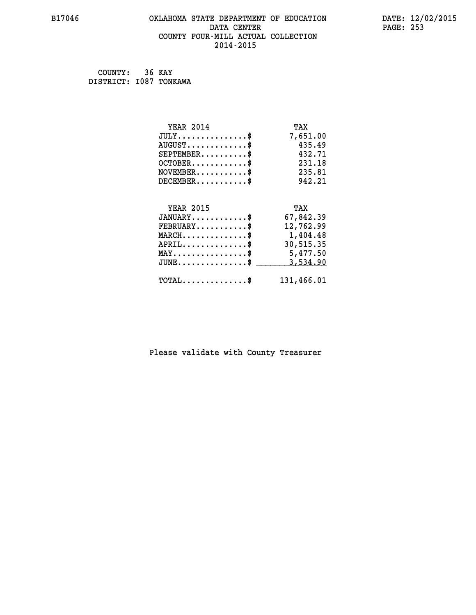## **B17046 OKLAHOMA STATE DEPARTMENT OF EDUCATION DATE: 12/02/2015** DATA CENTER PAGE: 253  **COUNTY FOUR-MILL ACTUAL COLLECTION 2014-2015**

 **COUNTY: 36 KAY DISTRICT: I087 TONKAWA**

| <b>YEAR 2014</b>                           | TAX        |
|--------------------------------------------|------------|
| $JULY$ \$                                  | 7,651.00   |
| $AUGUST$ \$                                | 435.49     |
| $SEPTEMBER$                                | 432.71     |
| $OCTOBER$ \$                               | 231.18     |
| $NOVEMBER$ \$                              | 235.81     |
| $DECEMBER$ \$                              | 942.21     |
|                                            |            |
| <b>YEAR 2015</b>                           | TAX        |
| $JANUARY$ \$                               | 67,842.39  |
| $FEBRUARY$                                 | 12,762.99  |
| $MARCH$ \$                                 | 1,404.48   |
| $APRIL$ \$                                 | 30,515.35  |
| $MAX \dots \dots \dots \dots \dots$        | 5,477.50   |
| $JUNE$ \$                                  | 3,534.90   |
| $\texttt{TOTAL} \dots \dots \dots \dots \$ | 131,466.01 |
|                                            |            |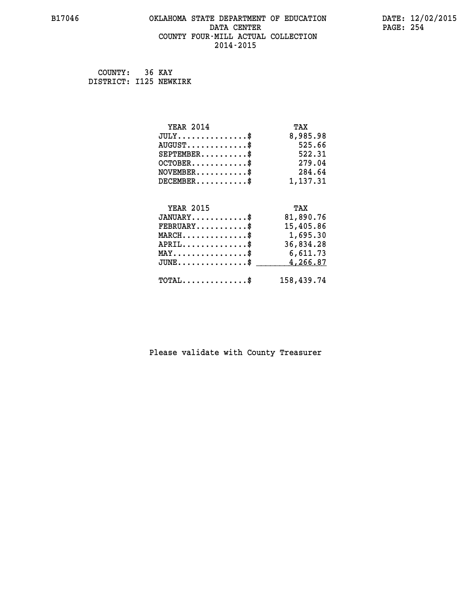## **B17046 OKLAHOMA STATE DEPARTMENT OF EDUCATION DATE: 12/02/2015 DATA CENTER** PAGE: 254  **COUNTY FOUR-MILL ACTUAL COLLECTION 2014-2015**

 **COUNTY: 36 KAY DISTRICT: I125 NEWKIRK**

| <b>YEAR 2014</b>                               | TAX        |
|------------------------------------------------|------------|
| $JULY$ \$                                      | 8,985.98   |
| $AUGUST$ \$                                    | 525.66     |
| $SEPTEMBER$ \$                                 | 522.31     |
| $OCTOBER$ \$                                   | 279.04     |
| $\texttt{NOVEMBER} \dots \dots \dots \$        | 284.64     |
| $DECEMBER$ \$                                  | 1,137.31   |
|                                                |            |
| <b>YEAR 2015</b>                               | TAX        |
| $JANUARY$ \$                                   | 81,890.76  |
| $FEBRUARY$                                     | 15,405.86  |
| $MARCH$ \$                                     | 1,695.30   |
| $APRIL \ldots \ldots \ldots \ldots$ \$         | 36,834.28  |
| $\texttt{MAX} \dots \dots \dots \dots \dots \$ | 6,611.73   |
| $JUNE$ \$                                      | 4,266.87   |
| $\texttt{TOTAL} \dots \dots \dots \dots \$     | 158,439.74 |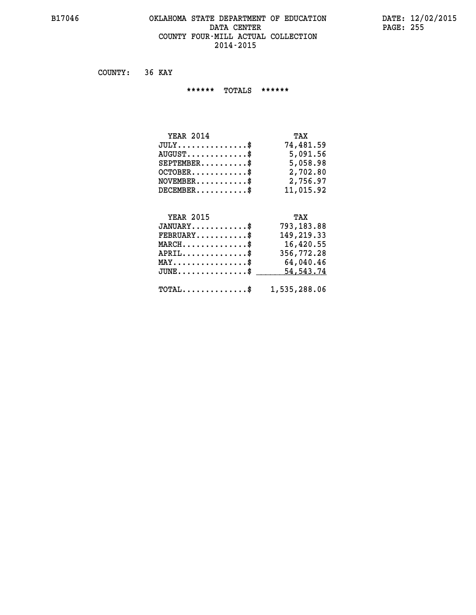## **B17046 OKLAHOMA STATE DEPARTMENT OF EDUCATION DATE: 12/02/2015** DATA CENTER PAGE: 255  **COUNTY FOUR-MILL ACTUAL COLLECTION 2014-2015**

 **COUNTY: 36 KAY**

 **\*\*\*\*\*\* TOTALS \*\*\*\*\*\***

| <b>YEAR 2014</b>                | TAX       |
|---------------------------------|-----------|
| $JULY$                          | 74,481.59 |
| $AUGUST \ldots \ldots \ldots \$ | 5,091.56  |
| $SEPTEMBER$                     | 5,058.98  |
| $OCTOBER$ \$                    | 2,702.80  |
| $NOVEMBER$ \$                   | 2,756.97  |
| $DECEMBER$                      | 11,015.92 |

# **YEAR 2015 TAX JANUARY............\$ 793,183.88 FEBRUARY...........\$ 149,219.33 MARCH..............\$ 16,420.55 APRIL..............\$ 356,772.28 MAY................\$ 64,040.46** JUNE..............\$ <u>\_\_\_\_\_\_\_ 54,543.74</u>

 **TOTAL..............\$ 1,535,288.06**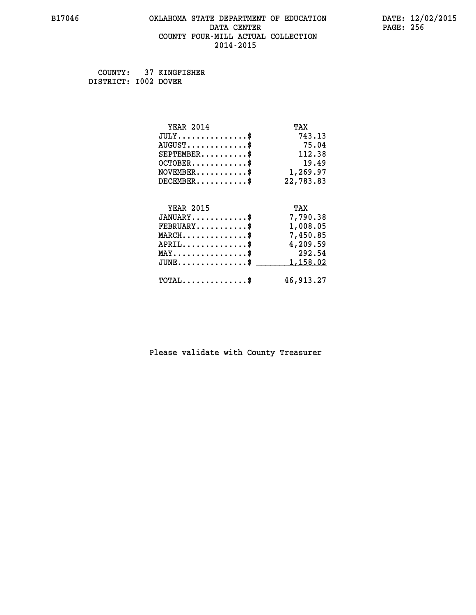## **B17046 OKLAHOMA STATE DEPARTMENT OF EDUCATION DATE: 12/02/2015 DATA CENTER** PAGE: 256  **COUNTY FOUR-MILL ACTUAL COLLECTION 2014-2015**

 **COUNTY: 37 KINGFISHER DISTRICT: I002 DOVER**

| <b>YEAR 2014</b>                           | TAX       |
|--------------------------------------------|-----------|
| $JULY$ \$                                  | 743.13    |
| $AUGUST$ \$                                | 75.04     |
| $SEPTEMENT.$ \$                            | 112.38    |
| $OCTOBER$ \$                               | 19.49     |
| $NOVEMBER$ \$                              | 1,269.97  |
| $DECEMBER$ \$                              | 22,783.83 |
|                                            |           |
| <b>YEAR 2015</b>                           | TAX       |
| $JANUARY$ \$                               | 7,790.38  |
| $FEBRUARY$                                 | 1,008.05  |
| $MARCH$ \$                                 | 7,450.85  |
| $APRIL$ \$                                 | 4,209.59  |
| $MAX \dots \dots \dots \dots \dots$        | 292.54    |
| $JUNE$                                     | 1,158.02  |
| $\texttt{TOTAL} \dots \dots \dots \dots \$ | 46,913.27 |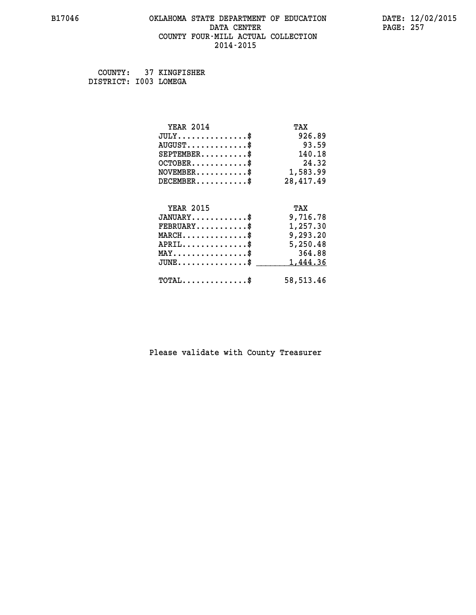## **B17046 OKLAHOMA STATE DEPARTMENT OF EDUCATION DATE: 12/02/2015 DATA CENTER** PAGE: 257  **COUNTY FOUR-MILL ACTUAL COLLECTION 2014-2015**

 **COUNTY: 37 KINGFISHER DISTRICT: I003 LOMEGA**

| <b>YEAR 2014</b>                           | TAX        |
|--------------------------------------------|------------|
| $JULY$ \$                                  | 926.89     |
| $AUGUST$ \$                                | 93.59      |
| $SEPTEMENT.$ \$                            | 140.18     |
| $OCTOBER$ \$                               | 24.32      |
| $NOVEMBER$ \$                              | 1,583.99   |
| $DECEMBER$ \$                              | 28,417.49  |
|                                            |            |
| <b>YEAR 2015</b>                           | TAX        |
| $JANUARY$ \$                               | 9,716.78   |
| $FEBRUARY$                                 | 1,257.30   |
| $MARCH$ \$                                 | 9,293.20   |
| $APRIL$ \$                                 | 5,250.48   |
| $MAX \dots \dots \dots \dots \dots$        | 364.88     |
| $JUNE$                                     | 1,444.36   |
| $\texttt{TOTAL} \dots \dots \dots \dots \$ | 58, 513.46 |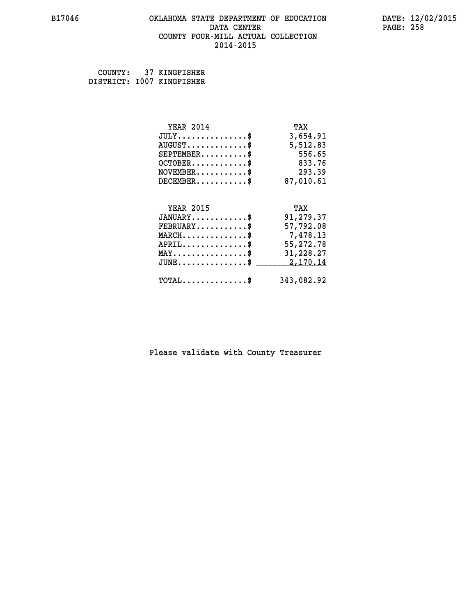## **B17046 OKLAHOMA STATE DEPARTMENT OF EDUCATION DATE: 12/02/2015 DATA CENTER** PAGE: 258  **COUNTY FOUR-MILL ACTUAL COLLECTION 2014-2015**

 **COUNTY: 37 KINGFISHER DISTRICT: I007 KINGFISHER**

| <b>YEAR 2014</b>                               | TAX        |
|------------------------------------------------|------------|
| $JULY$ \$                                      | 3,654.91   |
| $AUGUST$ \$                                    | 5,512.83   |
| $SEPTEMBER$ \$                                 | 556.65     |
| $OCTOBER$ \$                                   | 833.76     |
| $NOVEMBER$ \$                                  | 293.39     |
| $DECEMBER$ \$                                  | 87,010.61  |
|                                                |            |
| <b>YEAR 2015</b>                               | TAX        |
| $JANUARY$ \$                                   | 91,279.37  |
| $FEBRUARY$                                     | 57,792.08  |
| $MARCH$ \$                                     | 7,478.13   |
| $APRIL$ \$                                     | 55,272.78  |
| $\texttt{MAX} \dots \dots \dots \dots \dots \$ | 31,228.27  |
| $JUNE$ \$                                      | 2,170.14   |
| $\texttt{TOTAL} \dots \dots \dots \dots \$     | 343,082.92 |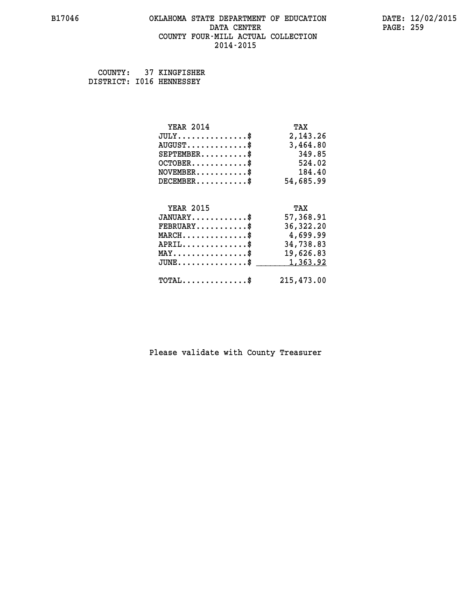## **B17046 OKLAHOMA STATE DEPARTMENT OF EDUCATION DATE: 12/02/2015 DATA CENTER** PAGE: 259  **COUNTY FOUR-MILL ACTUAL COLLECTION 2014-2015**

 **COUNTY: 37 KINGFISHER DISTRICT: I016 HENNESSEY**

| <b>YEAR 2014</b>                                   | TAX         |
|----------------------------------------------------|-------------|
| $JULY$ \$                                          | 2,143.26    |
| $AUGUST$ \$                                        | 3,464.80    |
| $SEPTEMBER$ \$                                     | 349.85      |
| OCTOBER\$ $524.02$                                 |             |
| $NOVEMBER$ \$ 184.40                               |             |
| $DECEMBER$ \$                                      | 54,685.99   |
| <b>YEAR 2015</b>                                   | TAX         |
| $JANUARY$                                          | 57,368.91   |
| $FEBRUARY \ldots \ldots \ldots \$                  | 36, 322. 20 |
| $MARCH \dots \dots \dots \dots$                    | 4,699.99    |
| $APRIL \ldots \ldots \ldots \ldots \$              | 34,738.83   |
| $\texttt{MAX} \dots \dots \dots \dots \dots \$     | 19,626.83   |
| $\texttt{JUNE} \dots \dots \dots \dots \texttt{S}$ | 1,363.92    |
| $\texttt{TOTAL} \dots \dots \dots \dots$ \$        | 215,473.00  |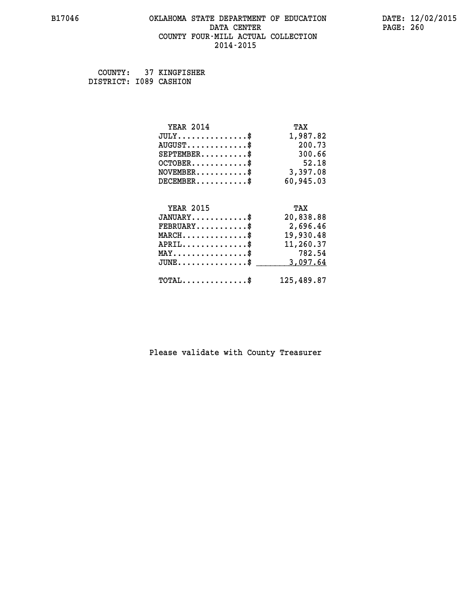## **B17046 OKLAHOMA STATE DEPARTMENT OF EDUCATION DATE: 12/02/2015 DATA CENTER** PAGE: 260  **COUNTY FOUR-MILL ACTUAL COLLECTION 2014-2015**

 **COUNTY: 37 KINGFISHER DISTRICT: I089 CASHION**

| <b>YEAR 2014</b>                           | TAX        |
|--------------------------------------------|------------|
| $JULY$ \$                                  | 1,987.82   |
| $AUGUST$ \$                                | 200.73     |
| $SEPTEMBER$ \$                             | 300.66     |
| $OCTOBER$ \$                               | 52.18      |
| $NOVEMBER$ \$                              | 3,397.08   |
| $DECEMBER$ \$                              | 60,945.03  |
|                                            |            |
| <b>YEAR 2015</b>                           | TAX        |
| $JANUARY$ \$                               | 20,838.88  |
| $FEBRUARY$                                 | 2,696.46   |
| $MARCH$ \$                                 | 19,930.48  |
| $APRIL$ \$                                 | 11,260.37  |
| $MAX \dots \dots \dots \dots \dots$        | 782.54     |
| $JUNE$ \$                                  | 3,097.64   |
| $\texttt{TOTAL} \dots \dots \dots \dots \$ | 125,489.87 |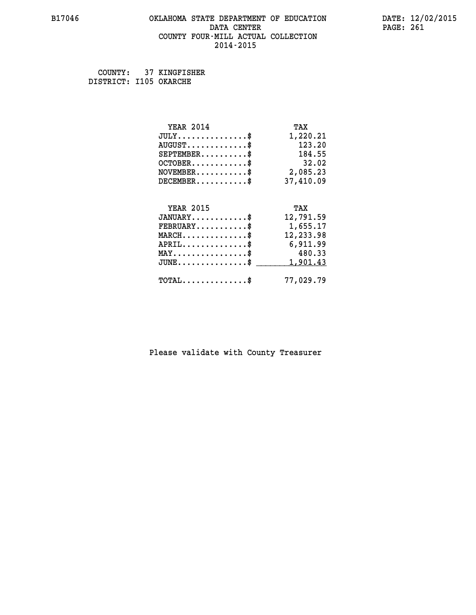## **B17046 OKLAHOMA STATE DEPARTMENT OF EDUCATION DATE: 12/02/2015 DATA CENTER** PAGE: 261  **COUNTY FOUR-MILL ACTUAL COLLECTION 2014-2015**

 **COUNTY: 37 KINGFISHER DISTRICT: I105 OKARCHE**

| <b>YEAR 2014</b>                           | TAX       |
|--------------------------------------------|-----------|
| $JULY$ \$                                  | 1,220.21  |
| $AUGUST$ \$                                | 123.20    |
| $SEPTEMENT.$ \$                            | 184.55    |
| $OCTOBER$ \$                               | 32.02     |
| $NOVEMBER$ \$                              | 2,085.23  |
| $DECEMBER$ \$                              | 37,410.09 |
|                                            |           |
| <b>YEAR 2015</b>                           | TAX       |
| $JANUARY$ \$                               | 12,791.59 |
| $FEBRUARY$                                 | 1,655.17  |
| $MARCH$ \$                                 | 12,233.98 |
| $APRIL$ \$                                 | 6,911.99  |
| $MAX \dots \dots \dots \dots \dots$        | 480.33    |
| $JUNE$                                     | 1,901.43  |
| $\texttt{TOTAL} \dots \dots \dots \dots \$ | 77,029.79 |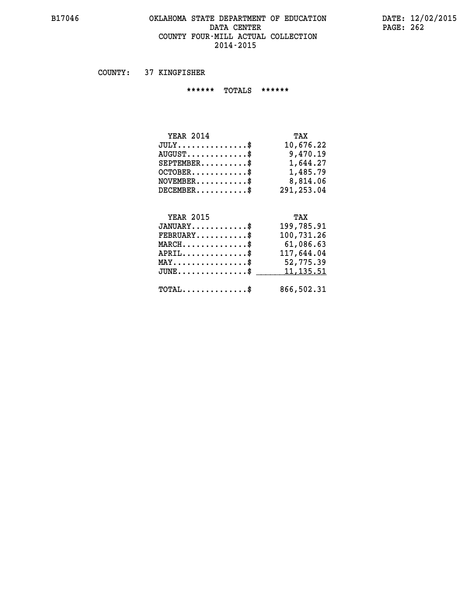## **B17046 OKLAHOMA STATE DEPARTMENT OF EDUCATION DATE: 12/02/2015 DATA CENTER PAGE: 262 COUNTY FOUR-MILL ACTUAL COLLECTION 2014-2015**

 **COUNTY: 37 KINGFISHER**

 **\*\*\*\*\*\* TOTALS \*\*\*\*\*\***

| <b>YEAR 2014</b>                | TAX        |
|---------------------------------|------------|
| $JULY$                          | 10,676.22  |
| $AUGUST \ldots \ldots \ldots \$ | 9,470.19   |
| $SEPTEMBER$ $\$                 | 1,644.27   |
| $OCTOBER$ \$                    | 1,485.79   |
| $NOVEMBER$ \$                   | 8,814.06   |
| $DECEMBER$ \$                   | 291,253.04 |

# **YEAR 2015 TAX**

| $JANUARY$<br>$\texttt{FEBRUARY} \dots \dots \dots \$ | 199,785.91<br>100,731.26 |
|------------------------------------------------------|--------------------------|
| $MARCH$ \$                                           | 61,086.63                |
| $APRIL$ \$                                           | 117,644.04               |
| $MAX \dots \dots \dots \dots \dots \$                | 52,775.39                |
| JUNE\$ 11,135.51                                     |                          |
| $\text{TOTAL} \dots \dots \dots \dots \dots$         | 866,502.31               |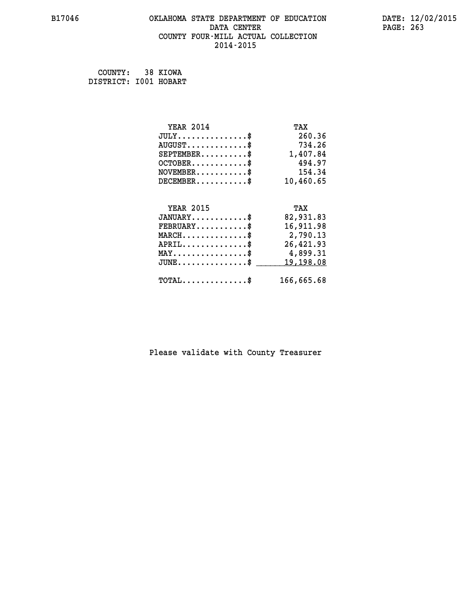## **B17046 OKLAHOMA STATE DEPARTMENT OF EDUCATION DATE: 12/02/2015 DATA CENTER** PAGE: 263  **COUNTY FOUR-MILL ACTUAL COLLECTION 2014-2015**

 **COUNTY: 38 KIOWA DISTRICT: I001 HOBART**

| <b>YEAR 2014</b>                               | TAX        |
|------------------------------------------------|------------|
| $JULY$ \$                                      | 260.36     |
| $AUGUST$ \$                                    | 734.26     |
| $SEPTEMBER$ \$                                 | 1,407.84   |
| $OCTOBER$ \$                                   | 494.97     |
| $NOVEMBER.$ \$                                 | 154.34     |
| $DECEMBER$ \$                                  | 10,460.65  |
|                                                |            |
| <b>YEAR 2015</b>                               | TAX        |
| $JANUARY$ \$                                   | 82,931.83  |
| $FEBRUARY$ \$                                  | 16,911.98  |
| $MARCH \ldots \ldots \ldots \ldots$            | 2,790.13   |
| $APRIL$ \$                                     | 26,421.93  |
| $\texttt{MAX} \dots \dots \dots \dots \dots \$ | 4,899.31   |
| $JUNE$ \$                                      | 19,198.08  |
| $\texttt{TOTAL} \dots \dots \dots \dots \$     | 166,665.68 |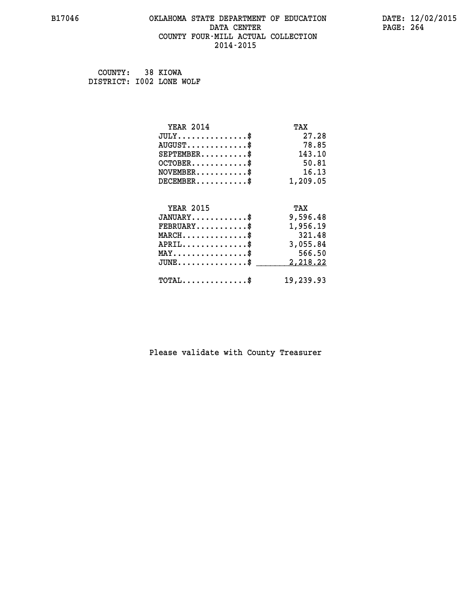## **B17046 OKLAHOMA STATE DEPARTMENT OF EDUCATION DATE: 12/02/2015 DATA CENTER** PAGE: 264  **COUNTY FOUR-MILL ACTUAL COLLECTION 2014-2015**

 **COUNTY: 38 KIOWA DISTRICT: I002 LONE WOLF**

| <b>YEAR 2014</b>                           | TAX       |
|--------------------------------------------|-----------|
| $JULY$ \$                                  | 27.28     |
| $AUGUST$ \$                                | 78.85     |
| $SEPTEMENT.$ \$                            | 143.10    |
| $OCTOBER$ \$                               | 50.81     |
| $NOVEMBER$ \$                              | 16.13     |
| $DECEMBER$ \$                              | 1,209.05  |
|                                            |           |
| <b>YEAR 2015</b>                           | TAX       |
| $JANUARY$ \$                               | 9,596.48  |
| $FEBRUARY$                                 | 1,956.19  |
| $MARCH$ \$                                 | 321.48    |
| $APRIL$ \$                                 | 3,055.84  |
| $MAX \dots \dots \dots \dots \dots$        | 566.50    |
| $JUNE$ \$                                  | 2,218.22  |
| $\texttt{TOTAL} \dots \dots \dots \dots \$ | 19,239.93 |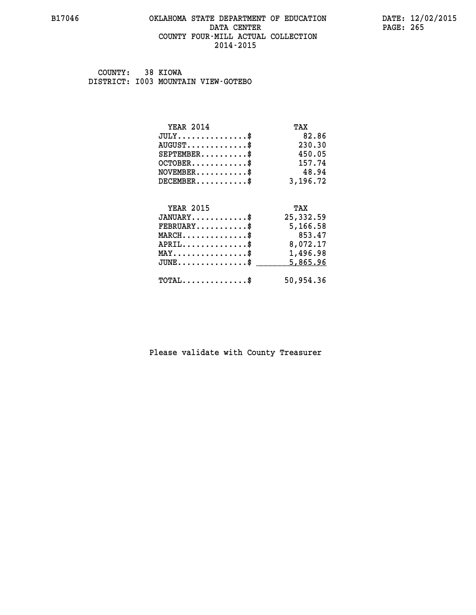## **B17046 OKLAHOMA STATE DEPARTMENT OF EDUCATION DATE: 12/02/2015 DATA CENTER** PAGE: 265  **COUNTY FOUR-MILL ACTUAL COLLECTION 2014-2015**

 **COUNTY: 38 KIOWA DISTRICT: I003 MOUNTAIN VIEW-GOTEBO**

| <b>YEAR 2014</b>                           | TAX       |
|--------------------------------------------|-----------|
| $JULY$ \$                                  | 82.86     |
| $AUGUST$ \$                                | 230.30    |
| $SEPTEMBER$ \$                             | 450.05    |
| $OCTOBER$ \$                               | 157.74    |
| $NOVEMBER$ \$                              | 48.94     |
| $DECEMBER$ \$                              | 3,196.72  |
|                                            |           |
| <b>YEAR 2015</b>                           | TAX       |
| $JANUARY$                                  | 25,332.59 |
| $FEBRUARY$ \$                              | 5,166.58  |
| $MARCH$ \$                                 | 853.47    |
| $APRIL$ \$                                 | 8,072.17  |
| $MAX \dots \dots \dots \dots \dots$        | 1,496.98  |
| $JUNE$ \$                                  | 5,865.96  |
| $\texttt{TOTAL} \dots \dots \dots \dots \$ | 50,954.36 |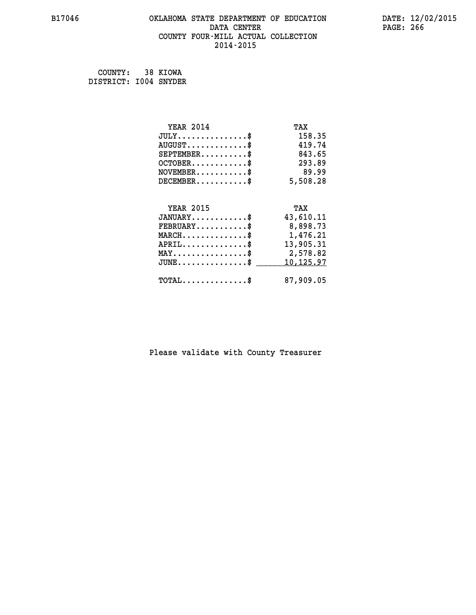## **B17046 OKLAHOMA STATE DEPARTMENT OF EDUCATION DATE: 12/02/2015 DATA CENTER** PAGE: 266  **COUNTY FOUR-MILL ACTUAL COLLECTION 2014-2015**

 **COUNTY: 38 KIOWA DISTRICT: I004 SNYDER**

| <b>YEAR 2014</b>                               | TAX       |
|------------------------------------------------|-----------|
| $JULY$ \$                                      | 158.35    |
| $AUGUST$ \$                                    | 419.74    |
| $SEPTEMENT.$ \$                                | 843.65    |
| $OCTOBER$ \$                                   | 293.89    |
| $\texttt{NOVEMBER} \dots \dots \dots \$        | 89.99     |
| $DECEMBER$ \$                                  | 5,508.28  |
|                                                |           |
| <b>YEAR 2015</b>                               | TAX       |
| $JANUARY$ \$                                   | 43,610.11 |
| $FEBRUARY$                                     | 8,898.73  |
| $MARCH$ \$                                     | 1,476.21  |
| $APRIL$ \$                                     | 13,905.31 |
| $\texttt{MAX} \dots \dots \dots \dots \dots \$ | 2,578.82  |
| $JUNE$ \$                                      | 10,125.97 |
| $\texttt{TOTAL} \dots \dots \dots \dots \$     | 87,909.05 |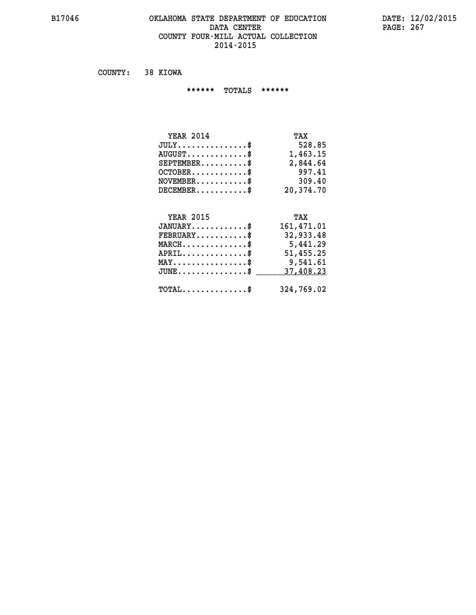## **B17046 OKLAHOMA STATE DEPARTMENT OF EDUCATION DATE: 12/02/2015 DATA CENTER** PAGE: 267  **COUNTY FOUR-MILL ACTUAL COLLECTION 2014-2015**

 **COUNTY: 38 KIOWA**

 **\*\*\*\*\*\* TOTALS \*\*\*\*\*\***

| <b>YEAR 2014</b>                 | TAX       |
|----------------------------------|-----------|
| $JULY$                           | 528.85    |
| $AUGUST \ldots \ldots \ldots$ \$ | 1,463.15  |
| $SEPTEMBER$ $\$                  | 2,844.64  |
| $OCTOBER$ \$                     | 997.41    |
| $NOVEMBER$ \$                    | 309.40    |
| $DECEMBER$ \$                    | 20,374.70 |

## **YEAR 2015 TAX JANUARY............\$ 161,471.01 FEBRUARY...........\$ 32,933.48 MARCH..............\$ 5,441.29 APRIL..............\$ 51,455.25 MAY................\$ 9,541.61 JUNE...............\$ 37,408.23 \_\_\_\_\_\_\_\_\_\_\_\_\_\_\_**

 **TOTAL..............\$ 324,769.02**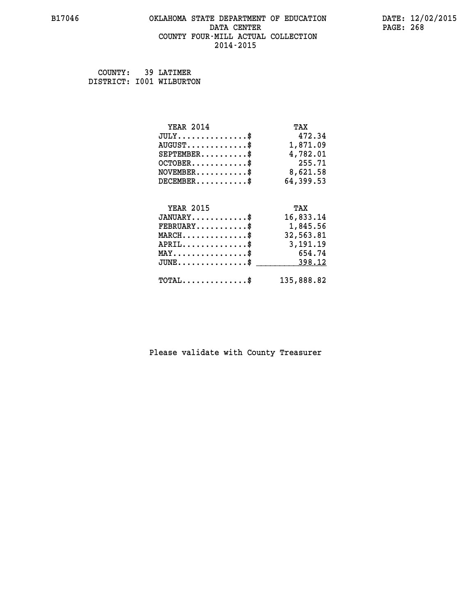## **B17046 OKLAHOMA STATE DEPARTMENT OF EDUCATION DATE: 12/02/2015** DATA CENTER PAGE: 268  **COUNTY FOUR-MILL ACTUAL COLLECTION 2014-2015**

 **COUNTY: 39 LATIMER DISTRICT: I001 WILBURTON**

| <b>YEAR 2014</b>                                 | TAX        |
|--------------------------------------------------|------------|
| $JULY$ \$                                        | 472.34     |
| $AUGUST$ \$                                      | 1,871.09   |
| $SEPTEMBER$ \$                                   | 4,782.01   |
| $OCTOBER$ \$                                     | 255.71     |
| $NOVEMBER.$ \$                                   | 8,621.58   |
| $DECEMBER$ \$                                    | 64,399.53  |
|                                                  |            |
| <b>YEAR 2015</b>                                 | TAX        |
| $JANUARY$ \$                                     | 16,833.14  |
| $FEBRUARY$ \$                                    | 1,845.56   |
| $\texttt{MARCH}\ldots\ldots\ldots\ldots\text{*}$ | 32,563.81  |
| $APRIL \ldots \ldots \ldots \ldots \$            | 3,191.19   |
| $\texttt{MAX} \dots \dots \dots \dots \dots \$   | 654.74     |
| $\texttt{JUNE} \dots \dots \dots \dots \dots \$$ | 398.12     |
| $\texttt{TOTAL} \dots \dots \dots \dots \$       | 135,888.82 |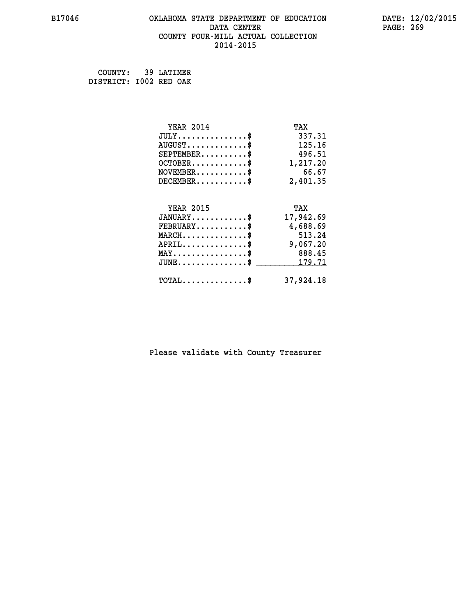## **B17046 OKLAHOMA STATE DEPARTMENT OF EDUCATION DATE: 12/02/2015 DATA CENTER** PAGE: 269  **COUNTY FOUR-MILL ACTUAL COLLECTION 2014-2015**

 **COUNTY: 39 LATIMER DISTRICT: I002 RED OAK**

| <b>YEAR 2014</b>                           | TAX       |
|--------------------------------------------|-----------|
| $JULY$ \$                                  | 337.31    |
| $AUGUST$ \$                                | 125.16    |
| $SEPTEMBER$ \$                             | 496.51    |
| $OCTOBER$ \$                               | 1,217.20  |
| $NOVEMBER$ \$                              | 66.67     |
| $DECEMBER$ \$                              | 2,401.35  |
|                                            |           |
| <b>YEAR 2015</b>                           | TAX       |
| $JANUARY$ \$                               | 17,942.69 |
| $FEBRUARY$                                 | 4,688.69  |
| $MARCH$ \$                                 | 513.24    |
| $APRIL$ \$                                 | 9,067.20  |
| $MAX \dots \dots \dots \dots \$            | 888.45    |
| $JUNE$ \$                                  | 179.71    |
| $\texttt{TOTAL} \dots \dots \dots \dots \$ | 37,924.18 |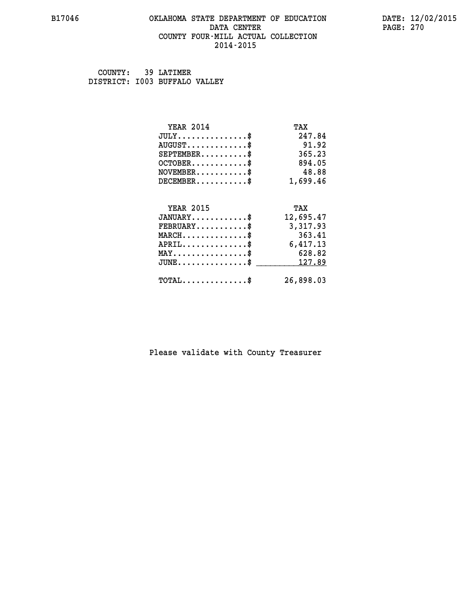## **B17046 OKLAHOMA STATE DEPARTMENT OF EDUCATION DATE: 12/02/2015 DATA CENTER** PAGE: 270  **COUNTY FOUR-MILL ACTUAL COLLECTION 2014-2015**

 **COUNTY: 39 LATIMER DISTRICT: I003 BUFFALO VALLEY**

| <b>YEAR 2014</b>                           | TAX       |
|--------------------------------------------|-----------|
| $JULY$ \$                                  | 247.84    |
| $AUGUST$ \$                                | 91.92     |
| $SEPTEMBER$ \$                             | 365.23    |
| $OCTOBER$ \$                               | 894.05    |
| $NOVEMBER$ \$                              | 48.88     |
| $DECEMBER$ \$                              | 1,699.46  |
| <b>YEAR 2015</b>                           | TAX       |
| $JANUARY$                                  | 12,695.47 |
| $FEBRUARY$                                 | 3,317.93  |
| $MARCH$ \$                                 | 363.41    |
| $APRIL$ \$                                 | 6,417.13  |
| $MAX \dots \dots \dots \dots \$            | 628.82    |
| $JUNE$                                     | 127.89    |
| $\texttt{TOTAL} \dots \dots \dots \dots \$ | 26,898.03 |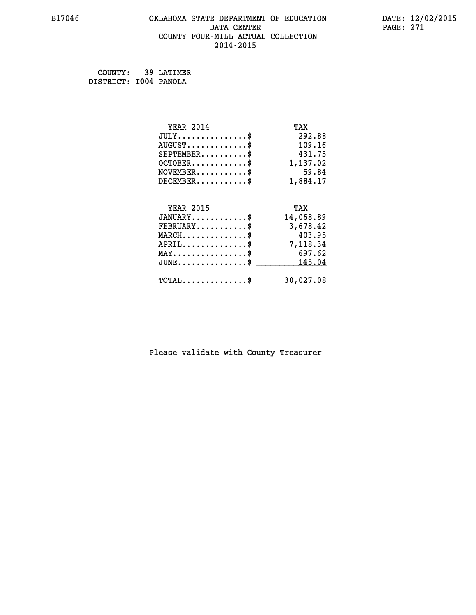## **B17046 OKLAHOMA STATE DEPARTMENT OF EDUCATION DATE: 12/02/2015 DATA CENTER** PAGE: 271  **COUNTY FOUR-MILL ACTUAL COLLECTION 2014-2015**

 **COUNTY: 39 LATIMER DISTRICT: I004 PANOLA**

| <b>YEAR 2014</b>                               | TAX       |
|------------------------------------------------|-----------|
| $JULY$ \$                                      | 292.88    |
| $AUGUST$ \$                                    | 109.16    |
| $SEPTEMBER$ \$                                 | 431.75    |
| $OCTOBER$ \$                                   | 1,137.02  |
| $NOVEMBER$ \$                                  | 59.84     |
| $DECEMBER$ \$                                  | 1,884.17  |
|                                                |           |
| <b>YEAR 2015</b>                               | TAX       |
| $JANUARY$ \$                                   | 14,068.89 |
| $FEBRUARY$ \$                                  | 3,678.42  |
| $MARCH$ \$                                     | 403.95    |
| $APRIL \ldots \ldots \ldots \ldots$            | 7,118.34  |
| $\texttt{MAX} \dots \dots \dots \dots \dots \$ | 697.62    |
| $JUNE$ \$                                      | 145.04    |
| $\texttt{TOTAL} \dots \dots \dots \dots \$     | 30,027.08 |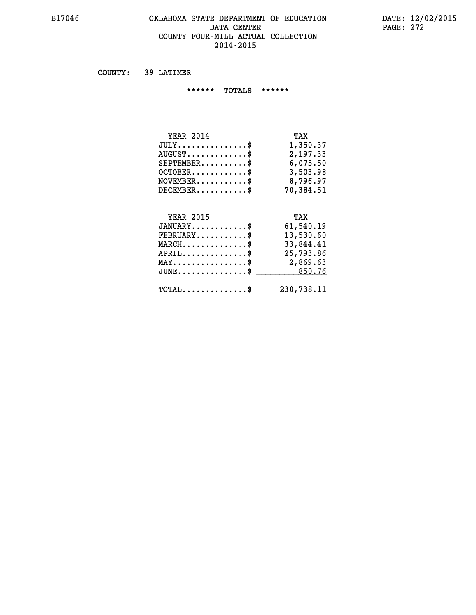## **B17046 OKLAHOMA STATE DEPARTMENT OF EDUCATION DATE: 12/02/2015 DATA CENTER** PAGE: 272  **COUNTY FOUR-MILL ACTUAL COLLECTION 2014-2015**

 **COUNTY: 39 LATIMER**

 **\*\*\*\*\*\* TOTALS \*\*\*\*\*\***

| <b>YEAR 2014</b>              | TAX       |
|-------------------------------|-----------|
| $JULY \ldots \ldots \ldots \$ | 1,350.37  |
| $AUGUST$ \$                   | 2,197.33  |
| $SEPTEMBER$                   | 6,075.50  |
| $OCTOBER$                     | 3,503.98  |
| $NOVEMBER$ \$                 | 8,796.97  |
| $DECEMBER$ \$                 | 70,384.51 |
|                               |           |

## **YEAR 2015 TAX JANUARY............\$ 61,540.19 FEBRUARY...........\$ 13,530.60 MARCH..............\$ 33,844.41 APRIL..............\$ 25,793.86 MAY................\$ 2,869.63 JUNE................\$** \_\_\_\_\_\_\_\_\_\_\_\_\_850.76

 **TOTAL..............\$ 230,738.11**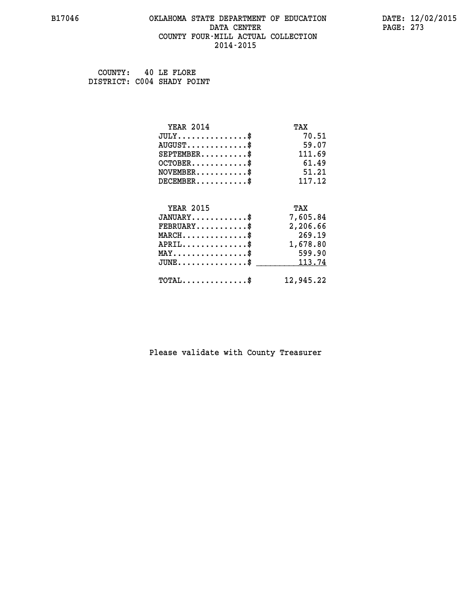## **B17046 OKLAHOMA STATE DEPARTMENT OF EDUCATION DATE: 12/02/2015 DATA CENTER** PAGE: 273  **COUNTY FOUR-MILL ACTUAL COLLECTION 2014-2015**

 **COUNTY: 40 LE FLORE DISTRICT: C004 SHADY POINT**

| <b>YEAR 2014</b>                           | TAX       |
|--------------------------------------------|-----------|
| $JULY$ \$                                  | 70.51     |
| $AUGUST$ \$                                | 59.07     |
| $SEPTEMENT.$ \$                            | 111.69    |
| $OCTOBER$ \$                               | 61.49     |
| $NOVEMBER$ \$                              | 51.21     |
| $DECEMBER$ \$                              | 117.12    |
|                                            |           |
| <b>YEAR 2015</b>                           | TAX       |
| $JANUARY$                                  | 7,605.84  |
| $FEBRUARY$                                 | 2,206.66  |
| $MARCH$ \$                                 | 269.19    |
| $APRIL$ \$                                 | 1,678.80  |
| $MAX \dots \dots \dots \dots \dots$        | 599.90    |
| $JUNE$ \$                                  | 113.74    |
| $\texttt{TOTAL} \dots \dots \dots \dots \$ | 12,945.22 |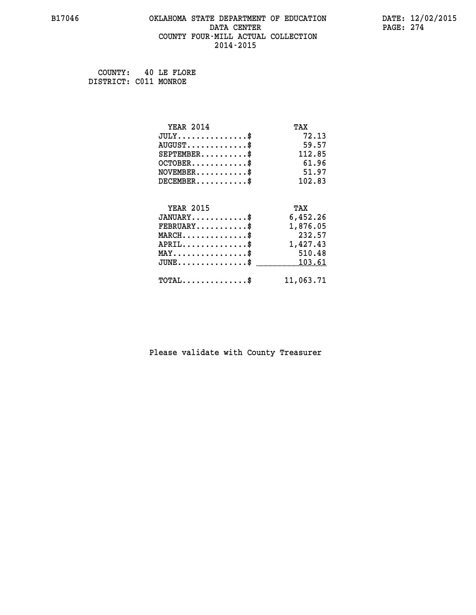## **B17046 OKLAHOMA STATE DEPARTMENT OF EDUCATION DATE: 12/02/2015 DATA CENTER** PAGE: 274  **COUNTY FOUR-MILL ACTUAL COLLECTION 2014-2015**

 **COUNTY: 40 LE FLORE DISTRICT: C011 MONROE**

| <b>YEAR 2014</b>                                   | TAX       |
|----------------------------------------------------|-----------|
| $JULY$ \$                                          | 72.13     |
| $AUGUST$ \$                                        | 59.57     |
| $SEPTEMENT.$ \$                                    | 112.85    |
| $OCTOBER$ \$                                       | 61.96     |
| $NOVEMBER$ \$                                      | 51.97     |
| $DECEMBER$ \$                                      | 102.83    |
|                                                    |           |
| <b>YEAR 2015</b>                                   | TAX       |
| $JANUARY$                                          | 6,452.26  |
| $FEBRUARY$                                         | 1,876.05  |
| $MARCH$ \$                                         | 232.57    |
| $APRIL \ldots \ldots \ldots \ldots$                | 1,427.43  |
| $\texttt{MAX} \dots \dots \dots \dots \dots \$     | 510.48    |
| $\texttt{JUNE} \dots \dots \dots \dots \texttt{S}$ | 103.61    |
| $\texttt{TOTAL} \dots \dots \dots \dots \$         | 11,063.71 |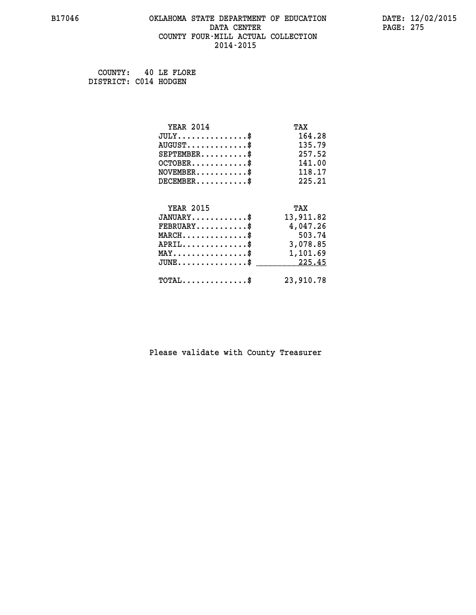## **B17046 OKLAHOMA STATE DEPARTMENT OF EDUCATION DATE: 12/02/2015 DATA CENTER** PAGE: 275  **COUNTY FOUR-MILL ACTUAL COLLECTION 2014-2015**

 **COUNTY: 40 LE FLORE DISTRICT: C014 HODGEN**

| <b>YEAR 2014</b>                               | TAX       |
|------------------------------------------------|-----------|
| $JULY$ \$                                      | 164.28    |
| $AUGUST$ \$                                    | 135.79    |
| $SEPTEMBER$ \$                                 | 257.52    |
| $OCTOBER$ \$                                   | 141.00    |
| $NOVEMBER.$ \$                                 | 118.17    |
| $DECEMBER$ \$                                  | 225.21    |
|                                                |           |
| <b>YEAR 2015</b>                               | TAX       |
| $JANUARY$ \$                                   | 13,911.82 |
| $FEBRUARY$ \$                                  | 4,047.26  |
| $MARCH$ \$                                     | 503.74    |
| $APRIL \ldots \ldots \ldots \ldots \$          | 3,078.85  |
| $\texttt{MAX} \dots \dots \dots \dots \dots \$ | 1,101.69  |
| $\texttt{JUNE}\dots\dots\dots\dots\dots\$      | 225.45    |
| $\texttt{TOTAL} \dots \dots \dots \dots$ \$    | 23,910.78 |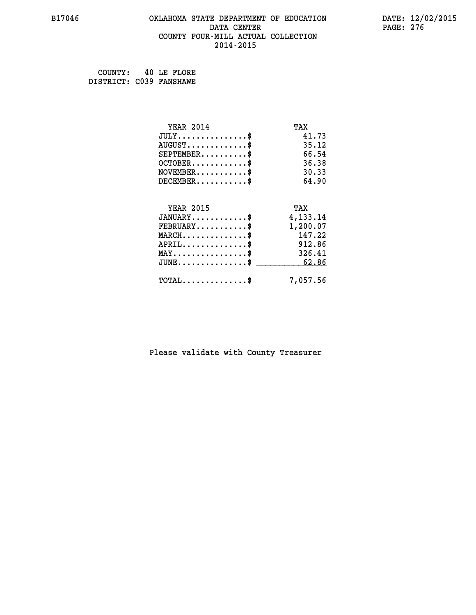## **B17046 OKLAHOMA STATE DEPARTMENT OF EDUCATION DATE: 12/02/2015 DATA CENTER** PAGE: 276  **COUNTY FOUR-MILL ACTUAL COLLECTION 2014-2015**

| COUNTY:                 |  | 40 LE FLORE |
|-------------------------|--|-------------|
| DISTRICT: C039 FANSHAWE |  |             |

| <b>YEAR 2014</b>                           | TAX      |
|--------------------------------------------|----------|
| $JULY$ \$                                  | 41.73    |
| $AUGUST$ \$                                | 35.12    |
| $SEPTEMENT.$ \$                            | 66.54    |
| $OCTOBER$ \$                               | 36.38    |
| $NOVEMBER$ \$                              | 30.33    |
| $DECEMBER$ \$                              | 64.90    |
| <b>YEAR 2015</b>                           |          |
|                                            | TAX      |
| $JANUARY$                                  | 4,133.14 |
| $FEBRUARY$                                 | 1,200.07 |
| $MARCH$ \$                                 | 147.22   |
| $APRIL$ \$                                 | 912.86   |
| $MAX \dots \dots \dots \dots \$            | 326.41   |
| $JUNE$ \$                                  | 62.86    |
| $\texttt{TOTAL} \dots \dots \dots \dots \$ | 7,057.56 |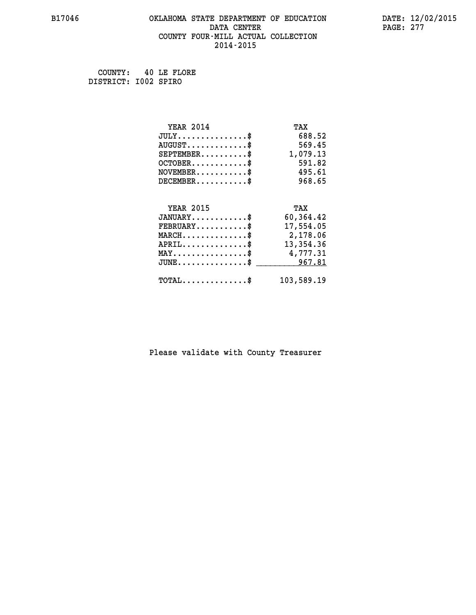## **B17046 OKLAHOMA STATE DEPARTMENT OF EDUCATION DATE: 12/02/2015 DATA CENTER** PAGE: 277  **COUNTY FOUR-MILL ACTUAL COLLECTION 2014-2015**

 **COUNTY: 40 LE FLORE DISTRICT: I002 SPIRO**

| <b>YEAR 2014</b>                                   | TAX        |
|----------------------------------------------------|------------|
| $JULY$ \$                                          | 688.52     |
| $AUGUST$ \$                                        | 569.45     |
| $SEPTEMBER$ \$                                     | 1,079.13   |
| $OCTOBER$ \$                                       | 591.82     |
| $NOVEMBER.$ \$                                     | 495.61     |
| $DECEMBER$ \$                                      | 968.65     |
|                                                    |            |
| <b>YEAR 2015</b>                                   | TAX        |
| $JANUARY$ \$                                       | 60,364.42  |
| $FEBRUARY$                                         | 17,554.05  |
| $\texttt{MARCH}\ldots\ldots\ldots\ldots\text{*}$   | 2,178.06   |
| $APRIL \ldots \ldots \ldots \ldots \$              | 13,354.36  |
| $\texttt{MAX} \dots \dots \dots \dots \dots \$     | 4,777.31   |
| $\texttt{JUNE} \dots \dots \dots \dots \texttt{S}$ | 967.81     |
| $\texttt{TOTAL} \dots \dots \dots \dots \$         | 103,589.19 |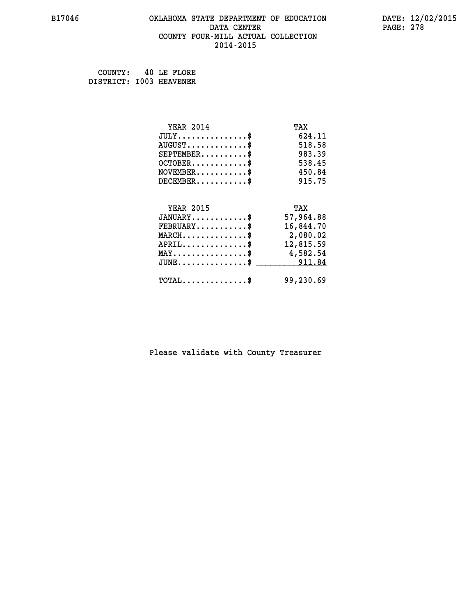## **B17046 OKLAHOMA STATE DEPARTMENT OF EDUCATION DATE: 12/02/2015 DATA CENTER** PAGE: 278  **COUNTY FOUR-MILL ACTUAL COLLECTION 2014-2015**

 **COUNTY: 40 LE FLORE DISTRICT: I003 HEAVENER**

| <b>YEAR 2014</b>                                 | TAX       |
|--------------------------------------------------|-----------|
| $JULY$ \$                                        | 624.11    |
| $AUGUST$ \$                                      | 518.58    |
| $SEPTEMBER$ \$                                   | 983.39    |
| $OCTOBER$ \$                                     | 538.45    |
| $\texttt{NOVEMBER} \dots \dots \dots \$          | 450.84    |
| $DECEMBER$ \$                                    | 915.75    |
|                                                  |           |
| <b>YEAR 2015</b>                                 | TAX       |
| $JANUARY$ \$                                     | 57,964.88 |
| $FEBRUARY$ \$                                    | 16,844.70 |
| $\texttt{MARCH}\ldots\ldots\ldots\ldots\text{*}$ | 2,080.02  |
| $APRIL \ldots \ldots \ldots \ldots$ \$           | 12,815.59 |
| MAY\$ 4,582.54                                   |           |
| JUNE\$ 911.84                                    |           |
| $\texttt{TOTAL} \dots \dots \dots \dots$ \$      | 99,230.69 |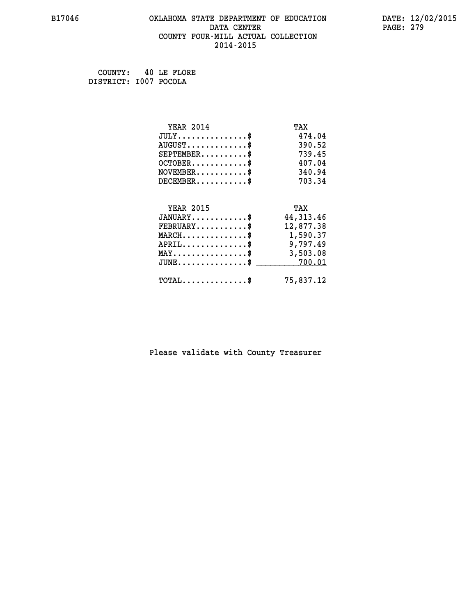## **B17046 OKLAHOMA STATE DEPARTMENT OF EDUCATION DATE: 12/02/2015 DATA CENTER** PAGE: 279  **COUNTY FOUR-MILL ACTUAL COLLECTION 2014-2015**

 **COUNTY: 40 LE FLORE DISTRICT: I007 POCOLA**

| <b>YEAR 2014</b>                                 | TAX         |
|--------------------------------------------------|-------------|
| $JULY$ \$                                        | 474.04      |
| $AUGUST$ \$                                      | 390.52      |
| $SEPTEMBER$ \$                                   | 739.45      |
| $OCTOBER$ \$                                     | 407.04      |
| $NOVEMBER$ \$                                    | 340.94      |
| $DECEMBER$ \$                                    | 703.34      |
|                                                  |             |
| <b>YEAR 2015</b>                                 | TAX         |
| $JANUARY$ \$                                     | 44, 313. 46 |
| $FEBRUARY$ \$                                    | 12,877.38   |
| $MARCH$ \$                                       | 1,590.37    |
| $APRIL \ldots \ldots \ldots \$                   | 9,797.49    |
| $\texttt{MAX} \dots \dots \dots \dots \dots \$   | 3,503.08    |
| $\texttt{JUNE} \dots \dots \dots \dots \dots \$$ | 700.01      |
| $\texttt{TOTAL} \dots \dots \dots \dots \$       | 75,837.12   |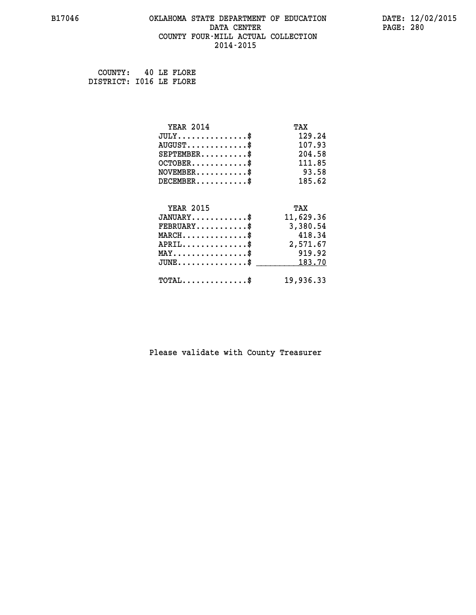## **B17046 OKLAHOMA STATE DEPARTMENT OF EDUCATION DATE: 12/02/2015 DATA CENTER** PAGE: 280  **COUNTY FOUR-MILL ACTUAL COLLECTION 2014-2015**

 **COUNTY: 40 LE FLORE DISTRICT: I016 LE FLORE**

| <b>YEAR 2014</b>                          | TAX       |
|-------------------------------------------|-----------|
| $JULY$ \$                                 | 129.24    |
| $AUGUST$ \$                               | 107.93    |
| $SEPTEMBER$ \$                            | 204.58    |
| $OCTOBER$ \$                              | 111.85    |
| $NOVEMBER$ \$                             | 93.58     |
| $DECEMBER$ \$                             | 185.62    |
|                                           |           |
| <b>YEAR 2015</b>                          | TAX       |
| $JANUARY$ \$                              | 11,629.36 |
| $FEBRUARY$                                | 3,380.54  |
| $MARCH$ \$                                | 418.34    |
| $APRIL \ldots \ldots \ldots \$            | 2,571.67  |
| $MAX \dots \dots \dots \dots \dots$       | 919.92    |
| $\texttt{JUNE}\dots\dots\dots\dots\dots\$ | 183.70    |
| $TOTAL$ \$                                | 19,936.33 |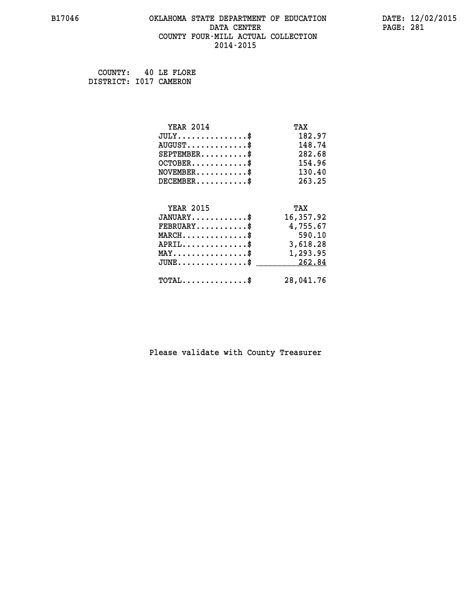## **B17046 OKLAHOMA STATE DEPARTMENT OF EDUCATION DATE: 12/02/2015 DATA CENTER** PAGE: 281  **COUNTY FOUR-MILL ACTUAL COLLECTION 2014-2015**

 **COUNTY: 40 LE FLORE DISTRICT: I017 CAMERON**

| <b>YEAR 2014</b>                               | TAX       |
|------------------------------------------------|-----------|
| $JULY$ \$                                      | 182.97    |
| $AUGUST$ \$                                    | 148.74    |
| $SEPTEMBER$ \$                                 | 282.68    |
| $OCTOBER$ \$                                   | 154.96    |
| $\texttt{NOVEMBER} \dots \dots \dots \$        | 130.40    |
| $DECEMBER$ \$                                  | 263.25    |
|                                                |           |
| <b>YEAR 2015</b>                               | TAX       |
| $JANUARY$ \$                                   | 16,357.92 |
| $FEBRUARY$                                     | 4,755.67  |
| $MARCH$ \$                                     | 590.10    |
| $\texttt{APRIL} \dots \dots \dots \dots \$     | 3,618.28  |
| $\texttt{MAX} \dots \dots \dots \dots \dots \$ | 1,293.95  |
| $\texttt{JUNE}\dots\dots\dots\dots\dots\$      | 262.84    |
| $TOTAL$ \$                                     | 28,041.76 |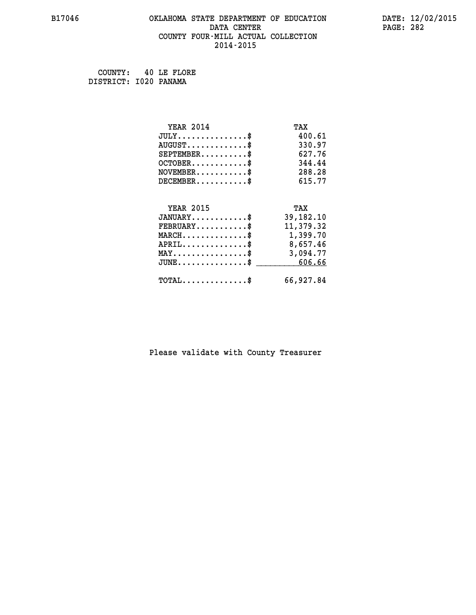## **B17046 OKLAHOMA STATE DEPARTMENT OF EDUCATION DATE: 12/02/2015 DATA CENTER** PAGE: 282  **COUNTY FOUR-MILL ACTUAL COLLECTION 2014-2015**

 **COUNTY: 40 LE FLORE DISTRICT: I020 PANAMA**

| <b>YEAR 2014</b>                               | TAX       |
|------------------------------------------------|-----------|
| $JULY$ \$                                      | 400.61    |
| $AUGUST$ \$                                    | 330.97    |
| $SEPTEMENT.$ \$                                | 627.76    |
| $OCTOBER$ \$                                   | 344.44    |
| $NOVEMBER$ \$                                  | 288.28    |
| $DECEMBER$ \$                                  | 615.77    |
|                                                |           |
| <b>YEAR 2015</b>                               | TAX       |
| $JANUARY$ \$                                   | 39,182.10 |
| $FEBRUARY$                                     | 11,379.32 |
| $MARCH$ \$                                     | 1,399.70  |
| $APRIL \ldots \ldots \ldots \ldots \$          | 8,657.46  |
| $\texttt{MAX} \dots \dots \dots \dots \dots \$ | 3,094.77  |
| $JUNE \ldots \ldots \ldots \ldots$ \$ 606.66   |           |
| $\texttt{TOTAL} \dots \dots \dots \dots \$     | 66,927.84 |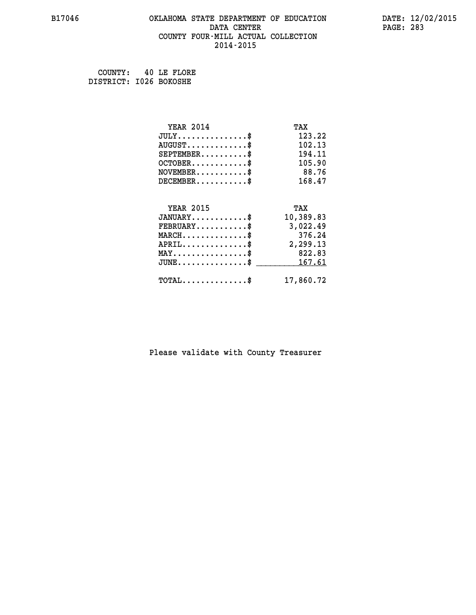## **B17046 OKLAHOMA STATE DEPARTMENT OF EDUCATION DATE: 12/02/2015 DATA CENTER** PAGE: 283  **COUNTY FOUR-MILL ACTUAL COLLECTION 2014-2015**

 **COUNTY: 40 LE FLORE DISTRICT: I026 BOKOSHE**

| <b>YEAR 2014</b>                           | TAX       |
|--------------------------------------------|-----------|
| $JULY$ \$                                  | 123.22    |
| $AUGUST$ \$                                | 102.13    |
| $SEPTEMBER$ \$                             | 194.11    |
| $OCTOBER$ \$                               | 105.90    |
| $NOVEMBER$ \$                              | 88.76     |
| $DECEMBER$ \$                              | 168.47    |
|                                            |           |
| <b>YEAR 2015</b>                           | TAX       |
| $JANUARY$ \$                               | 10,389.83 |
| $FEBRUARY$                                 | 3,022.49  |
| $MARCH$ \$                                 | 376.24    |
| $APRIL \ldots \ldots \ldots \ldots \$      | 2,299.13  |
| $MAX \dots \dots \dots \dots \dots$        | 822.83    |
| $JUNE$ \$                                  | 167.61    |
| $\texttt{TOTAL} \dots \dots \dots \dots \$ | 17,860.72 |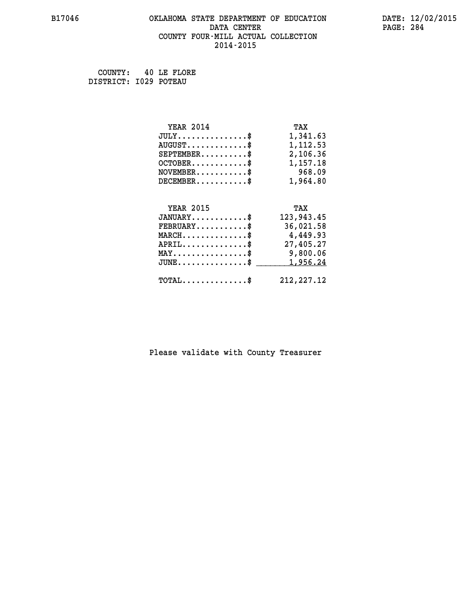## **B17046 OKLAHOMA STATE DEPARTMENT OF EDUCATION DATE: 12/02/2015 DATA CENTER** PAGE: 284  **COUNTY FOUR-MILL ACTUAL COLLECTION 2014-2015**

 **COUNTY: 40 LE FLORE DISTRICT: I029 POTEAU**

| <b>YEAR 2014</b>                               | TAX         |
|------------------------------------------------|-------------|
| $JULY$ \$                                      | 1,341.63    |
| $AUGUST$ \$                                    | 1,112.53    |
| $SEPTEMBER$ \$                                 | 2,106.36    |
| $OCTOBER$ \$                                   | 1,157.18    |
| $\texttt{NOVEMBER} \dots \dots \dots \$        | 968.09      |
| $DECEMBER$ \$                                  | 1,964.80    |
|                                                |             |
| <b>YEAR 2015</b>                               | TAX         |
| $JANUARY$ \$                                   | 123,943.45  |
| $FEBRUARY$                                     | 36,021.58   |
| $MARCH$ \$                                     | 4,449.93    |
| $APRIL$ \$                                     | 27,405.27   |
| $\texttt{MAX} \dots \dots \dots \dots \dots \$ | 9,800.06    |
| $JUNE$ \$                                      | 1,956.24    |
| $\texttt{TOTAL} \dots \dots \dots \dots \$     | 212, 227.12 |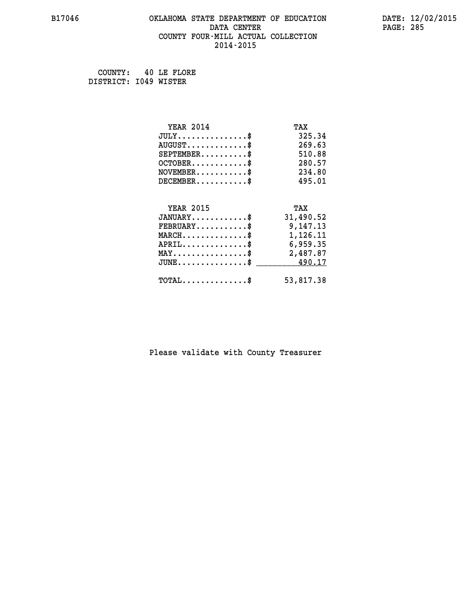## **B17046 OKLAHOMA STATE DEPARTMENT OF EDUCATION DATE: 12/02/2015 DATA CENTER** PAGE: 285  **COUNTY FOUR-MILL ACTUAL COLLECTION 2014-2015**

 **COUNTY: 40 LE FLORE DISTRICT: I049 WISTER**

| <b>YEAR 2014</b>                                 | TAX       |
|--------------------------------------------------|-----------|
| $JULY$ \$                                        | 325.34    |
| $AUGUST$ \$                                      | 269.63    |
| $SEPTEMBER$ \$                                   | 510.88    |
| $OCTOBER$ \$                                     | 280.57    |
| $\texttt{NOVEMBER} \dots \dots \dots \$          | 234.80    |
| $DECEMBER$ \$                                    | 495.01    |
|                                                  |           |
| <b>YEAR 2015</b>                                 | TAX       |
| $JANUARY$ \$                                     | 31,490.52 |
| $FEBRUARY$                                       | 9,147.13  |
| $\texttt{MARCH}\ldots\ldots\ldots\ldots\text{*}$ | 1,126.11  |
| $APRIL \ldots \ldots \ldots \ldots \$            | 6,959.35  |
| $\texttt{MAX} \dots \dots \dots \dots \dots \$   | 2,487.87  |
| $JUNE \ldots \ldots \ldots \ldots \ast$          | 490.17    |
| $\texttt{TOTAL} \dots \dots \dots \dots \$       | 53,817.38 |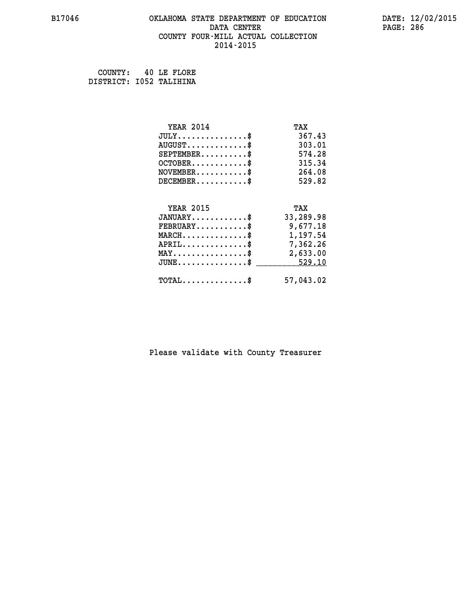## **B17046 OKLAHOMA STATE DEPARTMENT OF EDUCATION DATE: 12/02/2015 DATA CENTER** PAGE: 286  **COUNTY FOUR-MILL ACTUAL COLLECTION 2014-2015**

 **COUNTY: 40 LE FLORE DISTRICT: I052 TALIHINA**

| <b>YEAR 2014</b>                                | TAX       |
|-------------------------------------------------|-----------|
| $JULY$ \$                                       | 367.43    |
| $AUGUST$ \$                                     | 303.01    |
| $SEPTEMBER$ \$                                  | 574.28    |
| $OCTOBER$ \$                                    | 315.34    |
| $NOVEMBER$ \$                                   | 264.08    |
| $DECEMBER$ \$                                   | 529.82    |
|                                                 |           |
| <b>YEAR 2015</b>                                | TAX       |
| $JANUARY$ \$                                    | 33,289.98 |
| $FEBRUARY$                                      | 9,677.18  |
| $MARCH$ \$                                      | 1,197.54  |
| $APRIL$ \$                                      | 7,362.26  |
| $\texttt{MAX} \dots \dots \dots \dots \dots \$$ | 2,633.00  |
| $JUNE$ \$                                       | 529.10    |
| $\texttt{TOTAL} \dots \dots \dots \dots \$      | 57,043.02 |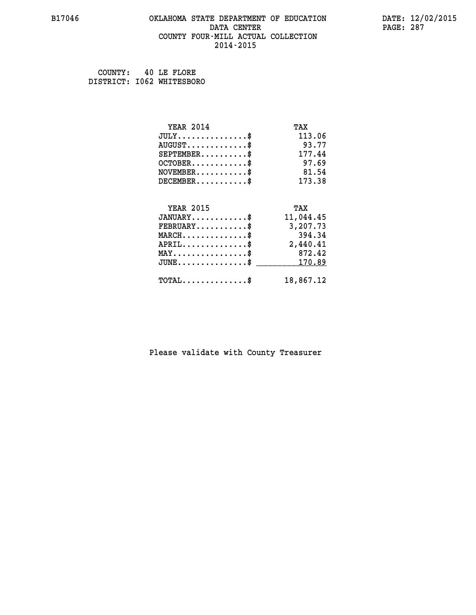## **B17046 OKLAHOMA STATE DEPARTMENT OF EDUCATION DATE: 12/02/2015 DATA CENTER** PAGE: 287  **COUNTY FOUR-MILL ACTUAL COLLECTION 2014-2015**

 **COUNTY: 40 LE FLORE DISTRICT: I062 WHITESBORO**

| <b>YEAR 2014</b>                | TAX       |
|---------------------------------|-----------|
| $JULY$ \$                       | 113.06    |
| $AUGUST$ \$                     | 93.77     |
| $SEPTEMENT.$ \$                 | 177.44    |
| $OCTOBER$ \$                    | 97.69     |
| $NOVEMBER$ \$                   | 81.54     |
| $DECEMBER$ \$                   | 173.38    |
|                                 |           |
| <b>YEAR 2015</b>                | TAX       |
| $JANUARY$ \$                    | 11,044.45 |
| $FEBRUARY$                      | 3,207.73  |
| $MARCH$ \$                      | 394.34    |
| $APRIL$ \$                      | 2,440.41  |
| $MAX \dots \dots \dots \dots \$ | 872.42    |
| $JUNE$                          | 170.89    |
| $TOTAL$ \$                      | 18,867.12 |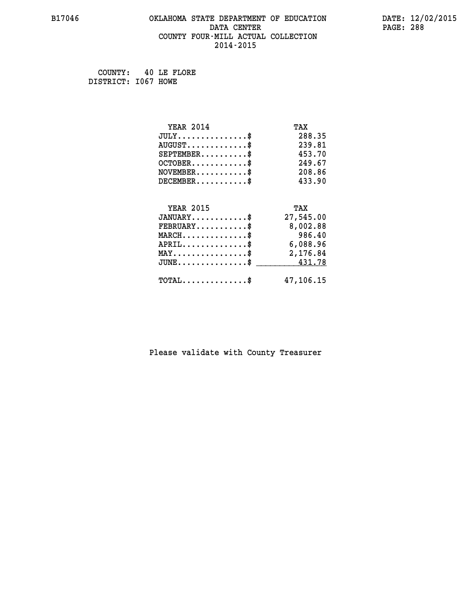## **B17046 OKLAHOMA STATE DEPARTMENT OF EDUCATION DATE: 12/02/2015 DATA CENTER** PAGE: 288  **COUNTY FOUR-MILL ACTUAL COLLECTION 2014-2015**

 **COUNTY: 40 LE FLORE DISTRICT: I067 HOWE**

| <b>YEAR 2014</b>                               | TAX       |
|------------------------------------------------|-----------|
| $JULY$ \$                                      | 288.35    |
| $AUGUST$ \$                                    | 239.81    |
| $SEPTEMBER$ \$                                 | 453.70    |
| $OCTOBER$ \$                                   | 249.67    |
| $\texttt{NOVEMBER} \dots \dots \dots \$        | 208.86    |
| $DECEMBER$ \$                                  | 433.90    |
|                                                |           |
| <b>YEAR 2015</b>                               | TAX       |
| $JANUARY$ \$                                   | 27,545.00 |
| $FEBRUARY$                                     | 8,002.88  |
| $MARCH$ \$                                     | 986.40    |
| $APRIL \ldots \ldots \ldots \ldots \$          | 6,088.96  |
| $\texttt{MAX} \dots \dots \dots \dots \dots \$ | 2,176.84  |
| $JUNE \ldots \ldots \ldots \ldots$ \$ 431.78   |           |
| $\texttt{TOTAL} \dots \dots \dots \dots \$     | 47,106.15 |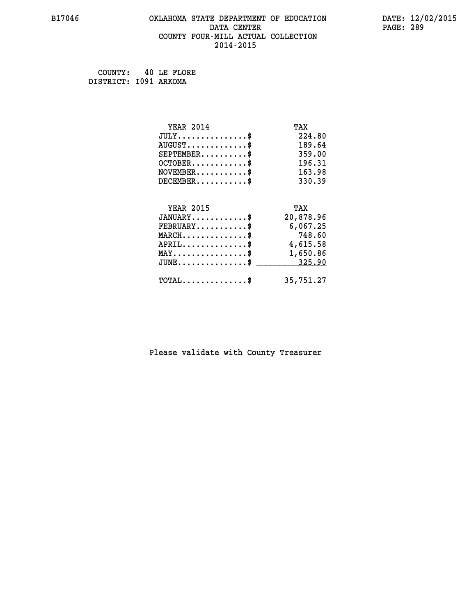# **B17046 OKLAHOMA STATE DEPARTMENT OF EDUCATION DATE: 12/02/2015 DATA CENTER** PAGE: 289  **COUNTY FOUR-MILL ACTUAL COLLECTION 2014-2015**

 **COUNTY: 40 LE FLORE DISTRICT: I091 ARKOMA**

| <b>YEAR 2014</b>                                | TAX       |
|-------------------------------------------------|-----------|
| $JULY$ \$                                       | 224.80    |
| $AUGUST$ \$                                     | 189.64    |
| $SEPTEMBER$ \$                                  | 359.00    |
| $OCTOBER$ \$                                    | 196.31    |
| $\texttt{NOVEMBER} \dots \dots \dots \$         | 163.98    |
| $DECEMBER$ \$                                   | 330.39    |
|                                                 |           |
| <b>YEAR 2015</b>                                | TAX       |
| $JANUARY$ \$                                    | 20,878.96 |
| $FEBRUARY$                                      | 6,067.25  |
| $MARCH$ \$                                      | 748.60    |
| $APRIL$ \$                                      | 4,615.58  |
| $\texttt{MAX} \dots \dots \dots \dots \dots \$$ | 1,650.86  |
| $JUNE$ \$                                       | 325.90    |
| $TOTAL$ \$                                      | 35,751.27 |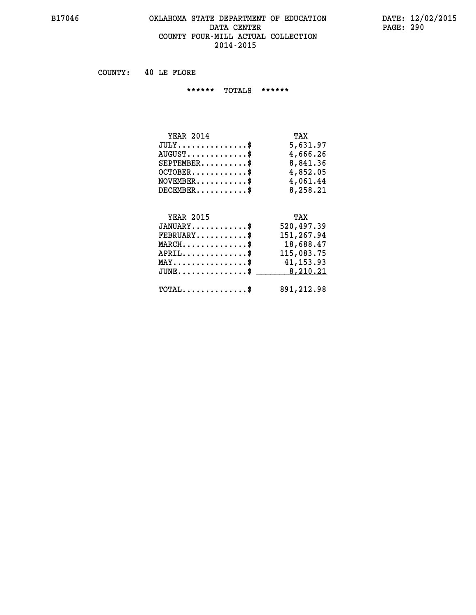#### **B17046 OKLAHOMA STATE DEPARTMENT OF EDUCATION DATE: 12/02/2015 DATA CENTER PAGE: 290 COUNTY FOUR-MILL ACTUAL COLLECTION 2014-2015**

 **COUNTY: 40 LE FLORE**

 **\*\*\*\*\*\* TOTALS \*\*\*\*\*\***

| <b>YEAR 2014</b>              | TAX      |
|-------------------------------|----------|
| $JULY \ldots \ldots \ldots \$ | 5,631.97 |
| $AUGUST$ \$                   | 4,666.26 |
| $SEPTEMBER$                   | 8,841.36 |
| $OCTOBER$ \$                  | 4,852.05 |
| $NOVEMBER$ \$                 | 4,061.44 |
| $DECEMBER$                    | 8,258.21 |

#### **YEAR 2015 TAX JANUARY............\$ 520,497.39 FEBRUARY...........\$ 151,267.94 MARCH..............\$ 18,688.47 APRIL..............\$ 115,083.75 MAY................\$ 41,153.93**

| ${\rm JUNE.}\dots\dots\dots\dots\dots\$ | 8,210.21   |
|-----------------------------------------|------------|
| <b>TOTAL</b>                            | 891,212.98 |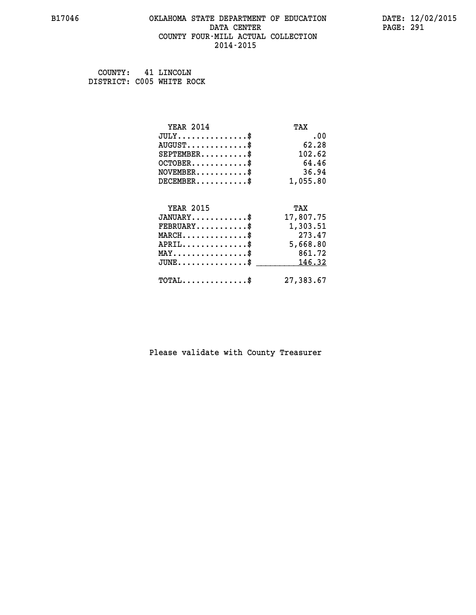#### **B17046 OKLAHOMA STATE DEPARTMENT OF EDUCATION DATE: 12/02/2015 DATA CENTER** PAGE: 291  **COUNTY FOUR-MILL ACTUAL COLLECTION 2014-2015**

 **COUNTY: 41 LINCOLN DISTRICT: C005 WHITE ROCK**

| <b>YEAR 2014</b>                           | TAX       |
|--------------------------------------------|-----------|
| $JULY$ \$                                  | .00       |
| $AUGUST$ \$                                | 62.28     |
| $SEPTEMBER$ \$                             | 102.62    |
| $OCTOBER$ \$                               | 64.46     |
| $NOVEMBER$ \$                              | 36.94     |
| $DECEMBER$ \$                              | 1,055.80  |
|                                            |           |
| <b>YEAR 2015</b>                           | TAX       |
| $JANUARY$ \$                               | 17,807.75 |
| $FEBRUARY$                                 | 1,303.51  |
| $MARCH$ \$                                 | 273.47    |
| $APRIL$ \$                                 | 5,668.80  |
| $MAX \dots \dots \dots \dots \dots$        | 861.72    |
| $JUNE$ \$                                  | 146.32    |
| $\texttt{TOTAL} \dots \dots \dots \dots \$ | 27,383.67 |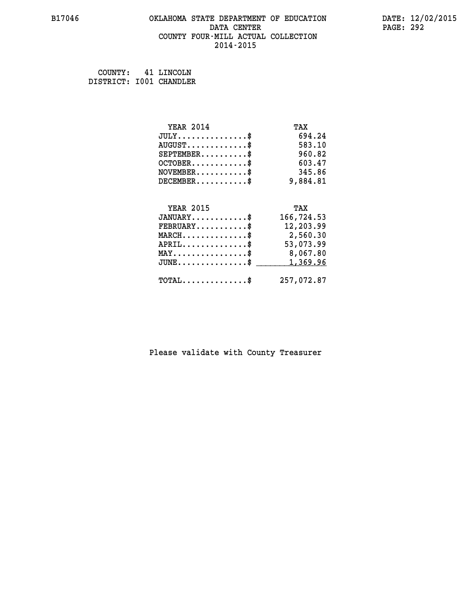#### **B17046 OKLAHOMA STATE DEPARTMENT OF EDUCATION DATE: 12/02/2015 DATA CENTER** PAGE: 292  **COUNTY FOUR-MILL ACTUAL COLLECTION 2014-2015**

 **COUNTY: 41 LINCOLN DISTRICT: I001 CHANDLER**

| <b>YEAR 2014</b>                               | TAX        |
|------------------------------------------------|------------|
| $JULY$ \$                                      | 694.24     |
| $AUGUST$ \$                                    | 583.10     |
| $SEPTEMBER$ \$                                 | 960.82     |
| $OCTOBER$ \$                                   | 603.47     |
| $NOVEMBER$ \$                                  | 345.86     |
| $DECEMBER$ \$                                  | 9,884.81   |
|                                                |            |
| <b>YEAR 2015</b>                               | TAX        |
| $JANUARY$ \$                                   | 166,724.53 |
| $FEBRUARY$                                     | 12,203.99  |
| $MARCH$ \$                                     | 2,560.30   |
| $APRIL$ \$                                     | 53,073.99  |
| $\texttt{MAX} \dots \dots \dots \dots \dots \$ | 8,067.80   |
| $JUNE$ \$                                      | 1,369.96   |
| $\texttt{TOTAL} \dots \dots \dots \dots \$     | 257,072.87 |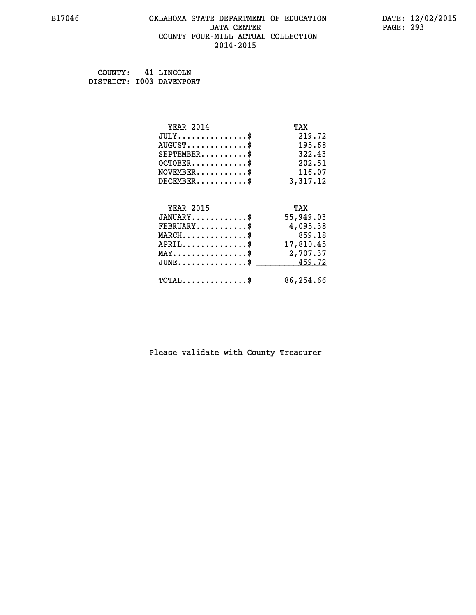#### **B17046 OKLAHOMA STATE DEPARTMENT OF EDUCATION DATE: 12/02/2015 DATA CENTER** PAGE: 293  **COUNTY FOUR-MILL ACTUAL COLLECTION 2014-2015**

 **COUNTY: 41 LINCOLN DISTRICT: I003 DAVENPORT**

| <b>YEAR 2014</b>                                   | TAX       |
|----------------------------------------------------|-----------|
| $JULY$ \$                                          | 219.72    |
| $AUGUST$ \$                                        | 195.68    |
| $SEPTEMBER$ \$                                     | 322.43    |
| $OCTOBER$ \$                                       | 202.51    |
| $NOVEMBER.$ \$                                     | 116.07    |
| $DECEMBER$ \$                                      | 3,317.12  |
|                                                    |           |
| <b>YEAR 2015</b>                                   | TAX       |
| $JANUARY$ \$                                       | 55,949.03 |
| $FEBRUARY$                                         | 4,095.38  |
| $MARCH$ \$                                         | 859.18    |
| $APRIL \ldots \ldots \ldots \ldots \$              | 17,810.45 |
| $\texttt{MAX} \dots \dots \dots \dots \dots \$     | 2,707.37  |
| $\texttt{JUNE} \dots \dots \dots \dots \texttt{S}$ | 459.72    |
| $\texttt{TOTAL} \dots \dots \dots \dots \$         | 86,254.66 |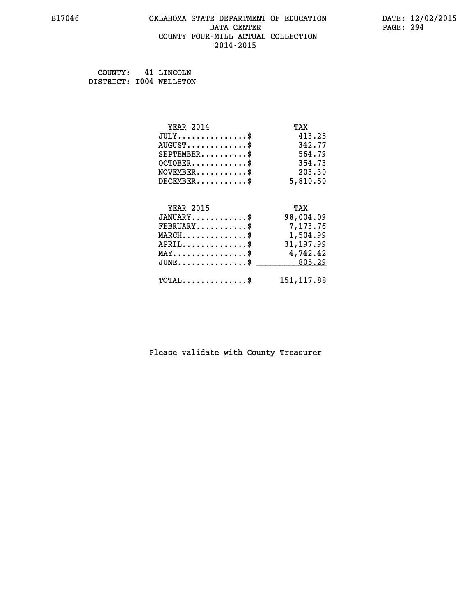# **B17046 OKLAHOMA STATE DEPARTMENT OF EDUCATION DATE: 12/02/2015 DATA CENTER PAGE: 294 COUNTY FOUR-MILL ACTUAL COLLECTION 2014-2015**

 **COUNTY: 41 LINCOLN DISTRICT: I004 WELLSTON**

| <b>YEAR 2014</b>                                   | TAX         |
|----------------------------------------------------|-------------|
| $JULY$ \$                                          | 413.25      |
| $AUGUST$ \$                                        | 342.77      |
| $SEPTEMENT.$ \$                                    | 564.79      |
| $OCTOBER$ \$                                       | 354.73      |
| $\texttt{NOVEMBER} \dots \dots \dots \$            | 203.30      |
| $DECEMBER$ \$                                      | 5,810.50    |
|                                                    |             |
| <b>YEAR 2015</b>                                   | TAX         |
| $JANUARY$ \$                                       | 98,004.09   |
| $FEBRUARY$                                         | 7,173.76    |
| $\texttt{MARCH}\ldots\ldots\ldots\ldots\$          | 1,504.99    |
| $APRIL \ldots \ldots \ldots \ldots \$              | 31,197.99   |
| $\texttt{MAX} \dots \dots \dots \dots \dots \$     | 4,742.42    |
| $\texttt{JUNE} \dots \dots \dots \dots \texttt{S}$ | 805.29      |
| $\texttt{TOTAL} \dots \dots \dots \dots$ \$        | 151, 117.88 |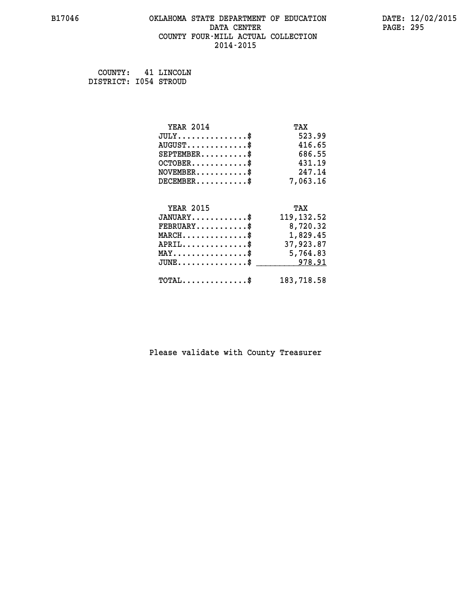# **B17046 OKLAHOMA STATE DEPARTMENT OF EDUCATION DATE: 12/02/2015** DATA CENTER PAGE: 295  **COUNTY FOUR-MILL ACTUAL COLLECTION 2014-2015**

 **COUNTY: 41 LINCOLN DISTRICT: I054 STROUD**

| <b>YEAR 2014</b>                               | TAX         |
|------------------------------------------------|-------------|
| $JULY$ \$                                      | 523.99      |
| $AUGUST$ \$                                    | 416.65      |
| $SEPTEMENT.$ \$                                | 686.55      |
| $OCTOBER$ \$                                   | 431.19      |
| $\texttt{NOVEMBER} \dots \dots \dots \$        | 247.14      |
| $DECEMBER$ \$                                  | 7,063.16    |
|                                                |             |
| <b>YEAR 2015</b>                               | TAX         |
| $JANUARY$ \$                                   | 119, 132.52 |
| $FEBRUARY$                                     | 8,720.32    |
| $\texttt{MARCH}\ldots\ldots\ldots\ldots\$      | 1,829.45    |
| $APRIL \ldots \ldots \ldots \ldots$ \$         | 37,923.87   |
| $\texttt{MAX} \dots \dots \dots \dots \dots \$ | 5,764.83    |
| $JUNE$ \$                                      | 978.91      |
| $\texttt{TOTAL} \dots \dots \dots \dots$       | 183,718.58  |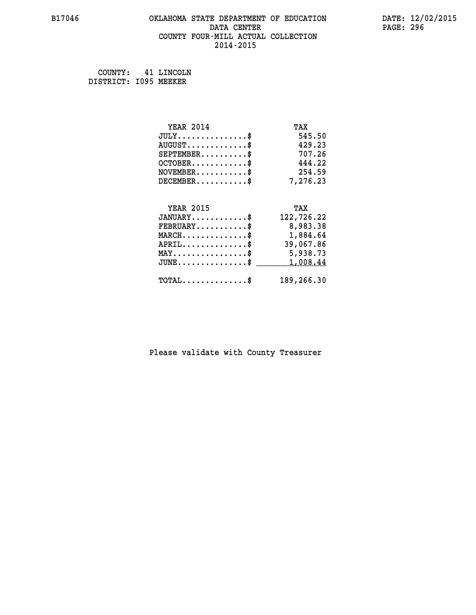# **B17046 OKLAHOMA STATE DEPARTMENT OF EDUCATION DATE: 12/02/2015 DATA CENTER** PAGE: 296  **COUNTY FOUR-MILL ACTUAL COLLECTION 2014-2015**

 **COUNTY: 41 LINCOLN DISTRICT: I095 MEEKER**

| <b>YEAR 2014</b>                               | TAX        |
|------------------------------------------------|------------|
| $JULY$ \$                                      | 545.50     |
| $AUGUST$ \$                                    | 429.23     |
| $SEPTEMENT.$ \$                                | 707.26     |
| $OCTOBER$ \$                                   | 444.22     |
| $NOVEMBER$ \$                                  | 254.59     |
| $DECEMBER$ \$                                  | 7,276.23   |
|                                                |            |
| <b>YEAR 2015</b>                               | TAX        |
| $JANUARY$ \$                                   | 122,726.22 |
| $FEBRUARY$                                     | 8,983.38   |
| $MARCH$ \$                                     | 1,884.64   |
| $APRIL$ \$                                     | 39,067.86  |
| $\texttt{MAX} \dots \dots \dots \dots \dots \$ | 5,938.73   |
| $JUNE$ \$                                      | 1,008.44   |
| $\texttt{TOTAL} \dots \dots \dots \dots \$     | 189,266.30 |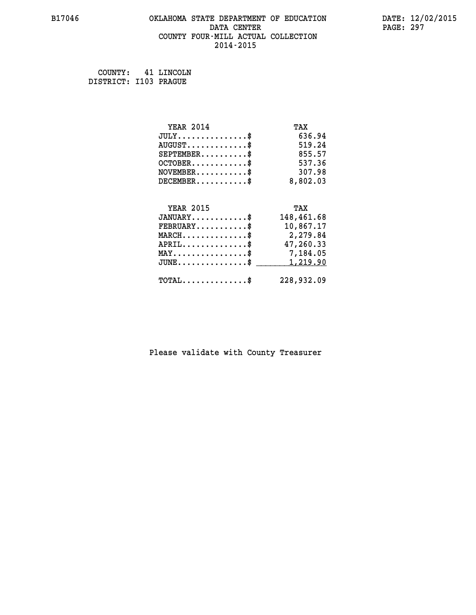# **B17046 OKLAHOMA STATE DEPARTMENT OF EDUCATION DATE: 12/02/2015 DATA CENTER** PAGE: 297  **COUNTY FOUR-MILL ACTUAL COLLECTION 2014-2015**

 **COUNTY: 41 LINCOLN DISTRICT: I103 PRAGUE**

| <b>YEAR 2014</b>                        | TAX        |
|-----------------------------------------|------------|
| $JULY$ \$                               | 636.94     |
| $AUGUST$ \$                             | 519.24     |
| $SEPTEMENT.$ \$                         | 855.57     |
| $OCTOBER$ \$                            | 537.36     |
| $\texttt{NOVEMBER} \dots \dots \dots \$ | 307.98     |
| $DECEMBER$ \$                           | 8,802.03   |
|                                         |            |
| <b>YEAR 2015</b>                        | TAX        |
| $JANUARY$ \$                            | 148,461.68 |
| $FEBRUARY$                              | 10,867.17  |
| $MARCH$ \$                              | 2,279.84   |
| $APRIL$ \$                              | 47,260.33  |
| MAY\$ 7,184.05                          |            |
| $JUNE$ \$                               | 1,219.90   |
|                                         |            |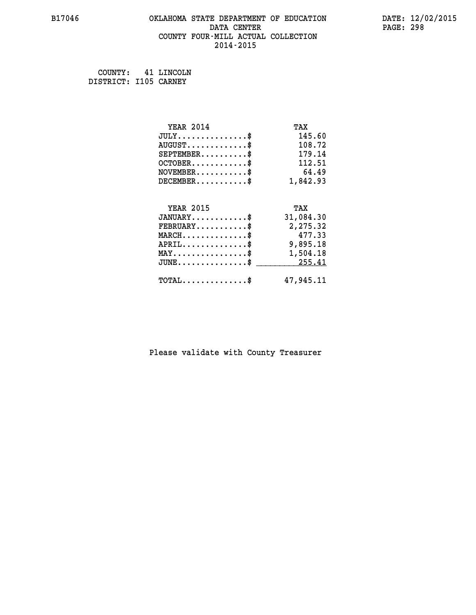# **B17046 OKLAHOMA STATE DEPARTMENT OF EDUCATION DATE: 12/02/2015 DATA CENTER PAGE: 298 COUNTY FOUR-MILL ACTUAL COLLECTION 2014-2015**

 **COUNTY: 41 LINCOLN DISTRICT: I105 CARNEY**

| <b>YEAR 2014</b>                                   | TAX       |
|----------------------------------------------------|-----------|
| $JULY$ \$                                          | 145.60    |
| $AUGUST$ \$                                        | 108.72    |
| $SEPTEMBER$ \$                                     | 179.14    |
| $OCTOBER$ \$                                       | 112.51    |
| $\texttt{NOVEMBER} \dots \dots \dots \$            | 64.49     |
| $DECEMBER$ \$                                      | 1,842.93  |
|                                                    |           |
| <b>YEAR 2015</b>                                   | TAX       |
| $JANUARY$ \$                                       | 31,084.30 |
| $FEBRUARY$                                         | 2,275.32  |
| $MARCH$ \$                                         | 477.33    |
| $APRIL \ldots \ldots \ldots \ldots \$              | 9,895.18  |
| $\texttt{MAX} \dots \dots \dots \dots \dots \$     | 1,504.18  |
| $\texttt{JUNE} \dots \dots \dots \dots \texttt{S}$ | 255.41    |
| $\texttt{TOTAL} \dots \dots \dots \dots \$         | 47,945.11 |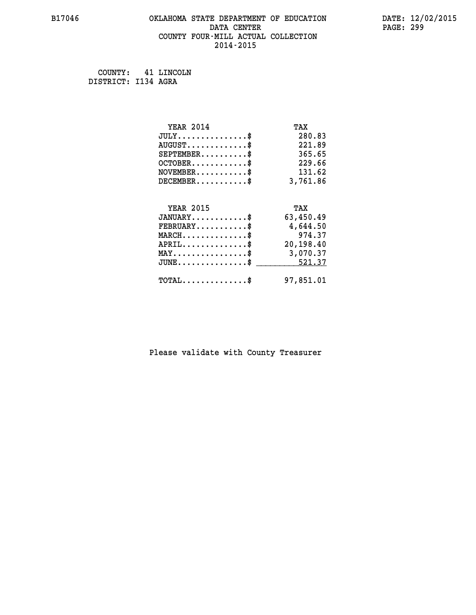# **B17046 OKLAHOMA STATE DEPARTMENT OF EDUCATION DATE: 12/02/2015 DATA CENTER** PAGE: 299  **COUNTY FOUR-MILL ACTUAL COLLECTION 2014-2015**

 **COUNTY: 41 LINCOLN DISTRICT: I134 AGRA**

| <b>YEAR 2014</b>                                 | TAX       |
|--------------------------------------------------|-----------|
| $JULY$ \$                                        | 280.83    |
| $AUGUST$ \$                                      | 221.89    |
| $SEPTEMBER$ \$                                   | 365.65    |
| $OCTOBER$ \$                                     | 229.66    |
| $\texttt{NOVEMBER} \dots \dots \dots \$          | 131.62    |
| $DECEMBER$ \$                                    | 3,761.86  |
|                                                  |           |
| <b>YEAR 2015</b>                                 | TAX       |
| $JANUARY$ \$                                     | 63,450.49 |
| $FEBRUARY$                                       | 4,644.50  |
| $MARCH$ \$                                       | 974.37    |
| $APRIL$ \$                                       | 20,198.40 |
| $\texttt{MAX} \dots \dots \dots \dots \dots \$   | 3,070.37  |
| $\texttt{JUNE} \dots \dots \dots \dots \dots \$$ | 521.37    |
| $\texttt{TOTAL} \dots \dots \dots \dots \$       | 97,851.01 |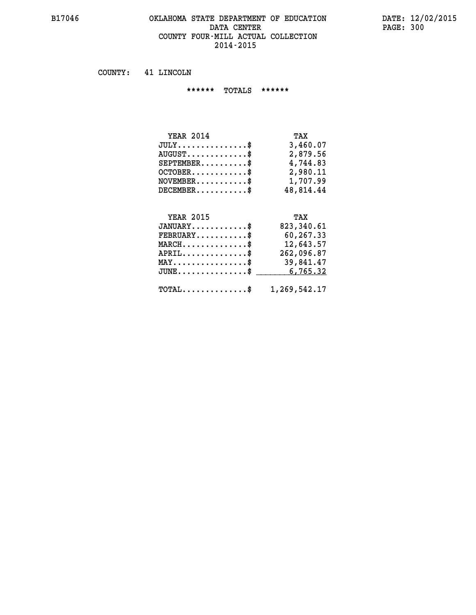#### **B17046 OKLAHOMA STATE DEPARTMENT OF EDUCATION DATE: 12/02/2015 DATA CENTER PAGE: 300 COUNTY FOUR-MILL ACTUAL COLLECTION 2014-2015**

 **COUNTY: 41 LINCOLN**

 **\*\*\*\*\*\* TOTALS \*\*\*\*\*\***

| <b>YEAR 2014</b>                 | TAX       |
|----------------------------------|-----------|
| $JULY$                           | 3,460.07  |
| $AUGUST \ldots \ldots \ldots$ \$ | 2,879.56  |
| $SEPTEMBER$                      | 4,744.83  |
| $OCTOBER$ \$                     | 2,980.11  |
| $NOVEMBER$ \$                    | 1,707.99  |
| $DECEMENTER$                     | 48,814.44 |

# **YEAR 2015 TAX JANUARY............\$ 823,340.61 FEBRUARY...........\$ 60,267.33 MARCH..............\$ 12,643.57 APRIL..............\$ 262,096.87 MAY................\$ 39,841.47 JUNE...............\$ 6,765.32 \_\_\_\_\_\_\_\_\_\_\_\_\_\_\_ TOTAL..............\$ 1,269,542.17**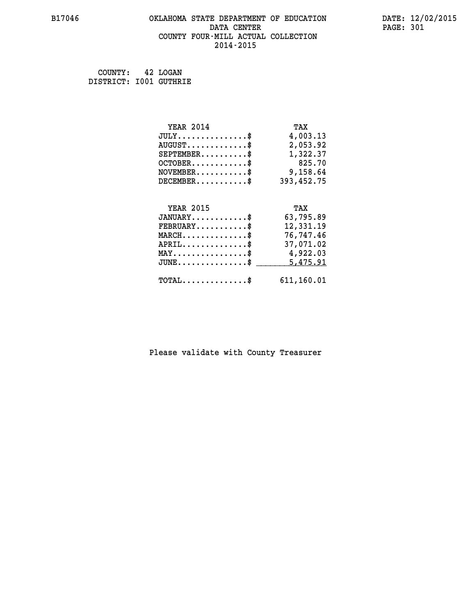# **B17046 OKLAHOMA STATE DEPARTMENT OF EDUCATION DATE: 12/02/2015 DATA CENTER PAGE: 301 COUNTY FOUR-MILL ACTUAL COLLECTION 2014-2015**

 **COUNTY: 42 LOGAN DISTRICT: I001 GUTHRIE**

| <b>YEAR 2014</b>                                | TAX        |
|-------------------------------------------------|------------|
| $JULY$ \$                                       | 4,003.13   |
| $AUGUST$ \$                                     | 2,053.92   |
| $SEPTEMENT.$ \$                                 | 1,322.37   |
| $OCTOBER$ \$                                    | 825.70     |
| $\texttt{NOVEMBER} \dots \dots \dots \$         | 9,158.64   |
| $DECEMBER$ \$                                   | 393,452.75 |
|                                                 |            |
| <b>YEAR 2015</b>                                | TAX        |
| $JANUARY$                                       | 63,795.89  |
| $FEBRUARY$ \$                                   | 12,331.19  |
| $MARCH$ \$                                      | 76,747.46  |
| $APRIL \ldots \ldots \ldots \ldots \$           | 37,071.02  |
|                                                 |            |
| MAY\$ 4,922.03                                  |            |
| $J\texttt{UNE} \dots \dots \dots \dots \dots \$ | 5, 475.91  |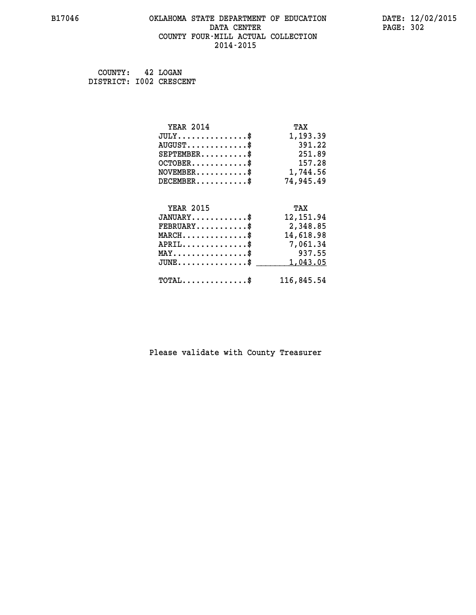#### **B17046 OKLAHOMA STATE DEPARTMENT OF EDUCATION DATE: 12/02/2015 DATA CENTER** PAGE: 302  **COUNTY FOUR-MILL ACTUAL COLLECTION 2014-2015**

| COUNTY:                 | 42 LOGAN |
|-------------------------|----------|
| DISTRICT: 1002 CRESCENT |          |

| <b>YEAR 2014</b>                               | TAX        |
|------------------------------------------------|------------|
| $JULY$ \$                                      | 1,193.39   |
| $AUGUST$ \$                                    | 391.22     |
| $SEPTEMBER$ \$                                 | 251.89     |
| $OCTOBER$ \$                                   | 157.28     |
| $\texttt{NOVEMBER} \dots \dots \dots \$        | 1,744.56   |
| $DECEMBER$ \$                                  | 74,945.49  |
|                                                |            |
| <b>YEAR 2015</b>                               | TAX        |
| $JANUARY$ \$                                   | 12, 151.94 |
| $FEBRUARY$ \$                                  | 2,348.85   |
| $\texttt{MARCH} \dots \dots \dots \dots \$     | 14,618.98  |
| $APRIL \ldots \ldots \ldots \ldots \$          | 7,061.34   |
| $\texttt{MAX} \dots \dots \dots \dots \dots \$ | 937.55     |
| $JUNE$ \$                                      | 1,043.05   |
| $\texttt{TOTAL} \dots \dots \dots \dots \$     | 116,845.54 |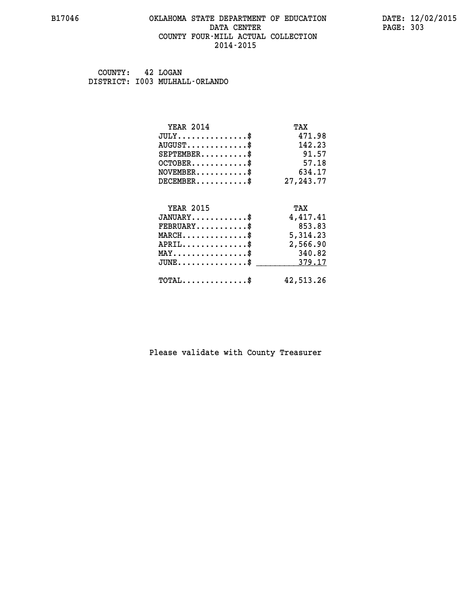#### **B17046 OKLAHOMA STATE DEPARTMENT OF EDUCATION DATE: 12/02/2015 DATA CENTER** PAGE: 303  **COUNTY FOUR-MILL ACTUAL COLLECTION 2014-2015**

 **COUNTY: 42 LOGAN DISTRICT: I003 MULHALL-ORLANDO**

| <b>YEAR 2014</b>                           | TAX         |
|--------------------------------------------|-------------|
| $JULY$ \$                                  | 471.98      |
| $AUGUST$ \$                                | 142.23      |
| $SEPTEMENT.$ \$                            | 91.57       |
| $OCTOBER$ \$                               | 57.18       |
| $NOVEMBER$ \$                              | 634.17      |
| $DECEMBER$ \$                              | 27, 243. 77 |
| <b>YEAR 2015</b>                           |             |
|                                            | TAX         |
| $JANUARY$ \$                               | 4,417.41    |
| $FEBRUARY$                                 | 853.83      |
| $MARCH$ \$                                 | 5,314.23    |
| $APRIL \ldots \ldots \ldots \ldots \$      | 2,566.90    |
| $MAX \dots \dots \dots \dots \dots$        | 340.82      |
| $JUNE$ \$                                  | 379.17      |
| $\texttt{TOTAL} \dots \dots \dots \dots \$ | 42,513.26   |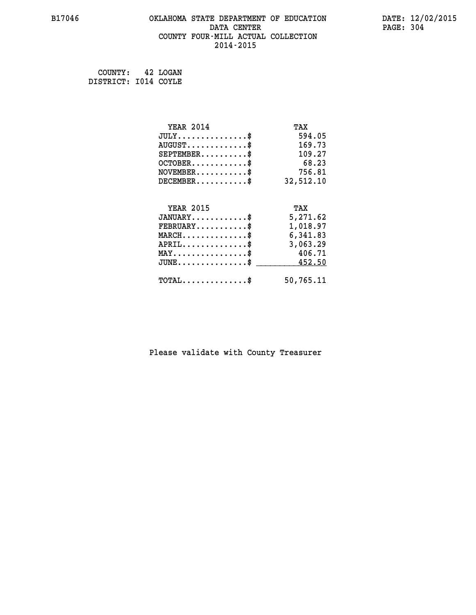# **B17046 OKLAHOMA STATE DEPARTMENT OF EDUCATION DATE: 12/02/2015 DATA CENTER** PAGE: 304  **COUNTY FOUR-MILL ACTUAL COLLECTION 2014-2015**

 **COUNTY: 42 LOGAN DISTRICT: I014 COYLE**

| <b>YEAR 2014</b>                               | TAX       |
|------------------------------------------------|-----------|
| $JULY$ \$                                      | 594.05    |
| $AUGUST$ \$                                    | 169.73    |
| $SEPTEMENT.$ \$                                | 109.27    |
| $OCTOBER$ \$                                   | 68.23     |
| $\texttt{NOVEMBER} \dots \dots \dots \$        | 756.81    |
| $DECEMBER$ \$                                  | 32,512.10 |
|                                                |           |
| <b>YEAR 2015</b>                               | TAX       |
| $JANUARY$ \$                                   | 5,271.62  |
| $FEBRUARY$                                     | 1,018.97  |
| $MARCH$ \$                                     | 6,341.83  |
| $APRIL \ldots \ldots \ldots \ldots \$          | 3,063.29  |
| $\texttt{MAX} \dots \dots \dots \dots \dots \$ | 406.71    |
| $JUNE$ \$                                      | 452.50    |
| $\texttt{TOTAL} \dots \dots \dots \dots$       | 50,765.11 |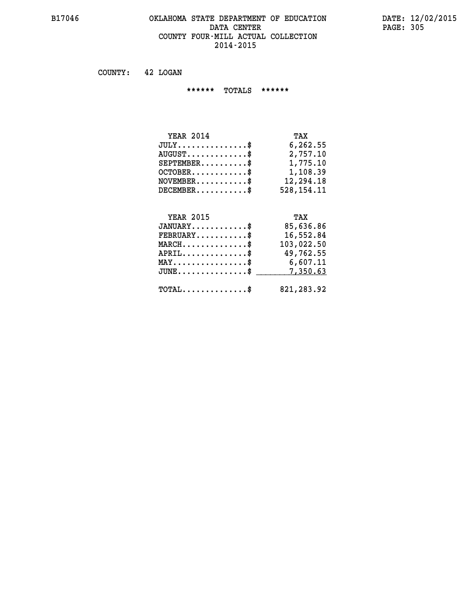#### **B17046 OKLAHOMA STATE DEPARTMENT OF EDUCATION DATE: 12/02/2015** DATA CENTER PAGE: 305  **COUNTY FOUR-MILL ACTUAL COLLECTION 2014-2015**

 **COUNTY: 42 LOGAN**

 **\*\*\*\*\*\* TOTALS \*\*\*\*\*\***

| <b>YEAR 2014</b>              | TAX        |
|-------------------------------|------------|
| $JULY \ldots \ldots \ldots \$ | 6,262.55   |
| $AUGUST$                      | 2,757.10   |
| $SEPTEMENT.$ \$               | 1,775.10   |
| $OCTOBER$ \$                  | 1,108.39   |
| $NOVEMBER$ \$                 | 12,294.18  |
| $DECEMBER$                    | 528,154.11 |

# **YEAR 2015 TAX JANUARY............\$ 85,636.86 FEBRUARY...........\$ 16,552.84 MARCH..............\$ 103,022.50 APRIL..............\$ 49,762.55 MAY................\$ 6,607.11 JUNE................\$** \_\_\_\_\_\_\_\_\_\_7,350.63

 **TOTAL..............\$ 821,283.92**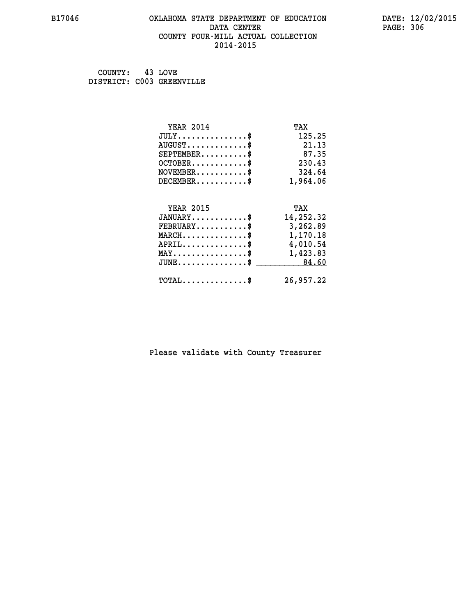# **B17046 OKLAHOMA STATE DEPARTMENT OF EDUCATION DATE: 12/02/2015 DATA CENTER PAGE: 306 COUNTY FOUR-MILL ACTUAL COLLECTION 2014-2015**

 **COUNTY: 43 LOVE DISTRICT: C003 GREENVILLE**

| <b>YEAR 2014</b>                                 | TAX       |
|--------------------------------------------------|-----------|
| $JULY$ \$                                        | 125.25    |
| $AUGUST$ \$                                      | 21.13     |
| $SEPTEMENT.$ \$                                  | 87.35     |
| $OCTOBER$ \$                                     | 230.43    |
| $NOVEMBER.$ \$                                   | 324.64    |
| $DECEMBER$ \$                                    | 1,964.06  |
| <b>YEAR 2015</b>                                 |           |
|                                                  | TAX       |
| $JANUARY$ \$                                     | 14,252.32 |
| $\texttt{FEBRUARY} \dots \dots \dots \$          | 3,262.89  |
| $MARCH$ \$                                       | 1,170.18  |
| $APRIL \ldots \ldots \ldots \ldots$ \$           | 4,010.54  |
| $\texttt{MAX} \dots \dots \dots \dots \dots \$   | 1,423.83  |
| $\texttt{JUNE} \dots \dots \dots \dots \dots \$$ | 84.60     |
| $\texttt{TOTAL} \dots \dots \dots \dots$ \$      | 26,957.22 |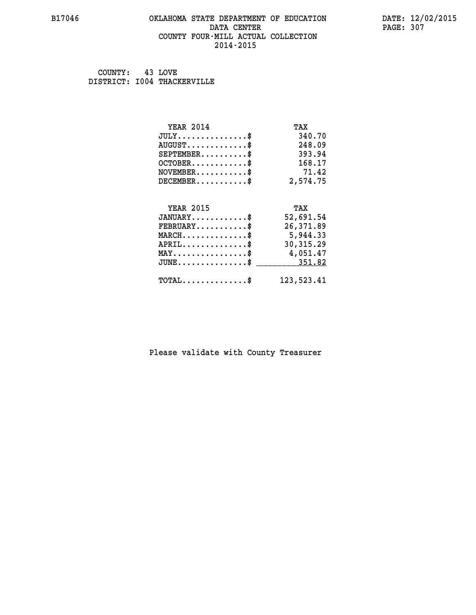#### **B17046 OKLAHOMA STATE DEPARTMENT OF EDUCATION DATE: 12/02/2015 DATA CENTER** PAGE: 307  **COUNTY FOUR-MILL ACTUAL COLLECTION 2014-2015**

 **COUNTY: 43 LOVE DISTRICT: I004 THACKERVILLE**

| <b>YEAR 2014</b>                               | TAX        |
|------------------------------------------------|------------|
| $JULY$ \$                                      | 340.70     |
| $AUGUST$ \$                                    | 248.09     |
| $SEPTEMENT.$ \$                                | 393.94     |
| $OCTOBER$ \$                                   | 168.17     |
| $\texttt{NOVEMBER} \dots \dots \dots \$        | 71.42      |
| $DECEMBER$ \$                                  | 2,574.75   |
|                                                |            |
| <b>YEAR 2015</b>                               | TAX        |
| $JANUARY$ \$                                   | 52,691.54  |
| $FEBRUARY$                                     | 26,371.89  |
| $MARCH$ \$                                     | 5,944.33   |
| $APRIL.$ \$                                    | 30, 315.29 |
| $\texttt{MAX} \dots \dots \dots \dots \dots \$ | 4,051.47   |
| $JUNE$ \$                                      | 351.82     |
| $\texttt{TOTAL} \dots \dots \dots \dots \$     | 123,523.41 |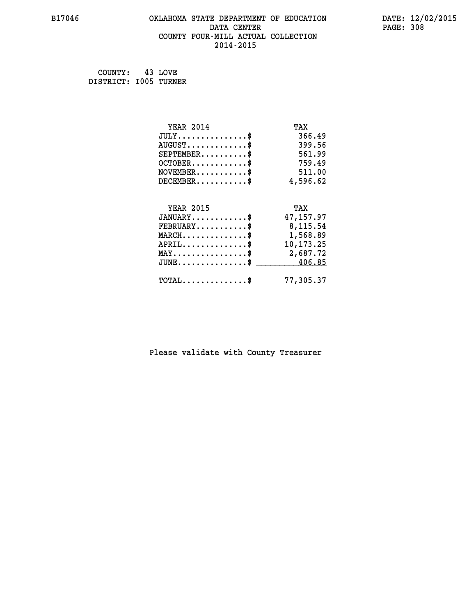# **B17046 OKLAHOMA STATE DEPARTMENT OF EDUCATION DATE: 12/02/2015 DATA CENTER** PAGE: 308  **COUNTY FOUR-MILL ACTUAL COLLECTION 2014-2015**

 **COUNTY: 43 LOVE DISTRICT: I005 TURNER**

| <b>YEAR 2014</b>                                 | TAX         |
|--------------------------------------------------|-------------|
| $JULY$ \$                                        | 366.49      |
| $AUGUST$ \$                                      | 399.56      |
| $SEPTEMBER$ \$                                   | 561.99      |
| $OCTOBER$ \$                                     | 759.49      |
| $NOVEMBER.$ \$                                   | 511.00      |
| $DECEMBER$ \$                                    | 4,596.62    |
|                                                  |             |
| <b>YEAR 2015</b>                                 | TAX         |
| $JANUARY$ \$                                     | 47,157.97   |
| $FEBRUARY$                                       | 8,115.54    |
| $\texttt{MARCH}\ldots\ldots\ldots\ldots\$        | 1,568.89    |
| $APRIL \ldots \ldots \ldots \ldots \$            | 10, 173. 25 |
| MAY\$ 2,687.72                                   |             |
| $\texttt{JUNE} \dots \dots \dots \dots \dots \$$ | 406.85      |
| $\texttt{TOTAL} \dots \dots \dots \dots$ \$      | 77,305.37   |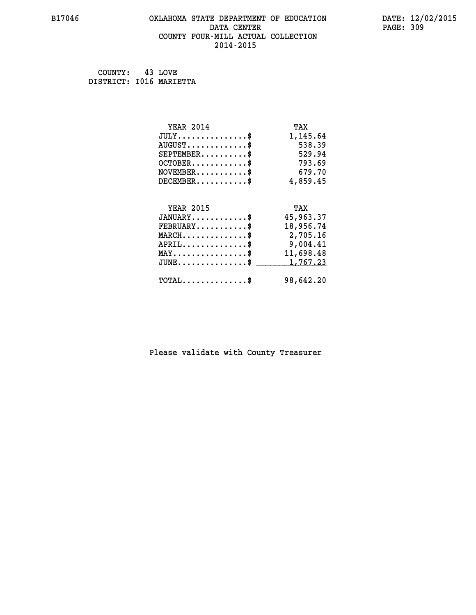#### **B17046 OKLAHOMA STATE DEPARTMENT OF EDUCATION DATE: 12/02/2015 DATA CENTER** PAGE: 309  **COUNTY FOUR-MILL ACTUAL COLLECTION 2014-2015**

 **COUNTY: 43 LOVE DISTRICT: I016 MARIETTA**

| <b>YEAR 2014</b>                               | TAX       |
|------------------------------------------------|-----------|
| $JULY$ \$                                      | 1,145.64  |
| $AUGUST$ \$                                    | 538.39    |
| $SEPTEMENT.$ \$                                | 529.94    |
| $OCTOBER$ \$                                   | 793.69    |
| $\texttt{NOVEMBER} \dots \dots \dots \$        | 679.70    |
| $DECEMBER$ \$                                  | 4,859.45  |
|                                                |           |
| <b>YEAR 2015</b>                               | TAX       |
| $JANUARY$ \$                                   | 45,963.37 |
| $FEBRUARY$                                     | 18,956.74 |
| $MARCH$ \$                                     | 2,705.16  |
| $APRIL \ldots \ldots \ldots \ldots$            | 9,004.41  |
| $\texttt{MAX} \dots \dots \dots \dots \dots \$ | 11,698.48 |
| $JUNE$ \$                                      | 1,767.23  |
| $\texttt{TOTAL} \dots \dots \dots \dots \$     | 98,642.20 |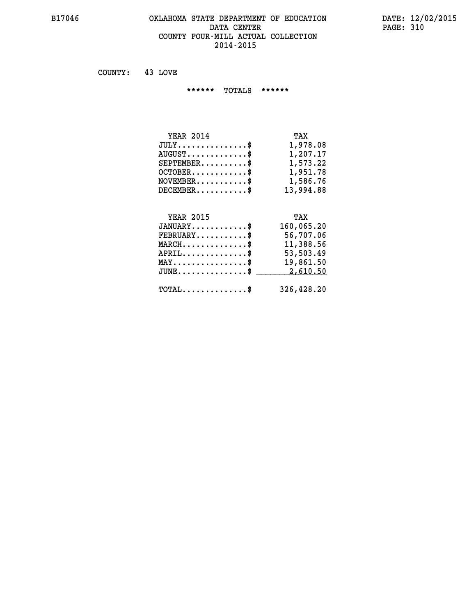#### **B17046 OKLAHOMA STATE DEPARTMENT OF EDUCATION DATE: 12/02/2015 DATA CENTER** PAGE: 310  **COUNTY FOUR-MILL ACTUAL COLLECTION 2014-2015**

 **COUNTY: 43 LOVE**

 **\*\*\*\*\*\* TOTALS \*\*\*\*\*\***

| <b>YEAR 2014</b>                 | TAX       |
|----------------------------------|-----------|
| $JULY \ldots \ldots \ldots \$    | 1,978.08  |
| $AUGUST \ldots \ldots \ldots$ \$ | 1,207.17  |
| $SEPTEMBER$                      | 1,573.22  |
| $OCTOBER$ $\$                    | 1,951.78  |
| $NOVEMBER$ $\$                   | 1,586.76  |
| $DECEMBER$                       | 13,994.88 |

# **YEAR 2015 TAX JANUARY............\$ 160,065.20 FEBRUARY...........\$ 56,707.06 MARCH..............\$ 11,388.56 APRIL..............\$ 53,503.49 MAY................\$ 19,861.50 JUNE................\$** 2,610.50  **TOTAL..............\$ 326,428.20**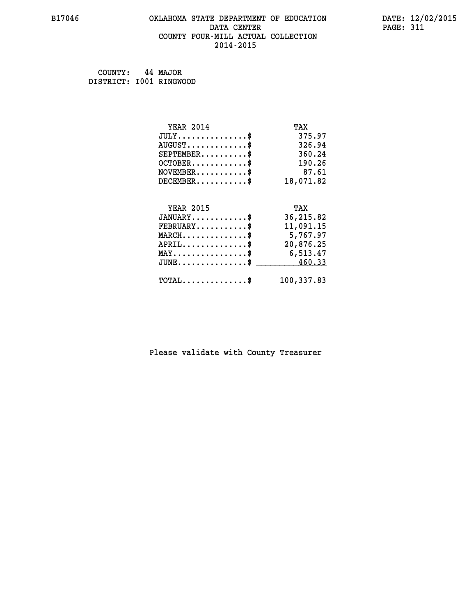#### **B17046 OKLAHOMA STATE DEPARTMENT OF EDUCATION DATE: 12/02/2015 DATA CENTER** PAGE: 311  **COUNTY FOUR-MILL ACTUAL COLLECTION 2014-2015**

 **COUNTY: 44 MAJOR DISTRICT: I001 RINGWOOD**

| <b>YEAR 2014</b>                                 | TAX        |
|--------------------------------------------------|------------|
| $JULY$ \$                                        | 375.97     |
| $AUGUST$ \$                                      | 326.94     |
| $SEPTEMENT.$ \$                                  | 360.24     |
| $OCTOBER$ \$                                     | 190.26     |
| $\texttt{NOVEMBER} \dots \dots \dots \$          | 87.61      |
| $DECEMBER$ \$                                    | 18,071.82  |
|                                                  |            |
| <b>YEAR 2015</b>                                 | TAX        |
| $JANUARY$ \$                                     | 36,215.82  |
| $FEBRUARY$                                       | 11,091.15  |
| $\texttt{MARCH}\ldots\ldots\ldots\ldots\text{*}$ | 5,767.97   |
| $APRIL \ldots \ldots \ldots \ldots \$            | 20,876.25  |
| MAY\$ 6,513.47                                   |            |
| $JUNE \ldots \ldots \ldots \ldots \ast$          | 460.33     |
| $\texttt{TOTAL} \dots \dots \dots \dots \$       | 100,337.83 |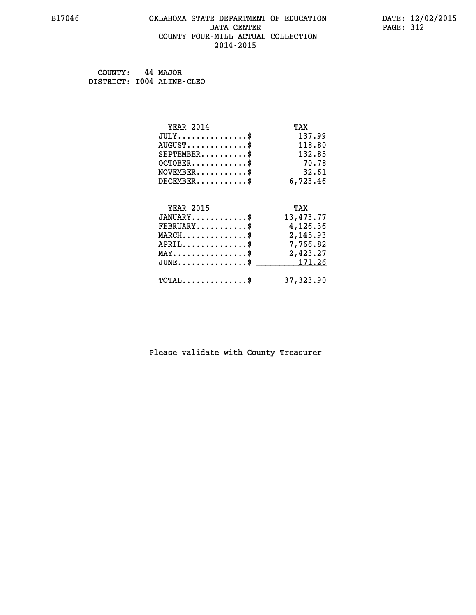#### **B17046 OKLAHOMA STATE DEPARTMENT OF EDUCATION DATE: 12/02/2015 DATA CENTER** PAGE: 312  **COUNTY FOUR-MILL ACTUAL COLLECTION 2014-2015**

 **COUNTY: 44 MAJOR DISTRICT: I004 ALINE-CLEO**

| <b>YEAR 2014</b>                                 | TAX       |
|--------------------------------------------------|-----------|
| $JULY$ \$                                        | 137.99    |
| $AUGUST$ \$                                      | 118.80    |
| $SEPTEMBER$ \$                                   | 132.85    |
| $OCTOBER$ \$                                     | 70.78     |
| $NOVEMBER$ \$                                    | 32.61     |
| $DECEMBER$ \$                                    | 6,723.46  |
|                                                  |           |
| <b>YEAR 2015</b>                                 | TAX       |
| $JANUARY$                                        | 13,473.77 |
| $FEBRUARY$                                       | 4,126.36  |
| $MARCH$ \$                                       | 2,145.93  |
| $APRIL$ \$                                       | 7,766.82  |
| $\texttt{MAX} \dots \dots \dots \dots \dots \$   | 2,423.27  |
| $\texttt{JUNE} \dots \dots \dots \dots \dots \$$ | 171.26    |
| $TOTAL$ \$                                       | 37,323.90 |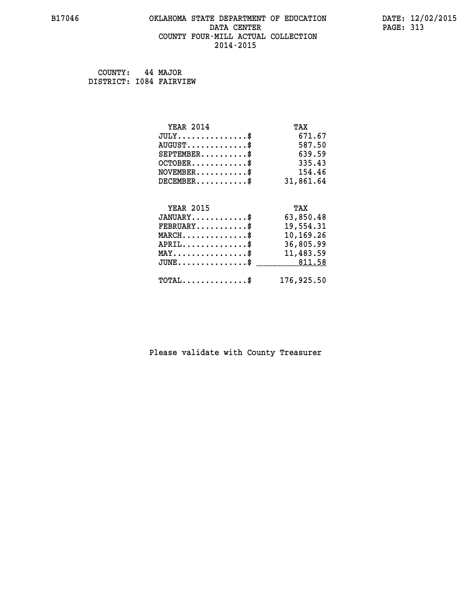# **B17046 OKLAHOMA STATE DEPARTMENT OF EDUCATION DATE: 12/02/2015 DATA CENTER** PAGE: 313  **COUNTY FOUR-MILL ACTUAL COLLECTION 2014-2015**

 **COUNTY: 44 MAJOR DISTRICT: I084 FAIRVIEW**

| <b>YEAR 2014</b>                               | TAX        |
|------------------------------------------------|------------|
| $JULY$ \$                                      | 671.67     |
| $AUGUST$ \$                                    | 587.50     |
| $SEPTEMENT.$ \$                                | 639.59     |
| $OCTOBER$ \$                                   | 335.43     |
| $\texttt{NOVEMBER} \dots \dots \dots \$        | 154.46     |
| $DECEMBER$ \$                                  | 31,861.64  |
|                                                |            |
| <b>YEAR 2015</b>                               | TAX        |
| $JANUARY$ \$                                   | 63,850.48  |
| $FEBRUARY$                                     | 19,554.31  |
| $MARCH$ \$                                     | 10,169.26  |
| $\texttt{APRIL} \dots \dots \dots \dots \$     | 36,805.99  |
| $\texttt{MAX} \dots \dots \dots \dots \dots \$ | 11,483.59  |
| $JUNE$ \$                                      | 811.58     |
| $\texttt{TOTAL} \dots \dots \dots \dots \$     | 176,925.50 |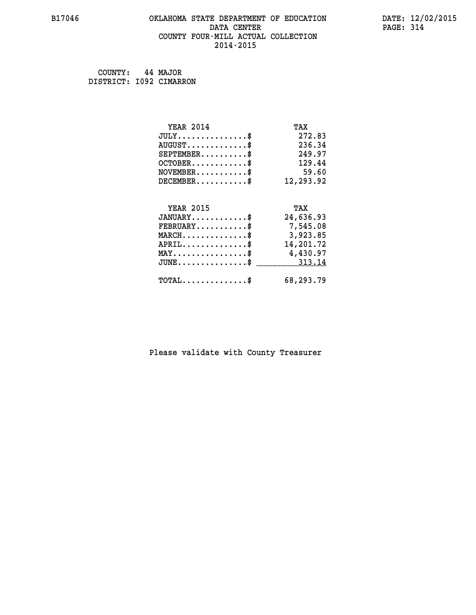# **B17046 OKLAHOMA STATE DEPARTMENT OF EDUCATION DATE: 12/02/2015 DATA CENTER PAGE: 314 COUNTY FOUR-MILL ACTUAL COLLECTION 2014-2015**

 **COUNTY: 44 MAJOR**

 **DISTRICT: I092 CIMARRON**

| <b>YEAR 2014</b>                                 | TAX       |
|--------------------------------------------------|-----------|
| $JULY$ \$                                        | 272.83    |
| $AUGUST$ \$                                      | 236.34    |
| $SEPTEMBER$ \$                                   | 249.97    |
| $OCTOBER$ \$                                     | 129.44    |
| $\texttt{NOVEMBER} \dots \dots \dots \$          | 59.60     |
| $DECEMBER$ \$                                    | 12,293.92 |
|                                                  |           |
| <b>YEAR 2015</b>                                 | TAX       |
| $JANUARY$ \$                                     | 24,636.93 |
| $FEBRUARY$                                       | 7,545.08  |
| $\texttt{MARCH}\ldots\ldots\ldots\ldots\text{*}$ | 3,923.85  |
| $APRIL \ldots \ldots \ldots \ldots$              | 14,201.72 |
| MAY\$ 4,430.97                                   |           |
| $JUNE \dots \dots \dots \dots \$ 313.14          |           |
| $\texttt{TOTAL} \dots \dots \dots \dots \$       | 68,293.79 |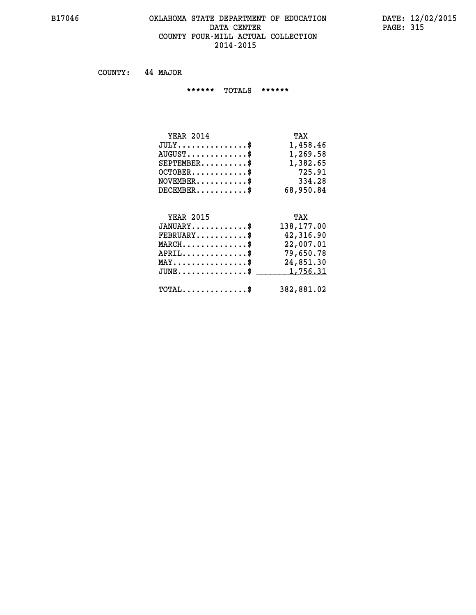#### **B17046 OKLAHOMA STATE DEPARTMENT OF EDUCATION DATE: 12/02/2015 DATA CENTER PAGE: 315 COUNTY FOUR-MILL ACTUAL COLLECTION 2014-2015**

 **COUNTY: 44 MAJOR**

 **\*\*\*\*\*\* TOTALS \*\*\*\*\*\***

| <b>YEAR 2014</b>                 | TAX       |
|----------------------------------|-----------|
| $JULY \ldots \ldots \ldots \$    | 1,458.46  |
| $AUGUST \ldots \ldots \ldots$ \$ | 1,269.58  |
| $SEPTEMBER$                      | 1,382.65  |
| $OCTOBER$                        | 725.91    |
| $NOVEMBER$ \$                    | 334.28    |
| $DECEMBER$                       | 68,950.84 |

# **YEAR 2015 TAX JANUARY............\$ 138,177.00 FEBRUARY...........\$ 42,316.90 MARCH..............\$ 22,007.01 APRIL..............\$ 79,650.78 MAY................\$ 24,851.30 JUNE................\$** <u>1,756.31</u>  **TOTAL..............\$ 382,881.02**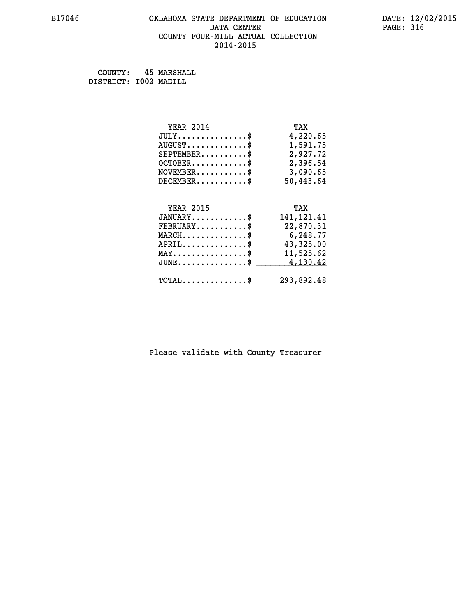# **B17046 OKLAHOMA STATE DEPARTMENT OF EDUCATION DATE: 12/02/2015 DATA CENTER** PAGE: 316  **COUNTY FOUR-MILL ACTUAL COLLECTION 2014-2015**

 **COUNTY: 45 MARSHALL DISTRICT: I002 MADILL**

| <b>YEAR 2014</b>                                 | TAX         |
|--------------------------------------------------|-------------|
| $JULY$ \$                                        | 4,220.65    |
| $AUGUST$ \$                                      | 1,591.75    |
| $SEPTEMBER$ \$                                   | 2,927.72    |
| $OCTOBER$ \$                                     | 2,396.54    |
| $NOVEMBER.$ \$                                   | 3,090.65    |
| $DECEMBER$ \$                                    | 50,443.64   |
|                                                  |             |
| <b>YEAR 2015</b>                                 | TAX         |
| $JANUARY$ \$                                     | 141, 121.41 |
| $\texttt{FEBRUARY} \dots \dots \dots \$          | 22,870.31   |
| $\texttt{MARCH}\ldots\ldots\ldots\ldots\text{*}$ | 6,248.77    |
| $APRIL$ \$                                       | 43,325.00   |
| $\texttt{MAX} \dots \dots \dots \dots \dots \$   | 11,525.62   |
| $JUNE$ \$                                        | 4,130.42    |
| $\texttt{TOTAL} \dots \dots \dots \dots \$       | 293,892.48  |
|                                                  |             |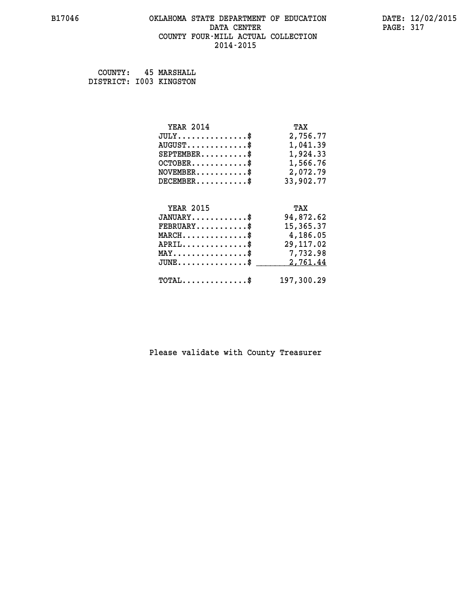# **B17046 OKLAHOMA STATE DEPARTMENT OF EDUCATION DATE: 12/02/2015 DATA CENTER PAGE: 317 COUNTY FOUR-MILL ACTUAL COLLECTION 2014-2015**

 **COUNTY: 45 MARSHALL DISTRICT: I003 KINGSTON**

| <b>YEAR 2014</b>                                   | TAX        |
|----------------------------------------------------|------------|
| $JULY$ \$                                          | 2,756.77   |
| $AUGUST$ \$                                        | 1,041.39   |
| $SEPTEMBER$ $\$                                    | 1,924.33   |
| $OCTOBER$ \$                                       | 1,566.76   |
| $\texttt{NOVEMBER} \dots \dots \dots \$            | 2,072.79   |
| $DECEMBER$ \$                                      | 33,902.77  |
|                                                    |            |
| <b>YEAR 2015</b>                                   | TAX        |
| $JANUARY$ \$                                       | 94,872.62  |
| $FEBRUARY$ \$                                      | 15,365.37  |
| $MARCH$ \$                                         | 4,186.05   |
| $APRIL \ldots \ldots \ldots$ \$                    | 29, 117.02 |
| $\texttt{MAX} \dots \dots \dots \dots \dots \$     | 7,732.98   |
| $\texttt{JUNE} \dots \dots \dots \dots \texttt{S}$ | 2,761.44   |
| $\texttt{TOTAL} \dots \dots \dots \dots$           | 197,300.29 |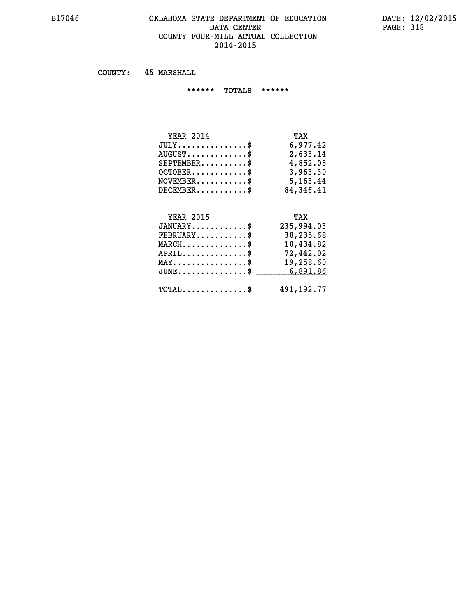#### **B17046 OKLAHOMA STATE DEPARTMENT OF EDUCATION DATE: 12/02/2015 DATA CENTER** PAGE: 318  **COUNTY FOUR-MILL ACTUAL COLLECTION 2014-2015**

 **COUNTY: 45 MARSHALL**

 **\*\*\*\*\*\* TOTALS \*\*\*\*\*\***

| <b>YEAR 2014</b>                 | TAX       |
|----------------------------------|-----------|
| $JULY$                           | 6,977.42  |
| $AUGUST \ldots \ldots \ldots$ \$ | 2,633.14  |
| $SEPTEMBER$ $\$                  | 4,852.05  |
| $OCTOBER$ \$                     | 3,963.30  |
| $NOVEMBER$ \$                    | 5,163.44  |
| $DECEMBER$                       | 84,346.41 |

# **YEAR 2015 TAX JANUARY............\$ 235,994.03 FEBRUARY...........\$ 38,235.68 MARCH..............\$ 10,434.82 APRIL..............\$ 72,442.02 MAY................\$ 19,258.60 JUNE...............\$ 6,891.86 \_\_\_\_\_\_\_\_\_\_\_\_\_\_\_ TOTAL..............\$ 491,192.77**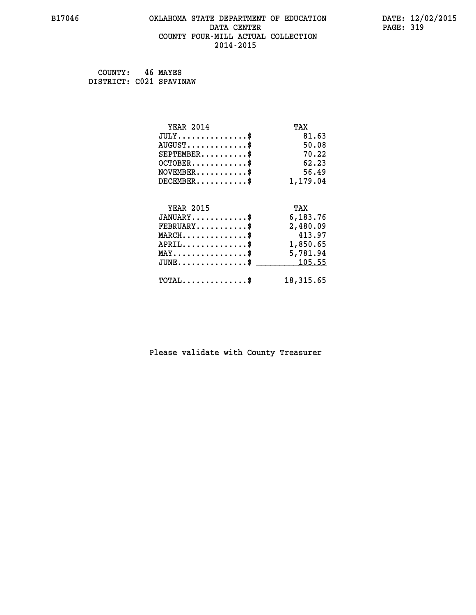# **B17046 OKLAHOMA STATE DEPARTMENT OF EDUCATION DATE: 12/02/2015 DATA CENTER** PAGE: 319  **COUNTY FOUR-MILL ACTUAL COLLECTION 2014-2015**

 **COUNTY: 46 MAYES DISTRICT: C021 SPAVINAW**

| <b>YEAR 2014</b>                                 | TAX       |
|--------------------------------------------------|-----------|
| $JULY$ \$                                        | 81.63     |
| $AUGUST$ \$                                      | 50.08     |
| $SEPTEMENT.$ \$                                  | 70.22     |
| $OCTOBER$ \$                                     | 62.23     |
| $NOVEMBER$ \$                                    | 56.49     |
| $DECEMBER$ \$                                    | 1,179.04  |
|                                                  |           |
| <b>YEAR 2015</b>                                 | TAX       |
| $JANUARY$ \$                                     | 6,183.76  |
| $FEBRUARY$                                       | 2,480.09  |
| $MARCH$ \$                                       | 413.97    |
| $APRIL \ldots \ldots \ldots \ldots \$            | 1,850.65  |
| $\texttt{MAX} \dots \dots \dots \dots \dots \$   | 5,781.94  |
| $\texttt{JUNE} \dots \dots \dots \dots \dots \$$ | 105.55    |
| $\texttt{TOTAL} \dots \dots \dots \dots$ \$      | 18,315.65 |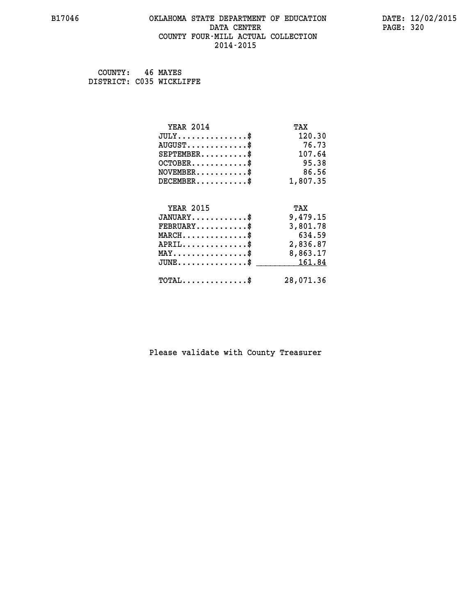#### **B17046 OKLAHOMA STATE DEPARTMENT OF EDUCATION DATE: 12/02/2015 DATA CENTER** PAGE: 320  **COUNTY FOUR-MILL ACTUAL COLLECTION 2014-2015**

| COUNTY:                  | 46 MAYES |
|--------------------------|----------|
| DISTRICT: C035 WICKLIFFE |          |

| <b>YEAR 2014</b>                               | TAX       |
|------------------------------------------------|-----------|
| $JULY$ \$                                      | 120.30    |
| $AUGUST$ \$                                    | 76.73     |
| $SEPTEMENT.$ \$                                | 107.64    |
| $OCTOBER$ \$                                   | 95.38     |
| $NOVEMBER$ \$                                  | 86.56     |
| $DECEMBER$ \$                                  | 1,807.35  |
| <b>YEAR 2015</b>                               | TAX       |
| $JANUARY$ \$                                   | 9,479.15  |
| $FEBRUARY$ \$                                  | 3,801.78  |
| $MARCH$ \$                                     | 634.59    |
| $APRIL$ \$                                     | 2,836.87  |
| $\texttt{MAX} \dots \dots \dots \dots \dots \$ | 8,863.17  |
| $JUNE$                                         | 161.84    |
| $TOTAL$ \$                                     | 28,071.36 |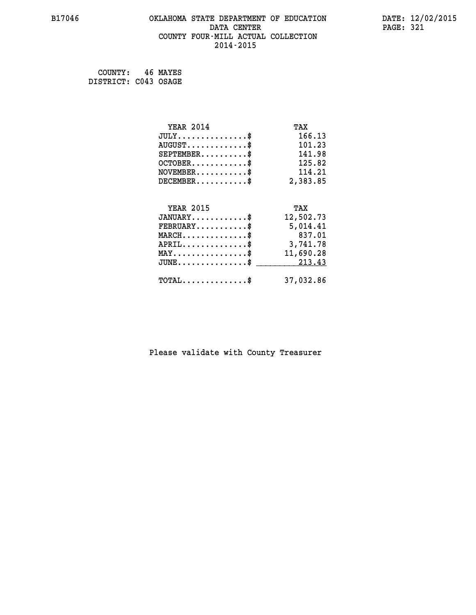# **B17046 OKLAHOMA STATE DEPARTMENT OF EDUCATION DATE: 12/02/2015 DATA CENTER** PAGE: 321  **COUNTY FOUR-MILL ACTUAL COLLECTION 2014-2015**

 **COUNTY: 46 MAYES DISTRICT: C043 OSAGE**

| <b>YEAR 2014</b>                                 | TAX       |
|--------------------------------------------------|-----------|
| $JULY$ \$                                        | 166.13    |
| $AUGUST$ \$                                      | 101.23    |
| $SEPTEMBER$ \$                                   | 141.98    |
| $OCTOBER$ \$                                     | 125.82    |
| $NOVEMBER.$ \$                                   | 114.21    |
| $DECEMBER$ \$                                    | 2,383.85  |
|                                                  |           |
| <b>YEAR 2015</b>                                 | TAX       |
| $JANUARY$ \$                                     | 12,502.73 |
| $FEBRUARY$                                       | 5,014.41  |
| $MARCH$ \$                                       | 837.01    |
| $APRIL \ldots \ldots \ldots \ldots \$            | 3,741.78  |
| $\texttt{MAX} \dots \dots \dots \dots \dots \$   | 11,690.28 |
| $\texttt{JUNE} \dots \dots \dots \dots \dots \$$ | 213.43    |
| $\texttt{TOTAL} \dots \dots \dots \dots$ \$      | 37,032.86 |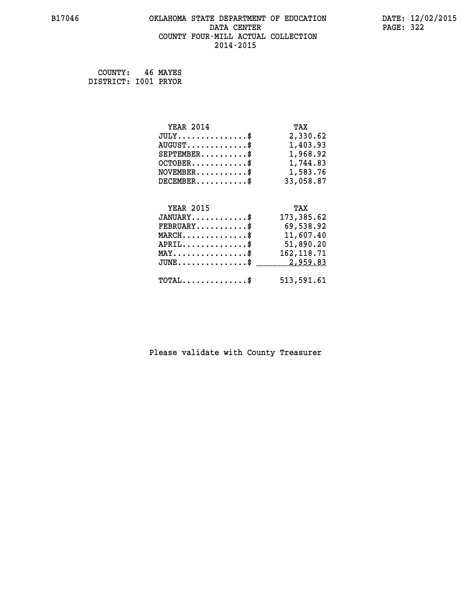# **B17046 OKLAHOMA STATE DEPARTMENT OF EDUCATION DATE: 12/02/2015 DATA CENTER PAGE: 322 COUNTY FOUR-MILL ACTUAL COLLECTION 2014-2015**

 **COUNTY: 46 MAYES DISTRICT: I001 PRYOR**

| <b>YEAR 2014</b>                               | TAX         |
|------------------------------------------------|-------------|
| $JULY$ \$                                      | 2,330.62    |
| $AUGUST$ \$                                    | 1,403.93    |
| $SEPTEMBER$ \$                                 | 1,968.92    |
| $OCTOBER$ \$                                   | 1,744.83    |
| $\texttt{NOVEMBER} \dots \dots \dots \$        | 1,583.76    |
| $DECEMBER$ \$                                  | 33,058.87   |
|                                                |             |
| <b>YEAR 2015</b>                               | TAX         |
| $JANUARY$ \$                                   | 173,385.62  |
| $FEBRUARY$                                     | 69,538.92   |
| $\texttt{MARCH}\ldots\ldots\ldots\ldots\$      | 11,607.40   |
| $APRIL \ldots \ldots \ldots \ldots \$          | 51,890.20   |
| $\texttt{MAX} \dots \dots \dots \dots \dots \$ | 162, 118.71 |
| $JUNE$ \$                                      | 2,959.83    |
| $\texttt{TOTAL} \dots \dots \dots \dots \$     | 513,591.61  |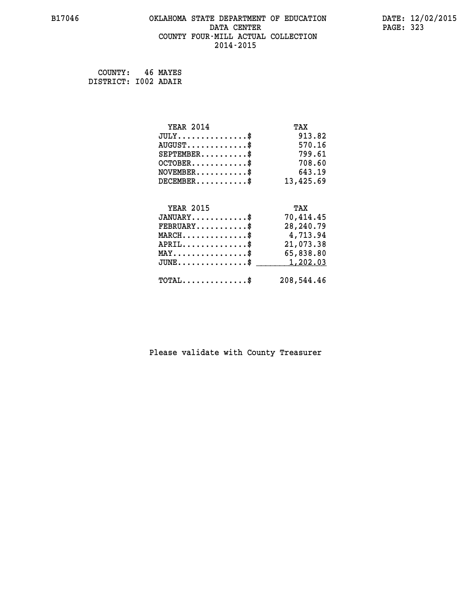# **B17046 OKLAHOMA STATE DEPARTMENT OF EDUCATION DATE: 12/02/2015 DATA CENTER** PAGE: 323  **COUNTY FOUR-MILL ACTUAL COLLECTION 2014-2015**

 **COUNTY: 46 MAYES DISTRICT: I002 ADAIR**

| <b>YEAR 2014</b>                             | TAX        |
|----------------------------------------------|------------|
| $JULY$ \$                                    | 913.82     |
| $AUGUST$ \$                                  | 570.16     |
| $SEPTEMBER$ \$                               | 799.61     |
| $OCTOBER$ \$                                 | 708.60     |
| $\texttt{NOVEMBER} \dots \dots \dots \$      | 643.19     |
| $DECEMBER$ \$                                | 13,425.69  |
|                                              |            |
| <b>YEAR 2015</b>                             | TAX        |
| $JANUARY$ \$                                 | 70,414.45  |
| $FEBRUARY$                                   | 28,240.79  |
| $MARCH$ \$                                   | 4,713.94   |
| $APRIL$ \$                                   | 21,073.38  |
| $MAX \dots \dots \dots \dots \dots$          | 65,838.80  |
| $JUNE \ldots \ldots \ldots \ldots \ldots$ \$ | 1,202.03   |
| $\texttt{TOTAL} \dots \dots \dots \dots \$   | 208,544.46 |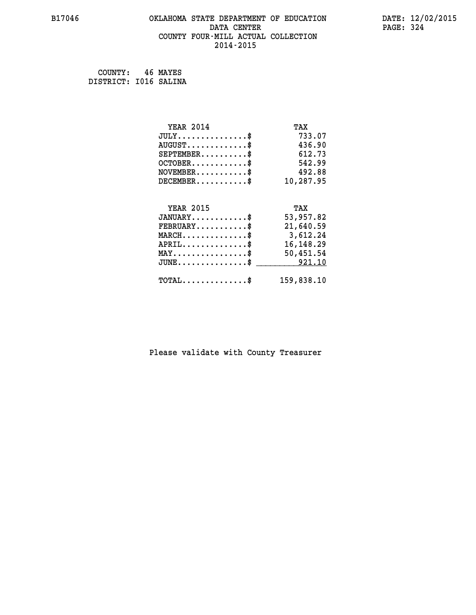# **B17046 OKLAHOMA STATE DEPARTMENT OF EDUCATION DATE: 12/02/2015 DATA CENTER** PAGE: 324  **COUNTY FOUR-MILL ACTUAL COLLECTION 2014-2015**

 **COUNTY: 46 MAYES DISTRICT: I016 SALINA**

| <b>YEAR 2014</b>                                 | TAX         |
|--------------------------------------------------|-------------|
| $JULY$ \$                                        | 733.07      |
| $AUGUST$ \$                                      | 436.90      |
| $SEPTEMENT.$ \$                                  | 612.73      |
| $OCTOBER$ \$                                     | 542.99      |
| $\texttt{NOVEMBER} \dots \dots \dots \$          | 492.88      |
| $DECEMBER$ \$                                    | 10,287.95   |
|                                                  |             |
| <b>YEAR 2015</b>                                 | TAX         |
| $JANUARY$ \$                                     | 53,957.82   |
| $FEBRUARY$                                       | 21,640.59   |
| MARCH\$ 3,612.24                                 |             |
| $APRIL \ldots \ldots \ldots \ldots$              | 16, 148. 29 |
| $\texttt{MAX} \dots \dots \dots \dots \dots \$   | 50,451.54   |
| $\texttt{JUNE} \dots \dots \dots \dots \dots \$$ | 921.10      |
| $\texttt{TOTAL} \dots \dots \dots \dots \$       | 159,838.10  |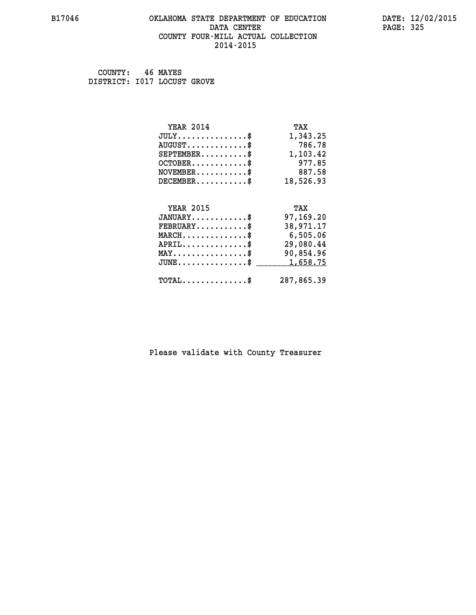#### **B17046 OKLAHOMA STATE DEPARTMENT OF EDUCATION DATE: 12/02/2015 DATA CENTER** PAGE: 325  **COUNTY FOUR-MILL ACTUAL COLLECTION 2014-2015**

 **COUNTY: 46 MAYES DISTRICT: I017 LOCUST GROVE**

| <b>YEAR 2014</b>                               | TAX        |
|------------------------------------------------|------------|
| $JULY$ \$                                      | 1,343.25   |
| $AUGUST$ \$                                    | 786.78     |
| $SEPTEMBER$ \$                                 | 1,103.42   |
| $OCTOBER$ \$                                   | 977.85     |
| $NOVEMBER.$ \$                                 | 887.58     |
| $DECEMBER$ \$                                  | 18,526.93  |
|                                                |            |
| <b>YEAR 2015</b>                               | TAX        |
| $JANUARY$ \$                                   | 97,169.20  |
| $FEBRUARY$                                     | 38,971.17  |
| $MARCH$ \$                                     | 6,505.06   |
| $APRIL \ldots \ldots \ldots \ldots *$          | 29,080.44  |
| $\texttt{MAX} \dots \dots \dots \dots \dots \$ | 90,854.96  |
| $JUNE$ \$                                      | 1,658.75   |
| $\texttt{TOTAL} \dots \dots \dots \dots$ \$    | 287,865.39 |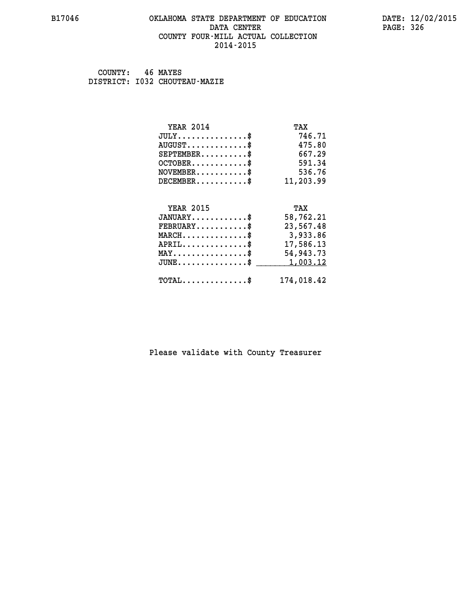#### **B17046 OKLAHOMA STATE DEPARTMENT OF EDUCATION DATE: 12/02/2015 DATA CENTER** PAGE: 326  **COUNTY FOUR-MILL ACTUAL COLLECTION 2014-2015**

 **COUNTY: 46 MAYES DISTRICT: I032 CHOUTEAU-MAZIE**

| <b>YEAR 2014</b>                                                          | TAX        |
|---------------------------------------------------------------------------|------------|
| $JULY$ \$                                                                 | 746.71     |
| $AUGUST$ \$                                                               | 475.80     |
| $SEPTEMENT.$ \$                                                           | 667.29     |
| $OCTOBER$ \$                                                              | 591.34     |
| $\verb NOVEMBER , \verb , \verb , \verb , \verb , \verb , \verb , \verb $ | 536.76     |
| $DECEMBER$ \$                                                             | 11,203.99  |
|                                                                           |            |
| <b>YEAR 2015</b>                                                          | TAX        |
| $JANUARY$ \$                                                              | 58,762.21  |
| $FEBRUARY$                                                                | 23,567.48  |
| $MARCH$ \$                                                                | 3,933.86   |
| $APRIL$ \$                                                                | 17,586.13  |
| $\texttt{MAX} \dots \dots \dots \dots \dots \$                            | 54,943.73  |
| $JUNE$ \$                                                                 | 1,003.12   |
| $\texttt{TOTAL} \dots \dots \dots \dots \$                                | 174,018.42 |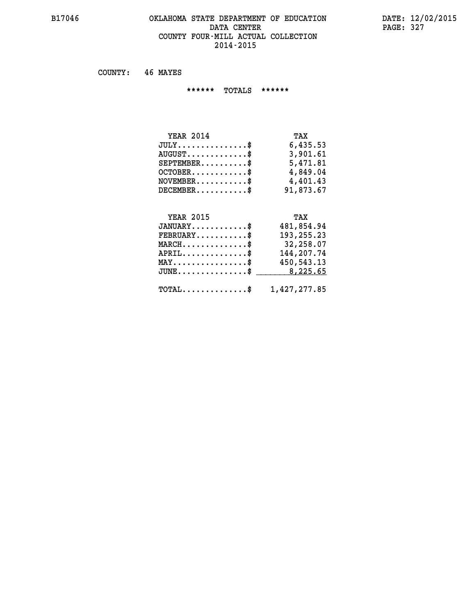## **B17046 OKLAHOMA STATE DEPARTMENT OF EDUCATION DATE: 12/02/2015 DATA CENTER** PAGE: 327  **COUNTY FOUR-MILL ACTUAL COLLECTION 2014-2015**

 **COUNTY: 46 MAYES**

 **\*\*\*\*\*\* TOTALS \*\*\*\*\*\***

| TAX       |
|-----------|
| 6,435.53  |
| 3,901.61  |
| 5,471.81  |
| 4,849.04  |
| 4,401.43  |
| 91,873.67 |
|           |

# **YEAR 2015 TAX JANUARY............\$ 481,854.94**

| 193,255.23 | $\texttt{FEBRUARY} \dots \dots \dots \$   |
|------------|-------------------------------------------|
| 32,258.07  | $MARCH$ \$                                |
| 144,207.74 | $APRIL \ldots \ldots \ldots \$            |
| 450,543.13 | $MAX \dots \dots \dots \dots \dots \$     |
|            | $JUNE \dots \dots \dots \dots \$ 8,225.65 |
|            |                                           |
|            | TOTAL\$ 1,427,277.85                      |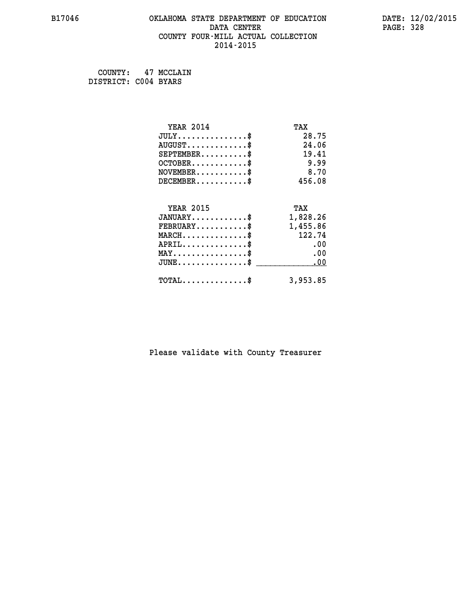## **B17046 OKLAHOMA STATE DEPARTMENT OF EDUCATION DATE: 12/02/2015 DATA CENTER** PAGE: 328  **COUNTY FOUR-MILL ACTUAL COLLECTION 2014-2015**

 **COUNTY: 47 MCCLAIN DISTRICT: C004 BYARS**

| <b>YEAR 2014</b>                    | TAX      |
|-------------------------------------|----------|
| $JULY$ \$                           | 28.75    |
| $AUGUST$ \$                         | 24.06    |
| $SEPTEMBER$ \$                      | 19.41    |
| $OCTOBER$ \$                        | 9.99     |
| $NOVEMBER$ \$                       | 8.70     |
| $DECEMBER$ \$                       | 456.08   |
| <b>YEAR 2015</b>                    | TAX      |
| $JANUARY$ \$                        | 1,828.26 |
| $FEBRUARY$                          | 1,455.86 |
| $MARCH$ \$                          | 122.74   |
| $APRIL$ \$                          | .00      |
| $MAX \dots \dots \dots \dots \dots$ | .00      |
| $JUNE$                              | .00      |
| $TOTAL$ \$                          | 3,953.85 |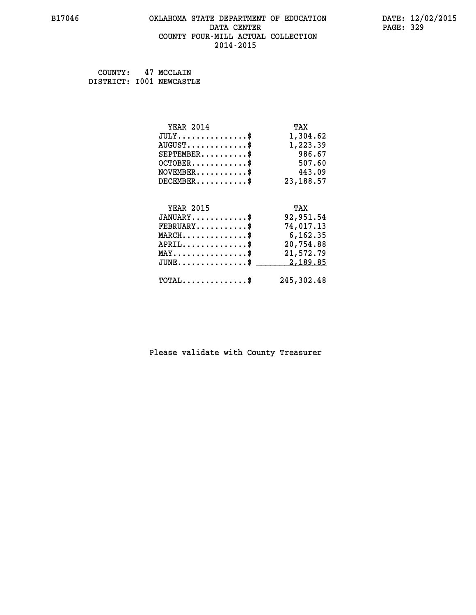#### **B17046 OKLAHOMA STATE DEPARTMENT OF EDUCATION DATE: 12/02/2015 DATA CENTER** PAGE: 329  **COUNTY FOUR-MILL ACTUAL COLLECTION 2014-2015**

 **COUNTY: 47 MCCLAIN DISTRICT: I001 NEWCASTLE**

| <b>YEAR 2014</b>                           | TAX        |
|--------------------------------------------|------------|
| $JULY$ \$                                  | 1,304.62   |
| $AUGUST$ \$                                | 1,223.39   |
| $SEPTEMBER$ \$                             | 986.67     |
| $OCTOBER$ \$                               | 507.60     |
| $NOVEMBER$ \$                              | 443.09     |
| $DECEMBER$ \$                              | 23, 188.57 |
|                                            |            |
| <b>YEAR 2015</b>                           | TAX        |
| $JANUARY$ \$                               | 92,951.54  |
| $FEBRUARY$                                 | 74,017.13  |
| $MARCH$ \$                                 | 6,162.35   |
| $APRIL$ \$                                 | 20,754.88  |
| $MAX \dots \dots \dots \dots \$            | 21,572.79  |
| $JUNE$ \$                                  | 2,189.85   |
| $\texttt{TOTAL} \dots \dots \dots \dots \$ | 245,302.48 |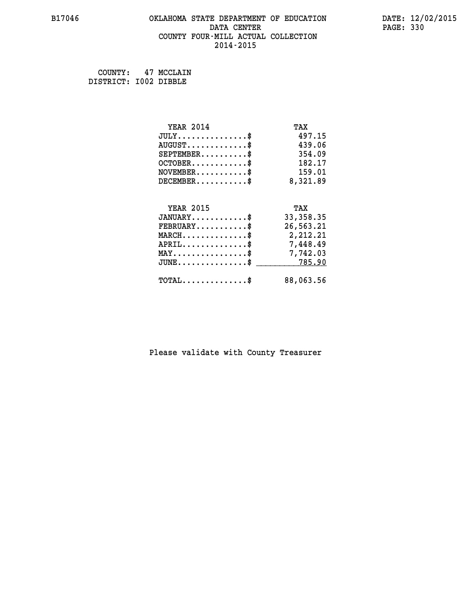## **B17046 OKLAHOMA STATE DEPARTMENT OF EDUCATION DATE: 12/02/2015 DATA CENTER** PAGE: 330  **COUNTY FOUR-MILL ACTUAL COLLECTION 2014-2015**

 **COUNTY: 47 MCCLAIN DISTRICT: I002 DIBBLE**

| <b>YEAR 2014</b>                               | TAX        |
|------------------------------------------------|------------|
| $JULY$ \$                                      | 497.15     |
| $AUGUST$ \$                                    | 439.06     |
| $SEPTEMBER$ \$                                 | 354.09     |
| $OCTOBER$ \$                                   | 182.17     |
| $\texttt{NOVEMBER} \dots \dots \dots \$        | 159.01     |
| $DECEMBER$ \$                                  | 8,321.89   |
|                                                |            |
| <b>YEAR 2015</b>                               | TAX        |
| $JANUARY$ \$                                   | 33, 358.35 |
| $FEBRUARY$ \$                                  | 26,563.21  |
| $MARCH$ \$                                     | 2,212.21   |
| $APRIL \ldots \ldots \ldots \$                 | 7,448.49   |
| $\texttt{MAX} \dots \dots \dots \dots \dots \$ | 7,742.03   |
| $JUNE$ \$                                      | 785.90     |
| $\texttt{TOTAL} \dots \dots \dots \dots \$     | 88,063.56  |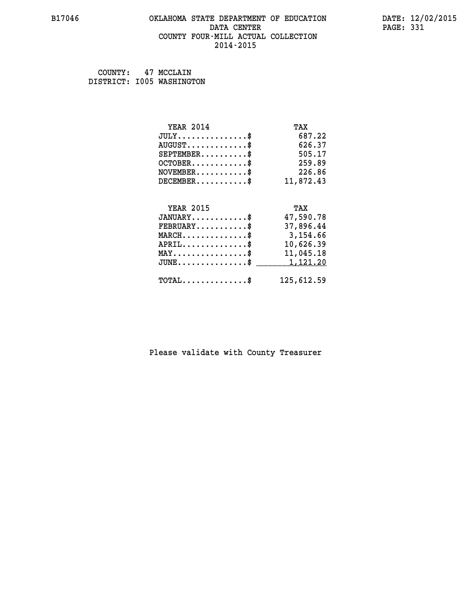#### **B17046 OKLAHOMA STATE DEPARTMENT OF EDUCATION DATE: 12/02/2015 DATA CENTER** PAGE: 331  **COUNTY FOUR-MILL ACTUAL COLLECTION 2014-2015**

 **COUNTY: 47 MCCLAIN DISTRICT: I005 WASHINGTON**

| <b>YEAR 2014</b>                                 | TAX        |
|--------------------------------------------------|------------|
| $JULY$ \$                                        | 687.22     |
| $AUGUST$ \$                                      | 626.37     |
| $SEPTEMBER$ \$                                   | 505.17     |
| $OCTOBER$ \$                                     | 259.89     |
| $NOVEMBER.$ \$                                   | 226.86     |
| $DECEMBER$ \$                                    | 11,872.43  |
|                                                  |            |
| <b>YEAR 2015</b>                                 | TAX        |
| $JANUARY$ \$                                     | 47,590.78  |
| $FEBRUARY$                                       | 37,896.44  |
| $\texttt{MARCH}\ldots\ldots\ldots\ldots\text{*}$ | 3,154.66   |
| $APRIL \ldots \ldots \ldots \ldots \$            | 10,626.39  |
| $\texttt{MAX} \dots \dots \dots \dots \dots \$   | 11,045.18  |
| $JUNE$ \$                                        | 1,121.20   |
| $\texttt{TOTAL} \dots \dots \dots \dots \$       | 125,612.59 |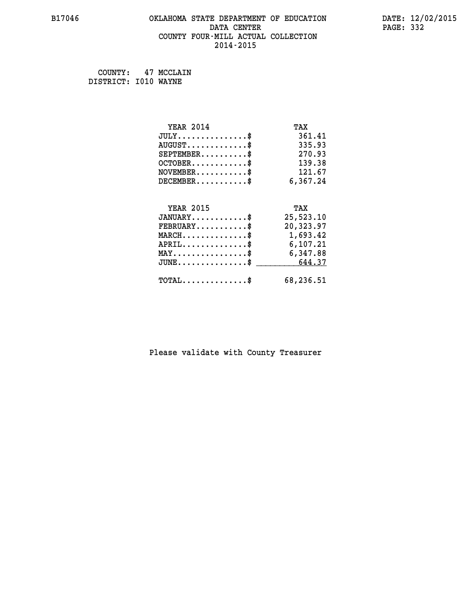## **B17046 OKLAHOMA STATE DEPARTMENT OF EDUCATION DATE: 12/02/2015 DATA CENTER** PAGE: 332  **COUNTY FOUR-MILL ACTUAL COLLECTION 2014-2015**

 **COUNTY: 47 MCCLAIN DISTRICT: I010 WAYNE**

| <b>YEAR 2014</b>                                 | TAX       |
|--------------------------------------------------|-----------|
| $JULY$ \$                                        | 361.41    |
| $AUGUST$ \$                                      | 335.93    |
| $SEPTEMBER$ \$                                   | 270.93    |
| $OCTOBER$ \$                                     | 139.38    |
| $\texttt{NOVEMBER} \dots \dots \dots \$          | 121.67    |
| $DECEMBER$ \$                                    | 6,367.24  |
|                                                  |           |
| <b>YEAR 2015</b>                                 | TAX       |
| $JANUARY$                                        | 25,523.10 |
| $FEBRUARY$                                       | 20,323.97 |
| $\texttt{MARCH}\ldots\ldots\ldots\ldots\text{*}$ | 1,693.42  |
| $APRIL \ldots \ldots \ldots \ldots \$            | 6, 107.21 |
| $\texttt{MAX} \dots \dots \dots \dots \dots \$   | 6,347.88  |
| $JUNE \ldots \ldots \ldots \ldots$ \$ 644.37     |           |
| $\texttt{TOTAL} \dots \dots \dots \dots \$       | 68,236.51 |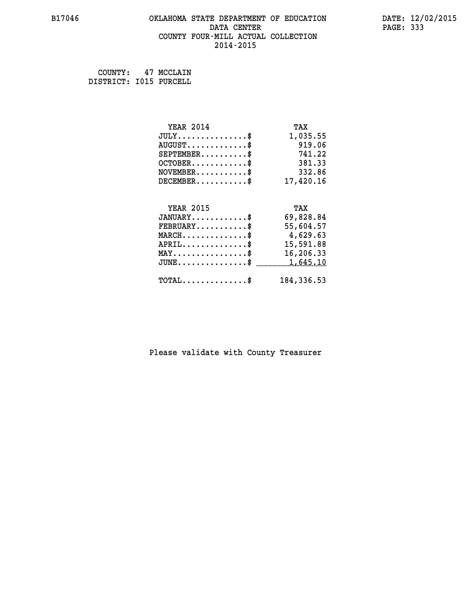#### **B17046 OKLAHOMA STATE DEPARTMENT OF EDUCATION DATE: 12/02/2015 DATA CENTER** PAGE: 333  **COUNTY FOUR-MILL ACTUAL COLLECTION 2014-2015**

 **COUNTY: 47 MCCLAIN DISTRICT: I015 PURCELL**

| <b>YEAR 2014</b>                                   | TAX         |
|----------------------------------------------------|-------------|
| $JULY.$ \$                                         | 1,035.55    |
| $AUGUST$ \$                                        | 919.06      |
| $SEPTEMBER$ \$                                     | 741.22      |
| $OCTOBER$ \$                                       | 381.33      |
| $\texttt{NOVEMBER} \dots \dots \dots \$            | 332.86      |
| $DECEMBER$ \$                                      | 17,420.16   |
|                                                    |             |
| <b>YEAR 2015</b>                                   | TAX         |
| $JANUARY$ \$                                       | 69,828.84   |
| $FEBRUARY$ \$                                      | 55,604.57   |
| $\texttt{MARCH}\ldots\ldots\ldots\ldots\text{\$}$  | 4,629.63    |
| $APRIL \ldots \ldots \ldots \ldots$                | 15,591.88   |
| $\texttt{MAX} \dots \dots \dots \dots \dots \$     | 16,206.33   |
| $\texttt{JUNE} \dots \dots \dots \dots \texttt{S}$ | 1,645.10    |
| $\texttt{TOTAL} \dots \dots \dots \dots \$         | 184, 336.53 |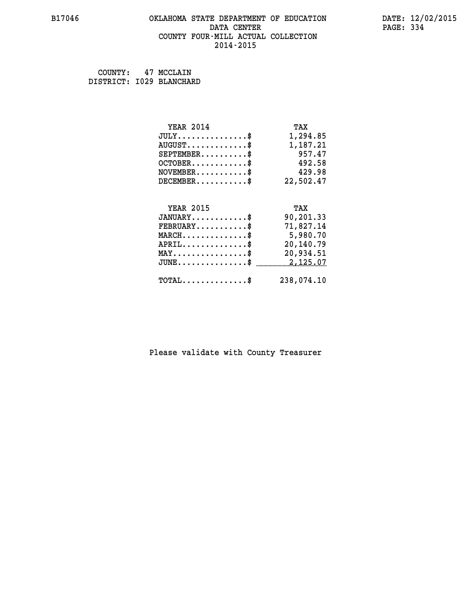#### **B17046 OKLAHOMA STATE DEPARTMENT OF EDUCATION DATE: 12/02/2015 DATA CENTER** PAGE: 334  **COUNTY FOUR-MILL ACTUAL COLLECTION 2014-2015**

 **COUNTY: 47 MCCLAIN DISTRICT: I029 BLANCHARD**

| <b>YEAR 2014</b>                                 | TAX        |
|--------------------------------------------------|------------|
| $JULY$ \$                                        | 1,294.85   |
| $AUGUST$ \$                                      | 1,187.21   |
| $SEPTEMBER$ \$                                   | 957.47     |
| $OCTOBER$ \$                                     | 492.58     |
| $NOVEMBER.$ \$                                   | 429.98     |
| $DECEMBER$ \$                                    | 22,502.47  |
|                                                  |            |
| <b>YEAR 2015</b>                                 | TAX        |
| $JANUARY$ \$                                     | 90,201.33  |
| $FEBRUARY$ \$                                    | 71,827.14  |
| $\texttt{MARCH}\ldots\ldots\ldots\ldots\text{*}$ | 5,980.70   |
| $APRIL \ldots \ldots \ldots \ldots \$            | 20,140.79  |
| $\texttt{MAX} \dots \dots \dots \dots \dots \$   | 20,934.51  |
| $\texttt{JUNE} \dots \dots \dots \dots \dots \$$ | 2,125.07   |
| $\texttt{TOTAL} \dots \dots \dots \dots$ \$      | 238,074.10 |
|                                                  |            |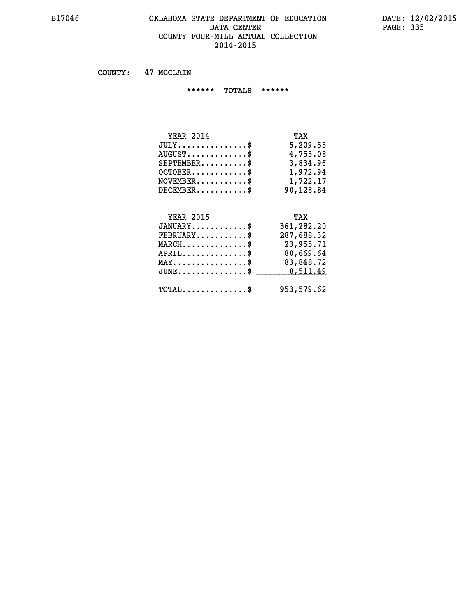#### **B17046 OKLAHOMA STATE DEPARTMENT OF EDUCATION DATE: 12/02/2015** DATA CENTER PAGE: 335  **COUNTY FOUR-MILL ACTUAL COLLECTION 2014-2015**

 **COUNTY: 47 MCCLAIN**

 **\*\*\*\*\*\* TOTALS \*\*\*\*\*\***

| <b>YEAR 2014</b>                 | TAX       |
|----------------------------------|-----------|
| $JULY$                           | 5,209.55  |
| $AUGUST \ldots \ldots \ldots$ \$ | 4,755.08  |
| $SEPTEMBER$ $\$                  | 3,834.96  |
| $OCTOBER$ \$                     | 1,972.94  |
| $NOVEMBER$ \$                    | 1,722.17  |
| $DECEMBER$ \$                    | 90,128.84 |

## **YEAR 2015 TAX JANUARY............\$ 361,282.20 FEBRUARY...........\$ 287,688.32 MARCH..............\$ 23,955.71 APRIL..............\$ 80,669.64 MAY................\$ 83,848.72 JUNE...............\$** \_\_\_\_\_\_\_\_\_ 8,511.49  **TOTAL..............\$ 953,579.62**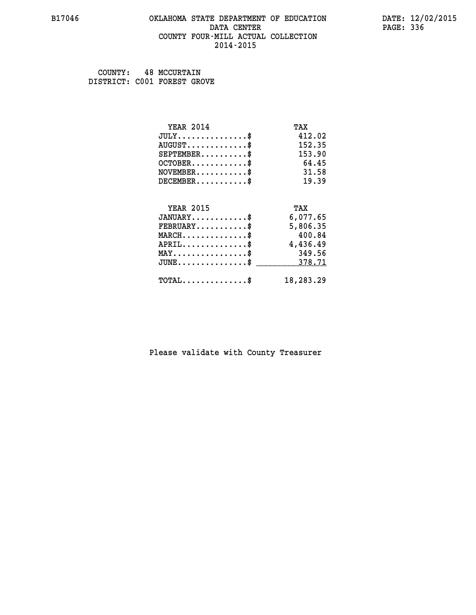#### **B17046 OKLAHOMA STATE DEPARTMENT OF EDUCATION DATE: 12/02/2015 DATA CENTER** PAGE: 336  **COUNTY FOUR-MILL ACTUAL COLLECTION 2014-2015**

 **COUNTY: 48 MCCURTAIN DISTRICT: C001 FOREST GROVE**

| <b>YEAR 2014</b>                           | TAX       |
|--------------------------------------------|-----------|
| $JULY$ \$                                  | 412.02    |
| $AUGUST$ \$                                | 152.35    |
| $SEPTEMBER$ \$                             | 153.90    |
| $OCTOBER$ \$                               | 64.45     |
| $NOVEMBER$ \$                              | 31.58     |
| $DECEMBER$ \$                              | 19.39     |
|                                            |           |
| <b>YEAR 2015</b>                           | TAX       |
| $JANUARY$                                  | 6,077.65  |
| $FEBRUARY$                                 | 5,806.35  |
| $MARCH$ \$                                 | 400.84    |
| $APRIL$ \$                                 | 4,436.49  |
| $MAX \dots \dots \dots \dots \dots$        | 349.56    |
| $JUNE$ \$                                  | 378.71    |
| $\texttt{TOTAL} \dots \dots \dots \dots \$ | 18,283.29 |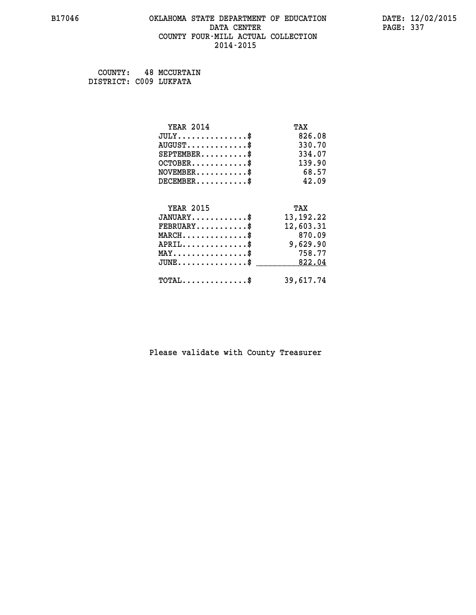#### **B17046 OKLAHOMA STATE DEPARTMENT OF EDUCATION DATE: 12/02/2015 DATA CENTER** PAGE: 337  **COUNTY FOUR-MILL ACTUAL COLLECTION 2014-2015**

 **COUNTY: 48 MCCURTAIN DISTRICT: C009 LUKFATA**

| <b>YEAR 2014</b>                    | TAX         |
|-------------------------------------|-------------|
| $JULY$ \$                           | 826.08      |
| $AUGUST$ \$                         | 330.70      |
| $SEPTEMBER$ \$                      | 334.07      |
| $OCTOBER$ \$                        | 139.90      |
| $NOVEMBER$ \$                       | 68.57       |
| $DECEMBER$ \$                       | 42.09       |
|                                     |             |
| <b>YEAR 2015</b>                    | TAX         |
| $JANUARY$ \$                        | 13, 192. 22 |
| $FEBRUARY$                          | 12,603.31   |
| $MARCH$ \$                          | 870.09      |
| $APRIL$ \$                          | 9,629.90    |
| $MAX \dots \dots \dots \dots \dots$ | 758.77      |
| $JUNE$ \$                           | 822.04      |
| $TOTAL$ \$                          | 39,617.74   |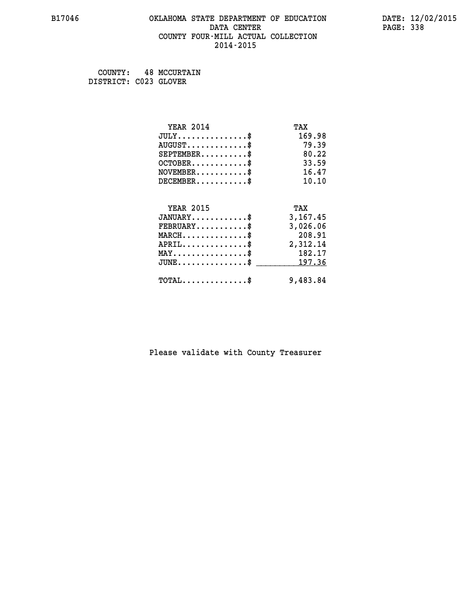#### **B17046 OKLAHOMA STATE DEPARTMENT OF EDUCATION DATE: 12/02/2015 DATA CENTER** PAGE: 338  **COUNTY FOUR-MILL ACTUAL COLLECTION 2014-2015**

 **COUNTY: 48 MCCURTAIN DISTRICT: C023 GLOVER**

| <b>YEAR 2014</b>                                 | TAX      |
|--------------------------------------------------|----------|
| $JULY$ \$                                        | 169.98   |
| $AUGUST$ \$                                      | 79.39    |
| $SEPTEMBER$ \$                                   | 80.22    |
| $OCTOBER$ \$                                     | 33.59    |
| $NOVEMBER$ \$                                    | 16.47    |
| $DECEMBER$ \$                                    | 10.10    |
|                                                  |          |
| <b>YEAR 2015</b>                                 | TAX      |
| $JANUARY$                                        | 3,167.45 |
| $FEBRUARY$ \$                                    | 3,026.06 |
| $MARCH$ \$                                       | 208.91   |
| $APRIL$ \$                                       | 2,312.14 |
| $MAX \dots \dots \dots \dots \dots$              | 182.17   |
| $\texttt{JUNE} \dots \dots \dots \dots \dots \$$ | 197.36   |
| $\texttt{TOTAL} \dots \dots \dots \dots \$       | 9,483.84 |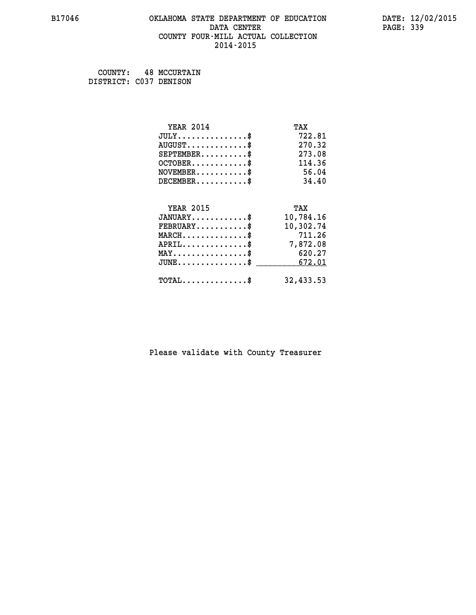#### **B17046 OKLAHOMA STATE DEPARTMENT OF EDUCATION DATE: 12/02/2015 DATA CENTER** PAGE: 339  **COUNTY FOUR-MILL ACTUAL COLLECTION 2014-2015**

 **COUNTY: 48 MCCURTAIN DISTRICT: C037 DENISON**

| <b>YEAR 2014</b>                           | TAX       |
|--------------------------------------------|-----------|
| $JULY$ \$                                  | 722.81    |
| $AUGUST$ \$                                | 270.32    |
| $SEPTEMBER$ \$                             | 273.08    |
| $OCTOBER$ \$                               | 114.36    |
| $NOVEMBER$ \$                              | 56.04     |
| $DECEMBER$ \$                              | 34.40     |
|                                            |           |
| <b>YEAR 2015</b>                           | TAX       |
| $JANUARY$ \$                               | 10,784.16 |
| $FEBRUARY$                                 | 10,302.74 |
| $MARCH$ \$                                 | 711.26    |
| $APRIL$ \$                                 | 7,872.08  |
| $MAX \dots \dots \dots \dots \$            | 620.27    |
| $JUNE$ \$                                  | 672.01    |
| $\texttt{TOTAL} \dots \dots \dots \dots \$ | 32,433.53 |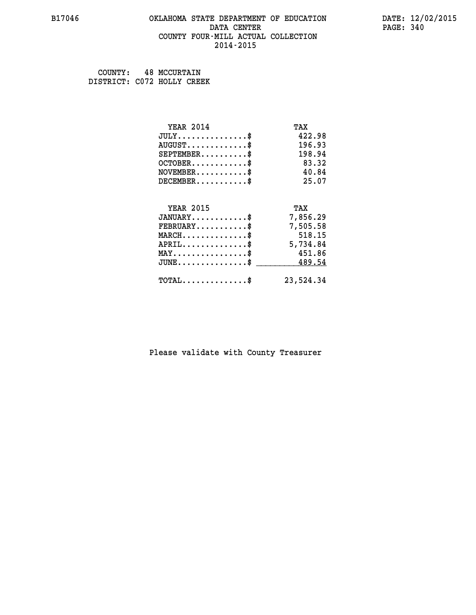#### **B17046 OKLAHOMA STATE DEPARTMENT OF EDUCATION DATE: 12/02/2015 DATA CENTER** PAGE: 340  **COUNTY FOUR-MILL ACTUAL COLLECTION 2014-2015**

 **COUNTY: 48 MCCURTAIN DISTRICT: C072 HOLLY CREEK**

| <b>YEAR 2014</b>                    | TAX       |
|-------------------------------------|-----------|
| $JULY$ \$                           | 422.98    |
| $AUGUST$ \$                         | 196.93    |
| $SEPTEMENT.$ \$                     | 198.94    |
| $OCTOBER$ \$                        | 83.32     |
| $NOVEMBER$ \$                       | 40.84     |
| $DECEMBER$ \$                       | 25.07     |
|                                     |           |
| <b>YEAR 2015</b>                    | TAX       |
| $JANUARY$ \$                        | 7,856.29  |
| $FEBRUARY$                          | 7,505.58  |
| $MARCH$ \$                          | 518.15    |
| $APRIL$ \$                          | 5,734.84  |
| $MAX \dots \dots \dots \dots \dots$ | 451.86    |
| $JUNE$ \$                           | 489.54    |
| $TOTAL$ \$                          | 23,524.34 |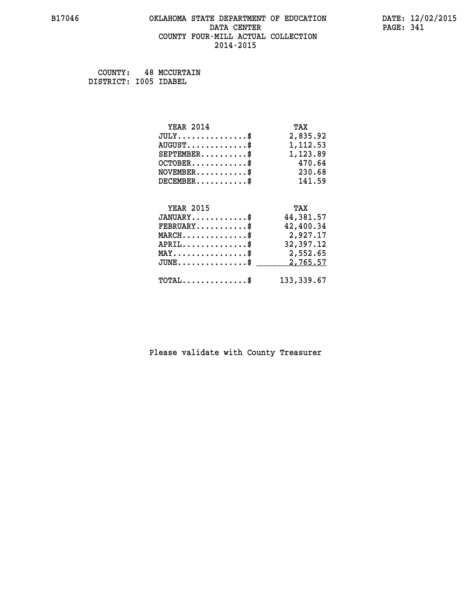#### **B17046 OKLAHOMA STATE DEPARTMENT OF EDUCATION DATE: 12/02/2015 DATA CENTER** PAGE: 341  **COUNTY FOUR-MILL ACTUAL COLLECTION 2014-2015**

 **COUNTY: 48 MCCURTAIN DISTRICT: I005 IDABEL**

| <b>YEAR 2014</b>                                 | TAX         |
|--------------------------------------------------|-------------|
| $JULY$ \$                                        | 2,835.92    |
| $AUGUST$ \$                                      | 1,112.53    |
| $SEPTEMBER$ \$                                   | 1,123.89    |
| $OCTOBER$ \$                                     | 470.64      |
| $\texttt{NOVEMBER} \dots \dots \dots \$          | 230.68      |
| $DECEMBER$ \$                                    | 141.59      |
|                                                  |             |
| <b>YEAR 2015</b>                                 | TAX         |
| $JANUARY$ \$                                     | 44,381.57   |
| $FEBRUARY$                                       | 42,400.34   |
| $\texttt{MARCH}\ldots\ldots\ldots\ldots\$        | 2,927.17    |
| $APRIL \ldots \ldots \ldots \ldots \$            | 32,397.12   |
| $\texttt{MAX} \dots \dots \dots \dots \dots \$   | 2,552.65    |
| $\texttt{JUNE} \dots \dots \dots \dots \dots \$$ | 2,765.57    |
| $\texttt{TOTAL} \dots \dots \dots \dots$         | 133, 339.67 |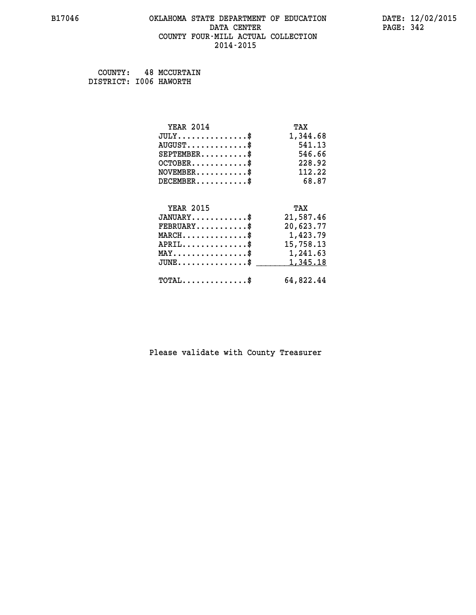#### **B17046 OKLAHOMA STATE DEPARTMENT OF EDUCATION DATE: 12/02/2015 DATA CENTER** PAGE: 342  **COUNTY FOUR-MILL ACTUAL COLLECTION 2014-2015**

 **COUNTY: 48 MCCURTAIN DISTRICT: I006 HAWORTH**

| <b>YEAR 2014</b>                           | TAX       |
|--------------------------------------------|-----------|
| $JULY$ \$                                  | 1,344.68  |
| $AUGUST$ \$                                | 541.13    |
| $SEPTEMBER$ \$                             | 546.66    |
| $OCTOBER$ \$                               | 228.92    |
| $NOVEMBER$ \$                              | 112.22    |
| $DECEMBER$ \$                              | 68.87     |
|                                            |           |
| <b>YEAR 2015</b>                           | TAX       |
| $JANUARY$ \$                               | 21,587.46 |
| $FEBRUARY$                                 | 20,623.77 |
| $MARCH$ \$                                 | 1,423.79  |
| $APRIL$ \$                                 | 15,758.13 |
| $MAX \dots \dots \dots \dots \dots$        | 1,241.63  |
| $JUNE$                                     | 1,345.18  |
| $\texttt{TOTAL} \dots \dots \dots \dots \$ | 64,822.44 |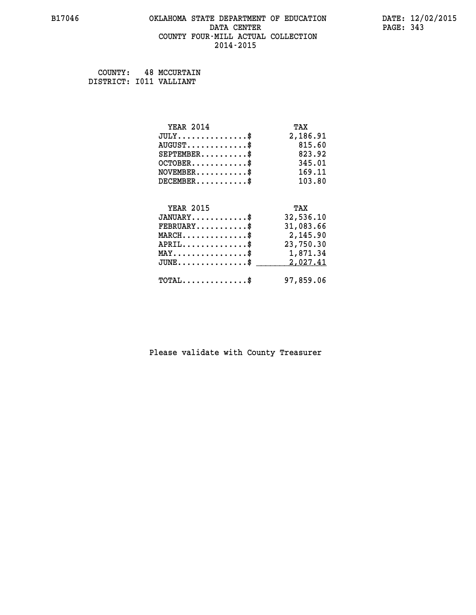#### **B17046 OKLAHOMA STATE DEPARTMENT OF EDUCATION DATE: 12/02/2015 DATA CENTER** PAGE: 343  **COUNTY FOUR-MILL ACTUAL COLLECTION 2014-2015**

 **COUNTY: 48 MCCURTAIN DISTRICT: I011 VALLIANT**

| <b>YEAR 2014</b>                               | TAX       |
|------------------------------------------------|-----------|
| $JULY$ \$                                      | 2,186.91  |
| $AUGUST$ \$                                    | 815.60    |
| $SEPTEMBER$ \$                                 | 823.92    |
| $OCTOBER$ \$                                   | 345.01    |
| $\texttt{NOVEMBER} \dots \dots \dots \$        | 169.11    |
| $DECEMBER$ \$                                  | 103.80    |
|                                                |           |
| <b>YEAR 2015</b>                               | TAX       |
| $JANUARY$ \$                                   | 32,536.10 |
| $FEBRUARY$                                     | 31,083.66 |
| $MARCH$ \$                                     | 2,145.90  |
| $APRIL$ \$                                     | 23,750.30 |
| $\texttt{MAX} \dots \dots \dots \dots \dots \$ | 1,871.34  |
|                                                |           |
| $JUNE$ $\text{\$}$                             | 2,027.41  |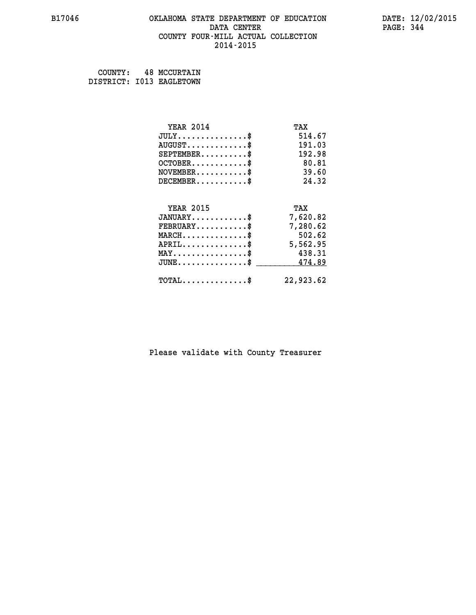#### **B17046 OKLAHOMA STATE DEPARTMENT OF EDUCATION DATE: 12/02/2015 DATA CENTER** PAGE: 344  **COUNTY FOUR-MILL ACTUAL COLLECTION 2014-2015**

 **COUNTY: 48 MCCURTAIN DISTRICT: I013 EAGLETOWN**

| <b>YEAR 2014</b>                                 | TAX       |
|--------------------------------------------------|-----------|
| $JULY$ \$                                        | 514.67    |
| $AUGUST$ \$                                      | 191.03    |
| $SEPTEMBER$ \$                                   | 192.98    |
| $OCTOBER$ \$                                     | 80.81     |
| $NOVEMBER$ \$                                    | 39.60     |
| $DECEMBER$ \$                                    | 24.32     |
|                                                  |           |
| <b>YEAR 2015</b>                                 | TAX       |
| $JANUARY$ \$                                     | 7,620.82  |
| $FEBRUARY$                                       | 7,280.62  |
| $MARCH$ \$                                       | 502.62    |
| $APRIL \ldots \ldots \ldots \ldots$              | 5,562.95  |
| $\texttt{MAX} \dots \dots \dots \dots \dots \$   | 438.31    |
| $\texttt{JUNE} \dots \dots \dots \dots \dots \$$ | 474.89    |
| $\texttt{TOTAL} \dots \dots \dots \dots \$       | 22,923.62 |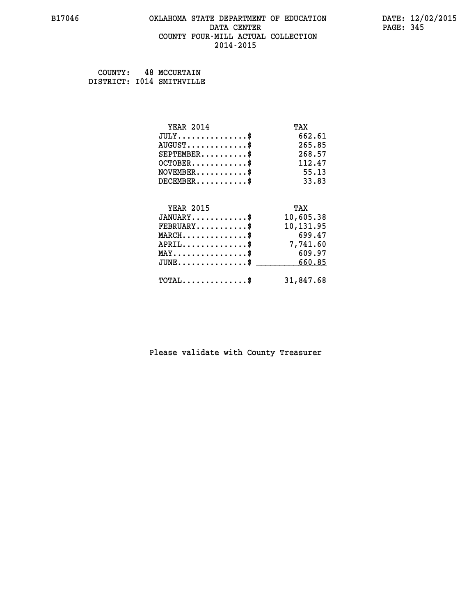#### **B17046 OKLAHOMA STATE DEPARTMENT OF EDUCATION DATE: 12/02/2015 DATA CENTER** PAGE: 345  **COUNTY FOUR-MILL ACTUAL COLLECTION 2014-2015**

 **COUNTY: 48 MCCURTAIN DISTRICT: I014 SMITHVILLE**

| <b>YEAR 2014</b>                           | TAX       |
|--------------------------------------------|-----------|
| $JULY$ \$                                  | 662.61    |
| $AUGUST$ \$                                | 265.85    |
| $SEPTEMBER$ \$                             | 268.57    |
| $OCTOBER$ \$                               | 112.47    |
| $NOVEMBER$ \$                              | 55.13     |
| $DECEMBER$ \$                              | 33.83     |
|                                            |           |
| <b>YEAR 2015</b>                           | TAX       |
| $JANUARY$ \$                               | 10,605.38 |
| $FEBRUARY$                                 | 10,131.95 |
| $MARCH$ \$                                 | 699.47    |
| $APRIL$ \$                                 | 7,741.60  |
| $MAX \dots \dots \dots \dots \$            | 609.97    |
| $JUNE$ \$                                  | 660.85    |
| $\texttt{TOTAL} \dots \dots \dots \dots \$ | 31,847.68 |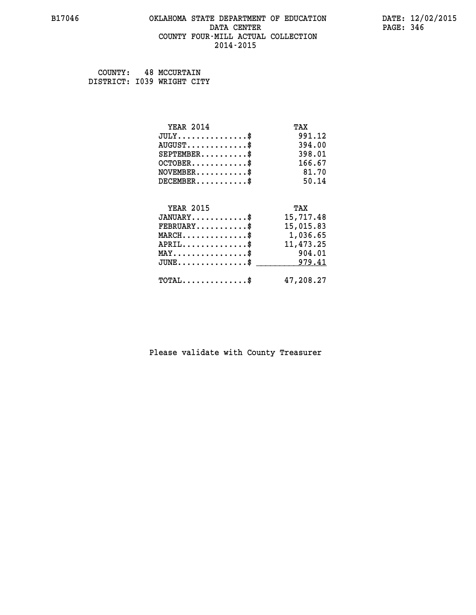#### **B17046 OKLAHOMA STATE DEPARTMENT OF EDUCATION DATE: 12/02/2015 DATA CENTER** PAGE: 346  **COUNTY FOUR-MILL ACTUAL COLLECTION 2014-2015**

 **COUNTY: 48 MCCURTAIN DISTRICT: I039 WRIGHT CITY**

| <b>YEAR 2014</b>                           | TAX       |
|--------------------------------------------|-----------|
| $JULY$ \$                                  | 991.12    |
| $AUGUST$ \$                                | 394.00    |
| $SEPTEMBER$ \$                             | 398.01    |
| $OCTOBER$ \$                               | 166.67    |
| $NOVEMBER$ \$                              | 81.70     |
| $DECEMBER$ \$                              | 50.14     |
|                                            |           |
| <b>YEAR 2015</b>                           | TAX       |
| $JANUARY$ \$                               | 15,717.48 |
| $FEBRUARY$                                 | 15,015.83 |
| $MARCH$ \$                                 | 1,036.65  |
| $APRIL$ \$                                 | 11,473.25 |
| $MAX \dots \dots \dots \dots \dots$        | 904.01    |
| $JUNE$                                     | 979.41    |
| $\texttt{TOTAL} \dots \dots \dots \dots \$ | 47,208.27 |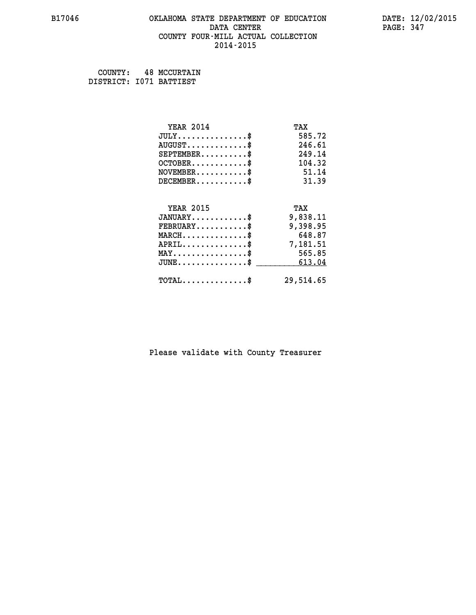#### **B17046 OKLAHOMA STATE DEPARTMENT OF EDUCATION DATE: 12/02/2015 DATA CENTER** PAGE: 347  **COUNTY FOUR-MILL ACTUAL COLLECTION 2014-2015**

 **COUNTY: 48 MCCURTAIN DISTRICT: I071 BATTIEST**

| <b>YEAR 2014</b>                               | TAX       |
|------------------------------------------------|-----------|
| $JULY$ \$                                      | 585.72    |
| $AUGUST$ \$                                    | 246.61    |
| $SEPTEMBER$ \$                                 | 249.14    |
| $OCTOBER$ \$                                   | 104.32    |
| $NOVEMBER$ \$                                  | 51.14     |
| $DECEMBER$ \$                                  | 31.39     |
|                                                |           |
| <b>YEAR 2015</b>                               | TAX       |
| $JANUARY$ \$                                   | 9,838.11  |
| $FEBRUARY$                                     | 9,398.95  |
| $MARCH$ \$                                     | 648.87    |
| $APRIL$ \$                                     | 7,181.51  |
| $\texttt{MAX} \dots \dots \dots \dots \dots \$ | 565.85    |
| $JUNE$ \$                                      | 613.04    |
| $\texttt{TOTAL} \dots \dots \dots \dots \$     | 29,514.65 |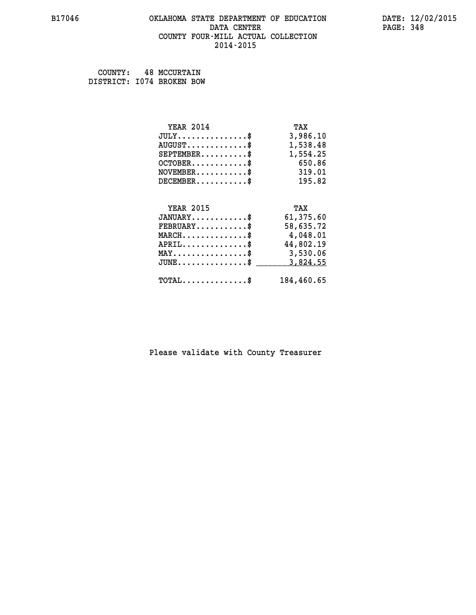#### **B17046 OKLAHOMA STATE DEPARTMENT OF EDUCATION DATE: 12/02/2015 DATA CENTER** PAGE: 348  **COUNTY FOUR-MILL ACTUAL COLLECTION 2014-2015**

 **COUNTY: 48 MCCURTAIN DISTRICT: I074 BROKEN BOW**

| <b>YEAR 2014</b>                               | TAX        |
|------------------------------------------------|------------|
| $JULY$ \$                                      | 3,986.10   |
| $AUGUST$ \$                                    | 1,538.48   |
| $SEPTEMBER$ \$                                 | 1,554.25   |
| $OCTOBER$ \$                                   | 650.86     |
| $\texttt{NOVEMBER} \dots \dots \dots \$        | 319.01     |
| $DECEMBER$ \$                                  | 195.82     |
|                                                |            |
| <b>YEAR 2015</b>                               | TAX        |
| $JANUARY$ \$                                   | 61,375.60  |
| $FEBRUARY$                                     | 58,635.72  |
| $\texttt{MARCH}\ldots\ldots\ldots\ldots\$      | 4,048.01   |
| $APRIL \ldots \ldots \ldots \ldots$            | 44,802.19  |
| $\texttt{MAX} \dots \dots \dots \dots \dots \$ | 3,530.06   |
| $JUNE$ \$                                      | 3,824.55   |
| $\texttt{TOTAL} \dots \dots \dots \dots \$     | 184,460.65 |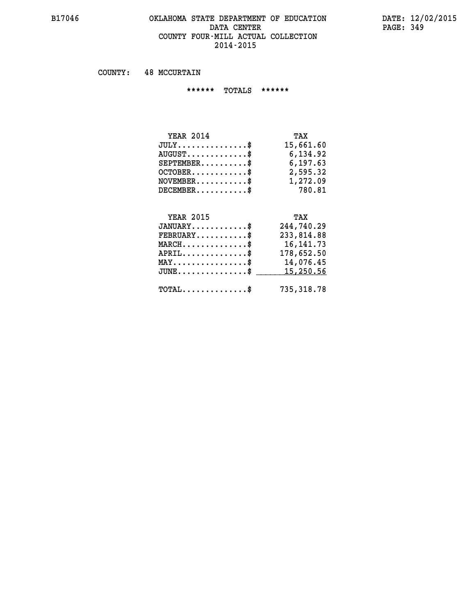## **B17046 OKLAHOMA STATE DEPARTMENT OF EDUCATION DATE: 12/02/2015** DATA CENTER PAGE: 349  **COUNTY FOUR-MILL ACTUAL COLLECTION 2014-2015**

 **COUNTY: 48 MCCURTAIN**

 **\*\*\*\*\*\* TOTALS \*\*\*\*\*\***

| <b>YEAR 2014</b>                 | TAX       |
|----------------------------------|-----------|
| $JULY$                           | 15,661.60 |
| $AUGUST \ldots \ldots \ldots$ \$ | 6,134.92  |
| $SEPTEMBER$ $\$                  | 6,197.63  |
| $OCTOBER$ $\$                    | 2,595.32  |
| $NOVEMBER$ \$                    | 1,272.09  |
| $DECEMBER$ \$                    | 780.81    |

## **YEAR 2015 TAX**

| $JANUARY$                                       | 244,740.29  |
|-------------------------------------------------|-------------|
| $\texttt{FEBRUARY} \dots \dots \dots \$         | 233,814.88  |
| $MARCH$ \$                                      | 16, 141. 73 |
| $APRIL$                                         | 178,652.50  |
| $MAX \dots \dots \dots \dots \dots$             | 14,076.45   |
| $JUNE \ldots \ldots \ldots \ldots$ \$ 15,250.56 |             |
| $\texttt{TOTAL} \dots \dots \dots \dots \dots$  | 735,318.78  |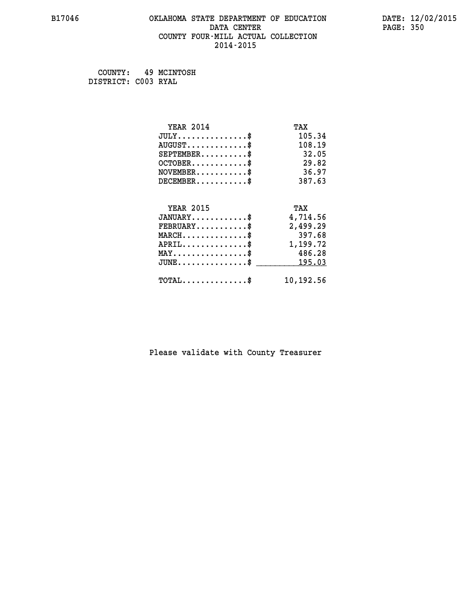## **B17046 OKLAHOMA STATE DEPARTMENT OF EDUCATION DATE: 12/02/2015 DATA CENTER** PAGE: 350  **COUNTY FOUR-MILL ACTUAL COLLECTION 2014-2015**

 **COUNTY: 49 MCINTOSH DISTRICT: C003 RYAL**

| <b>YEAR 2014</b>                                 | TAX       |
|--------------------------------------------------|-----------|
| $JULY$ \$                                        | 105.34    |
| $AUGUST$ \$                                      | 108.19    |
| $SEPTEMBER$ \$                                   | 32.05     |
| $OCTOBER$ \$                                     | 29.82     |
| $NOVEMBER$ \$                                    | 36.97     |
| $DECEMBER$ \$                                    | 387.63    |
|                                                  |           |
| <b>YEAR 2015</b>                                 | TAX       |
| $JANUARY$                                        | 4,714.56  |
| $FEBRUARY$                                       | 2,499.29  |
| $MARCH$ \$                                       | 397.68    |
| $APRIL \ldots \ldots \ldots \ldots \$            | 1,199.72  |
| $MAX \dots \dots \dots \dots \dots$              | 486.28    |
| $\texttt{JUNE} \dots \dots \dots \dots \dots \$$ | 195.03    |
| $\texttt{TOTAL} \dots \dots \dots \dots$         | 10,192.56 |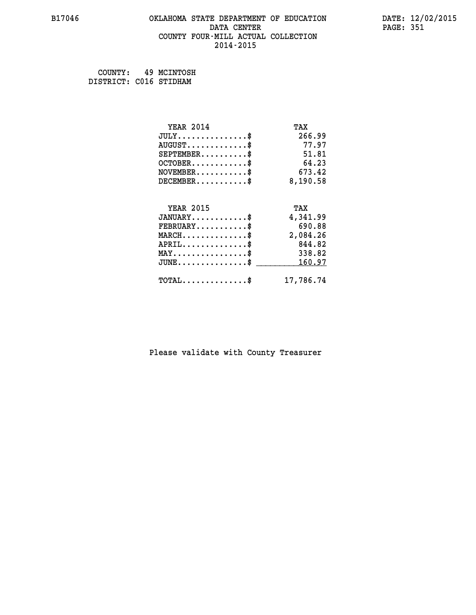#### **B17046 OKLAHOMA STATE DEPARTMENT OF EDUCATION DATE: 12/02/2015 DATA CENTER** PAGE: 351  **COUNTY FOUR-MILL ACTUAL COLLECTION 2014-2015**

| COUNTY:                | 49 MCINTOSH |
|------------------------|-------------|
| DISTRICT: C016 STIDHAM |             |

| <b>YEAR 2014</b>                | TAX       |
|---------------------------------|-----------|
| $JULY$ \$                       | 266.99    |
| $AUGUST$ \$                     | 77.97     |
| $SEPTEMBER$ \$                  | 51.81     |
| $OCTOBER$ \$                    | 64.23     |
| $NOVEMBER$ \$                   | 673.42    |
| $DECEMBER$ \$                   | 8,190.58  |
| <b>YEAR 2015</b>                | TAX       |
| $JANUARY$ \$                    | 4,341.99  |
| $FEBRUARY$ \$                   | 690.88    |
| $MARCH$ \$                      | 2,084.26  |
|                                 | 844.82    |
| $APRIL$ \$                      |           |
| $MAX \dots \dots \dots \dots \$ | 338.82    |
| $JUNE$                          | 160.97    |
| $TOTAL$ \$                      | 17,786.74 |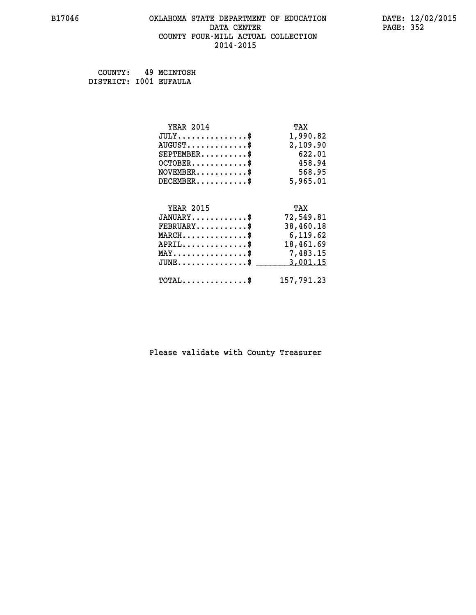## **B17046 OKLAHOMA STATE DEPARTMENT OF EDUCATION DATE: 12/02/2015 DATA CENTER** PAGE: 352  **COUNTY FOUR-MILL ACTUAL COLLECTION 2014-2015**

 **COUNTY: 49 MCINTOSH DISTRICT: I001 EUFAULA**

| <b>YEAR 2014</b>                               | TAX        |
|------------------------------------------------|------------|
| $JULY$ \$                                      | 1,990.82   |
| $AUGUST$ \$                                    | 2,109.90   |
| $SEPTEMBER$ \$                                 | 622.01     |
| $OCTOBER$ \$                                   | 458.94     |
| $NOVEMBER$ \$                                  | 568.95     |
| $DECEMBER$ \$                                  | 5,965.01   |
|                                                |            |
| <b>YEAR 2015</b>                               | TAX        |
| $JANUARY$                                      | 72,549.81  |
| $FEBRUARY$                                     | 38,460.18  |
| $MARCH$ \$                                     | 6,119.62   |
| $APRIL$ \$                                     | 18,461.69  |
| $\texttt{MAX} \dots \dots \dots \dots \dots \$ | 7,483.15   |
| $JUNE$ \$                                      | 3,001.15   |
| $\texttt{TOTAL} \dots \dots \dots \dots \$     | 157,791.23 |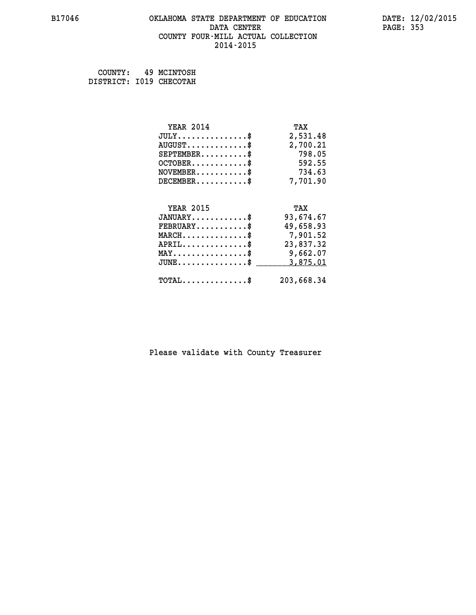#### **B17046 OKLAHOMA STATE DEPARTMENT OF EDUCATION DATE: 12/02/2015 DATA CENTER** PAGE: 353  **COUNTY FOUR-MILL ACTUAL COLLECTION 2014-2015**

 **COUNTY: 49 MCINTOSH DISTRICT: I019 CHECOTAH**

| <b>YEAR 2014</b>                                  | TAX        |
|---------------------------------------------------|------------|
| $JULY$ \$                                         | 2,531.48   |
| $AUGUST$ \$                                       | 2,700.21   |
| $SEPTEMBER$ \$                                    | 798.05     |
| $OCTOBER$ \$                                      | 592.55     |
| $\texttt{NOVEMBER} \dots \dots \dots \$           | 734.63     |
| $DECEMBER$ \$                                     | 7,701.90   |
|                                                   |            |
| <b>YEAR 2015</b>                                  | TAX        |
| $JANUARY$ \$                                      | 93,674.67  |
| $FEBRUARY$ \$                                     | 49,658.93  |
| $\texttt{MARCH}\ldots\ldots\ldots\ldots\clubsuit$ | 7,901.52   |
| $APRIL$ \$                                        | 23,837.32  |
| $\texttt{MAX} \dots \dots \dots \dots \dots \$    | 9,662.07   |
| $JUNE$ \$                                         | 3,875.01   |
| $\texttt{TOTAL} \dots \dots \dots \dots \$        | 203,668.34 |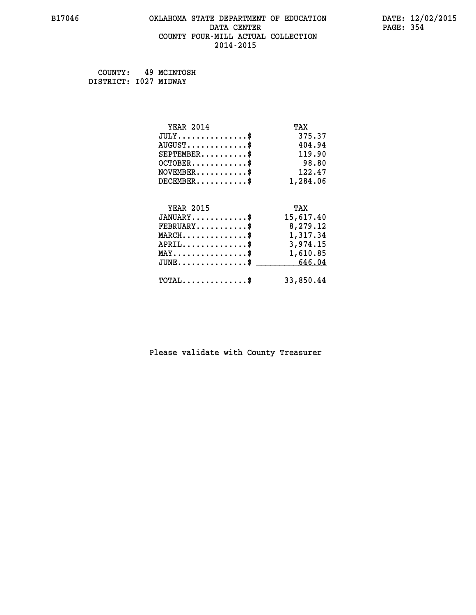## **B17046 OKLAHOMA STATE DEPARTMENT OF EDUCATION DATE: 12/02/2015 DATA CENTER** PAGE: 354  **COUNTY FOUR-MILL ACTUAL COLLECTION 2014-2015**

 **COUNTY: 49 MCINTOSH DISTRICT: I027 MIDWAY**

| <b>YEAR 2014</b>                               | TAX       |
|------------------------------------------------|-----------|
| $JULY$ \$                                      | 375.37    |
| $AUGUST$ \$                                    | 404.94    |
| $SEPTEMBER$ \$                                 | 119.90    |
| $OCTOBER$ \$                                   | 98.80     |
| $\texttt{NOVEMBER} \dots \dots \dots \$        | 122.47    |
| $DECEMBER$ \$                                  | 1,284.06  |
|                                                |           |
| <b>YEAR 2015</b>                               | TAX       |
| $JANUARY$ \$                                   | 15,617.40 |
| $FEBRUARY$                                     | 8,279.12  |
| $\texttt{MARCH} \dots \dots \dots \dots \$$    | 1,317.34  |
| $APRIL \ldots \ldots \ldots \ldots \$          | 3,974.15  |
| $\texttt{MAX} \dots \dots \dots \dots \dots \$ | 1,610.85  |
| $JUNE$ \$                                      | 646.04    |
| $\texttt{TOTAL} \dots \dots \dots \dots \$     | 33,850.44 |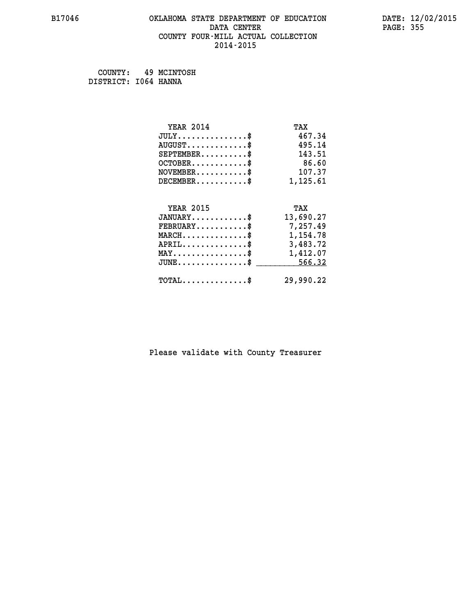## **B17046 OKLAHOMA STATE DEPARTMENT OF EDUCATION DATE: 12/02/2015 DATA CENTER** PAGE: 355  **COUNTY FOUR-MILL ACTUAL COLLECTION 2014-2015**

 **COUNTY: 49 MCINTOSH DISTRICT: I064 HANNA**

| <b>YEAR 2014</b>                                 | TAX       |
|--------------------------------------------------|-----------|
| $JULY$ \$                                        | 467.34    |
| $AUGUST$ \$                                      | 495.14    |
| $SEPTEMBER$ \$                                   | 143.51    |
| $OCTOBER$ \$                                     | 86.60     |
| $\texttt{NOVEMBER} \dots \dots \dots \$          | 107.37    |
| $DECEMBER$ \$                                    | 1,125.61  |
|                                                  |           |
| <b>YEAR 2015</b>                                 | TAX       |
| $JANUARY$ \$                                     | 13,690.27 |
| $FEBRUARY$                                       | 7,257.49  |
| $\texttt{MARCH}\ldots\ldots\ldots\ldots\text{*}$ | 1,154.78  |
| $APRIL \ldots \ldots \ldots \ldots \$            | 3,483.72  |
| $\texttt{MAX} \dots \dots \dots \dots \dots \$   | 1,412.07  |
| $JUNE \ldots \ldots \ldots \ldots \ast$          | 566.32    |
| $\texttt{TOTAL} \dots \dots \dots \dots \$       | 29,990.22 |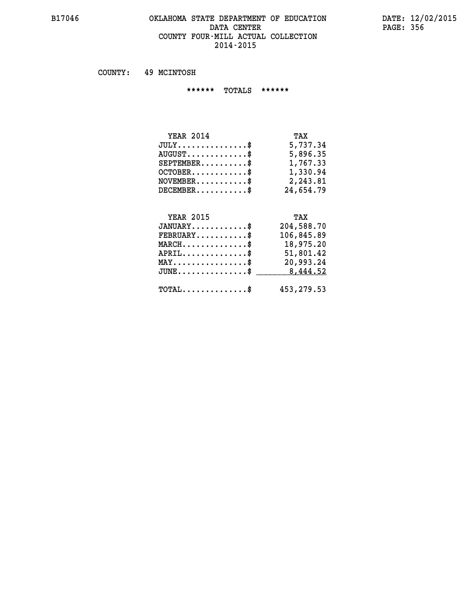#### **B17046 OKLAHOMA STATE DEPARTMENT OF EDUCATION DATE: 12/02/2015 DATA CENTER PAGE: 356 COUNTY FOUR-MILL ACTUAL COLLECTION 2014-2015**

 **COUNTY: 49 MCINTOSH**

 **\*\*\*\*\*\* TOTALS \*\*\*\*\*\***

| <b>YEAR 2014</b>                 | TAX       |
|----------------------------------|-----------|
| $JULY$                           | 5,737.34  |
| $AUGUST \ldots \ldots \ldots$ \$ | 5,896.35  |
| $SEPTEMBER$                      | 1,767.33  |
| $OCTOBER$ \$                     | 1,330.94  |
| $NOVEMBER$ \$                    | 2,243.81  |
| $DECEMBER$                       | 24,654.79 |

## **YEAR 2015 TAX JANUARY............\$ 204,588.70 FEBRUARY...........\$ 106,845.89 MARCH..............\$ 18,975.20 APRIL..............\$ 51,801.42 MAY................\$ 20,993.24 JUNE................\$** \_\_\_\_\_\_\_\_\_ 8,444.52  **TOTAL..............\$ 453,279.53**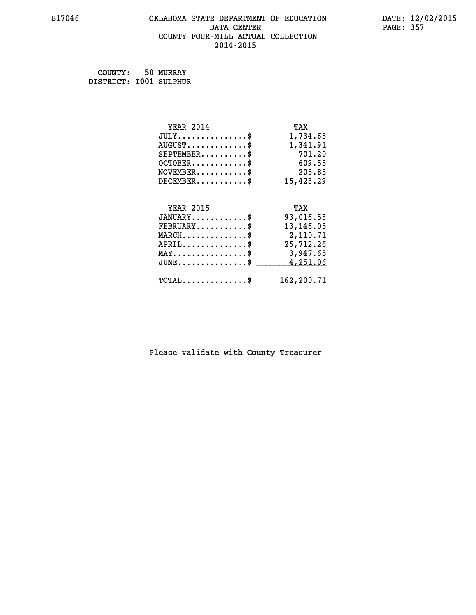#### **B17046 OKLAHOMA STATE DEPARTMENT OF EDUCATION DATE: 12/02/2015 DATA CENTER** PAGE: 357  **COUNTY FOUR-MILL ACTUAL COLLECTION 2014-2015**

| COUNTY:                | 50 MURRAY |
|------------------------|-----------|
| DISTRICT: 1001 SULPHUR |           |

| <b>YEAR 2014</b>                                | TAX        |
|-------------------------------------------------|------------|
| $JULY$ \$                                       | 1,734.65   |
| $AUGUST$ \$                                     | 1,341.91   |
| $SEPTEMBER$ \$                                  | 701.20     |
| $OCTOBER$ \$                                    | 609.55     |
| $NOVEMBER.$ \$                                  | 205.85     |
| $DECEMBER$ \$                                   | 15,423.29  |
|                                                 |            |
| <b>YEAR 2015</b>                                | TAX        |
| $JANUARY$ \$                                    | 93,016.53  |
| $FEBRUARY$ \$                                   | 13, 146.05 |
| $\texttt{MARCH}\ldots\ldots\ldots\ldots\cdots\$ | 2,110.71   |
| $APRIL$ \$                                      | 25,712.26  |
| $\texttt{MAX} \dots \dots \dots \dots \dots \$  | 3,947.65   |
| $JUNE$ \$                                       | 4,251.06   |
| $\texttt{TOTAL} \dots \dots \dots \dots$ \$     | 162,200.71 |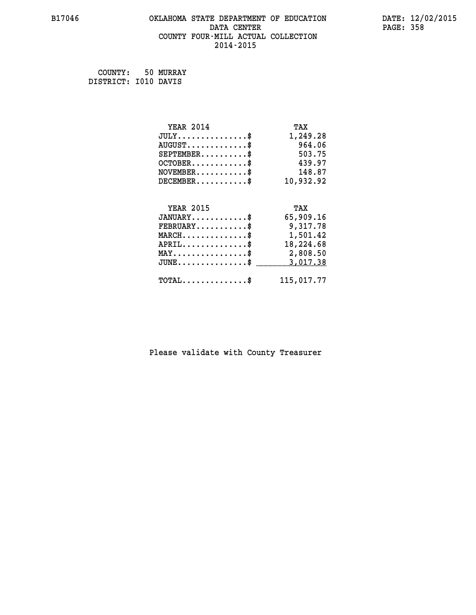## **B17046 OKLAHOMA STATE DEPARTMENT OF EDUCATION DATE: 12/02/2015 DATA CENTER** PAGE: 358  **COUNTY FOUR-MILL ACTUAL COLLECTION 2014-2015**

 **COUNTY: 50 MURRAY DISTRICT: I010 DAVIS**

| <b>YEAR 2014</b>                               | TAX        |
|------------------------------------------------|------------|
| $JULY$ \$                                      | 1,249.28   |
| $AUGUST$ \$                                    | 964.06     |
| $SEPTEMBER$ \$                                 | 503.75     |
| $OCTOBER$ \$                                   | 439.97     |
| $\texttt{NOVEMBER} \dots \dots \dots \$        | 148.87     |
| $DECEMBER$ \$                                  | 10,932.92  |
|                                                |            |
| <b>YEAR 2015</b>                               | TAX        |
| $JANUARY$ \$                                   | 65,909.16  |
| $FEBRUARY$                                     | 9,317.78   |
| $\texttt{MARCH}\ldots\ldots\ldots\ldots\$      | 1,501.42   |
| $APRIL \ldots \ldots \ldots \ldots$            | 18,224.68  |
| $\texttt{MAX} \dots \dots \dots \dots \dots \$ | 2,808.50   |
| $JUNE$ \$                                      | 3,017.38   |
| $\texttt{TOTAL} \dots \dots \dots \dots \$     | 115,017.77 |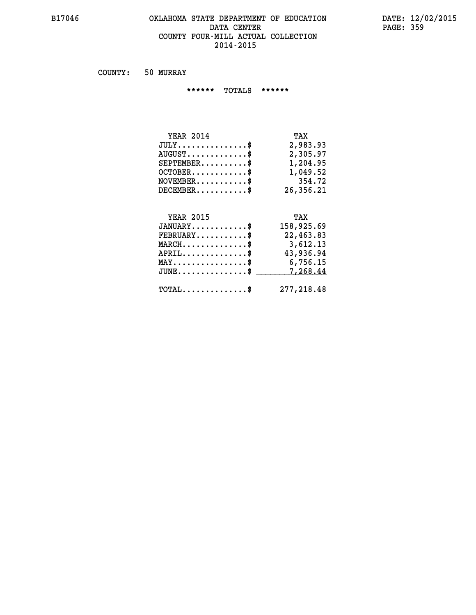#### **B17046 OKLAHOMA STATE DEPARTMENT OF EDUCATION DATE: 12/02/2015** DATA CENTER PAGE: 359  **COUNTY FOUR-MILL ACTUAL COLLECTION 2014-2015**

 **COUNTY: 50 MURRAY**

 **\*\*\*\*\*\* TOTALS \*\*\*\*\*\***

| <b>YEAR 2014</b>                     | TAX       |
|--------------------------------------|-----------|
| $JULY \ldots \ldots \ldots \ldots \$ | 2,983.93  |
| $AUGUST$ \$                          | 2,305.97  |
| $SEPTEMBER$                          | 1,204.95  |
| $OCTOBER$ $\frac{1}{2}$              | 1,049.52  |
| $NOVEMENTER$ \$                      | 354.72    |
| $DECEMBER$ \$                        | 26,356.21 |

## **YEAR 2015 TAX JANUARY............\$ 158,925.69 FEBRUARY...........\$ 22,463.83 MARCH..............\$ 3,612.13 APRIL..............\$ 43,936.94 MAY................\$ 6,756.15 JUNE................\$** <u>7,268.44</u>

 **TOTAL..............\$ 277,218.48**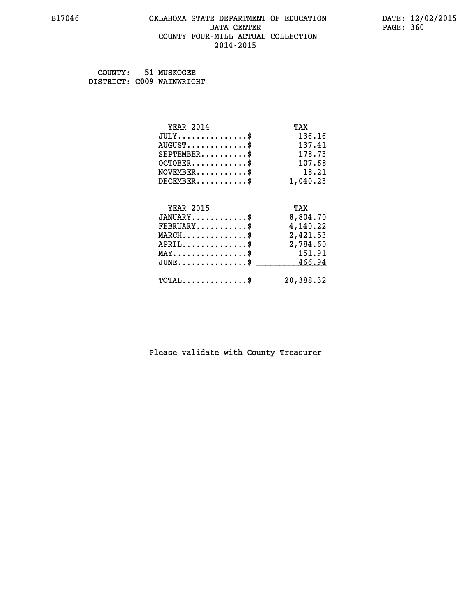## **B17046 OKLAHOMA STATE DEPARTMENT OF EDUCATION DATE: 12/02/2015 DATA CENTER PAGE: 360 COUNTY FOUR-MILL ACTUAL COLLECTION 2014-2015**

 **COUNTY: 51 MUSKOGEE DISTRICT: C009 WAINWRIGHT**

| <b>YEAR 2014</b>                                 | TAX       |
|--------------------------------------------------|-----------|
| $JULY$ \$                                        | 136.16    |
| $AUGUST$ \$                                      | 137.41    |
| $SEPTEMBER$ \$                                   | 178.73    |
| $OCTOBER$ \$                                     | 107.68    |
| $\texttt{NOVEMBER} \dots \dots \dots \$          | 18.21     |
| $DECEMBER$ \$                                    | 1,040.23  |
|                                                  |           |
| <b>YEAR 2015</b>                                 | TAX       |
| $JANUARY$                                        | 8,804.70  |
| $FEBRUARY$                                       | 4,140.22  |
| $\texttt{MARCH}\ldots\ldots\ldots\ldots\text{*}$ | 2,421.53  |
| $APRIL \ldots \ldots \ldots \ldots$              | 2,784.60  |
| $\texttt{MAX} \dots \dots \dots \dots \dots \$   | 151.91    |
| $\texttt{JUNE} \dots \dots \dots \dots \dots \$$ | 466.94    |
| $\texttt{TOTAL} \dots \dots \dots \dots \$       | 20,388.32 |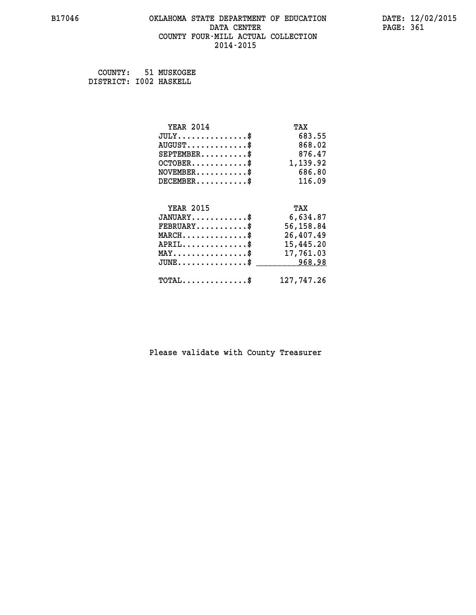### **B17046 OKLAHOMA STATE DEPARTMENT OF EDUCATION DATE: 12/02/2015 DATA CENTER** PAGE: 361  **COUNTY FOUR-MILL ACTUAL COLLECTION 2014-2015**

 **COUNTY: 51 MUSKOGEE DISTRICT: I002 HASKELL**

| <b>YEAR 2014</b>                                 | TAX        |
|--------------------------------------------------|------------|
| $JULY$ \$                                        | 683.55     |
| $AUGUST$ \$                                      | 868.02     |
| $SEPTEMBER$ \$                                   | 876.47     |
| $OCTOBER.$ $$$                                   | 1,139.92   |
| $NOVEMBER.$ \$                                   | 686.80     |
| $DECEMBER$ \$                                    | 116.09     |
|                                                  |            |
| <b>YEAR 2015</b>                                 | TAX        |
| $JANUARY$ \$                                     | 6,634.87   |
| $FEBRUARY$                                       | 56,158.84  |
| $MARCH \ldots \ldots \ldots \ldots \$            | 26,407.49  |
| $APRIL \ldots \ldots \ldots \ldots$              | 15,445.20  |
| $\texttt{MAX} \dots \dots \dots \dots \dots \$   | 17,761.03  |
| $\texttt{JUNE} \dots \dots \dots \dots \dots \$$ | 968.98     |
| $\texttt{TOTAL} \dots \dots \dots \dots$ \$      | 127,747.26 |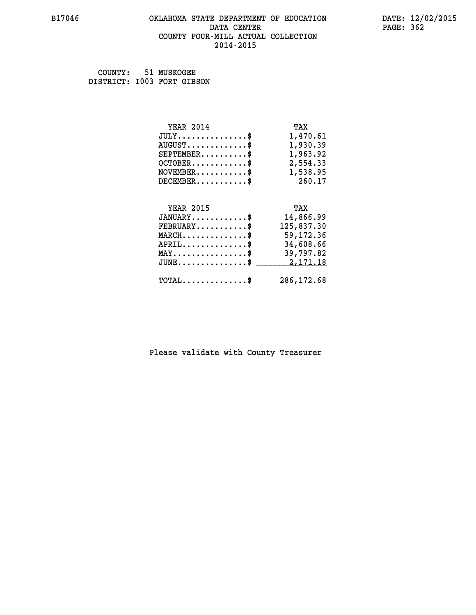### **B17046 OKLAHOMA STATE DEPARTMENT OF EDUCATION DATE: 12/02/2015 DATA CENTER** PAGE: 362  **COUNTY FOUR-MILL ACTUAL COLLECTION 2014-2015**

 **COUNTY: 51 MUSKOGEE DISTRICT: I003 FORT GIBSON**

| <b>YEAR 2014</b>                                 | TAX        |
|--------------------------------------------------|------------|
| $JULY$ \$                                        | 1,470.61   |
| $AUGUST$ \$                                      | 1,930.39   |
| $SEPTEMBER$ \$                                   | 1,963.92   |
| $OCTOBER$ \$                                     | 2,554.33   |
| $NOVEMBER.$ \$                                   | 1,538.95   |
| $DECEMBER$ \$                                    | 260.17     |
|                                                  |            |
| <b>YEAR 2015</b>                                 | TAX        |
| $JANUARY$ \$                                     | 14,866.99  |
| $FEBRUARY$ \$                                    | 125,837.30 |
| $MARCH$ \$                                       | 59,172.36  |
| $APRIL \ldots \ldots \ldots$ \$                  | 34,608.66  |
| $\texttt{MAX} \dots \dots \dots \dots \dots \$   | 39,797.82  |
| $\texttt{JUNE} \dots \dots \dots \dots \dots \$$ | 2,171.18   |
| $\texttt{TOTAL} \dots \dots \dots \dots \$       | 286,172.68 |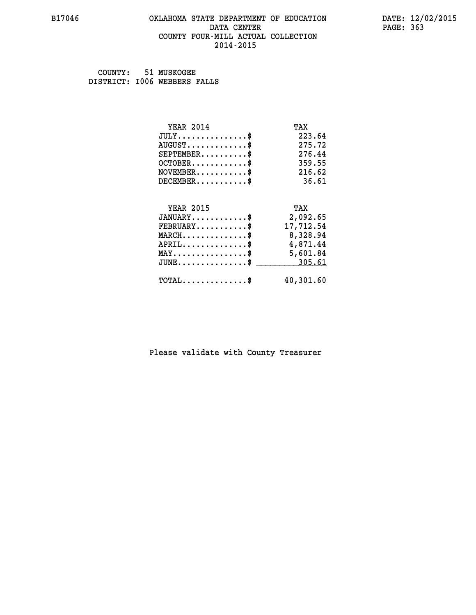### **B17046 OKLAHOMA STATE DEPARTMENT OF EDUCATION DATE: 12/02/2015 DATA CENTER** PAGE: 363  **COUNTY FOUR-MILL ACTUAL COLLECTION 2014-2015**

 **COUNTY: 51 MUSKOGEE DISTRICT: I006 WEBBERS FALLS**

| <b>YEAR 2014</b>                                 | TAX       |
|--------------------------------------------------|-----------|
| $JULY$ \$                                        | 223.64    |
| $AUGUST$ \$                                      | 275.72    |
| $SEPTEMBER$ \$                                   | 276.44    |
| $OCTOBER$ \$                                     | 359.55    |
| $\texttt{NOVEMBER} \dots \dots \dots \$          | 216.62    |
| $DECEMBER$ \$                                    | 36.61     |
|                                                  |           |
| <b>YEAR 2015</b>                                 | TAX       |
| $JANUARY$                                        | 2,092.65  |
| $FEBRUARY$                                       | 17,712.54 |
| $MARCH$ \$                                       | 8,328.94  |
| $APRIL \ldots \ldots \ldots \ldots \$            | 4,871.44  |
| $\texttt{MAX} \dots \dots \dots \dots \dots \$   | 5,601.84  |
| $\texttt{JUNE} \dots \dots \dots \dots \dots \$$ | 305.61    |
| $\texttt{TOTAL} \dots \dots \dots \dots \$       | 40,301.60 |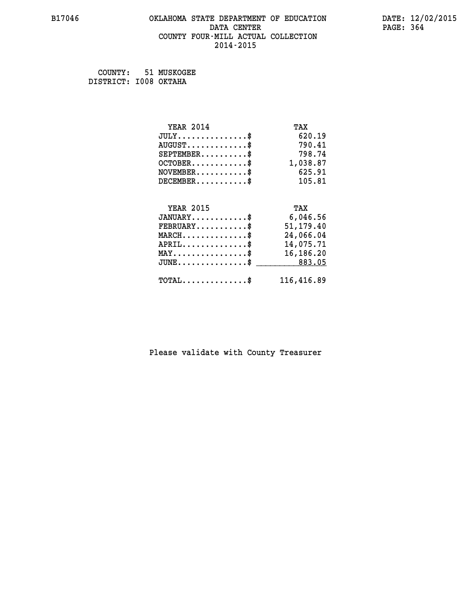## **B17046 OKLAHOMA STATE DEPARTMENT OF EDUCATION DATE: 12/02/2015 DATA CENTER** PAGE: 364  **COUNTY FOUR-MILL ACTUAL COLLECTION 2014-2015**

 **COUNTY: 51 MUSKOGEE DISTRICT: I008 OKTAHA**

| <b>YEAR 2014</b>                               | TAX        |
|------------------------------------------------|------------|
| $JULY$ \$                                      | 620.19     |
| $AUGUST$ \$                                    | 790.41     |
| $SEPTEMBER$ \$                                 | 798.74     |
| $OCTOBER$ \$                                   | 1,038.87   |
| $NOVEMBER.$ \$                                 | 625.91     |
| $DECEMBER$ \$                                  | 105.81     |
|                                                |            |
| <b>YEAR 2015</b>                               | TAX        |
| $JANUARY$ \$                                   | 6,046.56   |
| $FEBRUARY$ \$                                  | 51, 179.40 |
| $MARCH \ldots \ldots \ldots \ldots \$          | 24,066.04  |
| $APRIL \ldots \ldots \ldots \ldots \$          | 14,075.71  |
| $\texttt{MAX} \dots \dots \dots \dots \dots \$ | 16,186.20  |
| $JUNE$ \$                                      | 883.05     |
| $TOTAL$ \$                                     | 116,416.89 |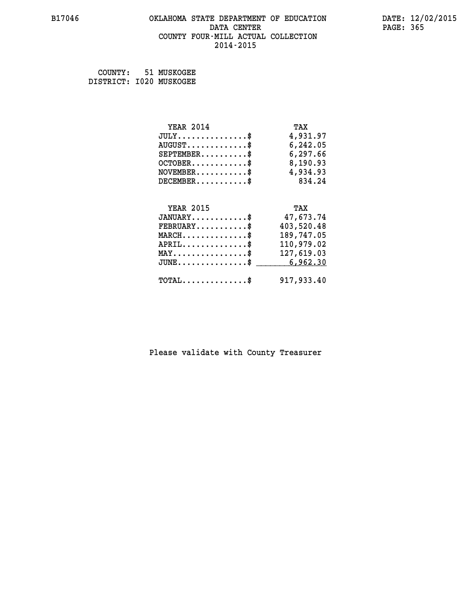### **B17046 OKLAHOMA STATE DEPARTMENT OF EDUCATION DATE: 12/02/2015 DATA CENTER** PAGE: 365  **COUNTY FOUR-MILL ACTUAL COLLECTION 2014-2015**

 **COUNTY: 51 MUSKOGEE DISTRICT: I020 MUSKOGEE**

| <b>YEAR 2014</b>                                | TAX        |
|-------------------------------------------------|------------|
| $JULY$ \$                                       | 4,931.97   |
| $AUGUST$ \$                                     | 6,242.05   |
| $SEPTEMBER$ \$                                  | 6,297.66   |
| $OCTOBER$ \$                                    | 8,190.93   |
| $NOVEMBER.$ \$                                  | 4,934.93   |
| $DECEMBER$ \$                                   | 834.24     |
|                                                 |            |
| <b>YEAR 2015</b>                                | TAX        |
| $JANUARY$ \$                                    | 47,673.74  |
| $FEBRUARY$ \$                                   | 403,520.48 |
| $\texttt{MARCH}\ldots\ldots\ldots\ldots\cdots\$ | 189,747.05 |
| $APRIL \ldots \ldots \ldots \ldots$             | 110,979.02 |
| $\texttt{MAX} \dots \dots \dots \dots \dots \$  | 127,619.03 |
| $JUNE$ \$                                       | 6,962.30   |
| $\texttt{TOTAL} \dots \dots \dots \dots$ \$     | 917,933.40 |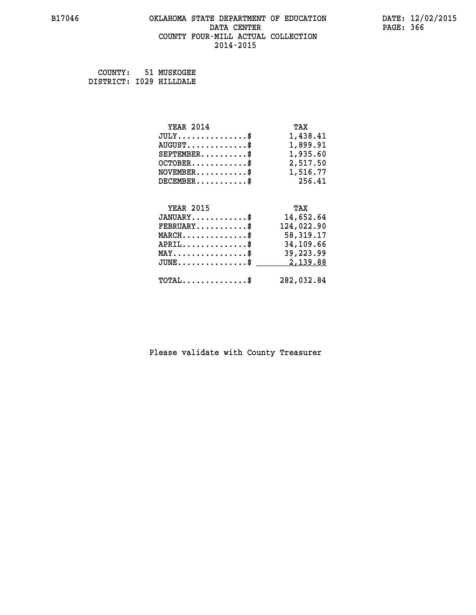### **B17046 OKLAHOMA STATE DEPARTMENT OF EDUCATION DATE: 12/02/2015 DATA CENTER** PAGE: 366  **COUNTY FOUR-MILL ACTUAL COLLECTION 2014-2015**

 **COUNTY: 51 MUSKOGEE DISTRICT: I029 HILLDALE**

| <b>YEAR 2014</b>                                | TAX        |
|-------------------------------------------------|------------|
| $JULY$ \$                                       | 1,438.41   |
| $AUGUST$ \$                                     | 1,899.91   |
| $SEPTEMBER$ \$                                  | 1,935.60   |
| $OCTOBER$ \$                                    | 2,517.50   |
| $NOVEMBER.$ \$                                  | 1,516.77   |
| $DECEMBER$ \$                                   | 256.41     |
|                                                 |            |
| <b>YEAR 2015</b>                                | TAX        |
| $JANUARY$ \$                                    | 14,652.64  |
| $FEBRUARY$ \$                                   | 124,022.90 |
| $MARCH$ \$                                      | 58,319.17  |
| $APRIL$ \$                                      | 34,109.66  |
| $\texttt{MAX} \dots \dots \dots \dots \dots \$  | 39,223.99  |
| $J\texttt{UNE} \dots \dots \dots \dots \dots \$ | 2,139.88   |
| $\texttt{TOTAL} \dots \dots \dots \dots$        | 282,032.84 |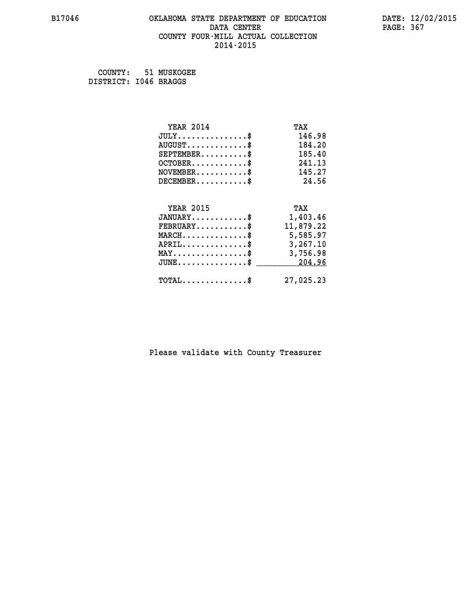## **B17046 OKLAHOMA STATE DEPARTMENT OF EDUCATION DATE: 12/02/2015 DATA CENTER** PAGE: 367  **COUNTY FOUR-MILL ACTUAL COLLECTION 2014-2015**

 **COUNTY: 51 MUSKOGEE DISTRICT: I046 BRAGGS**

| <b>YEAR 2014</b>                                 | TAX       |
|--------------------------------------------------|-----------|
| $JULY$ \$                                        | 146.98    |
| $AUGUST$ \$                                      | 184.20    |
| $SEPTEMBER$ \$                                   | 185.40    |
| $OCTOBER$ \$                                     | 241.13    |
| $\texttt{NOVEMBER} \dots \dots \dots \$          | 145.27    |
| $DECEMBER$ \$                                    | 24.56     |
|                                                  |           |
| <b>YEAR 2015</b>                                 | TAX       |
| $JANUARY$ \$                                     | 1,403.46  |
| $FEBRUARY$ \$                                    | 11,879.22 |
| $\texttt{MARCH}\ldots\ldots\ldots\ldots\text{*}$ | 5,585.97  |
| $APRIL \ldots \ldots \ldots \ldots \$            | 3,267.10  |
| $\texttt{MAX} \dots \dots \dots \dots \dots \$$  | 3,756.98  |
| $\texttt{JUNE} \dots \dots \dots \dots \dots \$$ | 204.96    |
| $\texttt{TOTAL} \dots \dots \dots \dots \$       | 27,025.23 |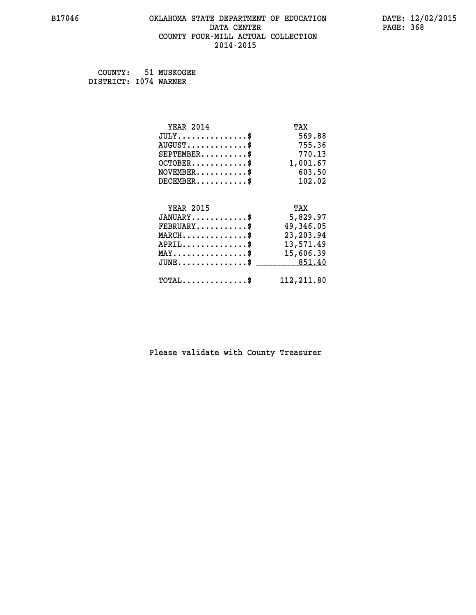## **B17046 OKLAHOMA STATE DEPARTMENT OF EDUCATION DATE: 12/02/2015 DATA CENTER** PAGE: 368  **COUNTY FOUR-MILL ACTUAL COLLECTION 2014-2015**

 **COUNTY: 51 MUSKOGEE DISTRICT: I074 WARNER**

| <b>YEAR 2014</b>                                   | TAX        |
|----------------------------------------------------|------------|
| $JULY$ \$                                          | 569.88     |
| $AUGUST$ \$                                        | 755.36     |
| $SEPTEMBER$ \$                                     | 770.13     |
| $OCTOBER.$ \$                                      | 1,001.67   |
| $NOVEMBER.$ \$                                     | 603.50     |
| $DECEMBER$ \$                                      | 102.02     |
|                                                    |            |
| <b>YEAR 2015</b>                                   | TAX        |
| $JANUARY$ \$                                       | 5,829.97   |
| $FEBRUARY$ \$                                      | 49,346.05  |
| $\texttt{MARCH}\ldots\ldots\ldots\ldots\text{*}$   | 23, 203.94 |
| $APRIL$ \$                                         | 13,571.49  |
| $\texttt{MAX} \dots \dots \dots \dots \dots \$     | 15,606.39  |
| $\texttt{JUNE} \dots \dots \dots \dots \texttt{S}$ | 851.40     |
| $\texttt{TOTAL} \dots \dots \dots \dots$           | 112,211.80 |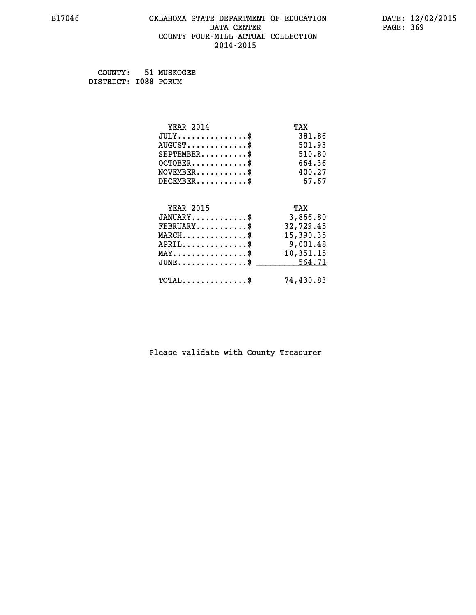## **B17046 OKLAHOMA STATE DEPARTMENT OF EDUCATION DATE: 12/02/2015 DATA CENTER** PAGE: 369  **COUNTY FOUR-MILL ACTUAL COLLECTION 2014-2015**

 **COUNTY: 51 MUSKOGEE DISTRICT: I088 PORUM**

| <b>YEAR 2014</b>                                   | TAX       |
|----------------------------------------------------|-----------|
| $JULY$ \$                                          | 381.86    |
| $AUGUST$ \$                                        | 501.93    |
| $SEPTEMBER$ \$                                     | 510.80    |
| $OCTOBER$ \$                                       | 664.36    |
| $NOVEMBER.$ \$                                     | 400.27    |
| $DECEMBER$ \$                                      | 67.67     |
|                                                    |           |
| <b>YEAR 2015</b>                                   | TAX       |
| $JANUARY$ \$                                       | 3,866.80  |
| $FEBRUARY$                                         | 32,729.45 |
| $MARCH \ldots \ldots \ldots \ldots \$              | 15,390.35 |
| $APRIL \ldots \ldots \ldots \ldots \$              | 9,001.48  |
| $\texttt{MAX} \dots \dots \dots \dots \dots \$     | 10,351.15 |
| $\texttt{JUNE} \dots \dots \dots \dots \texttt{S}$ | 564.71    |
| $\texttt{TOTAL} \dots \dots \dots \dots \$         | 74,430.83 |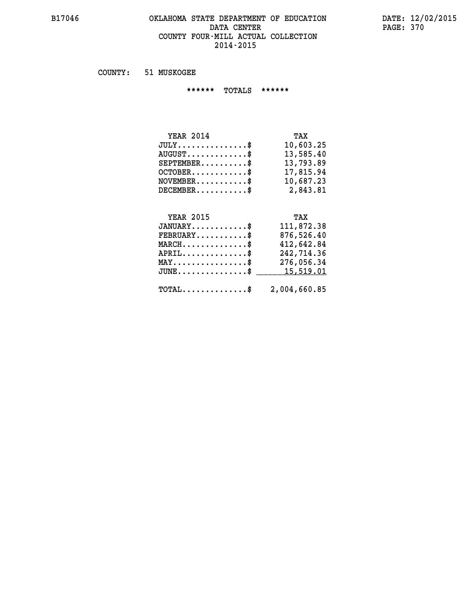## **B17046 OKLAHOMA STATE DEPARTMENT OF EDUCATION DATE: 12/02/2015 DATA CENTER PAGE: 370 COUNTY FOUR-MILL ACTUAL COLLECTION 2014-2015**

 **COUNTY: 51 MUSKOGEE**

 **\*\*\*\*\*\* TOTALS \*\*\*\*\*\***

| <b>YEAR 2014</b>                     | TAX       |
|--------------------------------------|-----------|
| $JULY \ldots \ldots \ldots \ldots \$ | 10,603.25 |
| $AUGUST$ \$                          | 13,585.40 |
| $SEPTEMBER$                          | 13,793.89 |
| $OCTOBER$ $\frac{1}{2}$              | 17,815.94 |
| $NOVEMBER$ \$                        | 10,687.23 |
| $DECEMBER$ \$                        | 2,843.81  |

## **YEAR 2015 TAX**

| $JANUARY$<br>$\texttt{FEBRUARY} \dots \dots \dots \$    | 111,872.38<br>876,526.40 |
|---------------------------------------------------------|--------------------------|
| $MARCH$ \$                                              | 412,642.84               |
| $APRIL$ \$                                              | 242,714.36               |
| $MAX \dots \dots \dots \dots \dots \$                   | 276,056.34               |
| JUNE\$ 15,519.01                                        |                          |
| $\texttt{TOTAL} \dots \dots \dots \dots \$ 2,004,660.85 |                          |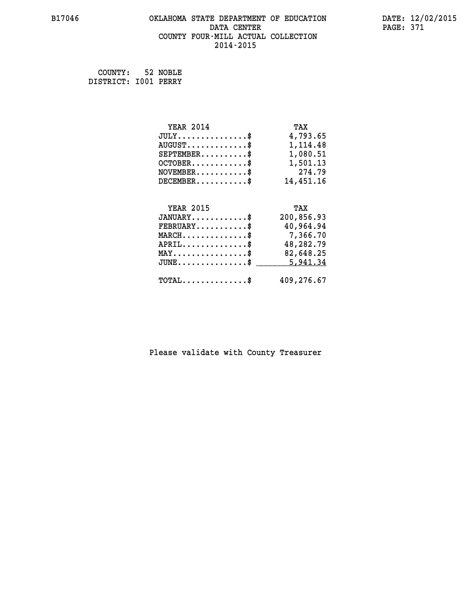## **B17046 OKLAHOMA STATE DEPARTMENT OF EDUCATION DATE: 12/02/2015 DATA CENTER PAGE: 371 COUNTY FOUR-MILL ACTUAL COLLECTION 2014-2015**

 **COUNTY: 52 NOBLE DISTRICT: I001 PERRY**

| <b>YEAR 2014</b>                               | TAX        |
|------------------------------------------------|------------|
| $JULY$ \$                                      | 4,793.65   |
| $AUGUST$ \$                                    | 1,114.48   |
| $SEPTEMBER$ \$                                 | 1,080.51   |
| $OCTOBER$ \$                                   | 1,501.13   |
| $\texttt{NOVEMBER} \dots \dots \dots \$        | 274.79     |
| $DECEMBER$ \$                                  | 14,451.16  |
|                                                |            |
| <b>YEAR 2015</b>                               | TAX        |
| $JANUARY$ \$                                   | 200,856.93 |
| $FEBRUARY$ \$                                  | 40,964.94  |
| $MARCH \ldots \ldots \ldots \ldots \$          | 7,366.70   |
| $APRIL \ldots \ldots \ldots \ldots \$          | 48,282.79  |
| $\texttt{MAX} \dots \dots \dots \dots \dots \$ | 82,648.25  |
| $JUNE$ \$                                      | 5,941.34   |
| $\texttt{TOTAL} \dots \dots \dots \dots \$     | 409,276.67 |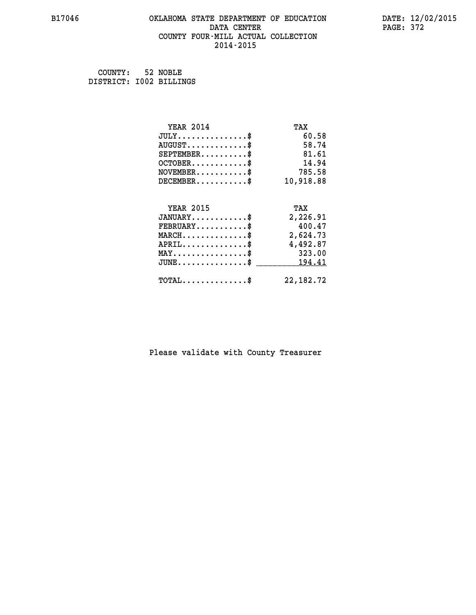## **B17046 OKLAHOMA STATE DEPARTMENT OF EDUCATION DATE: 12/02/2015 DATA CENTER** PAGE: 372  **COUNTY FOUR-MILL ACTUAL COLLECTION 2014-2015**

 **COUNTY: 52 NOBLE DISTRICT: I002 BILLINGS**

| <b>YEAR 2014</b>                                 | TAX         |
|--------------------------------------------------|-------------|
| $JULY$ \$                                        | 60.58       |
| $AUGUST$ \$                                      | 58.74       |
| $SEPTEMENT.$ \$                                  | 81.61       |
| $OCTOBER$ \$                                     | 14.94       |
| $NOVEMBER.$ \$                                   | 785.58      |
| $DECEMBER$ \$                                    | 10,918.88   |
|                                                  |             |
| <b>YEAR 2015</b>                                 | TAX         |
| $JANUARY$                                        | 2,226.91    |
| $FEBRUARY$                                       | 400.47      |
| $\texttt{MARCH}\ldots\ldots\ldots\ldots\text{*}$ | 2,624.73    |
| $APRIL$ \$                                       | 4,492.87    |
| $\texttt{MAX} \dots \dots \dots \dots \dots \$   | 323.00      |
| $JUNE$ \$                                        | 194.41      |
| $\texttt{TOTAL} \dots \dots \dots \dots \$       | 22, 182. 72 |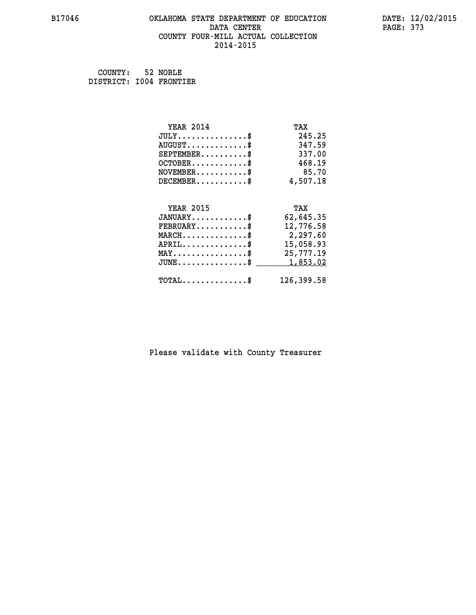## **B17046 OKLAHOMA STATE DEPARTMENT OF EDUCATION DATE: 12/02/2015 DATA CENTER** PAGE: 373  **COUNTY FOUR-MILL ACTUAL COLLECTION 2014-2015**

 **COUNTY: 52 NOBLE DISTRICT: I004 FRONTIER**

| <b>YEAR 2014</b>                                 | TAX        |
|--------------------------------------------------|------------|
| $JULY$ \$                                        | 245.25     |
| $AUGUST$ \$                                      | 347.59     |
| $SEPTEMBER$ \$                                   | 337.00     |
| $OCTOBER$ \$                                     | 468.19     |
| $\texttt{NOVEMBER} \dots \dots \dots \$          | 85.70      |
| $DECEMBER$ \$                                    | 4,507.18   |
|                                                  |            |
| <b>YEAR 2015</b>                                 | TAX        |
| $JANUARY$ \$                                     | 62,645.35  |
| $FEBRUARY$ \$                                    | 12,776.58  |
| $\texttt{MARCH}\ldots\ldots\ldots\ldots\text{*}$ | 2,297.60   |
| $APRIL \ldots \ldots \ldots \ldots \$            | 15,058.93  |
| $\texttt{MAX} \dots \dots \dots \dots \dots \$   | 25,777.19  |
| $JUNE$ \$                                        | 1,853.02   |
| $\texttt{TOTAL} \dots \dots \dots \dots \$       | 126,399.58 |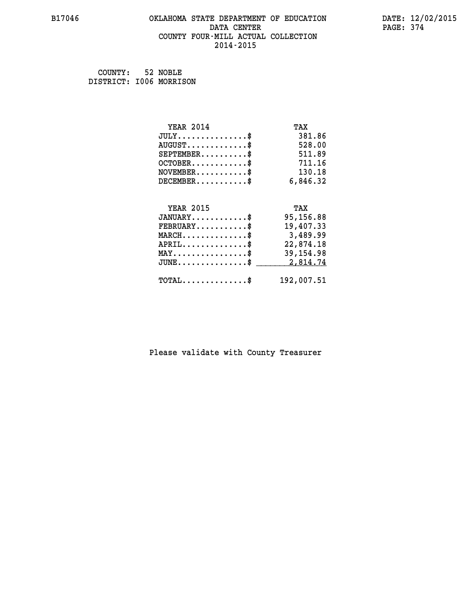## **B17046 OKLAHOMA STATE DEPARTMENT OF EDUCATION DATE: 12/02/2015 DATA CENTER PAGE: 374 COUNTY FOUR-MILL ACTUAL COLLECTION 2014-2015**

 **COUNTY: 52 NOBLE DISTRICT: I006 MORRISON**

| <b>YEAR 2014</b>                                                          | TAX        |
|---------------------------------------------------------------------------|------------|
| $JULY$ \$                                                                 | 381.86     |
| $AUGUST$ \$                                                               | 528.00     |
| $SEPTEMBER$ \$                                                            | 511.89     |
| $OCTOBER$ \$                                                              | 711.16     |
| $\verb NOVEMBER , \verb , \verb , \verb , \verb , \verb , \verb , \verb $ | 130.18     |
| $DECEMBER$ \$                                                             | 6,846.32   |
|                                                                           |            |
| <b>YEAR 2015</b>                                                          | TAX        |
| $JANUARY$ \$                                                              | 95,156.88  |
| $FEBRUARY$ \$                                                             | 19,407.33  |
| $MARCH$ \$                                                                | 3,489.99   |
| $APRIL \ldots \ldots \ldots \ldots \$                                     | 22,874.18  |
| $\texttt{MAX} \dots \dots \dots \dots \dots \$                            | 39, 154.98 |
| $\texttt{JUNE} \dots \dots \dots \dots \dots \$$                          | 2,814.74   |
| $\texttt{TOTAL} \dots \dots \dots \dots$ \$                               | 192,007.51 |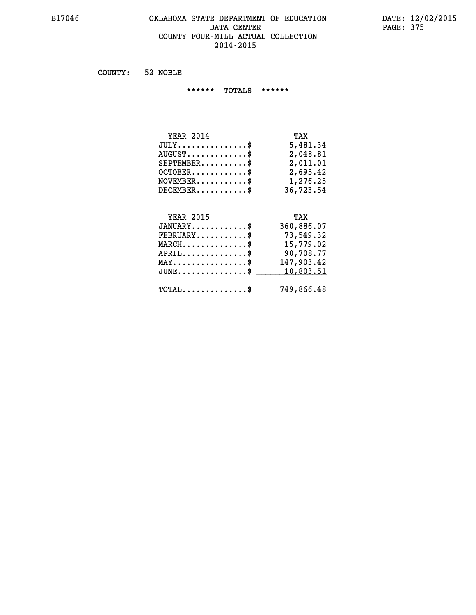### **B17046 OKLAHOMA STATE DEPARTMENT OF EDUCATION DATE: 12/02/2015 DATA CENTER PAGE: 375 COUNTY FOUR-MILL ACTUAL COLLECTION 2014-2015**

 **COUNTY: 52 NOBLE**

 **\*\*\*\*\*\* TOTALS \*\*\*\*\*\***

| TAX       |
|-----------|
| 5,481.34  |
| 2,048.81  |
| 2,011.01  |
| 2,695.42  |
| 1,276.25  |
| 36,723.54 |
|           |

# **YEAR 2015 TAX JANUARY............\$ 360,886.07 FEBRUARY...........\$ 73,549.32 MARCH..............\$ 15,779.02 APRIL..............\$ 90,708.77 MAY................\$ 147,903.42** JUNE..............\$ <u>\_\_\_\_\_\_\_ 10,803.51</u>  **TOTAL..............\$ 749,866.48**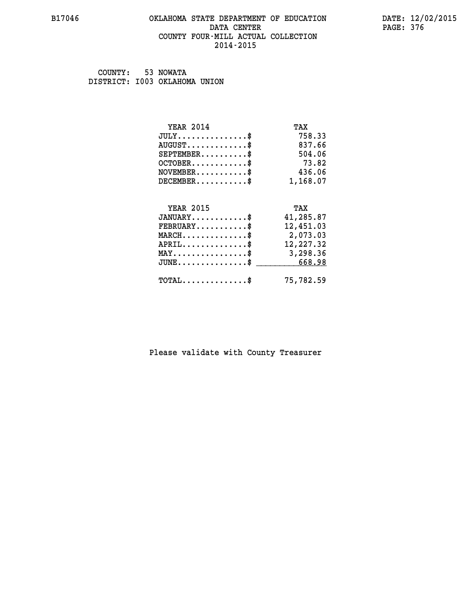### **B17046 OKLAHOMA STATE DEPARTMENT OF EDUCATION DATE: 12/02/2015 DATA CENTER** PAGE: 376  **COUNTY FOUR-MILL ACTUAL COLLECTION 2014-2015**

 **COUNTY: 53 NOWATA DISTRICT: I003 OKLAHOMA UNION**

| <b>YEAR 2014</b>                                 | TAX       |
|--------------------------------------------------|-----------|
| $JULY$ \$                                        | 758.33    |
| $AUGUST$ \$                                      | 837.66    |
| $SEPTEMBER$ \$                                   | 504.06    |
| $OCTOBER$ \$                                     | 73.82     |
| $NOVEMBER$ \$                                    | 436.06    |
| $DECEMBER$ \$                                    | 1,168.07  |
| <b>YEAR 2015</b>                                 | TAX       |
| $JANUARY$ \$                                     | 41,285.87 |
| $FEBRUARY$                                       | 12,451.03 |
| $MARCH$ \$                                       | 2,073.03  |
| $APRIL$ \$                                       | 12,227.32 |
| MAY\$ 3,298.36                                   |           |
| $\texttt{JUNE} \dots \dots \dots \dots \dots \$$ | 668.98    |
|                                                  |           |
| $\texttt{TOTAL} \dots \dots \dots \dots \$       | 75,782.59 |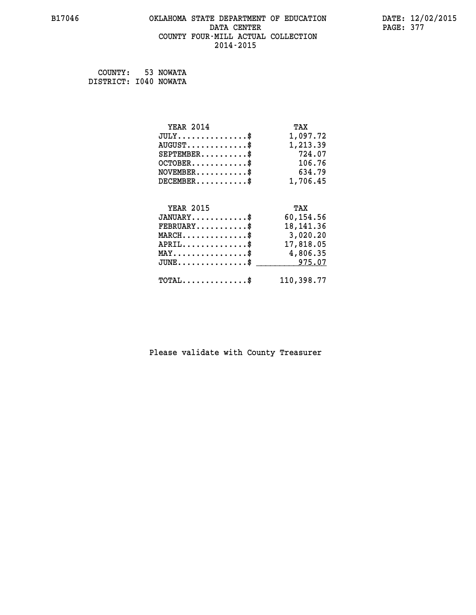## **B17046 OKLAHOMA STATE DEPARTMENT OF EDUCATION DATE: 12/02/2015 DATA CENTER** PAGE: 377  **COUNTY FOUR-MILL ACTUAL COLLECTION 2014-2015**

 **COUNTY: 53 NOWATA DISTRICT: I040 NOWATA**

| <b>YEAR 2014</b>                               | TAX         |
|------------------------------------------------|-------------|
| $JULY$ \$                                      | 1,097.72    |
| $AUGUST$ \$                                    | 1,213.39    |
| $SEPTEMBER$ \$                                 | 724.07      |
| $OCTOBER$ \$                                   | 106.76      |
| $\texttt{NOVEMBER} \dots \dots \dots \$        | 634.79      |
| $DECEMBER$ \$                                  | 1,706.45    |
|                                                |             |
| <b>YEAR 2015</b>                               | TAX         |
| $JANUARY$ \$                                   | 60,154.56   |
| $FEBRUARY$                                     | 18, 141. 36 |
| $MARCH$ \$                                     | 3,020.20    |
| $APRIL$ \$                                     | 17,818.05   |
| $\texttt{MAX} \dots \dots \dots \dots \dots \$ | 4,806.35    |
| $JUNE$ \$                                      | 975.07      |
| $\texttt{TOTAL} \dots \dots \dots \dots \$     | 110,398.77  |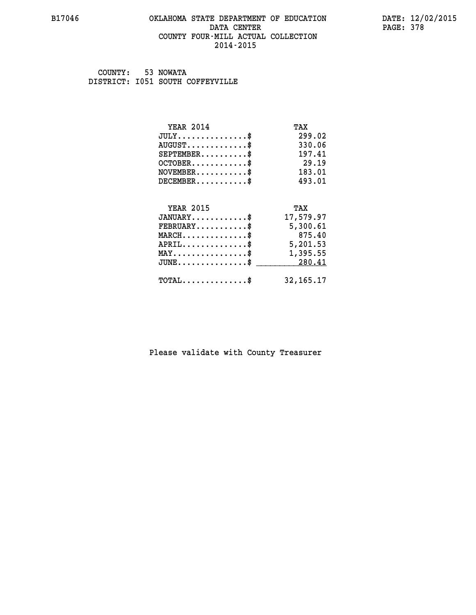### **B17046 OKLAHOMA STATE DEPARTMENT OF EDUCATION DATE: 12/02/2015 DATA CENTER** PAGE: 378  **COUNTY FOUR-MILL ACTUAL COLLECTION 2014-2015**

 **COUNTY: 53 NOWATA DISTRICT: I051 SOUTH COFFEYVILLE**

| <b>YEAR 2014</b>                               | TAX       |
|------------------------------------------------|-----------|
| $JULY$ \$                                      | 299.02    |
| $AUGUST$ \$                                    | 330.06    |
| $SEPTEMENT.$ \$                                | 197.41    |
| $OCTOBER$ \$                                   | 29.19     |
| $NOVEMBER$ \$                                  | 183.01    |
| $DECEMBER$ \$                                  | 493.01    |
|                                                |           |
| <b>YEAR 2015</b>                               | TAX       |
| $JANUARY$ \$                                   | 17,579.97 |
| $FEBRUARY$                                     | 5,300.61  |
| $MARCH$ \$                                     | 875.40    |
| $APRIL$ \$                                     | 5,201.53  |
| $\texttt{MAX} \dots \dots \dots \dots \dots \$ | 1,395.55  |
|                                                | 280.41    |
| $JUNE$ \$                                      |           |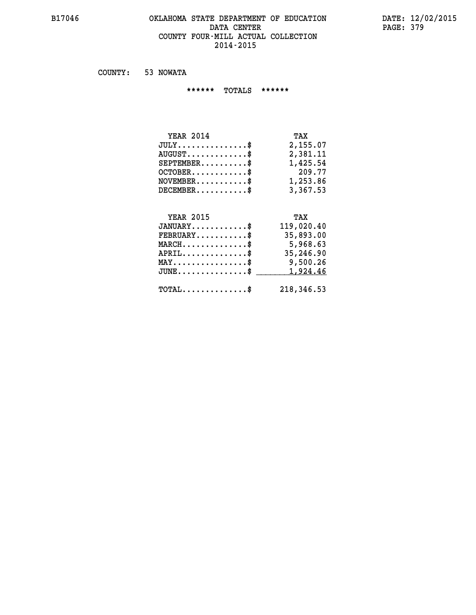### **B17046 OKLAHOMA STATE DEPARTMENT OF EDUCATION DATE: 12/02/2015 DATA CENTER PAGE: 379 COUNTY FOUR-MILL ACTUAL COLLECTION 2014-2015**

 **COUNTY: 53 NOWATA**

 **\*\*\*\*\*\* TOTALS \*\*\*\*\*\***

| <b>YEAR 2014</b>                       | TAX      |
|----------------------------------------|----------|
| $JULY \ldots \ldots \ldots \mathbb{S}$ | 2,155.07 |
| $AUGUST$ \$                            | 2,381.11 |
| $SEPTEMBER$                            | 1,425.54 |
| $OCTOBER$ \$                           | 209.77   |
| $NOVEMBER$ \$                          | 1,253.86 |
| $DECEMBER$                             | 3,367.53 |

# **YEAR 2015 TAX JANUARY............\$ 119,020.40 FEBRUARY...........\$ 35,893.00 MARCH..............\$ 5,968.63 APRIL..............\$ 35,246.90 MAY................\$ 9,500.26 JUNE................\$** <u>1,924.46</u>  **TOTAL..............\$ 218,346.53**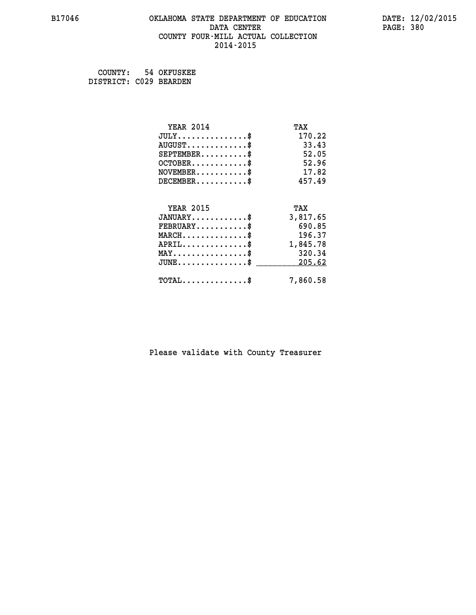## **B17046 OKLAHOMA STATE DEPARTMENT OF EDUCATION DATE: 12/02/2015 DATA CENTER** PAGE: 380  **COUNTY FOUR-MILL ACTUAL COLLECTION 2014-2015**

 **COUNTY: 54 OKFUSKEE DISTRICT: C029 BEARDEN**

| <b>YEAR 2014</b>                    | TAX      |
|-------------------------------------|----------|
| $JULY$ \$                           | 170.22   |
| $AUGUST$ \$                         | 33.43    |
| $SEPTEMBER$ \$                      | 52.05    |
| $OCTOBER$ \$                        | 52.96    |
| $NOVEMBER$ \$                       | 17.82    |
| $DECEMBER$ \$                       | 457.49   |
|                                     |          |
| <b>YEAR 2015</b>                    | TAX      |
| $JANUARY$ \$                        | 3,817.65 |
| $FEBRUARY$                          | 690.85   |
| $MARCH$ \$                          | 196.37   |
| $APRIL$ \$                          | 1,845.78 |
| $MAX \dots \dots \dots \dots \dots$ | 320.34   |
| $JUNE$ \$                           | 205.62   |
| $TOTAL$ \$                          | 7,860.58 |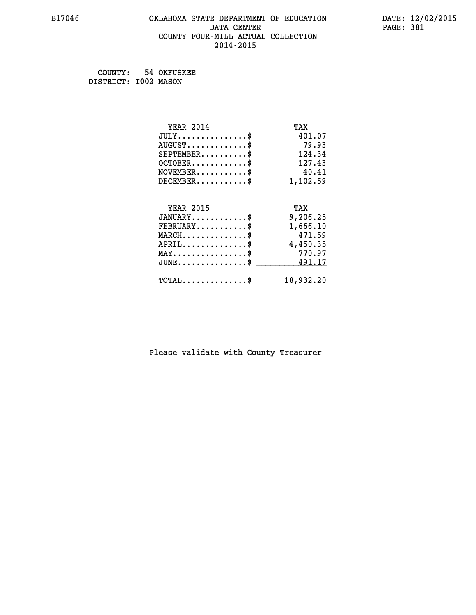## **B17046 OKLAHOMA STATE DEPARTMENT OF EDUCATION DATE: 12/02/2015 DATA CENTER** PAGE: 381  **COUNTY FOUR-MILL ACTUAL COLLECTION 2014-2015**

 **COUNTY: 54 OKFUSKEE DISTRICT: I002 MASON**

| <b>YEAR 2014</b>                           | TAX       |
|--------------------------------------------|-----------|
| $JULY$ \$                                  | 401.07    |
| $AUGUST$ \$                                | 79.93     |
| $SEPTEMBER$ \$                             | 124.34    |
| $OCTOBER$ \$                               | 127.43    |
| $NOVEMBER$ \$                              | 40.41     |
| $DECEMBER$ \$                              | 1,102.59  |
|                                            |           |
| <b>YEAR 2015</b>                           | TAX       |
| $JANUARY$                                  | 9,206.25  |
| $FEBRUARY$                                 | 1,666.10  |
| $MARCH$ \$                                 | 471.59    |
| $APRIL$ \$                                 | 4,450.35  |
| $MAX \dots \dots \dots \dots \$            | 770.97    |
| $JUNE$ \$                                  | 491.17    |
| $\texttt{TOTAL} \dots \dots \dots \dots \$ | 18,932.20 |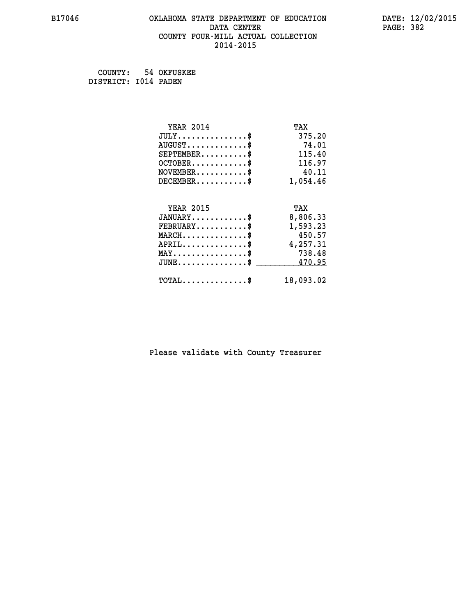## **B17046 OKLAHOMA STATE DEPARTMENT OF EDUCATION DATE: 12/02/2015 DATA CENTER** PAGE: 382  **COUNTY FOUR-MILL ACTUAL COLLECTION 2014-2015**

 **COUNTY: 54 OKFUSKEE DISTRICT: I014 PADEN**

| <b>YEAR 2014</b>                           | TAX       |
|--------------------------------------------|-----------|
| $JULY$ \$                                  | 375.20    |
| $AUGUST$ \$                                | 74.01     |
| $SEPTEMENT.$ \$                            | 115.40    |
| $OCTOBER$ \$                               | 116.97    |
| $NOVEMBER$ \$                              | 40.11     |
| $DECEMBER$ \$                              | 1,054.46  |
|                                            |           |
| <b>YEAR 2015</b>                           | TAX       |
| $JANUARY$ \$                               | 8,806.33  |
| $FEBRUARY$ \$                              | 1,593.23  |
| $MARCH$ \$                                 | 450.57    |
| $APRIL$ \$                                 | 4,257.31  |
| $MAX \dots \dots \dots \dots \$            | 738.48    |
| $JUNE$                                     | 470.95    |
| $\texttt{TOTAL} \dots \dots \dots \dots \$ | 18,093.02 |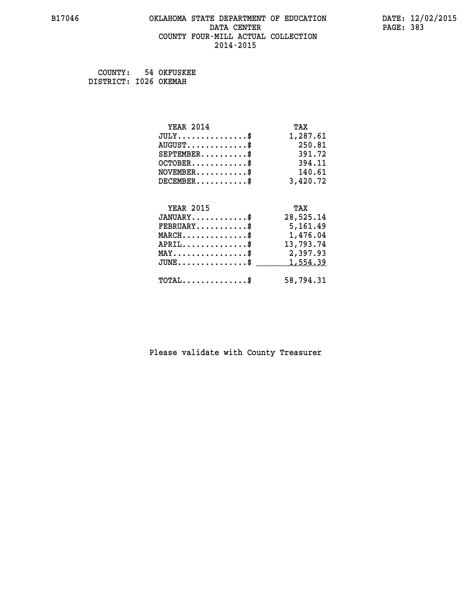## **B17046 OKLAHOMA STATE DEPARTMENT OF EDUCATION DATE: 12/02/2015 DATA CENTER** PAGE: 383  **COUNTY FOUR-MILL ACTUAL COLLECTION 2014-2015**

 **COUNTY: 54 OKFUSKEE DISTRICT: I026 OKEMAH**

| <b>YEAR 2014</b>                           | TAX       |
|--------------------------------------------|-----------|
| $JULY$ \$                                  | 1,287.61  |
| $AUGUST$ \$                                | 250.81    |
| $SEPTEMENT.$ \$                            | 391.72    |
| $OCTOBER$ \$                               | 394.11    |
| $NOVEMBER$ \$                              | 140.61    |
| $DECEMBER$ \$                              | 3,420.72  |
|                                            |           |
| <b>YEAR 2015</b>                           | TAX       |
| $JANUARY$ \$                               | 28,525.14 |
| $FEBRUARY$                                 | 5,161.49  |
| $MARCH$ \$                                 | 1,476.04  |
| $APRIL$ \$                                 | 13,793.74 |
| MAY\$ 2,397.93                             |           |
| $JUNE$ \$                                  | 1,554.39  |
| $\texttt{TOTAL} \dots \dots \dots \dots \$ | 58,794.31 |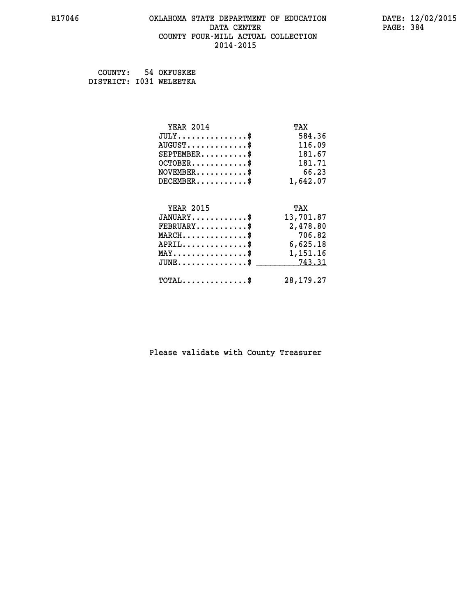### **B17046 OKLAHOMA STATE DEPARTMENT OF EDUCATION DATE: 12/02/2015 DATA CENTER** PAGE: 384  **COUNTY FOUR-MILL ACTUAL COLLECTION 2014-2015**

 **COUNTY: 54 OKFUSKEE**

 **DISTRICT: I031 WELEETKA**

| <b>YEAR 2014</b>                               | TAX         |
|------------------------------------------------|-------------|
| $JULY$ \$                                      | 584.36      |
| $AUGUST$ \$                                    | 116.09      |
| $SEPTEMBER$ \$                                 | 181.67      |
| $OCTOBER$ \$                                   | 181.71      |
| $NOVEMBER$ \$                                  | 66.23       |
| $DECEMBER$ \$                                  | 1,642.07    |
|                                                |             |
| <b>YEAR 2015</b>                               | TAX         |
| $JANUARY$ \$                                   | 13,701.87   |
| $FEBRUARY$                                     | 2,478.80    |
| $MARCH$ \$                                     | 706.82      |
| $APRIL$                                        | 6,625.18    |
| $\texttt{MAX} \dots \dots \dots \dots \dots \$ | 1,151.16    |
| $JUNE$ \$                                      | 743.31      |
| $\texttt{TOTAL} \dots \dots \dots \dots \$     | 28, 179. 27 |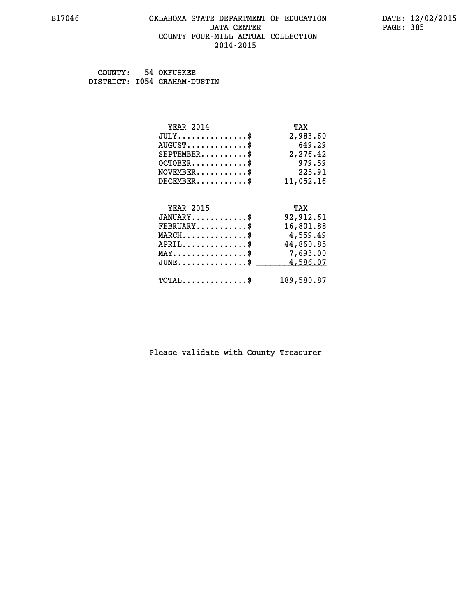### **B17046 OKLAHOMA STATE DEPARTMENT OF EDUCATION DATE: 12/02/2015 DATA CENTER** PAGE: 385  **COUNTY FOUR-MILL ACTUAL COLLECTION 2014-2015**

 **COUNTY: 54 OKFUSKEE DISTRICT: I054 GRAHAM-DUSTIN**

| <b>YEAR 2014</b>                               | TAX        |
|------------------------------------------------|------------|
| $JULY$ \$                                      | 2,983.60   |
| $AUGUST$ \$                                    | 649.29     |
| $SEPTEMBER$ \$                                 | 2,276.42   |
| $OCTOBER$ \$                                   | 979.59     |
| $NOVEMBER.$ \$                                 | 225.91     |
| $DECEMBER$ \$                                  | 11,052.16  |
|                                                |            |
| <b>YEAR 2015</b>                               | TAX        |
| $JANUARY$ \$                                   | 92,912.61  |
| $FEBRUARY$                                     | 16,801.88  |
| $MARCH$ \$                                     | 4,559.49   |
| $APRIL$ \$                                     | 44,860.85  |
| $\texttt{MAX} \dots \dots \dots \dots \dots \$ | 7,693.00   |
| $JUNE$ \$                                      | 4,586.07   |
| $\texttt{TOTAL} \dots \dots \dots \dots \$     | 189,580.87 |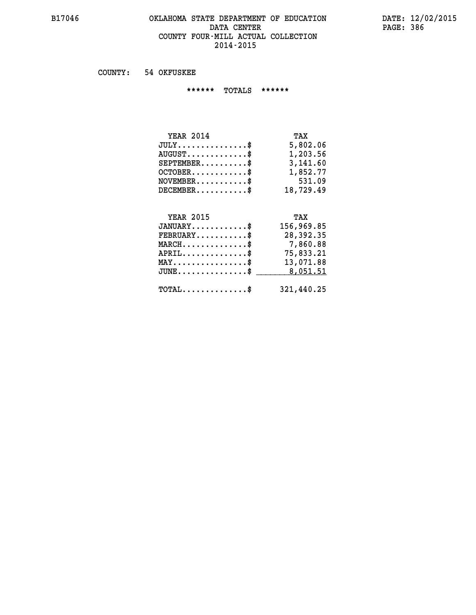### **B17046 OKLAHOMA STATE DEPARTMENT OF EDUCATION DATE: 12/02/2015 DATA CENTER PAGE: 386 COUNTY FOUR-MILL ACTUAL COLLECTION 2014-2015**

 **COUNTY: 54 OKFUSKEE**

 **\*\*\*\*\*\* TOTALS \*\*\*\*\*\***

| <b>YEAR 2014</b>                 | TAX       |
|----------------------------------|-----------|
| $JULY$                           | 5,802.06  |
| $AUGUST \ldots \ldots \ldots$ \$ | 1,203.56  |
| $SEPTEMBER$ \$                   | 3,141.60  |
| $OCTOBER$ \$                     | 1,852.77  |
| $NOVEMBER$ \$                    | 531.09    |
| $DECEMBER$                       | 18,729.49 |

# **YEAR 2015 TAX JANUARY............\$ 156,969.85 FEBRUARY...........\$ 28,392.35 MARCH..............\$ 7,860.88 APRIL..............\$ 75,833.21 MAY................\$ 13,071.88 JUNE................\$** \_\_\_\_\_\_\_\_\_ 8,051.51

 **TOTAL..............\$ 321,440.25**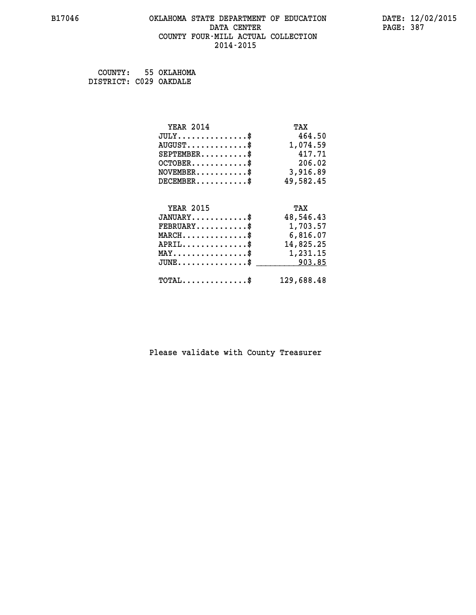## **B17046 OKLAHOMA STATE DEPARTMENT OF EDUCATION DATE: 12/02/2015 DATA CENTER** PAGE: 387  **COUNTY FOUR-MILL ACTUAL COLLECTION 2014-2015**

 **COUNTY: 55 OKLAHOMA DISTRICT: C029 OAKDALE**

| <b>YEAR 2014</b>                                 | TAX        |
|--------------------------------------------------|------------|
| $JULY$ \$                                        | 464.50     |
| $AUGUST$ \$                                      | 1,074.59   |
| $SEPTEMBER$ \$                                   | 417.71     |
| $OCTOBER$ \$                                     | 206.02     |
| $\texttt{NOVEMBER} \dots \dots \dots \$          | 3,916.89   |
| $DECEMBER$ \$                                    | 49,582.45  |
|                                                  |            |
| <b>YEAR 2015</b>                                 | TAX        |
| $JANUARY$ \$                                     | 48,546.43  |
| $FEBRUARY$                                       | 1,703.57   |
| $\texttt{MARCH}\ldots\ldots\ldots\ldots\text{*}$ | 6,816.07   |
| $APRIL \ldots \ldots \ldots \ldots$ \$           | 14,825.25  |
| $\texttt{MAX} \dots \dots \dots \dots \dots \$   | 1,231.15   |
| $\texttt{JUNE} \dots \dots \dots \dots \dots \$$ | 903.85     |
| $\texttt{TOTAL} \dots \dots \dots \dots \$       | 129,688.48 |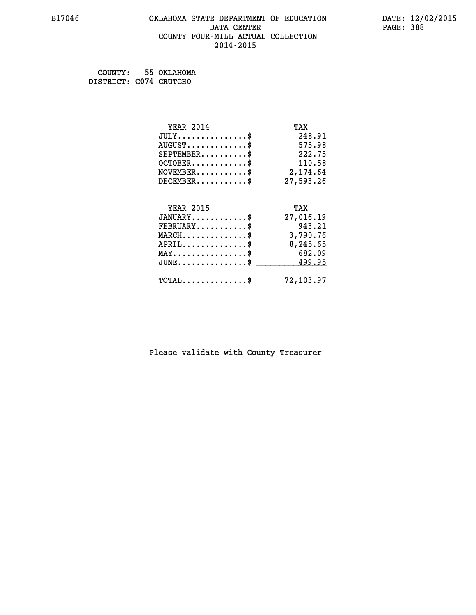## **B17046 OKLAHOMA STATE DEPARTMENT OF EDUCATION DATE: 12/02/2015 DATA CENTER** PAGE: 388  **COUNTY FOUR-MILL ACTUAL COLLECTION 2014-2015**

 **COUNTY: 55 OKLAHOMA DISTRICT: C074 CRUTCHO**

| <b>YEAR 2014</b>                                 | TAX       |
|--------------------------------------------------|-----------|
| $JULY$ \$                                        | 248.91    |
| $AUGUST$ \$                                      | 575.98    |
| $SEPTEMBER$ \$                                   | 222.75    |
| $OCTOBER$ \$                                     | 110.58    |
| $\texttt{NOVEMBER} \dots \dots \dots \$          | 2,174.64  |
| $DECEMBER$ \$                                    | 27,593.26 |
|                                                  |           |
| <b>YEAR 2015</b>                                 | TAX       |
| $JANUARY$ \$                                     | 27,016.19 |
| $FEBRUARY$                                       | 943.21    |
| $MARCH$ \$                                       | 3,790.76  |
| $APRIL$ \$                                       | 8,245.65  |
| $MAX \dots \dots \dots \dots \dots$              | 682.09    |
| $\texttt{JUNE} \dots \dots \dots \dots \dots \$$ | 499.95    |
| $\texttt{TOTAL} \dots \dots \dots \dots \$       | 72,103.97 |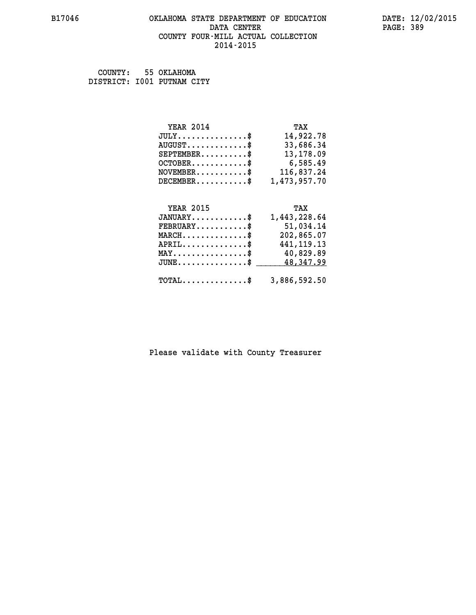### **B17046 OKLAHOMA STATE DEPARTMENT OF EDUCATION DATE: 12/02/2015 DATA CENTER** PAGE: 389  **COUNTY FOUR-MILL ACTUAL COLLECTION 2014-2015**

 **COUNTY: 55 OKLAHOMA DISTRICT: I001 PUTNAM CITY**

| <b>YEAR 2014</b>                            | TAX          |
|---------------------------------------------|--------------|
| $JULY \ldots \ldots \ldots \$               | 14,922.78    |
| $\texttt{AUGUST} \dots \dots \dots \dots \$ | 33,686.34    |
| $SEPTEMBER$ \$                              | 13,178.09    |
| $OCTOBER$                                   | 6,585.49     |
| $NOVEMBER$ \$                               | 116,837.24   |
| $DECEMBER$ \$                               | 1,473,957.70 |
|                                             |              |
| YEAR 2015                                   | TAX          |

|                                         | 1,443,228.64<br>$JANUARY$ \$                            |
|-----------------------------------------|---------------------------------------------------------|
| $\texttt{FEBRUARY} \dots \dots \dots \$ | 51,034.14                                               |
| $MARCH$ \$                              | 202,865.07                                              |
| $APRIL$ \$                              | 441, 119. 13                                            |
| $MAX \dots \dots \dots \dots \$         | 40,829.89                                               |
|                                         | $JUNE \dots \dots \dots \dots \$ 48,347.99              |
|                                         | $\texttt{TOTAL} \dots \dots \dots \dots \$ 3,886,592.50 |
|                                         |                                                         |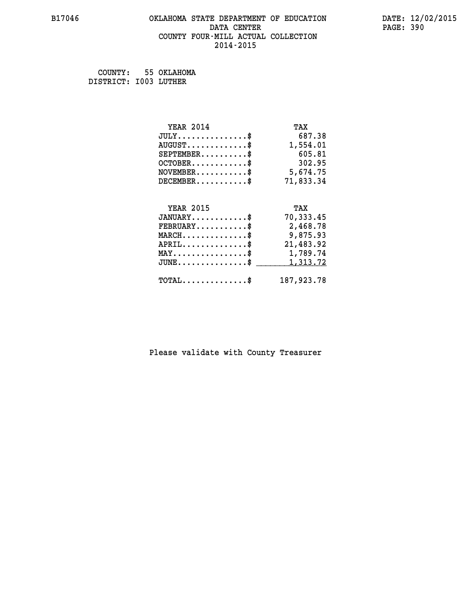## **B17046 OKLAHOMA STATE DEPARTMENT OF EDUCATION DATE: 12/02/2015 DATA CENTER** PAGE: 390  **COUNTY FOUR-MILL ACTUAL COLLECTION 2014-2015**

 **COUNTY: 55 OKLAHOMA DISTRICT: I003 LUTHER**

| <b>YEAR 2014</b>                               | TAX        |
|------------------------------------------------|------------|
| $JULY$ \$                                      | 687.38     |
| $AUGUST$ \$                                    | 1,554.01   |
| $SEPTEMBER$ \$                                 | 605.81     |
| $OCTOBER$ \$                                   | 302.95     |
| $NOVEMBER.$ \$                                 | 5,674.75   |
| $DECEMBER$ \$                                  | 71,833.34  |
|                                                |            |
| <b>YEAR 2015</b>                               | TAX        |
| $JANUARY$ \$                                   | 70,333.45  |
| $FEBRUARY$                                     | 2,468.78   |
| $MARCH$ \$                                     | 9,875.93   |
| $APRIL$ \$                                     | 21,483.92  |
| $\texttt{MAX} \dots \dots \dots \dots \dots \$ | 1,789.74   |
| $JUNE$ \$                                      | 1, 313.72  |
| $\texttt{TOTAL} \dots \dots \dots \dots \$     | 187,923.78 |
|                                                |            |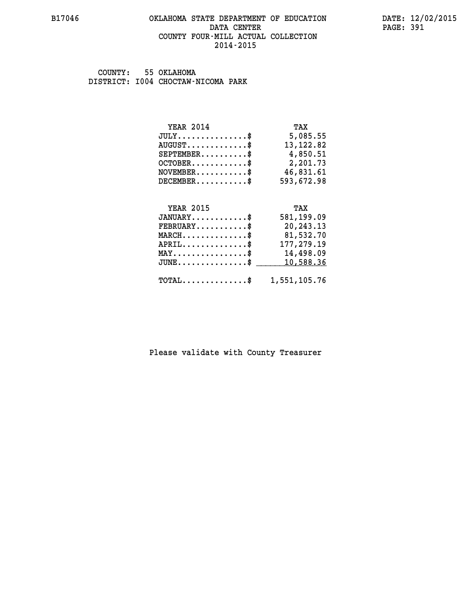### **B17046 OKLAHOMA STATE DEPARTMENT OF EDUCATION DATE: 12/02/2015 DATA CENTER** PAGE: 391  **COUNTY FOUR-MILL ACTUAL COLLECTION 2014-2015**

 **COUNTY: 55 OKLAHOMA DISTRICT: I004 CHOCTAW-NICOMA PARK**

| <b>YEAR 2014</b>                                 | TAX          |
|--------------------------------------------------|--------------|
| $JULY$ \$                                        | 5,085.55     |
| $AUGUST$ \$                                      | 13, 122.82   |
| $SEPTEMBER$ \$                                   | 4,850.51     |
| $OCTOBER$ \$                                     | 2,201.73     |
| $NOVEMBER.$ \$                                   | 46,831.61    |
| $DECEMBER$ \$                                    | 593,672.98   |
|                                                  |              |
| <b>YEAR 2015</b>                                 | TAX          |
| $JANUARY$ \$                                     | 581,199.09   |
| $\texttt{FEBRUARY} \dots \dots \dots \$          | 20,243.13    |
| $\texttt{MARCH}\ldots\ldots\ldots\ldots\text{*}$ | 81,532.70    |
| $APRIL$ \$                                       | 177,279.19   |
| $\texttt{MAX} \dots \dots \dots \dots \dots \$   | 14,498.09    |
| $JUNE$ \$                                        | 10,588.36    |
| $\texttt{TOTAL} \dots \dots \dots \dots \dots$   | 1,551,105.76 |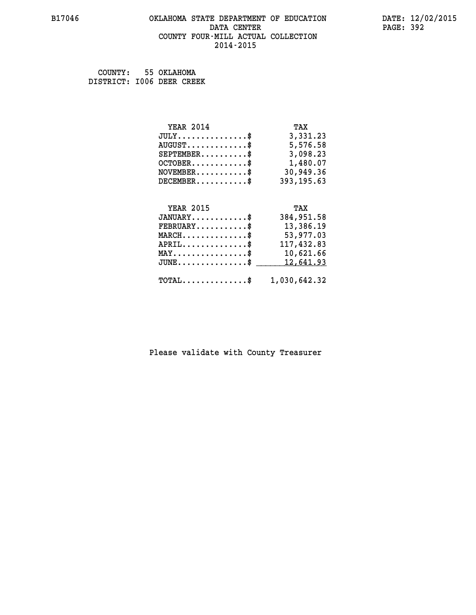### **B17046 OKLAHOMA STATE DEPARTMENT OF EDUCATION DATE: 12/02/2015 DATA CENTER** PAGE: 392  **COUNTY FOUR-MILL ACTUAL COLLECTION 2014-2015**

 **COUNTY: 55 OKLAHOMA DISTRICT: I006 DEER CREEK**

| <b>YEAR 2014</b>                                | TAX          |
|-------------------------------------------------|--------------|
| $JULY$ \$                                       | 3,331.23     |
| $AUGUST$ \$                                     | 5,576.58     |
| $SEPTEMBER$ \$                                  | 3,098.23     |
| $OCTOBER \ldots \ldots \ldots$                  | 1,480.07     |
| $NOVEMBER.$ \$                                  | 30,949.36    |
| $DECEMBER$ \$                                   | 393, 195.63  |
|                                                 |              |
| <b>YEAR 2015</b>                                | TAX          |
| $JANUARY$ \$                                    | 384,951.58   |
| $\texttt{FEBRUARY} \dots \dots \dots \$         | 13,386.19    |
| $MARCH$ \$                                      | 53,977.03    |
| $APRIL$ \$                                      | 117,432.83   |
| $\texttt{MAX} \dots \dots \dots \dots \text{*}$ | 10,621.66    |
| $JUNE$ \$                                       | 12,641.93    |
| $\texttt{TOTAL} \dots \dots \dots \dots \$      | 1,030,642.32 |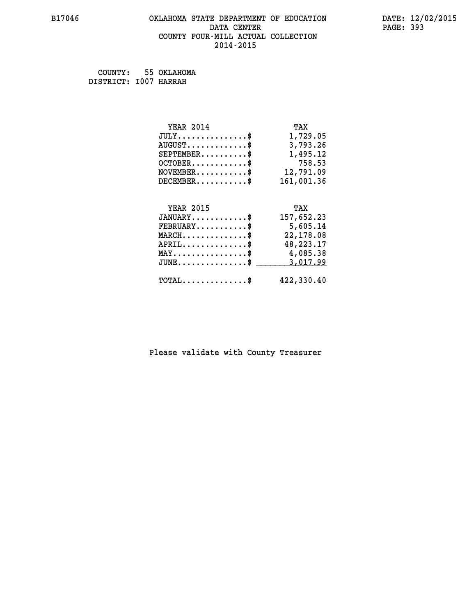## **B17046 OKLAHOMA STATE DEPARTMENT OF EDUCATION DATE: 12/02/2015 DATA CENTER** PAGE: 393  **COUNTY FOUR-MILL ACTUAL COLLECTION 2014-2015**

 **COUNTY: 55 OKLAHOMA DISTRICT: I007 HARRAH**

| <b>YEAR 2014</b>                           | TAX        |
|--------------------------------------------|------------|
| $JULY$ \$                                  | 1,729.05   |
| $AUGUST$ \$                                | 3,793.26   |
| $SEPTEMBER$ \$                             | 1,495.12   |
| $OCTOBER$ \$                               | 758.53     |
| $NOVEMBER$ \$                              | 12,791.09  |
| $DECEMENT.$                                | 161,001.36 |
| <b>YEAR 2015</b>                           | TAX        |
| $JANUARY$ \$                               | 157,652.23 |
| $FEBRUARY$ \$                              | 5,605.14   |
| $MARCH$ \$                                 | 22,178.08  |
| $APRIL$ \$                                 | 48,223.17  |
| $MAX \dots \dots \dots \dots \$            | 4,085.38   |
| $JUNE$ \$                                  | 3,017.99   |
| $\texttt{TOTAL} \dots \dots \dots \dots \$ | 422,330.40 |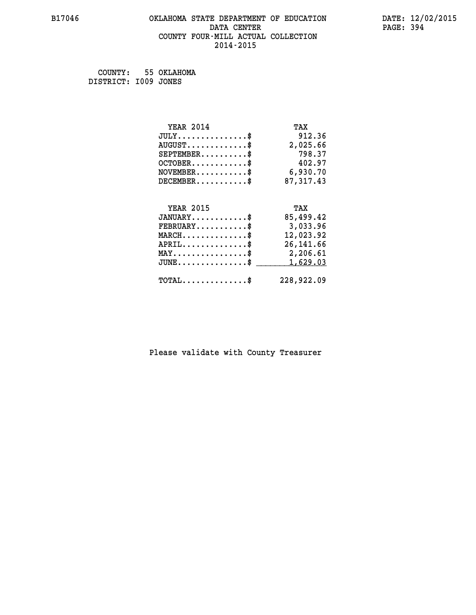## **B17046 OKLAHOMA STATE DEPARTMENT OF EDUCATION DATE: 12/02/2015 DATA CENTER** PAGE: 394  **COUNTY FOUR-MILL ACTUAL COLLECTION 2014-2015**

 **COUNTY: 55 OKLAHOMA DISTRICT: I009 JONES**

| <b>YEAR 2014</b>                               | TAX         |
|------------------------------------------------|-------------|
| $JULY$ \$                                      | 912.36      |
| $AUGUST$ \$                                    | 2,025.66    |
| $SEPTEMBER$ \$                                 | 798.37      |
| $OCTOBER$ \$                                   | 402.97      |
| $NOVEMBER$ \$                                  | 6,930.70    |
| $DECEMBER$ \$                                  | 87, 317. 43 |
|                                                |             |
| <b>YEAR 2015</b>                               | TAX         |
| $JANUARY$ \$                                   | 85,499.42   |
| $FEBRUARY$                                     | 3,033.96    |
| $MARCH$ \$                                     | 12,023.92   |
| $APRIL$ \$                                     | 26, 141.66  |
| $\texttt{MAX} \dots \dots \dots \dots \dots \$ | 2,206.61    |
| $JUNE$ \$                                      | 1,629.03    |
| $\texttt{TOTAL} \dots \dots \dots \dots \$     | 228,922.09  |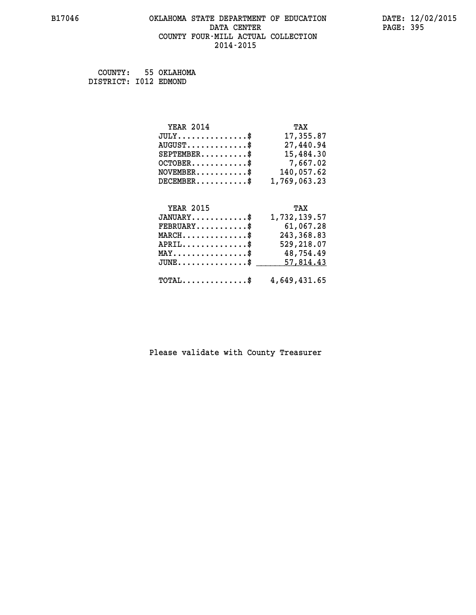## **B17046 OKLAHOMA STATE DEPARTMENT OF EDUCATION DATE: 12/02/2015** DATA CENTER PAGE: 395  **COUNTY FOUR-MILL ACTUAL COLLECTION 2014-2015**

 **COUNTY: 55 OKLAHOMA DISTRICT: I012 EDMOND**

| <b>YEAR 2014</b>                    | TAX          |
|-------------------------------------|--------------|
| $JULY$ \$                           | 17,355.87    |
| $AUGUST$ \$                         | 27,440.94    |
| $SEPTEMBER$ \$                      | 15,484.30    |
| $OCTOBER$ \$                        | 7,667.02     |
| $NOVEMBER$ \$                       | 140,057.62   |
| $DECEMBER$ \$                       | 1,769,063.23 |
|                                     |              |
| <b>YEAR 2015</b>                    | TAX          |
| $JANUARY$ \$                        | 1,732,139.57 |
| $FEBRUARY$ \$                       | 61,067.28    |
| $MARCH$ \$                          | 243, 368.83  |
| $APRIL$ \$                          | 529,218.07   |
| $MAX \dots \dots \dots \dots \dots$ | 48,754.49    |
| $JUNE$ \$                           | 57,814.43    |

| JUNE\$ 57,814.43                                        |  |
|---------------------------------------------------------|--|
| $\texttt{TOTAL} \dots \dots \dots \dots \$ 4,649,431.65 |  |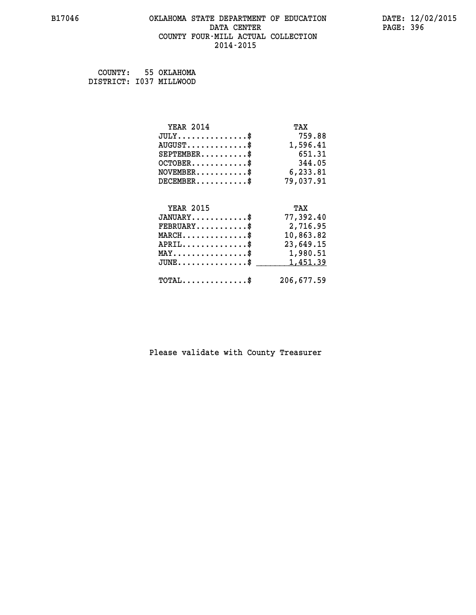## **B17046 OKLAHOMA STATE DEPARTMENT OF EDUCATION DATE: 12/02/2015 DATA CENTER** PAGE: 396  **COUNTY FOUR-MILL ACTUAL COLLECTION 2014-2015**

 **COUNTY: 55 OKLAHOMA DISTRICT: I037 MILLWOOD**

| <b>YEAR 2014</b>                                      | TAX        |
|-------------------------------------------------------|------------|
| $JULY$ \$                                             | 759.88     |
| $AUGUST$ \$                                           | 1,596.41   |
| $SEPTEMENT.$ \$                                       | 651.31     |
| $OCTOBER$ \$                                          | 344.05     |
| $\texttt{NOVEMBER} \dots \dots \dots \$               | 6,233.81   |
| $DECEMBER$ \$                                         | 79,037.91  |
|                                                       |            |
| <b>YEAR 2015</b>                                      | TAX        |
| $JANUARY$ \$                                          | 77,392.40  |
| $FEBRUARY$                                            | 2,716.95   |
| $MARCH$ \$                                            | 10,863.82  |
| $APRIL$ \$                                            | 23,649.15  |
| $\text{MAX} \dots \dots \dots \dots \dots \$ 1,980.51 |            |
| $JUNE$ \$                                             | 1,451.39   |
| $\texttt{TOTAL} \dots \dots \dots \dots \$            | 206,677.59 |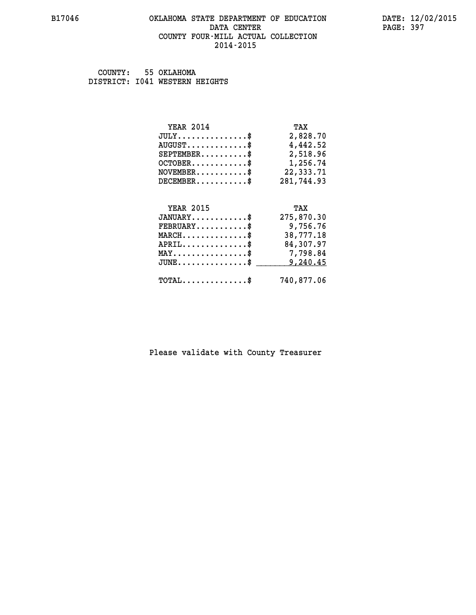#### **B17046 OKLAHOMA STATE DEPARTMENT OF EDUCATION DATE: 12/02/2015 DATA CENTER** PAGE: 397  **COUNTY FOUR-MILL ACTUAL COLLECTION 2014-2015**

 **COUNTY: 55 OKLAHOMA DISTRICT: I041 WESTERN HEIGHTS**

| <b>YEAR 2014</b>                           | TAX        |
|--------------------------------------------|------------|
| $JULY$ \$                                  | 2,828.70   |
| $AUGUST$ \$                                | 4,442.52   |
| $SEPTEMENT.$ \$                            | 2,518.96   |
| $OCTOBER$ \$                               | 1,256.74   |
| $NOVEMBER.$ \$                             | 22,333.71  |
| $DECEMBER$ \$                              | 281,744.93 |
|                                            |            |
| <b>YEAR 2015</b>                           | TAX        |
| $JANUARY$ \$                               | 275,870.30 |
| $FEBRUARY$ \$                              | 9,756.76   |
| $MARCH$ \$                                 | 38,777.18  |
| $APRIL$ \$                                 | 84,307.97  |
| MAY\$ 7,798.84                             |            |
| $JUNE$ \$                                  | 9,240.45   |
| $\texttt{TOTAL} \dots \dots \dots \dots \$ | 740,877.06 |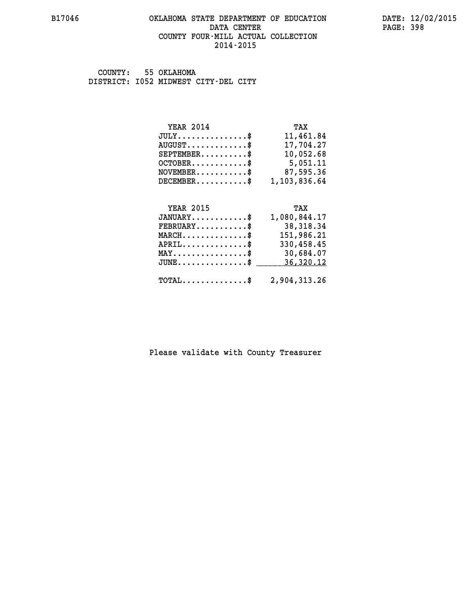#### **B17046 OKLAHOMA STATE DEPARTMENT OF EDUCATION DATE: 12/02/2015 DATA CENTER** PAGE: 398  **COUNTY FOUR-MILL ACTUAL COLLECTION 2014-2015**

 **COUNTY: 55 OKLAHOMA DISTRICT: I052 MIDWEST CITY-DEL CITY**

| <b>YEAR 2014</b>                   | TAX          |
|------------------------------------|--------------|
| $JULY \ldots \ldots \ldots \ldots$ | 11,461.84    |
| $AUGUST$ $\frac{1}{2}$             | 17,704.27    |
| $SEPTEMBER$ $\$                    | 10,052.68    |
| $OCTOBER$                          | 5,051.11     |
| $NOVEMENTER$ \$                    | 87,595.36    |
| $DECEMBER$ \$                      | 1,103,836.64 |
|                                    |              |

| <b>YEAR 2015</b>                                        | TAX          |
|---------------------------------------------------------|--------------|
| $JANUARY$                                               | 1,080,844.17 |
| $\texttt{FEBRUARY} \dots \dots \dots \$                 | 38,318.34    |
| $MARCH$ \$                                              | 151,986.21   |
| $APRIL$ \$                                              | 330,458.45   |
| $MAX \dots \dots \dots \dots \dots \$                   | 30,684.07    |
| $JUNE$ \$                                               | 36,320.12    |
| $\texttt{TOTAL} \dots \dots \dots \dots \$ 2,904,313.26 |              |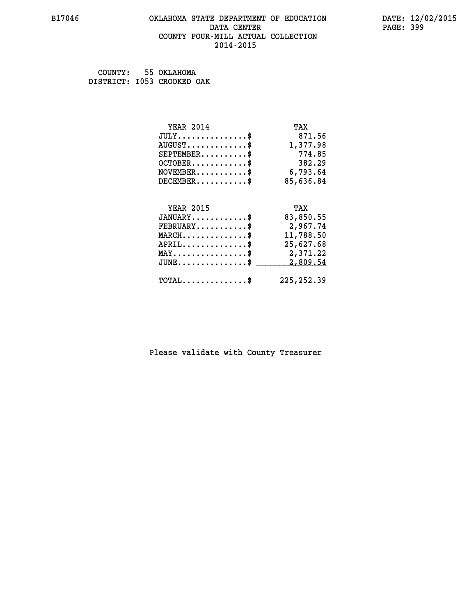#### **B17046 OKLAHOMA STATE DEPARTMENT OF EDUCATION DATE: 12/02/2015 DATA CENTER** PAGE: 399  **COUNTY FOUR-MILL ACTUAL COLLECTION 2014-2015**

 **COUNTY: 55 OKLAHOMA DISTRICT: I053 CROOKED OAK**

| <b>YEAR 2014</b> | TAX       |
|------------------|-----------|
| $JULY$ \$        | 871.56    |
| $AUGUST$ \$      | 1,377.98  |
| $SEPTEMENT.$ \$  | 774.85    |
| $OCTOBER$ \$     | 382.29    |
| $NOVEMBER$ \$    | 6,793.64  |
| $DECEMBER$ \$    | 85,636.84 |
|                  |           |
| <b>YEAR 2015</b> | TAX       |
| $JANUARY$ \$     | 83,850.55 |
| $FEBRUARY$ \$    | 2,967.74  |
| $MARCH$ \$       | 11,788.50 |
| $APRIL$ \$       | 25,627.68 |
| MAY\$ 2,371.22   |           |
| $JUNE$ \$        | 2,809.54  |
|                  |           |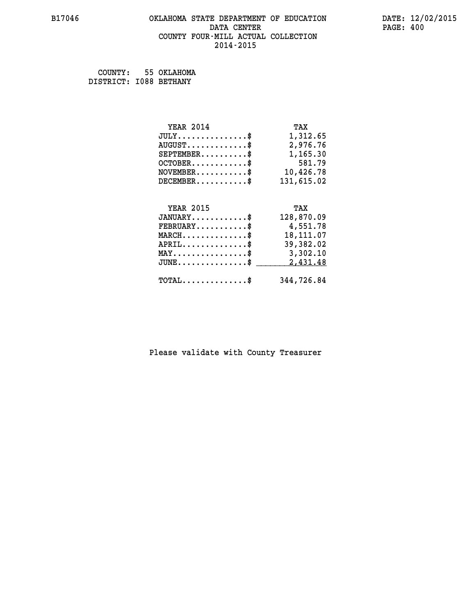## **B17046 OKLAHOMA STATE DEPARTMENT OF EDUCATION DATE: 12/02/2015 DATA CENTER PAGE: 400 COUNTY FOUR-MILL ACTUAL COLLECTION 2014-2015**

| COUNTY:                | 55 OKLAHOMA |
|------------------------|-------------|
| DISTRICT: 1088 BETHANY |             |

| <b>YEAR 2014</b>                                 | TAX        |
|--------------------------------------------------|------------|
| $JULY$ \$                                        | 1,312.65   |
| $AUGUST$ \$                                      | 2,976.76   |
| $SEPTEMBER$ \$                                   | 1,165.30   |
| $OCTOBER$ \$                                     | 581.79     |
| $\texttt{NOVEMBER} \dots \dots \dots \$          | 10,426.78  |
| $DECEMBER$ \$                                    | 131,615.02 |
|                                                  |            |
| <b>YEAR 2015</b>                                 | TAX        |
| $JANUARY$ \$                                     | 128,870.09 |
| $FEBRUARY$                                       | 4,551.78   |
| $MARCH$ \$                                       | 18, 111.07 |
| $APRIL \ldots \ldots \ldots \ldots$              | 39,382.02  |
| MAY\$ 3,302.10                                   |            |
| $\texttt{JUNE} \dots \dots \dots \dots \dots \$$ | 2,431.48   |
|                                                  |            |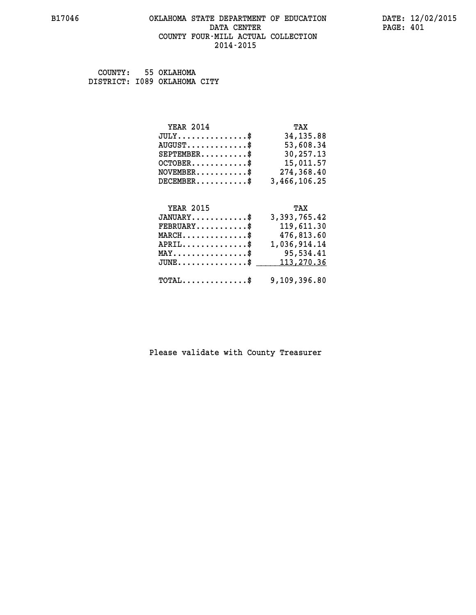#### **B17046 OKLAHOMA STATE DEPARTMENT OF EDUCATION DATE: 12/02/2015 DATA CENTER** PAGE: 401  **COUNTY FOUR-MILL ACTUAL COLLECTION 2014-2015**

 **COUNTY: 55 OKLAHOMA DISTRICT: I089 OKLAHOMA CITY**

| <b>YEAR 2014</b>       | TAX          |
|------------------------|--------------|
| JULY                   | 34, 135.88   |
| $AUGUST$ $\frac{1}{2}$ | 53,608.34    |
| $SEPTEMBER$ \$         | 30,257.13    |
| $OCTOBER$ \$           | 15,011.57    |
| $NOVEMBER$ \$          | 274,368.40   |
| $DECEMBER$ \$          | 3,466,106.25 |
|                        |              |
|                        |              |

| <b>YEAR 2015</b>                                        | TAX          |
|---------------------------------------------------------|--------------|
| $JANUARY$ \$                                            | 3,393,765.42 |
| $\texttt{FEBRUARY} \dots \dots \dots \$                 | 119,611.30   |
| $MARCH$ \$                                              | 476,813.60   |
| $APRIL$ \$                                              | 1,036,914.14 |
| $\texttt{MAX} \dots \dots \dots \dots \dots \$          | 95,534.41    |
| JUNE\$ 113,270.36                                       |              |
|                                                         |              |
| $\texttt{TOTAL} \dots \dots \dots \dots \$ 9,109,396.80 |              |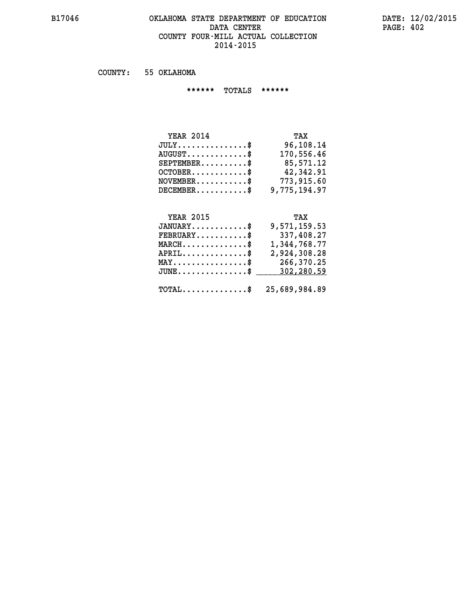## **B17046 OKLAHOMA STATE DEPARTMENT OF EDUCATION DATE: 12/02/2015 DATA CENTER PAGE: 402 COUNTY FOUR-MILL ACTUAL COLLECTION 2014-2015**

 **COUNTY: 55 OKLAHOMA**

 **\*\*\*\*\*\* TOTALS \*\*\*\*\*\***

| <b>YEAR 2014</b>                 | TAX          |
|----------------------------------|--------------|
| $JULY$                           | 96,108.14    |
| $AUGUST \ldots \ldots \ldots$ \$ | 170,556.46   |
| $SEPTEMBER$ \$                   | 85,571.12    |
| $OCTOBER.$ \$                    | 42,342.91    |
| $NOVEMBER$ \$                    | 773,915.60   |
| $DECEMBER$ \$                    | 9,775,194.97 |

# *YEAR 2015* TAX

| $JANUARY$                                             | 9,571,159.53                                     |
|-------------------------------------------------------|--------------------------------------------------|
| $FEBRUARY$                                            | 337,408.27                                       |
| $MARCH$ \$                                            | 1,344,768.77                                     |
| $APRIL$ \$                                            | 2,924,308.28                                     |
| $\texttt{MAX} \dots \dots \dots \dots \dots \text{*}$ | 266,370.25                                       |
|                                                       | $JUNE \ldots \ldots \ldots \ldots$ \$ 302,280.59 |
|                                                       | $TOTAL$ \$ 25,689,984.89                         |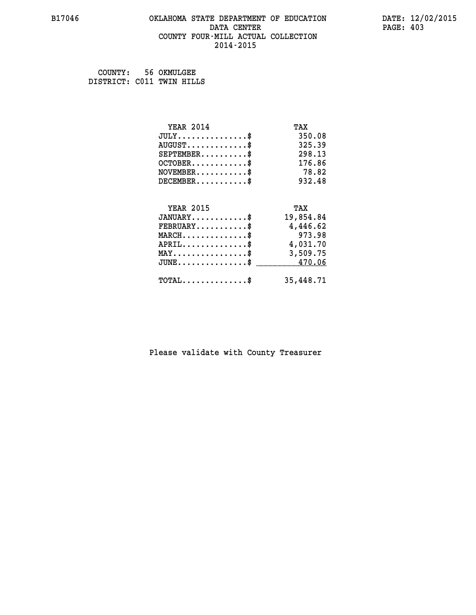#### **B17046 OKLAHOMA STATE DEPARTMENT OF EDUCATION DATE: 12/02/2015 DATA CENTER** PAGE: 403  **COUNTY FOUR-MILL ACTUAL COLLECTION 2014-2015**

 **COUNTY: 56 OKMULGEE DISTRICT: C011 TWIN HILLS**

| <b>YEAR 2014</b>                                 | TAX       |
|--------------------------------------------------|-----------|
| $JULY$ \$                                        | 350.08    |
| $AUGUST$ \$                                      | 325.39    |
| $SEPTEMBER$ \$                                   | 298.13    |
| $OCTOBER$ \$                                     | 176.86    |
| $NOVEMBER$ \$                                    | 78.82     |
| $DECEMBER$ \$                                    | 932.48    |
| <b>YEAR 2015</b>                                 |           |
|                                                  | TAX       |
| $JANUARY$ \$                                     | 19,854.84 |
| $FEBRUARY$                                       | 4,446.62  |
| $MARCH$ \$                                       | 973.98    |
| $APRIL$ \$                                       | 4,031.70  |
| $\texttt{MAX} \dots \dots \dots \dots \dots \$   | 3,509.75  |
| $\texttt{JUNE} \dots \dots \dots \dots \dots \$$ | 470.06    |
| $TOTAL$ \$                                       | 35,448.71 |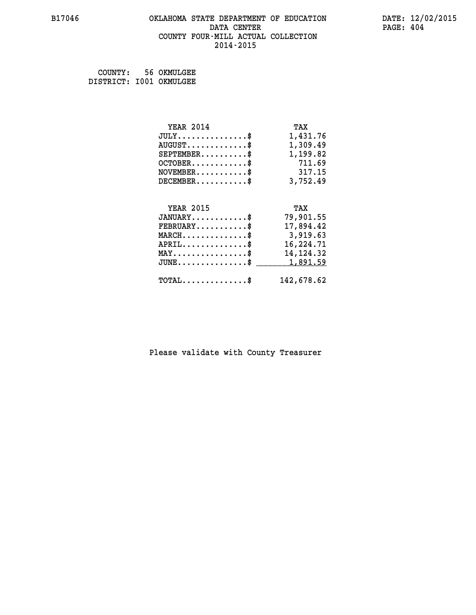#### **B17046 OKLAHOMA STATE DEPARTMENT OF EDUCATION DATE: 12/02/2015 DATA CENTER** PAGE: 404  **COUNTY FOUR-MILL ACTUAL COLLECTION 2014-2015**

 **COUNTY: 56 OKMULGEE DISTRICT: I001 OKMULGEE**

| <b>YEAR 2014</b>                               | TAX         |
|------------------------------------------------|-------------|
| $JULY$ \$                                      | 1,431.76    |
| $AUGUST$ \$                                    | 1,309.49    |
| $SEPTEMBER$ \$                                 | 1,199.82    |
| $OCTOBER$ \$                                   | 711.69      |
| $\texttt{NOVEMBER} \dots \dots \dots \$        | 317.15      |
| $DECEMBER$ \$                                  | 3,752.49    |
|                                                |             |
| <b>YEAR 2015</b>                               | TAX         |
| $JANUARY$ \$                                   | 79,901.55   |
| $FEBRUARY$ \$                                  | 17,894.42   |
| $MARCH$ \$                                     | 3,919.63    |
| $APRIL \ldots \ldots \ldots \ldots \$          | 16,224.71   |
| $\texttt{MAX} \dots \dots \dots \dots \dots \$ | 14, 124. 32 |
| $JUNE$ \$                                      | 1,891.59    |
| $\texttt{TOTAL} \dots \dots \dots \dots \$     | 142,678.62  |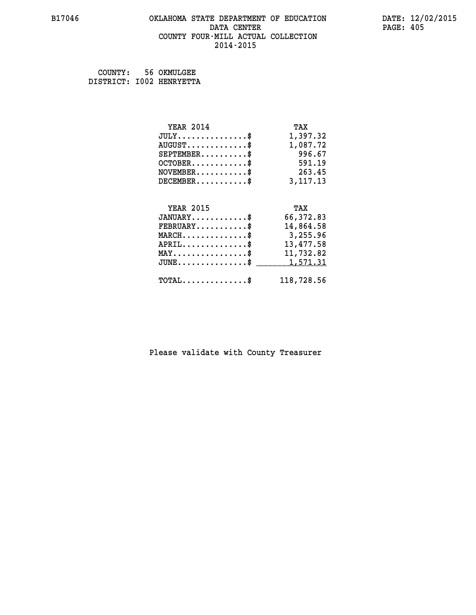#### **B17046 OKLAHOMA STATE DEPARTMENT OF EDUCATION DATE: 12/02/2015 DATA CENTER** PAGE: 405  **COUNTY FOUR-MILL ACTUAL COLLECTION 2014-2015**

 **COUNTY: 56 OKMULGEE DISTRICT: I002 HENRYETTA**

| <b>YEAR 2014</b>                               | TAX        |
|------------------------------------------------|------------|
| $JULY$ \$                                      | 1,397.32   |
| $AUGUST$ \$                                    | 1,087.72   |
| $SEPTEMBER$ \$                                 | 996.67     |
| $OCTOBER$ \$                                   | 591.19     |
| $\texttt{NOVEMBER} \dots \dots \dots \$        | 263.45     |
| $DECEMBER$ \$                                  | 3, 117. 13 |
|                                                |            |
| <b>YEAR 2015</b>                               | TAX        |
| $JANUARY$ \$                                   | 66,372.83  |
| $FEBRUARY$                                     | 14,864.58  |
| $MARCH$ \$                                     | 3,255.96   |
| $APRIL$ \$                                     | 13,477.58  |
| $\texttt{MAX} \dots \dots \dots \dots \dots \$ | 11,732.82  |
| $JUNE$ $\text{\$}$                             | 1,571.31   |
| $\texttt{TOTAL} \dots \dots \dots \dots \$     | 118,728.56 |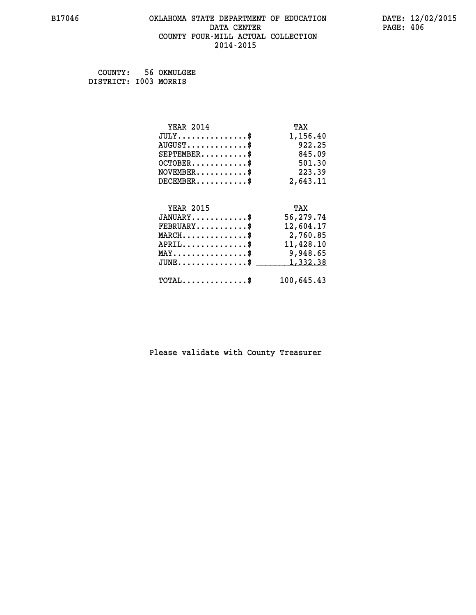#### **B17046 OKLAHOMA STATE DEPARTMENT OF EDUCATION DATE: 12/02/2015 DATA CENTER** PAGE: 406  **COUNTY FOUR-MILL ACTUAL COLLECTION 2014-2015**

 **COUNTY: 56 OKMULGEE DISTRICT: I003 MORRIS**

| <b>YEAR 2014</b>                               | TAX        |
|------------------------------------------------|------------|
| $JULY$ \$                                      | 1,156.40   |
| $AUGUST$ \$                                    | 922.25     |
| $SEPTEMBER$                                    | 845.09     |
| $OCTOBER$ \$                                   | 501.30     |
| $\texttt{NOVEMBER} \dots \dots \dots \$        | 223.39     |
| $DECEMBER$ \$                                  | 2,643.11   |
|                                                |            |
| <b>YEAR 2015</b>                               | TAX        |
| $JANUARY$ \$                                   | 56,279.74  |
| $FEBRUARY$                                     | 12,604.17  |
| $MARCH$ \$                                     | 2,760.85   |
| $APRIL$ \$                                     | 11,428.10  |
| $\texttt{MAX} \dots \dots \dots \dots \dots \$ | 9,948.65   |
| $JUNE$ \$                                      | 1,332.38   |
| $\texttt{TOTAL} \dots \dots \dots \dots \$     | 100,645.43 |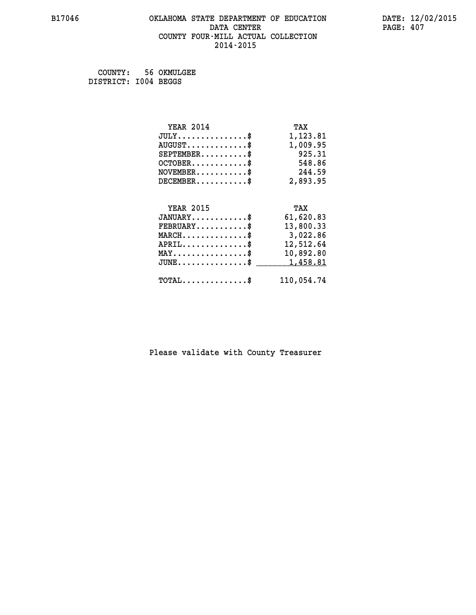# **B17046 OKLAHOMA STATE DEPARTMENT OF EDUCATION DATE: 12/02/2015 DATA CENTER PAGE: 407 COUNTY FOUR-MILL ACTUAL COLLECTION 2014-2015**

 **COUNTY: 56 OKMULGEE DISTRICT: I004 BEGGS**

| <b>YEAR 2014</b>                               | TAX        |
|------------------------------------------------|------------|
| $JULY$ \$                                      | 1,123.81   |
| $AUGUST$ \$                                    | 1,009.95   |
| $SEPTEMBER$ \$                                 | 925.31     |
| $OCTOBER$ \$                                   | 548.86     |
| $\texttt{NOVEMBER} \dots \dots \dots \$        | 244.59     |
| $DECEMBER$ \$                                  | 2,893.95   |
|                                                |            |
| <b>YEAR 2015</b>                               | TAX        |
| $JANUARY$ \$                                   | 61,620.83  |
| $FEBRUARY$ \$                                  | 13,800.33  |
| $MARCH$ \$                                     | 3,022.86   |
| $APRIL \ldots \ldots \ldots \ldots \$          | 12,512.64  |
| $\texttt{MAX} \dots \dots \dots \dots \dots \$ | 10,892.80  |
| $JUNE$ \$                                      | 1,458.81   |
| $\texttt{TOTAL} \dots \dots \dots \dots \$     | 110,054.74 |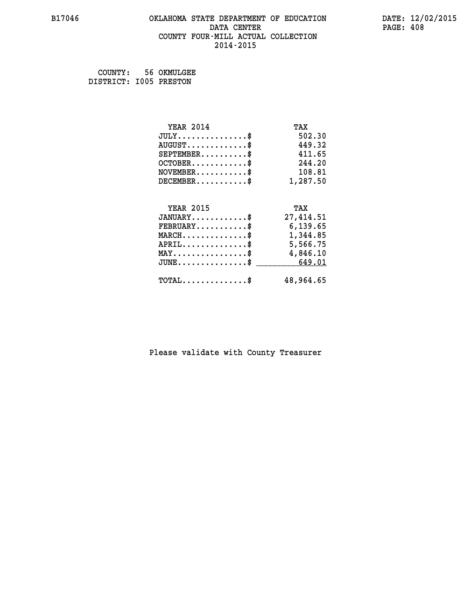# **B17046 OKLAHOMA STATE DEPARTMENT OF EDUCATION DATE: 12/02/2015 DATA CENTER PAGE: 408 COUNTY FOUR-MILL ACTUAL COLLECTION 2014-2015**

 **COUNTY: 56 OKMULGEE DISTRICT: I005 PRESTON**

| <b>YEAR 2014</b>                                   | TAX       |
|----------------------------------------------------|-----------|
| $JULY$ \$                                          | 502.30    |
| $AUGUST$ \$                                        | 449.32    |
| $SEPTEMBER$ \$                                     | 411.65    |
| $OCTOBER$ \$                                       | 244.20    |
| $\texttt{NOVEMBER} \dots \dots \dots \$            | 108.81    |
| $DECEMBER$ \$                                      | 1,287.50  |
|                                                    |           |
| <b>YEAR 2015</b>                                   | TAX       |
| $JANUARY$ \$                                       | 27,414.51 |
| $\texttt{FEBRUARY}\dots\dots\dots\dots\$           | 6,139.65  |
| $\texttt{MARCH}\ldots\ldots\ldots\ldots\text{*}$   | 1,344.85  |
| $APRIL \ldots \ldots \ldots \ldots *$              | 5,566.75  |
| $\texttt{MAX} \dots \dots \dots \dots \dots \$     | 4,846.10  |
| $\texttt{JUNE} \dots \dots \dots \dots \texttt{S}$ | 649.01    |
| $\texttt{TOTAL} \dots \dots \dots \dots \$         | 48,964.65 |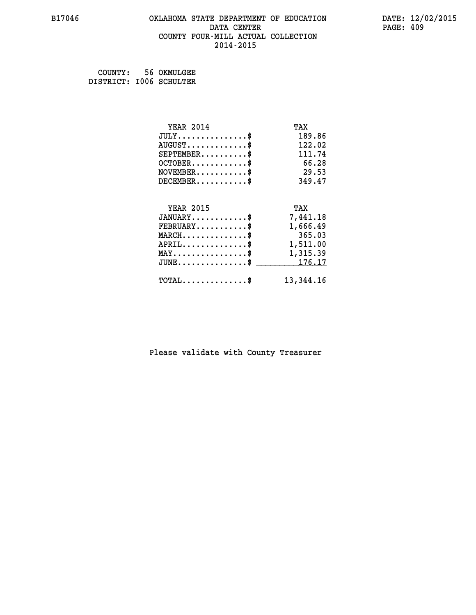#### **B17046 OKLAHOMA STATE DEPARTMENT OF EDUCATION DATE: 12/02/2015 DATA CENTER** PAGE: 409  **COUNTY FOUR-MILL ACTUAL COLLECTION 2014-2015**

 **COUNTY: 56 OKMULGEE DISTRICT: I006 SCHULTER**

| <b>YEAR 2014</b>                               | TAX       |
|------------------------------------------------|-----------|
| $JULY$ \$                                      | 189.86    |
| $AUGUST$ \$                                    | 122.02    |
| $SEPTEMBER$ \$                                 | 111.74    |
| $OCTOBER$ \$                                   | 66.28     |
| $NOVEMBER$ \$                                  | 29.53     |
| $DECEMBER$ \$                                  | 349.47    |
|                                                |           |
| <b>YEAR 2015</b>                               | TAX       |
| $JANUARY$ \$                                   | 7,441.18  |
| $FEBRUARY$                                     | 1,666.49  |
| $MARCH$ \$                                     | 365.03    |
| $APRIL \ldots \ldots \ldots \ldots \$          | 1,511.00  |
| $\texttt{MAX} \dots \dots \dots \dots \dots \$ | 1,315.39  |
| $JUNE \ldots \ldots \ldots \ldots \ast$        | 176.17    |
| $\texttt{TOTAL} \dots \dots \dots \dots$       | 13,344.16 |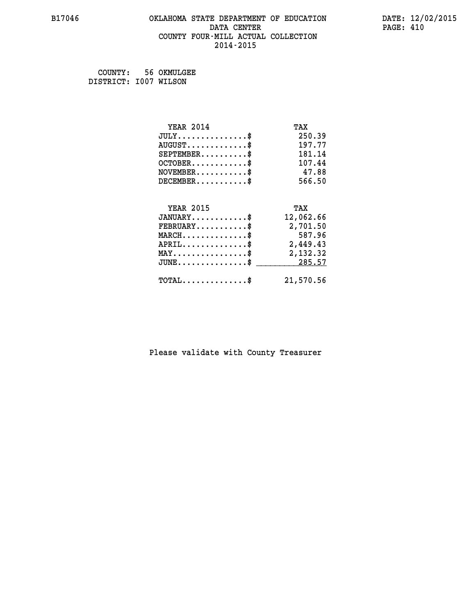#### **B17046 OKLAHOMA STATE DEPARTMENT OF EDUCATION DATE: 12/02/2015 DATA CENTER** PAGE: 410  **COUNTY FOUR-MILL ACTUAL COLLECTION 2014-2015**

 **COUNTY: 56 OKMULGEE DISTRICT: I007 WILSON**

| <b>YEAR 2014</b>                               | TAX       |
|------------------------------------------------|-----------|
| $JULY$ \$                                      | 250.39    |
| $AUGUST$ \$                                    | 197.77    |
| $SEPTEMBER$ \$                                 | 181.14    |
| $OCTOBER$ \$                                   | 107.44    |
| $NOVEMBER$ \$                                  | 47.88     |
| $DECEMBER$ \$                                  | 566.50    |
|                                                |           |
| <b>YEAR 2015</b>                               | TAX       |
| $JANUARY$                                      | 12,062.66 |
| $FEBRUARY$                                     | 2,701.50  |
| $MARCH$ \$                                     | 587.96    |
| $APRIL$ \$                                     | 2,449.43  |
| $\texttt{MAX} \dots \dots \dots \dots \dots \$ | 2,132.32  |
| $JUNE$ \$                                      | 285.57    |
| $\texttt{TOTAL} \dots \dots \dots \dots \$     | 21,570.56 |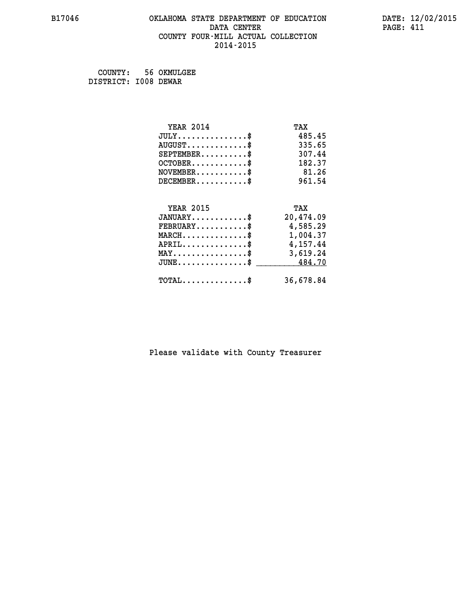#### **B17046 OKLAHOMA STATE DEPARTMENT OF EDUCATION DATE: 12/02/2015 DATA CENTER** PAGE: 411  **COUNTY FOUR-MILL ACTUAL COLLECTION 2014-2015**

 **COUNTY: 56 OKMULGEE DISTRICT: I008 DEWAR**

| <b>YEAR 2014</b>                                  | TAX       |
|---------------------------------------------------|-----------|
| $JULY$ \$                                         | 485.45    |
| $AUGUST$ \$                                       | 335.65    |
| $SEPTEMBER$ \$                                    | 307.44    |
| $OCTOBER$ \$                                      | 182.37    |
| $NOVEMBER$ \$                                     | 81.26     |
| $DECEMBER$ \$                                     | 961.54    |
|                                                   |           |
| <b>YEAR 2015</b>                                  | TAX       |
| $JANUARY$ \$                                      | 20,474.09 |
| $FEBRUARY$                                        | 4,585.29  |
| $\texttt{MARCH}\ldots\ldots\ldots\ldots\clubsuit$ | 1,004.37  |
| $APRIL \ldots \ldots \ldots \ldots$ \$            | 4,157.44  |
| $\texttt{MAX} \dots \dots \dots \dots \dots \$    | 3,619.24  |
| $\texttt{JUNE}\dots\dots\dots\dots\dots\$$        | 484.70    |
| $\texttt{TOTAL} \dots \dots \dots \dots \$        | 36,678.84 |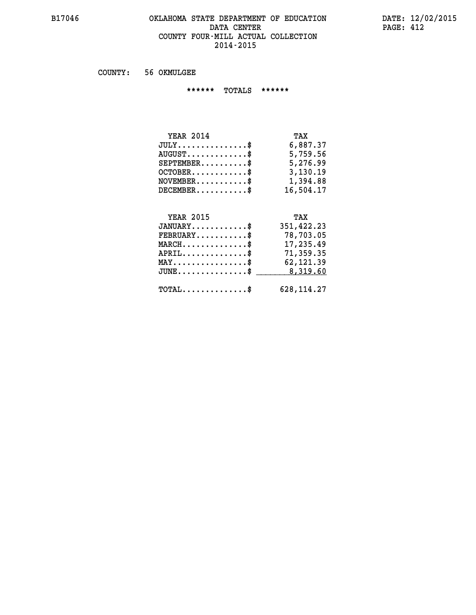#### **B17046 OKLAHOMA STATE DEPARTMENT OF EDUCATION DATE: 12/02/2015 DATA CENTER PAGE: 412 COUNTY FOUR-MILL ACTUAL COLLECTION 2014-2015**

 **COUNTY: 56 OKMULGEE**

 **\*\*\*\*\*\* TOTALS \*\*\*\*\*\***

| <b>YEAR 2014</b> | TAX       |
|------------------|-----------|
| $JULY$           | 6,887.37  |
| $AUGUST$         | 5,759.56  |
| $SEPTEMBER$      | 5,276.99  |
| $OCTOBER$ \$     | 3,130.19  |
| $NOVEMBER$ \$    | 1,394.88  |
| $DECEMENTER$     | 16,504.17 |

# **YEAR 2015 TAX JANUARY............\$ 351,422.23 FEBRUARY...........\$ 78,703.05 MARCH..............\$ 17,235.49 APRIL..............\$ 71,359.35 MAY................\$ 62,121.39 JUNE................\$** \_\_\_\_\_\_\_\_\_ 8,319.60  **TOTAL..............\$ 628,114.27**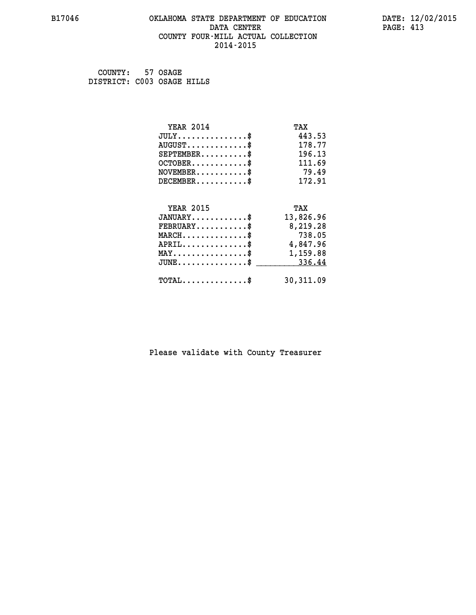#### **B17046 OKLAHOMA STATE DEPARTMENT OF EDUCATION DATE: 12/02/2015 DATA CENTER** PAGE: 413  **COUNTY FOUR-MILL ACTUAL COLLECTION 2014-2015**

 **COUNTY: 57 OSAGE DISTRICT: C003 OSAGE HILLS**

| <b>YEAR 2014</b>                               | TAX       |
|------------------------------------------------|-----------|
| $JULY$ \$                                      | 443.53    |
| $AUGUST$ \$                                    | 178.77    |
| $SEPTEMENT.$ \$                                | 196.13    |
| $OCTOBER$ \$                                   | 111.69    |
| $NOVEMBER$ \$                                  | 79.49     |
| $DECEMBER$ \$                                  | 172.91    |
|                                                |           |
| <b>YEAR 2015</b>                               | TAX       |
| $JANUARY$ \$                                   | 13,826.96 |
| $FEBRUARY$                                     | 8,219.28  |
| $MARCH$ \$                                     | 738.05    |
| $APRIL$ \$                                     | 4,847.96  |
| $\texttt{MAX} \dots \dots \dots \dots \dots \$ | 1,159.88  |
| $JUNE$ \$                                      | 336.44    |
| $\texttt{TOTAL} \dots \dots \dots \dots$ \$    | 30,311.09 |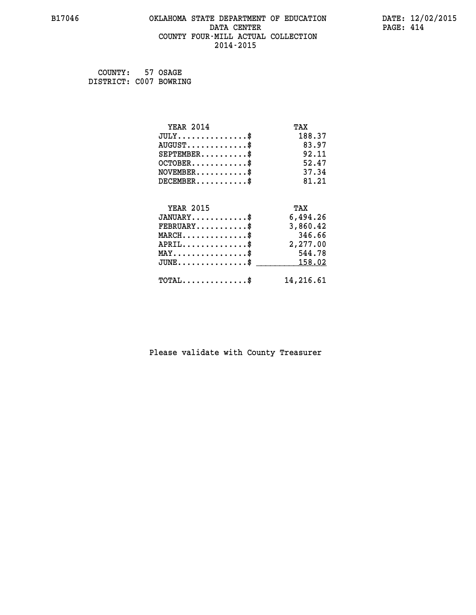#### **B17046 OKLAHOMA STATE DEPARTMENT OF EDUCATION DATE: 12/02/2015 DATA CENTER** PAGE: 414  **COUNTY FOUR-MILL ACTUAL COLLECTION 2014-2015**

 **COUNTY: 57 OSAGE DISTRICT: C007 BOWRING**

| <b>YEAR 2014</b>                                 | TAX       |
|--------------------------------------------------|-----------|
| $JULY$ \$                                        | 188.37    |
| $AUGUST$ \$                                      | 83.97     |
| $SEPTEMBER$ \$                                   | 92.11     |
| $OCTOBER$ \$                                     | 52.47     |
| $NOVEMBER$ \$                                    | 37.34     |
| $DECEMBER$ \$                                    | 81.21     |
|                                                  |           |
| <b>YEAR 2015</b>                                 | TAX       |
| $JANUARY$                                        | 6,494.26  |
| $FEBRUARY$ \$                                    | 3,860.42  |
| $MARCH$ \$                                       | 346.66    |
| $APRIL$ \$                                       | 2,277.00  |
| $MAX \dots \dots \dots \dots \dots$              | 544.78    |
| $\texttt{JUNE} \dots \dots \dots \dots \dots \$$ | 158.02    |
| $\texttt{TOTAL} \dots \dots \dots \dots$         | 14,216.61 |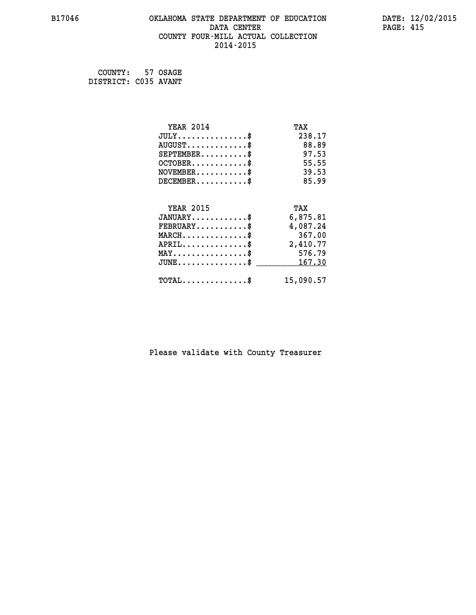#### **B17046 OKLAHOMA STATE DEPARTMENT OF EDUCATION DATE: 12/02/2015 DATA CENTER** PAGE: 415  **COUNTY FOUR-MILL ACTUAL COLLECTION 2014-2015**

 **COUNTY: 57 OSAGE DISTRICT: C035 AVANT**

| <b>YEAR 2014</b>                                   | TAX       |
|----------------------------------------------------|-----------|
| $JULY$ \$                                          | 238.17    |
| $AUGUST$ \$                                        | 88.89     |
| $SEPTEMBER$ \$                                     | 97.53     |
| $OCTOBER$ \$                                       | 55.55     |
| $NOVEMBER$ \$                                      | 39.53     |
| $DECEMBER$ \$                                      | 85.99     |
|                                                    |           |
| <b>YEAR 2015</b>                                   | TAX       |
| $JANUARY$                                          | 6,875.81  |
| $FEBRUARY$ \$                                      | 4,087.24  |
| $MARCH$ \$                                         | 367.00    |
| $APRIL$ \$                                         | 2,410.77  |
| $MAX \dots \dots \dots \dots \dots$                | 576.79    |
| $\texttt{JUNE} \dots \dots \dots \dots \texttt{S}$ | 167.30    |
| $\texttt{TOTAL} \dots \dots \dots \dots$ \$        | 15,090.57 |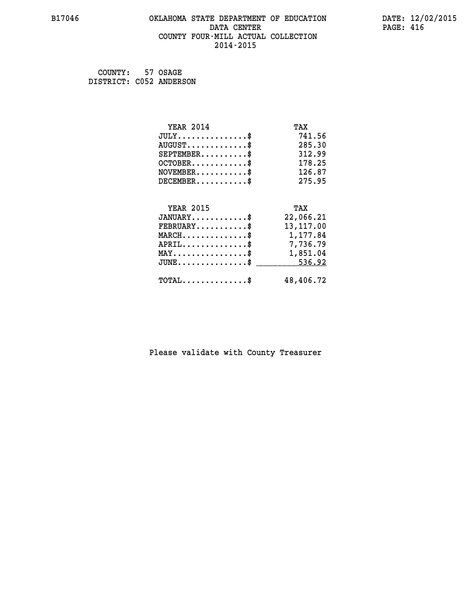#### **B17046 OKLAHOMA STATE DEPARTMENT OF EDUCATION DATE: 12/02/2015 DATA CENTER** PAGE: 416  **COUNTY FOUR-MILL ACTUAL COLLECTION 2014-2015**

| COUNTY: 57 OSAGE        |  |
|-------------------------|--|
| DISTRICT: C052 ANDERSON |  |

| <b>YEAR 2014</b>                                   | TAX        |
|----------------------------------------------------|------------|
| $JULY$ \$                                          | 741.56     |
| $AUGUST$ \$                                        | 285.30     |
| $SEPTEMBER$ \$                                     | 312.99     |
| $OCTOBER$ \$                                       | 178.25     |
| $\texttt{NOVEMBER} \dots \dots \dots \$            | 126.87     |
| $DECEMBER$ \$                                      | 275.95     |
|                                                    |            |
| <b>YEAR 2015</b>                                   | TAX        |
| $JANUARY$ \$                                       | 22,066.21  |
| $FEBRUARY$ \$                                      | 13, 117.00 |
| $MARCH$ \$                                         | 1,177.84   |
| $APRIL$ \$                                         | 7,736.79   |
| $\texttt{MAX} \dots \dots \dots \dots \dots \$     | 1,851.04   |
| $\texttt{JUNE} \dots \dots \dots \dots \texttt{S}$ | 536.92     |
| $\texttt{TOTAL} \dots \dots \dots \dots \$         | 48,406.72  |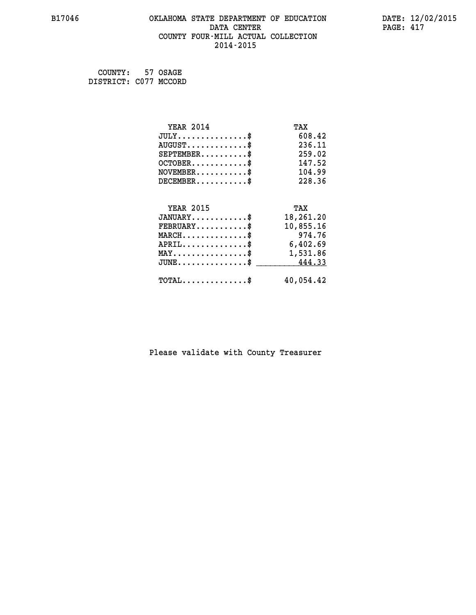#### **B17046 OKLAHOMA STATE DEPARTMENT OF EDUCATION DATE: 12/02/2015 DATA CENTER** PAGE: 417  **COUNTY FOUR-MILL ACTUAL COLLECTION 2014-2015**

 **COUNTY: 57 OSAGE DISTRICT: C077 MCCORD**

| <b>YEAR 2014</b>                                 | TAX       |
|--------------------------------------------------|-----------|
| $JULY$ \$                                        | 608.42    |
| $AUGUST$ \$                                      | 236.11    |
| $SEPTEMENT.$ \$                                  | 259.02    |
| $OCTOBER$ \$                                     | 147.52    |
| $NOVEMBER$ \$                                    | 104.99    |
| $DECEMBER$ \$                                    | 228.36    |
|                                                  |           |
| <b>YEAR 2015</b>                                 | TAX       |
| $JANUARY$ \$                                     | 18,261.20 |
| $FEBRUARY$ \$                                    | 10,855.16 |
| $MARCH$ \$                                       | 974.76    |
| $APRIL$ \$                                       | 6,402.69  |
| $\texttt{MAX} \dots \dots \dots \dots \dots \$   | 1,531.86  |
| $\texttt{JUNE} \dots \dots \dots \dots \dots \$$ | 444.33    |
| $\texttt{TOTAL} \dots \dots \dots \dots \$       | 40,054.42 |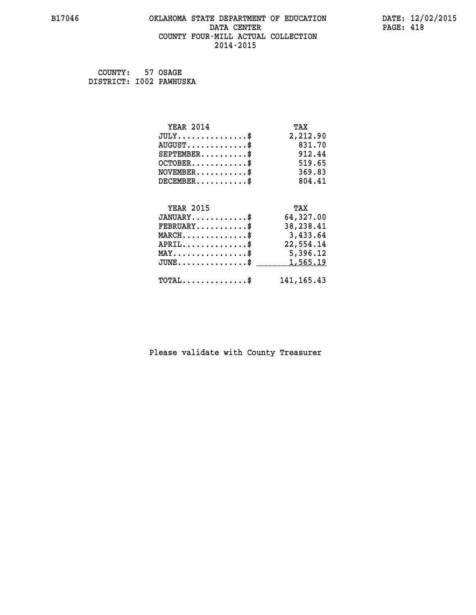#### **B17046 OKLAHOMA STATE DEPARTMENT OF EDUCATION DATE: 12/02/2015 DATA CENTER** PAGE: 418  **COUNTY FOUR-MILL ACTUAL COLLECTION 2014-2015**

 **COUNTY: 57 OSAGE DISTRICT: I002 PAWHUSKA**

| <b>YEAR 2014</b>                                                          | TAX          |
|---------------------------------------------------------------------------|--------------|
| $JULY$ \$                                                                 | 2,212.90     |
| $AUGUST$ \$                                                               | 831.70       |
| $SEPTEMENT.$ \$                                                           | 912.44       |
| $OCTOBER$ \$                                                              | 519.65       |
| $\verb NOVEMBER , \verb , \verb , \verb , \verb , \verb , \verb , \verb $ | 369.83       |
| $DECEMBER$ \$                                                             | 804.41       |
|                                                                           |              |
| <b>YEAR 2015</b>                                                          | TAX          |
| $JANUARY$ \$                                                              | 64,327.00    |
| $FEBRUARY$                                                                | 38,238.41    |
| $MARCH$ \$                                                                | 3,433.64     |
| $APRIL \ldots \ldots \ldots \ldots$ \$                                    | 22,554.14    |
| $\texttt{MAX} \dots \dots \dots \dots \dots \$                            | 5,396.12     |
| $JUNE$ \$                                                                 | 1,565.19     |
| $\texttt{TOTAL} \dots \dots \dots \dots \$                                | 141, 165. 43 |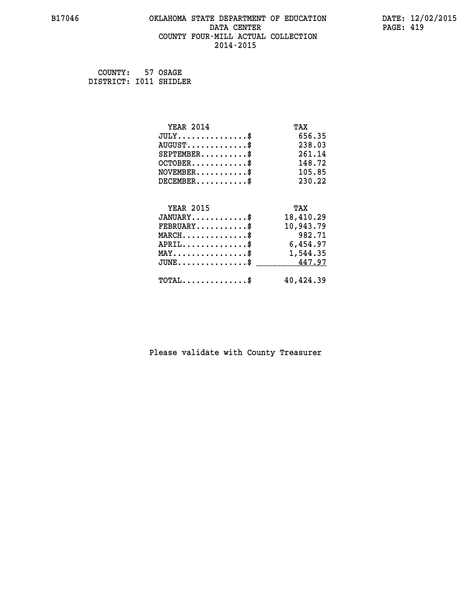# **B17046 OKLAHOMA STATE DEPARTMENT OF EDUCATION DATE: 12/02/2015 DATA CENTER PAGE: 419 COUNTY FOUR-MILL ACTUAL COLLECTION 2014-2015**

 **COUNTY: 57 OSAGE DISTRICT: I011 SHIDLER**

| <b>YEAR 2014</b>                                   | TAX       |
|----------------------------------------------------|-----------|
| $JULY$ \$                                          | 656.35    |
| $AUGUST$ \$                                        | 238.03    |
| $SEPTEMENT.$ \$                                    | 261.14    |
| $OCTOBER$ \$                                       | 148.72    |
| $NOVEMBER.$ \$                                     | 105.85    |
| $DECEMBER$ \$                                      | 230.22    |
|                                                    |           |
| <b>YEAR 2015</b>                                   | TAX       |
| $JANUARY$ \$                                       | 18,410.29 |
| $FEBRUARY$                                         | 10,943.79 |
| $MARCH$ \$                                         | 982.71    |
| $APRIL \ldots \ldots \ldots \ldots \$              | 6,454.97  |
| $\texttt{MAX} \dots \dots \dots \dots \dots \$     | 1,544.35  |
| $\texttt{JUNE} \dots \dots \dots \dots \texttt{I}$ | 447.97    |
| $TOTAL$ \$                                         | 40,424.39 |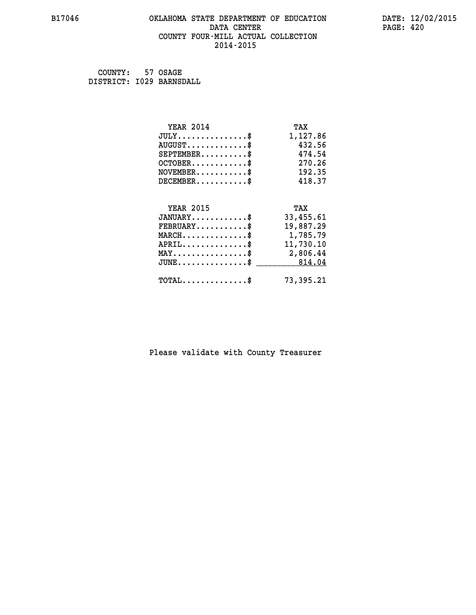#### **B17046 OKLAHOMA STATE DEPARTMENT OF EDUCATION DATE: 12/02/2015 DATA CENTER** PAGE: 420  **COUNTY FOUR-MILL ACTUAL COLLECTION 2014-2015**

 **COUNTY: 57 OSAGE DISTRICT: I029 BARNSDALL**

| <b>YEAR 2014</b>                                 | TAX       |
|--------------------------------------------------|-----------|
| $JULY$ \$                                        | 1,127.86  |
| $AUGUST$ \$                                      | 432.56    |
| $SEPTEMBER$ \$                                   | 474.54    |
| $OCTOBER$ \$                                     | 270.26    |
| $NOVEMBER.$ \$                                   | 192.35    |
| $DECEMBER$ \$                                    | 418.37    |
|                                                  |           |
| <b>YEAR 2015</b>                                 | TAX       |
| $JANUARY$ \$                                     | 33,455.61 |
| $FEBRUARY$ \$                                    | 19,887.29 |
| $MARCH$ \$                                       | 1,785.79  |
| $APRIL$ \$                                       | 11,730.10 |
| $\texttt{MAX} \dots \dots \dots \dots \dots \$   | 2,806.44  |
| $\texttt{JUNE} \dots \dots \dots \dots \dots \$$ | 814.04    |
| $\texttt{TOTAL} \dots \dots \dots \dots \$       | 73,395.21 |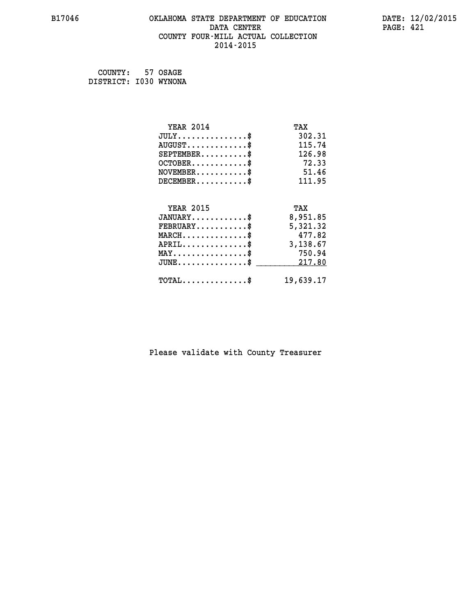#### **B17046 OKLAHOMA STATE DEPARTMENT OF EDUCATION DATE: 12/02/2015 DATA CENTER** PAGE: 421  **COUNTY FOUR-MILL ACTUAL COLLECTION 2014-2015**

 **COUNTY: 57 OSAGE DISTRICT: I030 WYNONA**

| <b>YEAR 2014</b>                    | TAX       |
|-------------------------------------|-----------|
| $JULY$ \$                           | 302.31    |
| $AUGUST$ \$                         | 115.74    |
| $SEPTEMBER$ \$                      | 126.98    |
| $OCTOBER$ \$                        | 72.33     |
| $NOVEMBER$ \$                       | 51.46     |
| $DECEMBER$ \$                       | 111.95    |
|                                     |           |
| <b>YEAR 2015</b>                    | TAX       |
| $JANUARY$                           | 8,951.85  |
| $FEBRUARY$                          | 5,321.32  |
| $MARCH$ \$                          | 477.82    |
| $APRIL$ \$                          | 3,138.67  |
| $MAX \dots \dots \dots \dots \dots$ | 750.94    |
| $JUNE$ \$                           | 217.80    |
| $TOTAL$ \$                          | 19,639.17 |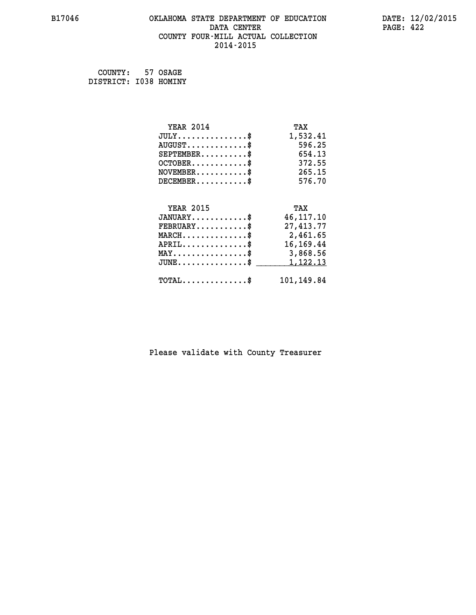#### **B17046 OKLAHOMA STATE DEPARTMENT OF EDUCATION DATE: 12/02/2015 DATA CENTER** PAGE: 422  **COUNTY FOUR-MILL ACTUAL COLLECTION 2014-2015**

 **COUNTY: 57 OSAGE DISTRICT: I038 HOMINY**

| <b>YEAR 2014</b>                               | TAX         |
|------------------------------------------------|-------------|
| $JULY$ \$                                      | 1,532.41    |
| $AUGUST$ \$                                    | 596.25      |
| $SEPTEMBER$ \$                                 | 654.13      |
| $OCTOBER$ \$                                   | 372.55      |
| $NOVEMBER$ \$                                  | 265.15      |
| $DECEMBER$ \$                                  | 576.70      |
|                                                |             |
| <b>YEAR 2015</b>                               | TAX         |
| $JANUARY$ \$                                   | 46, 117. 10 |
| $FEBRUARY$ \$                                  | 27,413.77   |
| $MARCH$ \$                                     | 2,461.65    |
| $APRIL$ \$                                     | 16, 169. 44 |
| $\texttt{MAX} \dots \dots \dots \dots \dots \$ | 3,868.56    |
| $JUNE$ \$                                      | 1,122.13    |
| $\texttt{TOTAL} \dots \dots \dots \dots$ \$    | 101,149.84  |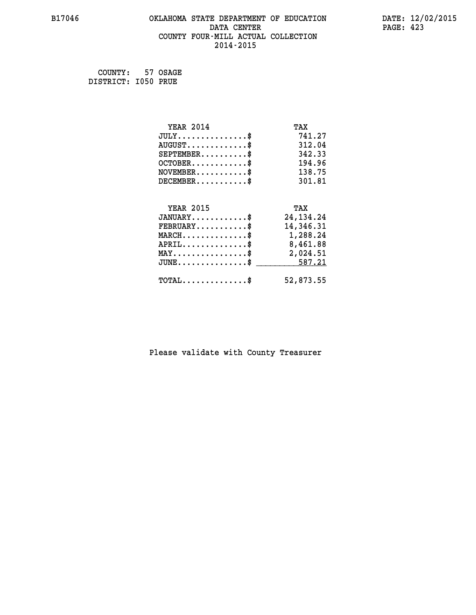#### **B17046 OKLAHOMA STATE DEPARTMENT OF EDUCATION DATE: 12/02/2015 DATA CENTER** PAGE: 423  **COUNTY FOUR-MILL ACTUAL COLLECTION 2014-2015**

 **COUNTY: 57 OSAGE DISTRICT: I050 PRUE**

| <b>YEAR 2014</b>                                 | TAX         |
|--------------------------------------------------|-------------|
| $JULY$ \$                                        | 741.27      |
| $AUGUST$ \$                                      | 312.04      |
| $SEPTEMBER$ \$                                   | 342.33      |
| $OCTOBER$ \$                                     | 194.96      |
| $\texttt{NOVEMBER} \dots \dots \dots \$          | 138.75      |
| $DECEMBER$ \$                                    | 301.81      |
|                                                  |             |
| <b>YEAR 2015</b>                                 | TAX         |
| $JANUARY$ \$                                     | 24, 134. 24 |
| $FEBRUARY$                                       | 14,346.31   |
| $\texttt{MARCH}\ldots\ldots\ldots\ldots\text{*}$ | 1,288.24    |
| $APRIL \ldots \ldots \ldots \ldots \$            | 8,461.88    |
| $\texttt{MAX} \dots \dots \dots \dots \dots \$   | 2,024.51    |
| $JUNE$ \$                                        | 587.21      |
| $\texttt{TOTAL} \dots \dots \dots \dots$         | 52,873.55   |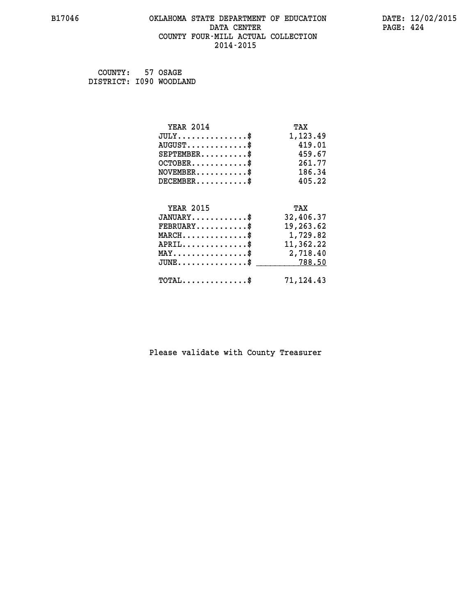#### **B17046 OKLAHOMA STATE DEPARTMENT OF EDUCATION DATE: 12/02/2015 DATA CENTER** PAGE: 424  **COUNTY FOUR-MILL ACTUAL COLLECTION 2014-2015**

 **COUNTY: 57 OSAGE DISTRICT: I090 WOODLAND**

| <b>YEAR 2014</b>                                 | TAX       |
|--------------------------------------------------|-----------|
| $JULY$ \$                                        | 1,123.49  |
| $AUGUST$ \$                                      | 419.01    |
| $SEPTEMBER$ \$                                   | 459.67    |
| $OCTOBER$ \$                                     | 261.77    |
| $\texttt{NOVEMBER} \dots \dots \dots \$          | 186.34    |
| $DECEMBER$ \$                                    | 405.22    |
|                                                  |           |
| <b>YEAR 2015</b>                                 | TAX       |
| $JANUARY$ \$                                     | 32,406.37 |
| $FEBRUARY$                                       | 19,263.62 |
| $\texttt{MARCH}\ldots\ldots\ldots\ldots\text{*}$ | 1,729.82  |
| $APRIL \ldots \ldots \ldots \ldots$              | 11,362.22 |
| $\texttt{MAX} \dots \dots \dots \dots \dots \$   | 2,718.40  |
| $JUNE$ \$                                        | 788.50    |
| $\texttt{TOTAL} \dots \dots \dots \dots$ \$      | 71,124.43 |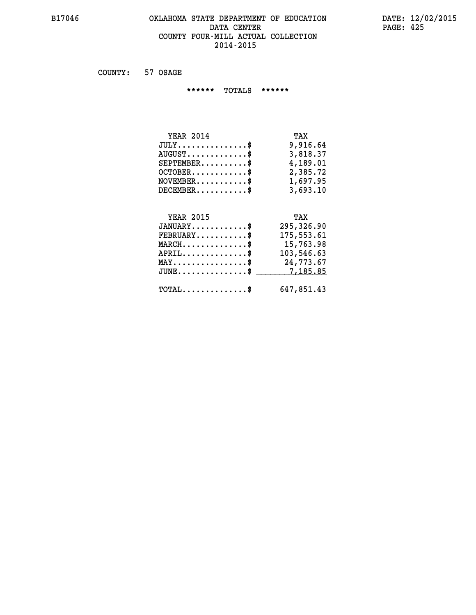#### **B17046 OKLAHOMA STATE DEPARTMENT OF EDUCATION DATE: 12/02/2015** DATA CENTER PAGE: 425  **COUNTY FOUR-MILL ACTUAL COLLECTION 2014-2015**

 **COUNTY: 57 OSAGE**

 **\*\*\*\*\*\* TOTALS \*\*\*\*\*\***

| <b>YEAR 2014</b>                       | TAX      |
|----------------------------------------|----------|
| $JULY \ldots \ldots \ldots \mathbb{S}$ | 9,916.64 |
| $AUGUST$ \$                            | 3,818.37 |
| $SEPTEMBER$                            | 4,189.01 |
| $OCTOBER$ \$                           | 2,385.72 |
| $NOVEMBER$ \$                          | 1,697.95 |
| $DECEMBER$                             | 3,693.10 |

# **YEAR 2015 TAX JANUARY............\$ 295,326.90 FEBRUARY...........\$ 175,553.61 MARCH..............\$ 15,763.98 APRIL..............\$ 103,546.63 MAY................\$ 24,773.67 JUNE................\$** \_\_\_\_\_\_\_\_\_\_7,185.85  **TOTAL..............\$ 647,851.43**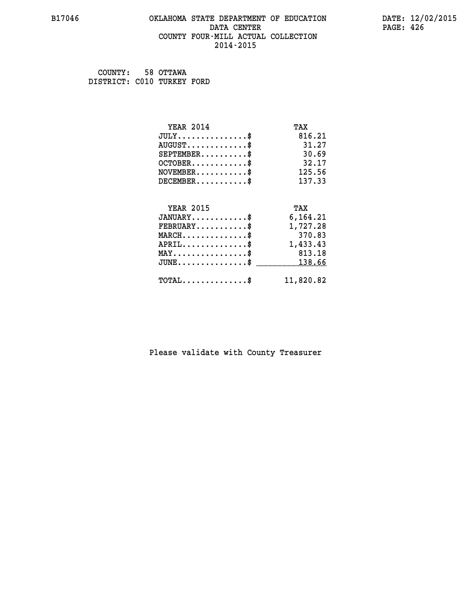#### **B17046 OKLAHOMA STATE DEPARTMENT OF EDUCATION DATE: 12/02/2015 DATA CENTER** PAGE: 426  **COUNTY FOUR-MILL ACTUAL COLLECTION 2014-2015**

 **COUNTY: 58 OTTAWA DISTRICT: C010 TURKEY FORD**

| <b>YEAR 2014</b>                           | TAX       |
|--------------------------------------------|-----------|
| $JULY$ \$                                  | 816.21    |
| $AUGUST$ \$                                | 31.27     |
| $SEPTEMBER$ \$                             | 30.69     |
| $OCTOBER$ \$                               | 32.17     |
| $NOVEMBER$ \$                              | 125.56    |
| $DECEMBER$ \$                              | 137.33    |
|                                            |           |
| <b>YEAR 2015</b>                           | TAX       |
| $JANUARY$                                  | 6,164.21  |
| $FEBRUARY$                                 | 1,727.28  |
| $MARCH$ \$                                 | 370.83    |
| $APRIL$ \$                                 | 1,433.43  |
| $MAX \dots \dots \dots \dots \dots$        | 813.18    |
| $JUNE$ \$                                  | 138.66    |
| $\texttt{TOTAL} \dots \dots \dots \dots \$ | 11,820.82 |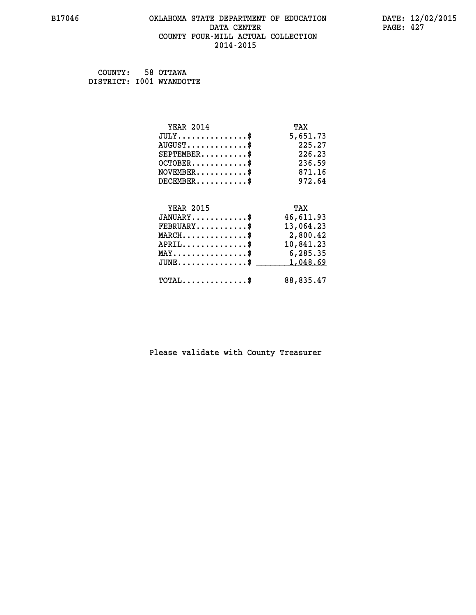#### **B17046 OKLAHOMA STATE DEPARTMENT OF EDUCATION DATE: 12/02/2015 DATA CENTER** PAGE: 427  **COUNTY FOUR-MILL ACTUAL COLLECTION 2014-2015**

 **COUNTY: 58 OTTAWA DISTRICT: I001 WYANDOTTE**

| <b>YEAR 2014</b>                           | TAX       |
|--------------------------------------------|-----------|
| $JULY$ \$                                  | 5,651.73  |
| $AUGUST$ \$                                | 225.27    |
| $SEPTEMBER$ \$                             | 226.23    |
| $OCTOBER$ \$                               | 236.59    |
| $NOVEMBER$ \$                              | 871.16    |
| $DECEMBER$ \$                              | 972.64    |
|                                            |           |
| <b>YEAR 2015</b>                           | TAX       |
| $JANUARY$ \$                               | 46,611.93 |
| $FEBRUARY$                                 | 13,064.23 |
| $MARCH$ \$                                 | 2,800.42  |
| $APRIL$ \$                                 | 10,841.23 |
| $MAX \dots \dots \dots \dots \dots$        | 6,285.35  |
| $JUNE$                                     | 1,048.69  |
| $\texttt{TOTAL} \dots \dots \dots \dots \$ | 88,835.47 |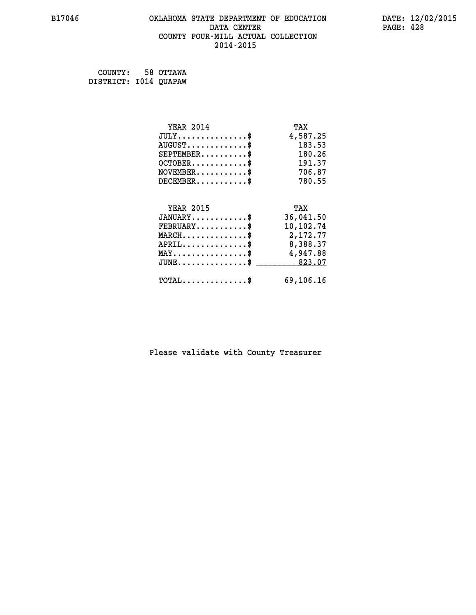#### **B17046 OKLAHOMA STATE DEPARTMENT OF EDUCATION DATE: 12/02/2015 DATA CENTER** PAGE: 428  **COUNTY FOUR-MILL ACTUAL COLLECTION 2014-2015**

 **COUNTY: 58 OTTAWA DISTRICT: I014 QUAPAW**

| <b>YEAR 2014</b>                                 | TAX       |
|--------------------------------------------------|-----------|
| $JULY$ \$                                        | 4,587.25  |
| $AUGUST$ \$                                      | 183.53    |
| $SEPTEMBER$ \$                                   | 180.26    |
| $OCTOBER$ \$                                     | 191.37    |
| $\texttt{NOVEMBER} \dots \dots \dots \$          | 706.87    |
| $DECEMBER$ \$                                    | 780.55    |
|                                                  |           |
| <b>YEAR 2015</b>                                 | TAX       |
| $JANUARY$ \$                                     | 36,041.50 |
| $FEBRUARY$                                       | 10,102.74 |
| $\texttt{MARCH}\ldots\ldots\ldots\ldots\text{*}$ | 2,172.77  |
| $APRIL \ldots \ldots \ldots \ldots \$            | 8,388.37  |
| $\texttt{MAX} \dots \dots \dots \dots \dots \$   | 4,947.88  |
| $JUNE \ldots \ldots \ldots \ldots \ast$          | 823.07    |
| $\texttt{TOTAL} \dots \dots \dots \dots \$       | 69,106.16 |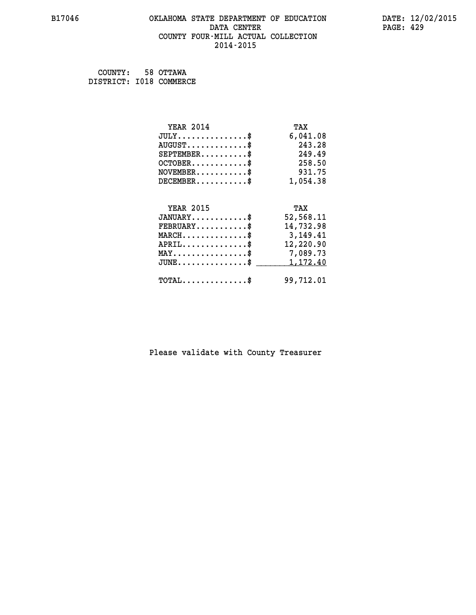#### **B17046 OKLAHOMA STATE DEPARTMENT OF EDUCATION DATE: 12/02/2015 DATA CENTER** PAGE: 429  **COUNTY FOUR-MILL ACTUAL COLLECTION 2014-2015**

 **COUNTY: 58 OTTAWA DISTRICT: I018 COMMERCE**

| <b>YEAR 2014</b>                           | TAX       |
|--------------------------------------------|-----------|
| $JULY$ \$                                  | 6,041.08  |
| $AUGUST$ \$                                | 243.28    |
| $SEPTEMBER$ \$                             | 249.49    |
| $OCTOBER$ \$                               | 258.50    |
| $NOVEMBER$ \$                              | 931.75    |
| $DECEMBER$ \$                              | 1,054.38  |
|                                            |           |
| <b>YEAR 2015</b>                           | TAX       |
| $JANUARY$ \$                               | 52,568.11 |
| $FEBRUARY$                                 | 14,732.98 |
| $MARCH$ \$                                 | 3,149.41  |
| $APRIL$ \$                                 | 12,220.90 |
| $MAX \dots \dots \dots \dots \dots$        | 7,089.73  |
| $JUNE$                                     | 1,172.40  |
| $\texttt{TOTAL} \dots \dots \dots \dots \$ | 99,712.01 |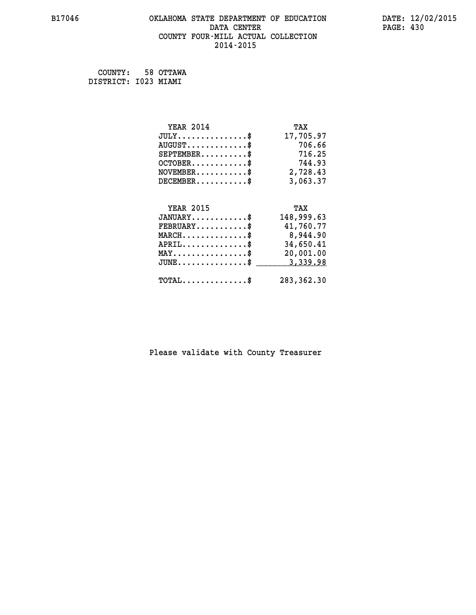# **B17046 OKLAHOMA STATE DEPARTMENT OF EDUCATION DATE: 12/02/2015 DATA CENTER PAGE: 430 COUNTY FOUR-MILL ACTUAL COLLECTION 2014-2015**

 **COUNTY: 58 OTTAWA DISTRICT: I023 MIAMI**

| <b>YEAR 2014</b>                    | TAX        |
|-------------------------------------|------------|
| $JULY$ \$                           | 17,705.97  |
| $AUGUST$ \$                         | 706.66     |
| $SEPTEMBER$ \$                      | 716.25     |
| $OCTOBER$ \$                        | 744.93     |
| $NOVEMBER$ \$                       | 2,728.43   |
| $DECEMBER$ \$                       | 3,063.37   |
|                                     |            |
| <b>YEAR 2015</b>                    | TAX        |
| $JANUARY$                           | 148,999.63 |
| $FEBRUARY$                          | 41,760.77  |
| $MARCH$ \$                          | 8,944.90   |
| $APRIL$ \$                          | 34,650.41  |
| $MAX \dots \dots \dots \dots \dots$ | 20,001.00  |
|                                     | 3,339.98   |
| $JUNE$ \$                           |            |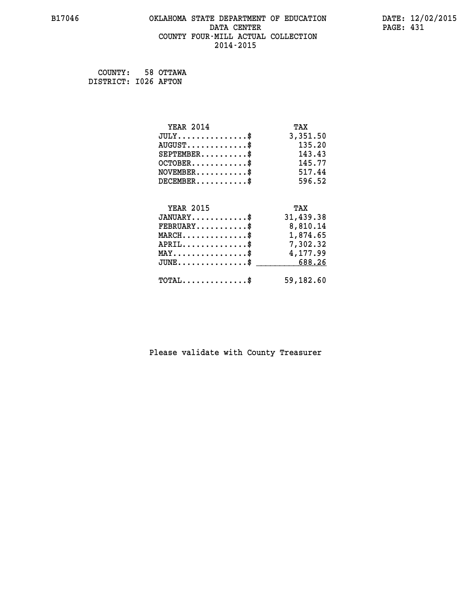#### **B17046 OKLAHOMA STATE DEPARTMENT OF EDUCATION DATE: 12/02/2015 DATA CENTER** PAGE: 431  **COUNTY FOUR-MILL ACTUAL COLLECTION 2014-2015**

 **COUNTY: 58 OTTAWA DISTRICT: I026 AFTON**

| <b>YEAR 2014</b>                                 | TAX       |
|--------------------------------------------------|-----------|
| $JULY$ \$                                        | 3,351.50  |
| $AUGUST$ \$                                      | 135.20    |
| $SEPTEMBER$ \$                                   | 143.43    |
| $OCTOBER$ \$                                     | 145.77    |
| $\texttt{NOVEMBER} \dots \dots \dots \$          | 517.44    |
| $DECEMBER$ \$                                    | 596.52    |
|                                                  |           |
| <b>YEAR 2015</b>                                 | TAX       |
| $JANUARY$ \$                                     | 31,439.38 |
| $FEBRUARY$                                       | 8,810.14  |
| $\texttt{MARCH}\ldots\ldots\ldots\ldots\text{*}$ | 1,874.65  |
| $APRIL \ldots \ldots \ldots \ldots \$            | 7,302.32  |
| $\texttt{MAX} \dots \dots \dots \dots \dots \$   | 4,177.99  |
| $JUNE \dots \dots \dots \dots \$ 688.26          |           |
| $\texttt{TOTAL} \dots \dots \dots \dots \$       | 59,182.60 |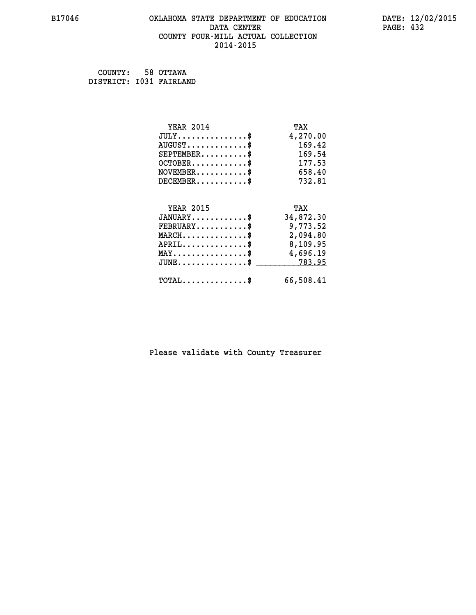#### **B17046 OKLAHOMA STATE DEPARTMENT OF EDUCATION DATE: 12/02/2015 DATA CENTER** PAGE: 432  **COUNTY FOUR-MILL ACTUAL COLLECTION 2014-2015**

 **COUNTY: 58 OTTAWA DISTRICT: I031 FAIRLAND**

| <b>YEAR 2014</b>                               | TAX       |
|------------------------------------------------|-----------|
| $JULY$ \$                                      | 4,270.00  |
| $AUGUST$ \$                                    | 169.42    |
| $SEPTEMBER$                                    | 169.54    |
| $OCTOBER$ \$                                   | 177.53    |
| $NOVEMBER$ \$                                  | 658.40    |
| $DECEMBER$ \$                                  | 732.81    |
|                                                |           |
| <b>YEAR 2015</b>                               | TAX       |
| $JANUARY$ \$                                   | 34,872.30 |
| $FEBRUARY$ \$                                  | 9,773.52  |
| $MARCH$ \$                                     | 2,094.80  |
| $APRIL$ \$                                     | 8,109.95  |
| $\texttt{MAX} \dots \dots \dots \dots \dots \$ | 4,696.19  |
| $JUNE$ \$                                      | 783.95    |
|                                                |           |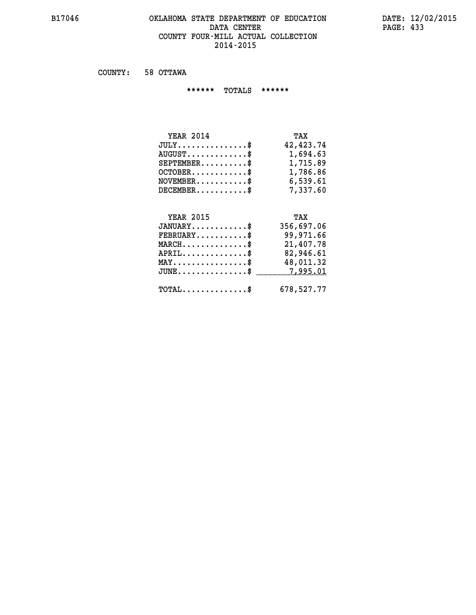#### **B17046 OKLAHOMA STATE DEPARTMENT OF EDUCATION DATE: 12/02/2015 DATA CENTER** PAGE: 433  **COUNTY FOUR-MILL ACTUAL COLLECTION 2014-2015**

 **COUNTY: 58 OTTAWA**

 **\*\*\*\*\*\* TOTALS \*\*\*\*\*\***

| <b>YEAR 2014</b>                       | TAX       |
|----------------------------------------|-----------|
| $JULY \ldots \ldots \ldots \mathbb{S}$ | 42,423.74 |
| $AUGUST$ $\frac{1}{2}$                 | 1,694.63  |
| $SEPTEMBER$ $\$                        | 1,715.89  |
| $OCTOBER$ \$                           | 1,786.86  |
| $NOVEMBER$ $$\$                        | 6,539.61  |
| $DECEMBER$                             | 7,337.60  |

# **YEAR 2015 TAX**

| $JANUARY$                                  | 356,697.06 |
|--------------------------------------------|------------|
| $FEBRUARY$ \$                              | 99,971.66  |
| $MARCH$ \$                                 | 21,407.78  |
| $APRIL$ \$                                 | 82,946.61  |
| $MAX \dots \dots \dots \dots \dots \$      | 48,011.32  |
| $JUNE \dots \dots \dots \dots \$ 7,995.01  |            |
| $\texttt{TOTAL} \dots \dots \dots \dots \$ | 678,527.77 |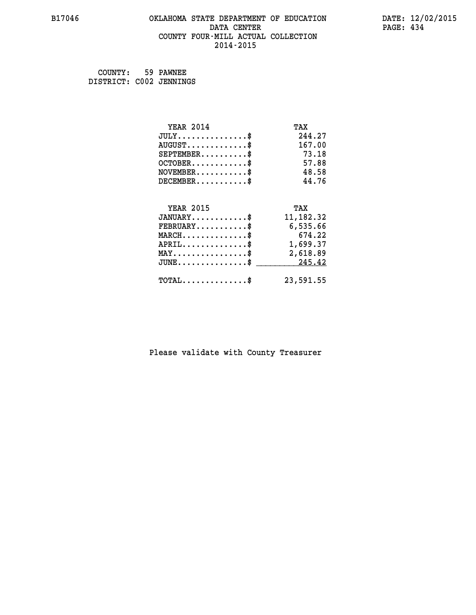#### **B17046 OKLAHOMA STATE DEPARTMENT OF EDUCATION DATE: 12/02/2015 DATA CENTER** PAGE: 434  **COUNTY FOUR-MILL ACTUAL COLLECTION 2014-2015**

| COUNTY: 59 PAWNEE       |  |
|-------------------------|--|
| DISTRICT: C002 JENNINGS |  |

| <b>YEAR 2014</b>                               | TAX        |
|------------------------------------------------|------------|
| $JULY$ \$                                      | 244.27     |
| $AUGUST$ \$                                    | 167.00     |
| $SEPTEMENT.$ \$                                | 73.18      |
| $OCTOBER$ \$                                   | 57.88      |
| $NOVEMBER$ \$                                  | 48.58      |
| $DECEMBER$ \$                                  | 44.76      |
|                                                |            |
| <b>YEAR 2015</b>                               | TAX        |
| $JANUARY$                                      | 11, 182.32 |
| $FEBRUARY$ \$                                  | 6,535.66   |
| $MARCH$ \$                                     | 674.22     |
| $APRIL \ldots \ldots \ldots \ldots \$          | 1,699.37   |
| $\texttt{MAX} \dots \dots \dots \dots \dots \$ | 2,618.89   |
| $\texttt{JUNE}\dots\dots\dots\dots\dots\$$     | 245.42     |
| $\texttt{TOTAL} \dots \dots \dots \dots \$     | 23,591.55  |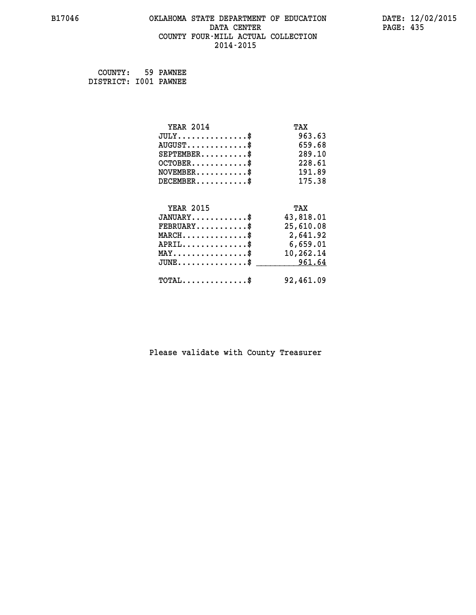# **B17046 OKLAHOMA STATE DEPARTMENT OF EDUCATION DATE: 12/02/2015 DATA CENTER** PAGE: 435  **COUNTY FOUR-MILL ACTUAL COLLECTION 2014-2015**

 **COUNTY: 59 PAWNEE DISTRICT: I001 PAWNEE**

| <b>YEAR 2014</b>                                   | TAX       |
|----------------------------------------------------|-----------|
| $JULY$ \$                                          | 963.63    |
| $AUGUST$ \$                                        | 659.68    |
| $SEPTEMBER$ \$                                     | 289.10    |
| $OCTOBER$ \$                                       | 228.61    |
| $\texttt{NOVEMBER} \dots \dots \dots \$            | 191.89    |
| $DECEMBER$ \$                                      | 175.38    |
|                                                    |           |
| <b>YEAR 2015</b>                                   | TAX       |
| $JANUARY$ \$                                       | 43,818.01 |
| $FEBRUARY$                                         | 25,610.08 |
| $\texttt{MARCH}\ldots\ldots\ldots\ldots\text{*}$   | 2,641.92  |
| $APRIL \ldots \ldots \ldots \ldots$                | 6,659.01  |
| $\texttt{MAX} \dots \dots \dots \dots \dots \$     | 10,262.14 |
| $\texttt{JUNE} \dots \dots \dots \dots \texttt{S}$ | 961.64    |
| $\texttt{TOTAL} \dots \dots \dots \dots \$         | 92,461.09 |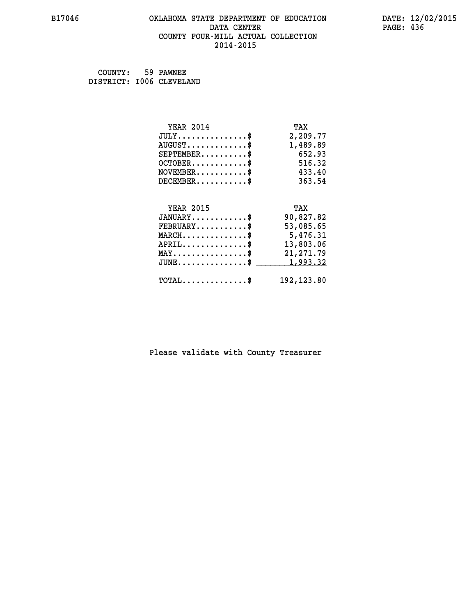# **B17046 OKLAHOMA STATE DEPARTMENT OF EDUCATION DATE: 12/02/2015** DATA CENTER PAGE: 436  **COUNTY FOUR-MILL ACTUAL COLLECTION 2014-2015**

 **COUNTY: 59 PAWNEE DISTRICT: I006 CLEVELAND**

| <b>YEAR 2014</b>                                 | TAX         |
|--------------------------------------------------|-------------|
| $JULY$ \$                                        | 2,209.77    |
| $AUGUST$ \$                                      | 1,489.89    |
| $SEPTEMBER$ \$                                   | 652.93      |
| $OCTOBER$ \$                                     | 516.32      |
| $NOVEMBER.$ \$                                   | 433.40      |
| $DECEMBER$ \$                                    | 363.54      |
|                                                  |             |
| <b>YEAR 2015</b>                                 | TAX         |
| $JANUARY$ \$                                     | 90,827.82   |
| $FEBRUARY$                                       | 53,085.65   |
| $\texttt{MARCH}\ldots\ldots\ldots\ldots\text{*}$ | 5,476.31    |
| $APRIL \ldots \ldots \ldots \ldots \$            | 13,803.06   |
| $\texttt{MAX} \dots \dots \dots \dots \dots \$   | 21, 271.79  |
| $JUNE$ \$                                        | 1,993.32    |
| $\texttt{TOTAL} \dots \dots \dots \dots$ \$      | 192, 123.80 |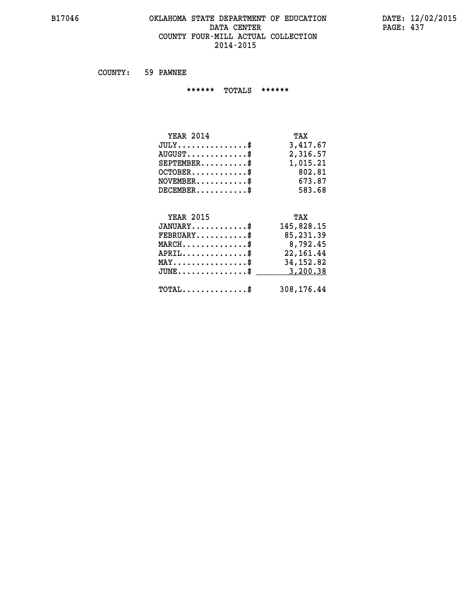# **B17046 OKLAHOMA STATE DEPARTMENT OF EDUCATION DATE: 12/02/2015 DATA CENTER PAGE: 437 COUNTY FOUR-MILL ACTUAL COLLECTION 2014-2015**

 **COUNTY: 59 PAWNEE**

 **\*\*\*\*\*\* TOTALS \*\*\*\*\*\***

| <b>YEAR 2014</b>                       | TAX      |
|----------------------------------------|----------|
| $JULY \ldots \ldots \ldots \mathbb{S}$ | 3,417.67 |
| $AUGUST$ \$                            | 2,316.57 |
| $SEPTEMBER$                            | 1,015.21 |
| $OCTOBER$ \$                           | 802.81   |
| $NOVEMBER$ \$                          | 673.87   |
| $DECEMBER$                             | 583.68   |

# **YEAR 2015 TAX JANUARY............\$ 145,828.15 FEBRUARY...........\$ 85,231.39 MARCH..............\$ 8,792.45 APRIL..............\$ 22,161.44 MAY................\$ 34,152.82 JUNE...............\$ 3,200.38 \_\_\_\_\_\_\_\_\_\_\_\_\_\_\_ TOTAL..............\$ 308,176.44**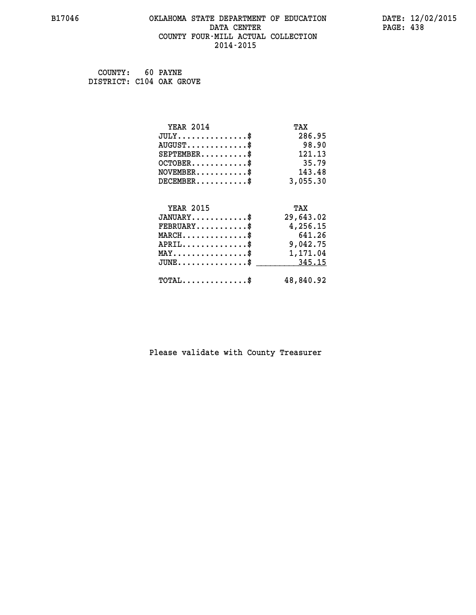#### **B17046 OKLAHOMA STATE DEPARTMENT OF EDUCATION DATE: 12/02/2015 DATA CENTER** PAGE: 438  **COUNTY FOUR-MILL ACTUAL COLLECTION 2014-2015**

 **COUNTY: 60 PAYNE DISTRICT: C104 OAK GROVE**

| <b>YEAR 2014</b>                                 | TAX       |
|--------------------------------------------------|-----------|
| $JULY$ \$                                        | 286.95    |
| $AUGUST$ \$                                      | 98.90     |
| $SEPTEMBER$ \$                                   | 121.13    |
| $OCTOBER$ \$                                     | 35.79     |
| $NOVEMBER$ \$                                    | 143.48    |
| $DECEMBER$ \$                                    | 3,055.30  |
|                                                  |           |
| <b>YEAR 2015</b>                                 | TAX       |
| $JANUARY$ \$                                     | 29,643.02 |
| $FEBRUARY$                                       | 4,256.15  |
| $MARCH$ \$                                       | 641.26    |
| $APRIL$ \$                                       | 9,042.75  |
| $\texttt{MAX} \dots \dots \dots \dots \dots \$   | 1,171.04  |
| $\texttt{JUNE} \dots \dots \dots \dots \dots \$$ | 345.15    |
| $\texttt{TOTAL} \dots \dots \dots \dots \$       | 48,840.92 |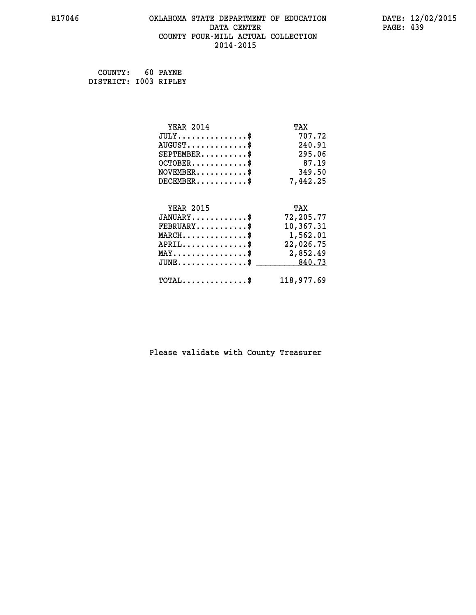# **B17046 OKLAHOMA STATE DEPARTMENT OF EDUCATION DATE: 12/02/2015 DATA CENTER** PAGE: 439  **COUNTY FOUR-MILL ACTUAL COLLECTION 2014-2015**

 **COUNTY: 60 PAYNE DISTRICT: I003 RIPLEY**

| <b>YEAR 2014</b>                               | TAX        |
|------------------------------------------------|------------|
| $JULY$ \$                                      | 707.72     |
| $AUGUST$ \$                                    | 240.91     |
| $SEPTEMBER$ \$                                 | 295.06     |
| $OCTOBER$ \$                                   | 87.19      |
| $NOVEMBER$ \$                                  | 349.50     |
| $DECEMBER$ \$                                  | 7,442.25   |
|                                                |            |
| <b>YEAR 2015</b>                               | TAX        |
| $JANUARY$ \$                                   | 72,205.77  |
| $FEBRUARY$                                     | 10,367.31  |
| $MARCH$ \$                                     | 1,562.01   |
| $APRIL$ \$                                     | 22,026.75  |
| $\texttt{MAX} \dots \dots \dots \dots \dots \$ | 2,852.49   |
| $JUNE$ \$                                      | 840.73     |
| $\texttt{TOTAL} \dots \dots \dots \dots \$     | 118,977.69 |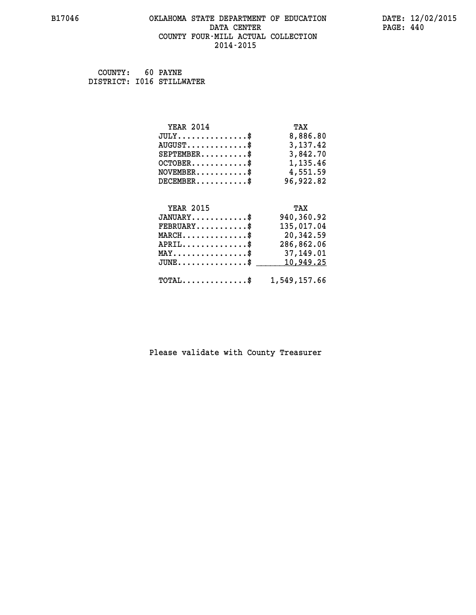# **B17046 OKLAHOMA STATE DEPARTMENT OF EDUCATION DATE: 12/02/2015 DATA CENTER PAGE: 440 COUNTY FOUR-MILL ACTUAL COLLECTION 2014-2015**

 **COUNTY: 60 PAYNE DISTRICT: I016 STILLWATER**

| <b>YEAR 2014</b>                                   | TAX          |
|----------------------------------------------------|--------------|
| $JULY$ \$                                          | 8,886.80     |
| $AUGUST$ \$                                        | 3,137.42     |
| $SEPTEMBER$ \$                                     | 3,842.70     |
| $OCTOBER$ \$                                       | 1,135.46     |
| $NOVEMBER.$ \$                                     | 4,551.59     |
| $DECEMBER$ \$                                      | 96,922.82    |
|                                                    |              |
| <b>YEAR 2015</b>                                   | TAX          |
| $JANUARY$ \$                                       | 940,360.92   |
| $FEBRUARY$ \$                                      | 135,017.04   |
| $MARCH$ \$                                         | 20,342.59    |
| $APRIL$ \$                                         | 286,862.06   |
| $\texttt{MAX} \dots \dots \dots \dots \dots \$     | 37,149.01    |
| $\texttt{JUNE} \dots \dots \dots \dots \texttt{S}$ | 10,949.25    |
| $TOTAL$ \$                                         | 1,549,157.66 |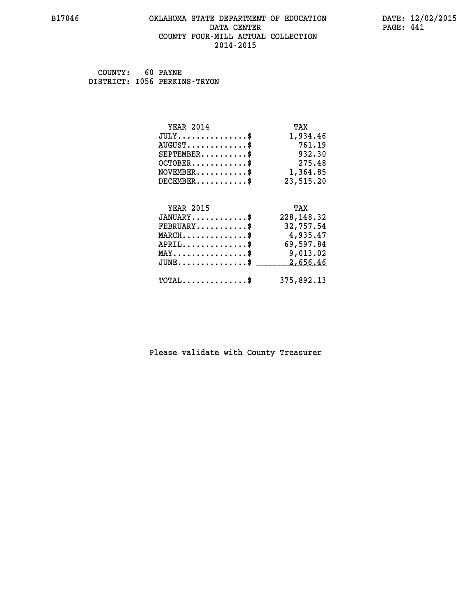#### **B17046 OKLAHOMA STATE DEPARTMENT OF EDUCATION DATE: 12/02/2015 DATA CENTER** PAGE: 441  **COUNTY FOUR-MILL ACTUAL COLLECTION 2014-2015**

 **COUNTY: 60 PAYNE DISTRICT: I056 PERKINS-TRYON**

| <b>YEAR 2014</b>                               | TAX         |
|------------------------------------------------|-------------|
| $JULY$ \$                                      | 1,934.46    |
| $AUGUST$ \$                                    | 761.19      |
| $SEPTEMBER$ \$                                 | 932.30      |
| $OCTOBER$ \$                                   | 275.48      |
| $NOVEMBER.$ \$                                 | 1,364.85    |
| $DECEMBER$ \$                                  | 23,515.20   |
|                                                |             |
| <b>YEAR 2015</b>                               | TAX         |
| $JANUARY$ \$                                   | 228, 148.32 |
| $FEBRUARY$                                     | 32,757.54   |
| $MARCH$ \$                                     | 4,935.47    |
| $APRIL$ \$                                     | 69,597.84   |
| $\texttt{MAX} \dots \dots \dots \dots \dots \$ | 9,013.02    |
| $JUNE$ \$                                      | 2,656.46    |
| $\texttt{TOTAL} \dots \dots \dots \dots \$     | 375,892.13  |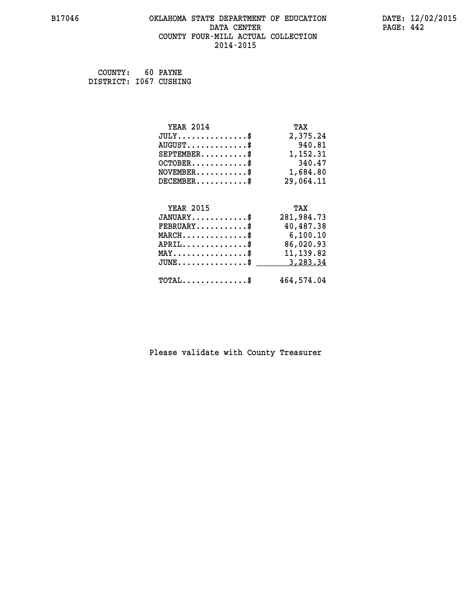# **B17046 OKLAHOMA STATE DEPARTMENT OF EDUCATION DATE: 12/02/2015 DATA CENTER PAGE: 442 COUNTY FOUR-MILL ACTUAL COLLECTION 2014-2015**

 **COUNTY: 60 PAYNE DISTRICT: I067 CUSHING**

| <b>YEAR 2014</b>                               | TAX        |
|------------------------------------------------|------------|
| $JULY$ \$                                      | 2,375.24   |
| $AUGUST$ \$                                    | 940.81     |
| $SEPTEMBER$ \$                                 | 1,152.31   |
| $OCTOBER$ \$                                   | 340.47     |
| $NOVEMBER.$ \$                                 | 1,684.80   |
| $DECEMBER$ \$                                  | 29,064.11  |
|                                                |            |
| <b>YEAR 2015</b>                               | TAX        |
| $JANUARY$ \$                                   | 281,984.73 |
| $FEBRUARY$                                     | 40,487.38  |
| $MARCH$ \$                                     | 6,100.10   |
| $APRIL$ \$                                     | 86,020.93  |
| $\texttt{MAX} \dots \dots \dots \dots \dots \$ | 11, 139.82 |
| $JUNE$ \$                                      | 3,283.34   |
| $\texttt{TOTAL} \dots \dots \dots \dots \$     | 464,574.04 |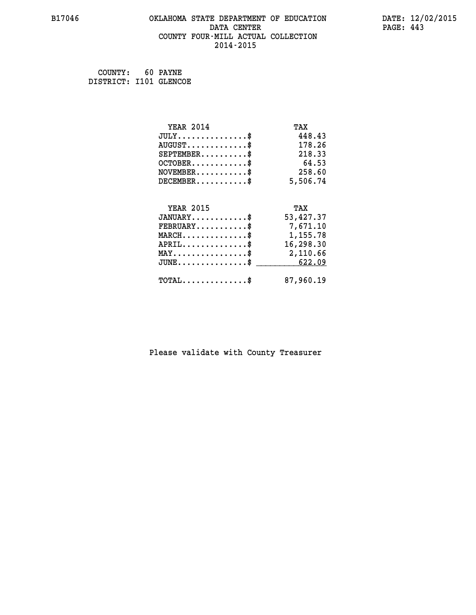#### **B17046 OKLAHOMA STATE DEPARTMENT OF EDUCATION DATE: 12/02/2015 DATA CENTER** PAGE: 443  **COUNTY FOUR-MILL ACTUAL COLLECTION 2014-2015**

 **COUNTY: 60 PAYNE DISTRICT: I101 GLENCOE**

| <b>YEAR 2014</b>                                 | TAX       |
|--------------------------------------------------|-----------|
| $JULY$ \$                                        | 448.43    |
| $AUGUST$ \$                                      | 178.26    |
| $SEPTEMBER$ \$                                   | 218.33    |
| $OCTOBER$ \$                                     | 64.53     |
| $\texttt{NOVEMBER} \dots \dots \dots \$          | 258.60    |
| $DECEMBER$ \$                                    | 5,506.74  |
|                                                  |           |
| <b>YEAR 2015</b>                                 | TAX       |
| $JANUARY$                                        | 53,427.37 |
| $FEBRUARY$                                       | 7,671.10  |
| $\texttt{MARCH}\ldots\ldots\ldots\ldots\text{*}$ | 1,155.78  |
| $APRIL \ldots \ldots \ldots \ldots \$            | 16,298.30 |
| MAY\$ 2,110.66                                   |           |
| $JUNE \dots \dots \dots \dots \$ 622.09          |           |
| $\texttt{TOTAL} \dots \dots \dots \dots \$       | 87,960.19 |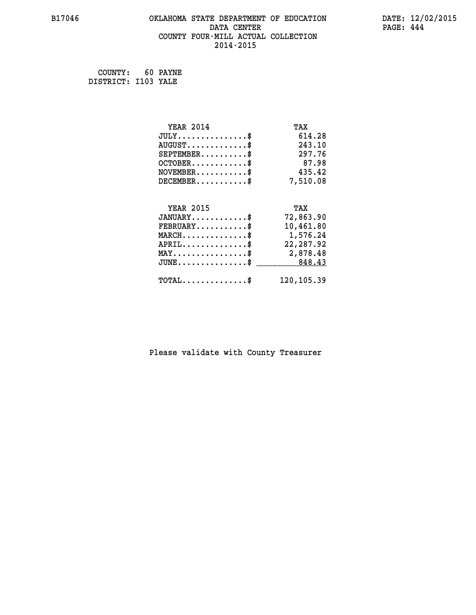# **B17046 OKLAHOMA STATE DEPARTMENT OF EDUCATION DATE: 12/02/2015 DATA CENTER** PAGE: 444  **COUNTY FOUR-MILL ACTUAL COLLECTION 2014-2015**

 **COUNTY: 60 PAYNE DISTRICT: I103 YALE**

| <b>YEAR 2014</b>                                 | TAX        |
|--------------------------------------------------|------------|
| $JULY$ \$                                        | 614.28     |
| $AUGUST$ \$                                      | 243.10     |
| $SEPTEMBER$ \$                                   | 297.76     |
| $OCTOBER$ \$                                     | 87.98      |
| $NOVEMBER$ \$                                    | 435.42     |
| $DECEMBER$ \$                                    | 7,510.08   |
|                                                  |            |
| <b>YEAR 2015</b>                                 | TAX        |
| $JANUARY$                                        | 72,863.90  |
| $FEBRUARY$                                       | 10,461.80  |
| $\texttt{MARCH}\ldots\ldots\ldots\ldots\text{*}$ | 1,576.24   |
| $APRIL \ldots \ldots \ldots \ldots$              | 22,287.92  |
| $\texttt{MAX} \dots \dots \dots \dots \dots \$   | 2,878.48   |
| $JUNE \dots \dots \dots \dots \$ 848.43          |            |
| $\texttt{TOTAL} \dots \dots \dots \dots$ \$      | 120,105.39 |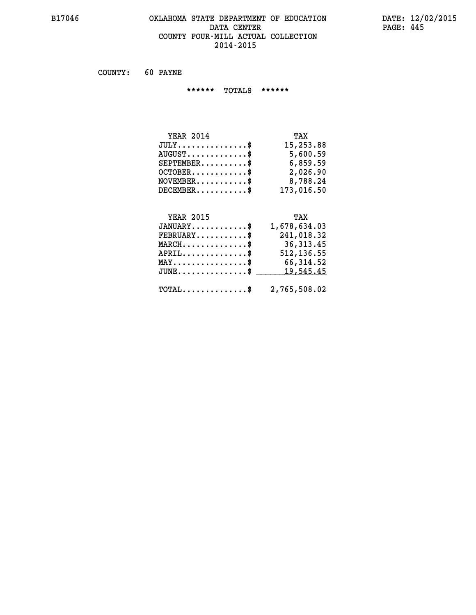#### **B17046 OKLAHOMA STATE DEPARTMENT OF EDUCATION DATE: 12/02/2015 DATA CENTER** PAGE: 445  **COUNTY FOUR-MILL ACTUAL COLLECTION 2014-2015**

 **COUNTY: 60 PAYNE**

 **\*\*\*\*\*\* TOTALS \*\*\*\*\*\***

| <b>YEAR 2014</b>                | TAX        |
|---------------------------------|------------|
| $JULY$ \$                       | 15,253.88  |
| $AUGUST \ldots \ldots \ldots \$ | 5,600.59   |
| $SEPTEMBER$ $\$                 | 6,859.59   |
| $OCTOBER$ \$                    | 2,026.90   |
| $NOVEMBER$ \$                   | 8,788.24   |
| $DECEMBER$ \$                   | 173,016.50 |

# **YEAR 2015 TAX**

| $JANUARY$ \$                                            | 1,678,634.03 |
|---------------------------------------------------------|--------------|
| $\texttt{FEBRUARY} \dots \dots \dots \$                 | 241,018.32   |
| $\texttt{MARCH} \dots \dots \dots \dots \$              | 36,313.45    |
| $APRIL$ \$                                              | 512, 136.55  |
| $MAX \dots \dots \dots \dots \dots \$                   | 66,314.52    |
| $JUNE \ldots \ldots \ldots \ldots \$ 19,545.45          |              |
| $\texttt{TOTAL} \dots \dots \dots \dots \$ 2,765,508.02 |              |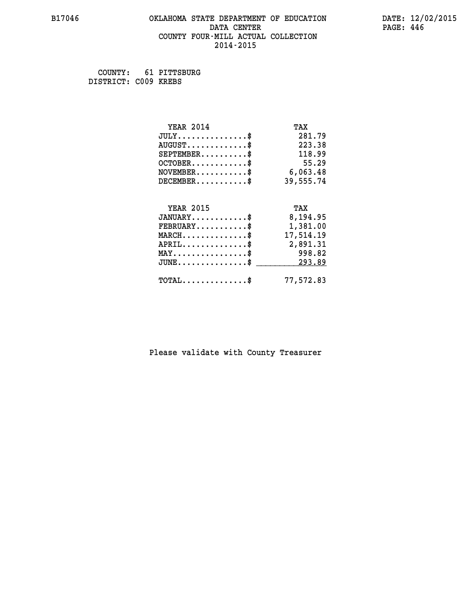#### **B17046 OKLAHOMA STATE DEPARTMENT OF EDUCATION DATE: 12/02/2015 DATA CENTER** PAGE: 446  **COUNTY FOUR-MILL ACTUAL COLLECTION 2014-2015**

 **COUNTY: 61 PITTSBURG DISTRICT: C009 KREBS**

| <b>YEAR 2014</b>                                 | TAX       |
|--------------------------------------------------|-----------|
| $JULY$ \$                                        | 281.79    |
| $AUGUST$ \$                                      | 223.38    |
| $SEPTEMBER$ \$                                   | 118.99    |
| $OCTOBER$ \$                                     | 55.29     |
| $\texttt{NOVEMBER} \dots \dots \dots \$          | 6,063.48  |
| $DECEMBER$ \$                                    | 39,555.74 |
|                                                  |           |
| <b>YEAR 2015</b>                                 | TAX       |
| $JANUARY$ \$                                     | 8,194.95  |
| $\texttt{FEBRUARY} \dots \dots \dots \$          | 1,381.00  |
| $\texttt{MARCH}\ldots\ldots\ldots\ldots\$        | 17,514.19 |
| $APRIL \ldots \ldots \ldots \ldots \$            | 2,891.31  |
| $\texttt{MAX} \dots \dots \dots \dots \dots \$   | 998.82    |
| $\texttt{JUNE} \dots \dots \dots \dots \dots \$$ | 293.89    |
| $\texttt{TOTAL} \dots \dots \dots \dots \$       | 77,572.83 |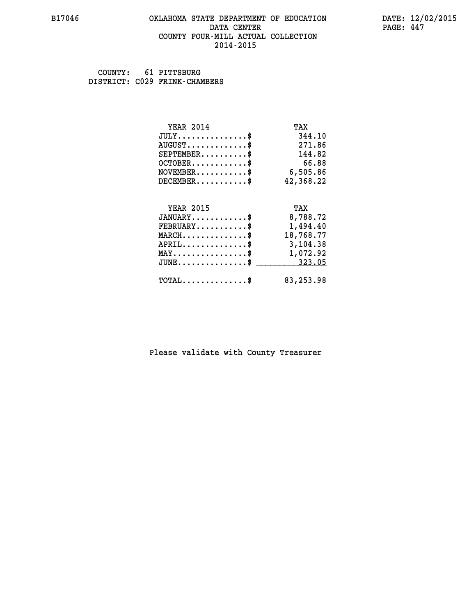#### **B17046 OKLAHOMA STATE DEPARTMENT OF EDUCATION DATE: 12/02/2015 DATA CENTER** PAGE: 447  **COUNTY FOUR-MILL ACTUAL COLLECTION 2014-2015**

 **COUNTY: 61 PITTSBURG DISTRICT: C029 FRINK-CHAMBERS**

| <b>YEAR 2014</b>                                 | TAX        |
|--------------------------------------------------|------------|
| $JULY$ \$                                        | 344.10     |
| $AUGUST$ \$                                      | 271.86     |
| $SEPTEMBER$ \$                                   | 144.82     |
| $OCTOBER$ \$                                     | 66.88      |
| $\texttt{NOVEMBER} \dots \dots \dots \$          | 6,505.86   |
| $DECEMBER$ \$                                    | 42,368.22  |
|                                                  |            |
| <b>YEAR 2015</b>                                 | TAX        |
| $JANUARY$ \$                                     | 8,788.72   |
| $FEBRUARY$                                       | 1,494.40   |
| $\texttt{MARCH}\ldots\ldots\ldots\ldots\text{*}$ | 18,768.77  |
| $APRIL \ldots \ldots \ldots \ldots \$            | 3,104.38   |
| $\texttt{MAX} \dots \dots \dots \dots \dots \$   | 1,072.92   |
| $\texttt{JUNE} \dots \dots \dots \dots \dots \$$ | 323.05     |
| $\texttt{TOTAL} \dots \dots \dots \dots \$       | 83, 253.98 |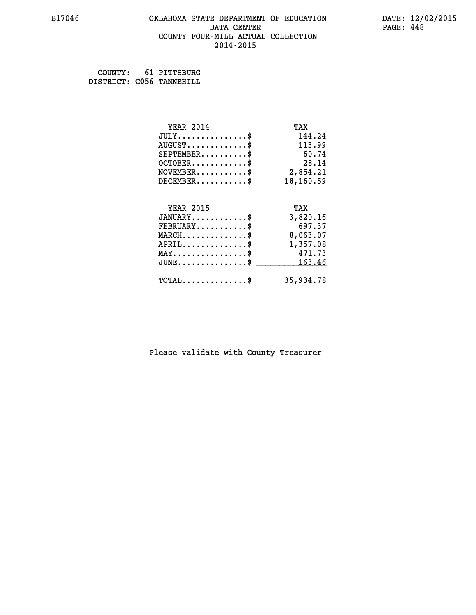#### **B17046 OKLAHOMA STATE DEPARTMENT OF EDUCATION DATE: 12/02/2015 DATA CENTER** PAGE: 448  **COUNTY FOUR-MILL ACTUAL COLLECTION 2014-2015**

 **COUNTY: 61 PITTSBURG DISTRICT: C056 TANNEHILL**

| <b>YEAR 2014</b>                                 | TAX       |
|--------------------------------------------------|-----------|
| $JULY$ \$                                        | 144.24    |
| $AUGUST$ \$                                      | 113.99    |
| $SEPTEMBER$ \$                                   | 60.74     |
| $OCTOBER$ \$                                     | 28.14     |
| $NOVEMBER$ \$                                    | 2,854.21  |
| $DECEMBER$ \$                                    | 18,160.59 |
|                                                  |           |
| <b>YEAR 2015</b>                                 | TAX       |
| $JANUARY$ \$                                     | 3,820.16  |
| $FEBRUARY$                                       | 697.37    |
| $MARCH$ \$                                       | 8,063.07  |
| $APRIL$ \$                                       | 1,357.08  |
| $MAX \dots \dots \dots \dots \dots$              | 471.73    |
| $\texttt{JUNE} \dots \dots \dots \dots \dots \$$ | 163.46    |
| $\texttt{TOTAL} \dots \dots \dots \dots \$       | 35,934.78 |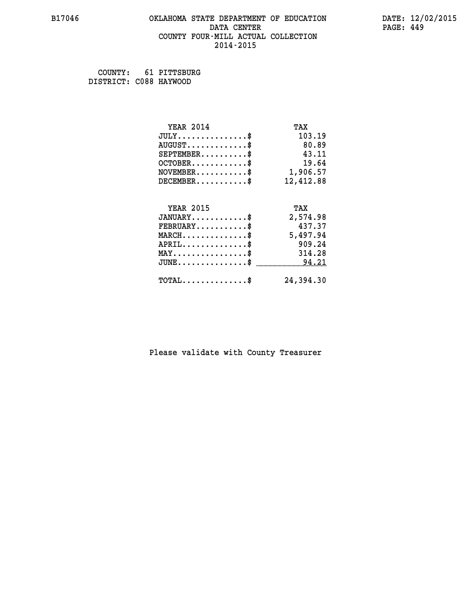# **B17046 OKLAHOMA STATE DEPARTMENT OF EDUCATION DATE: 12/02/2015** DATA CENTER PAGE: 449  **COUNTY FOUR-MILL ACTUAL COLLECTION 2014-2015**

 **COUNTY: 61 PITTSBURG DISTRICT: C088 HAYWOOD**

| <b>YEAR 2014</b>                                 | TAX       |
|--------------------------------------------------|-----------|
| $JULY$ \$                                        | 103.19    |
| $AUGUST$ \$                                      | 80.89     |
| $SEPTEMENT.$ \$                                  | 43.11     |
| $OCTOBER$ \$                                     | 19.64     |
| $NOVEMBER.$ \$                                   | 1,906.57  |
| $DECEMBER$ \$                                    | 12,412.88 |
|                                                  |           |
| <b>YEAR 2015</b>                                 | TAX       |
| $JANUARY$ \$                                     | 2,574.98  |
| $FEBRUARY$                                       | 437.37    |
| $\texttt{MARCH}\ldots\ldots\ldots\ldots\text{*}$ | 5,497.94  |
| $APRIL$ \$                                       | 909.24    |
| $MAX \dots \dots \dots \dots \$                  | 314.28    |
| $JUNE$                                           | 94.21     |
| $\texttt{TOTAL} \dots \dots \dots \dots \$       | 24,394.30 |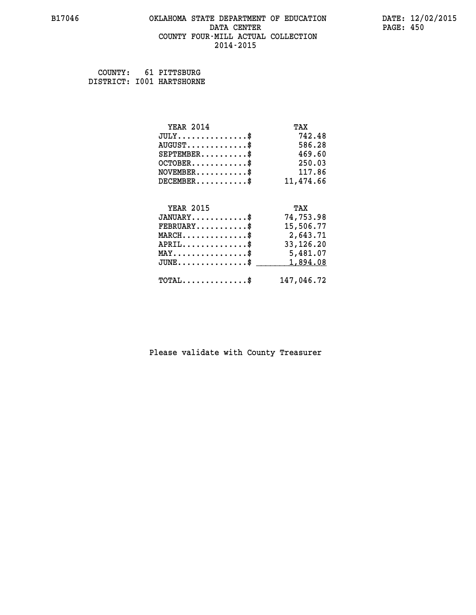#### **B17046 OKLAHOMA STATE DEPARTMENT OF EDUCATION DATE: 12/02/2015 DATA CENTER** PAGE: 450  **COUNTY FOUR-MILL ACTUAL COLLECTION 2014-2015**

 **COUNTY: 61 PITTSBURG DISTRICT: I001 HARTSHORNE**

| <b>YEAR 2014</b>                               | TAX        |
|------------------------------------------------|------------|
| $JULY$ \$                                      | 742.48     |
| $AUGUST$ \$                                    | 586.28     |
| $SEPTEMBER$                                    | 469.60     |
| $OCTOBER$ \$                                   | 250.03     |
| $\texttt{NOVEMBER} \dots \dots \dots \$        | 117.86     |
| $DECEMBER$ \$                                  | 11,474.66  |
|                                                |            |
| <b>YEAR 2015</b>                               | TAX        |
| $JANUARY$ \$                                   | 74,753.98  |
| $FEBRUARY$                                     | 15,506.77  |
| $MARCH$ \$                                     | 2,643.71   |
| $APRIL \ldots \ldots \ldots \ldots$ \$         | 33,126.20  |
| $\texttt{MAX} \dots \dots \dots \dots \dots \$ | 5,481.07   |
| $JUNE$ \$                                      | 1,894.08   |
| $\texttt{TOTAL} \dots \dots \dots \dots \$     | 147,046.72 |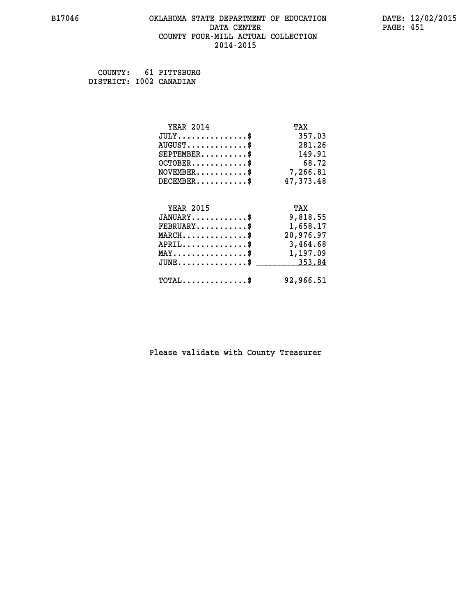#### **B17046 OKLAHOMA STATE DEPARTMENT OF EDUCATION DATE: 12/02/2015 DATA CENTER** PAGE: 451  **COUNTY FOUR-MILL ACTUAL COLLECTION 2014-2015**

 **COUNTY: 61 PITTSBURG DISTRICT: I002 CANADIAN**

| <b>YEAR 2014</b>                               | TAX       |
|------------------------------------------------|-----------|
| $JULY$ \$                                      | 357.03    |
| $AUGUST$ \$                                    | 281.26    |
| $SEPTEMENT.$ \$                                | 149.91    |
| $OCTOBER$ \$                                   | 68.72     |
| $\texttt{NOVEMBER} \dots \dots \dots \$        | 7,266.81  |
| $DECEMBER$ \$                                  | 47,373.48 |
|                                                |           |
| <b>YEAR 2015</b>                               | TAX       |
| $JANUARY$                                      | 9,818.55  |
| $FEBRUARY$                                     | 1,658.17  |
| $MARCH$ \$                                     | 20,976.97 |
| $APRIL \ldots \ldots \ldots \ldots$            | 3,464.68  |
| $\texttt{MAX} \dots \dots \dots \dots \dots \$ | 1,197.09  |
| $JUNE$ \$                                      | 353.84    |
| $\texttt{TOTAL} \dots \dots \dots \dots \$     | 92,966.51 |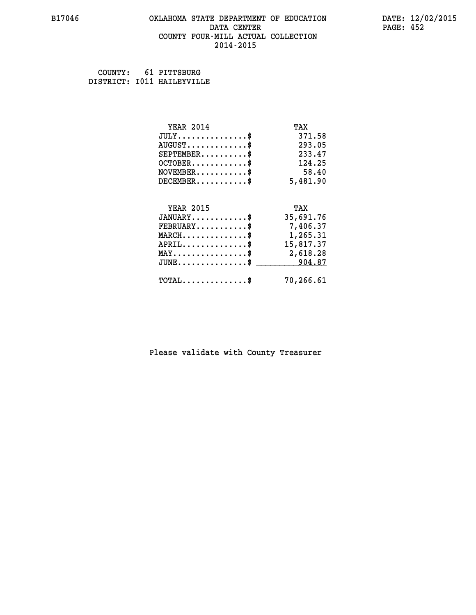#### **B17046 OKLAHOMA STATE DEPARTMENT OF EDUCATION DATE: 12/02/2015 DATA CENTER** PAGE: 452  **COUNTY FOUR-MILL ACTUAL COLLECTION 2014-2015**

 **COUNTY: 61 PITTSBURG DISTRICT: I011 HAILEYVILLE**

| <b>YEAR 2014</b>                               | TAX       |
|------------------------------------------------|-----------|
| $JULY$ \$                                      | 371.58    |
| $AUGUST$ \$                                    | 293.05    |
| $SEPTEMENT.$ \$                                | 233.47    |
| $OCTOBER$ \$                                   | 124.25    |
| $NOVEMBER$ \$                                  | 58.40     |
| $DECEMBER$ \$                                  | 5,481.90  |
| <b>YEAR 2015</b>                               | TAX       |
| $JANUARY$ \$                                   | 35,691.76 |
|                                                |           |
| $FEBRUARY$ \$                                  | 7,406.37  |
| $MARCH$ \$                                     | 1,265.31  |
| $APRIL$ \$                                     | 15,817.37 |
| $\texttt{MAX} \dots \dots \dots \dots \dots \$ | 2,618.28  |
| $JUNE$ \$                                      | 904.87    |
| $\texttt{TOTAL} \dots \dots \dots \dots \$     | 70,266.61 |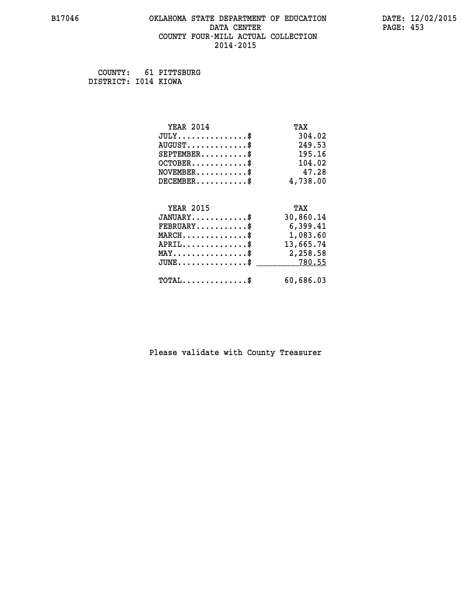#### **B17046 OKLAHOMA STATE DEPARTMENT OF EDUCATION DATE: 12/02/2015 DATA CENTER** PAGE: 453  **COUNTY FOUR-MILL ACTUAL COLLECTION 2014-2015**

 **COUNTY: 61 PITTSBURG DISTRICT: I014 KIOWA**

| <b>YEAR 2014</b>                                 | TAX       |
|--------------------------------------------------|-----------|
| $JULY$ \$                                        | 304.02    |
| $AUGUST$ \$                                      | 249.53    |
| $SEPTEMBER$ \$                                   | 195.16    |
| $OCTOBER$ \$                                     | 104.02    |
| $\texttt{NOVEMBER} \dots \dots \dots \$          | 47.28     |
| $DECEMBER$ \$                                    | 4,738.00  |
|                                                  |           |
| <b>YEAR 2015</b>                                 | TAX       |
| $JANUARY$ \$                                     | 30,860.14 |
| $FEBRUARY$                                       | 6,399.41  |
| $\texttt{MARCH}\ldots\ldots\ldots\ldots\text{*}$ | 1,083.60  |
| $APRIL$ \$                                       | 13,665.74 |
| $\texttt{MAX} \dots \dots \dots \dots \dots \$   | 2,258.58  |
| $JUNE \ldots \ldots \ldots \ldots \ast$          | 780.55    |
| $\texttt{TOTAL} \dots \dots \dots \dots \$       | 60,686.03 |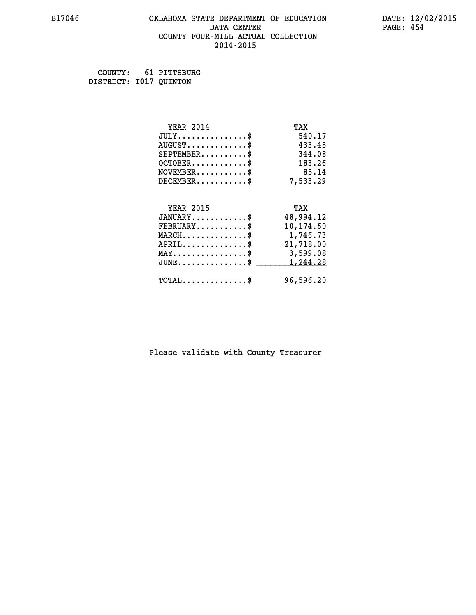#### **B17046 OKLAHOMA STATE DEPARTMENT OF EDUCATION DATE: 12/02/2015 DATA CENTER** PAGE: 454  **COUNTY FOUR-MILL ACTUAL COLLECTION 2014-2015**

 **COUNTY: 61 PITTSBURG DISTRICT: I017 QUINTON**

| <b>YEAR 2014</b>                                  | TAX       |
|---------------------------------------------------|-----------|
| $JULY$ \$                                         | 540.17    |
| $AUGUST$ \$                                       | 433.45    |
| $SEPTEMBER$ \$                                    | 344.08    |
| $OCTOBER$ \$                                      | 183.26    |
| $NOVEMBER.$ \$                                    | 85.14     |
| $DECEMBER$ \$                                     | 7,533.29  |
|                                                   |           |
| <b>YEAR 2015</b>                                  | TAX       |
| $JANUARY$ \$                                      | 48,994.12 |
| $FEBRUARY$                                        | 10,174.60 |
| $\texttt{MARCH}\ldots\ldots\ldots\ldots\clubsuit$ | 1,746.73  |
| $APRIL \ldots \ldots \ldots \ldots \$             | 21,718.00 |
| $\texttt{MAX} \dots \dots \dots \dots \dots \$    | 3,599.08  |
| $\texttt{JUNE} \dots \dots \dots \dots \dots \$$  | 1,244.28  |
| $\texttt{TOTAL} \dots \dots \dots \dots$ \$       | 96,596.20 |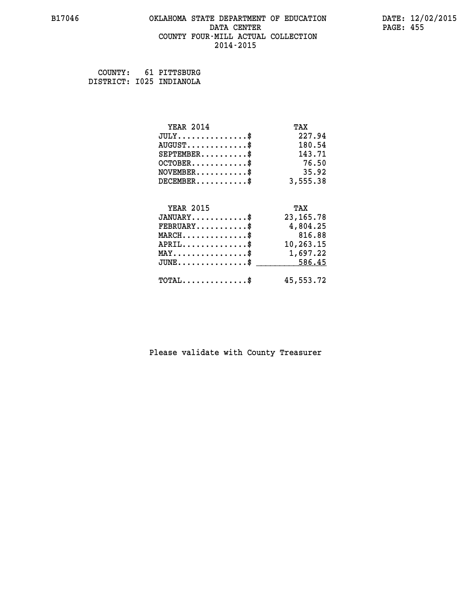# **B17046 OKLAHOMA STATE DEPARTMENT OF EDUCATION DATE: 12/02/2015 DATA CENTER** PAGE: 455  **COUNTY FOUR-MILL ACTUAL COLLECTION 2014-2015**

 **COUNTY: 61 PITTSBURG DISTRICT: I025 INDIANOLA**

| <b>YEAR 2014</b>                    | TAX         |
|-------------------------------------|-------------|
| $JULY$ \$                           | 227.94      |
| $AUGUST$ \$                         | 180.54      |
| $SEPTEMBER$ \$                      | 143.71      |
| $OCTOBER$ \$                        | 76.50       |
| $NOVEMBER$ \$                       | 35.92       |
| $DECEMBER$ \$                       | 3,555.38    |
|                                     |             |
| <b>YEAR 2015</b>                    | TAX         |
| $JANUARY$ \$                        | 23, 165. 78 |
| $FEBRUARY$ \$                       | 4,804.25    |
| $MARCH$ \$                          | 816.88      |
| $APRIL$ \$                          | 10,263.15   |
| $MAX \dots \dots \dots \dots \dots$ | 1,697.22    |
| $JUNE$                              | 586.45      |
| $TOTAL$ \$                          | 45,553.72   |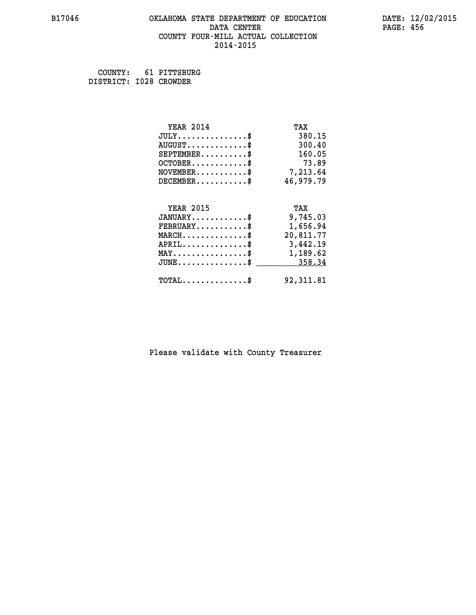#### **B17046 OKLAHOMA STATE DEPARTMENT OF EDUCATION DATE: 12/02/2015 DATA CENTER** PAGE: 456  **COUNTY FOUR-MILL ACTUAL COLLECTION 2014-2015**

 **COUNTY: 61 PITTSBURG DISTRICT: I028 CROWDER**

| <b>YEAR 2014</b>                                 | TAX       |
|--------------------------------------------------|-----------|
| $JULY$ \$                                        | 380.15    |
| $AUGUST$ \$                                      | 300.40    |
| $SEPTEMBER$ \$                                   | 160.05    |
| $OCTOBER$ \$                                     | 73.89     |
| $\texttt{NOVEMBER} \dots \dots \dots \$          | 7,213.64  |
| $DECEMBER$ \$                                    | 46,979.79 |
|                                                  |           |
| <b>YEAR 2015</b>                                 | TAX       |
| $JANUARY$ \$                                     | 9,745.03  |
| $FEBRUARY$                                       | 1,656.94  |
| $MARCH$ \$                                       | 20,811.77 |
| $APRIL \ldots \ldots \ldots \ldots \$            | 3,442.19  |
| $\texttt{MAX} \dots \dots \dots \dots \dots \$   | 1,189.62  |
| $\texttt{JUNE} \dots \dots \dots \dots \dots \$$ | 358.34    |
| $\texttt{TOTAL} \dots \dots \dots \dots \$       | 92,311.81 |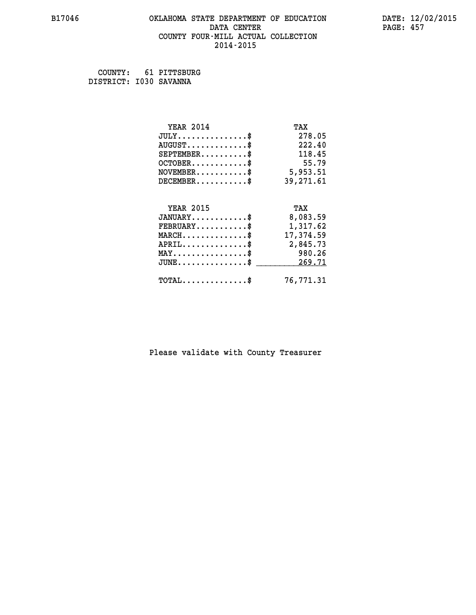# **B17046 OKLAHOMA STATE DEPARTMENT OF EDUCATION DATE: 12/02/2015 DATA CENTER** PAGE: 457  **COUNTY FOUR-MILL ACTUAL COLLECTION 2014-2015**

 **COUNTY: 61 PITTSBURG DISTRICT: I030 SAVANNA**

| <b>YEAR 2014</b>                               | TAX       |
|------------------------------------------------|-----------|
| $JULY$ \$                                      | 278.05    |
| $AUGUST$ \$                                    | 222.40    |
| $SEPTEMENT.$ \$                                | 118.45    |
| $OCTOBER$ \$                                   | 55.79     |
| $NOVEMBER.$ \$                                 | 5,953.51  |
| $DECEMBER$ \$                                  | 39,271.61 |
|                                                |           |
| <b>YEAR 2015</b>                               | TAX       |
| $JANUARY$ \$                                   | 8,083.59  |
| $FEBRUARY$ \$                                  | 1,317.62  |
| $MARCH \ldots \ldots \ldots \ldots \$          | 17,374.59 |
| $APRIL$ \$                                     | 2,845.73  |
| $\texttt{MAX} \dots \dots \dots \dots \dots \$ | 980.26    |
| $JUNE$ \$                                      | 269.71    |
| $\texttt{TOTAL} \dots \dots \dots \dots \$     | 76,771.31 |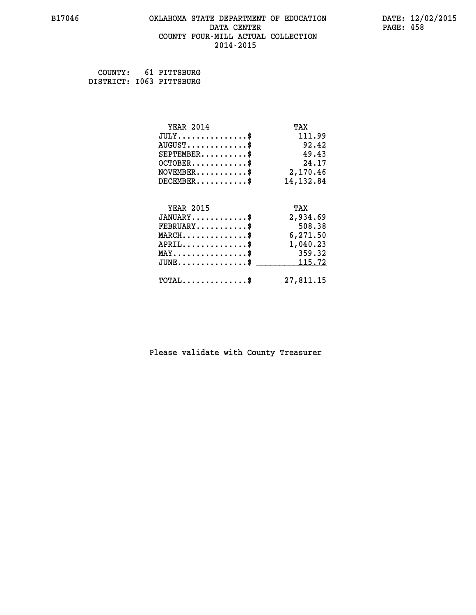#### **B17046 OKLAHOMA STATE DEPARTMENT OF EDUCATION DATE: 12/02/2015 DATA CENTER** PAGE: 458  **COUNTY FOUR-MILL ACTUAL COLLECTION 2014-2015**

 **COUNTY: 61 PITTSBURG DISTRICT: I063 PITTSBURG**

| <b>YEAR 2014</b>                               | TAX        |
|------------------------------------------------|------------|
| $JULY$ \$                                      | 111.99     |
| $AUGUST$ \$                                    | 92.42      |
| $SEPTEMENT.$ \$                                | 49.43      |
| $OCTOBER$ \$                                   | 24.17      |
| $\texttt{NOVEMBER} \dots \dots \dots \$        | 2,170.46   |
| $DECEMBER$ \$                                  | 14, 132.84 |
|                                                |            |
| <b>YEAR 2015</b>                               | TAX        |
| $JANUARY$ \$                                   | 2,934.69   |
| $FEBRUARY$ \$                                  | 508.38     |
| $MARCH$ \$                                     | 6,271.50   |
| $APRIL$ \$                                     | 1,040.23   |
| $\texttt{MAX} \dots \dots \dots \dots \dots \$ | 359.32     |
| $JUNE$ \$                                      | 115.72     |
| $TOTAL$ \$                                     | 27,811.15  |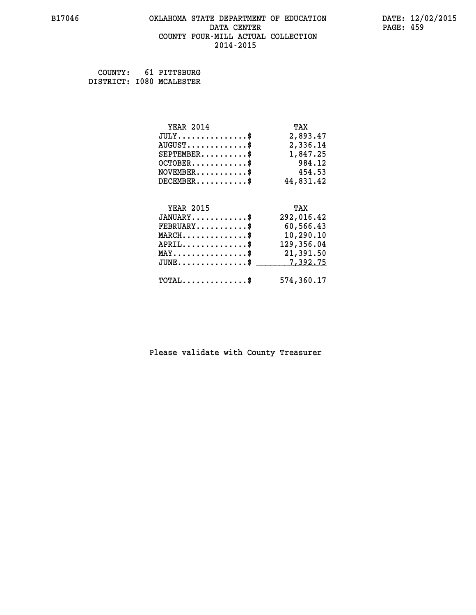#### **B17046 OKLAHOMA STATE DEPARTMENT OF EDUCATION DATE: 12/02/2015 DATA CENTER** PAGE: 459  **COUNTY FOUR-MILL ACTUAL COLLECTION 2014-2015**

 **COUNTY: 61 PITTSBURG DISTRICT: I080 MCALESTER**

| <b>YEAR 2014</b>                                 | TAX        |
|--------------------------------------------------|------------|
| $JULY$ \$                                        | 2,893.47   |
| $AUGUST$ \$                                      | 2,336.14   |
| $SEPTEMBER$ \$                                   | 1,847.25   |
| $OCTOBER$ \$                                     | 984.12     |
| $NOVEMBER.$ \$                                   | 454.53     |
| $DECEMBER$ \$                                    | 44,831.42  |
|                                                  |            |
| <b>YEAR 2015</b>                                 | TAX        |
| $JANUARY$ \$                                     | 292,016.42 |
| $FEBRUARY$ \$                                    | 60,566.43  |
| $\texttt{MARCH}\ldots\ldots\ldots\ldots\text{*}$ | 10,290.10  |
| $APRIL$ \$                                       | 129,356.04 |
| $\texttt{MAX} \dots \dots \dots \dots \dots \$   | 21,391.50  |
| $\texttt{JUNE} \dots \dots \dots \dots \dots \$$ | 7,392.75   |
| $\texttt{TOTAL} \dots \dots \dots \dots$ \$      | 574,360.17 |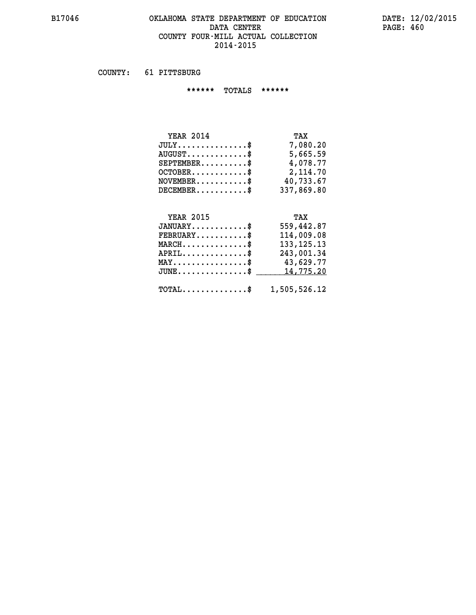# **B17046 OKLAHOMA STATE DEPARTMENT OF EDUCATION DATE: 12/02/2015** DATA CENTER PAGE: 460  **COUNTY FOUR-MILL ACTUAL COLLECTION 2014-2015**

 **COUNTY: 61 PITTSBURG**

 **\*\*\*\*\*\* TOTALS \*\*\*\*\*\***

| <b>YEAR 2014</b>                | TAX        |
|---------------------------------|------------|
| $JULY$                          | 7,080.20   |
| $AUGUST \ldots \ldots \ldots \$ | 5,665.59   |
| $SEPTEMBER$                     | 4,078.77   |
| $OCTOBER$                       | 2,114.70   |
| $NOVEMBER$ \$                   | 40,733.67  |
| $DECEMENTER$                    | 337,869.80 |

# **YEAR 2015 TAX**

| $JANUARY$ \$<br>$FEBRUARY$ \$                           | 559,442.87<br>114,009.08 |
|---------------------------------------------------------|--------------------------|
| $MARCH$ \$                                              | 133, 125. 13             |
| $APRIL$ \$                                              | 243,001.34               |
| $MAX \dots \dots \dots \dots \dots \$                   | 43,629.77                |
| $JUNE \dots \dots \dots \dots \$ 14,775.20              |                          |
| $\texttt{TOTAL} \dots \dots \dots \dots \$ 1,505,526.12 |                          |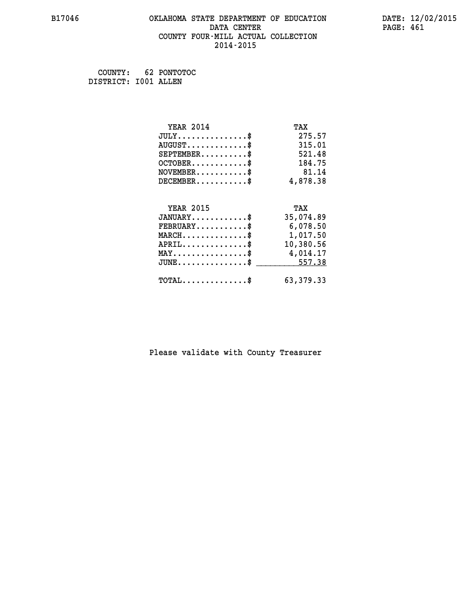# **B17046 OKLAHOMA STATE DEPARTMENT OF EDUCATION DATE: 12/02/2015 DATA CENTER** PAGE: 461  **COUNTY FOUR-MILL ACTUAL COLLECTION 2014-2015**

 **COUNTY: 62 PONTOTOC DISTRICT: I001 ALLEN**

| <b>YEAR 2014</b>                                 | TAX         |
|--------------------------------------------------|-------------|
| $JULY$ \$                                        | 275.57      |
| $AUGUST$ \$                                      | 315.01      |
| $SEPTEMBER$ \$                                   | 521.48      |
| $OCTOBER$ \$                                     | 184.75      |
| $\texttt{NOVEMBER} \dots \dots \dots \$          | 81.14       |
| $DECEMBER$ \$                                    | 4,878.38    |
|                                                  |             |
| <b>YEAR 2015</b>                                 | TAX         |
| $JANUARY$                                        | 35,074.89   |
| $FEBRUARY$                                       | 6,078.50    |
| $\texttt{MARCH}\ldots\ldots\ldots\ldots\text{*}$ | 1,017.50    |
| $APRIL \ldots \ldots \ldots \ldots$ \$           | 10,380.56   |
| MAY\$ 4,014.17                                   |             |
| $JUNE \dots \dots \dots \dots \$ 557.38          |             |
| $\texttt{TOTAL} \dots \dots \dots \dots \$       | 63, 379. 33 |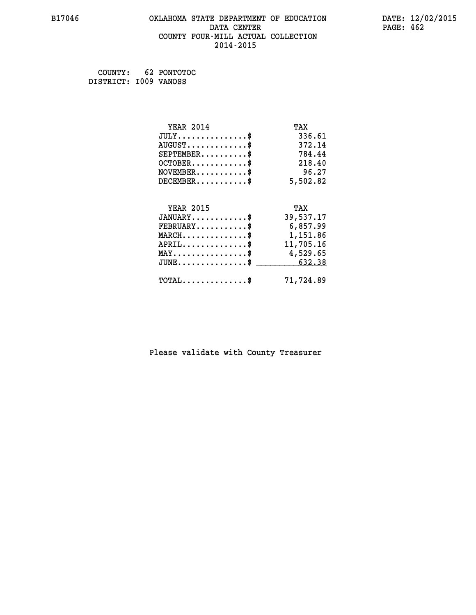#### **B17046 OKLAHOMA STATE DEPARTMENT OF EDUCATION DATE: 12/02/2015 DATA CENTER** PAGE: 462  **COUNTY FOUR-MILL ACTUAL COLLECTION 2014-2015**

 **COUNTY: 62 PONTOTOC DISTRICT: I009 VANOSS**

| <b>YEAR 2014</b>                                  | TAX       |
|---------------------------------------------------|-----------|
| $JULY$ \$                                         | 336.61    |
| $AUGUST$ \$                                       | 372.14    |
| $SEPTEMENT.$ \$                                   | 784.44    |
| $OCTOBER$ \$                                      | 218.40    |
| $NOVEMBER.$ \$                                    | 96.27     |
| $DECEMBER$ \$                                     | 5,502.82  |
|                                                   |           |
| <b>YEAR 2015</b>                                  | TAX       |
| $JANUARY$ \$                                      | 39,537.17 |
| $FEBRUARY$ \$                                     | 6,857.99  |
| $\texttt{MARCH}\ldots\ldots\ldots\ldots\clubsuit$ | 1,151.86  |
| $APRIL$ \$                                        | 11,705.16 |
| $\texttt{MAX} \dots \dots \dots \dots \dots \$    | 4,529.65  |
| $\texttt{JUNE} \dots \dots \dots \dots \dots \$$  | 632.38    |
| $\texttt{TOTAL} \dots \dots \dots \dots \$        | 71,724.89 |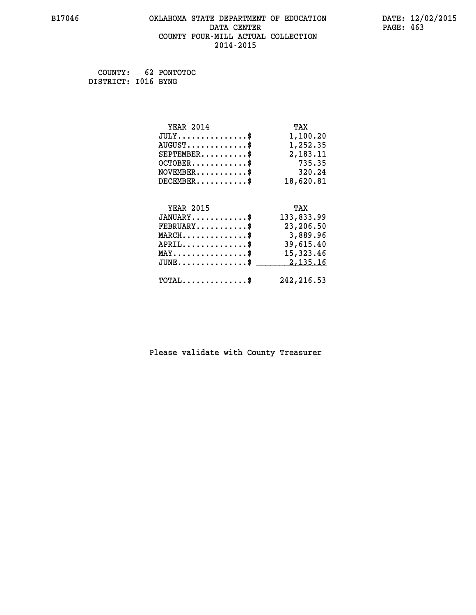#### **B17046 OKLAHOMA STATE DEPARTMENT OF EDUCATION DATE: 12/02/2015 DATA CENTER** PAGE: 463  **COUNTY FOUR-MILL ACTUAL COLLECTION 2014-2015**

 **COUNTY: 62 PONTOTOC DISTRICT: I016 BYNG**

| <b>YEAR 2014</b>                                   | TAX         |
|----------------------------------------------------|-------------|
| $JULY$ \$                                          | 1,100.20    |
| $AUGUST$ \$                                        | 1,252.35    |
| $SEPTEMBER$ \$                                     | 2,183.11    |
| $OCTOBER$ \$                                       | 735.35      |
| $\texttt{NOVEMBER} \dots \dots \dots \$            | 320.24      |
| $DECEMBER$ \$                                      | 18,620.81   |
|                                                    |             |
| <b>YEAR 2015</b>                                   | TAX         |
| $JANUARY$ \$                                       | 133,833.99  |
| $FEBRUARY$                                         | 23,206.50   |
| $\texttt{MARCH}\ldots\ldots\ldots\ldots\text{*}$   | 3,889.96    |
| $APRIL \ldots \ldots \ldots \ldots \$              | 39,615.40   |
| $\texttt{MAX} \dots \dots \dots \dots \dots \$     | 15,323.46   |
| $\texttt{JUNE} \dots \dots \dots \dots \texttt{S}$ | 2,135.16    |
| $\texttt{TOTAL} \dots \dots \dots \dots \$         | 242, 216.53 |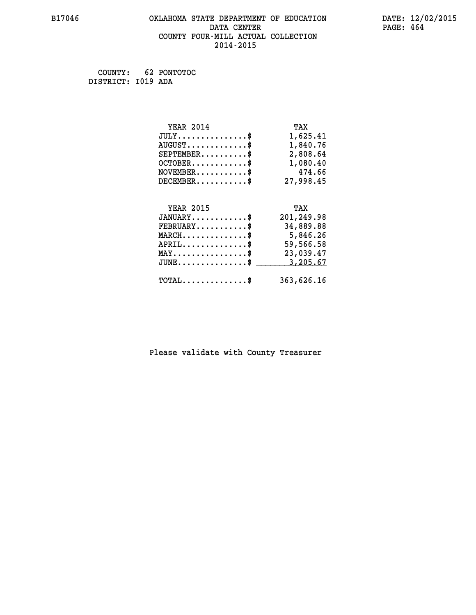# **B17046 OKLAHOMA STATE DEPARTMENT OF EDUCATION DATE: 12/02/2015 DATA CENTER** PAGE: 464  **COUNTY FOUR-MILL ACTUAL COLLECTION 2014-2015**

 **COUNTY: 62 PONTOTOC DISTRICT: I019 ADA**

| <b>YEAR 2014</b>                               | TAX        |
|------------------------------------------------|------------|
| $JULY$ \$                                      | 1,625.41   |
| $AUGUST$ \$                                    | 1,840.76   |
| $SEPTEMBER$ \$                                 | 2,808.64   |
| $OCTOBER$ \$                                   | 1,080.40   |
| $\texttt{NOVEMBER} \dots \dots \dots \$        | 474.66     |
| $DECEMBER$ \$                                  | 27,998.45  |
|                                                |            |
| <b>YEAR 2015</b>                               | TAX        |
| $JANUARY$ \$                                   | 201,249.98 |
| $FEBRUARY$                                     | 34,889.88  |
| $\texttt{MARCH}\ldots\ldots\ldots\ldots\$      | 5,846.26   |
| $APRIL \ldots \ldots \ldots \ldots \$          | 59,566.58  |
| $\texttt{MAX} \dots \dots \dots \dots \dots \$ | 23,039.47  |
| $JUNE$ \$                                      | 3,205.67   |
| $\texttt{TOTAL} \dots \dots \dots \dots \$     | 363,626.16 |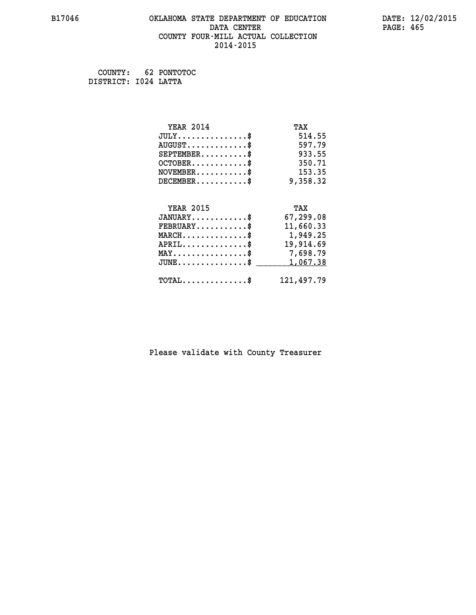# **B17046 OKLAHOMA STATE DEPARTMENT OF EDUCATION DATE: 12/02/2015 DATA CENTER** PAGE: 465  **COUNTY FOUR-MILL ACTUAL COLLECTION 2014-2015**

 **COUNTY: 62 PONTOTOC DISTRICT: I024 LATTA**

| <b>YEAR 2014</b>                           | TAX        |
|--------------------------------------------|------------|
| $JULY$ \$                                  | 514.55     |
| $AUGUST$ \$                                | 597.79     |
| $SEPTEMENT.$ \$                            | 933.55     |
| $OCTOBER$ \$                               | 350.71     |
| $\texttt{NOVEMBER} \dots \dots \dots \$    | 153.35     |
| $DECEMBER$ \$                              | 9,358.32   |
|                                            |            |
| <b>YEAR 2015</b>                           | TAX        |
| $JANUARY$ \$                               | 67,299.08  |
| $FEBRUARY$                                 | 11,660.33  |
| $MARCH$ \$                                 | 1,949.25   |
| $APRIL$ \$                                 | 19,914.69  |
| MAY\$ 7,698.79                             |            |
| $JUNE$ \$                                  | 1,067.38   |
| $\texttt{TOTAL} \dots \dots \dots \dots \$ | 121,497.79 |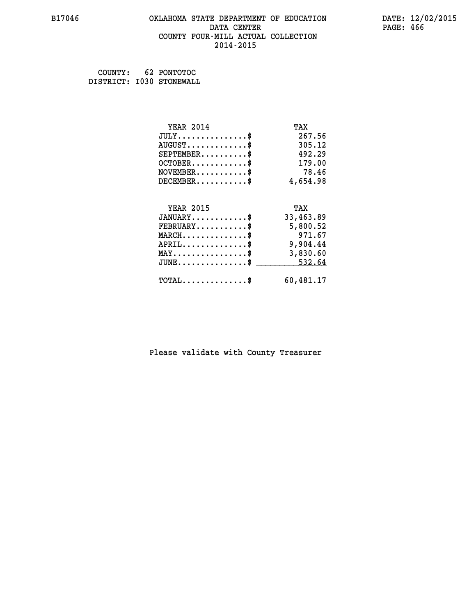#### **B17046 OKLAHOMA STATE DEPARTMENT OF EDUCATION DATE: 12/02/2015 DATA CENTER** PAGE: 466  **COUNTY FOUR-MILL ACTUAL COLLECTION 2014-2015**

 **COUNTY: 62 PONTOTOC DISTRICT: I030 STONEWALL**

| <b>YEAR 2014</b>                               | TAX       |
|------------------------------------------------|-----------|
| $JULY$ \$                                      | 267.56    |
| $AUGUST$ \$                                    | 305.12    |
| $SEPTEMENT.$ \$                                | 492.29    |
| $OCTOBER$ \$                                   | 179.00    |
| $NOVEMBER.$ \$                                 | 78.46     |
| $DECEMBER$ \$                                  | 4,654.98  |
|                                                |           |
| <b>YEAR 2015</b>                               | TAX       |
| $JANUARY$ \$                                   | 33,463.89 |
| $\texttt{FEBRUARY} \dots \dots \dots \$        | 5,800.52  |
| $MARCH$ \$                                     | 971.67    |
| $APRIL$ \$                                     | 9,904.44  |
| $\texttt{MAX} \dots \dots \dots \dots \dots \$ | 3,830.60  |
| $JUNE$ \$                                      | 532.64    |
| $\texttt{TOTAL} \dots \dots \dots \dots \$     | 60,481.17 |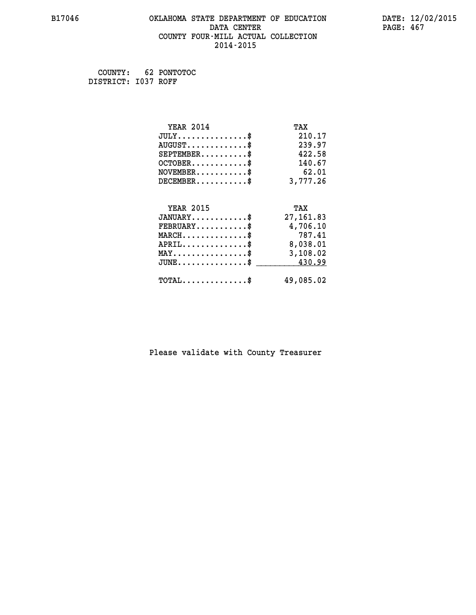# **B17046 OKLAHOMA STATE DEPARTMENT OF EDUCATION DATE: 12/02/2015 DATA CENTER** PAGE: 467  **COUNTY FOUR-MILL ACTUAL COLLECTION 2014-2015**

 **COUNTY: 62 PONTOTOC DISTRICT: I037 ROFF**

| <b>YEAR 2014</b>                                 | TAX        |
|--------------------------------------------------|------------|
| $JULY$ \$                                        | 210.17     |
| $AUGUST$ \$                                      | 239.97     |
| $SEPTEMBER$ \$                                   | 422.58     |
| $OCTOBER$ \$                                     | 140.67     |
| $NOVEMBER$ \$                                    | 62.01      |
| $DECEMBER$ \$                                    | 3,777.26   |
| <b>YEAR 2015</b>                                 | TAX        |
| $JANUARY$ \$                                     | 27, 161.83 |
| $FEBRUARY$                                       |            |
|                                                  | 4,706.10   |
| $MARCH$ \$                                       | 787.41     |
| $APRIL$ \$                                       | 8,038.01   |
| $\texttt{MAX} \dots \dots \dots \dots \dots \$   | 3,108.02   |
| $\texttt{JUNE} \dots \dots \dots \dots \dots \$$ | 430.99     |
| $TOTAL$ \$                                       | 49,085.02  |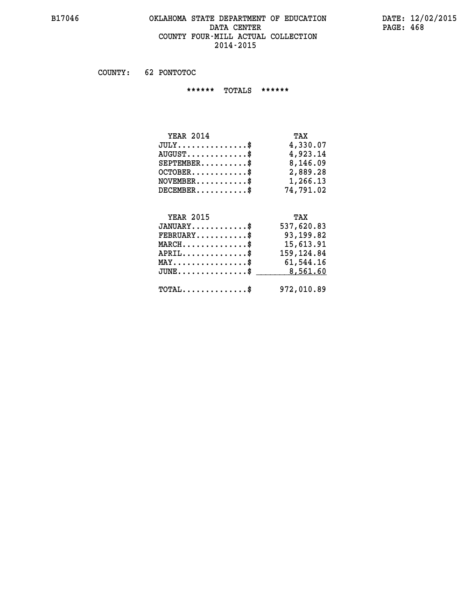#### **B17046 OKLAHOMA STATE DEPARTMENT OF EDUCATION DATE: 12/02/2015 DATA CENTER PAGE: 468 COUNTY FOUR-MILL ACTUAL COLLECTION 2014-2015**

 **COUNTY: 62 PONTOTOC**

 **\*\*\*\*\*\* TOTALS \*\*\*\*\*\***

| <b>YEAR 2014</b>                | TAX       |
|---------------------------------|-----------|
| $JULY \ldots \ldots \ldots \$   | 4,330.07  |
| $AUGUST \ldots \ldots \ldots \$ | 4,923.14  |
| $SEPTEMBER$                     | 8,146.09  |
| $OCTOBER$                       | 2,889.28  |
| $NOVEMBER$ $\$                  | 1,266.13  |
| $DECEMBER$                      | 74,791.02 |

# **YEAR 2015 TAX JANUARY............\$ 537,620.83 FEBRUARY...........\$ 93,199.82 MARCH..............\$ 15,613.91 APRIL..............\$ 159,124.84 MAY................\$ 61,544.16 JUNE................\$** \_\_\_\_\_\_\_\_\_ 8,561.60  **TOTAL..............\$ 972,010.89**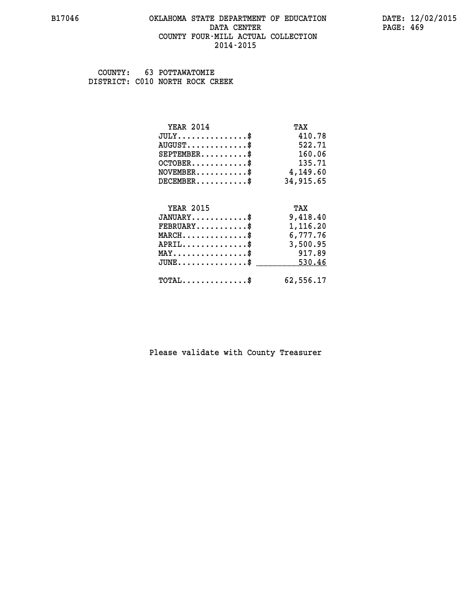#### **B17046 OKLAHOMA STATE DEPARTMENT OF EDUCATION DATE: 12/02/2015 DATA CENTER** PAGE: 469  **COUNTY FOUR-MILL ACTUAL COLLECTION 2014-2015**

 **COUNTY: 63 POTTAWATOMIE DISTRICT: C010 NORTH ROCK CREEK**

| <b>YEAR 2014</b>                                 | TAX       |
|--------------------------------------------------|-----------|
| $JULY$ \$                                        | 410.78    |
| $AUGUST$ \$                                      | 522.71    |
| $SEPTEMBER$ \$                                   | 160.06    |
| $OCTOBER$ \$                                     | 135.71    |
| $\texttt{NOVEMBER} \dots \dots \dots \$          | 4,149.60  |
| $DECEMBER$ \$                                    | 34,915.65 |
|                                                  |           |
| <b>YEAR 2015</b>                                 | TAX       |
| $JANUARY$ \$                                     | 9,418.40  |
| $FEBRUARY$                                       | 1,116.20  |
| $\texttt{MARCH}\ldots\ldots\ldots\ldots\text{*}$ | 6,777.76  |
| $APRIL \ldots \ldots \ldots \ldots \$            | 3,500.95  |
| $\texttt{MAX} \dots \dots \dots \dots \dots \$   | 917.89    |
| $\texttt{JUNE} \dots \dots \dots \dots \dots \$$ | 530.46    |
| $\texttt{TOTAL} \dots \dots \dots \dots \$       | 62,556.17 |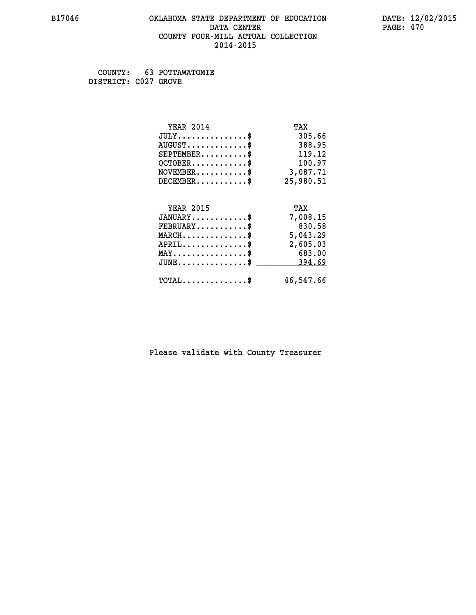#### **B17046 OKLAHOMA STATE DEPARTMENT OF EDUCATION DATE: 12/02/2015 DATA CENTER** PAGE: 470  **COUNTY FOUR-MILL ACTUAL COLLECTION 2014-2015**

 **COUNTY: 63 POTTAWATOMIE DISTRICT: C027 GROVE**

| <b>YEAR 2014</b>                           | TAX       |
|--------------------------------------------|-----------|
| $JULY$ \$                                  | 305.66    |
| $AUGUST$ \$                                | 388.95    |
| $SEPTEMBER$ \$                             | 119.12    |
| $OCTOBER$ \$                               | 100.97    |
| $NOVEMBER.$ \$                             | 3,087.71  |
| $DECEMBER$ \$                              | 25,980.51 |
|                                            |           |
| <b>YEAR 2015</b>                           | TAX       |
| $JANUARY$ \$                               | 7,008.15  |
| $FEBRUARY$                                 | 830.58    |
| $MARCH$ \$                                 | 5,043.29  |
| $APRIL$ \$                                 | 2,605.03  |
| $MAX \dots \dots \dots \dots \$            | 683.00    |
| $JUNE$ \$                                  | 394.69    |
| $\texttt{TOTAL} \dots \dots \dots \dots \$ | 46,547.66 |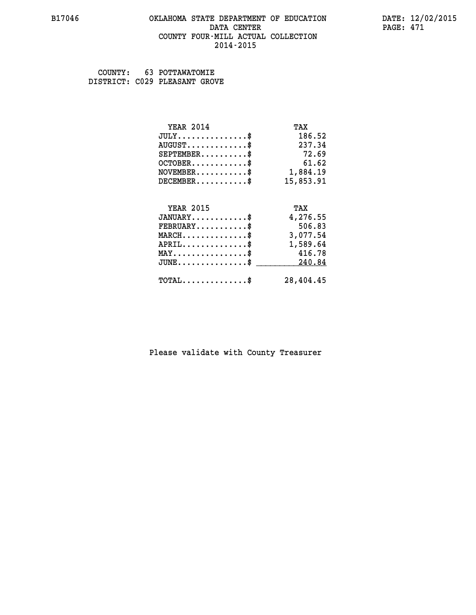#### **B17046 OKLAHOMA STATE DEPARTMENT OF EDUCATION DATE: 12/02/2015 DATA CENTER** PAGE: 471  **COUNTY FOUR-MILL ACTUAL COLLECTION 2014-2015**

 **COUNTY: 63 POTTAWATOMIE DISTRICT: C029 PLEASANT GROVE**

| <b>YEAR 2014</b>                           | TAX       |
|--------------------------------------------|-----------|
| $JULY$ \$                                  | 186.52    |
| $AUGUST$ \$                                | 237.34    |
| $SEPTEMENT.$ \$                            | 72.69     |
| $OCTOBER$ \$                               | 61.62     |
| $NOVEMBER.$ \$                             | 1,884.19  |
| $DECEMBER$ \$                              | 15,853.91 |
|                                            |           |
| <b>YEAR 2015</b>                           | TAX       |
| $JANUARY$ \$                               | 4,276.55  |
| $FEBRUARY$ \$                              | 506.83    |
| $\texttt{MARCH}\ldots\ldots\ldots\ldots\$  | 3,077.54  |
| $APRIL$ \$                                 | 1,589.64  |
| $MAX \dots \dots \dots \dots \$            | 416.78    |
| $JUNE$                                     | 240.84    |
| $\texttt{TOTAL} \dots \dots \dots \dots \$ | 28,404.45 |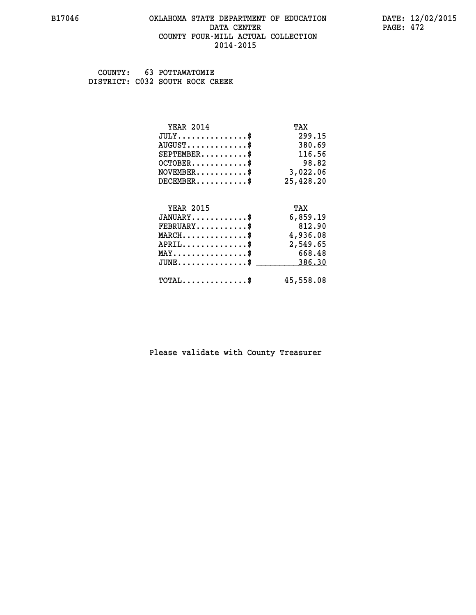#### **B17046 OKLAHOMA STATE DEPARTMENT OF EDUCATION DATE: 12/02/2015 DATA CENTER** PAGE: 472  **COUNTY FOUR-MILL ACTUAL COLLECTION 2014-2015**

 **COUNTY: 63 POTTAWATOMIE DISTRICT: C032 SOUTH ROCK CREEK**

| <b>YEAR 2014</b>                                 | TAX       |
|--------------------------------------------------|-----------|
| $JULY$ \$                                        | 299.15    |
| $AUGUST$ \$                                      | 380.69    |
| $SEPTEMBER$ \$                                   | 116.56    |
| $OCTOBER$ \$                                     | 98.82     |
| $NOVEMBER.$ \$                                   | 3,022.06  |
| $DECEMBER$ \$                                    | 25,428.20 |
|                                                  |           |
| <b>YEAR 2015</b>                                 | TAX       |
| $JANUARY$ \$                                     | 6,859.19  |
| $FEBRUARY$                                       | 812.90    |
| $MARCH$ \$                                       | 4,936.08  |
| $APRIL$ \$                                       | 2,549.65  |
| $MAX \dots \dots \dots \dots \dots$              | 668.48    |
| $\texttt{JUNE} \dots \dots \dots \dots \dots \$$ | 386.30    |
| $\texttt{TOTAL} \dots \dots \dots \dots \$       | 45,558.08 |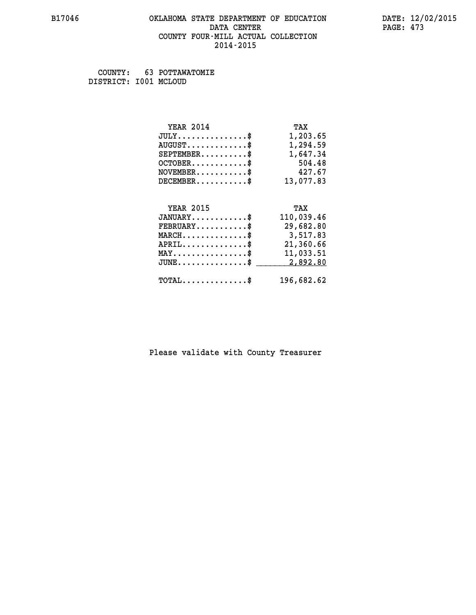#### **B17046 OKLAHOMA STATE DEPARTMENT OF EDUCATION DATE: 12/02/2015 DATA CENTER** PAGE: 473  **COUNTY FOUR-MILL ACTUAL COLLECTION 2014-2015**

 **COUNTY: 63 POTTAWATOMIE DISTRICT: I001 MCLOUD**

| <b>YEAR 2014</b>                                  | TAX        |
|---------------------------------------------------|------------|
| $JULY$ \$                                         | 1,203.65   |
| $AUGUST$ \$                                       | 1,294.59   |
| $SEPTEMBER$ \$                                    | 1,647.34   |
| $OCTOBER$ \$                                      | 504.48     |
| $\texttt{NOVEMBER} \dots \dots \dots \$           | 427.67     |
| $DECEMBER$ \$                                     | 13,077.83  |
|                                                   |            |
| <b>YEAR 2015</b>                                  | TAX        |
| $JANUARY$                                         | 110,039.46 |
| $FEBRUARY$                                        | 29,682.80  |
| $MARCH$ \$                                        | 3,517.83   |
| $APRIL \ldots \ldots \ldots \ldots$               | 21,360.66  |
| $\texttt{MAX} \dots \dots \dots \dots \texttt{*}$ | 11,033.51  |
| $JUNE$ \$                                         | 2,892.80   |
| $\texttt{TOTAL} \dots \dots \dots \dots \$        | 196,682.62 |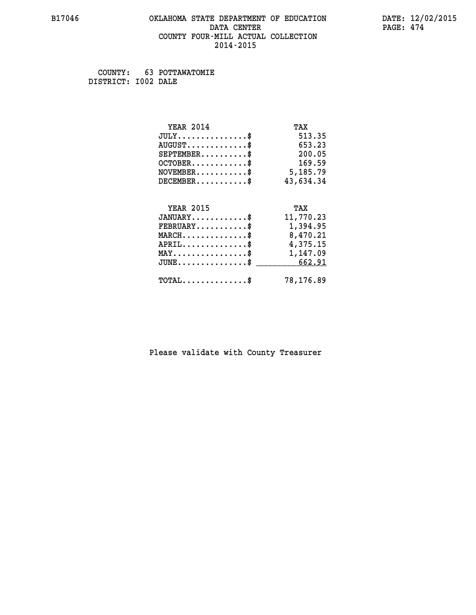#### **B17046 OKLAHOMA STATE DEPARTMENT OF EDUCATION DATE: 12/02/2015 DATA CENTER** PAGE: 474  **COUNTY FOUR-MILL ACTUAL COLLECTION 2014-2015**

 **COUNTY: 63 POTTAWATOMIE DISTRICT: I002 DALE**

| <b>YEAR 2014</b>                                   | TAX       |
|----------------------------------------------------|-----------|
| $JULY$ \$                                          | 513.35    |
| $AUGUST$ \$                                        | 653.23    |
| $SEPTEMBER$ \$                                     | 200.05    |
| $OCTOBER$ \$                                       | 169.59    |
| $\texttt{NOVEMBER} \dots \dots \dots \$            | 5,185.79  |
| $DECEMBER$ \$                                      | 43,634.34 |
|                                                    |           |
| <b>YEAR 2015</b>                                   | TAX       |
| $JANUARY$ \$                                       | 11,770.23 |
| $FEBRUARY$ \$                                      | 1,394.95  |
| $\texttt{MARCH}\ldots\ldots\ldots\ldots\text{*}$   | 8,470.21  |
| $APRIL \ldots \ldots \ldots \ldots \$              | 4,375.15  |
| MAY\$ 1,147.09                                     |           |
| $\texttt{JUNE} \dots \dots \dots \dots \texttt{S}$ | 662.91    |
| $\texttt{TOTAL} \dots \dots \dots \dots \$         | 78,176.89 |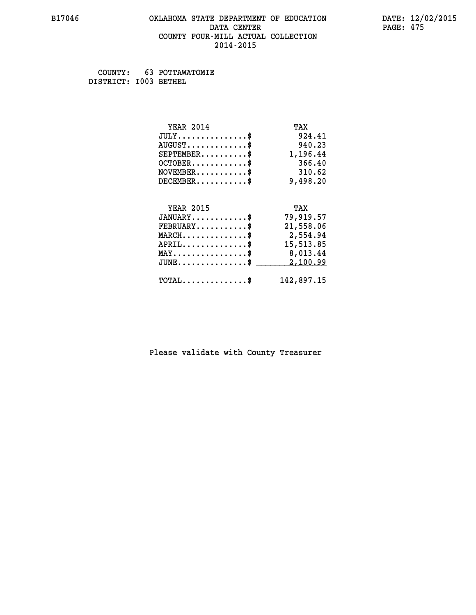#### **B17046 OKLAHOMA STATE DEPARTMENT OF EDUCATION DATE: 12/02/2015 DATA CENTER** PAGE: 475  **COUNTY FOUR-MILL ACTUAL COLLECTION 2014-2015**

 **COUNTY: 63 POTTAWATOMIE DISTRICT: I003 BETHEL**

| <b>YEAR 2014</b>                               | TAX        |
|------------------------------------------------|------------|
| $JULY$ \$                                      | 924.41     |
| $AUGUST$ \$                                    | 940.23     |
| $SEPTEMBER$ \$                                 | 1,196.44   |
| $OCTOBER$ \$                                   | 366.40     |
| $NOVEMBER.$ \$                                 | 310.62     |
| $DECEMBER$ \$                                  | 9,498.20   |
|                                                |            |
| <b>YEAR 2015</b>                               | TAX        |
| $JANUARY$ \$                                   | 79,919.57  |
| $FEBRUARY$                                     | 21,558.06  |
| $MARCH$ \$                                     | 2,554.94   |
| $APRIL$ \$                                     | 15,513.85  |
| $\texttt{MAX} \dots \dots \dots \dots \dots \$ | 8,013.44   |
| $JUNE$ \$                                      | 2,100.99   |
| $\texttt{TOTAL} \dots \dots \dots \dots \$     | 142,897.15 |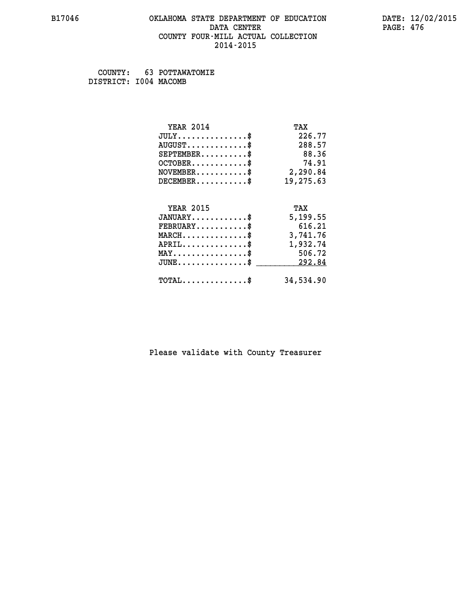#### **B17046 OKLAHOMA STATE DEPARTMENT OF EDUCATION DATE: 12/02/2015 DATA CENTER** PAGE: 476  **COUNTY FOUR-MILL ACTUAL COLLECTION 2014-2015**

 **COUNTY: 63 POTTAWATOMIE DISTRICT: I004 MACOMB**

| <b>YEAR 2014</b>                           | TAX       |
|--------------------------------------------|-----------|
| $JULY$ \$                                  | 226.77    |
| $AUGUST$ \$                                | 288.57    |
| $SEPTEMENT.$ \$                            | 88.36     |
| $OCTOBER$ \$                               | 74.91     |
| $NOVEMBER.$ \$                             | 2,290.84  |
| $DECEMBER$ \$                              | 19,275.63 |
|                                            |           |
| <b>YEAR 2015</b>                           | TAX       |
| $JANUARY$ \$                               | 5,199.55  |
| $FEBRUARY$                                 | 616.21    |
| $MARCH$ \$                                 | 3,741.76  |
| $APRIL$ \$                                 | 1,932.74  |
| $MAX \dots \dots \dots \dots \dots$        | 506.72    |
| $JUNE$ \$                                  | 292.84    |
| $\texttt{TOTAL} \dots \dots \dots \dots \$ | 34,534.90 |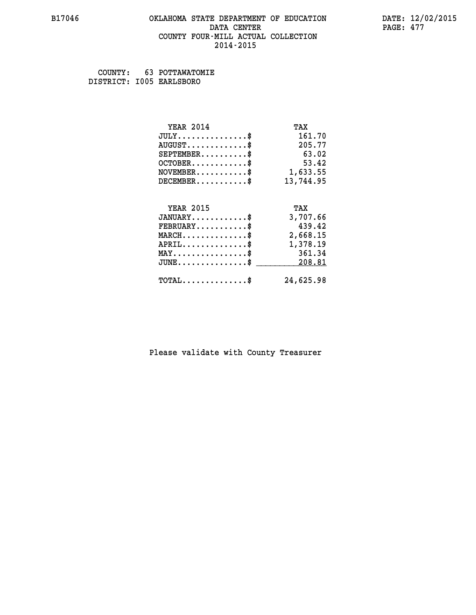#### **B17046 OKLAHOMA STATE DEPARTMENT OF EDUCATION DATE: 12/02/2015 DATA CENTER** PAGE: 477  **COUNTY FOUR-MILL ACTUAL COLLECTION 2014-2015**

 **COUNTY: 63 POTTAWATOMIE DISTRICT: I005 EARLSBORO**

| <b>YEAR 2014</b>                           | TAX       |
|--------------------------------------------|-----------|
| $JULY$ \$                                  | 161.70    |
| $AUGUST$ \$                                | 205.77    |
| $SEPTEMBER$ \$                             | 63.02     |
| $OCTOBER$ \$                               | 53.42     |
| $\texttt{NOVEMBER} \dots \dots \dots \$    | 1,633.55  |
| $DECEMBER$ \$                              | 13,744.95 |
|                                            |           |
| <b>YEAR 2015</b>                           | TAX       |
| $JANUARY$ \$                               | 3,707.66  |
| $FEBRUARY$                                 | 439.42    |
| $MARCH$ \$                                 | 2,668.15  |
| $APRIL \ldots \ldots \ldots \ldots \$      | 1,378.19  |
| $MAX \dots \dots \dots \dots \dots$        | 361.34    |
| $\texttt{JUNE} \dots \dots \dots \dots \$  | 208.81    |
| $\texttt{TOTAL} \dots \dots \dots \dots \$ | 24,625.98 |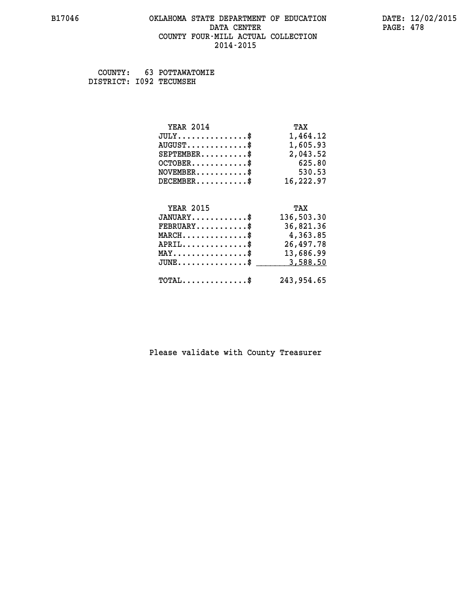#### **B17046 OKLAHOMA STATE DEPARTMENT OF EDUCATION DATE: 12/02/2015 DATA CENTER** PAGE: 478  **COUNTY FOUR-MILL ACTUAL COLLECTION 2014-2015**

 **COUNTY: 63 POTTAWATOMIE DISTRICT: I092 TECUMSEH**

| <b>YEAR 2014</b>                               | TAX        |
|------------------------------------------------|------------|
| $JULY$ \$                                      | 1,464.12   |
| $AUGUST$ \$                                    | 1,605.93   |
| $SEPTEMBER$ \$                                 | 2,043.52   |
| $OCTOBER$ \$                                   | 625.80     |
| $\texttt{NOVEMBER} \dots \dots \dots \$        | 530.53     |
| $DECEMBER$ \$                                  | 16,222.97  |
|                                                |            |
| <b>YEAR 2015</b>                               | TAX        |
| $JANUARY$ \$                                   | 136,503.30 |
| $FEBRUARY$                                     | 36,821.36  |
| $\texttt{MARCH}\ldots\ldots\ldots\ldots\$      | 4,363.85   |
| $APRIL \ldots \ldots \ldots \ldots \$          | 26,497.78  |
| $\texttt{MAX} \dots \dots \dots \dots \dots \$ | 13,686.99  |
| $JUNE$ \$                                      | 3,588.50   |
| $\texttt{TOTAL} \dots \dots \dots \dots \$     | 243,954.65 |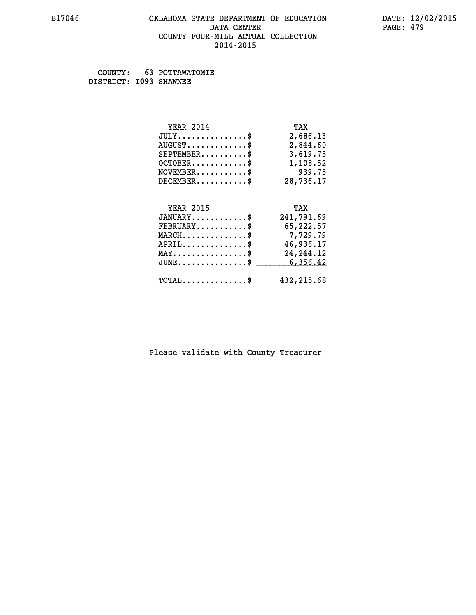#### **B17046 OKLAHOMA STATE DEPARTMENT OF EDUCATION DATE: 12/02/2015 DATA CENTER** PAGE: 479  **COUNTY FOUR-MILL ACTUAL COLLECTION 2014-2015**

 **COUNTY: 63 POTTAWATOMIE DISTRICT: I093 SHAWNEE**

| <b>YEAR 2014</b>                                                 | TAX         |
|------------------------------------------------------------------|-------------|
| $JULY$ \$                                                        | 2,686.13    |
| $AUGUST$ \$                                                      | 2,844.60    |
| $SEPTEMBER$ \$                                                   | 3,619.75    |
| $OCTOBER$ \$                                                     | 1,108.52    |
| $NOVEMBER.$ \$                                                   | 939.75      |
| $DECEMBER$ \$                                                    | 28,736.17   |
|                                                                  |             |
| <b>YEAR 2015</b>                                                 | TAX         |
| $JANUARY$ \$                                                     | 241,791.69  |
| $FEBRUARY$ \$                                                    | 65,222.57   |
| $\texttt{MARCH}\ldots\ldots\ldots\ldots\footnotesize \texttt{*}$ | 7,729.79    |
| $APRIL$ \$                                                       | 46,936.17   |
| $\texttt{MAX} \dots \dots \dots \dots \dots \$                   | 24, 244. 12 |
| $JUNE$ \$                                                        | 6,356.42    |
| $TOTAL$ \$                                                       | 432, 215.68 |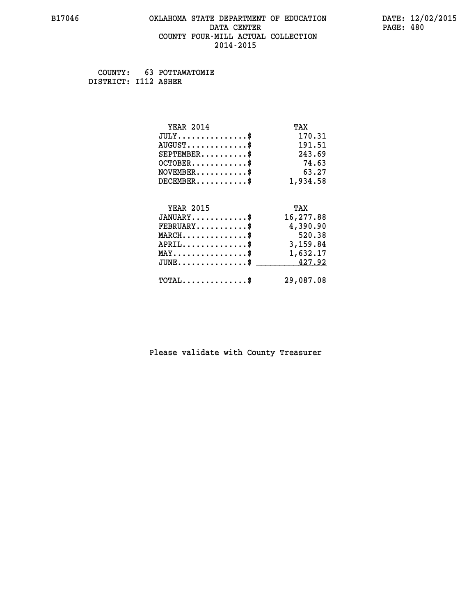#### **B17046 OKLAHOMA STATE DEPARTMENT OF EDUCATION DATE: 12/02/2015 DATA CENTER** PAGE: 480  **COUNTY FOUR-MILL ACTUAL COLLECTION 2014-2015**

 **COUNTY: 63 POTTAWATOMIE DISTRICT: I112 ASHER**

| <b>YEAR 2014</b>                               | TAX       |
|------------------------------------------------|-----------|
| $JULY$ \$                                      | 170.31    |
| $AUGUST$ \$                                    | 191.51    |
| $SEPTEMENT.$ \$                                | 243.69    |
| $OCTOBER$ \$                                   | 74.63     |
| $NOVEMBER$ \$                                  | 63.27     |
| $DECEMBER$ \$                                  | 1,934.58  |
|                                                |           |
| <b>YEAR 2015</b>                               | TAX       |
| $JANUARY$ \$                                   | 16,277.88 |
| $FEBRUARY$ \$                                  | 4,390.90  |
| $MARCH$ \$                                     | 520.38    |
| $APRIL$ \$                                     | 3,159.84  |
| $\texttt{MAX} \dots \dots \dots \dots \dots \$ | 1,632.17  |
| $JUNE$ \$                                      | 427.92    |
| $\texttt{TOTAL} \dots \dots \dots \dots \$     | 29,087.08 |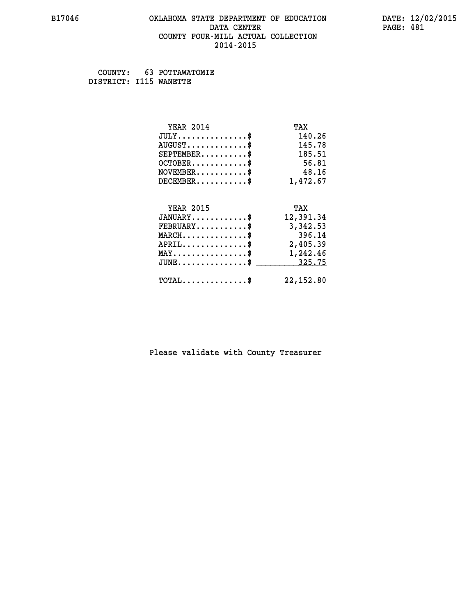#### **B17046 OKLAHOMA STATE DEPARTMENT OF EDUCATION DATE: 12/02/2015 DATA CENTER** PAGE: 481  **COUNTY FOUR-MILL ACTUAL COLLECTION 2014-2015**

 **COUNTY: 63 POTTAWATOMIE DISTRICT: I115 WANETTE**

| <b>YEAR 2014</b>                                 | TAX        |
|--------------------------------------------------|------------|
| $JULY$ \$                                        | 140.26     |
| $AUGUST$ \$                                      | 145.78     |
| $SEPTEMBER$ \$                                   | 185.51     |
| $OCTOBER$ \$                                     | 56.81      |
| $\texttt{NOVEMBER} \dots \dots \dots \$          | 48.16      |
| $DECEMBER$ \$                                    | 1,472.67   |
|                                                  |            |
| <b>YEAR 2015</b>                                 | TAX        |
| $JANUARY$ \$                                     | 12,391.34  |
| $FEBRUARY$                                       | 3,342.53   |
| $MARCH$ \$                                       | 396.14     |
| $APRIL \ldots \ldots \ldots \ldots \$            | 2,405.39   |
| $\texttt{MAX} \dots \dots \dots \dots \dots \$   | 1,242.46   |
| $\texttt{JUNE} \dots \dots \dots \dots \dots \$$ | 325.75     |
| $\texttt{TOTAL} \dots \dots \dots \dots \$       | 22, 152.80 |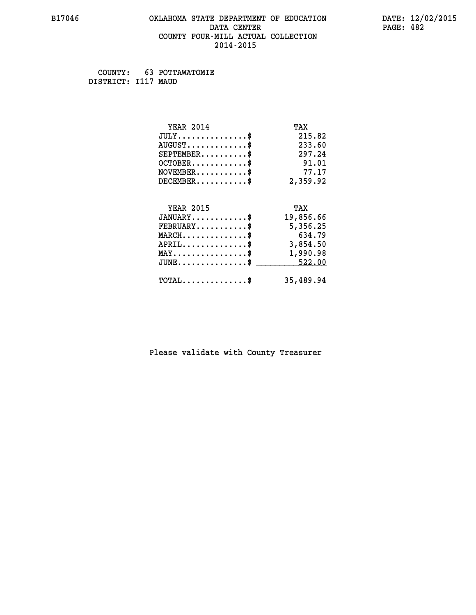#### **B17046 OKLAHOMA STATE DEPARTMENT OF EDUCATION DATE: 12/02/2015 DATA CENTER** PAGE: 482  **COUNTY FOUR-MILL ACTUAL COLLECTION 2014-2015**

 **COUNTY: 63 POTTAWATOMIE DISTRICT: I117 MAUD**

| <b>YEAR 2014</b>                                 | TAX       |
|--------------------------------------------------|-----------|
| $JULY$ \$                                        | 215.82    |
| $AUGUST$ \$                                      | 233.60    |
| $SEPTEMBER$ \$                                   | 297.24    |
| $OCTOBER$ \$                                     | 91.01     |
| $NOVEMBER.\dots.\dots.\$                         | 77.17     |
| $DECEMBER$ \$                                    | 2,359.92  |
|                                                  |           |
| <b>YEAR 2015</b>                                 | TAX       |
| $JANUARY$ \$                                     | 19,856.66 |
| $FEBRUARY$ \$                                    | 5,356.25  |
| $MARCH$ \$                                       | 634.79    |
| $APRIL \ldots \ldots \ldots \ldots *$            | 3,854.50  |
| $\texttt{MAX} \dots \dots \dots \dots \dots \$   | 1,990.98  |
| $\texttt{JUNE} \dots \dots \dots \dots \dots \$$ | 522.00    |
| $\texttt{TOTAL} \dots \dots \dots \dots \$       | 35,489.94 |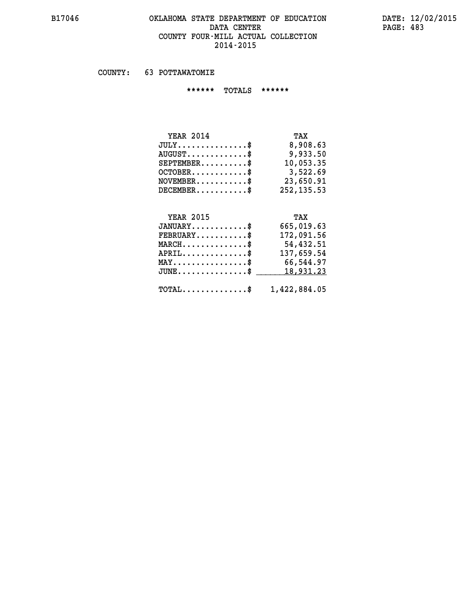# **B17046 OKLAHOMA STATE DEPARTMENT OF EDUCATION DATE: 12/02/2015** DATA CENTER PAGE: 483  **COUNTY FOUR-MILL ACTUAL COLLECTION 2014-2015**

 **COUNTY: 63 POTTAWATOMIE**

 **\*\*\*\*\*\* TOTALS \*\*\*\*\*\***

| <b>YEAR 2014</b>                 | TAX          |
|----------------------------------|--------------|
| $JULY$                           | 8,908.63     |
| $AUGUST \ldots \ldots \ldots$ \$ | 9,933.50     |
| $SEPTEMBER$ $\$                  | 10,053.35    |
| $OCTOBER$ \$                     | 3,522.69     |
| $NOVEMBER$ \$                    | 23,650.91    |
| $DECEMBER$ \$                    | 252, 135, 53 |

# **YEAR 2015 TAX**

| $JANUARY$                                               | 665,019.63 |
|---------------------------------------------------------|------------|
| $FEBRUARY$                                              | 172,091.56 |
| $MARCH$ \$                                              | 54,432.51  |
| $APRIL$ \$                                              | 137,659.54 |
| $MAX \dots \dots \dots \dots \$                         | 66,544.97  |
| JUNE\$ 18,931.23                                        |            |
| $\texttt{TOTAL} \dots \dots \dots \dots \$ 1,422,884.05 |            |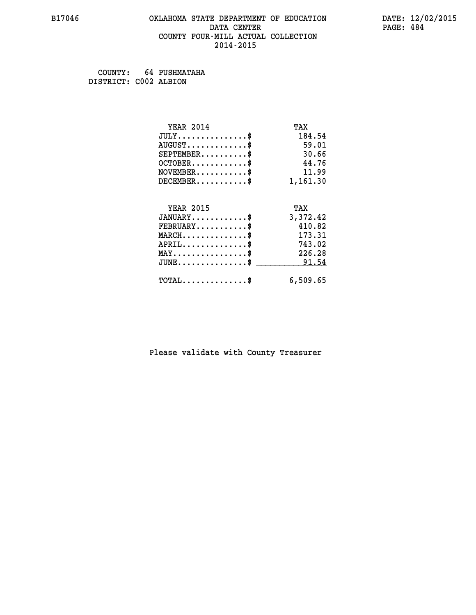#### **B17046 OKLAHOMA STATE DEPARTMENT OF EDUCATION DATE: 12/02/2015 DATA CENTER** PAGE: 484  **COUNTY FOUR-MILL ACTUAL COLLECTION 2014-2015**

 **COUNTY: 64 PUSHMATAHA DISTRICT: C002 ALBION**

| <b>YEAR 2014</b>                                   | TAX      |
|----------------------------------------------------|----------|
| $JULY$ \$                                          | 184.54   |
| $AUGUST$ \$                                        | 59.01    |
| $SEPTEMENT.$ \$                                    | 30.66    |
| $OCTOBER$ \$                                       | 44.76    |
| $NOVEMBER$ \$                                      | 11.99    |
| $DECEMBER$ \$                                      | 1,161.30 |
| <b>YEAR 2015</b>                                   | TAX      |
|                                                    |          |
| $JANUARY$ \$                                       | 3,372.42 |
| $FEBRUARY$                                         | 410.82   |
| $MARCH$ \$                                         | 173.31   |
| $APRIL$ \$                                         | 743.02   |
| $MAX \dots \dots \dots \dots \dots$                | 226.28   |
| $\texttt{JUNE} \dots \dots \dots \dots \texttt{S}$ | 91.54    |
| $\texttt{TOTAL} \dots \dots \dots \dots$ \$        | 6,509.65 |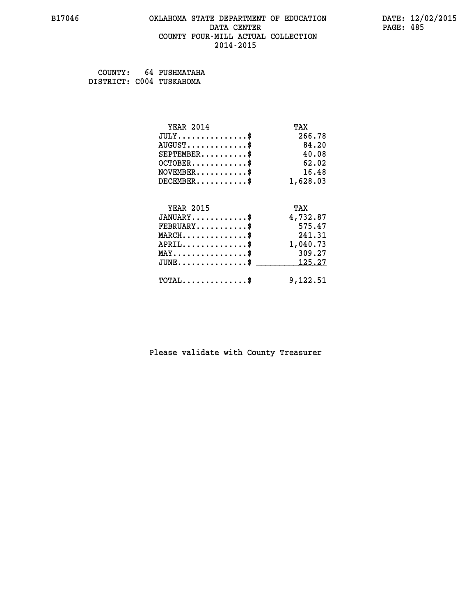#### **B17046 OKLAHOMA STATE DEPARTMENT OF EDUCATION DATE: 12/02/2015 DATA CENTER** PAGE: 485  **COUNTY FOUR-MILL ACTUAL COLLECTION 2014-2015**

| COUNTY:                  | 64 PUSHMATAHA |
|--------------------------|---------------|
| DISTRICT: C004 TUSKAHOMA |               |

| <b>YEAR 2014</b>                | TAX      |
|---------------------------------|----------|
| $JULY$ \$                       | 266.78   |
| $AUGUST$ \$                     | 84.20    |
| $SEPTEMBER$ \$                  | 40.08    |
| $OCTOBER$ \$                    | 62.02    |
| $NOVEMBER$ \$                   | 16.48    |
| $DECEMBER$ \$                   | 1,628.03 |
|                                 |          |
| <b>YEAR 2015</b>                | TAX      |
| $JANUARY$ \$                    | 4,732.87 |
| $FEBRUARY$ \$                   | 575.47   |
| $MARCH$ \$                      | 241.31   |
| $APRIL$ \$                      | 1,040.73 |
| $MAX \dots \dots \dots \dots \$ | 309.27   |
| $JUNE$ \$                       | 125.27   |
| $TOTAL$ \$                      | 9,122.51 |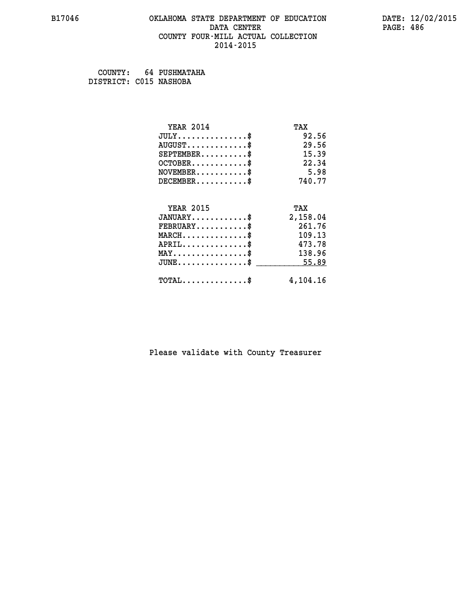#### **B17046 OKLAHOMA STATE DEPARTMENT OF EDUCATION DATE: 12/02/2015 DATA CENTER** PAGE: 486  **COUNTY FOUR-MILL ACTUAL COLLECTION 2014-2015**

 **COUNTY: 64 PUSHMATAHA DISTRICT: C015 NASHOBA**

| <b>YEAR 2014</b>                           | TAX      |
|--------------------------------------------|----------|
| $JULY$ \$                                  | 92.56    |
| $AUGUST$ \$                                | 29.56    |
| $SEPTEMENT.$ \$                            | 15.39    |
| $OCTOBER$ \$                               | 22.34    |
| $NOVEMBER$ \$                              | 5.98     |
| $DECEMBER$ \$                              | 740.77   |
| <b>YEAR 2015</b>                           | TAX      |
| $JANUARY$ \$                               | 2,158.04 |
| $FEBRUARY$                                 | 261.76   |
| $MARCH$ \$                                 | 109.13   |
| $APRIL$ \$                                 | 473.78   |
|                                            |          |
| $MAX \dots \dots \dots \dots \$            | 138.96   |
| $JUNE$ \$                                  | 55.89    |
| $\texttt{TOTAL} \dots \dots \dots \dots \$ | 4,104.16 |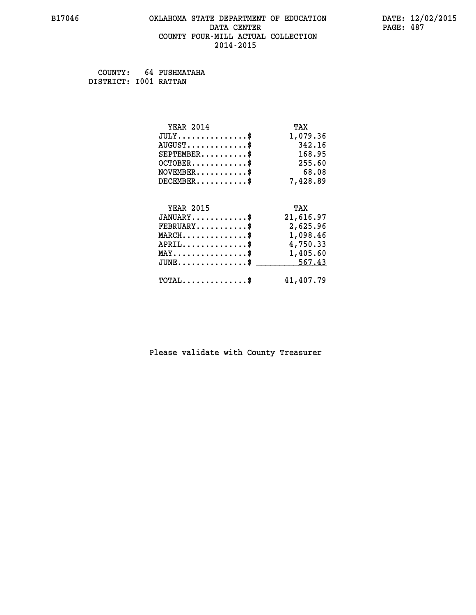#### **B17046 OKLAHOMA STATE DEPARTMENT OF EDUCATION DATE: 12/02/2015 DATA CENTER** PAGE: 487  **COUNTY FOUR-MILL ACTUAL COLLECTION 2014-2015**

 **COUNTY: 64 PUSHMATAHA DISTRICT: I001 RATTAN**

| <b>YEAR 2014</b>                                 | TAX       |
|--------------------------------------------------|-----------|
| $JULY$ \$                                        | 1,079.36  |
| $AUGUST$ \$                                      | 342.16    |
| $SEPTEMBER$ \$                                   | 168.95    |
| $OCTOBER$ \$                                     | 255.60    |
| $NOVEMBER$ \$                                    | 68.08     |
| $DECEMBER$ \$                                    | 7,428.89  |
|                                                  |           |
| <b>YEAR 2015</b>                                 | TAX       |
| $JANUARY$ \$                                     | 21,616.97 |
| $FEBRUARY$ \$                                    | 2,625.96  |
| $\texttt{MARCH}\ldots\ldots\ldots\ldots\text{*}$ | 1,098.46  |
| $APRIL$ \$                                       | 4,750.33  |
| $\texttt{MAX} \dots \dots \dots \dots \dots \$   | 1,405.60  |
| $JUNE$ \$                                        | 567.43    |
| $TOTAL$ \$                                       | 41,407.79 |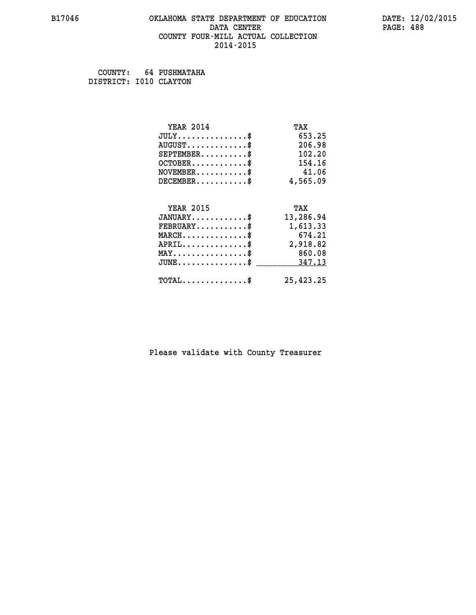#### **B17046 OKLAHOMA STATE DEPARTMENT OF EDUCATION DATE: 12/02/2015 DATA CENTER** PAGE: 488  **COUNTY FOUR-MILL ACTUAL COLLECTION 2014-2015**

 **COUNTY: 64 PUSHMATAHA DISTRICT: I010 CLAYTON**

| <b>YEAR 2014</b>                           | TAX       |
|--------------------------------------------|-----------|
| $JULY$ \$                                  | 653.25    |
| $AUGUST$ \$                                | 206.98    |
| $SEPTEMENT.$ \$                            | 102.20    |
| $OCTOBER$ \$                               | 154.16    |
| $NOVEMBER$ \$                              | 41.06     |
| $DECEMBER$ \$                              | 4,565.09  |
| <b>YEAR 2015</b>                           |           |
|                                            | TAX       |
| $JANUARY$ \$                               | 13,286.94 |
| $FEBRUARY$ \$                              | 1,613.33  |
| $MARCH$ \$                                 | 674.21    |
| $APRIL$ \$                                 | 2,918.82  |
| $MAX \dots \dots \dots \dots \dots$        | 860.08    |
| $JUNE$                                     | 347.13    |
| $\texttt{TOTAL} \dots \dots \dots \dots \$ | 25,423.25 |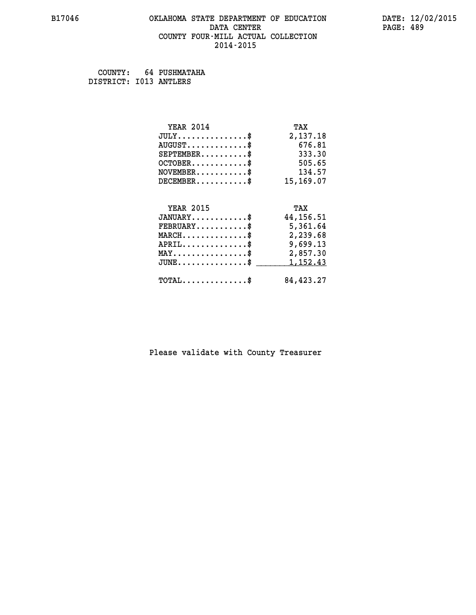#### **B17046 OKLAHOMA STATE DEPARTMENT OF EDUCATION DATE: 12/02/2015 DATA CENTER** PAGE: 489  **COUNTY FOUR-MILL ACTUAL COLLECTION 2014-2015**

 **COUNTY: 64 PUSHMATAHA DISTRICT: I013 ANTLERS**

| <b>YEAR 2014</b>                               | TAX        |
|------------------------------------------------|------------|
| $JULY$ \$                                      | 2,137.18   |
| $AUGUST$ \$                                    | 676.81     |
| $SEPTEMBER$ \$                                 | 333.30     |
| $OCTOBER$ \$ 505.65                            |            |
| $NOVEMBER$ \$ 134.57                           |            |
| $DECEMBER$ \$                                  | 15,169.07  |
| <b>YEAR 2015</b>                               | TAX        |
| $JANUARY$                                      | 44, 156.51 |
| $FEBRUARY$                                     | 5,361.64   |
| $MARCH \dots \dots \dots \dots$                | 2,239.68   |
|                                                |            |
| $APRIL \ldots \ldots \ldots \ldots \$          | 9,699.13   |
| $\texttt{MAX} \dots \dots \dots \dots \dots \$ | 2,857.30   |
| $JUNE$ \$                                      | 1,152.43   |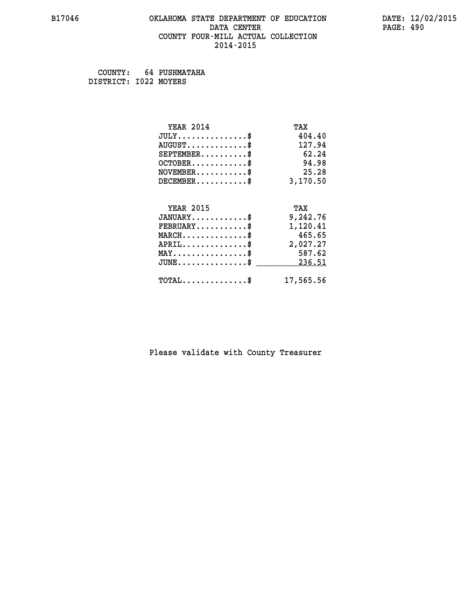#### **B17046 OKLAHOMA STATE DEPARTMENT OF EDUCATION DATE: 12/02/2015 DATA CENTER** PAGE: 490  **COUNTY FOUR-MILL ACTUAL COLLECTION 2014-2015**

 **COUNTY: 64 PUSHMATAHA DISTRICT: I022 MOYERS**

| <b>YEAR 2014</b>                           | TAX       |
|--------------------------------------------|-----------|
| $JULY$ \$                                  | 404.40    |
| $AUGUST$ \$                                | 127.94    |
| $SEPTEMENT.$ \$                            | 62.24     |
| $OCTOBER$ \$                               | 94.98     |
| $NOVEMBER$ \$                              | 25.28     |
| $DECEMBER$ \$                              | 3,170.50  |
| <b>YEAR 2015</b>                           | TAX       |
| $JANUARY$ \$                               | 9,242.76  |
| $FEBRUARY$ \$                              | 1,120.41  |
| $MARCH$ \$                                 | 465.65    |
| $APRIL$ \$                                 | 2,027.27  |
| $MAX \dots \dots \dots \dots \dots$        | 587.62    |
| $JUNE$ \$                                  | 236.51    |
| $\texttt{TOTAL} \dots \dots \dots \dots \$ | 17,565.56 |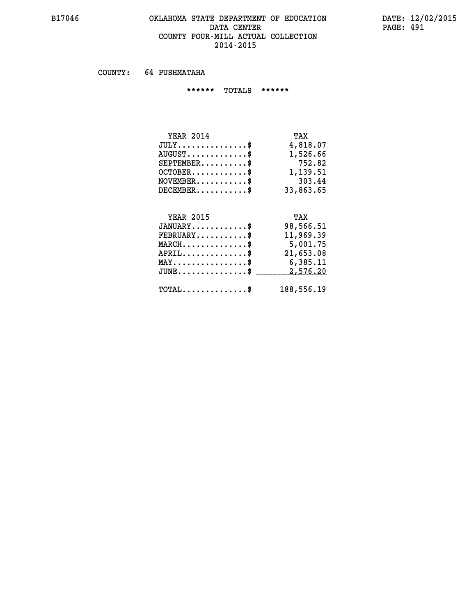# **B17046 OKLAHOMA STATE DEPARTMENT OF EDUCATION DATE: 12/02/2015** DATA CENTER PAGE: 491  **COUNTY FOUR-MILL ACTUAL COLLECTION 2014-2015**

 **COUNTY: 64 PUSHMATAHA**

 **\*\*\*\*\*\* TOTALS \*\*\*\*\*\***

| TAX       |
|-----------|
| 4,818.07  |
| 1,526.66  |
| 752.82    |
| 1,139.51  |
| 303.44    |
| 33,863,65 |
|           |

# **YEAR 2015 TAX JANUARY............\$ 98,566.51 JANUARY.............\$**<br> **FEBRUARY............\$**<br> **MARCH................\$**<br>
5,001.75  **MARCH..............\$ 5,001.75**

| $APRIL$ \$<br>$MAX \dots \dots \dots \dots \dots \$<br>$JUNE \ldots \ldots \ldots \ldots \$ 2,576.20 | 21,653.08<br>6,385.11 |
|------------------------------------------------------------------------------------------------------|-----------------------|
| $\texttt{TOTAL} \dots \dots \dots \dots \$$                                                          | 188,556.19            |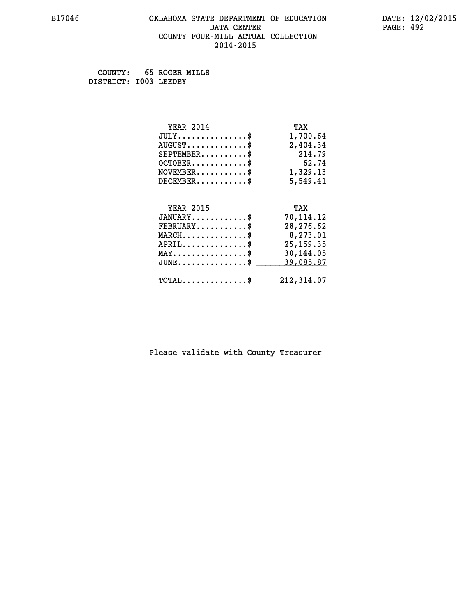#### **B17046 OKLAHOMA STATE DEPARTMENT OF EDUCATION DATE: 12/02/2015 DATA CENTER** PAGE: 492  **COUNTY FOUR-MILL ACTUAL COLLECTION 2014-2015**

 **COUNTY: 65 ROGER MILLS DISTRICT: I003 LEEDEY**

| <b>YEAR 2014</b>                               | TAX         |
|------------------------------------------------|-------------|
| $JULY$ \$                                      | 1,700.64    |
| $AUGUST$ \$                                    | 2,404.34    |
| $SEPTEMBER$ \$                                 | 214.79      |
| $OCTOBER$ \$                                   | 62.74       |
| $NOVEMBER.$ \$                                 | 1,329.13    |
| $DECEMBER$ \$                                  | 5,549.41    |
|                                                |             |
| <b>YEAR 2015</b>                               | TAX         |
| $JANUARY$ \$                                   | 70,114.12   |
| $FEBRUARY$ \$                                  | 28,276.62   |
| $MARCH$ \$                                     | 8,273.01    |
| $APRIL$ \$                                     | 25, 159. 35 |
| $\texttt{MAX} \dots \dots \dots \dots \dots \$ | 30,144.05   |
| $JUNE$ \$                                      | 39,085.87   |
| $\texttt{TOTAL} \dots \dots \dots \dots \$     | 212,314.07  |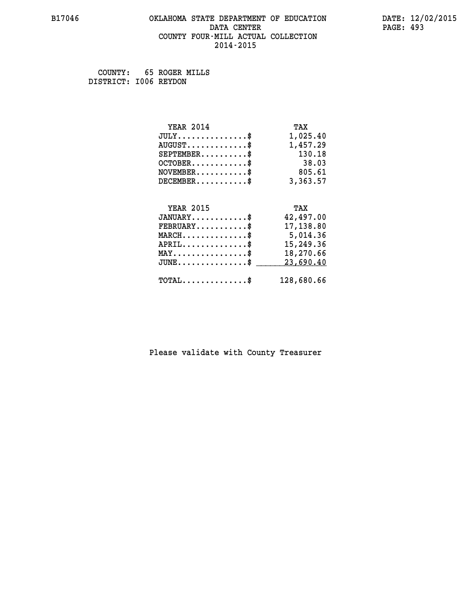#### **B17046 OKLAHOMA STATE DEPARTMENT OF EDUCATION DATE: 12/02/2015 DATA CENTER** PAGE: 493  **COUNTY FOUR-MILL ACTUAL COLLECTION 2014-2015**

 **COUNTY: 65 ROGER MILLS DISTRICT: I006 REYDON**

| <b>YEAR 2014</b>                               | TAX        |
|------------------------------------------------|------------|
| $JULY$ \$                                      | 1,025.40   |
| $AUGUST$ \$                                    | 1,457.29   |
| $SEPTEMBER$ \$                                 | 130.18     |
| $OCTOBER$ \$                                   | 38.03      |
| $\texttt{NOVEMBER} \dots \dots \dots \$        | 805.61     |
| $DECEMBER$ \$                                  | 3,363.57   |
|                                                |            |
| <b>YEAR 2015</b>                               | TAX        |
| $JANUARY$ \$                                   | 42,497.00  |
| $\texttt{FEBRUARY} \dots \dots \dots \$        | 17,138.80  |
| $MARCH$ \$                                     | 5,014.36   |
| $APRIL \ldots \ldots \ldots \ldots \$          | 15,249.36  |
| $\texttt{MAX} \dots \dots \dots \dots \dots \$ | 18,270.66  |
| $JUNE$ \$                                      | 23,690.40  |
| $\texttt{TOTAL} \dots \dots \dots \dots$       | 128,680.66 |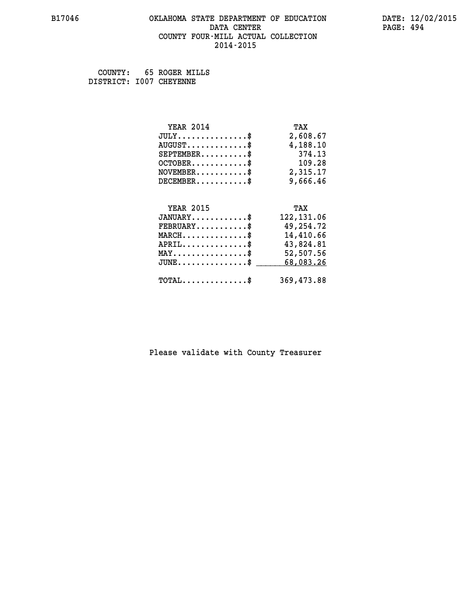#### **B17046 OKLAHOMA STATE DEPARTMENT OF EDUCATION DATE: 12/02/2015 DATA CENTER** PAGE: 494  **COUNTY FOUR-MILL ACTUAL COLLECTION 2014-2015**

 **COUNTY: 65 ROGER MILLS DISTRICT: I007 CHEYENNE**

| <b>YEAR 2014</b>                               | TAX         |
|------------------------------------------------|-------------|
| $JULY$ \$                                      | 2,608.67    |
| $AUGUST$ \$                                    | 4,188.10    |
| $SEPTEMBER$ \$                                 | 374.13      |
| $OCTOBER$ \$                                   | 109.28      |
| $\texttt{NOVEMBER} \dots \dots \dots \$        | 2,315.17    |
| $DECEMBER$ \$                                  | 9,666.46    |
|                                                |             |
| <b>YEAR 2015</b>                               | TAX         |
| $JANUARY$ \$                                   | 122, 131.06 |
| $FEBRUARY$                                     | 49,254.72   |
| $MARCH$ \$                                     | 14,410.66   |
| $APRIL$ \$                                     | 43,824.81   |
| $\texttt{MAX} \dots \dots \dots \dots \dots \$ | 52,507.56   |
| $JUNE$ \$                                      | 68,083.26   |
|                                                |             |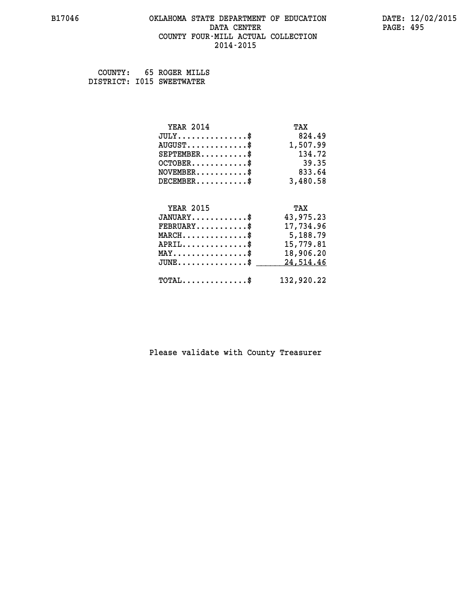#### **B17046 OKLAHOMA STATE DEPARTMENT OF EDUCATION DATE: 12/02/2015 DATA CENTER** PAGE: 495  **COUNTY FOUR-MILL ACTUAL COLLECTION 2014-2015**

 **COUNTY: 65 ROGER MILLS DISTRICT: I015 SWEETWATER**

| <b>YEAR 2014</b>                                  | TAX        |
|---------------------------------------------------|------------|
| $JULY$ \$                                         | 824.49     |
| $AUGUST$ \$                                       | 1,507.99   |
| $SEPTEMBER$ \$                                    | 134.72     |
| $OCTOBER$ \$                                      | 39.35      |
| $\texttt{NOVEMBER} \dots \dots \dots \$           | 833.64     |
| $DECEMBER$ \$                                     | 3,480.58   |
|                                                   |            |
| <b>YEAR 2015</b>                                  | TAX        |
| $JANUARY$ \$                                      | 43,975.23  |
| $FEBRUARY$                                        | 17,734.96  |
| $MARCH$ \$                                        | 5,188.79   |
| $APRIL$ \$                                        | 15,779.81  |
| $\texttt{MAX} \dots \dots \dots \dots \texttt{*}$ | 18,906.20  |
| $JUNE$ \$                                         | 24,514.46  |
| $\texttt{TOTAL} \dots \dots \dots \dots \$        | 132,920.22 |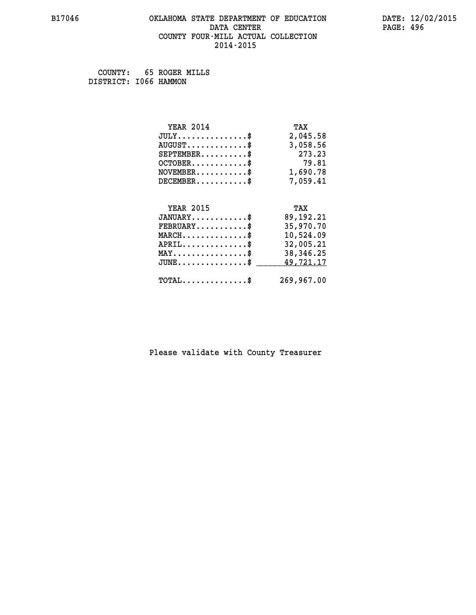#### **B17046 OKLAHOMA STATE DEPARTMENT OF EDUCATION DATE: 12/02/2015 DATA CENTER** PAGE: 496  **COUNTY FOUR-MILL ACTUAL COLLECTION 2014-2015**

 **COUNTY: 65 ROGER MILLS DISTRICT: I066 HAMMON**

| <b>YEAR 2014</b>                               | TAX         |
|------------------------------------------------|-------------|
| $JULY$ \$                                      | 2,045.58    |
| $AUGUST$ \$                                    | 3,058.56    |
| $SEPTEMBER$ \$                                 | 273.23      |
| $OCTOBER$ \$                                   | 79.81       |
| $\texttt{NOVEMBER} \dots \dots \dots \$        | 1,690.78    |
| $DECEMBER$ \$                                  | 7,059.41    |
|                                                |             |
| <b>YEAR 2015</b>                               | TAX         |
| $JANUARY$ \$                                   | 89, 192. 21 |
| $FEBRUARY$ \$                                  | 35,970.70   |
| $MARCH$ \$                                     | 10,524.09   |
| $APRIL \ldots \ldots \ldots \ldots \$          | 32,005.21   |
| $\texttt{MAX} \dots \dots \dots \dots \dots \$ | 38,346.25   |
| $JUNE$ \$                                      | 49,721.17   |
| $\texttt{TOTAL} \dots \dots \dots \dots$       | 269,967.00  |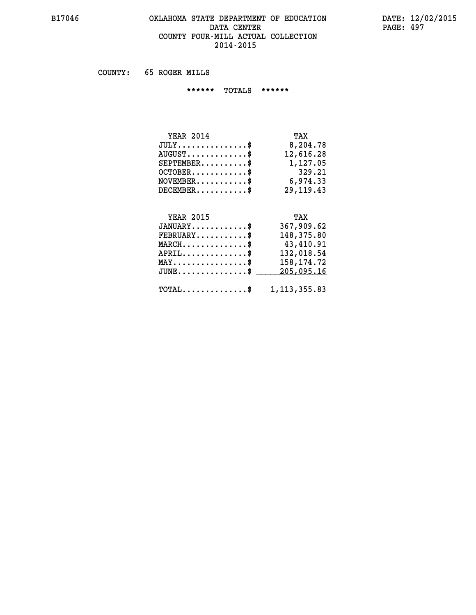# **B17046 OKLAHOMA STATE DEPARTMENT OF EDUCATION DATE: 12/02/2015 DATA CENTER PAGE: 497 COUNTY FOUR-MILL ACTUAL COLLECTION 2014-2015**

 **COUNTY: 65 ROGER MILLS**

 **\*\*\*\*\*\* TOTALS \*\*\*\*\*\***

| <b>YEAR 2014</b>                 | TAX         |
|----------------------------------|-------------|
| $JULY \ldots \ldots \ldots \$    | 8,204.78    |
| $AUGUST \ldots \ldots \ldots$ \$ | 12,616.28   |
| $SEPTEMBER$                      | 1,127.05    |
| $OCTOBER$ $\$                    | 329.21      |
| $NOVEMBER$ \$                    | 6,974.33    |
| $DECEMBER$                       | 29, 119, 43 |

# **YEAR 2015 TAX**

| $JANUARY$ \$                                              | 367,909.62 |
|-----------------------------------------------------------|------------|
| $\texttt{FEBRUARY} \dots \dots \dots \$                   | 148,375.80 |
| $MARCH$ \$                                                | 43,410.91  |
| $APRIL$ \$                                                | 132,018.54 |
| $MAX \dots \dots \dots \dots \$                           | 158,174.72 |
| $JUNE \ldots \ldots \ldots \ldots$ \$ 205,095.16          |            |
| $\texttt{TOTAL} \dots \dots \dots \dots \$ 1, 113, 355.83 |            |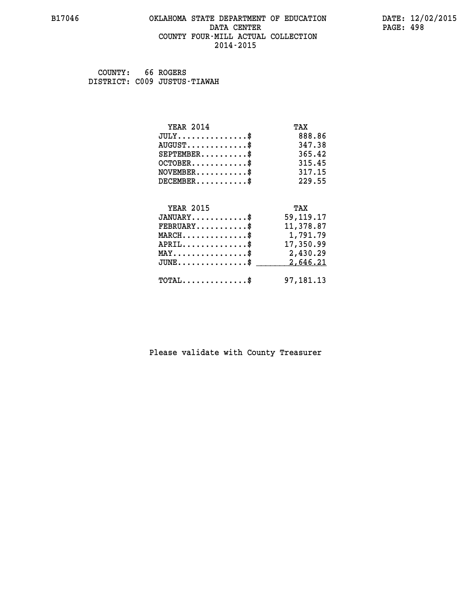#### **B17046 OKLAHOMA STATE DEPARTMENT OF EDUCATION DATE: 12/02/2015 DATA CENTER** PAGE: 498  **COUNTY FOUR-MILL ACTUAL COLLECTION 2014-2015**

 **COUNTY: 66 ROGERS DISTRICT: C009 JUSTUS-TIAWAH**

| <b>YEAR 2014</b>                               | TAX         |
|------------------------------------------------|-------------|
| $JULY$ \$                                      | 888.86      |
| $AUGUST$ \$                                    | 347.38      |
| $SEPTEMENT.$ \$                                | 365.42      |
| $OCTOBER$ \$                                   | 315.45      |
| $NOVEMBER$ \$                                  | 317.15      |
| $DECEMBER$ \$                                  | 229.55      |
|                                                |             |
| <b>YEAR 2015</b>                               | TAX         |
| $JANUARY$ \$                                   | 59, 119. 17 |
| $FEBRUARY$                                     | 11,378.87   |
| $MARCH$ \$                                     | 1,791.79    |
| $APRIL$ \$                                     | 17,350.99   |
| $\texttt{MAX} \dots \dots \dots \dots \dots \$ | 2,430.29    |
| $JUNE$ \$                                      | 2,646.21    |
| $\texttt{TOTAL} \dots \dots \dots \dots \$     | 97,181.13   |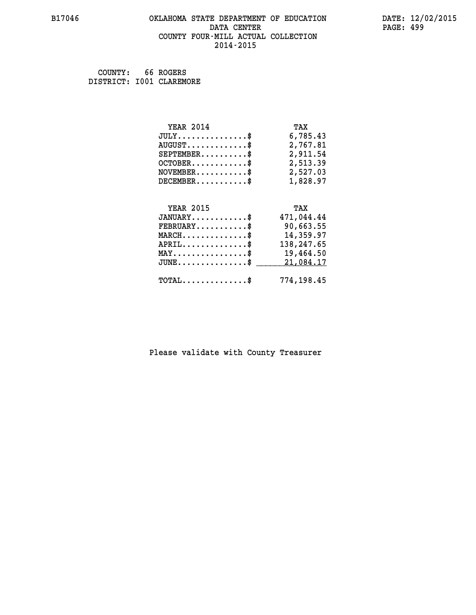#### **B17046 OKLAHOMA STATE DEPARTMENT OF EDUCATION DATE: 12/02/2015 DATA CENTER** PAGE: 499  **COUNTY FOUR-MILL ACTUAL COLLECTION 2014-2015**

 **COUNTY: 66 ROGERS DISTRICT: I001 CLAREMORE**

| <b>YEAR 2014</b>                                   | TAX        |
|----------------------------------------------------|------------|
| $JULY$ \$                                          | 6,785.43   |
| $AUGUST$ \$                                        | 2,767.81   |
| $SEPTEMBER$ \$                                     | 2,911.54   |
| $OCTOBER$ \$                                       | 2,513.39   |
| $\texttt{NOVEMBER} \dots \dots \dots \$            | 2,527.03   |
| $DECEMBER$ \$                                      | 1,828.97   |
|                                                    |            |
| <b>YEAR 2015</b>                                   | TAX        |
| $JANUARY$ \$                                       | 471,044.44 |
| $FEBRUARY$ \$                                      | 90,663.55  |
| $\texttt{MARCH}\ldots\ldots\ldots\ldots\text{*}$   | 14,359.97  |
| $APRIL \ldots \ldots \ldots \ldots$                | 138,247.65 |
| $\texttt{MAX} \dots \dots \dots \dots \dots \$     | 19,464.50  |
| $\texttt{JUNE} \dots \dots \dots \dots \texttt{S}$ | 21,084.17  |
| $\texttt{TOTAL} \dots \dots \dots \dots$           | 774,198.45 |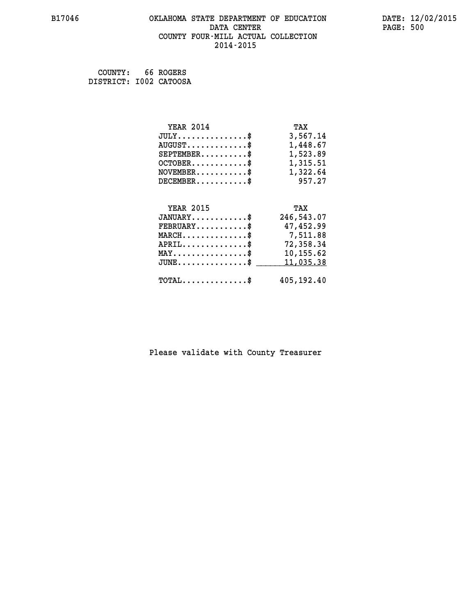#### **B17046 OKLAHOMA STATE DEPARTMENT OF EDUCATION DATE: 12/02/2015 DATA CENTER** PAGE: 500  **COUNTY FOUR-MILL ACTUAL COLLECTION 2014-2015**

 **COUNTY: 66 ROGERS DISTRICT: I002 CATOOSA**

| <b>YEAR 2014</b>                                                          | TAX        |
|---------------------------------------------------------------------------|------------|
| $JULY$ \$                                                                 | 3,567.14   |
| $AUGUST$ \$                                                               | 1,448.67   |
| $SEPTEMBER$ \$                                                            | 1,523.89   |
| $OCTOBER$ \$                                                              | 1,315.51   |
| $\verb NOVEMBER , \verb , \verb , \verb , \verb , \verb , \verb , \verb $ | 1,322.64   |
| $DECEMBER$ \$                                                             | 957.27     |
|                                                                           |            |
| <b>YEAR 2015</b>                                                          | TAX        |
| $JANUARY$ \$                                                              | 246,543.07 |
| $FEBRUARY$                                                                | 47,452.99  |
| $\texttt{MARCH}\ldots\ldots\ldots\ldots\cdots\$                           | 7,511.88   |
| $APRIL \ldots \ldots \ldots \ldots \$                                     | 72,358.34  |
| $\texttt{MAX} \dots \dots \dots \dots \dots \$                            | 10,155.62  |
| $\texttt{JUNE} \dots \dots \dots \dots \texttt{S}$                        | 11,035.38  |
| $\texttt{TOTAL} \dots \dots \dots \dots$ \$                               | 405,192.40 |
|                                                                           |            |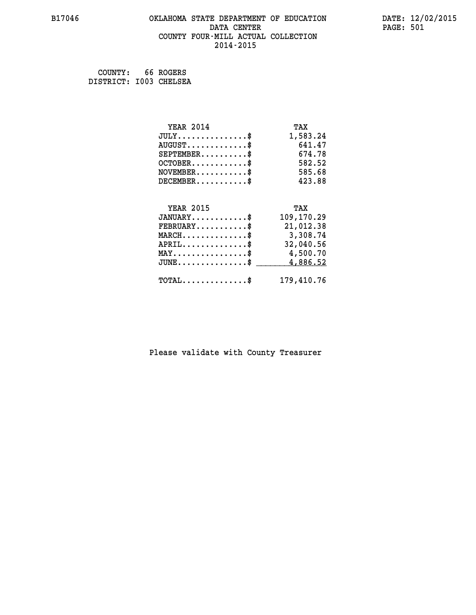# **B17046 OKLAHOMA STATE DEPARTMENT OF EDUCATION DATE: 12/02/2015 DATA CENTER** PAGE: 501  **COUNTY FOUR-MILL ACTUAL COLLECTION 2014-2015**

 **COUNTY: 66 ROGERS DISTRICT: I003 CHELSEA**

| <b>YEAR 2014</b>                                 | TAX        |
|--------------------------------------------------|------------|
| $JULY \ldots \ldots \ldots \$                    | 1,583.24   |
| $AUGUST$ \$                                      | 641.47     |
| $SEPTEMENT.$ \$                                  | 674.78     |
| $OCTOBER$ \$                                     | 582.52     |
| $NOVEMBER.$ \$                                   | 585.68     |
| $DECEMBER$ \$                                    | 423.88     |
|                                                  |            |
| <b>YEAR 2015</b>                                 | TAX        |
| $JANUARY$ \$                                     | 109,170.29 |
| $FEBRUARY$ \$                                    | 21,012.38  |
| $\texttt{MARCH}\ldots\ldots\ldots\ldots\text{*}$ | 3,308.74   |
| $APRIL$ \$                                       | 32,040.56  |
| $\texttt{MAX} \dots \dots \dots \dots \dots \$   | 4,500.70   |
| $JUNE$ \$                                        | 4,886.52   |
| $\texttt{TOTAL} \dots \dots \dots \dots$         | 179,410.76 |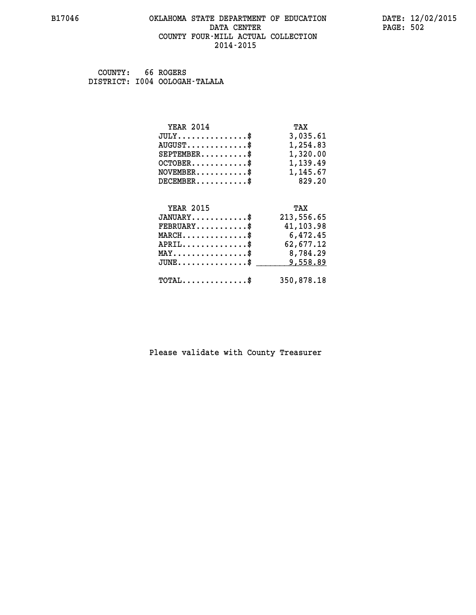#### **B17046 OKLAHOMA STATE DEPARTMENT OF EDUCATION DATE: 12/02/2015 DATA CENTER** PAGE: 502  **COUNTY FOUR-MILL ACTUAL COLLECTION 2014-2015**

 **COUNTY: 66 ROGERS DISTRICT: I004 OOLOGAH-TALALA**

| <b>YEAR 2014</b>                               | TAX        |
|------------------------------------------------|------------|
| $JULY$ \$                                      | 3,035.61   |
| $AUGUST$ \$                                    | 1,254.83   |
| $SEPTEMBER$ \$                                 | 1,320.00   |
| $OCTOBER$ \$                                   | 1,139.49   |
| $NOVEMBER.$ \$                                 | 1,145.67   |
| $DECEMBER$ \$                                  | 829.20     |
|                                                |            |
| <b>YEAR 2015</b>                               | TAX        |
| $JANUARY$ \$                                   | 213,556.65 |
| $FEBRUARY$ \$                                  | 41,103.98  |
| $\texttt{MARCH} \dots \dots \dots \dots \$     | 6,472.45   |
| $APRIL$ \$                                     | 62,677.12  |
| $\texttt{MAX} \dots \dots \dots \dots \dots \$ | 8,784.29   |
| $JUNE$                                         | 9,558.89   |
| $\texttt{TOTAL} \dots \dots \dots \dots$       | 350,878.18 |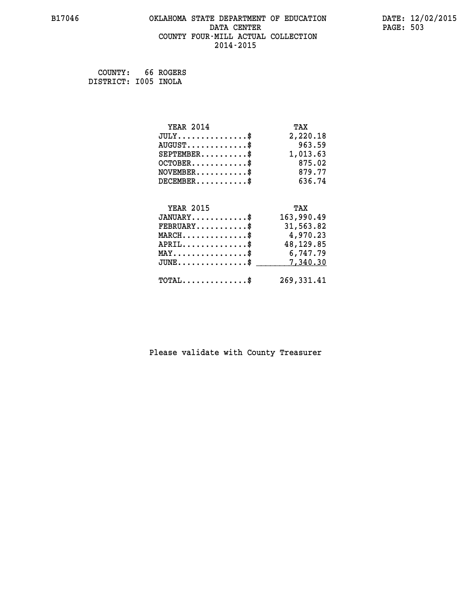# **B17046 OKLAHOMA STATE DEPARTMENT OF EDUCATION DATE: 12/02/2015 DATA CENTER** PAGE: 503  **COUNTY FOUR-MILL ACTUAL COLLECTION 2014-2015**

 **COUNTY: 66 ROGERS DISTRICT: I005 INOLA**

| <b>YEAR 2014</b>                           | TAX        |
|--------------------------------------------|------------|
| $JULY$ \$                                  | 2,220.18   |
| $AUGUST$ \$                                | 963.59     |
| $SEPTEMENT.$ \$                            | 1,013.63   |
| $OCTOBER$ \$                               | 875.02     |
| $NOVEMBER$ \$                              | 879.77     |
| $DECEMBER$ \$                              | 636.74     |
|                                            |            |
| <b>YEAR 2015</b>                           | TAX        |
| $JANUARY$                                  | 163,990.49 |
| $FEBRUARY$                                 | 31,563.82  |
| $MARCH$ \$                                 | 4,970.23   |
| $APRIL$ \$                                 | 48,129.85  |
| $MAX \dots \dots \dots \dots \dots$        | 6,747.79   |
| $JUNE$ \$                                  | 7,340.30   |
| $\texttt{TOTAL} \dots \dots \dots \dots \$ | 269,331.41 |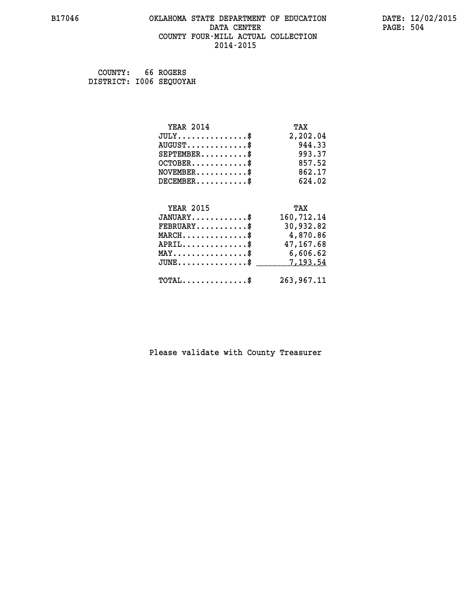# **B17046 OKLAHOMA STATE DEPARTMENT OF EDUCATION DATE: 12/02/2015 DATA CENTER** PAGE: 504  **COUNTY FOUR-MILL ACTUAL COLLECTION 2014-2015**

 **COUNTY: 66 ROGERS DISTRICT: I006 SEQUOYAH**

| <b>YEAR 2014</b>                                 | TAX        |
|--------------------------------------------------|------------|
| $JULY$ \$                                        | 2,202.04   |
| $AUGUST$ \$                                      | 944.33     |
| $SEPTEMENT.$ \$                                  | 993.37     |
| $OCTOBER$ \$                                     | 857.52     |
| $\texttt{NOVEMBER} \dots \dots \dots \$          | 862.17     |
| $DECEMBER$ \$                                    | 624.02     |
|                                                  |            |
| <b>YEAR 2015</b>                                 | TAX        |
| $JANUARY$ \$                                     | 160,712.14 |
| $FEBRUARY$ \$                                    | 30,932.82  |
| $MARCH$ \$                                       | 4,870.86   |
| $APRIL$ \$                                       | 47,167.68  |
| MAY\$ 6,606.62                                   |            |
| $\texttt{JUNE} \dots \dots \dots \dots \dots \$$ | 7,193.54   |
| $\texttt{TOTAL} \dots \dots \dots \dots \$       | 263,967.11 |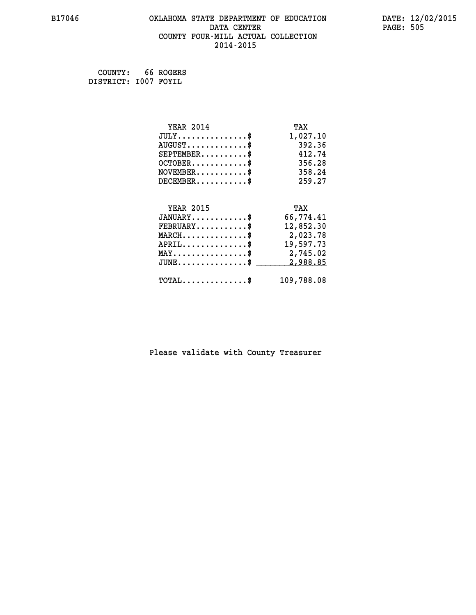# **B17046 OKLAHOMA STATE DEPARTMENT OF EDUCATION DATE: 12/02/2015 DATA CENTER** PAGE: 505  **COUNTY FOUR-MILL ACTUAL COLLECTION 2014-2015**

 **COUNTY: 66 ROGERS DISTRICT: I007 FOYIL**

| <b>YEAR 2014</b>                               | TAX        |
|------------------------------------------------|------------|
| $JULY$ \$                                      | 1,027.10   |
| $AUGUST$ \$                                    | 392.36     |
| $SEPTEMBER$ \$                                 | 412.74     |
| $OCTOBER$ \$                                   | 356.28     |
| $NOVEMBER$ \$                                  | 358.24     |
| $DECEMBER$ \$                                  | 259.27     |
|                                                |            |
| <b>YEAR 2015</b>                               | TAX        |
| $JANUARY$ \$                                   | 66,774.41  |
| $FEBRUARY$                                     | 12,852.30  |
| $MARCH$ \$                                     | 2,023.78   |
| $APRIL$ \$                                     | 19,597.73  |
| $\texttt{MAX} \dots \dots \dots \dots \dots \$ | 2,745.02   |
| $JUNE$ $\text{\$}$                             | 2,988.85   |
| $\texttt{TOTAL} \dots \dots \dots \dots \$     | 109,788.08 |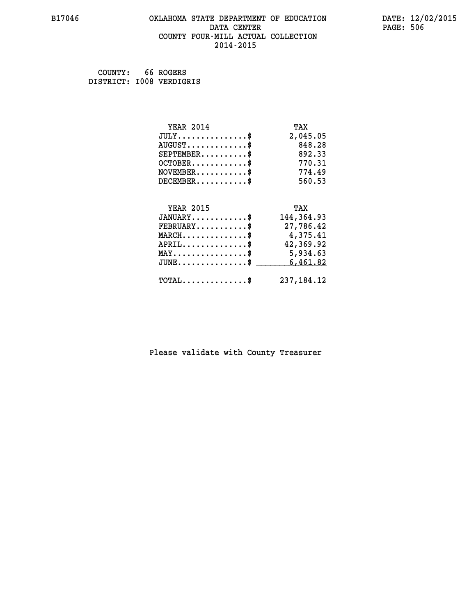### **B17046 OKLAHOMA STATE DEPARTMENT OF EDUCATION DATE: 12/02/2015 DATA CENTER** PAGE: 506  **COUNTY FOUR-MILL ACTUAL COLLECTION 2014-2015**

 **COUNTY: 66 ROGERS DISTRICT: I008 VERDIGRIS**

| <b>YEAR 2014</b>                           | TAX          |
|--------------------------------------------|--------------|
| $JULY$ \$                                  | 2,045.05     |
| $AUGUST$ \$                                | 848.28       |
| $SEPTEMBER$                                | 892.33       |
| $OCTOBER$ \$                               | 770.31       |
| $NOVEMBER$ \$                              | 774.49       |
| $DECEMBER$ \$                              | 560.53       |
|                                            |              |
| <b>YEAR 2015</b>                           | TAX          |
| $JANUARY$ \$                               | 144, 364.93  |
| $FEBRUARY$                                 | 27,786.42    |
| $MARCH$ \$                                 | 4,375.41     |
| $APRIL$ \$                                 | 42,369.92    |
| $MAX \dots \dots \dots \dots \dots$        | 5,934.63     |
| $JUNE$ \$                                  | 6,461.82     |
|                                            |              |
| $\texttt{TOTAL} \dots \dots \dots \dots \$ | 237, 184. 12 |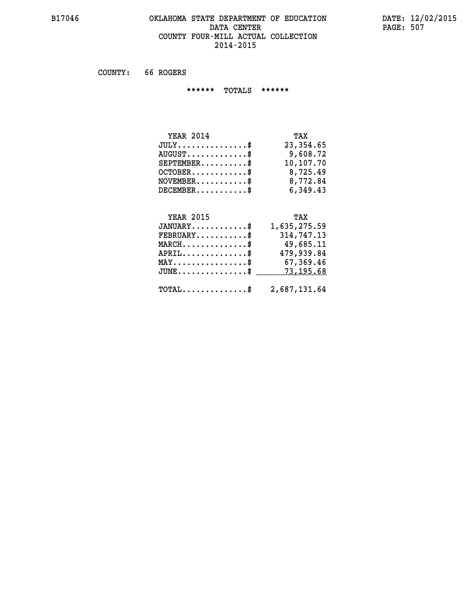### **B17046 OKLAHOMA STATE DEPARTMENT OF EDUCATION DATE: 12/02/2015 DATA CENTER** PAGE: 507  **COUNTY FOUR-MILL ACTUAL COLLECTION 2014-2015**

 **COUNTY: 66 ROGERS**

 **\*\*\*\*\*\* TOTALS \*\*\*\*\*\***

| <b>YEAR 2014</b>                           | TAX       |
|--------------------------------------------|-----------|
| $JULY$                                     | 23,354.65 |
| $\text{AUGUST} \dots \dots \dots \dots$ \$ | 9,608.72  |
| $SEPTEMBER$                                | 10,107.70 |
| $OCTOBER$ \$                               | 8,725.49  |
| $NOVEMBER$ \$                              | 8,772.84  |
| $DECEMBER$ \$                              | 6,349.43  |

# **YEAR 2015**

| <b>YEAR 2015</b>                                        | TAX          |
|---------------------------------------------------------|--------------|
| $JANUARY$                                               | 1,635,275.59 |
| $FEBRUARY$ \$                                           | 314,747.13   |
| $MARCH$ \$                                              | 49,685.11    |
| $APRIL$ \$                                              | 479,939.84   |
| $MAX \dots \dots \dots \dots \dots$                     | 67,369.46    |
| JUNE\$ 73,195.68                                        |              |
| $\texttt{TOTAL} \dots \dots \dots \dots \$ 2,687,131.64 |              |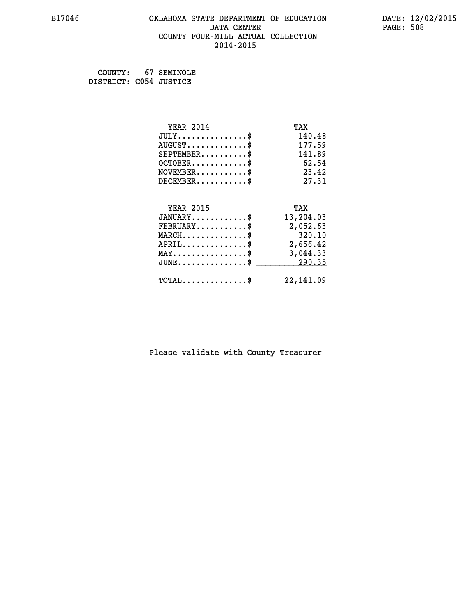# **B17046 OKLAHOMA STATE DEPARTMENT OF EDUCATION DATE: 12/02/2015 DATA CENTER** PAGE: 508  **COUNTY FOUR-MILL ACTUAL COLLECTION 2014-2015**

 **COUNTY: 67 SEMINOLE DISTRICT: C054 JUSTICE**

| <b>YEAR 2014</b>                                 | TAX        |
|--------------------------------------------------|------------|
| $JULY$ \$                                        | 140.48     |
| $AUGUST$ \$                                      | 177.59     |
| $SEPTEMBER$ \$                                   | 141.89     |
| $OCTOBER$ \$                                     | 62.54      |
| $NOVEMBER$ \$                                    | 23.42      |
| $DECEMBER$ \$                                    | 27.31      |
|                                                  |            |
| <b>YEAR 2015</b>                                 | TAX        |
| $JANUARY$ \$                                     | 13,204.03  |
| $FEBRUARY$                                       | 2,052.63   |
| $MARCH$ \$                                       | 320.10     |
| $APRIL$ \$                                       | 2,656.42   |
| $\texttt{MAX} \dots \dots \dots \dots \dots \$   | 3,044.33   |
| $\texttt{JUNE} \dots \dots \dots \dots \dots \$$ | 290.35     |
| $TOTAL$ \$                                       | 22, 141.09 |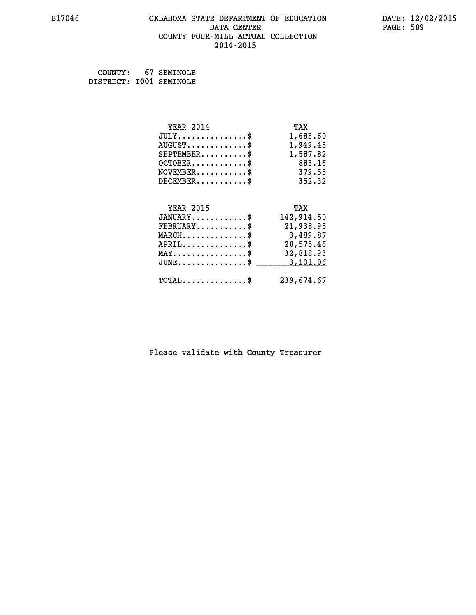# **B17046 OKLAHOMA STATE DEPARTMENT OF EDUCATION DATE: 12/02/2015 DATA CENTER** PAGE: 509  **COUNTY FOUR-MILL ACTUAL COLLECTION 2014-2015**

 **COUNTY: 67 SEMINOLE DISTRICT: I001 SEMINOLE**

| <b>YEAR 2014</b>                                 | TAX        |
|--------------------------------------------------|------------|
| $JULY$ \$                                        | 1,683.60   |
| $AUGUST$ \$                                      | 1,949.45   |
| $SEPTEMBER$ \$                                   | 1,587.82   |
| $OCTOBER$ \$                                     | 883.16     |
| $\texttt{NOVEMBER} \dots \dots \dots \$          | 379.55     |
| $DECEMBER$ \$                                    | 352.32     |
|                                                  |            |
| <b>YEAR 2015</b>                                 | TAX        |
| $JANUARY$ \$                                     | 142,914.50 |
| $FEBRUARY$                                       | 21,938.95  |
| $\texttt{MARCH}\ldots\ldots\ldots\ldots\text{*}$ | 3,489.87   |
| $APRIL \ldots \ldots \ldots \ldots \$            | 28,575.46  |
| $\texttt{MAX} \dots \dots \dots \dots \dots \$   | 32,818.93  |
| $\texttt{JUNE} \dots \dots \dots \dots \dots \$$ | 3,101.06   |
| $\texttt{TOTAL} \dots \dots \dots \dots$ \$      | 239,674.67 |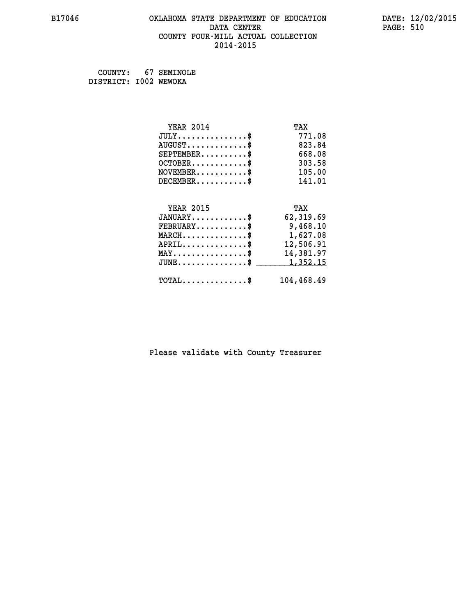# **B17046 OKLAHOMA STATE DEPARTMENT OF EDUCATION DATE: 12/02/2015 DATA CENTER** PAGE: 510  **COUNTY FOUR-MILL ACTUAL COLLECTION 2014-2015**

 **COUNTY: 67 SEMINOLE DISTRICT: I002 WEWOKA**

| <b>YEAR 2014</b>                                 | TAX        |
|--------------------------------------------------|------------|
| $JULY$ \$                                        | 771.08     |
| $AUGUST$ \$                                      | 823.84     |
| $SEPTEMBER$ \$                                   | 668.08     |
| $OCTOBER$ \$                                     | 303.58     |
| $\texttt{NOVEMBER} \dots \dots \dots \$          | 105.00     |
| $DECEMBER$ \$                                    | 141.01     |
|                                                  |            |
| <b>YEAR 2015</b>                                 | TAX        |
| $JANUARY$                                        | 62,319.69  |
| $FEBRUARY$                                       | 9,468.10   |
| $\texttt{MARCH}\ldots\ldots\ldots\ldots\text{*}$ | 1,627.08   |
| $APRIL \ldots \ldots \ldots \ldots \$            | 12,506.91  |
| $\texttt{MAX} \dots \dots \dots \dots \dots \$   | 14,381.97  |
| $JUNE$ \$                                        | 1,352.15   |
| $\texttt{TOTAL} \dots \dots \dots \dots \$       | 104,468.49 |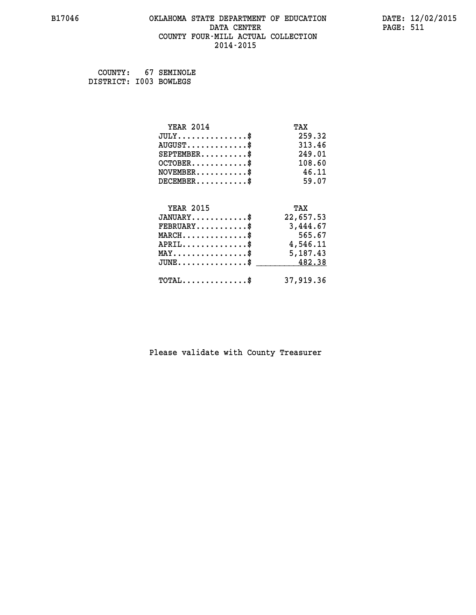# **B17046 OKLAHOMA STATE DEPARTMENT OF EDUCATION DATE: 12/02/2015 DATA CENTER** PAGE: 511  **COUNTY FOUR-MILL ACTUAL COLLECTION 2014-2015**

 **COUNTY: 67 SEMINOLE DISTRICT: I003 BOWLEGS**

| <b>YEAR 2014</b>                               | TAX       |
|------------------------------------------------|-----------|
| $JULY$ \$                                      | 259.32    |
| $AUGUST$ \$                                    | 313.46    |
| $SEPTEMBER$ \$                                 | 249.01    |
| $OCTOBER$ \$                                   | 108.60    |
| $NOVEMBER$ \$                                  | 46.11     |
| $DECEMBER$ \$                                  | 59.07     |
|                                                |           |
| <b>YEAR 2015</b>                               | TAX       |
| $JANUARY$                                      | 22,657.53 |
| $FEBRUARY$                                     | 3,444.67  |
| $MARCH$ \$                                     | 565.67    |
| $APRIL \ldots \ldots \ldots \ldots$ \$         | 4,546.11  |
| $\texttt{MAX} \dots \dots \dots \dots \dots \$ | 5,187.43  |
| $\texttt{JUNE}\dots\dots\dots\dots\dots\dots\$ | 482.38    |
| $\texttt{TOTAL} \dots \dots \dots \dots \$     | 37,919.36 |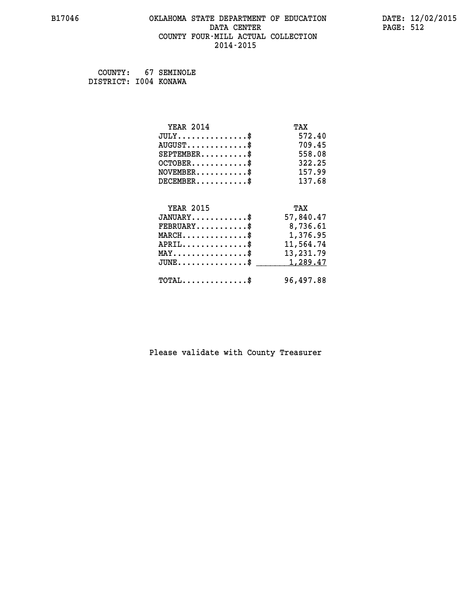# **B17046 OKLAHOMA STATE DEPARTMENT OF EDUCATION DATE: 12/02/2015 DATA CENTER** PAGE: 512  **COUNTY FOUR-MILL ACTUAL COLLECTION 2014-2015**

 **COUNTY: 67 SEMINOLE DISTRICT: I004 KONAWA**

| <b>YEAR 2014</b>                                 | TAX       |
|--------------------------------------------------|-----------|
| $JULY$ \$                                        | 572.40    |
| $AUGUST$ \$                                      | 709.45    |
| $SEPTEMBER$ \$                                   | 558.08    |
| $OCTOBER$ \$                                     | 322.25    |
| $\texttt{NOVEMBER} \dots \dots \dots \$          | 157.99    |
| $DECEMBER$ \$                                    | 137.68    |
|                                                  |           |
| <b>YEAR 2015</b>                                 | TAX       |
| $JANUARY$ \$                                     | 57,840.47 |
| $FEBRUARY$                                       | 8,736.61  |
| $\texttt{MARCH}\ldots\ldots\ldots\ldots\text{*}$ | 1,376.95  |
| $APRIL \ldots \ldots \ldots \ldots *$            | 11,564.74 |
| $\texttt{MAX} \dots \dots \dots \dots \dots \$   | 13,231.79 |
| $JUNE$ \$                                        | 1,289.47  |
| $TOTAL$ \$                                       | 96,497.88 |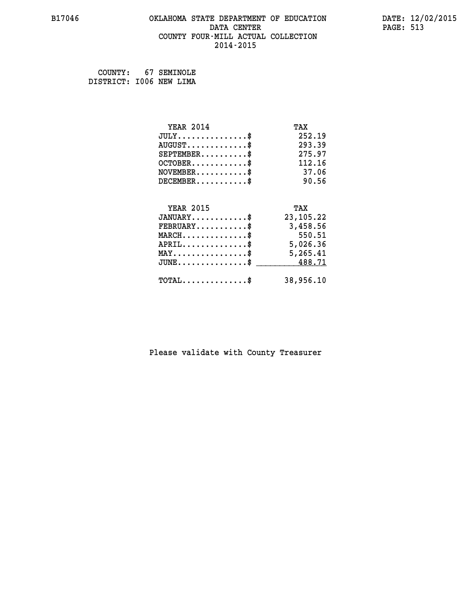### **B17046 OKLAHOMA STATE DEPARTMENT OF EDUCATION DATE: 12/02/2015 DATA CENTER** PAGE: 513  **COUNTY FOUR-MILL ACTUAL COLLECTION 2014-2015**

 **COUNTY: 67 SEMINOLE DISTRICT: I006 NEW LIMA**

| <b>YEAR 2014</b>                               | TAX         |
|------------------------------------------------|-------------|
| $JULY$ \$                                      | 252.19      |
| $AUGUST$ \$                                    | 293.39      |
| $SEPTEMBER$ \$                                 | 275.97      |
| $OCTOBER$ \$                                   | 112.16      |
| $NOVEMBER$ \$                                  | 37.06       |
| $DECEMBER$ \$                                  | 90.56       |
|                                                |             |
| <b>YEAR 2015</b>                               | TAX         |
| $JANUARY$ \$                                   | 23, 105. 22 |
| $FEBRUARY$                                     | 3,458.56    |
| $MARCH$ \$                                     | 550.51      |
| $APRIL \ldots \ldots \ldots \ldots \$          | 5,026.36    |
| $\texttt{MAX} \dots \dots \dots \dots \dots \$ | 5,265.41    |
| $JUNE$ \$                                      | 488.71      |
| $TOTAL$ \$                                     | 38,956.10   |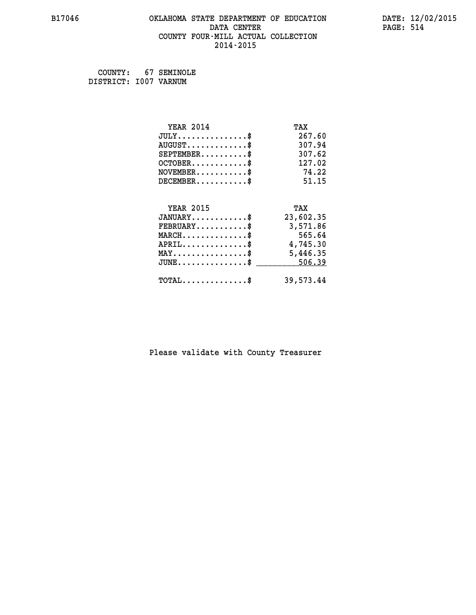# **B17046 OKLAHOMA STATE DEPARTMENT OF EDUCATION DATE: 12/02/2015 DATA CENTER** PAGE: 514  **COUNTY FOUR-MILL ACTUAL COLLECTION 2014-2015**

 **COUNTY: 67 SEMINOLE DISTRICT: I007 VARNUM**

| <b>YEAR 2014</b>                               | TAX       |
|------------------------------------------------|-----------|
| $JULY$ \$                                      | 267.60    |
| $AUGUST$ \$                                    | 307.94    |
| $SEPTEMBER$ \$                                 | 307.62    |
| $OCTOBER$ \$                                   | 127.02    |
| $NOVEMBER$ \$                                  | 74.22     |
| $DECEMBER$ \$                                  | 51.15     |
|                                                |           |
| <b>YEAR 2015</b>                               | TAX       |
| $JANUARY$                                      | 23,602.35 |
| $FEBRUARY$                                     | 3,571.86  |
| $MARCH$ \$                                     | 565.64    |
| $APRIL$ \$                                     | 4,745.30  |
| $\texttt{MAX} \dots \dots \dots \dots \dots \$ | 5,446.35  |
| $JUNE \ldots \ldots \ldots \ldots \ast$        | 506.39    |
| $TOTAL$ \$                                     | 39,573.44 |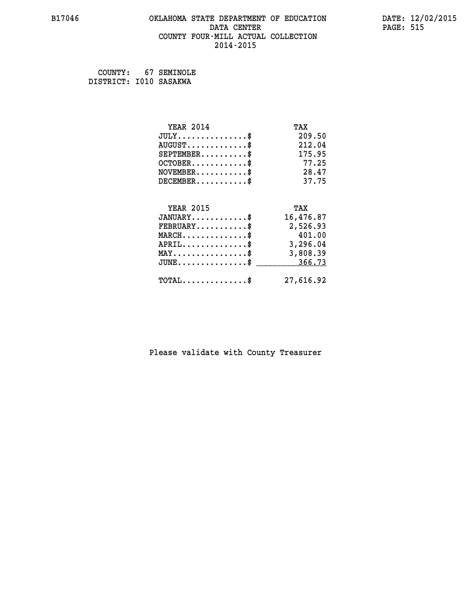# **B17046 OKLAHOMA STATE DEPARTMENT OF EDUCATION DATE: 12/02/2015 DATA CENTER** PAGE: 515  **COUNTY FOUR-MILL ACTUAL COLLECTION 2014-2015**

 **COUNTY: 67 SEMINOLE DISTRICT: I010 SASAKWA**

| <b>YEAR 2014</b>                               | TAX       |
|------------------------------------------------|-----------|
| $JULY$ \$                                      | 209.50    |
| $AUGUST$ \$                                    | 212.04    |
| $SEPTEMBER$ \$                                 | 175.95    |
| $OCTOBER$ \$                                   | 77.25     |
| $NOVEMBER$ \$                                  | 28.47     |
| $DECEMBER$ \$                                  | 37.75     |
|                                                |           |
| <b>YEAR 2015</b>                               | TAX       |
| $JANUARY$ \$                                   | 16,476.87 |
| $FEBRUARY$                                     | 2,526.93  |
| $MARCH$ \$                                     | 401.00    |
| $APRIL$ \$                                     | 3,296.04  |
| $\texttt{MAX} \dots \dots \dots \dots \dots \$ | 3,808.39  |
| $JUNE$ \$                                      | 366.73    |
| $\texttt{TOTAL} \dots \dots \dots \dots \$     | 27,616.92 |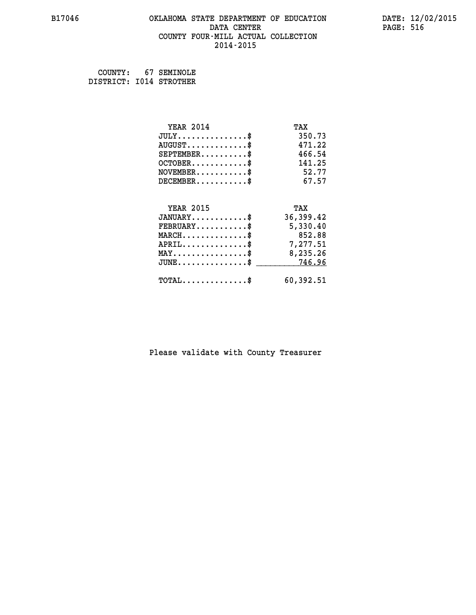### **B17046 OKLAHOMA STATE DEPARTMENT OF EDUCATION DATE: 12/02/2015 DATA CENTER** PAGE: 516  **COUNTY FOUR-MILL ACTUAL COLLECTION 2014-2015**

 **COUNTY: 67 SEMINOLE DISTRICT: I014 STROTHER**

| <b>YEAR 2014</b>                               | TAX       |
|------------------------------------------------|-----------|
| $JULY$ \$                                      | 350.73    |
| $AUGUST$ \$                                    | 471.22    |
| $SEPTEMBER$ \$                                 | 466.54    |
| $OCTOBER$ \$                                   | 141.25    |
| $NOVEMBER$ \$                                  | 52.77     |
| $DECEMBER$ \$                                  | 67.57     |
|                                                |           |
| <b>YEAR 2015</b>                               | TAX       |
| $JANUARY$ \$                                   | 36,399.42 |
| $FEBRUARY$                                     | 5,330.40  |
| $MARCH$ \$                                     | 852.88    |
| $\texttt{APRIL} \dots \dots \dots \dots \$     | 7,277.51  |
| $\texttt{MAX} \dots \dots \dots \dots \dots \$ | 8,235.26  |
| $JUNE$ \$                                      | 746.96    |
| $\texttt{TOTAL} \dots \dots \dots \dots \$     | 60,392.51 |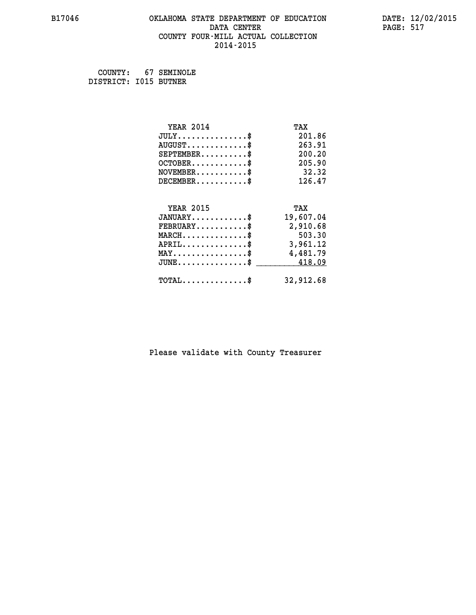# **B17046 OKLAHOMA STATE DEPARTMENT OF EDUCATION DATE: 12/02/2015 DATA CENTER** PAGE: 517  **COUNTY FOUR-MILL ACTUAL COLLECTION 2014-2015**

 **COUNTY: 67 SEMINOLE DISTRICT: I015 BUTNER**

| <b>YEAR 2014</b>                               | TAX       |
|------------------------------------------------|-----------|
| $JULY$ \$                                      | 201.86    |
| $AUGUST$ \$                                    | 263.91    |
| $SEPTEMBER$ \$                                 | 200.20    |
| $OCTOBER$ \$                                   | 205.90    |
| $NOVEMBER$ \$                                  | 32.32     |
| $DECEMBER$ \$                                  | 126.47    |
|                                                |           |
| <b>YEAR 2015</b>                               | TAX       |
| $JANUARY$ \$                                   | 19,607.04 |
| $FEBRUARY$                                     | 2,910.68  |
| $MARCH$ \$                                     | 503.30    |
| $APRIL$ \$                                     | 3,961.12  |
| $\texttt{MAX} \dots \dots \dots \dots \dots \$ | 4,481.79  |
| $\texttt{JUNE}\dots\dots\dots\dots\dots\$      | 418.09    |
| $TOTAL$ \$                                     | 32,912.68 |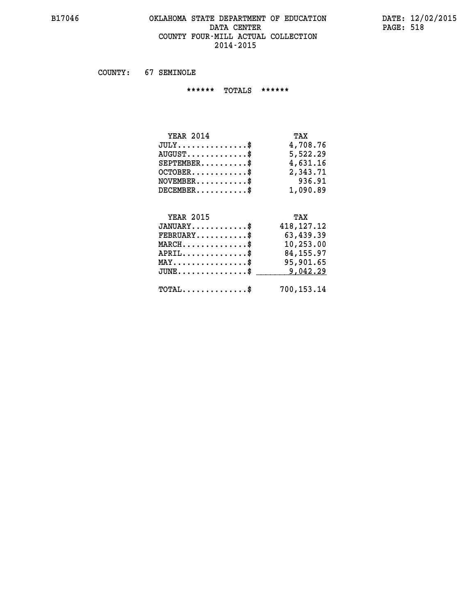### **B17046 OKLAHOMA STATE DEPARTMENT OF EDUCATION DATE: 12/02/2015 DATA CENTER PAGE: 518 COUNTY FOUR-MILL ACTUAL COLLECTION 2014-2015**

 **COUNTY: 67 SEMINOLE**

 **\*\*\*\*\*\* TOTALS \*\*\*\*\*\***

| TAX      |
|----------|
| 4,708.76 |
| 5,522.29 |
| 4,631.16 |
| 2,343.71 |
| 936.91   |
| 1,090.89 |
|          |

# **YEAR 2015 TAX JANUARY............\$ 418,127.12 FEBRUARY...........\$ 63,439.39 MARCH..............\$ 10,253.00 APRIL..............\$ 84,155.97 MAY................\$ 95,901.65 JUNE................\$** <u>9,042.29</u>  **TOTAL..............\$ 700,153.14**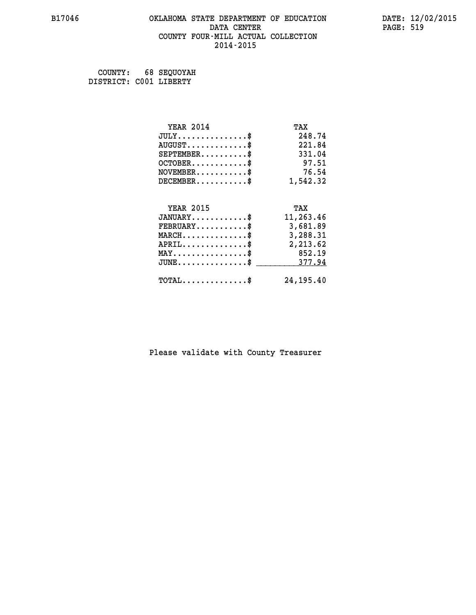# **B17046 OKLAHOMA STATE DEPARTMENT OF EDUCATION DATE: 12/02/2015 DATA CENTER PAGE: 519 COUNTY FOUR-MILL ACTUAL COLLECTION 2014-2015**

 **COUNTY: 68 SEQUOYAH DISTRICT: C001 LIBERTY**

| <b>YEAR 2014</b>                           | TAX        |
|--------------------------------------------|------------|
| $JULY$ \$                                  | 248.74     |
| $AUGUST$ \$                                | 221.84     |
| $SEPTEMENT.$ \$                            | 331.04     |
| $OCTOBER$ \$                               | 97.51      |
| $NOVEMBER$ \$                              | 76.54      |
| $DECEMBER$ \$                              | 1,542.32   |
|                                            |            |
| <b>YEAR 2015</b>                           | TAX        |
| $JANUARY$ \$                               | 11,263.46  |
| $FEBRUARY$                                 | 3,681.89   |
| $MARCH$ \$                                 | 3,288.31   |
| $APRIL$ \$                                 | 2,213.62   |
| $MAX \dots \dots \dots \dots \dots$        | 852.19     |
| $JUNE$ \$                                  | 377.94     |
| $\texttt{TOTAL} \dots \dots \dots \dots \$ | 24, 195.40 |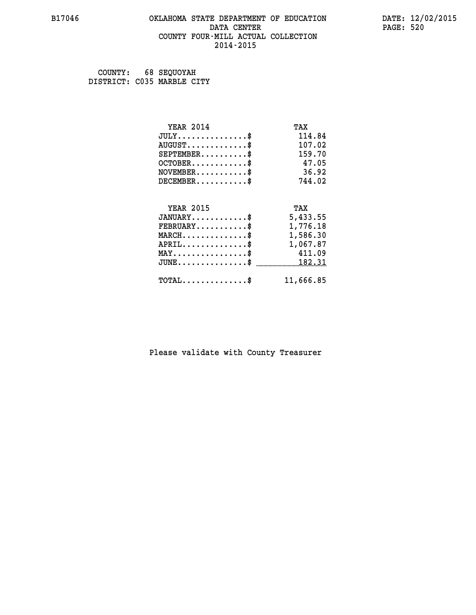# **B17046 OKLAHOMA STATE DEPARTMENT OF EDUCATION DATE: 12/02/2015 DATA CENTER** PAGE: 520  **COUNTY FOUR-MILL ACTUAL COLLECTION 2014-2015**

 **COUNTY: 68 SEQUOYAH DISTRICT: C035 MARBLE CITY**

| <b>YEAR 2014</b>                               | TAX      |
|------------------------------------------------|----------|
| $JULY$ \$                                      | 114.84   |
| $AUGUST$ \$                                    | 107.02   |
| $SEPTEMENT.$ \$                                | 159.70   |
| $OCTOBER$ \$                                   | 47.05    |
| $NOVEMBER$ \$                                  | 36.92    |
| $DECEMBER$ \$                                  | 744.02   |
|                                                |          |
| <b>YEAR 2015</b>                               | TAX      |
|                                                |          |
| $JANUARY$ \$                                   | 5,433.55 |
| $FEBRUARY$                                     | 1,776.18 |
| $MARCH$ \$                                     | 1,586.30 |
| $APRIL \ldots \ldots \ldots \ldots \$          | 1,067.87 |
| $\texttt{MAX} \dots \dots \dots \dots \dots \$ | 411.09   |
| $JUNE$ \$                                      | 182.31   |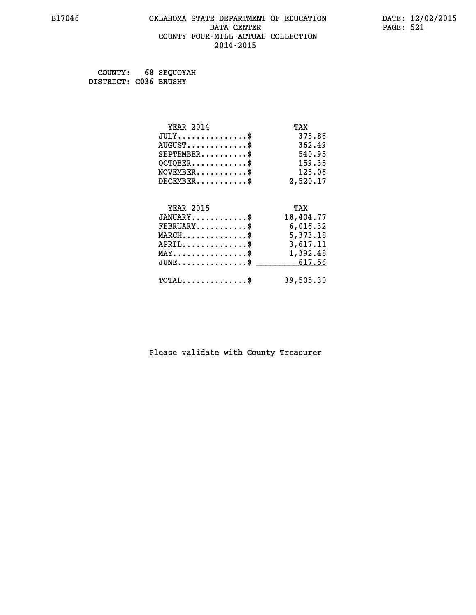### **B17046 OKLAHOMA STATE DEPARTMENT OF EDUCATION DATE: 12/02/2015 DATA CENTER** PAGE: 521  **COUNTY FOUR-MILL ACTUAL COLLECTION 2014-2015**

 **COUNTY: 68 SEQUOYAH DISTRICT: C036 BRUSHY**

| <b>YEAR 2014</b>                                                          | TAX       |
|---------------------------------------------------------------------------|-----------|
| $JULY$ \$                                                                 | 375.86    |
| $AUGUST$ \$                                                               | 362.49    |
| $SEPTEMBER$ \$                                                            | 540.95    |
| $OCTOBER$ \$                                                              | 159.35    |
| $\verb NOVEMBER , \verb , \verb , \verb , \verb , \verb , \verb , \verb $ | 125.06    |
| $DECEMBER$ \$                                                             | 2,520.17  |
|                                                                           |           |
| <b>YEAR 2015</b>                                                          | TAX       |
| $JANUARY$ \$                                                              | 18,404.77 |
|                                                                           |           |
| $FEBRUARY$ \$                                                             | 6,016.32  |
| $\texttt{MARCH}\ldots\ldots\ldots\ldots\text{*}$                          | 5,373.18  |
| ${\tt APRIL} \dots \dots \dots \dots \$                                   | 3,617.11  |
| $\texttt{MAX} \dots \dots \dots \dots \dots \$$                           | 1,392.48  |
| $JUNE \dots \dots \dots \dots \$ 617.56                                   |           |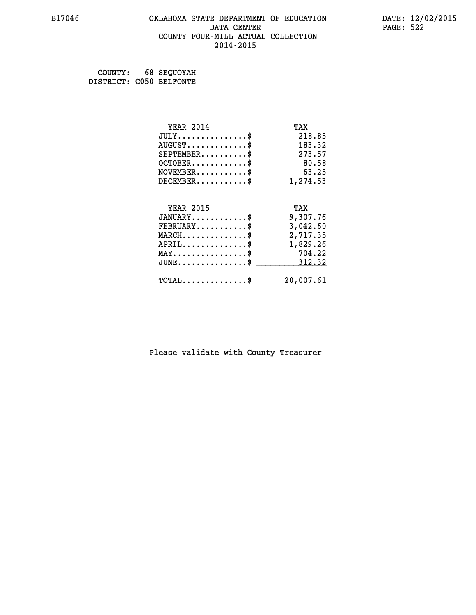# **B17046 OKLAHOMA STATE DEPARTMENT OF EDUCATION DATE: 12/02/2015 DATA CENTER** PAGE: 522  **COUNTY FOUR-MILL ACTUAL COLLECTION 2014-2015**

 **COUNTY: 68 SEQUOYAH DISTRICT: C050 BELFONTE**

| <b>YEAR 2014</b>                                 | TAX       |
|--------------------------------------------------|-----------|
| $JULY$ \$                                        | 218.85    |
| $AUGUST$ \$                                      | 183.32    |
| $SEPTEMBER$ \$                                   | 273.57    |
| $OCTOBER$ \$                                     | 80.58     |
| $NOVEMBER$ \$                                    | 63.25     |
| $DECEMBER$ \$                                    | 1,274.53  |
|                                                  |           |
| <b>YEAR 2015</b>                                 | TAX       |
| $JANUARY$ \$                                     | 9,307.76  |
| $FEBRUARY$ \$                                    | 3,042.60  |
| $\texttt{MARCH}\ldots\ldots\ldots\ldots\text{*}$ | 2,717.35  |
| $APRIL \ldots \ldots \ldots \ldots \$            | 1,829.26  |
| $\texttt{MAX} \dots \dots \dots \dots \dots \$   | 704.22    |
| $JUNE$ \$                                        | 312.32    |
| $\texttt{TOTAL} \dots \dots \dots \dots \$       | 20,007.61 |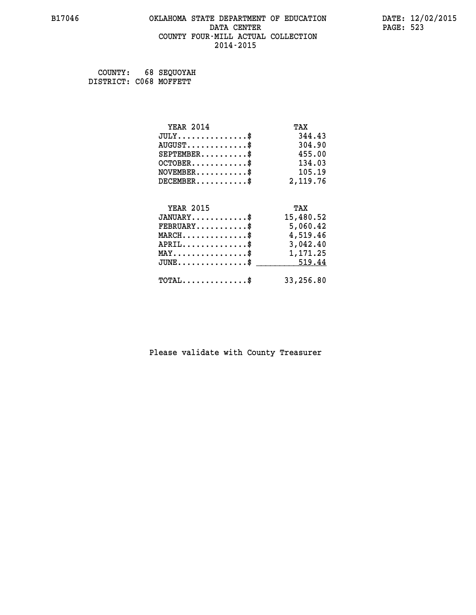# **B17046 OKLAHOMA STATE DEPARTMENT OF EDUCATION DATE: 12/02/2015** DATA CENTER PAGE: 523  **COUNTY FOUR-MILL ACTUAL COLLECTION 2014-2015**

 **COUNTY: 68 SEQUOYAH DISTRICT: C068 MOFFETT**

| <b>YEAR 2014</b>                               | TAX       |
|------------------------------------------------|-----------|
| $JULY$ \$                                      | 344.43    |
| $AUGUST$ \$                                    | 304.90    |
| $SEPTEMBER$ \$                                 | 455.00    |
| $OCTOBER$ \$                                   | 134.03    |
| $\texttt{NOVEMBER} \dots \dots \dots \$        | 105.19    |
| $DECEMBER$ \$                                  | 2,119.76  |
|                                                |           |
| <b>YEAR 2015</b>                               | TAX       |
| $JANUARY$ \$                                   | 15,480.52 |
| $FEBRUARY$                                     | 5,060.42  |
| $\texttt{MARCH} \dots \dots \dots \dots \$$    | 4,519.46  |
| $APRIL \ldots \ldots \ldots \ldots \$          | 3,042.40  |
| $\texttt{MAX} \dots \dots \dots \dots \dots \$ | 1,171.25  |
| $JUNE \ldots \ldots \ldots \ldots$ \$ 519.44   |           |
| $\texttt{TOTAL} \dots \dots \dots \dots$       | 33,256.80 |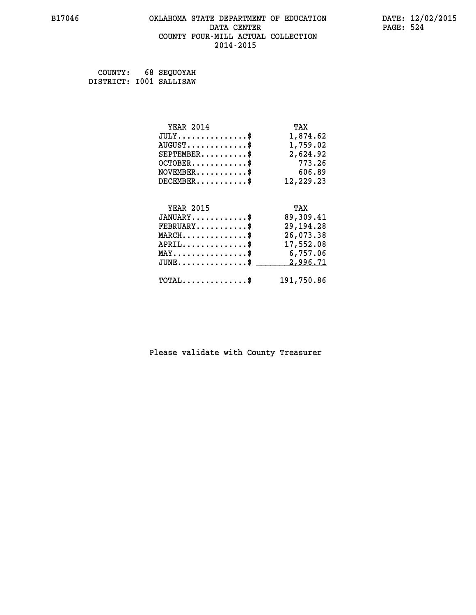# **B17046 OKLAHOMA STATE DEPARTMENT OF EDUCATION DATE: 12/02/2015 DATA CENTER PAGE: 524 COUNTY FOUR-MILL ACTUAL COLLECTION 2014-2015**

 **COUNTY: 68 SEQUOYAH DISTRICT: I001 SALLISAW**

| <b>YEAR 2014</b>                           | TAX         |
|--------------------------------------------|-------------|
| $JULY$ \$                                  | 1,874.62    |
| $AUGUST$ \$                                | 1,759.02    |
| $SEPTEMBER$ \$                             | 2,624.92    |
| $OCTOBER$ \$                               | 773.26      |
| $NOVEMBER$ \$                              | 606.89      |
| $DECEMBER$ \$                              | 12,229.23   |
|                                            |             |
| <b>YEAR 2015</b>                           | TAX         |
| $JANUARY$ \$                               | 89,309.41   |
| $FEBRUARY$                                 | 29, 194. 28 |
| $MARCH$ \$                                 | 26,073.38   |
| $APRIL$ \$                                 | 17,552.08   |
| MAY\$ 6,757.06                             |             |
| $JUNE$ \$                                  | 2,996.71    |
| $\texttt{TOTAL} \dots \dots \dots \dots \$ | 191,750.86  |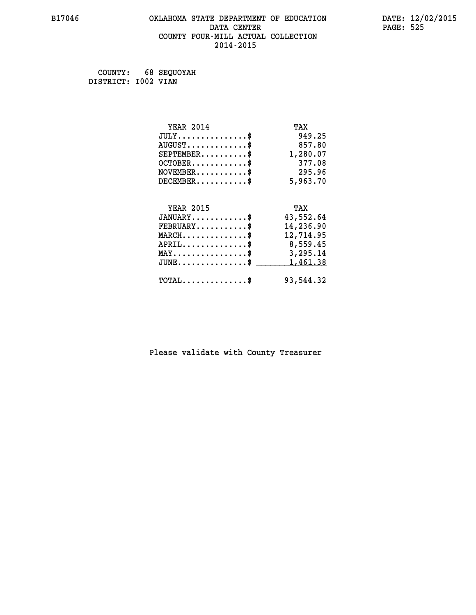# **B17046 OKLAHOMA STATE DEPARTMENT OF EDUCATION DATE: 12/02/2015 DATA CENTER** PAGE: 525  **COUNTY FOUR-MILL ACTUAL COLLECTION 2014-2015**

 **COUNTY: 68 SEQUOYAH DISTRICT: I002 VIAN**

| <b>YEAR 2014</b>                               | TAX       |
|------------------------------------------------|-----------|
| $JULY$ \$                                      | 949.25    |
| $AUGUST$ \$                                    | 857.80    |
| $SEPTEMENT.$ \$                                | 1,280.07  |
| $OCTOBER$ \$                                   | 377.08    |
| $\texttt{NOVEMBER} \dots \dots \dots \$        | 295.96    |
| $DECEMBER$ \$                                  | 5,963.70  |
|                                                |           |
| <b>YEAR 2015</b>                               | TAX       |
| $JANUARY$ \$                                   | 43,552.64 |
| $FEBRUARY$                                     | 14,236.90 |
| $MARCH$ \$                                     | 12,714.95 |
| $APRIL \ldots \ldots \ldots \ldots *$          | 8,559.45  |
| $\texttt{MAX} \dots \dots \dots \dots \dots \$ | 3,295.14  |
| $JUNE$ \$                                      | 1,461.38  |
| $\texttt{TOTAL} \dots \dots \dots \dots \$     | 93,544.32 |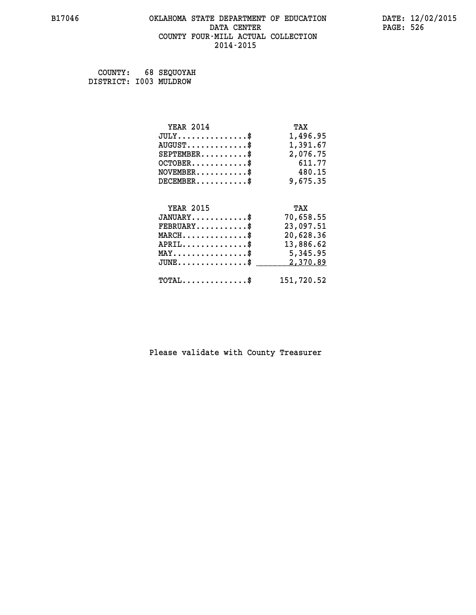# **B17046 OKLAHOMA STATE DEPARTMENT OF EDUCATION DATE: 12/02/2015 DATA CENTER** PAGE: 526  **COUNTY FOUR-MILL ACTUAL COLLECTION 2014-2015**

 **COUNTY: 68 SEQUOYAH DISTRICT: I003 MULDROW**

| <b>YEAR 2014</b>                               | TAX        |
|------------------------------------------------|------------|
| $JULY$ \$                                      | 1,496.95   |
| $AUGUST$ \$                                    | 1,391.67   |
| $SEPTEMBER$ \$                                 | 2,076.75   |
| $OCTOBER$ \$                                   | 611.77     |
| $\texttt{NOVEMBER} \dots \dots \dots \$        | 480.15     |
| $DECEMBER$ \$                                  | 9,675.35   |
|                                                |            |
| <b>YEAR 2015</b>                               | TAX        |
| $JANUARY$ \$                                   | 70,658.55  |
| $FEBRUARY$                                     | 23,097.51  |
| $MARCH$ \$                                     | 20,628.36  |
| $APRIL$ \$                                     | 13,886.62  |
| $\texttt{MAX} \dots \dots \dots \dots \dots \$ | 5,345.95   |
| $JUNE$ \$                                      | 2,370.89   |
| $\texttt{TOTAL} \dots \dots \dots \dots \$     | 151,720.52 |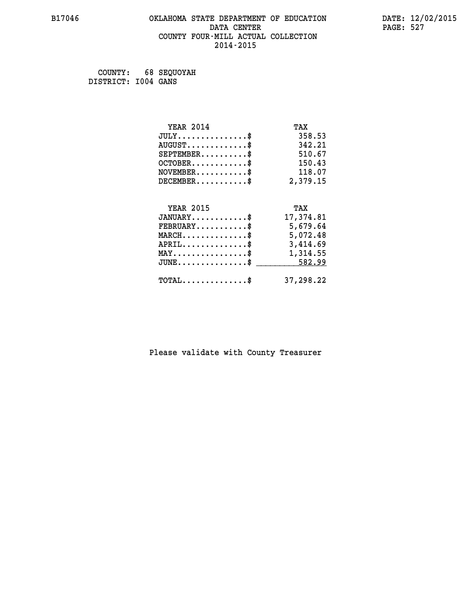# **B17046 OKLAHOMA STATE DEPARTMENT OF EDUCATION DATE: 12/02/2015 DATA CENTER PAGE: 527 COUNTY FOUR-MILL ACTUAL COLLECTION 2014-2015**

 **COUNTY: 68 SEQUOYAH DISTRICT: I004 GANS**

| <b>YEAR 2014</b>                               | TAX       |
|------------------------------------------------|-----------|
| $JULY$ \$                                      | 358.53    |
| $AUGUST$ \$                                    | 342.21    |
| $SEPTEMBER$ \$                                 | 510.67    |
| $OCTOBER$ \$                                   | 150.43    |
| $\texttt{NOVEMBER} \dots \dots \dots \$        | 118.07    |
| $DECEMBER$ \$                                  | 2,379.15  |
|                                                |           |
| <b>YEAR 2015</b>                               | TAX       |
| $JANUARY$ \$                                   | 17,374.81 |
| $FEBRUARY$                                     | 5,679.64  |
| $\texttt{MARCH} \dots \dots \dots \dots \$$    | 5,072.48  |
| $APRIL \ldots \ldots \ldots \ldots *$          | 3,414.69  |
| $\texttt{MAX} \dots \dots \dots \dots \dots \$ | 1,314.55  |
| $JUNE$ \$                                      | 582.99    |
| $\texttt{TOTAL} \dots \dots \dots \dots$       | 37,298.22 |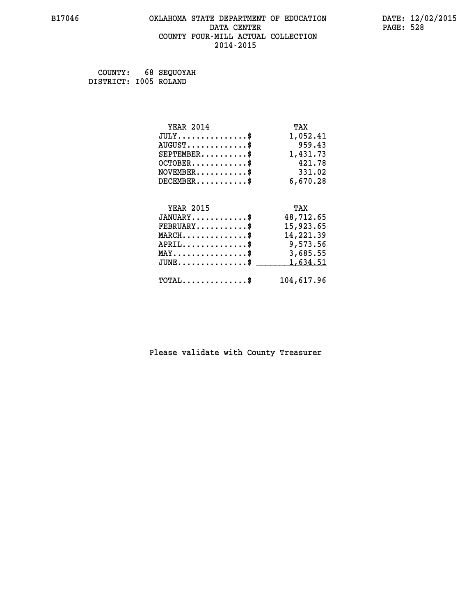# **B17046 OKLAHOMA STATE DEPARTMENT OF EDUCATION DATE: 12/02/2015 DATA CENTER PAGE: 528 COUNTY FOUR-MILL ACTUAL COLLECTION 2014-2015**

 **COUNTY: 68 SEQUOYAH DISTRICT: I005 ROLAND**

| <b>YEAR 2014</b>                               | TAX        |
|------------------------------------------------|------------|
| $JULY$ \$                                      | 1,052.41   |
| $AUGUST$ \$                                    | 959.43     |
| $SEPTEMBER$ \$                                 | 1,431.73   |
| $OCTOBER$ \$                                   | 421.78     |
| $NOVEMBER.$ \$                                 | 331.02     |
| $DECEMBER$ \$                                  | 6,670.28   |
|                                                |            |
| <b>YEAR 2015</b>                               | TAX        |
| $JANUARY$ \$                                   | 48,712.65  |
| $FEBRUARY$ \$                                  | 15,923.65  |
| $MARCH$ \$                                     | 14,221.39  |
| $APRIL \ldots \ldots \ldots \ldots \$          | 9,573.56   |
| $\texttt{MAX} \dots \dots \dots \dots \dots \$ | 3,685.55   |
| $JUNE$ \$                                      | 1,634.51   |
| $\texttt{TOTAL} \dots \dots \dots \dots \$     | 104,617.96 |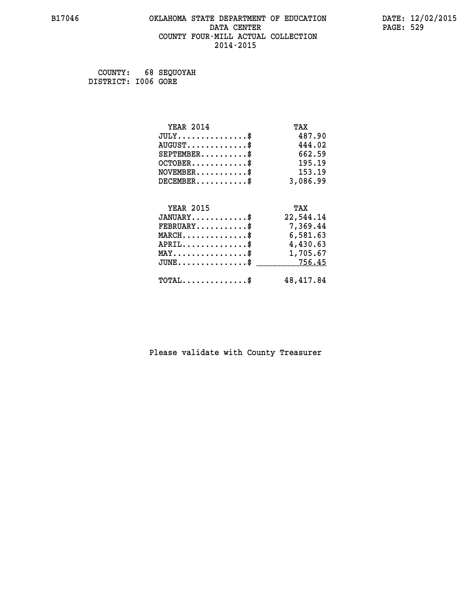# **B17046 OKLAHOMA STATE DEPARTMENT OF EDUCATION DATE: 12/02/2015 DATA CENTER** PAGE: 529  **COUNTY FOUR-MILL ACTUAL COLLECTION 2014-2015**

 **COUNTY: 68 SEQUOYAH DISTRICT: I006 GORE**

| <b>YEAR 2014</b>                                   | TAX        |
|----------------------------------------------------|------------|
| $JULY$ \$                                          | 487.90     |
| $AUGUST$ \$                                        | 444.02     |
| $SEPTEMBER$ \$                                     | 662.59     |
| $OCTOBER$ \$                                       | 195.19     |
| $\texttt{NOVEMBER} \dots \dots \dots \$            | 153.19     |
| $DECEMBER$ \$                                      | 3,086.99   |
|                                                    |            |
| <b>YEAR 2015</b>                                   | TAX        |
| $JANUARY$ \$                                       | 22,544.14  |
| $FEBRUARY$ \$                                      | 7,369.44   |
| $\texttt{MARCH}\ldots\ldots\ldots\ldots\text{*}$   | 6,581.63   |
| $APRIL \ldots \ldots \ldots \ldots$ \$             | 4,430.63   |
| $\texttt{MAX} \dots \dots \dots \dots \dots \$     | 1,705.67   |
| $\texttt{JUNE} \dots \dots \dots \dots \texttt{S}$ | 756.45     |
| $\texttt{TOTAL} \dots \dots \dots \dots \$         | 48, 417.84 |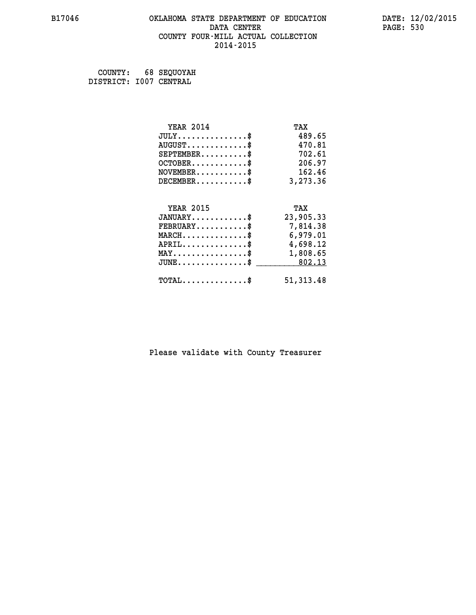# **B17046 OKLAHOMA STATE DEPARTMENT OF EDUCATION DATE: 12/02/2015 DATA CENTER** PAGE: 530  **COUNTY FOUR-MILL ACTUAL COLLECTION 2014-2015**

 **COUNTY: 68 SEQUOYAH DISTRICT: I007 CENTRAL**

| <b>YEAR 2014</b>                               | TAX        |
|------------------------------------------------|------------|
| $JULY$ \$                                      | 489.65     |
| $AUGUST$ \$                                    | 470.81     |
| $SEPTEMBER$ \$                                 | 702.61     |
| $OCTOBER$ \$                                   | 206.97     |
| $\texttt{NOVEMBER} \dots \dots \dots \$        | 162.46     |
| $DECEMBER$ \$                                  | 3,273.36   |
|                                                |            |
| <b>YEAR 2015</b>                               | TAX        |
| $JANUARY$ \$                                   | 23,905.33  |
| $FEBRUARY$                                     | 7,814.38   |
| $MARCH$ \$                                     | 6,979.01   |
| $APRIL \ldots \ldots \ldots \ldots \$          | 4,698.12   |
| $\texttt{MAX} \dots \dots \dots \dots \dots \$ | 1,808.65   |
| $JUNE \ldots \ldots \ldots \ldots \ast$        | 802.13     |
| $\texttt{TOTAL} \dots \dots \dots \dots \$     | 51, 313.48 |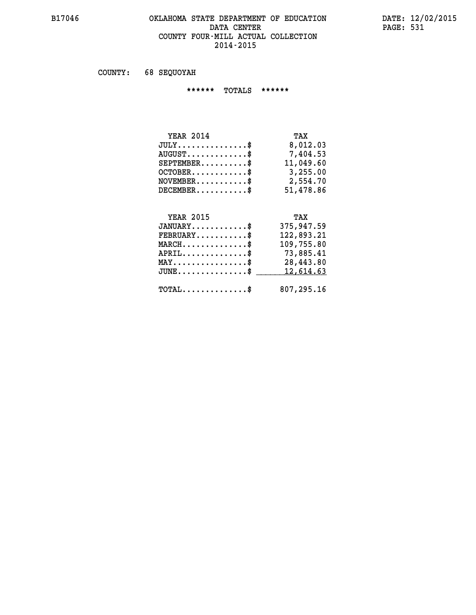### **B17046 OKLAHOMA STATE DEPARTMENT OF EDUCATION DATE: 12/02/2015 DATA CENTER** PAGE: 531  **COUNTY FOUR-MILL ACTUAL COLLECTION 2014-2015**

 **COUNTY: 68 SEQUOYAH**

 **\*\*\*\*\*\* TOTALS \*\*\*\*\*\***

| <b>YEAR 2014</b>                | TAX       |
|---------------------------------|-----------|
| $JULY$                          | 8,012.03  |
| $AUGUST \ldots \ldots \ldots \$ | 7,404.53  |
| $SEPTEMBER$ $\$                 | 11,049.60 |
| $OCTOBER$ \$                    | 3,255.00  |
| $NOVEMBER$ \$                   | 2,554.70  |
| $DECEMBER$                      | 51,478.86 |

# **YEAR 2015**

| <b>YEAR 2015</b>                           | TAX        |
|--------------------------------------------|------------|
| $JANUARY$ \$                               | 375,947.59 |
| $FEBRUARY$ \$                              | 122,893.21 |
| $MARCH$ \$                                 | 109,755.80 |
| $APRIL$ \$                                 | 73,885.41  |
| $MAX \dots \dots \dots \dots \$            | 28,443.80  |
| $JUNE$ \$                                  | 12,614.63  |
| $\texttt{TOTAL} \dots \dots \dots \dots \$ | 807,295.16 |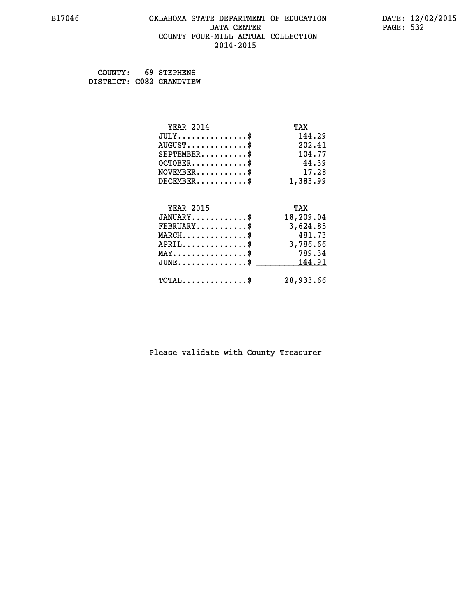### **B17046 OKLAHOMA STATE DEPARTMENT OF EDUCATION DATE: 12/02/2015 DATA CENTER** PAGE: 532  **COUNTY FOUR-MILL ACTUAL COLLECTION 2014-2015**

 **COUNTY: 69 STEPHENS DISTRICT: C082 GRANDVIEW**

| <b>YEAR 2014</b>                           | TAX       |
|--------------------------------------------|-----------|
| $JULY$ \$                                  | 144.29    |
| $AUGUST$ \$                                | 202.41    |
| $SEPTEMENT.$ \$                            | 104.77    |
| $OCTOBER$ \$                               | 44.39     |
| $NOVEMBER$ \$                              | 17.28     |
| $DECEMBER$ \$                              | 1,383.99  |
|                                            |           |
| <b>YEAR 2015</b>                           | TAX       |
| $JANUARY$ \$                               | 18,209.04 |
| $FEBRUARY$                                 | 3,624.85  |
| $MARCH$ \$                                 | 481.73    |
| $APRIL$ \$                                 | 3,786.66  |
| $MAX \dots \dots \dots \dots \dots$        | 789.34    |
| $JUNE$ \$                                  | 144.91    |
| $\texttt{TOTAL} \dots \dots \dots \dots \$ | 28,933.66 |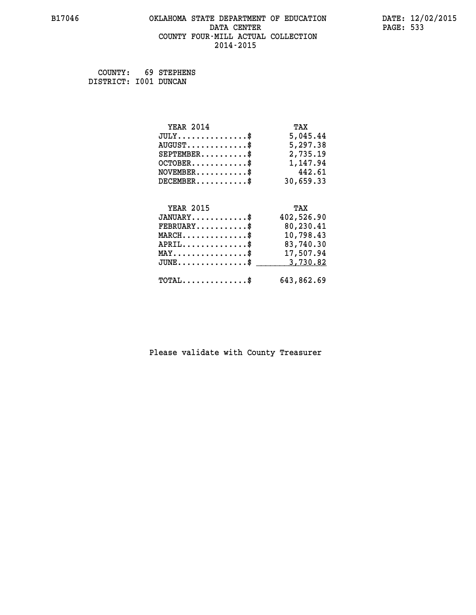# **B17046 OKLAHOMA STATE DEPARTMENT OF EDUCATION DATE: 12/02/2015 DATA CENTER** PAGE: 533  **COUNTY FOUR-MILL ACTUAL COLLECTION 2014-2015**

 **COUNTY: 69 STEPHENS DISTRICT: I001 DUNCAN**

| <b>YEAR 2014</b>                               | TAX        |
|------------------------------------------------|------------|
| $JULY$ \$                                      | 5,045.44   |
| $AUGUST$ \$                                    | 5,297.38   |
| $SEPTEMBER$ \$                                 | 2,735.19   |
| $OCTOBER$ \$                                   | 1,147.94   |
| $NOVEMBER.$ \$                                 | 442.61     |
| $DECEMBER$ \$                                  | 30,659.33  |
|                                                |            |
| <b>YEAR 2015</b>                               | TAX        |
| $JANUARY$ \$                                   | 402,526.90 |
| $FEBRUARY$                                     | 80,230.41  |
| $MARCH$ \$                                     | 10,798.43  |
| $APRIL$ \$                                     | 83,740.30  |
| $\texttt{MAX} \dots \dots \dots \dots \dots \$ | 17,507.94  |
| $JUNE$ $$$                                     | 3,730.82   |
| $\texttt{TOTAL} \dots \dots \dots \dots \$     | 643,862.69 |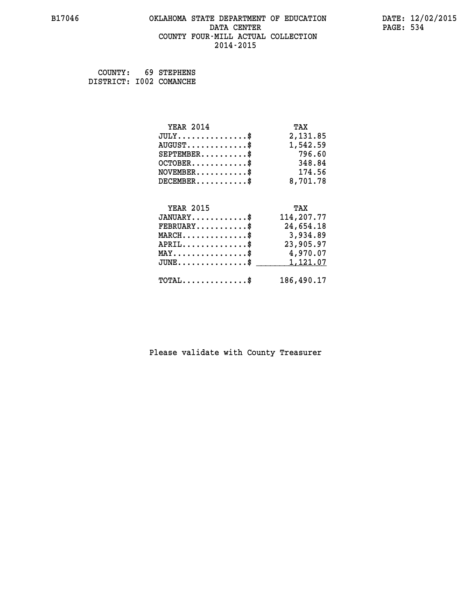# **B17046 OKLAHOMA STATE DEPARTMENT OF EDUCATION DATE: 12/02/2015 DATA CENTER** PAGE: 534  **COUNTY FOUR-MILL ACTUAL COLLECTION 2014-2015**

 **COUNTY: 69 STEPHENS DISTRICT: I002 COMANCHE**

| <b>YEAR 2014</b><br>$JULY$<br>$AUGUST$ \$<br>$SEPTEMENT.$ $\frac{1}{2}$<br>$OCTOBER$ \$<br>$NOVEMBER$ \$<br>$DECEMBER$ \$                    | TAX<br>2,131.85<br>1,542.59<br>796.60<br>348.84<br>174.56<br>8,701.78           |
|----------------------------------------------------------------------------------------------------------------------------------------------|---------------------------------------------------------------------------------|
| <b>YEAR 2015</b><br>$JANUARY$ \$<br>$FEBRUARY$ \$<br>$MARCH$ \$<br>$APRIL$ \$<br>$\texttt{MAX} \dots \dots \dots \dots \dots \$<br>$JUNE$ \$ | TAX<br>114,207.77<br>24,654.18<br>3,934.89<br>23,905.97<br>4,970.07<br>1,121.07 |
| $\texttt{TOTAL} \dots \dots \dots \dots \$                                                                                                   | 186,490.17                                                                      |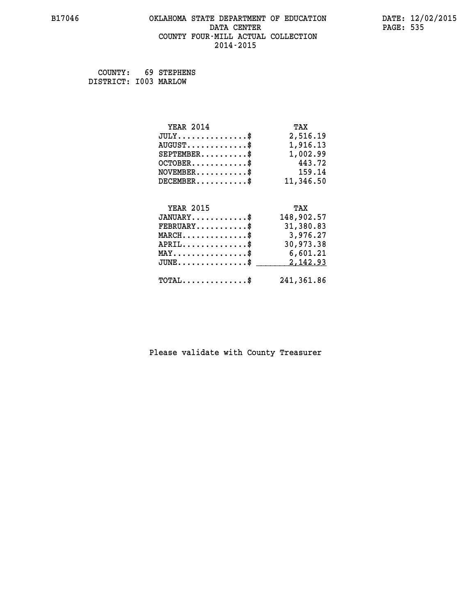# **B17046 OKLAHOMA STATE DEPARTMENT OF EDUCATION DATE: 12/02/2015 DATA CENTER** PAGE: 535  **COUNTY FOUR-MILL ACTUAL COLLECTION 2014-2015**

 **COUNTY: 69 STEPHENS DISTRICT: I003 MARLOW**

| <b>YEAR 2014</b>                               | TAX        |
|------------------------------------------------|------------|
| $JULY$ \$                                      | 2,516.19   |
| $AUGUST$ \$                                    | 1,916.13   |
| $SEPTEMBER$ \$                                 | 1,002.99   |
| $OCTOBER.$ \$                                  | 443.72     |
| $\texttt{NOVEMBER} \dots \dots \dots \$        | 159.14     |
| $DECEMBER$ \$                                  | 11,346.50  |
|                                                |            |
| <b>YEAR 2015</b>                               | TAX        |
| $JANUARY$ \$                                   | 148,902.57 |
| $FEBRUARY$ \$                                  | 31,380.83  |
| $MARCH$ \$                                     | 3,976.27   |
| $APRIL$ \$                                     | 30,973.38  |
| $\texttt{MAX} \dots \dots \dots \dots \dots \$ | 6,601.21   |
| $JUNE$ \$                                      | 2,142.93   |
| $\texttt{TOTAL} \dots \dots \dots \dots \$     | 241,361.86 |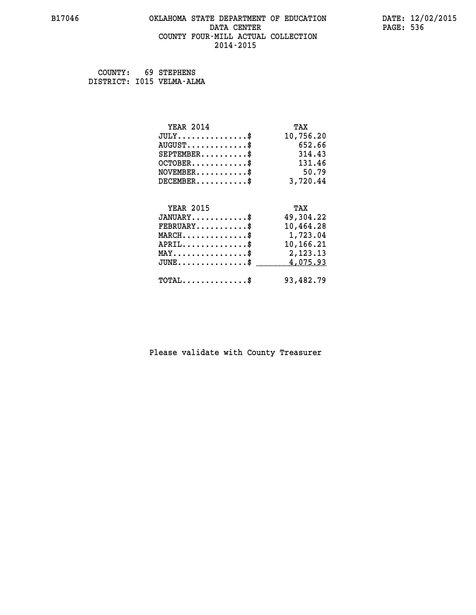### **B17046 OKLAHOMA STATE DEPARTMENT OF EDUCATION DATE: 12/02/2015 DATA CENTER** PAGE: 536  **COUNTY FOUR-MILL ACTUAL COLLECTION 2014-2015**

 **COUNTY: 69 STEPHENS DISTRICT: I015 VELMA-ALMA**

| <b>YEAR 2014</b>                               | TAX       |
|------------------------------------------------|-----------|
| $JULY$ \$                                      | 10,756.20 |
| $AUGUST$ \$                                    | 652.66    |
| $SEPTEMBER$ \$                                 | 314.43    |
| $OCTOBER$ \$                                   | 131.46    |
| $NOVEMBER$ \$                                  | 50.79     |
| $DECEMBER$ \$                                  | 3,720.44  |
|                                                |           |
| <b>YEAR 2015</b>                               | TAX       |
| $JANUARY$ \$                                   | 49,304.22 |
| $FEBRUARY$                                     | 10,464.28 |
| $MARCH$ \$                                     | 1,723.04  |
| $APRIL$ \$                                     | 10,166.21 |
| $\texttt{MAX} \dots \dots \dots \dots \dots \$ | 2,123.13  |
| $JUNE$ \$                                      | 4,075.93  |
| $\texttt{TOTAL} \dots \dots \dots \dots \$     | 93,482.79 |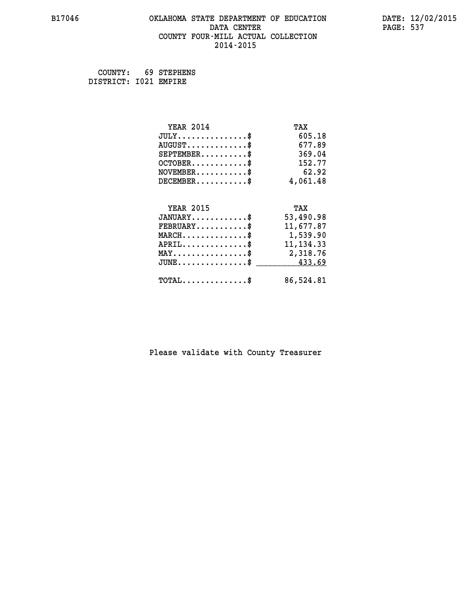# **B17046 OKLAHOMA STATE DEPARTMENT OF EDUCATION DATE: 12/02/2015 DATA CENTER** PAGE: 537  **COUNTY FOUR-MILL ACTUAL COLLECTION 2014-2015**

 **COUNTY: 69 STEPHENS DISTRICT: I021 EMPIRE**

| <b>YEAR 2014</b>                               | TAX        |
|------------------------------------------------|------------|
| $JULY$ \$                                      | 605.18     |
| $AUGUST$ \$                                    | 677.89     |
| $SEPTEMBER$ \$                                 | 369.04     |
| $OCTOBER$ \$                                   | 152.77     |
| $NOVEMBER$ \$                                  | 62.92      |
| $DECEMBER$ \$                                  | 4,061.48   |
|                                                |            |
| <b>YEAR 2015</b>                               | TAX        |
| $JANUARY$ \$                                   | 53,490.98  |
| $FEBRUARY$                                     | 11,677.87  |
| $\texttt{MARCH}\ldots\ldots\ldots\ldots\$      | 1,539.90   |
| $APRIL \ldots \ldots \ldots \ldots \$          | 11, 134.33 |
| $\texttt{MAX} \dots \dots \dots \dots \dots \$ | 2,318.76   |
| $JUNE \ldots \ldots \ldots \ldots \ast$        | 433.69     |
| $\texttt{TOTAL} \dots \dots \dots \dots \$     | 86,524.81  |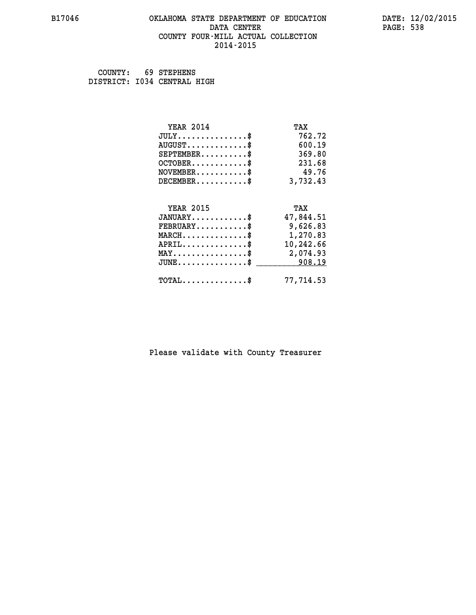### **B17046 OKLAHOMA STATE DEPARTMENT OF EDUCATION DATE: 12/02/2015 DATA CENTER** PAGE: 538  **COUNTY FOUR-MILL ACTUAL COLLECTION 2014-2015**

 **COUNTY: 69 STEPHENS DISTRICT: I034 CENTRAL HIGH**

| <b>YEAR 2014</b>                               | TAX       |
|------------------------------------------------|-----------|
| $JULY$ \$                                      | 762.72    |
| $AUGUST$ \$                                    | 600.19    |
| $SEPTEMBER$ \$                                 | 369.80    |
| $OCTOBER$ \$                                   | 231.68    |
| $NOVEMBER$ \$                                  | 49.76     |
| $DECEMBER$ \$                                  | 3,732.43  |
|                                                |           |
| <b>YEAR 2015</b>                               | TAX       |
| $JANUARY$ \$                                   | 47,844.51 |
| $FEBRUARY$ \$                                  | 9,626.83  |
| $MARCH$ \$                                     | 1,270.83  |
| $APRIL$ \$                                     | 10,242.66 |
| $\texttt{MAX} \dots \dots \dots \dots \dots \$ | 2,074.93  |
| $JUNE$ \$                                      | 908.19    |
| $\texttt{TOTAL} \dots \dots \dots \dots \$     | 77,714.53 |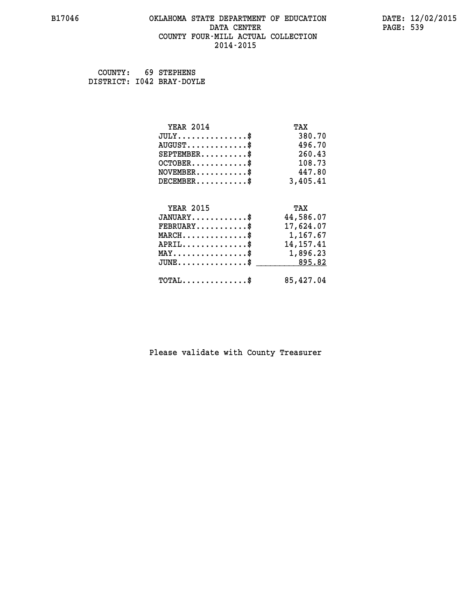### **B17046 OKLAHOMA STATE DEPARTMENT OF EDUCATION DATE: 12/02/2015 DATA CENTER** PAGE: 539  **COUNTY FOUR-MILL ACTUAL COLLECTION 2014-2015**

 **COUNTY: 69 STEPHENS DISTRICT: I042 BRAY-DOYLE**

| <b>YEAR 2014</b>                           | TAX         |
|--------------------------------------------|-------------|
| $JULY$ \$                                  | 380.70      |
| $AUGUST$ \$                                | 496.70      |
| $SEPTEMBER$ \$                             | 260.43      |
| $OCTOBER$ \$                               | 108.73      |
| $\texttt{NOVEMBER} \dots \dots \dots \$    | 447.80      |
| $DECEMBER$ \$                              | 3,405.41    |
|                                            |             |
| <b>YEAR 2015</b>                           | TAX         |
| $JANUARY$ \$                               | 44,586.07   |
| $FEBRUARY$                                 | 17,624.07   |
| MARCH\$ 1,167.67                           |             |
| $APRIL \ldots \ldots \ldots \ldots \$      | 14, 157. 41 |
| MAY\$ 1,896.23                             |             |
| $JUNE \ldots \ldots \ldots \ldots \ast$    | 895.82      |
| $\texttt{TOTAL} \dots \dots \dots \dots \$ | 85,427.04   |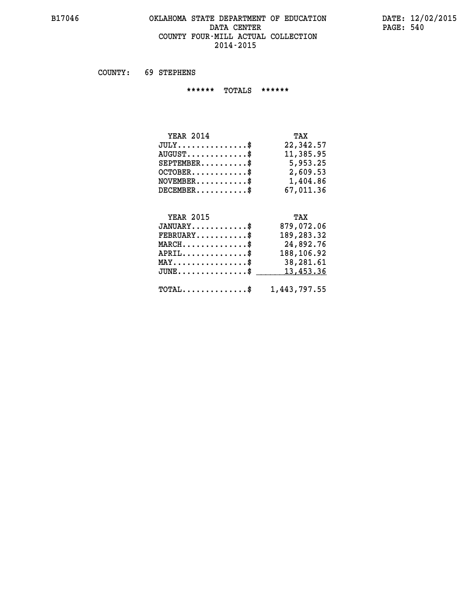# **B17046 OKLAHOMA STATE DEPARTMENT OF EDUCATION DATE: 12/02/2015 DATA CENTER PAGE: 540 COUNTY FOUR-MILL ACTUAL COLLECTION 2014-2015**

 **COUNTY: 69 STEPHENS**

 **\*\*\*\*\*\* TOTALS \*\*\*\*\*\***

| <b>YEAR 2014</b>                          | TAX       |
|-------------------------------------------|-----------|
| $JULY$                                    | 22,342.57 |
| $\text{AUGUST} \dots \dots \dots \dots \$ | 11,385.95 |
| $SEPTEMBER$ $\$                           | 5,953.25  |
| $OCTOBER$ \$                              | 2,609.53  |
| $NOVEMBER$ \$                             | 1,404.86  |
| $DECEMBER$ \$                             | 67,011.36 |

# **YEAR 2015 TAX**

| $JANUARY$                                               | 879,072.06 |
|---------------------------------------------------------|------------|
| $FEBRUARY$ \$                                           | 189,283.32 |
| $MARCH$ \$                                              | 24,892.76  |
| $APRIL$                                                 | 188,106.92 |
| $MAX \dots \dots \dots \dots \dots \$                   | 38,281.61  |
| $JUNE \ldots \ldots \ldots \ldots$ \$ 13,453.36         |            |
| $\texttt{TOTAL} \dots \dots \dots \dots \$ 1,443,797.55 |            |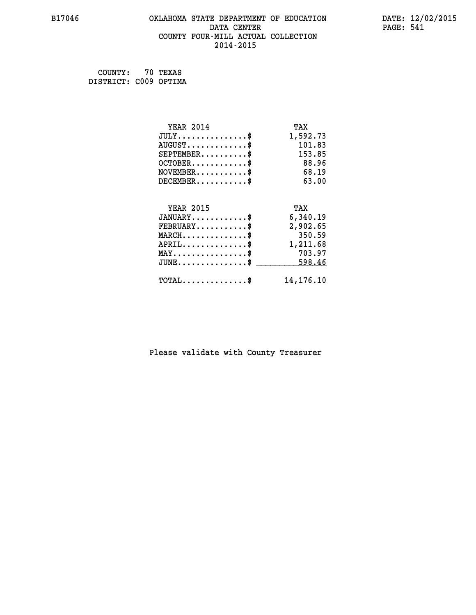### **B17046 OKLAHOMA STATE DEPARTMENT OF EDUCATION DATE: 12/02/2015 DATA CENTER** PAGE: 541  **COUNTY FOUR-MILL ACTUAL COLLECTION 2014-2015**

 **COUNTY: 70 TEXAS DISTRICT: C009 OPTIMA**

| <b>YEAR 2014</b>                          | TAX         |
|-------------------------------------------|-------------|
| $JULY$ \$                                 | 1,592.73    |
| $AUGUST$ \$                               | 101.83      |
| $SEPTEMBER$ \$                            | 153.85      |
| $OCTOBER$ \$                              | 88.96       |
| $NOVEMBER$ \$                             | 68.19       |
| $DECEMBER$ \$                             | 63.00       |
|                                           |             |
| <b>YEAR 2015</b>                          | TAX         |
| $JANUARY$ \$                              | 6,340.19    |
| $FEBRUARY$                                | 2,902.65    |
| $MARCH$ \$                                | 350.59      |
| $APRIL \ldots \ldots \ldots \$            | 1,211.68    |
| $MAX \dots \dots \dots \dots \dots$       | 703.97      |
| $\texttt{JUNE} \dots \dots \dots \dots \$ | 598.46      |
| $\texttt{TOTAL} \dots \dots \dots \dots$  | 14, 176. 10 |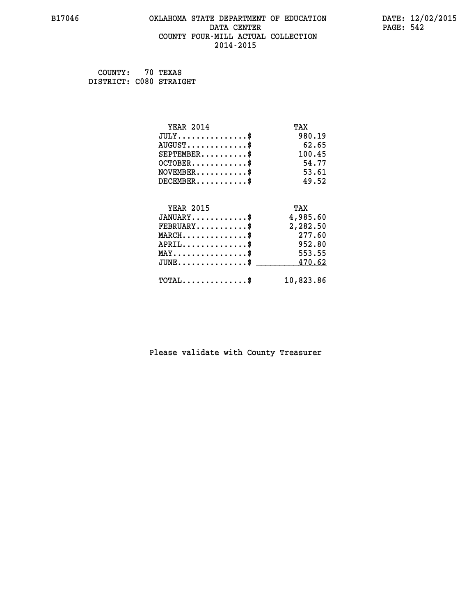### **B17046 OKLAHOMA STATE DEPARTMENT OF EDUCATION DATE: 12/02/2015 DATA CENTER PAGE: 542 COUNTY FOUR-MILL ACTUAL COLLECTION 2014-2015**

 **COUNTY: 70 TEXAS DISTRICT: C080 STRAIGHT**

| <b>YEAR 2014</b>                               | TAX       |
|------------------------------------------------|-----------|
| $JULY$ \$                                      | 980.19    |
| $AUGUST$ \$                                    | 62.65     |
| $SEPTEMBER$ \$                                 | 100.45    |
| $OCTOBER$ \$                                   | 54.77     |
| $NOVEMBER$ \$                                  | 53.61     |
| $DECEMBER$ \$                                  | 49.52     |
|                                                |           |
| <b>YEAR 2015</b>                               | TAX       |
| $JANUARY$ \$                                   | 4,985.60  |
| $FEBRUARY$                                     | 2,282.50  |
| $MARCH$ \$                                     | 277.60    |
| $APRIL$ \$                                     | 952.80    |
| $\texttt{MAX} \dots \dots \dots \dots \dots \$ | 553.55    |
| $JUNE$ \$                                      | 470.62    |
| $TOTAL$ \$                                     | 10,823.86 |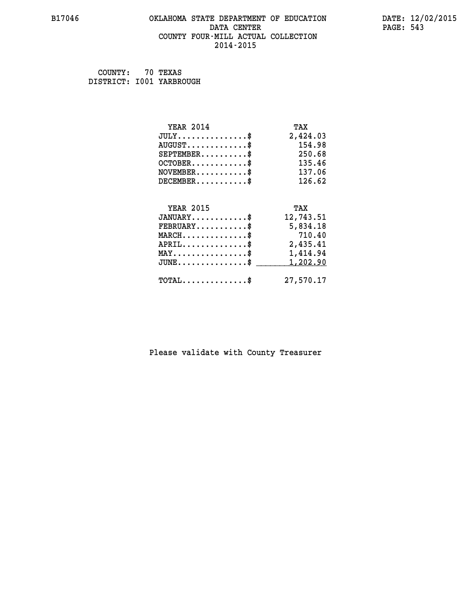### **B17046 OKLAHOMA STATE DEPARTMENT OF EDUCATION DATE: 12/02/2015 DATA CENTER** PAGE: 543  **COUNTY FOUR-MILL ACTUAL COLLECTION 2014-2015**

 **COUNTY: 70 TEXAS DISTRICT: I001 YARBROUGH**

| <b>YEAR 2014</b>                                   | TAX       |
|----------------------------------------------------|-----------|
| $JULY$ \$                                          | 2,424.03  |
| $AUGUST$ \$                                        | 154.98    |
| $SEPTEMBER$ \$                                     | 250.68    |
| $OCTOBER$ \$                                       | 135.46    |
| $\texttt{NOVEMBER} \dots \dots \dots \$            | 137.06    |
| $DECEMBER$ \$                                      | 126.62    |
|                                                    |           |
| <b>YEAR 2015</b>                                   | TAX       |
| $JANUARY$ \$                                       | 12,743.51 |
| $FEBRUARY$                                         | 5,834.18  |
| $MARCH$ \$                                         | 710.40    |
| $APRIL \ldots \ldots \ldots \ldots \$              | 2,435.41  |
| $\texttt{MAX} \dots \dots \dots \dots \dots \$     | 1,414.94  |
| $\texttt{JUNE} \dots \dots \dots \dots \texttt{S}$ | 1,202.90  |
| $\texttt{TOTAL} \dots \dots \dots \dots \$         | 27,570.17 |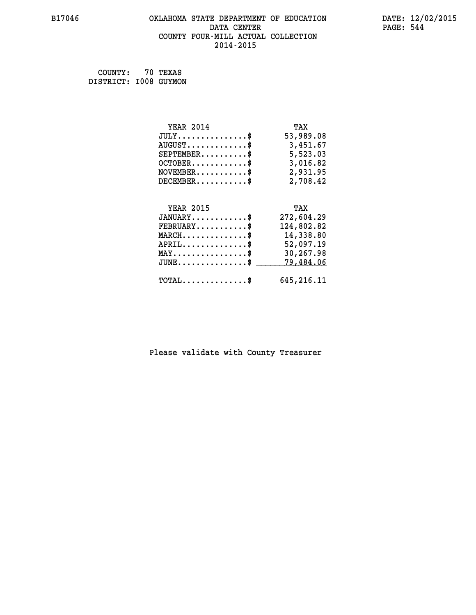### **B17046 OKLAHOMA STATE DEPARTMENT OF EDUCATION DATE: 12/02/2015 DATA CENTER** PAGE: 544  **COUNTY FOUR-MILL ACTUAL COLLECTION 2014-2015**

 **COUNTY: 70 TEXAS DISTRICT: I008 GUYMON**

| <b>YEAR 2014</b>                             | TAX          |
|----------------------------------------------|--------------|
| $JULY$ \$                                    | 53,989.08    |
| $AUGUST$ \$                                  | 3,451.67     |
| $SEPTEMENT.$ \$                              | 5,523.03     |
| $OCTOBER$ \$                                 | 3,016.82     |
| $NOVEMBER$ \$                                | 2,931.95     |
| $DECEMBER$ \$                                | 2,708.42     |
|                                              |              |
| <b>YEAR 2015</b>                             | TAX          |
| $JANUARY$ \$                                 | 272,604.29   |
| $FEBRUARY$                                   | 124,802.82   |
| $MARCH$ \$                                   | 14,338.80    |
| $APRIL$ \$                                   | 52,097.19    |
| $MAX \dots \dots \dots \dots \dots$          | 30,267.98    |
| $JUNE \ldots \ldots \ldots \ldots \ldots$ \$ | 79,484.06    |
| $\texttt{TOTAL} \dots \dots \dots \dots \$   | 645, 216. 11 |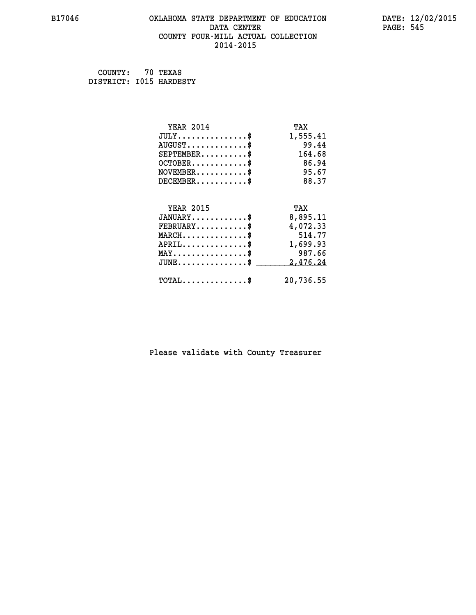### **B17046 OKLAHOMA STATE DEPARTMENT OF EDUCATION DATE: 12/02/2015 DATA CENTER** PAGE: 545  **COUNTY FOUR-MILL ACTUAL COLLECTION 2014-2015**

 **COUNTY: 70 TEXAS DISTRICT: I015 HARDESTY**

| <b>YEAR 2014</b>                           | TAX       |
|--------------------------------------------|-----------|
| $JULY$ \$                                  | 1,555.41  |
| $AUGUST$ \$                                | 99.44     |
| $SEPTEMENT.$ \$                            | 164.68    |
| $OCTOBER$ \$                               | 86.94     |
| $NOVEMBER$ \$                              | 95.67     |
| $DECEMBER$ \$                              | 88.37     |
|                                            |           |
| <b>YEAR 2015</b>                           | TAX       |
| $JANUARY$                                  | 8,895.11  |
| $FEBRUARY$                                 | 4,072.33  |
| $MARCH$ \$                                 | 514.77    |
| $APRIL$ \$                                 | 1,699.93  |
| $MAX \dots \dots \dots \dots \dots$        | 987.66    |
| $JUNE$ \$                                  | 2,476.24  |
| $\texttt{TOTAL} \dots \dots \dots \dots \$ | 20,736.55 |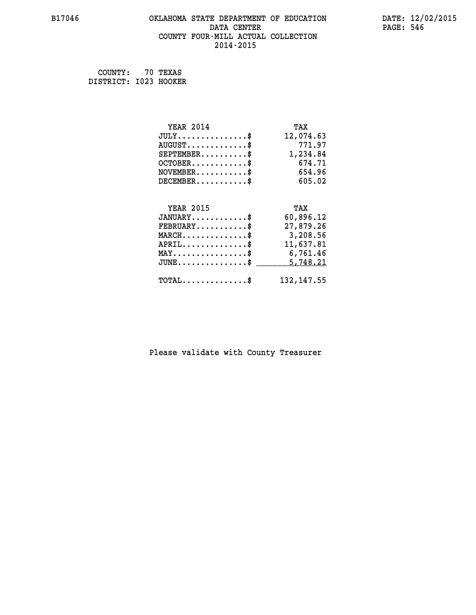### **B17046 OKLAHOMA STATE DEPARTMENT OF EDUCATION DATE: 12/02/2015 DATA CENTER** PAGE: 546  **COUNTY FOUR-MILL ACTUAL COLLECTION 2014-2015**

 **COUNTY: 70 TEXAS DISTRICT: I023 HOOKER**

| <b>YEAR 2014</b>                               | TAX         |
|------------------------------------------------|-------------|
| $JULY$ \$                                      | 12,074.63   |
| $AUGUST$ \$                                    | 771.97      |
| $SEPTEMBER$ \$                                 | 1,234.84    |
| $OCTOBER$ \$                                   | 674.71      |
| $\texttt{NOVEMBER} \dots \dots \dots \$        | 654.96      |
| $DECEMBER$ \$                                  | 605.02      |
|                                                |             |
| <b>YEAR 2015</b>                               | TAX         |
| $JANUARY$ \$                                   | 60,896.12   |
| $FEBRUARY$ \$                                  | 27,879.26   |
| $MARCH \ldots \ldots \ldots \ldots \$          | 3,208.56    |
| $APRIL$ \$                                     | 11,637.81   |
| $\texttt{MAX} \dots \dots \dots \dots \dots \$ | 6,761.46    |
| $JUNE$ \$                                      | 5,748.21    |
| $\texttt{TOTAL} \dots \dots \dots \dots \$     | 132, 147.55 |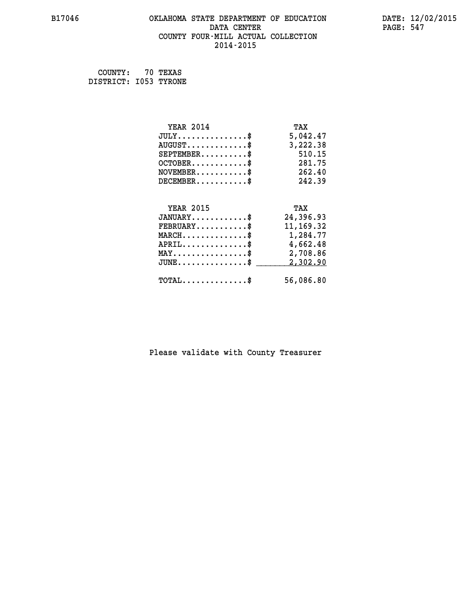### **B17046 OKLAHOMA STATE DEPARTMENT OF EDUCATION DATE: 12/02/2015 DATA CENTER** PAGE: 547  **COUNTY FOUR-MILL ACTUAL COLLECTION 2014-2015**

 **COUNTY: 70 TEXAS DISTRICT: I053 TYRONE**

| <b>YEAR 2014</b>                               | TAX         |
|------------------------------------------------|-------------|
| $JULY$ \$                                      | 5,042.47    |
| $AUGUST$ \$                                    | 3,222.38    |
| $SEPTEMBER$ \$                                 | 510.15      |
| $OCTOBER$ \$                                   | 281.75      |
| $\texttt{NOVEMBER} \dots \dots \dots \$        | 262.40      |
| $DECEMBER$ \$                                  | 242.39      |
|                                                |             |
| <b>YEAR 2015</b>                               | TAX         |
| $JANUARY$ \$                                   | 24,396.93   |
| $FEBRUARY$ \$                                  | 11, 169. 32 |
| $MARCH$ \$                                     | 1,284.77    |
| $APRIL \ldots \ldots \ldots \ldots \$          | 4,662.48    |
| $\texttt{MAX} \dots \dots \dots \dots \dots \$ | 2,708.86    |
| $JUNE$ \$                                      | 2,302.90    |
| $\texttt{TOTAL} \dots \dots \dots \dots$ \$    | 56,086.80   |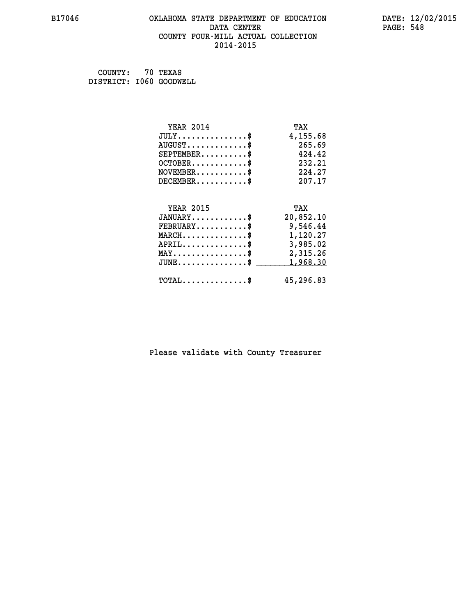### **B17046 OKLAHOMA STATE DEPARTMENT OF EDUCATION DATE: 12/02/2015 DATA CENTER** PAGE: 548  **COUNTY FOUR-MILL ACTUAL COLLECTION 2014-2015**

 **COUNTY: 70 TEXAS DISTRICT: I060 GOODWELL**

| <b>YEAR 2014</b>                                 | TAX       |
|--------------------------------------------------|-----------|
| $JULY$ \$                                        | 4,155.68  |
| $AUGUST$ \$                                      | 265.69    |
| $SEPTEMENT.$ \$                                  | 424.42    |
| $OCTOBER$ \$                                     | 232.21    |
| $\texttt{NOVEMBER} \dots \dots \dots \$          | 224.27    |
| $DECEMBER$ \$                                    | 207.17    |
|                                                  |           |
| <b>YEAR 2015</b>                                 | TAX       |
| $JANUARY$ \$                                     | 20,852.10 |
| $FEBRUARY$                                       | 9,546.44  |
| $\texttt{MARCH}\ldots\ldots\ldots\ldots\text{*}$ | 1,120.27  |
| $APRIL \ldots \ldots \ldots \ldots \$            | 3,985.02  |
| $\texttt{MAX} \dots \dots \dots \dots \dots \$   | 2,315.26  |
| $JUNE$ \$                                        | 1,968.30  |
| $\texttt{TOTAL} \dots \dots \dots \dots \$       | 45,296.83 |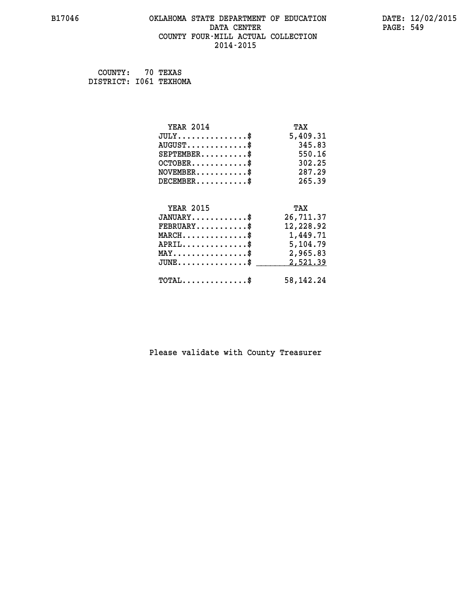### **B17046 OKLAHOMA STATE DEPARTMENT OF EDUCATION DATE: 12/02/2015** DATA CENTER PAGE: 549  **COUNTY FOUR-MILL ACTUAL COLLECTION 2014-2015**

 **COUNTY: 70 TEXAS DISTRICT: I061 TEXHOMA**

| <b>YEAR 2014</b>                                 | TAX         |
|--------------------------------------------------|-------------|
| $JULY$ \$                                        | 5,409.31    |
| $AUGUST$ \$                                      | 345.83      |
| $SEPTEMBER$ \$                                   | 550.16      |
| $OCTOBER$ \$                                     | 302.25      |
| $NOVEMBER$ \$                                    | 287.29      |
| $DECEMBER$ \$                                    | 265.39      |
|                                                  |             |
| <b>YEAR 2015</b>                                 | TAX         |
| $JANUARY$ \$                                     | 26,711.37   |
| $FEBRUARY$                                       | 12,228.92   |
| MARCH\$ 1,449.71                                 |             |
| ${\tt APRIL} \dots \dots \dots \dots \$          | 5,104.79    |
| $\texttt{MAX} \dots \dots \dots \dots \dots \$   | 2,965.83    |
| $\texttt{JUNE} \dots \dots \dots \dots \dots \$$ | 2,521.39    |
| $\texttt{TOTAL} \dots \dots \dots \dots \$       | 58, 142. 24 |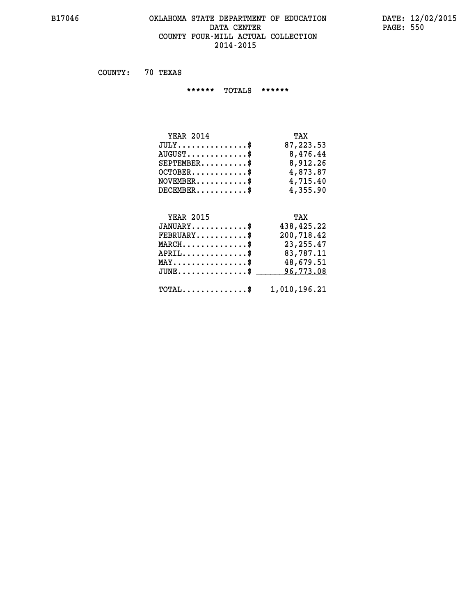### **B17046 OKLAHOMA STATE DEPARTMENT OF EDUCATION DATE: 12/02/2015** DATA CENTER PAGE: 550  **COUNTY FOUR-MILL ACTUAL COLLECTION 2014-2015**

 **COUNTY: 70 TEXAS**

 **\*\*\*\*\*\* TOTALS \*\*\*\*\*\***

| <b>YEAR 2014</b>                 | TAX       |
|----------------------------------|-----------|
| $JULY$                           | 87,223.53 |
| $AUGUST \ldots \ldots \ldots$ \$ | 8,476.44  |
| $SEPTEMBER$                      | 8,912.26  |
| $OCTOBER$ \$                     | 4,873.87  |
| $NOVEMENTER$ \$                  | 4,715.40  |
| $DECEMBER$                       | 4,355.90  |

# **YEAR 2015 TAX**

| $JANUARY$                                               | 438,425.22 |
|---------------------------------------------------------|------------|
| $FEBRUARY$                                              | 200,718.42 |
| $MARCH$ \$                                              | 23, 255.47 |
| $APRIL$ \$                                              | 83,787.11  |
| $MAX \dots \dots \dots \dots \$                         | 48,679.51  |
| $\texttt{JUNE} \dots \dots \dots \dots \dots \$$        | 96,773.08  |
| $\texttt{TOTAL} \dots \dots \dots \dots \$ 1,010,196.21 |            |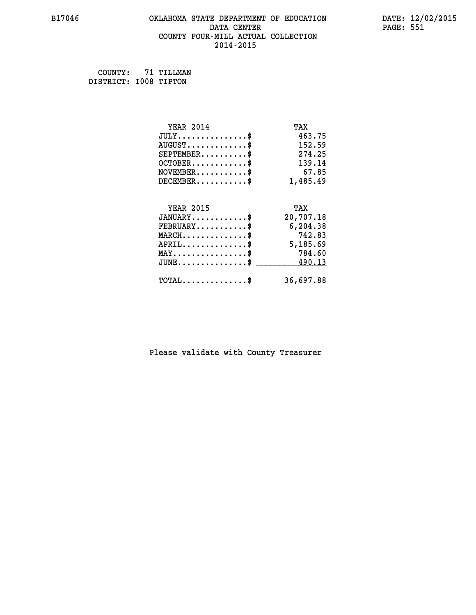### **B17046 OKLAHOMA STATE DEPARTMENT OF EDUCATION DATE: 12/02/2015 DATA CENTER** PAGE: 551  **COUNTY FOUR-MILL ACTUAL COLLECTION 2014-2015**

 **COUNTY: 71 TILLMAN DISTRICT: I008 TIPTON**

| <b>YEAR 2014</b>                           | TAX       |
|--------------------------------------------|-----------|
| $JULY$ \$                                  | 463.75    |
| $AUGUST$ \$                                | 152.59    |
| $SEPTEMBER$ \$                             | 274.25    |
| $OCTOBER$ \$                               | 139.14    |
| $NOVEMBER.$ \$                             | 67.85     |
| $DECEMBER$ \$                              | 1,485.49  |
|                                            |           |
| <b>YEAR 2015</b>                           | TAX       |
| $JANUARY$ \$                               | 20,707.18 |
| $FEBRUARY$                                 | 6,204.38  |
| $MARCH$ \$                                 | 742.83    |
| $APRIL$ \$                                 | 5,185.69  |
| $MAX \dots \dots \dots \dots \$            | 784.60    |
| $JUNE$ \$                                  | 490.13    |
| $\texttt{TOTAL} \dots \dots \dots \dots \$ | 36,697.88 |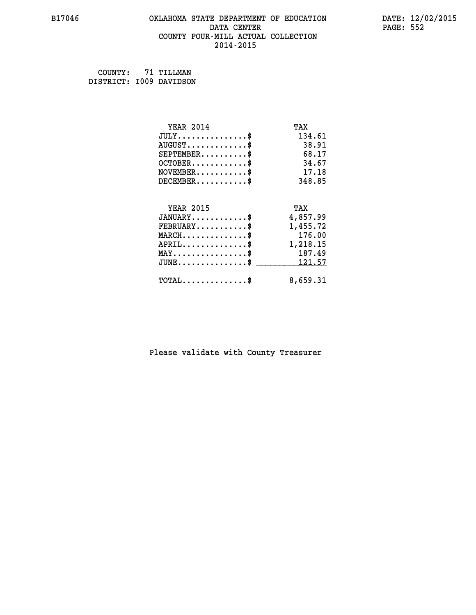### **B17046 OKLAHOMA STATE DEPARTMENT OF EDUCATION DATE: 12/02/2015 DATA CENTER** PAGE: 552  **COUNTY FOUR-MILL ACTUAL COLLECTION 2014-2015**

 **COUNTY: 71 TILLMAN DISTRICT: I009 DAVIDSON**

| <b>YEAR 2014</b>                           | TAX      |
|--------------------------------------------|----------|
| $JULY$ \$                                  | 134.61   |
| $AUGUST$ \$                                | 38.91    |
| $SEPTEMBER$ \$                             | 68.17    |
| $OCTOBER$ \$                               | 34.67    |
| $NOVEMBER$ \$                              | 17.18    |
| $DECEMBER$ \$                              | 348.85   |
|                                            |          |
| <b>YEAR 2015</b>                           | TAX      |
| $JANUARY$ \$                               | 4,857.99 |
| $FEBRUARY$                                 | 1,455.72 |
| $MARCH$ \$                                 | 176.00   |
| $APRIL$ \$                                 | 1,218.15 |
| $MAX \dots \dots \dots \dots \$            | 187.49   |
| $JUNE \ldots \ldots \ldots \ldots \$       | 121.57   |
| $\texttt{TOTAL} \dots \dots \dots \dots \$ | 8,659.31 |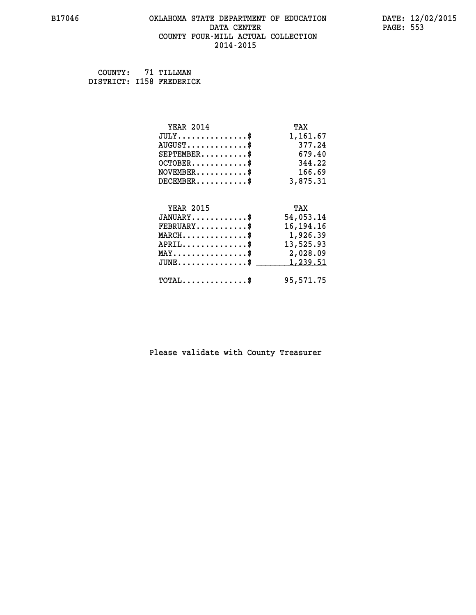### **B17046 OKLAHOMA STATE DEPARTMENT OF EDUCATION DATE: 12/02/2015 DATA CENTER** PAGE: 553  **COUNTY FOUR-MILL ACTUAL COLLECTION 2014-2015**

 **COUNTY: 71 TILLMAN**

 **DISTRICT: I158 FREDERICK**

| <b>YEAR 2014</b>                               | TAX         |
|------------------------------------------------|-------------|
| $JULY$ \$                                      | 1,161.67    |
| $AUGUST$ \$                                    | 377.24      |
| $SEPTEMBER$ \$                                 | 679.40      |
| $OCTOBER$ \$                                   | 344.22      |
| $\texttt{NOVEMBER} \dots \dots \dots \$        | 166.69      |
| $DECEMBER$ \$                                  | 3,875.31    |
|                                                |             |
| <b>YEAR 2015</b>                               | TAX         |
| $JANUARY$ \$                                   | 54,053.14   |
| $FEBRUARY$                                     | 16, 194. 16 |
| $MARCH$ \$                                     | 1,926.39    |
| $APRIL \ldots \ldots \ldots \ldots \$          | 13,525.93   |
| $\texttt{MAX} \dots \dots \dots \dots \dots \$ | 2,028.09    |
| $JUNE$ \$                                      | 1,239.51    |
| $\texttt{TOTAL} \dots \dots \dots \dots \$     | 95,571.75   |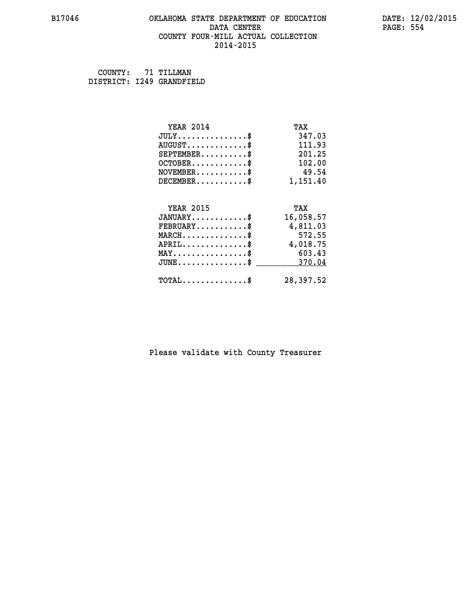### **B17046 OKLAHOMA STATE DEPARTMENT OF EDUCATION DATE: 12/02/2015 DATA CENTER** PAGE: 554  **COUNTY FOUR-MILL ACTUAL COLLECTION 2014-2015**

 **COUNTY: 71 TILLMAN DISTRICT: I249 GRANDFIELD**

| <b>YEAR 2014</b>                           | TAX       |
|--------------------------------------------|-----------|
| $JULY$ \$                                  | 347.03    |
| $AUGUST$ \$                                | 111.93    |
| $SEPTEMENT.$                               | 201.25    |
| $OCTOBER$ \$                               | 102.00    |
| $NOVEMBER$ \$                              | 49.54     |
| $DECEMENT.$                                | 1,151.40  |
| <b>YEAR 2015</b>                           | TAX       |
| $JANUARY$ \$                               | 16,058.57 |
| $FEBRUARY$                                 | 4,811.03  |
| $MARCH$ \$                                 | 572.55    |
| $APRIL$ \$                                 | 4,018.75  |
| $MAX \dots \dots \dots \dots \dots$        | 603.43    |
| $JUNE$                                     | 370.04    |
| $\texttt{TOTAL} \dots \dots \dots \dots \$ | 28,397.52 |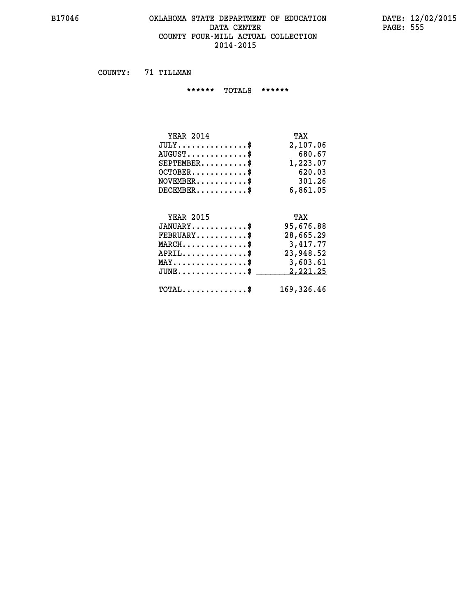### **B17046 OKLAHOMA STATE DEPARTMENT OF EDUCATION DATE: 12/02/2015 DATA CENTER** PAGE: 555  **COUNTY FOUR-MILL ACTUAL COLLECTION 2014-2015**

 **COUNTY: 71 TILLMAN**

 **\*\*\*\*\*\* TOTALS \*\*\*\*\*\***

| <b>YEAR 2014</b>                     | TAX      |
|--------------------------------------|----------|
| $JULY \ldots \ldots \ldots \ldots \$ | 2,107.06 |
| $AUGUST$ $\frac{1}{2}$               | 680.67   |
| $SEPTEMBER$                          | 1,223.07 |
| $OCTOBER$ \$                         | 620.03   |
| $NOVEMBER$ \$                        | 301.26   |
| $DECEMBER$ \$                        | 6,861.05 |

#### **YEAR 2015 TAX JANUARY............\$ 95,676.88**

|                                            | ,,,,,,,,,, |
|--------------------------------------------|------------|
| $FEBRUARY$                                 | 28,665.29  |
| $MARCH$ \$                                 | 3,417.77   |
| $APRIL$ \$                                 | 23,948.52  |
| $MAX \dots \dots \dots \dots \dots \$      | 3,603.61   |
| $JUNE \dots \dots \dots \dots \$ 2,221.25  |            |
| $\texttt{TOTAL} \dots \dots \dots \dots \$ | 169,326.46 |
|                                            |            |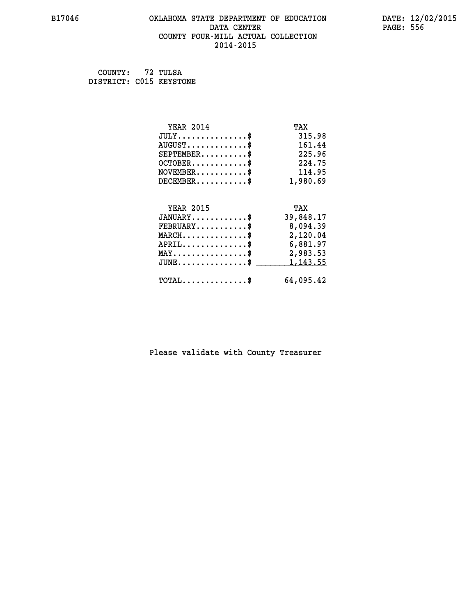### **B17046 OKLAHOMA STATE DEPARTMENT OF EDUCATION DATE: 12/02/2015 DATA CENTER** PAGE: 556  **COUNTY FOUR-MILL ACTUAL COLLECTION 2014-2015**

| COUNTY:                 | 72 TULSA |
|-------------------------|----------|
| DISTRICT: C015 KEYSTONE |          |

| <b>YEAR 2014</b>                                 | TAX       |
|--------------------------------------------------|-----------|
| $JULY$ \$                                        | 315.98    |
| $AUGUST$ \$                                      | 161.44    |
| $SEPTEMBER$ \$                                   | 225.96    |
| $OCTOBER$ \$                                     | 224.75    |
| $\texttt{NOVEMBER} \dots \dots \dots \$          | 114.95    |
| $DECEMBER$ \$                                    | 1,980.69  |
|                                                  |           |
| <b>YEAR 2015</b>                                 | TAX       |
| $JANUARY$ \$                                     | 39,848.17 |
| $\texttt{FEBRUARY} \dots \dots \dots \$          | 8,094.39  |
| $\texttt{MARCH}\ldots\ldots\ldots\ldots\text{*}$ | 2,120.04  |
| $APRIL \ldots \ldots \ldots \ldots \$            | 6,881.97  |
| $\texttt{MAX} \dots \dots \dots \dots \dots \$   | 2,983.53  |
| $\texttt{JUNE} \dots \dots \dots \dots \dots \$$ | 1,143.55  |
| $\texttt{TOTAL} \dots \dots \dots \dots \$       | 64,095.42 |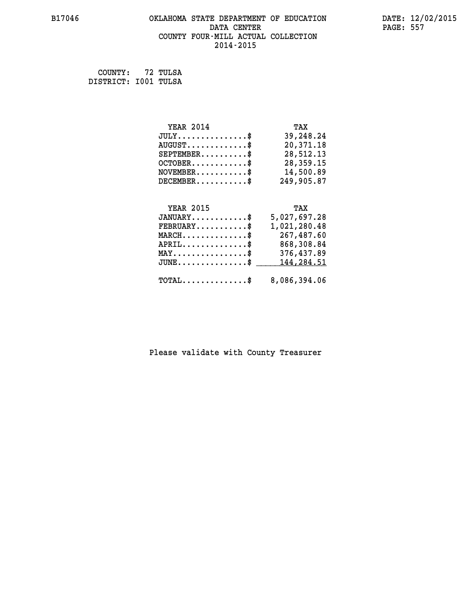### **B17046 OKLAHOMA STATE DEPARTMENT OF EDUCATION DATE: 12/02/2015 DATA CENTER PAGE: 557 COUNTY FOUR-MILL ACTUAL COLLECTION 2014-2015**

 **COUNTY: 72 TULSA DISTRICT: I001 TULSA**

| <b>YEAR 2014</b>                        | TAX          |
|-----------------------------------------|--------------|
| $JULY$ \$                               | 39,248.24    |
| $AUGUST$ \$                             | 20,371.18    |
| $SEPTEMBER$ \$                          | 28,512.13    |
| $OCTOBER$ \$                            | 28,359.15    |
| $\texttt{NOVEMBER} \dots \dots \dots \$ | 14,500.89    |
| $DECEMBER$ \$                           | 249,905.87   |
|                                         |              |
| <b>YEAR 2015</b>                        | TAX          |
| $JANUARY$ \$                            | 5,027,697.28 |
| $FEBRUARY$                              | 1,021,280.48 |
| $MARCH$ \$                              | 267,487.60   |
| $APRIL$ \$                              | 868,308.84   |

| MAY\$ 376,437.89<br>JUNE\$ 144,284.51                   |
|---------------------------------------------------------|
| $\texttt{TOTAL} \dots \dots \dots \dots \$ 8,086,394.06 |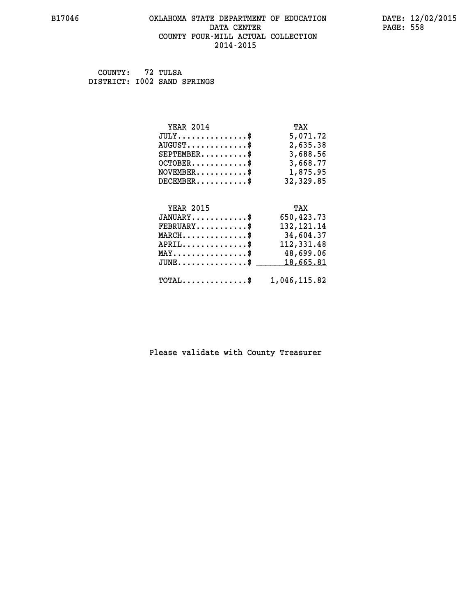### **B17046 OKLAHOMA STATE DEPARTMENT OF EDUCATION DATE: 12/02/2015 DATA CENTER** PAGE: 558  **COUNTY FOUR-MILL ACTUAL COLLECTION 2014-2015**

 **COUNTY: 72 TULSA DISTRICT: I002 SAND SPRINGS**

| <b>YEAR 2014</b>                                | TAX          |
|-------------------------------------------------|--------------|
| $JULY$ \$                                       | 5,071.72     |
| $AUGUST$ \$                                     | 2,635.38     |
| $SEPTEMBER$ \$                                  | 3,688.56     |
| $OCTOBER$ \$                                    | 3,668.77     |
| $\texttt{NOVEMBER} \dots \dots \dots \$         | 1,875.95     |
| $DECEMBER$ \$                                   | 32,329.85    |
|                                                 |              |
| <b>YEAR 2015</b>                                | TAX          |
| $JANUARY$ \$                                    | 650, 423.73  |
| $FEBRUARY$                                      | 132, 121. 14 |
| $MARCH$ \$                                      | 34,604.37    |
| $APRIL \ldots \ldots \ldots \ldots \$           | 112,331.48   |
| $\texttt{MAX} \dots \dots \dots \dots \dots \$$ | 48,699.06    |
| $JUNE$ \$                                       | 18,665.81    |
|                                                 |              |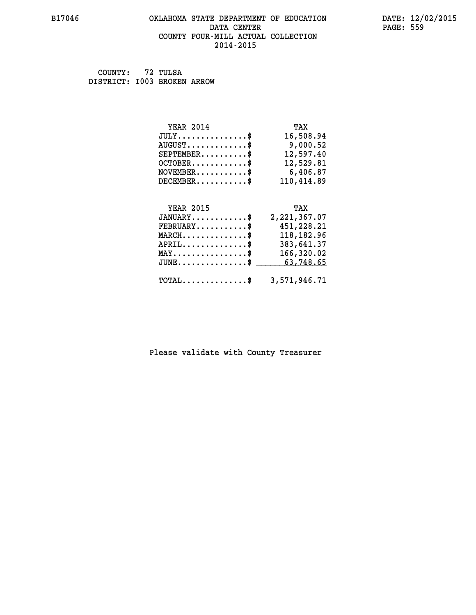### **B17046 OKLAHOMA STATE DEPARTMENT OF EDUCATION DATE: 12/02/2015** DATA CENTER PAGE: 559  **COUNTY FOUR-MILL ACTUAL COLLECTION 2014-2015**

 **COUNTY: 72 TULSA DISTRICT: I003 BROKEN ARROW**

| <b>YEAR 2014</b> | TAX                     |
|------------------|-------------------------|
| $JULY$ \$        | 16,508.94               |
| $AUGUST$ \$      | 9,000.52                |
| $SEPTEMBER$ \$   | 12,597.40               |
| $OCTOBER$ \$     | 12,529.81               |
| $NOVEMBER$ \$    | 6,406.87                |
| $DECEMBER$ \$    | 110,414.89              |
| <b>YEAR 2015</b> | TAX                     |
|                  |                         |
| $JANUARY$ \$     | 2, 221, 367.07          |
| $FEBRUARY$ \$    | 451,228.21              |
| ᇄᆪᇚᄼᄧ            | 110 109 Q <i>C</i><br>œ |

| $\mathtt{MARCH} \dots \dots \dots \dots \$<br>$APRIL$ \$<br>$\texttt{MAX} \dots \dots \dots \dots \dots \texttt{\$}$        | 118,182.96<br>383,641.37<br>166,320.02 |
|-----------------------------------------------------------------------------------------------------------------------------|----------------------------------------|
| $JUNE \dots \dots \dots \dots \dots$ \$ 63,748.65<br>$\texttt{TOTAL} \dots \dots \dots \dots \text{``} \qquad 3.571.946.71$ |                                        |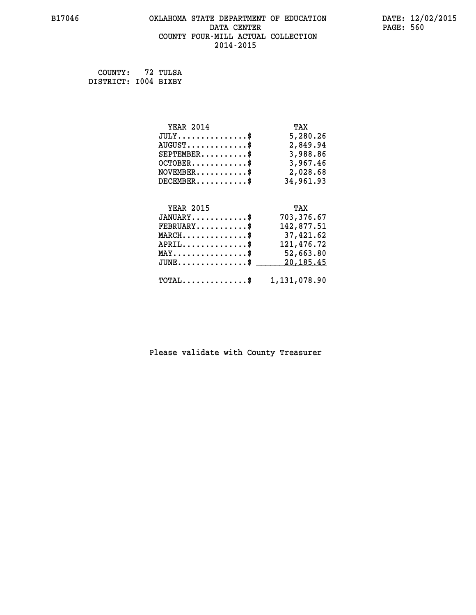### **B17046 OKLAHOMA STATE DEPARTMENT OF EDUCATION DATE: 12/02/2015 DATA CENTER** PAGE: 560  **COUNTY FOUR-MILL ACTUAL COLLECTION 2014-2015**

 **COUNTY: 72 TULSA DISTRICT: I004 BIXBY**

| <b>YEAR 2014</b>                               | TAX          |
|------------------------------------------------|--------------|
| $JULY$ \$                                      | 5,280.26     |
| $AUGUST$ \$                                    | 2,849.94     |
| $SEPTEMBER$ \$                                 | 3,988.86     |
| $OCTOBER$ \$                                   | 3,967.46     |
| $NOVEMBER.$ \$                                 | 2,028.68     |
| $DECEMBER$ \$                                  | 34,961.93    |
|                                                |              |
| <b>YEAR 2015</b>                               | TAX          |
| $JANUARY$ \$                                   | 703,376.67   |
| $FEBRUARY$ \$                                  | 142,877.51   |
| $MARCH \ldots \ldots \ldots \ldots \$          | 37,421.62    |
| $APRIL$ \$                                     | 121,476.72   |
| $\texttt{MAX} \dots \dots \dots \dots \dots \$ | 52,663.80    |
| $JUNE$ \$                                      | 20,185.45    |
| $\texttt{TOTAL} \dots \dots \dots \dots \$     | 1,131,078.90 |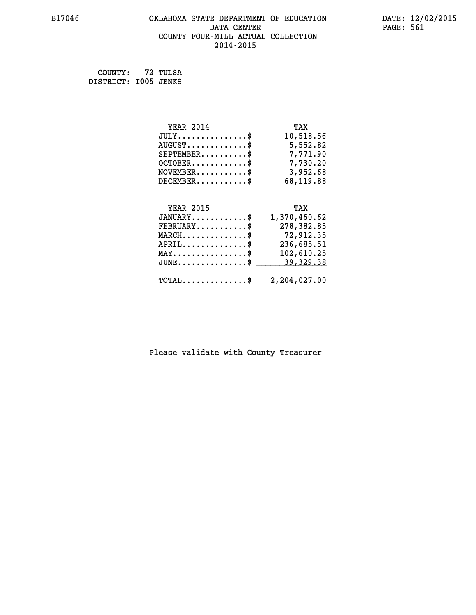### **B17046 OKLAHOMA STATE DEPARTMENT OF EDUCATION DATE: 12/02/2015** DATA CENTER PAGE: 561  **COUNTY FOUR-MILL ACTUAL COLLECTION 2014-2015**

 **COUNTY: 72 TULSA DISTRICT: I005 JENKS**

 **JUNE...............\$ 39,329.38 \_\_\_\_\_\_\_\_\_\_\_\_\_\_\_**

| <b>YEAR 2014</b>                  | TAX          |
|-----------------------------------|--------------|
| $JULY$ \$                         | 10,518.56    |
| $AUGUST$ \$                       | 5,552.82     |
| $SEPTEMBER$ \$                    | 7,771.90     |
| $OCTOBER. \ldots \ldots \ldots \$ | 7,730.20     |
| $NOVEMBER.$ \$                    | 3,952.68     |
| $DECEMBER$                        | 68,119.88    |
|                                   |              |
| <b>YEAR 2015</b>                  | TAX          |
| $JANUARY$ \$                      | 1,370,460.62 |
| $FEBRUARY$ \$                     | 278,382.85   |
| $MARCH$ \$                        | 72,912.35    |
| $APRIL$ \$                        | 236,685.51   |
| MAY                               | 102,610.25   |

## **TOTAL..............\$ 2,204,027.00**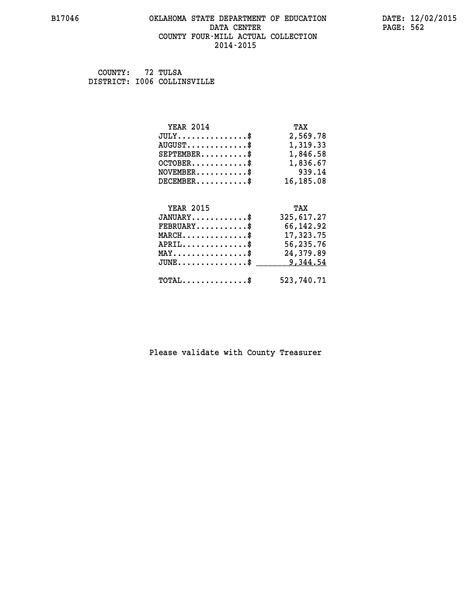### **B17046 OKLAHOMA STATE DEPARTMENT OF EDUCATION DATE: 12/02/2015 DATA CENTER** PAGE: 562  **COUNTY FOUR-MILL ACTUAL COLLECTION 2014-2015**

 **COUNTY: 72 TULSA DISTRICT: I006 COLLINSVILLE**

| <b>YEAR 2014</b>                               | TAX        |
|------------------------------------------------|------------|
| $JULY$ \$                                      | 2,569.78   |
| $AUGUST$ \$                                    | 1,319.33   |
| $SEPTEMBER$ \$                                 | 1,846.58   |
| $OCTOBER$ \$                                   | 1,836.67   |
| $\texttt{NOVEMBER} \dots \dots \dots \$        | 939.14     |
| $DECEMBER$ \$                                  | 16,185.08  |
|                                                |            |
| <b>YEAR 2015</b>                               | TAX        |
| $JANUARY$ \$                                   | 325,617.27 |
| $FEBRUARY$                                     | 66,142.92  |
| $\texttt{MARCH}\ldots\ldots\ldots\ldots\$      | 17,323.75  |
| $APRIL \ldots \ldots \ldots \ldots$ \$         | 56,235.76  |
| $\texttt{MAX} \dots \dots \dots \dots \dots \$ | 24,379.89  |
| $JUNE$ \$                                      | 9,344.54   |
| $\texttt{TOTAL} \dots \dots \dots \dots \$     | 523,740.71 |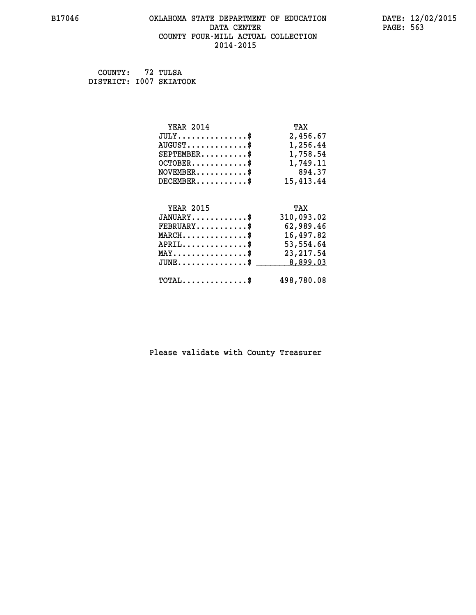### **B17046 OKLAHOMA STATE DEPARTMENT OF EDUCATION DATE: 12/02/2015** DATA CENTER PAGE: 563  **COUNTY FOUR-MILL ACTUAL COLLECTION 2014-2015**

 **COUNTY: 72 TULSA DISTRICT: I007 SKIATOOK**

| <b>YEAR 2014</b>                                                                                                              | TAX        |
|-------------------------------------------------------------------------------------------------------------------------------|------------|
| $JULY$ \$                                                                                                                     | 2,456.67   |
| $AUGUST$ \$                                                                                                                   | 1,256.44   |
| $SEPTEMBER$ \$                                                                                                                | 1,758.54   |
| $OCTOBER$ \$                                                                                                                  | 1,749.11   |
| $NOVEMBER.$ \$                                                                                                                | 894.37     |
| $DECEMBER$ \$                                                                                                                 | 15,413.44  |
|                                                                                                                               |            |
| <b>YEAR 2015</b>                                                                                                              | TAX        |
| $JANUARY$ \$                                                                                                                  | 310,093.02 |
| $FEBRUARY$ \$                                                                                                                 | 62,989.46  |
| $\texttt{MARCH}\ldots\ldots\ldots\ldots\overset{\hspace{0.1em}\mathsf{\scriptscriptstyle\$}}{\mathsf{\scriptscriptstyle\$}}}$ | 16,497.82  |
| $APRIL \ldots \ldots \ldots$ \$                                                                                               | 53,554.64  |
| $\texttt{MAX} \dots \dots \dots \dots \dots \$                                                                                | 23, 217.54 |
| $\texttt{JUNE} \dots \dots \dots \dots \dots \$$                                                                              | 8,899.03   |
| $\texttt{TOTAL} \dots \dots \dots \dots$ \$                                                                                   | 498,780.08 |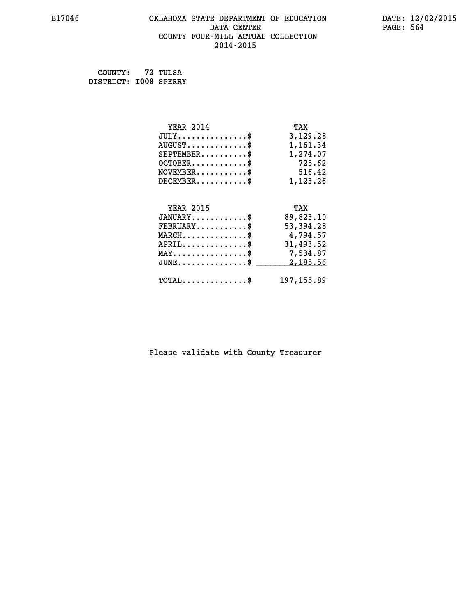### **B17046 OKLAHOMA STATE DEPARTMENT OF EDUCATION DATE: 12/02/2015 DATA CENTER** PAGE: 564  **COUNTY FOUR-MILL ACTUAL COLLECTION 2014-2015**

 **COUNTY: 72 TULSA DISTRICT: I008 SPERRY**

| <b>YEAR 2014</b>                                 | TAX         |
|--------------------------------------------------|-------------|
| $JULY$ \$                                        | 3,129.28    |
| $AUGUST$ \$                                      | 1,161.34    |
| $SEPTEMBER$ \$                                   | 1,274.07    |
| $OCTOBER$ \$                                     | 725.62      |
| $\texttt{NOVEMBER} \dots \dots \dots \$          | 516.42      |
| $DECEMBER$ \$                                    | 1,123.26    |
|                                                  |             |
| <b>YEAR 2015</b>                                 | TAX         |
| $JANUARY$ \$                                     | 89,823.10   |
| $FEBRUARY$                                       | 53,394.28   |
| $\texttt{MARCH}\ldots\ldots\ldots\ldots\text{*}$ | 4,794.57    |
| $APRIL \ldots \ldots \ldots \ldots \$            | 31,493.52   |
| $\texttt{MAX} \dots \dots \dots \dots \dots \$   | 7,534.87    |
| $JUNE$ \$                                        | 2,185.56    |
| $\texttt{TOTAL} \dots \dots \dots \dots \$       | 197, 155.89 |
|                                                  |             |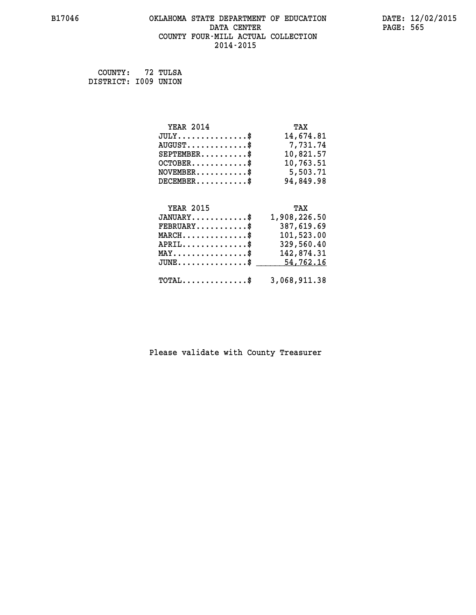### **B17046 OKLAHOMA STATE DEPARTMENT OF EDUCATION DATE: 12/02/2015** DATA CENTER PAGE: 565  **COUNTY FOUR-MILL ACTUAL COLLECTION 2014-2015**

 **COUNTY: 72 TULSA DISTRICT: I009 UNION**

 **JUNE...............\$ 54,762.16 \_\_\_\_\_\_\_\_\_\_\_\_\_\_\_**

| <b>YEAR 2014</b> | TAX          |
|------------------|--------------|
| $JULY$ \$        | 14,674.81    |
| $AUGUST$ \$      | 7,731.74     |
| $SEPTEMBER$ \$   | 10,821.57    |
| $OCTOBER$ \$     | 10,763.51    |
| $NOVEMBER.$ \$   | 5,503.71     |
| $DECEMBER$       | 94,849.98    |
|                  |              |
|                  |              |
| <b>YEAR 2015</b> | TAX          |
| $JANUARY$ \$     | 1,908,226.50 |
| $FEBRUARY$       | 387,619.69   |
| $MARCH$ \$       | 101,523.00   |
| $APRIL$ \$       | 329,560.40   |
| MAY              | 142,874.31   |

### **TOTAL..............\$ 3,068,911.38**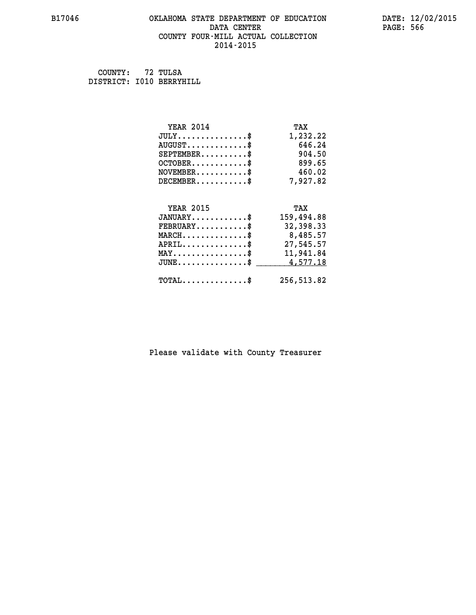## **B17046 OKLAHOMA STATE DEPARTMENT OF EDUCATION DATE: 12/02/2015 DATA CENTER** PAGE: 566  **COUNTY FOUR-MILL ACTUAL COLLECTION**

 **2014-2015**

 **COUNTY: 72 TULSA DISTRICT: I010 BERRYHILL**

| $JULY$ \$<br>1,232.22<br>$AUGUST$ \$<br>646.24<br>904.50<br>$SEPTEMBER$ \$<br>899.65<br>$OCTOBER$ \$<br>$\texttt{NOVEMBER} \dots \dots \dots \$<br>460.02<br>$DECEMBER$ \$<br>7,927.82<br><b>YEAR 2015</b><br>TAX<br>$JANUARY$ \$ |  |
|-----------------------------------------------------------------------------------------------------------------------------------------------------------------------------------------------------------------------------------|--|
|                                                                                                                                                                                                                                   |  |
|                                                                                                                                                                                                                                   |  |
|                                                                                                                                                                                                                                   |  |
|                                                                                                                                                                                                                                   |  |
|                                                                                                                                                                                                                                   |  |
|                                                                                                                                                                                                                                   |  |
|                                                                                                                                                                                                                                   |  |
|                                                                                                                                                                                                                                   |  |
| 159,494.88                                                                                                                                                                                                                        |  |
| $FEBRUARY$<br>32,398.33                                                                                                                                                                                                           |  |
| $MARCH$ \$<br>8,485.57                                                                                                                                                                                                            |  |
| $APRIL$ \$<br>27,545.57                                                                                                                                                                                                           |  |
| 11,941.84<br>$\texttt{MAX} \dots \dots \dots \dots \dots \$                                                                                                                                                                       |  |
| 4,577.18<br>$JUNE$ $\text{\$}$                                                                                                                                                                                                    |  |
| $\texttt{TOTAL} \dots \dots \dots \dots \$<br>256,513.82                                                                                                                                                                          |  |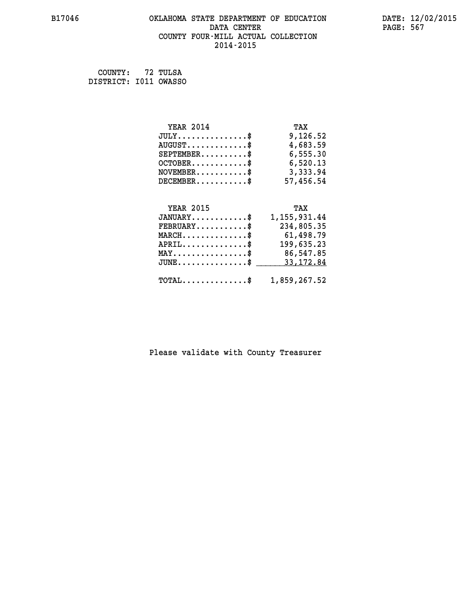### **B17046 OKLAHOMA STATE DEPARTMENT OF EDUCATION DATE: 12/02/2015 DATA CENTER** PAGE: 567  **COUNTY FOUR-MILL ACTUAL COLLECTION 2014-2015**

 **COUNTY: 72 TULSA DISTRICT: I011 OWASSO**

| <b>YEAR 2014</b>                             | TAX              |
|----------------------------------------------|------------------|
| $JULY \ldots \ldots \ldots \$                | 9,126.52         |
| $\texttt{AUGUST} \dots \dots \dots \dots \$$ | 4,683.59         |
| $SEPTEMBER$ \$                               | 6,555.30         |
| $OCTOBER.$ \$                                | 6,520.13         |
| $NOVEMBER.$ \$                               | 3,333.94         |
| $DECEMBER$ \$                                | 57,456.54        |
|                                              | TAX              |
|                                              | <b>YEAR 2015</b> |

| $+11111$ $+111$                                 | .                                                       |
|-------------------------------------------------|---------------------------------------------------------|
| $JANUARY$ \$                                    | 1,155,931.44                                            |
| $\texttt{FEBRUARY} \dots \dots \dots \$         | 234,805.35                                              |
| $MARCH$ \$                                      | 61,498.79                                               |
| $APRIL$ \$                                      | 199,635.23                                              |
| $\texttt{MAX} \dots \dots \dots \dots \dots$ \$ | 86,547.85                                               |
|                                                 | JUNE\$ 33,172.84                                        |
|                                                 |                                                         |
|                                                 | $\texttt{TOTAL} \dots \dots \dots \dots \$ 1,859,267.52 |
|                                                 |                                                         |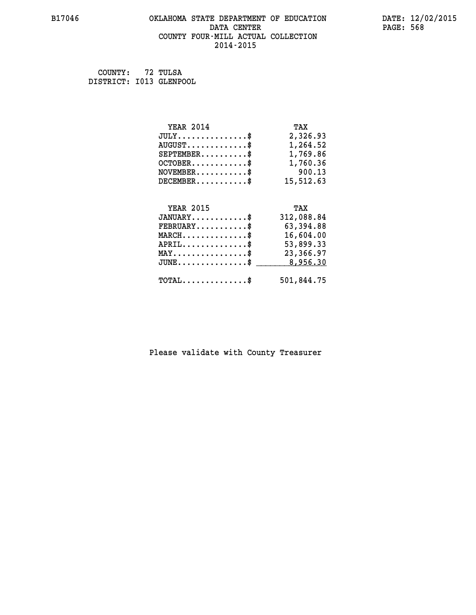### **B17046 OKLAHOMA STATE DEPARTMENT OF EDUCATION DATE: 12/02/2015 DATA CENTER** PAGE: 568  **COUNTY FOUR-MILL ACTUAL COLLECTION 2014-2015**

 **COUNTY: 72 TULSA DISTRICT: I013 GLENPOOL**

| <b>YEAR 2014</b>                                                                                                              | TAX        |
|-------------------------------------------------------------------------------------------------------------------------------|------------|
| $JULY$ \$                                                                                                                     | 2,326.93   |
| $AUGUST$ \$                                                                                                                   | 1,264.52   |
| $SEPTEMBER$ \$                                                                                                                | 1,769.86   |
| $OCTOBER$ \$                                                                                                                  | 1,760.36   |
| $\texttt{NOVEMBER} \dots \dots \dots \$                                                                                       | 900.13     |
| $DECEMBER$ \$                                                                                                                 | 15,512.63  |
|                                                                                                                               |            |
| <b>YEAR 2015</b>                                                                                                              | TAX        |
| $JANUARY$ \$                                                                                                                  | 312,088.84 |
| $FEBRUARY$ \$                                                                                                                 | 63,394.88  |
| $\texttt{MARCH}\ldots\ldots\ldots\ldots\overset{\hspace{0.1em}\mathsf{\scriptscriptstyle\$}}{\mathsf{\scriptscriptstyle\$}}}$ | 16,604.00  |
| $APRIL \ldots \ldots \ldots \ldots \$                                                                                         | 53,899.33  |
| $\texttt{MAX} \dots \dots \dots \dots \dots \$                                                                                | 23,366.97  |
| $\texttt{JUNE} \dots \dots \dots \dots \dots \$$                                                                              | 8,956.30   |
| $\texttt{TOTAL} \dots \dots \dots \dots \$                                                                                    | 501,844.75 |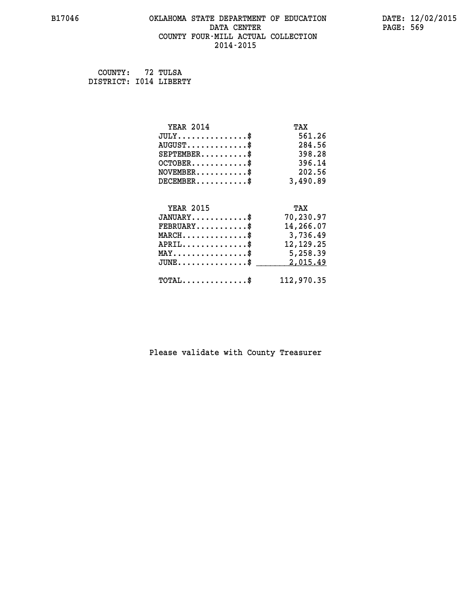### **B17046 OKLAHOMA STATE DEPARTMENT OF EDUCATION DATE: 12/02/2015 DATA CENTER** PAGE: 569  **COUNTY FOUR-MILL ACTUAL COLLECTION 2014-2015**

 **COUNTY: 72 TULSA DISTRICT: I014 LIBERTY**

| <b>YEAR 2014</b>                           | TAX         |
|--------------------------------------------|-------------|
| $JULY$ \$                                  | 561.26      |
| $AUGUST$ \$                                | 284.56      |
| $SEPTEMBER$                                | 398.28      |
| $OCTOBER$ \$                               | 396.14      |
| $NOVEMBER$ \$                              | 202.56      |
| $DECEMBER$ \$                              | 3,490.89    |
|                                            |             |
| <b>YEAR 2015</b>                           | TAX         |
| $JANUARY$ \$                               | 70,230.97   |
| $FEBRUARY$                                 | 14,266.07   |
| $MARCH$ \$                                 | 3,736.49    |
| $APRIL$ \$                                 | 12, 129. 25 |
| $MAX \dots \dots \dots \dots \dots$        | 5,258.39    |
| $JUNE$ \$                                  | 2,015.49    |
| $\texttt{TOTAL} \dots \dots \dots \dots \$ | 112,970.35  |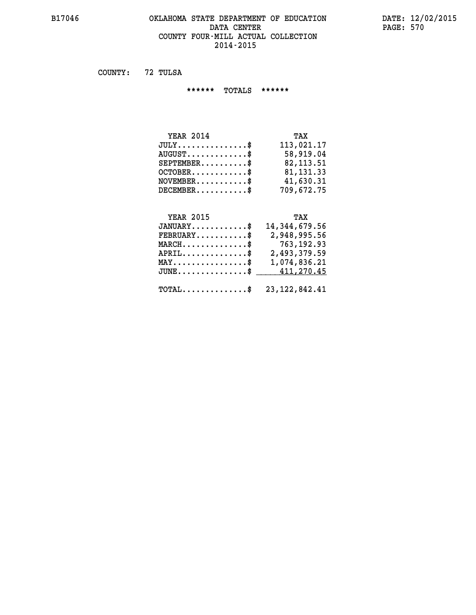### **B17046 OKLAHOMA STATE DEPARTMENT OF EDUCATION DATE: 12/02/2015 DATA CENTER** PAGE: 570  **COUNTY FOUR-MILL ACTUAL COLLECTION 2014-2015**

 **COUNTY: 72 TULSA**

 **\*\*\*\*\*\* TOTALS \*\*\*\*\*\***

| <b>YEAR 2014</b>                 | TAX         |
|----------------------------------|-------------|
| $JULY$                           | 113,021.17  |
| $AUGUST \ldots \ldots \ldots$ \$ | 58,919.04   |
| $SEPTEMBER$ $\$                  | 82, 113.51  |
| $OCTOBER$ \$                     | 81, 131, 33 |
| $NOVEMENTER$ \$                  | 41,630.31   |
| $DECEMBER$                       | 709,672.75  |

### **YEAR 2015 TAX**

| $JANUARY$ \$                                               | 14,344,679.56 |
|------------------------------------------------------------|---------------|
| $FEBRUARY$                                                 | 2,948,995.56  |
| $\texttt{MARCH} \dots \dots \dots \dots \$                 | 763,192.93    |
| $APRIL$                                                    | 2,493,379.59  |
| $\texttt{MAX} \dots \dots \dots \dots \dots \text{*}$      | 1,074,836.21  |
| JUNE\$ 411,270.45                                          |               |
| $\texttt{TOTAL} \dots \dots \dots \dots \$ 23, 122, 842.41 |               |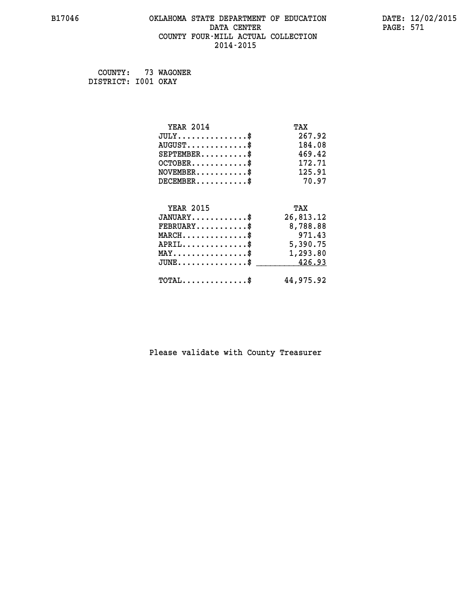### **B17046 OKLAHOMA STATE DEPARTMENT OF EDUCATION DATE: 12/02/2015 DATA CENTER** PAGE: 571  **COUNTY FOUR-MILL ACTUAL COLLECTION 2014-2015**

 **COUNTY: 73 WAGONER DISTRICT: I001 OKAY**

| <b>YEAR 2014</b>                                 | TAX       |
|--------------------------------------------------|-----------|
| $JULY$ \$                                        | 267.92    |
| $AUGUST$ \$                                      | 184.08    |
| $SEPTEMBER$ \$                                   | 469.42    |
| $OCTOBER$ \$                                     | 172.71    |
| $\texttt{NOVEMBER} \dots \dots \dots \$          | 125.91    |
| $DECEMBER$ \$                                    | 70.97     |
|                                                  |           |
| <b>YEAR 2015</b>                                 | TAX       |
| $JANUARY$                                        | 26,813.12 |
| $FEBRUARY$                                       | 8,788.88  |
| $MARCH$ \$                                       | 971.43    |
| $APRIL \ldots \ldots \ldots \ldots \$            | 5,390.75  |
| $\texttt{MAX} \dots \dots \dots \dots \dots \$   | 1,293.80  |
| $\texttt{JUNE} \dots \dots \dots \dots \dots \$$ | 426.93    |
| $\texttt{TOTAL} \dots \dots \dots \dots \$       | 44,975.92 |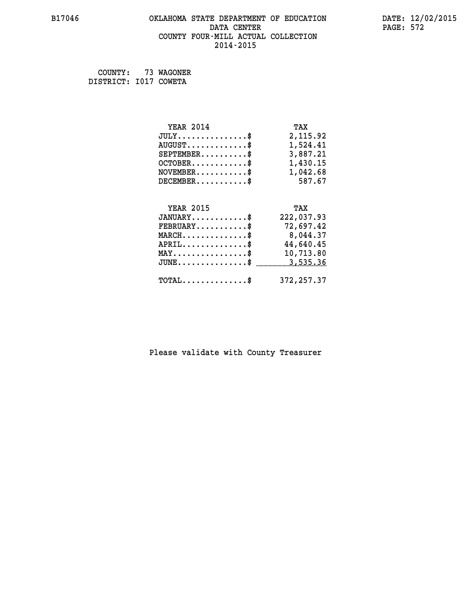### **B17046 OKLAHOMA STATE DEPARTMENT OF EDUCATION DATE: 12/02/2015 DATA CENTER** PAGE: 572  **COUNTY FOUR-MILL ACTUAL COLLECTION 2014-2015**

 **COUNTY: 73 WAGONER DISTRICT: I017 COWETA**

| <b>YEAR 2014</b>                                 | TAX         |
|--------------------------------------------------|-------------|
| $JULY$ \$                                        | 2,115.92    |
| $AUGUST$ \$                                      | 1,524.41    |
| $SEPTEMBER$ \$                                   | 3,887.21    |
| $OCTOBER$ \$                                     | 1,430.15    |
| $\texttt{NOVEMBER} \dots \dots \dots \$          | 1,042.68    |
| $DECEMBER$ \$                                    | 587.67      |
|                                                  |             |
| <b>YEAR 2015</b>                                 | TAX         |
| $JANUARY$ \$                                     | 222,037.93  |
| $FEBRUARY$                                       | 72,697.42   |
| $MARCH$ \$                                       | 8,044.37    |
| $APRIL$ \$                                       | 44,640.45   |
| $\texttt{MAX} \dots \dots \dots \dots \dots \$   | 10,713.80   |
| $\texttt{JUNE} \dots \dots \dots \dots \dots \$$ | 3,535.36    |
| $\texttt{TOTAL} \dots \dots \dots \dots \$       | 372, 257.37 |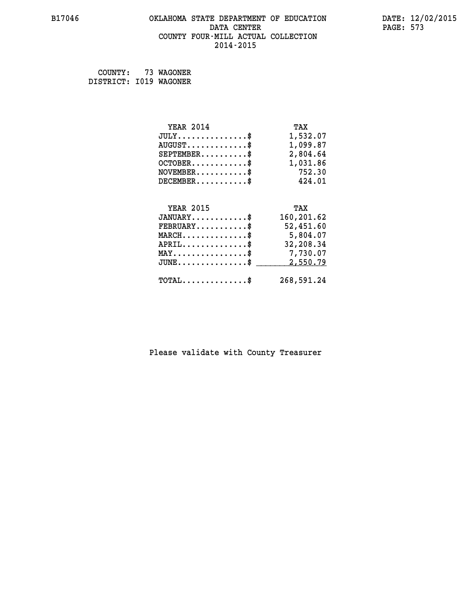### **B17046 OKLAHOMA STATE DEPARTMENT OF EDUCATION DATE: 12/02/2015 DATA CENTER** PAGE: 573  **COUNTY FOUR-MILL ACTUAL COLLECTION 2014-2015**

 **COUNTY: 73 WAGONER DISTRICT: I019 WAGONER**

| <b>YEAR 2014</b>                               | TAX        |
|------------------------------------------------|------------|
| $JULY$ \$                                      | 1,532.07   |
| $AUGUST$ \$                                    | 1,099.87   |
| $SEPTEMBER$ \$                                 | 2,804.64   |
| $OCTOBER$ \$                                   | 1,031.86   |
| $\texttt{NOVEMBER} \dots \dots \dots \$        | 752.30     |
| $DECEMBER$ \$                                  | 424.01     |
|                                                |            |
| <b>YEAR 2015</b>                               | TAX        |
| $JANUARY$ \$                                   | 160,201.62 |
| $FEBRUARY$ \$                                  | 52,451.60  |
| $MARCH$ \$                                     | 5,804.07   |
| $APRIL$ \$                                     | 32,208.34  |
| $\texttt{MAX} \dots \dots \dots \dots \dots \$ | 7,730.07   |
| $JUNE$ \$                                      | 2,550.79   |
| $\texttt{TOTAL} \dots \dots \dots \dots \$     | 268,591.24 |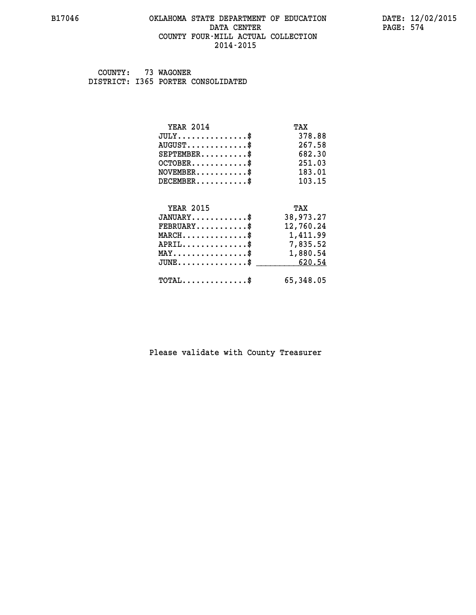### **B17046 OKLAHOMA STATE DEPARTMENT OF EDUCATION DATE: 12/02/2015 DATA CENTER** PAGE: 574  **COUNTY FOUR-MILL ACTUAL COLLECTION 2014-2015**

 **COUNTY: 73 WAGONER DISTRICT: I365 PORTER CONSOLIDATED**

| <b>YEAR 2014</b>                               | TAX       |
|------------------------------------------------|-----------|
| $JULY$ \$                                      | 378.88    |
| $AUGUST$ \$                                    | 267.58    |
| $SEPTEMBER$ \$                                 | 682.30    |
| $OCTOBER$ \$                                   | 251.03    |
| $\texttt{NOVEMBER} \dots \dots \dots \$        | 183.01    |
| $DECEMBER$ \$                                  | 103.15    |
|                                                |           |
| <b>YEAR 2015</b>                               | TAX       |
| $JANUARY$ \$                                   | 38,973.27 |
| $FEBRUARY$                                     | 12,760.24 |
| MARCH\$ 1,411.99                               |           |
| $APRIL$ \$ 7,835.52                            |           |
| $\texttt{MAX} \dots \dots \dots \dots \dots \$ | 1,880.54  |
| $JUNE \ldots \ldots \ldots \ldots$ \$ 620.54   |           |
| $\texttt{TOTAL} \dots \dots \dots \dots$       | 65,348.05 |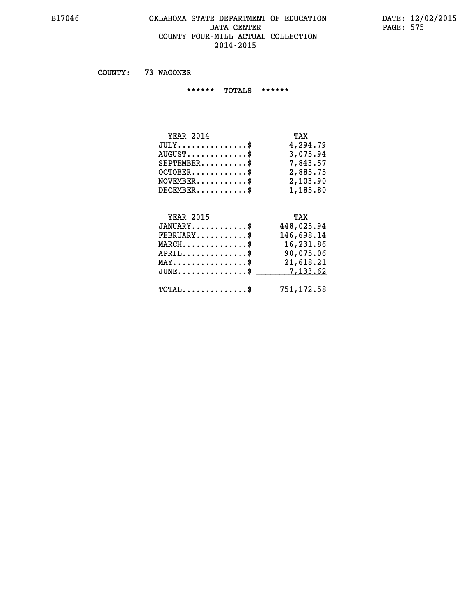### **B17046 OKLAHOMA STATE DEPARTMENT OF EDUCATION DATE: 12/02/2015** DATA CENTER PAGE: 575  **COUNTY FOUR-MILL ACTUAL COLLECTION 2014-2015**

 **COUNTY: 73 WAGONER**

 **\*\*\*\*\*\* TOTALS \*\*\*\*\*\***

| <b>YEAR 2014</b>              | TAX      |
|-------------------------------|----------|
| $JULY \ldots \ldots \ldots \$ | 4,294.79 |
| $AUGUST$                      | 3,075.94 |
| $SEPTEMBER$                   | 7,843.57 |
| $OCTOBER$ \$                  | 2,885.75 |
| $NOVEMBER$ \$                 | 2,103.90 |
| $DECEMBER$ \$                 | 1,185.80 |

### **YEAR 2015 TAX JANUARY............\$ 448,025.94 FEBRUARY...........\$ 146,698.14 MARCH..............\$ 16,231.86 APRIL..............\$ 90,075.06 MAY................\$ 21,618.21 JUNE................\$** <u>7,133.62</u>  **TOTAL..............\$ 751,172.58**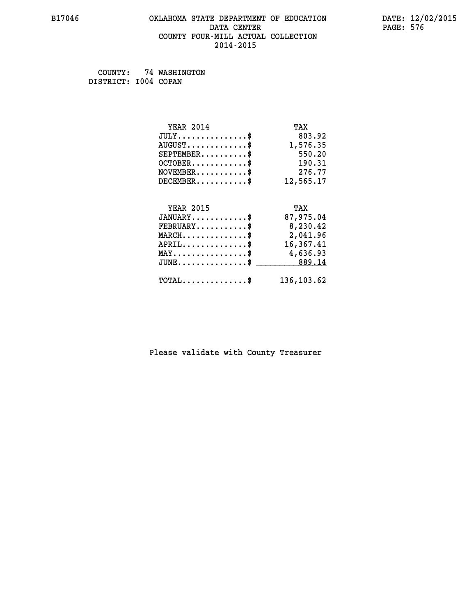### **B17046 OKLAHOMA STATE DEPARTMENT OF EDUCATION DATE: 12/02/2015 DATA CENTER** PAGE: 576  **COUNTY FOUR-MILL ACTUAL COLLECTION 2014-2015**

 **COUNTY: 74 WASHINGTON DISTRICT: I004 COPAN**

| <b>YEAR 2014</b>                               | TAX        |
|------------------------------------------------|------------|
| $JULY$ \$                                      | 803.92     |
| $AUGUST$ \$                                    | 1,576.35   |
| $SEPTEMBER$ \$                                 | 550.20     |
| $OCTOBER$ \$                                   | 190.31     |
| $NOVEMBER.$ \$                                 | 276.77     |
| $DECEMBER$ \$                                  | 12,565.17  |
|                                                |            |
| <b>YEAR 2015</b>                               | TAX        |
| $JANUARY$ \$                                   | 87,975.04  |
| $FEBRUARY$                                     | 8,230.42   |
| $MARCH$ \$                                     | 2,041.96   |
| $APRIL$ \$                                     | 16,367.41  |
| $\texttt{MAX} \dots \dots \dots \dots \dots \$ | 4,636.93   |
| $JUNE$ \$                                      | 889.14     |
| $\texttt{TOTAL} \dots \dots \dots \dots \$     | 136,103.62 |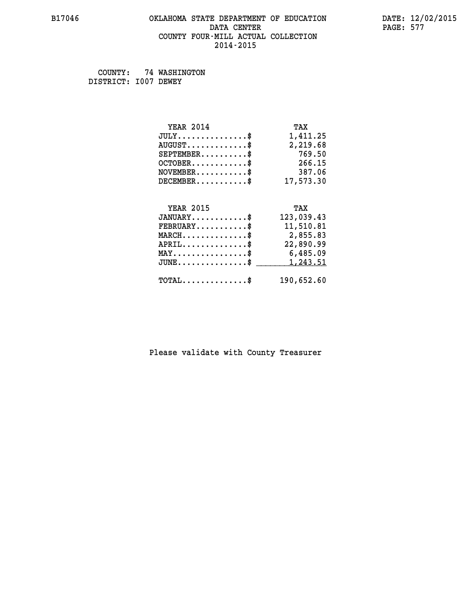### **B17046 OKLAHOMA STATE DEPARTMENT OF EDUCATION DATE: 12/02/2015 DATA CENTER PAGE: 577 COUNTY FOUR-MILL ACTUAL COLLECTION 2014-2015**

 **COUNTY: 74 WASHINGTON DISTRICT: I007 DEWEY**

| <b>YEAR 2014</b>                           | TAX        |
|--------------------------------------------|------------|
| $JULY$ \$                                  | 1,411.25   |
| $AUGUST$ \$                                | 2,219.68   |
| $SEPTEMBER$ \$                             | 769.50     |
| $OCTOBER$ \$                               | 266.15     |
| $\texttt{NOVEMBER} \dots \dots \dots \$    | 387.06     |
| $DECEMBER$ \$                              | 17,573.30  |
|                                            |            |
| <b>YEAR 2015</b>                           | TAX        |
| $JANUARY$ \$                               | 123,039.43 |
| $FEBRUARY$                                 | 11,510.81  |
| $MARCH$ \$                                 | 2,855.83   |
| $APRIL$ \$                                 | 22,890.99  |
| MAY\$ 6,485.09                             |            |
| $JUNE$ \$                                  | 1,243.51   |
| $\texttt{TOTAL} \dots \dots \dots \dots \$ | 190,652.60 |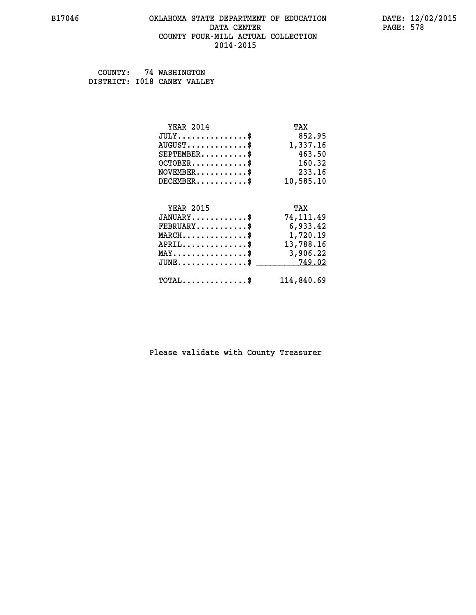### **B17046 OKLAHOMA STATE DEPARTMENT OF EDUCATION DATE: 12/02/2015 DATA CENTER** PAGE: 578  **COUNTY FOUR-MILL ACTUAL COLLECTION 2014-2015**

 **COUNTY: 74 WASHINGTON DISTRICT: I018 CANEY VALLEY**

| <b>YEAR 2014</b>                                 | TAX        |
|--------------------------------------------------|------------|
| $JULY$ \$                                        | 852.95     |
| $AUGUST$ \$                                      | 1,337.16   |
| $SEPTEMBER$ \$                                   | 463.50     |
| $OCTOBER$ \$                                     | 160.32     |
| $\texttt{NOVEMBER} \dots \dots \dots \$          | 233.16     |
| $DECEMBER$ \$                                    | 10,585.10  |
|                                                  |            |
| <b>YEAR 2015</b>                                 | TAX        |
| $JANUARY$                                        | 74,111.49  |
| $FEBRUARY$                                       | 6,933.42   |
| $MARCH$ \$                                       | 1,720.19   |
| $APRIL$ \$                                       | 13,788.16  |
| $\texttt{MAX} \dots \dots \dots \dots \dots \$   | 3,906.22   |
| $\texttt{JUNE} \dots \dots \dots \dots \dots \$$ | 749.02     |
| $\texttt{TOTAL} \dots \dots \dots \dots \$       | 114,840.69 |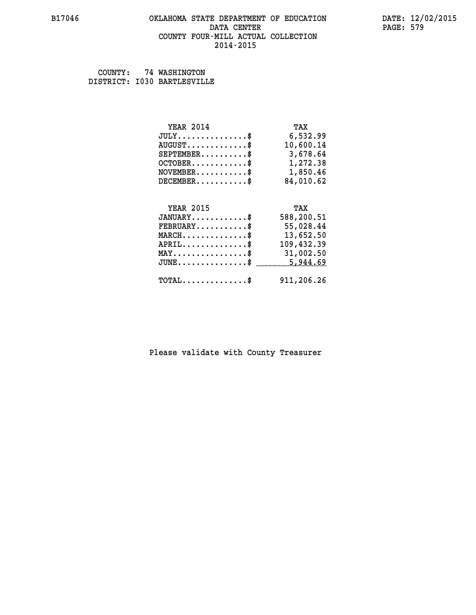### **B17046 OKLAHOMA STATE DEPARTMENT OF EDUCATION DATE: 12/02/2015 DATA CENTER** PAGE: 579  **COUNTY FOUR-MILL ACTUAL COLLECTION 2014-2015**

 **COUNTY: 74 WASHINGTON DISTRICT: I030 BARTLESVILLE**

| <b>YEAR 2014</b>                                 | TAX        |
|--------------------------------------------------|------------|
| $JULY$ \$                                        | 6,532.99   |
| $AUGUST$ \$                                      | 10,600.14  |
| $SEPTEMBER$ \$                                   | 3,678.64   |
| $OCTOBER$ \$                                     | 1,272.38   |
| $NOVEMBER.$ \$                                   | 1,850.46   |
| $DECEMBER$ \$                                    | 84,010.62  |
|                                                  |            |
| <b>YEAR 2015</b>                                 | TAX        |
|                                                  |            |
| $JANUARY$ \$                                     | 588,200.51 |
| $FEBRUARY$ \$                                    | 55,028.44  |
| $\texttt{MARCH}\ldots\ldots\ldots\ldots\text{*}$ | 13,652.50  |
| $APRIL \ldots \ldots \ldots \ldots \$            | 109,432.39 |
| $\texttt{MAX} \dots \dots \dots \dots \dots \$   | 31,002.50  |
| $\texttt{JUNE} \dots \dots \dots \dots \dots \$$ | 5,944.69   |
| $\texttt{TOTAL} \dots \dots \dots \dots \$       | 911,206.26 |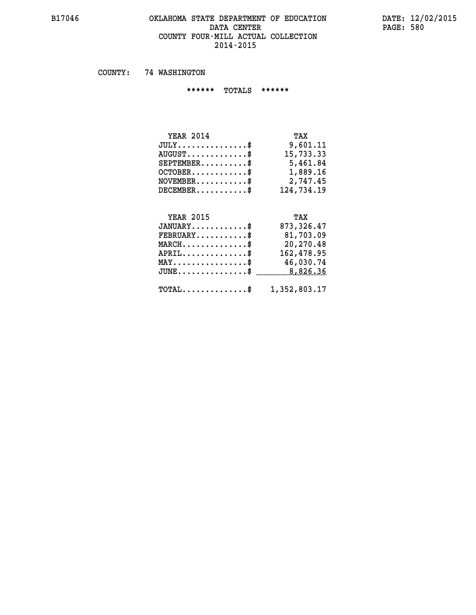### **B17046 OKLAHOMA STATE DEPARTMENT OF EDUCATION DATE: 12/02/2015 DATA CENTER** PAGE: 580  **COUNTY FOUR-MILL ACTUAL COLLECTION 2014-2015**

 **COUNTY: 74 WASHINGTON**

 **\*\*\*\*\*\* TOTALS \*\*\*\*\*\***

| <b>YEAR 2014</b> | TAX        |
|------------------|------------|
| $JULY$           | 9,601.11   |
| $AUGUST$         | 15,733.33  |
| $SEPTEMBER$ $\$  | 5,461.84   |
| $OCTOBER$ \$     | 1,889.16   |
| $NOVEMBER$ \$    | 2,747.45   |
| $DECEMBER$       | 124,734.19 |

## **YEAR 2015**

| <b>YEAR 2015</b>                                        | TAX         |
|---------------------------------------------------------|-------------|
| $JANUARY$ \$                                            | 873, 326.47 |
| $FEBRUARY$ \$                                           | 81,703.09   |
| $MARCH$ \$                                              | 20,270.48   |
| $APRIL$ \$                                              | 162,478.95  |
| $MAX \dots \dots \dots \dots \$                         | 46,030.74   |
| $JUNE \ldots \ldots \ldots \ldots$ \$ 8,826.36          |             |
| $\texttt{TOTAL} \dots \dots \dots \dots \$ 1,352,803.17 |             |
|                                                         |             |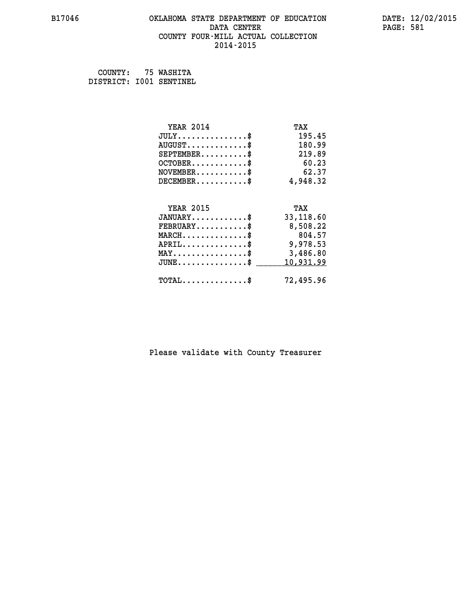### **B17046 OKLAHOMA STATE DEPARTMENT OF EDUCATION DATE: 12/02/2015 DATA CENTER** PAGE: 581  **COUNTY FOUR-MILL ACTUAL COLLECTION 2014-2015**

 **COUNTY: 75 WASHITA DISTRICT: I001 SENTINEL**

| <b>YEAR 2014</b>                                   | TAX       |
|----------------------------------------------------|-----------|
| $JULY$ \$                                          | 195.45    |
| $AUGUST$ \$                                        | 180.99    |
| $SEPTEMBER$ \$                                     | 219.89    |
| $OCTOBER$ \$                                       | 60.23     |
| $\texttt{NOVEMBER} \dots \dots \dots \$            | 62.37     |
| $DECEMBER$ \$                                      | 4,948.32  |
|                                                    |           |
| <b>YEAR 2015</b>                                   | TAX       |
| $JANUARY$ \$                                       | 33,118.60 |
| $FEBRUARY$                                         | 8,508.22  |
| $MARCH$ \$                                         | 804.57    |
| $APRIL \ldots \ldots \ldots \ldots$                | 9,978.53  |
| $\texttt{MAX} \dots \dots \dots \dots \dots \$     | 3,486.80  |
| $J\texttt{UNE} \dots \dots \dots \dots \texttt{S}$ | 10,931.99 |
| $\texttt{TOTAL} \dots \dots \dots \dots \$         | 72,495.96 |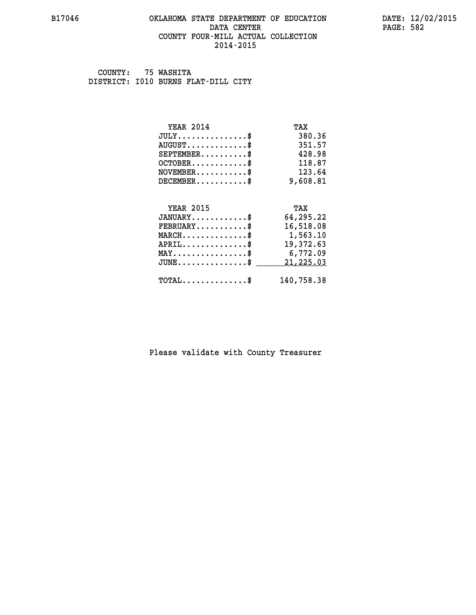### **B17046 OKLAHOMA STATE DEPARTMENT OF EDUCATION DATE: 12/02/2015 DATA CENTER** PAGE: 582  **COUNTY FOUR-MILL ACTUAL COLLECTION 2014-2015**

 **COUNTY: 75 WASHITA DISTRICT: I010 BURNS FLAT-DILL CITY**

| <b>YEAR 2014</b>                           | TAX        |
|--------------------------------------------|------------|
| $JULY$ \$                                  | 380.36     |
| $AUGUST$ \$                                | 351.57     |
| $SEPTEMENT.$ \$                            | 428.98     |
| $OCTOBER$ \$                               | 118.87     |
| $NOVEMBER$ \$                              | 123.64     |
| $DECEMBER$ \$                              | 9,608.81   |
|                                            |            |
| <b>YEAR 2015</b>                           | TAX        |
| $JANUARY$ \$                               | 64,295.22  |
| $FEBRUARY$                                 | 16,518.08  |
| $MARCH$ \$                                 | 1,563.10   |
| $APRIL$ \$                                 | 19,372.63  |
| $MAX \dots \dots \dots \dots \dots$        | 6,772.09   |
| $JUNE$                                     | 21,225.03  |
| $\texttt{TOTAL} \dots \dots \dots \dots \$ | 140,758.38 |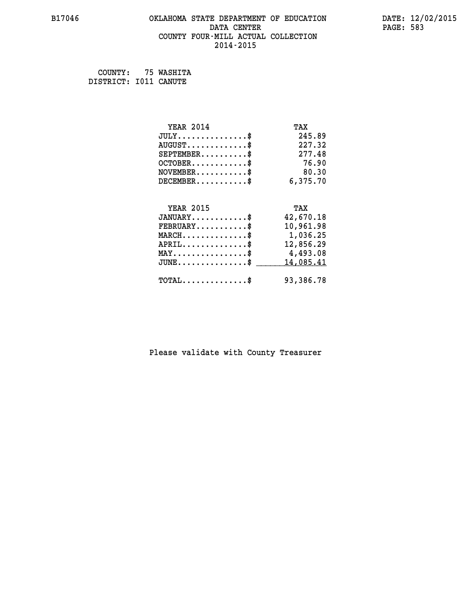### **B17046 OKLAHOMA STATE DEPARTMENT OF EDUCATION DATE: 12/02/2015 DATA CENTER** PAGE: 583  **COUNTY FOUR-MILL ACTUAL COLLECTION 2014-2015**

 **COUNTY: 75 WASHITA DISTRICT: I011 CANUTE**

| <b>YEAR 2014</b>                                   | TAX       |
|----------------------------------------------------|-----------|
| $JULY$ \$                                          | 245.89    |
| $AUGUST$ \$                                        | 227.32    |
| $SEPTEMBER$ \$                                     | 277.48    |
| $OCTOBER$ \$                                       | 76.90     |
| $NOVEMBER$ \$                                      | 80.30     |
| $DECEMBER$ \$                                      | 6,375.70  |
|                                                    |           |
| <b>YEAR 2015</b>                                   | TAX       |
| $JANUARY$                                          | 42,670.18 |
| $FEBRUARY$                                         | 10,961.98 |
| $MARCH$ \$                                         | 1,036.25  |
| $APRIL \ldots \ldots \ldots \ldots$                | 12,856.29 |
| $\texttt{MAX} \dots \dots \dots \dots \dots \$     | 4,493.08  |
| $\texttt{JUNE} \dots \dots \dots \dots \texttt{S}$ | 14,085.41 |
| $\texttt{TOTAL} \dots \dots \dots \dots \$         | 93,386.78 |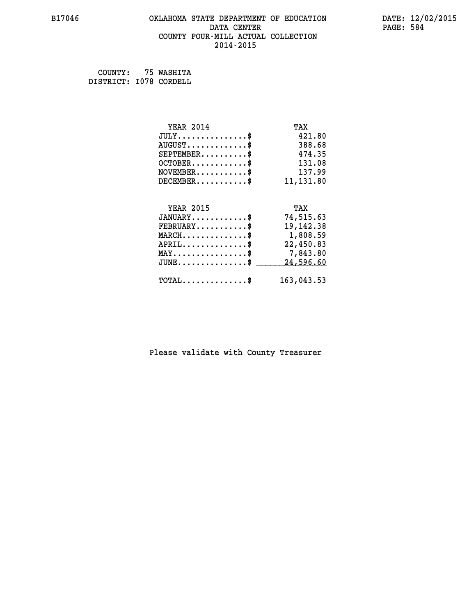### **B17046 OKLAHOMA STATE DEPARTMENT OF EDUCATION DATE: 12/02/2015 DATA CENTER** PAGE: 584  **COUNTY FOUR-MILL ACTUAL COLLECTION 2014-2015**

 **COUNTY: 75 WASHITA DISTRICT: I078 CORDELL**

| <b>YEAR 2014</b>                               | TAX         |
|------------------------------------------------|-------------|
| $JULY$ \$                                      | 421.80      |
| $AUGUST$ \$                                    | 388.68      |
| $SEPTEMENT.$ \$                                | 474.35      |
| $OCTOBER$ \$                                   | 131.08      |
| $\texttt{NOVEMBER} \dots \dots \dots \$        | 137.99      |
| $DECEMBER$ \$                                  | 11,131.80   |
|                                                |             |
| <b>YEAR 2015</b>                               | TAX         |
| $JANUARY$ \$                                   | 74,515.63   |
| $FEBRUARY$                                     | 19, 142. 38 |
| $MARCH$ \$                                     | 1,808.59    |
| $APRIL$ \$                                     | 22,450.83   |
| $\texttt{MAX} \dots \dots \dots \dots \dots \$ | 7,843.80    |
| $JUNE$ $\text{\$}$                             | 24,596.60   |
| $\texttt{TOTAL} \dots \dots \dots \dots \$     | 163,043.53  |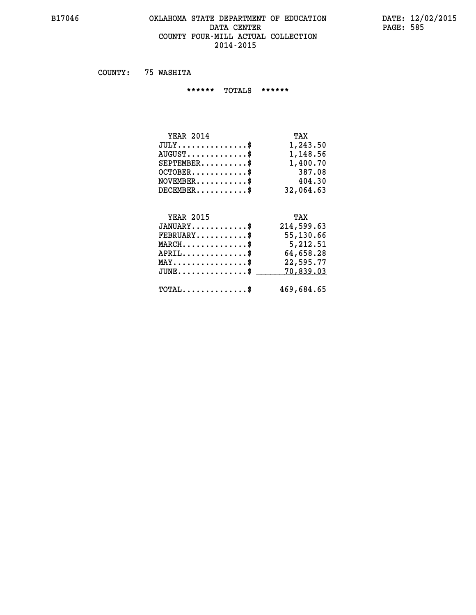### **B17046 OKLAHOMA STATE DEPARTMENT OF EDUCATION DATE: 12/02/2015 DATA CENTER PAGE: 585 COUNTY FOUR-MILL ACTUAL COLLECTION 2014-2015**

 **COUNTY: 75 WASHITA**

 **\*\*\*\*\*\* TOTALS \*\*\*\*\*\***

| <b>YEAR 2014</b>                     | TAX       |
|--------------------------------------|-----------|
| $JULY \ldots \ldots \ldots \ldots \$ | 1,243.50  |
| $AUGUST$ \$                          | 1,148.56  |
| $SEPTEMBER$ $\$                      | 1,400.70  |
| $OCTOBER$ \$                         | 387.08    |
| $NOVEMBER$ \$                        | 404.30    |
| $DECEMBER$                           | 32,064.63 |

## **YEAR 2015 TAX JANUARY............\$ 214,599.63 FEBRUARY...........\$ 55,130.66 MARCH..............\$ 5,212.51 APRIL..............\$ 64,658.28 MAY................\$ 22,595.77 JUNE...............\$ 70,839.03 \_\_\_\_\_\_\_\_\_\_\_\_\_\_\_ TOTAL..............\$ 469,684.65**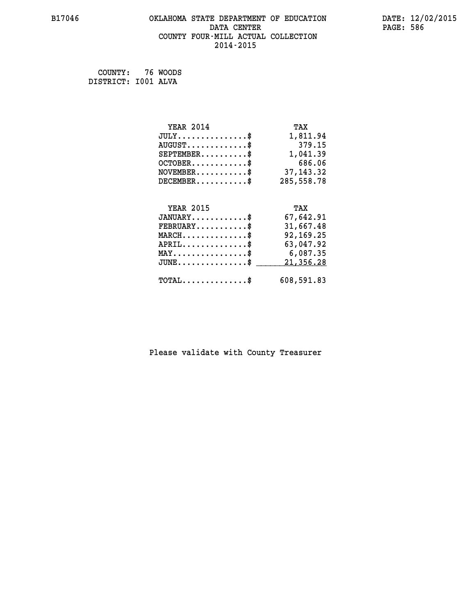### **B17046 OKLAHOMA STATE DEPARTMENT OF EDUCATION DATE: 12/02/2015 DATA CENTER PAGE: 586 COUNTY FOUR-MILL ACTUAL COLLECTION 2014-2015**

 **COUNTY: 76 WOODS DISTRICT: I001 ALVA**

| <b>YEAR 2014</b>                               | TAX        |
|------------------------------------------------|------------|
| $JULY$ \$                                      | 1,811.94   |
| $AUGUST$ \$                                    | 379.15     |
| $SEPTEMBER$ \$                                 | 1,041.39   |
| $OCTOBER$ \$                                   | 686.06     |
| $\texttt{NOVEMBER} \dots \dots \dots \$        | 37, 143.32 |
| $DECEMBER$ \$                                  | 285,558.78 |
|                                                |            |
| <b>YEAR 2015</b>                               | TAX        |
| $JANUARY$ \$                                   | 67,642.91  |
| $FEBRUARY$                                     | 31,667.48  |
| $MARCH$ \$                                     | 92,169.25  |
| $APRIL$ \$                                     | 63,047.92  |
| $\texttt{MAX} \dots \dots \dots \dots \dots \$ | 6,087.35   |
| $JUNE$ $\text{\$}$                             | 21,356.28  |
| $\texttt{TOTAL} \dots \dots \dots \dots \$     | 608,591.83 |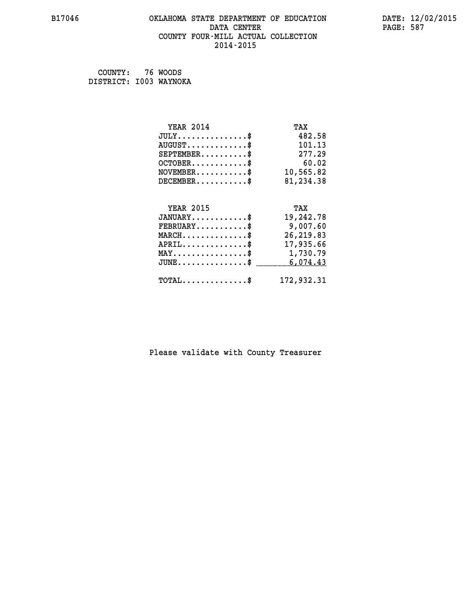### **B17046 OKLAHOMA STATE DEPARTMENT OF EDUCATION DATE: 12/02/2015 DATA CENTER** PAGE: 587  **COUNTY FOUR-MILL ACTUAL COLLECTION 2014-2015**

 **COUNTY: 76 WOODS DISTRICT: I003 WAYNOKA**

| <b>YEAR 2014</b>                        | TAX        |
|-----------------------------------------|------------|
| $JULY$ \$                               | 482.58     |
| $AUGUST$ \$                             | 101.13     |
| $SEPTEMBER$ \$                          | 277.29     |
| $OCTOBER$ \$                            | 60.02      |
| $\texttt{NOVEMBER} \dots \dots \dots \$ | 10,565.82  |
| $DECEMBER$ \$                           | 81,234.38  |
|                                         |            |
| <b>YEAR 2015</b>                        | TAX        |
| $JANUARY$ \$                            | 19,242.78  |
| $FEBRUARY$                              | 9,007.60   |
| $MARCH$ \$                              | 26, 219.83 |
| $APRIL \ldots \ldots \ldots \ldots \$   | 17,935.66  |
| MAY\$ 1,730.79                          |            |
| $JUNE$ \$                               | 6,074.43   |
| $TOTAL$ \$                              | 172,932.31 |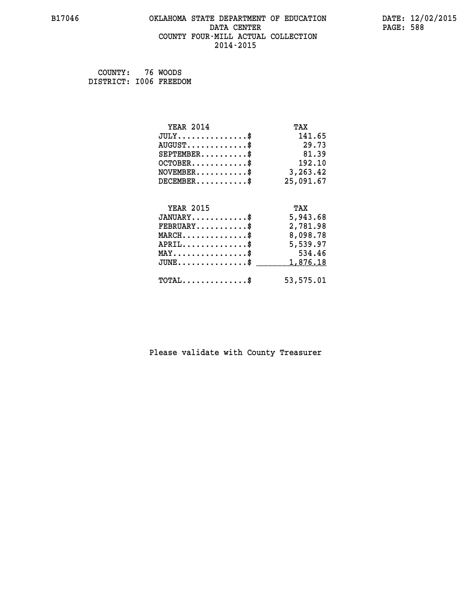### **B17046 OKLAHOMA STATE DEPARTMENT OF EDUCATION DATE: 12/02/2015** DATA CENTER PAGE: 588  **COUNTY FOUR-MILL ACTUAL COLLECTION 2014-2015**

 **COUNTY: 76 WOODS DISTRICT: I006 FREEDOM**

| <b>YEAR 2014</b>                               | TAX       |
|------------------------------------------------|-----------|
| $JULY$ \$                                      | 141.65    |
| $AUGUST$ \$                                    | 29.73     |
| $SEPTEMENT.$ \$                                | 81.39     |
| $OCTOBER$ \$                                   | 192.10    |
| $\texttt{NOVEMBER} \dots \dots \dots \$        | 3,263.42  |
| $DECEMBER$ \$                                  | 25,091.67 |
|                                                |           |
| <b>YEAR 2015</b>                               | TAX       |
| $JANUARY$ \$                                   | 5,943.68  |
| $FEBRUARY$                                     | 2,781.98  |
| $MARCH$ \$                                     | 8,098.78  |
| $APRIL \ldots \ldots \ldots \ldots \$          | 5,539.97  |
| $\texttt{MAX} \dots \dots \dots \dots \dots \$ | 534.46    |
| $JUNE$ \$                                      | 1,876.18  |
| $\texttt{TOTAL} \dots \dots \dots \dots \$     | 53,575.01 |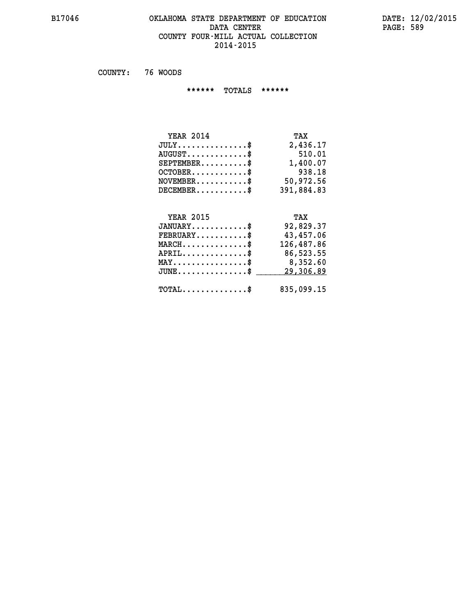### **B17046 OKLAHOMA STATE DEPARTMENT OF EDUCATION DATE: 12/02/2015** DATA CENTER PAGE: 589  **COUNTY FOUR-MILL ACTUAL COLLECTION 2014-2015**

 **COUNTY: 76 WOODS**

 **\*\*\*\*\*\* TOTALS \*\*\*\*\*\***

| <b>YEAR 2014</b> | TAX        |
|------------------|------------|
| $JULY$           | 2,436.17   |
| $AUGUST$ \$      | 510.01     |
| $SEPTEMBER$ $\$  | 1,400.07   |
| $OCTOBER$ \$     | 938.18     |
| $NOVEMBER$ \$    | 50,972.56  |
| $DECEMBER$ \$    | 391,884.83 |

# **YEAR 2015 TAX**

| $JANUARY$<br>$\texttt{FEBRUARY} \dots \dots \dots \$ | 92,829.37<br>43,457.06 |
|------------------------------------------------------|------------------------|
| $MARCH$ \$                                           | 126,487.86             |
| $APRIL$ \$                                           | 86,523.55              |
| $MAX \dots \dots \dots \dots \dots \$                | 8,352.60               |
| $JUNE$ \$                                            | 29,306.89              |
| $\text{TOTAL} \dots \dots \dots \dots \dots$         | 835,099.15             |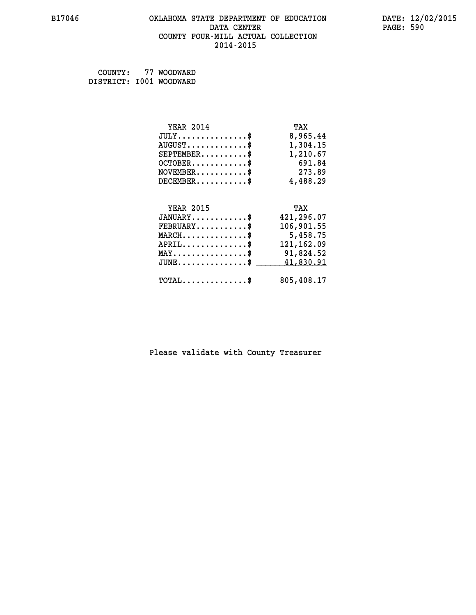### **B17046 OKLAHOMA STATE DEPARTMENT OF EDUCATION DATE: 12/02/2015 DATA CENTER** PAGE: 590  **COUNTY FOUR-MILL ACTUAL COLLECTION 2014-2015**

 **COUNTY: 77 WOODWARD DISTRICT: I001 WOODWARD**

| <b>YEAR 2014</b>                           | TAX         |
|--------------------------------------------|-------------|
| $JULY$ \$                                  | 8,965.44    |
| $AUGUST$ \$                                | 1,304.15    |
| $SEPTEMBER$ \$                             | 1,210.67    |
| $OCTOBER$ \$                               | 691.84      |
| $NOVEMBER$ \$                              | 273.89      |
| $DECEMBER$ \$                              | 4,488.29    |
|                                            |             |
| <b>YEAR 2015</b>                           | TAX         |
| $JANUARY$ \$                               | 421,296.07  |
| $FEBRUARY$                                 | 106,901.55  |
| $MARCH$ \$                                 | 5,458.75    |
| $APRIL$ \$                                 | 121, 162.09 |
| $MAX \dots \dots \dots \dots \$            | 91,824.52   |
| $JUNE$ \$                                  | 41,830.91   |
| $\texttt{TOTAL} \dots \dots \dots \dots \$ | 805,408.17  |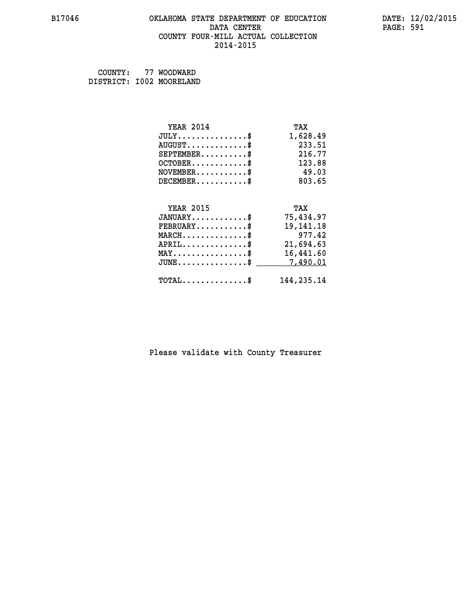### **B17046 OKLAHOMA STATE DEPARTMENT OF EDUCATION DATE: 12/02/2015 DATA CENTER** PAGE: 591  **COUNTY FOUR-MILL ACTUAL COLLECTION 2014-2015**

| COUNTY: | 77 WOODWARD              |
|---------|--------------------------|
|         | DISTRICT: I002 MOORELAND |

| <b>YEAR 2014</b>                               | TAX         |
|------------------------------------------------|-------------|
| $JULY$ \$                                      | 1,628.49    |
| $AUGUST$ \$                                    | 233.51      |
| $SEPTEMENT.$ \$                                | 216.77      |
| $OCTOBER$ \$                                   | 123.88      |
| $NOVEMBER$ \$                                  | 49.03       |
| $DECEMBER$ \$                                  | 803.65      |
|                                                |             |
| <b>YEAR 2015</b>                               | TAX         |
| $JANUARY$ \$                                   | 75,434.97   |
| $FEBRUARY$                                     | 19, 141. 18 |
| $MARCH$ \$                                     | 977.42      |
| $APRIL$ \$                                     | 21,694.63   |
| $\texttt{MAX} \dots \dots \dots \dots \dots \$ | 16,441.60   |
| $JUNE$ \$                                      | 7,490.01    |
| $TOTAL$ \$                                     | 144,235.14  |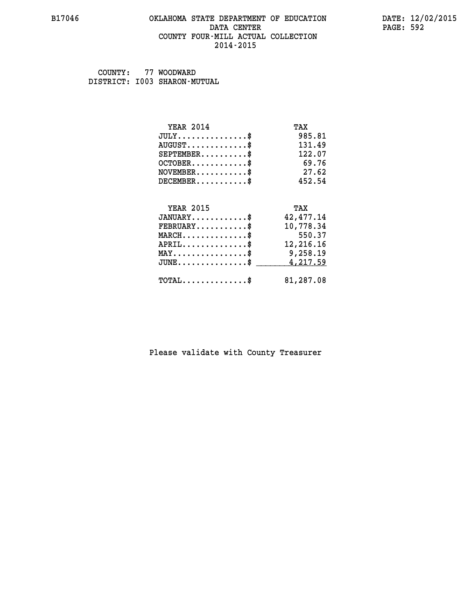### **B17046 OKLAHOMA STATE DEPARTMENT OF EDUCATION DATE: 12/02/2015 DATA CENTER** PAGE: 592  **COUNTY FOUR-MILL ACTUAL COLLECTION 2014-2015**

 **COUNTY: 77 WOODWARD DISTRICT: I003 SHARON-MUTUAL**

| <b>YEAR 2014</b>                               | TAX       |
|------------------------------------------------|-----------|
| $JULY$ \$                                      | 985.81    |
| $AUGUST$ \$                                    | 131.49    |
| $SEPTEMENT.$ \$                                | 122.07    |
| $OCTOBER$ \$                                   | 69.76     |
| $NOVEMBER$ \$                                  | 27.62     |
| $DECEMBER$ \$                                  | 452.54    |
|                                                |           |
| <b>YEAR 2015</b>                               | TAX       |
| $JANUARY$                                      | 42,477.14 |
| $FEBRUARY$                                     | 10,778.34 |
| $MARCH$ \$                                     | 550.37    |
| $APRIL$ \$                                     | 12,216.16 |
| $\texttt{MAX} \dots \dots \dots \dots \dots \$ | 9,258.19  |
| $JUNE$ \$                                      | 4,217.59  |
| $\texttt{TOTAL} \dots \dots \dots \dots \$     | 81,287.08 |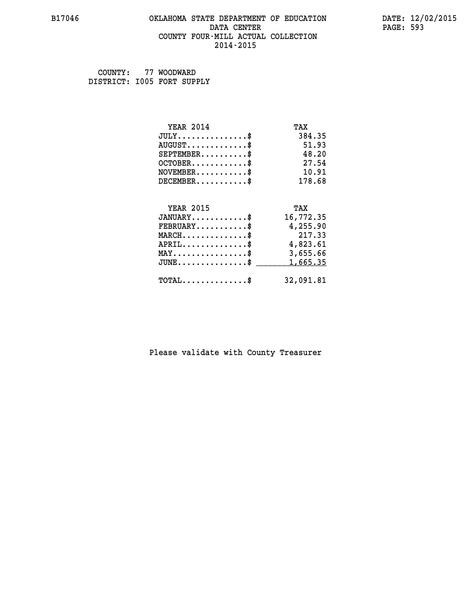### **B17046 OKLAHOMA STATE DEPARTMENT OF EDUCATION DATE: 12/02/2015 DATA CENTER** PAGE: 593  **COUNTY FOUR-MILL ACTUAL COLLECTION 2014-2015**

 **COUNTY: 77 WOODWARD DISTRICT: I005 FORT SUPPLY**

| <b>YEAR 2014</b>                           | TAX       |
|--------------------------------------------|-----------|
| $JULY$ \$                                  | 384.35    |
| $AUGUST$ \$                                | 51.93     |
| $SEPTEMBER$ \$                             | 48.20     |
| $OCTOBER$ \$                               | 27.54     |
| $NOVEMBER$ \$                              | 10.91     |
| $DECEMBER$ \$                              | 178.68    |
|                                            |           |
| <b>YEAR 2015</b>                           | TAX       |
| $JANUARY$ \$                               | 16,772.35 |
| $FEBRUARY$                                 | 4,255.90  |
| $MARCH$ \$                                 | 217.33    |
| $APRIL$ \$                                 | 4,823.61  |
| $MAX \dots \dots \dots \dots \dots$        | 3,655.66  |
| $JUNE$ \$                                  | 1,665.35  |
| $\texttt{TOTAL} \dots \dots \dots \dots \$ | 32,091.81 |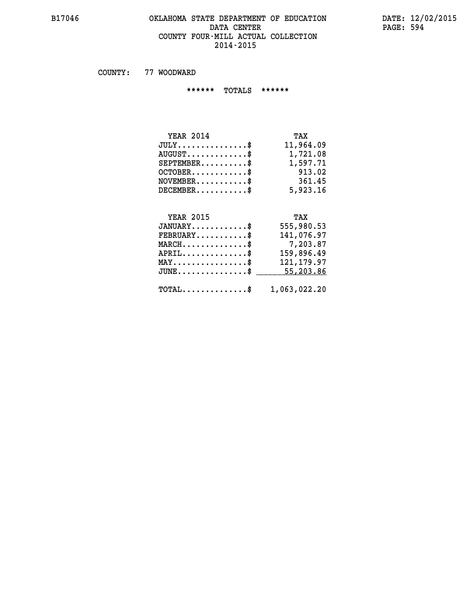### **B17046 OKLAHOMA STATE DEPARTMENT OF EDUCATION DATE: 12/02/2015 DATA CENTER** PAGE: 594  **COUNTY FOUR-MILL ACTUAL COLLECTION 2014-2015**

 **COUNTY: 77 WOODWARD**

 **\*\*\*\*\*\* TOTALS \*\*\*\*\*\***

| <b>YEAR 2014</b>                 | TAX       |
|----------------------------------|-----------|
| $JULY$                           | 11,964.09 |
| $AUGUST \ldots \ldots \ldots$ \$ | 1,721.08  |
| $SEPTEMBER$ \$                   | 1,597.71  |
| $OCTOBER$ \$                     | 913.02    |
| $NOVEMBER$ \$                    | 361.45    |
| $DECEMBER$ \$                    | 5,923.16  |

## **YEAR 2015**

| <b>YEAR 2015</b>                            | TAX          |
|---------------------------------------------|--------------|
| $JANUARY$ \$                                | 555,980.53   |
| $FEBRUARY$ \$                               | 141,076.97   |
| $MARCH$ \$                                  | 7,203.87     |
| $APRIL$ \$                                  | 159,896.49   |
| $MAX \dots \dots \dots \dots \$             | 121, 179.97  |
| $JUNE$ \$                                   | 55,203.86    |
|                                             |              |
| $\texttt{TOTAL} \dots \dots \dots \dots \$$ | 1,063,022.20 |